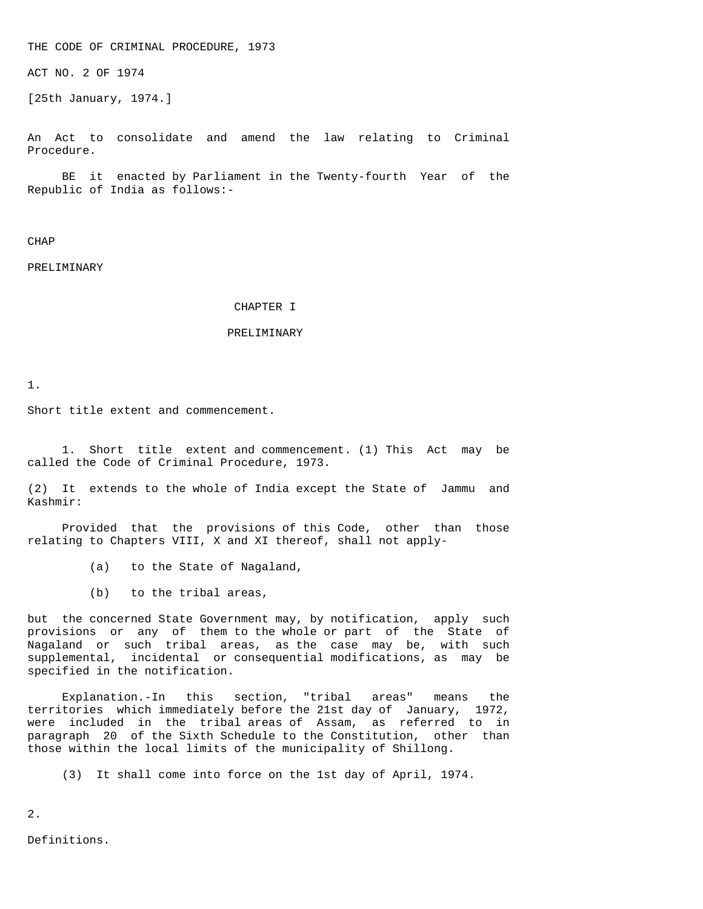THE CODE OF CRIMINAL PROCEDURE, 1973

ACT NO. 2 OF 1974

[25th January, 1974.]

 An Act to consolidate and amend the law relating to Criminal Procedure.

 BE it enacted by Parliament in the Twenty-fourth Year of the Republic of India as follows:-

CHAP

PRELIMINARY

CHAPTER I

#### PRELIMINARY

1.

Short title extent and commencement.

 1. Short title extent and commencement. (1) This Act may be called the Code of Criminal Procedure, 1973.

 (2) It extends to the whole of India except the State of Jammu and Kashmir:

 Provided that the provisions of this Code, other than those relating to Chapters VIII, X and XI thereof, shall not apply-

- (a) to the State of Nagaland,
- (b) to the tribal areas,

 but the concerned State Government may, by notification, apply such provisions or any of them to the whole or part of the State of Nagaland or such tribal areas, as the case may be, with such supplemental, incidental or consequential modifications, as may be specified in the notification.

 Explanation.-In this section, "tribal areas" means the territories which immediately before the 21st day of January, 1972, were included in the tribal areas of Assam, as referred to in paragraph 20 of the Sixth Schedule to the Constitution, other than those within the local limits of the municipality of Shillong.

(3) It shall come into force on the 1st day of April, 1974.

2.

Definitions.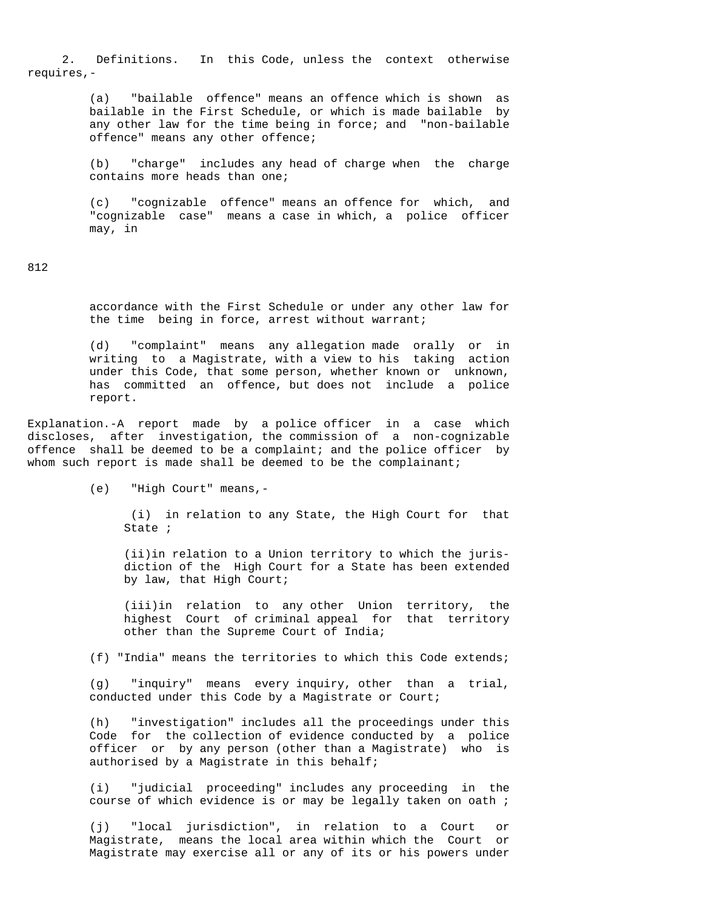2. Definitions. In this Code, unless the context otherwise requires,-

> (a) "bailable offence" means an offence which is shown as bailable in the First Schedule, or which is made bailable by any other law for the time being in force; and "non-bailable offence" means any other offence;

> (b) "charge" includes any head of charge when the charge contains more heads than one;

> (c) "cognizable offence" means an offence for which, and "cognizable case" means a case in which, a police officer may, in

# 812

 accordance with the First Schedule or under any other law for the time being in force, arrest without warrant;

 (d) "complaint" means any allegation made orally or in writing to a Magistrate, with a view to his taking action under this Code, that some person, whether known or unknown, has committed an offence, but does not include a police report.

 Explanation.-A report made by a police officer in a case which discloses, after investigation, the commission of a non-cognizable offence shall be deemed to be a complaint; and the police officer by whom such report is made shall be deemed to be the complainant;

(e) "High Court" means,-

 (i) in relation to any State, the High Court for that State ;

 (ii)in relation to a Union territory to which the juris diction of the High Court for a State has been extended by law, that High Court;

 (iii)in relation to any other Union territory, the highest Court of criminal appeal for that territory other than the Supreme Court of India;

(f) "India" means the territories to which this Code extends;

 (g) "inquiry" means every inquiry, other than a trial, conducted under this Code by a Magistrate or Court;

 (h) "investigation" includes all the proceedings under this Code for the collection of evidence conducted by a police officer or by any person (other than a Magistrate) who is authorised by a Magistrate in this behalf;

 (i) "judicial proceeding" includes any proceeding in the course of which evidence is or may be legally taken on oath ;

 (j) "local jurisdiction", in relation to a Court or Magistrate, means the local area within which the Court or Magistrate may exercise all or any of its or his powers under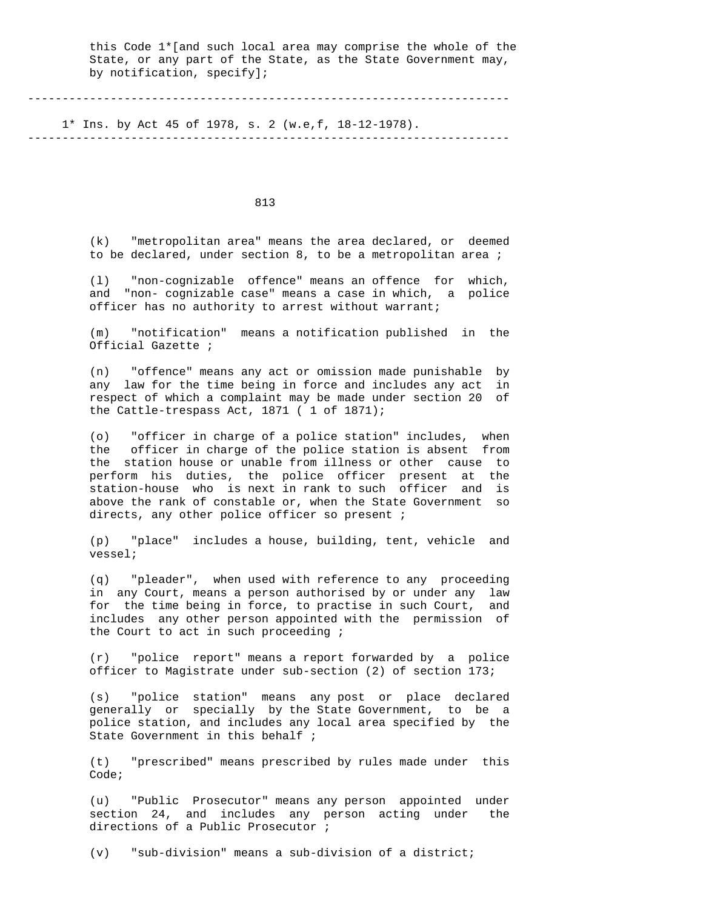this Code 1\*[and such local area may comprise the whole of the State, or any part of the State, as the State Government may, by notification, specify];

----------------------------------------------------------------------

 1\* Ins. by Act 45 of 1978, s. 2 (w.e,f, 18-12-1978). ----------------------------------------------------------------------

813

 (k) "metropolitan area" means the area declared, or deemed to be declared, under section 8, to be a metropolitan area ;

 (l) "non-cognizable offence" means an offence for which, and "non- cognizable case" means a case in which, a police officer has no authority to arrest without warrant;

 (m) "notification" means a notification published in the Official Gazette ;

 (n) "offence" means any act or omission made punishable by any law for the time being in force and includes any act in respect of which a complaint may be made under section 20 of the Cattle-trespass Act, 1871 ( 1 of 1871);

 (o) "officer in charge of a police station" includes, when the officer in charge of the police station is absent from the station house or unable from illness or other cause to perform his duties, the police officer present at the station-house who is next in rank to such officer and is above the rank of constable or, when the State Government so directs, any other police officer so present;

 (p) "place" includes a house, building, tent, vehicle and vessel;

 (q) "pleader", when used with reference to any proceeding in any Court, means a person authorised by or under any law for the time being in force, to practise in such Court, and includes any other person appointed with the permission of the Court to act in such proceeding ;

 (r) "police report" means a report forwarded by a police officer to Magistrate under sub-section (2) of section 173;

 (s) "police station" means any post or place declared generally or specially by the State Government, to be a police station, and includes any local area specified by the State Government in this behalf ;

 (t) "prescribed" means prescribed by rules made under this Code;

 (u) "Public Prosecutor" means any person appointed under section 24, and includes any person acting under the directions of a Public Prosecutor ;

(v) "sub-division" means a sub-division of a district;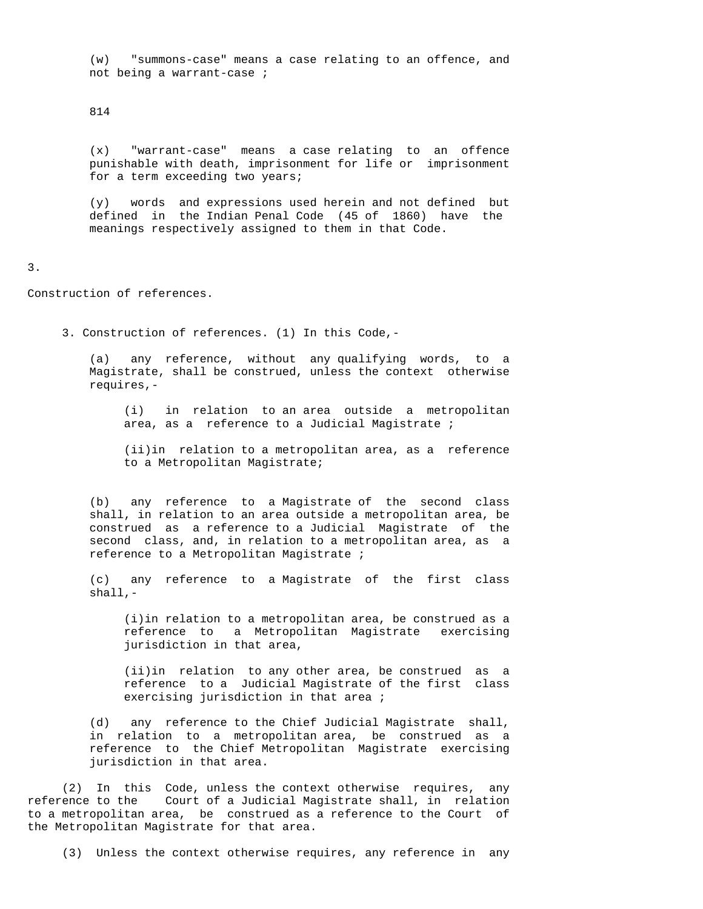(w) "summons-case" means a case relating to an offence, and not being a warrant-case ;

814

 (x) "warrant-case" means a case relating to an offence punishable with death, imprisonment for life or imprisonment for a term exceeding two years;

 (y) words and expressions used herein and not defined but defined in the Indian Penal Code (45 of 1860) have the meanings respectively assigned to them in that Code.

3.

Construction of references.

3. Construction of references. (1) In this Code,-

 (a) any reference, without any qualifying words, to a Magistrate, shall be construed, unless the context otherwise requires,-

 (i) in relation to an area outside a metropolitan area, as a reference to a Judicial Magistrate ;

 (ii)in relation to a metropolitan area, as a reference to a Metropolitan Magistrate;

 (b) any reference to a Magistrate of the second class shall, in relation to an area outside a metropolitan area, be construed as a reference to a Judicial Magistrate of the second class, and, in relation to a metropolitan area, as a reference to a Metropolitan Magistrate ;

 (c) any reference to a Magistrate of the first class shall,-

 (i)in relation to a metropolitan area, be construed as a reference to a Metropolitan Magistrate exercising jurisdiction in that area,

 (ii)in relation to any other area, be construed as a reference to a Judicial Magistrate of the first class exercising jurisdiction in that area ;

 (d) any reference to the Chief Judicial Magistrate shall, in relation to a metropolitan area, be construed as a reference to the Chief Metropolitan Magistrate exercising jurisdiction in that area.

 (2) In this Code, unless the context otherwise requires, any reference to the Court of a Judicial Magistrate shall, in relation to a metropolitan area, be construed as a reference to the Court of the Metropolitan Magistrate for that area.

(3) Unless the context otherwise requires, any reference in any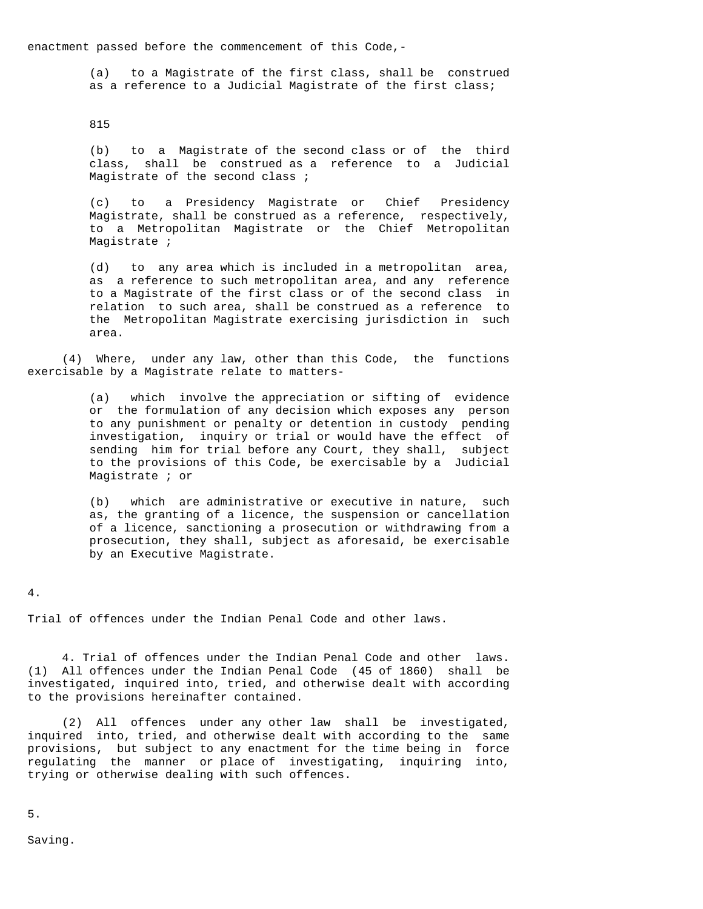enactment passed before the commencement of this Code,-

 (a) to a Magistrate of the first class, shall be construed as a reference to a Judicial Magistrate of the first class;

815

 (b) to a Magistrate of the second class or of the third class, shall be construed as a reference to a Judicial Magistrate of the second class ;

 (c) to a Presidency Magistrate or Chief Presidency Magistrate, shall be construed as a reference, respectively, to a Metropolitan Magistrate or the Chief Metropolitan Magistrate ;

 (d) to any area which is included in a metropolitan area, as a reference to such metropolitan area, and any reference to a Magistrate of the first class or of the second class in relation to such area, shall be construed as a reference to the Metropolitan Magistrate exercising jurisdiction in such area.

 (4) Where, under any law, other than this Code, the functions exercisable by a Magistrate relate to matters-

> (a) which involve the appreciation or sifting of evidence or the formulation of any decision which exposes any person to any punishment or penalty or detention in custody pending investigation, inquiry or trial or would have the effect of sending him for trial before any Court, they shall, subject to the provisions of this Code, be exercisable by a Judicial Magistrate ; or

> (b) which are administrative or executive in nature, such as, the granting of a licence, the suspension or cancellation of a licence, sanctioning a prosecution or withdrawing from a prosecution, they shall, subject as aforesaid, be exercisable by an Executive Magistrate.

#### 4.

Trial of offences under the Indian Penal Code and other laws.

 4. Trial of offences under the Indian Penal Code and other laws. (1) All offences under the Indian Penal Code (45 of 1860) shall be investigated, inquired into, tried, and otherwise dealt with according to the provisions hereinafter contained.

 (2) All offences under any other law shall be investigated, inquired into, tried, and otherwise dealt with according to the same provisions, but subject to any enactment for the time being in force regulating the manner or place of investigating, inquiring into, trying or otherwise dealing with such offences.

5.

Saving.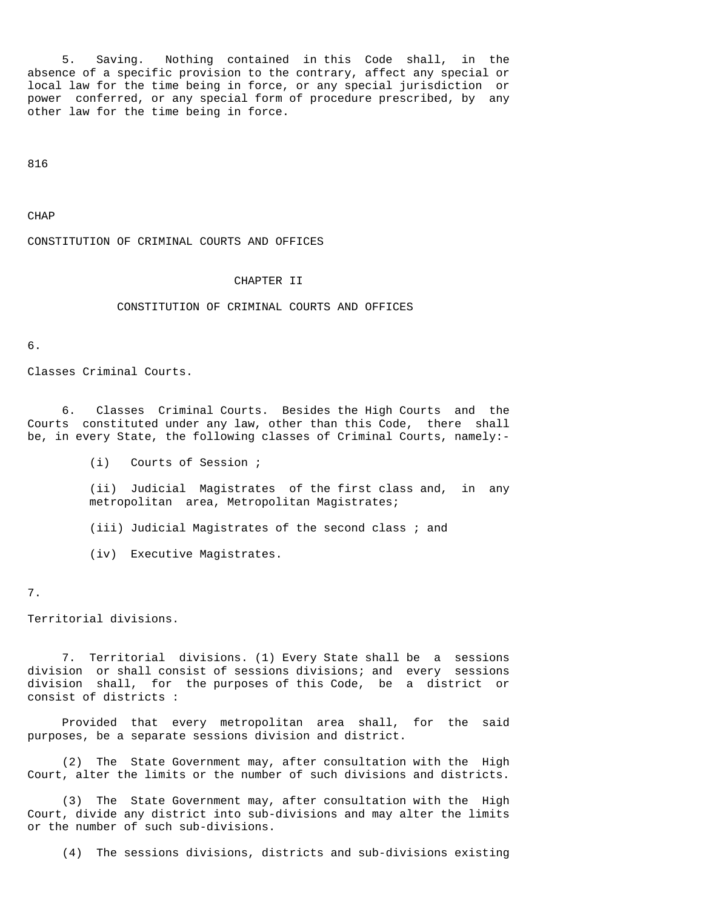5. Saving. Nothing contained in this Code shall, in the absence of a specific provision to the contrary, affect any special or local law for the time being in force, or any special jurisdiction or power conferred, or any special form of procedure prescribed, by any other law for the time being in force.

816

CHAP

CONSTITUTION OF CRIMINAL COURTS AND OFFICES

## CHAPTER II

# CONSTITUTION OF CRIMINAL COURTS AND OFFICES

6.

Classes Criminal Courts.

 6. Classes Criminal Courts. Besides the High Courts and the Courts constituted under any law, other than this Code, there shall be, in every State, the following classes of Criminal Courts, namely:-

(i) Courts of Session ;

 (ii) Judicial Magistrates of the first class and, in any metropolitan area, Metropolitan Magistrates;

(iii) Judicial Magistrates of the second class ; and

(iv) Executive Magistrates.

# 7.

Territorial divisions.

 7. Territorial divisions. (1) Every State shall be a sessions division or shall consist of sessions divisions; and every sessions division shall, for the purposes of this Code, be a district or consist of districts :

 Provided that every metropolitan area shall, for the said purposes, be a separate sessions division and district.

 (2) The State Government may, after consultation with the High Court, alter the limits or the number of such divisions and districts.

 (3) The State Government may, after consultation with the High Court, divide any district into sub-divisions and may alter the limits or the number of such sub-divisions.

(4) The sessions divisions, districts and sub-divisions existing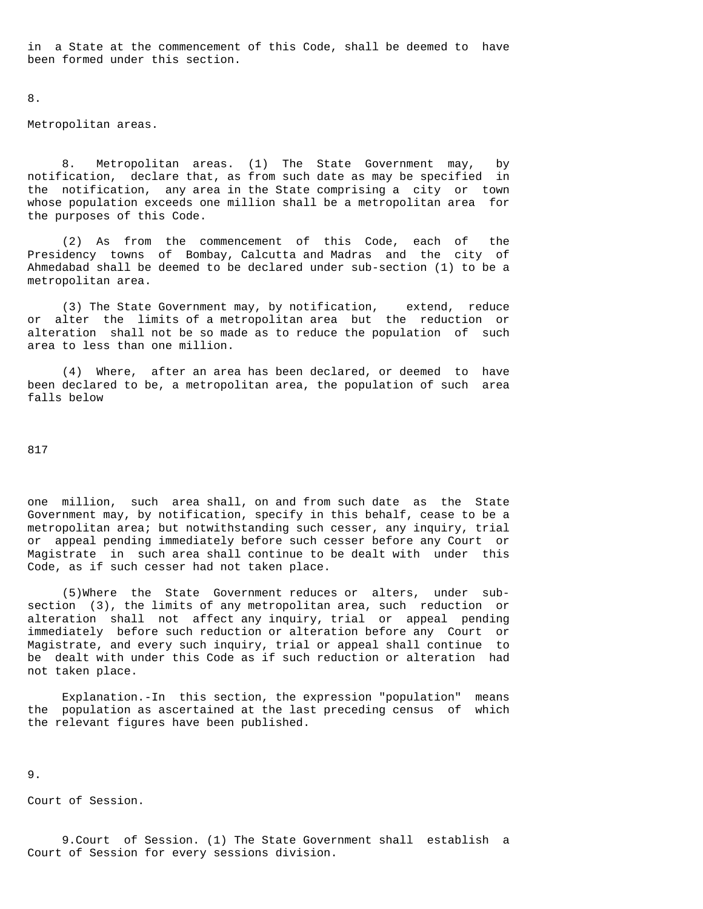in a State at the commencement of this Code, shall be deemed to have been formed under this section.

8.

Metropolitan areas.

 8. Metropolitan areas. (1) The State Government may, by notification, declare that, as from such date as may be specified in the notification, any area in the State comprising a city or town whose population exceeds one million shall be a metropolitan area for the purposes of this Code.

 (2) As from the commencement of this Code, each of the Presidency towns of Bombay, Calcutta and Madras and the city of Ahmedabad shall be deemed to be declared under sub-section (1) to be a metropolitan area.

 (3) The State Government may, by notification, extend, reduce or alter the limits of a metropolitan area but the reduction or alteration shall not be so made as to reduce the population of such area to less than one million.

 (4) Where, after an area has been declared, or deemed to have been declared to be, a metropolitan area, the population of such area falls below

817

 one million, such area shall, on and from such date as the State Government may, by notification, specify in this behalf, cease to be a metropolitan area; but notwithstanding such cesser, any inquiry, trial or appeal pending immediately before such cesser before any Court or Magistrate in such area shall continue to be dealt with under this Code, as if such cesser had not taken place.

 (5)Where the State Government reduces or alters, under sub section (3), the limits of any metropolitan area, such reduction or alteration shall not affect any inquiry, trial or appeal pending immediately before such reduction or alteration before any Court or Magistrate, and every such inquiry, trial or appeal shall continue to be dealt with under this Code as if such reduction or alteration had not taken place.

 Explanation.-In this section, the expression "population" means the population as ascertained at the last preceding census of which the relevant figures have been published.

9.

Court of Session.

 9.Court of Session. (1) The State Government shall establish a Court of Session for every sessions division.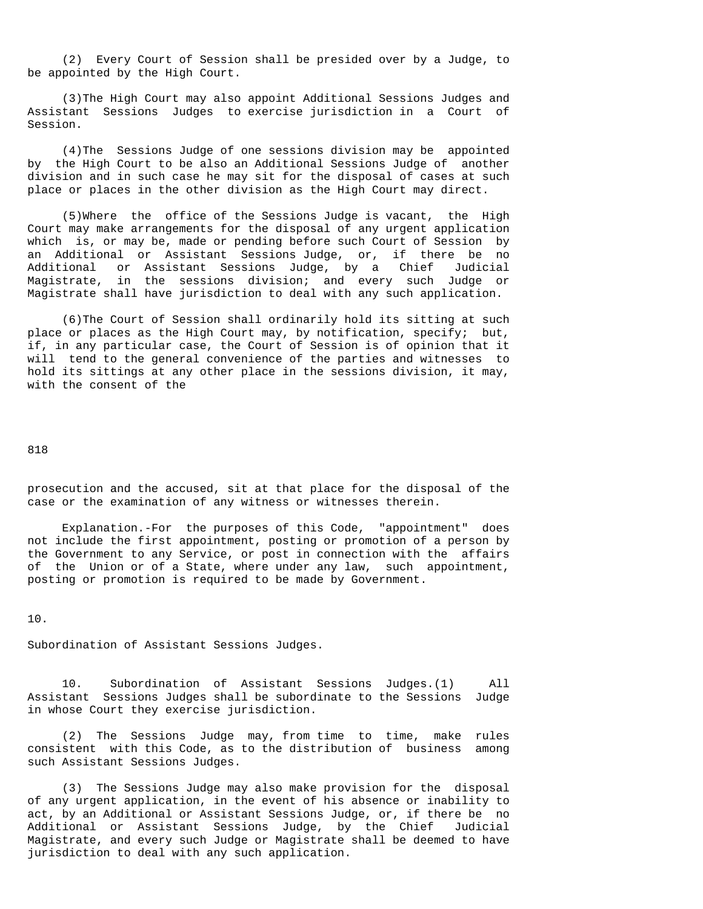(2) Every Court of Session shall be presided over by a Judge, to be appointed by the High Court.

 (3)The High Court may also appoint Additional Sessions Judges and Assistant Sessions Judges to exercise jurisdiction in a Court of Session.

 (4)The Sessions Judge of one sessions division may be appointed by the High Court to be also an Additional Sessions Judge of another division and in such case he may sit for the disposal of cases at such place or places in the other division as the High Court may direct.

 (5)Where the office of the Sessions Judge is vacant, the High Court may make arrangements for the disposal of any urgent application which is, or may be, made or pending before such Court of Session by an Additional or Assistant Sessions Judge, or, if there be no Additional or Assistant Sessions Judge, by a Chief Judicial Magistrate, in the sessions division; and every such Judge or Magistrate shall have jurisdiction to deal with any such application.

 (6)The Court of Session shall ordinarily hold its sitting at such place or places as the High Court may, by notification, specify; but, if, in any particular case, the Court of Session is of opinion that it will tend to the general convenience of the parties and witnesses to hold its sittings at any other place in the sessions division, it may, with the consent of the

#### 818

 prosecution and the accused, sit at that place for the disposal of the case or the examination of any witness or witnesses therein.

 Explanation.-For the purposes of this Code, "appointment" does not include the first appointment, posting or promotion of a person by the Government to any Service, or post in connection with the affairs of the Union or of a State, where under any law, such appointment, posting or promotion is required to be made by Government.

10.

Subordination of Assistant Sessions Judges.

 10. Subordination of Assistant Sessions Judges.(1) All Assistant Sessions Judges shall be subordinate to the Sessions Judge in whose Court they exercise jurisdiction.

 (2) The Sessions Judge may, from time to time, make rules consistent with this Code, as to the distribution of business among such Assistant Sessions Judges.

 (3) The Sessions Judge may also make provision for the disposal of any urgent application, in the event of his absence or inability to act, by an Additional or Assistant Sessions Judge, or, if there be no Additional or Assistant Sessions Judge, by the Chief Judicial Magistrate, and every such Judge or Magistrate shall be deemed to have jurisdiction to deal with any such application.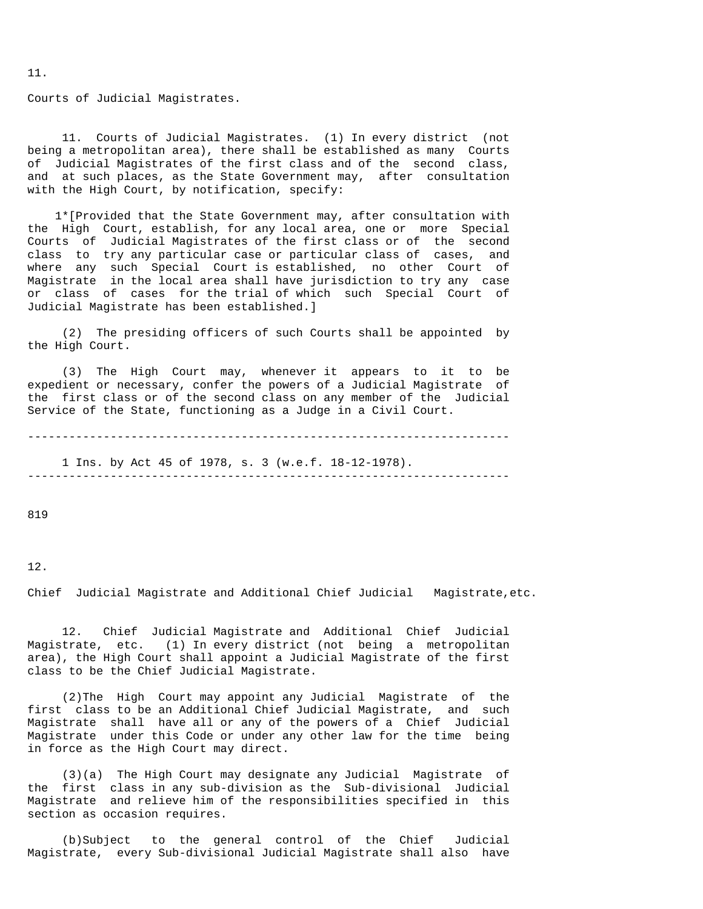Courts of Judicial Magistrates.

 11. Courts of Judicial Magistrates. (1) In every district (not being a metropolitan area), there shall be established as many Courts of Judicial Magistrates of the first class and of the second class, and at such places, as the State Government may, after consultation with the High Court, by notification, specify:

 1\*[Provided that the State Government may, after consultation with the High Court, establish, for any local area, one or more Special Courts of Judicial Magistrates of the first class or of the second class to try any particular case or particular class of cases, and where any such Special Court is established, no other Court of Magistrate in the local area shall have jurisdiction to try any case or class of cases for the trial of which such Special Court of Judicial Magistrate has been established.]

 (2) The presiding officers of such Courts shall be appointed by the High Court.

 (3) The High Court may, whenever it appears to it to be expedient or necessary, confer the powers of a Judicial Magistrate of the first class or of the second class on any member of the Judicial Service of the State, functioning as a Judge in a Civil Court.

----------------------------------------------------------------------

 1 Ins. by Act 45 of 1978, s. 3 (w.e.f. 18-12-1978). ----------------------------------------------------------------------

819

12.

Chief Judicial Magistrate and Additional Chief Judicial Magistrate,etc.

 12. Chief Judicial Magistrate and Additional Chief Judicial Magistrate, etc. (1) In every district (not being a metropolitan area), the High Court shall appoint a Judicial Magistrate of the first class to be the Chief Judicial Magistrate.

 (2)The High Court may appoint any Judicial Magistrate of the first class to be an Additional Chief Judicial Magistrate, and such Magistrate shall have all or any of the powers of a Chief Judicial Magistrate under this Code or under any other law for the time being in force as the High Court may direct.

 (3)(a) The High Court may designate any Judicial Magistrate of the first class in any sub-division as the Sub-divisional Judicial Magistrate and relieve him of the responsibilities specified in this section as occasion requires.

 (b)Subject to the general control of the Chief Judicial Magistrate, every Sub-divisional Judicial Magistrate shall also have

11.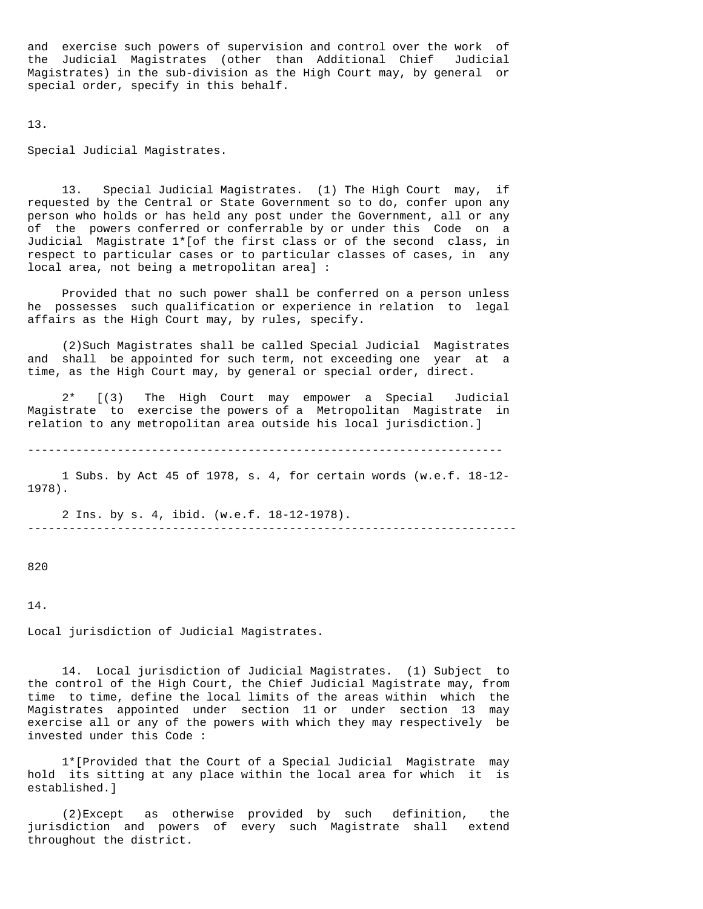and exercise such powers of supervision and control over the work of the Judicial Magistrates (other than Additional Chief Judicial Magistrates) in the sub-division as the High Court may, by general or special order, specify in this behalf.

13.

Special Judicial Magistrates.

 13. Special Judicial Magistrates. (1) The High Court may, if requested by the Central or State Government so to do, confer upon any person who holds or has held any post under the Government, all or any of the powers conferred or conferrable by or under this Code on a Judicial Magistrate 1\*[of the first class or of the second class, in respect to particular cases or to particular classes of cases, in any local area, not being a metropolitan area] :

 Provided that no such power shall be conferred on a person unless he possesses such qualification or experience in relation to legal affairs as the High Court may, by rules, specify.

 (2)Such Magistrates shall be called Special Judicial Magistrates and shall be appointed for such term, not exceeding one year at a time, as the High Court may, by general or special order, direct.

 2\* [(3) The High Court may empower a Special Judicial Magistrate to exercise the powers of a Metropolitan Magistrate in relation to any metropolitan area outside his local jurisdiction.]

---------------------------------------------------------------------

 1 Subs. by Act 45 of 1978, s. 4, for certain words (w.e.f. 18-12- 1978).

 2 Ins. by s. 4, ibid. (w.e.f. 18-12-1978). -----------------------------------------------------------------------

820

14.

Local jurisdiction of Judicial Magistrates.

 14. Local jurisdiction of Judicial Magistrates. (1) Subject to the control of the High Court, the Chief Judicial Magistrate may, from time to time, define the local limits of the areas within which the Magistrates appointed under section 11 or under section 13 may exercise all or any of the powers with which they may respectively be invested under this Code :

 1\*[Provided that the Court of a Special Judicial Magistrate may hold its sitting at any place within the local area for which it is established.]

 (2)Except as otherwise provided by such definition, the jurisdiction and powers of every such Magistrate shall extend throughout the district.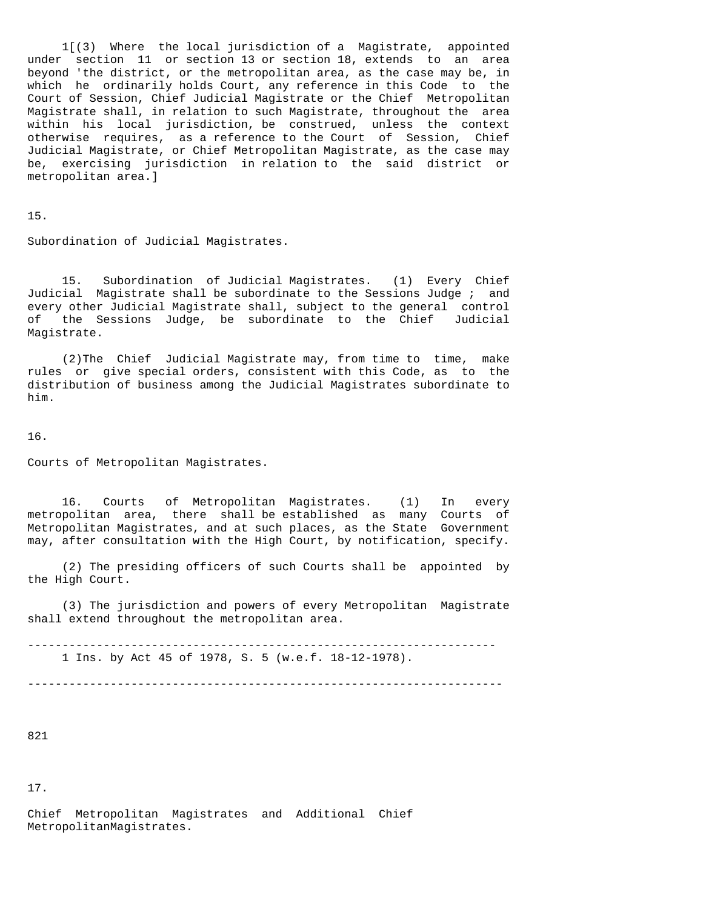1[(3) Where the local jurisdiction of a Magistrate, appointed under section 11 or section 13 or section 18, extends to an area beyond 'the district, or the metropolitan area, as the case may be, in which he ordinarily holds Court, any reference in this Code to the Court of Session, Chief Judicial Magistrate or the Chief Metropolitan Magistrate shall, in relation to such Magistrate, throughout the area within his local jurisdiction, be construed, unless the context otherwise requires, as a reference to the Court of Session, Chief Judicial Magistrate, or Chief Metropolitan Magistrate, as the case may be, exercising jurisdiction in relation to the said district or metropolitan area.]

15.

Subordination of Judicial Magistrates.

 15. Subordination of Judicial Magistrates. (1) Every Chief Judicial Magistrate shall be subordinate to the Sessions Judge ; and every other Judicial Magistrate shall, subject to the general control of the Sessions Judge, be subordinate to the Chief Judicial Magistrate.

 (2)The Chief Judicial Magistrate may, from time to time, make rules or give special orders, consistent with this Code, as to the distribution of business among the Judicial Magistrates subordinate to him.

16.

Courts of Metropolitan Magistrates.

 16. Courts of Metropolitan Magistrates. (1) In every metropolitan area, there shall be established as many Courts of Metropolitan Magistrates, and at such places, as the State Government may, after consultation with the High Court, by notification, specify.

 (2) The presiding officers of such Courts shall be appointed by the High Court.

 (3) The jurisdiction and powers of every Metropolitan Magistrate shall extend throughout the metropolitan area.

 -------------------------------------------------------------------- 1 Ins. by Act 45 of 1978, S. 5 (w.e.f. 18-12-1978).

---------------------------------------------------------------------

821

17.

 Chief Metropolitan Magistrates and Additional Chief MetropolitanMagistrates.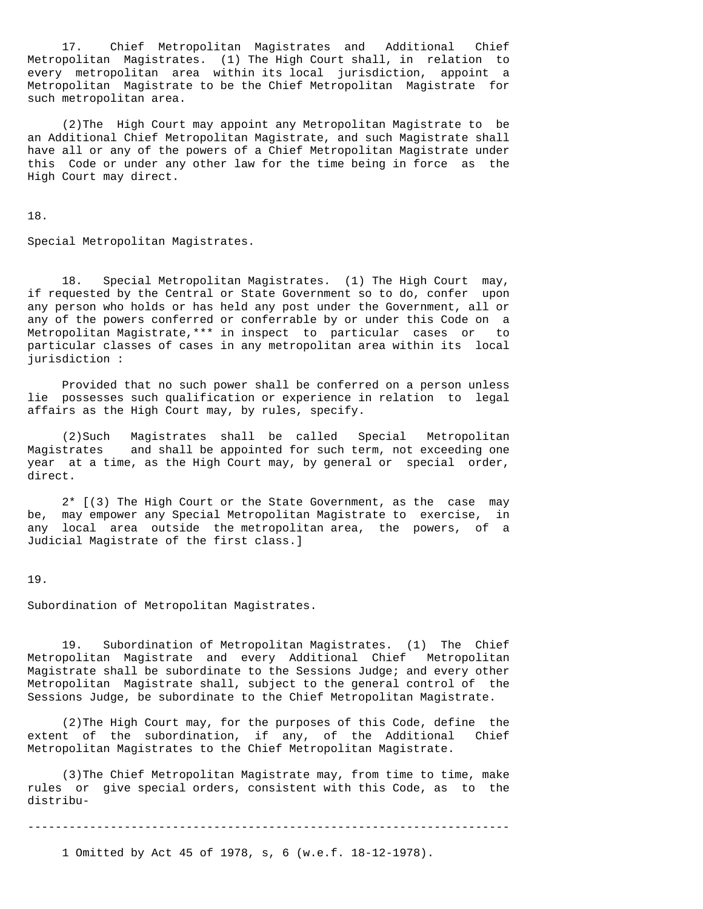17. Chief Metropolitan Magistrates and Additional Chief Metropolitan Magistrates. (1) The High Court shall, in relation to every metropolitan area within its local jurisdiction, appoint a Metropolitan Magistrate to be the Chief Metropolitan Magistrate for such metropolitan area.

 (2)The High Court may appoint any Metropolitan Magistrate to be an Additional Chief Metropolitan Magistrate, and such Magistrate shall have all or any of the powers of a Chief Metropolitan Magistrate under this Code or under any other law for the time being in force as the High Court may direct.

18.

Special Metropolitan Magistrates.

 18. Special Metropolitan Magistrates. (1) The High Court may, if requested by the Central or State Government so to do, confer upon any person who holds or has held any post under the Government, all or any of the powers conferred or conferrable by or under this Code on a Metropolitan Magistrate,\*\*\* in inspect to particular cases or to particular classes of cases in any metropolitan area within its local jurisdiction :

 Provided that no such power shall be conferred on a person unless lie possesses such qualification or experience in relation to legal affairs as the High Court may, by rules, specify.

 (2)Such Magistrates shall be called Special Metropolitan Magistrates and shall be appointed for such term, not exceeding one year at a time, as the High Court may, by general or special order, direct.

 2\* [(3) The High Court or the State Government, as the case may be, may empower any Special Metropolitan Magistrate to exercise, in any local area outside the metropolitan area, the powers, of a Judicial Magistrate of the first class.]

19.

Subordination of Metropolitan Magistrates.

 19. Subordination of Metropolitan Magistrates. (1) The Chief Metropolitan Magistrate and every Additional Chief Metropolitan Magistrate shall be subordinate to the Sessions Judge; and every other Metropolitan Magistrate shall, subject to the general control of the Sessions Judge, be subordinate to the Chief Metropolitan Magistrate.

 (2)The High Court may, for the purposes of this Code, define the extent of the subordination, if any, of the Additional Chief Metropolitan Magistrates to the Chief Metropolitan Magistrate.

 (3)The Chief Metropolitan Magistrate may, from time to time, make rules or give special orders, consistent with this Code, as to the distribu-

----------------------------------------------------------------------

1 Omitted by Act 45 of 1978, s, 6 (w.e.f. 18-12-1978).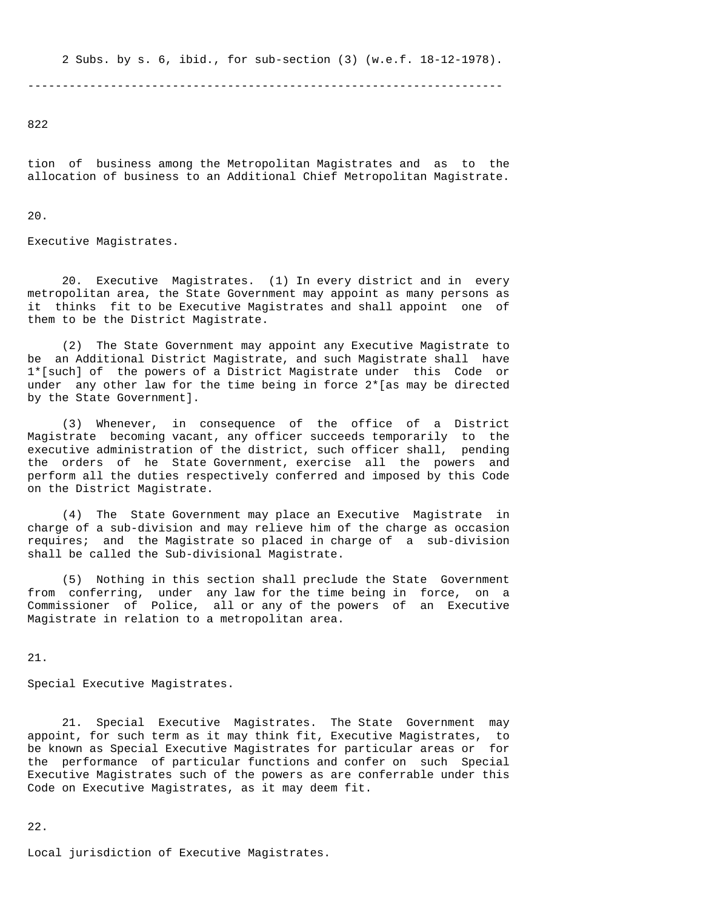2 Subs. by s. 6, ibid., for sub-section (3) (w.e.f. 18-12-1978).

---------------------------------------------------------------------

822

 tion of business among the Metropolitan Magistrates and as to the allocation of business to an Additional Chief Metropolitan Magistrate.

20.

Executive Magistrates.

 20. Executive Magistrates. (1) In every district and in every metropolitan area, the State Government may appoint as many persons as it thinks fit to be Executive Magistrates and shall appoint one of them to be the District Magistrate.

 (2) The State Government may appoint any Executive Magistrate to be an Additional District Magistrate, and such Magistrate shall have 1\*[such] of the powers of a District Magistrate under this Code or under any other law for the time being in force  $2*(\text{as may be directed})$ by the State Government].

 (3) Whenever, in consequence of the office of a District Magistrate becoming vacant, any officer succeeds temporarily to the executive administration of the district, such officer shall, pending the orders of he State Government, exercise all the powers and perform all the duties respectively conferred and imposed by this Code on the District Magistrate.

 (4) The State Government may place an Executive Magistrate in charge of a sub-division and may relieve him of the charge as occasion requires; and the Magistrate so placed in charge of a sub-division shall be called the Sub-divisional Magistrate.

 (5) Nothing in this section shall preclude the State Government from conferring, under any law for the time being in force, on a Commissioner of Police, all or any of the powers of an Executive Magistrate in relation to a metropolitan area.

21.

Special Executive Magistrates.

 21. Special Executive Magistrates. The State Government may appoint, for such term as it may think fit, Executive Magistrates, to be known as Special Executive Magistrates for particular areas or for the performance of particular functions and confer on such Special Executive Magistrates such of the powers as are conferrable under this Code on Executive Magistrates, as it may deem fit.

22.

Local jurisdiction of Executive Magistrates.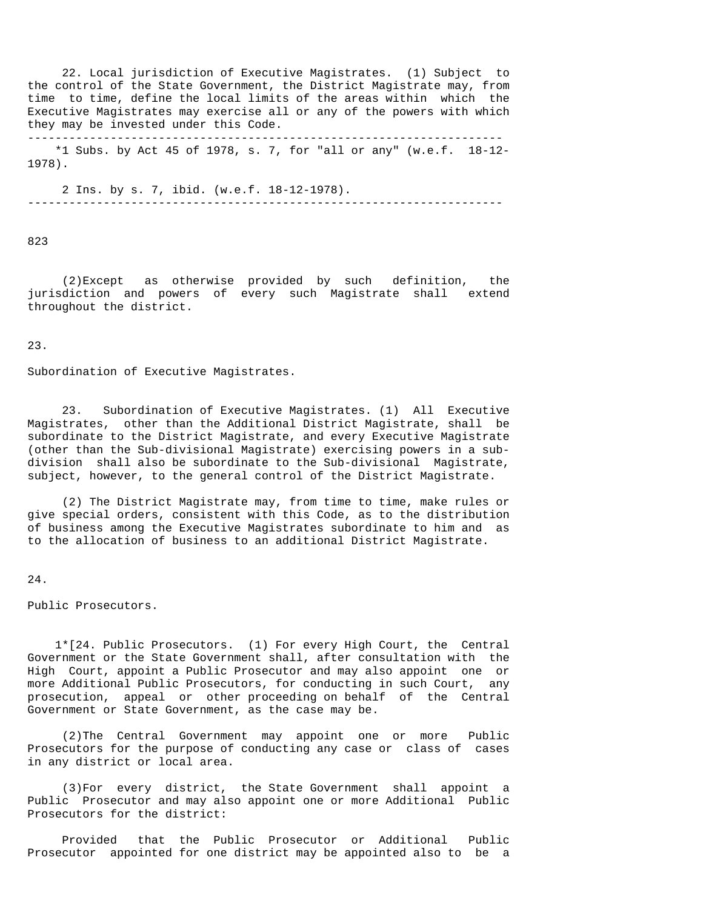22. Local jurisdiction of Executive Magistrates. (1) Subject to the control of the State Government, the District Magistrate may, from time to time, define the local limits of the areas within which the Executive Magistrates may exercise all or any of the powers with which they may be invested under this Code.

 --------------------------------------------------------------------- \*1 Subs. by Act 45 of 1978, s. 7, for "all or any" (w.e.f.  $18-12-$ 1978).

 2 Ins. by s. 7, ibid. (w.e.f. 18-12-1978). ---------------------------------------------------------------------

823

 (2)Except as otherwise provided by such definition, the jurisdiction and powers of every such Magistrate shall extend throughout the district.

23.

Subordination of Executive Magistrates.

 23. Subordination of Executive Magistrates. (1) All Executive Magistrates, other than the Additional District Magistrate, shall be subordinate to the District Magistrate, and every Executive Magistrate (other than the Sub-divisional Magistrate) exercising powers in a sub division shall also be subordinate to the Sub-divisional Magistrate, subject, however, to the general control of the District Magistrate.

 (2) The District Magistrate may, from time to time, make rules or give special orders, consistent with this Code, as to the distribution of business among the Executive Magistrates subordinate to him and as to the allocation of business to an additional District Magistrate.

24.

Public Prosecutors.

 1\*[24. Public Prosecutors. (1) For every High Court, the Central Government or the State Government shall, after consultation with the High Court, appoint a Public Prosecutor and may also appoint one or more Additional Public Prosecutors, for conducting in such Court, any prosecution, appeal or other proceeding on behalf of the Central Government or State Government, as the case may be.

 (2)The Central Government may appoint one or more Public Prosecutors for the purpose of conducting any case or class of cases in any district or local area.

 (3)For every district, the State Government shall appoint a Public Prosecutor and may also appoint one or more Additional Public Prosecutors for the district:

 Provided that the Public Prosecutor or Additional Public Prosecutor appointed for one district may be appointed also to be a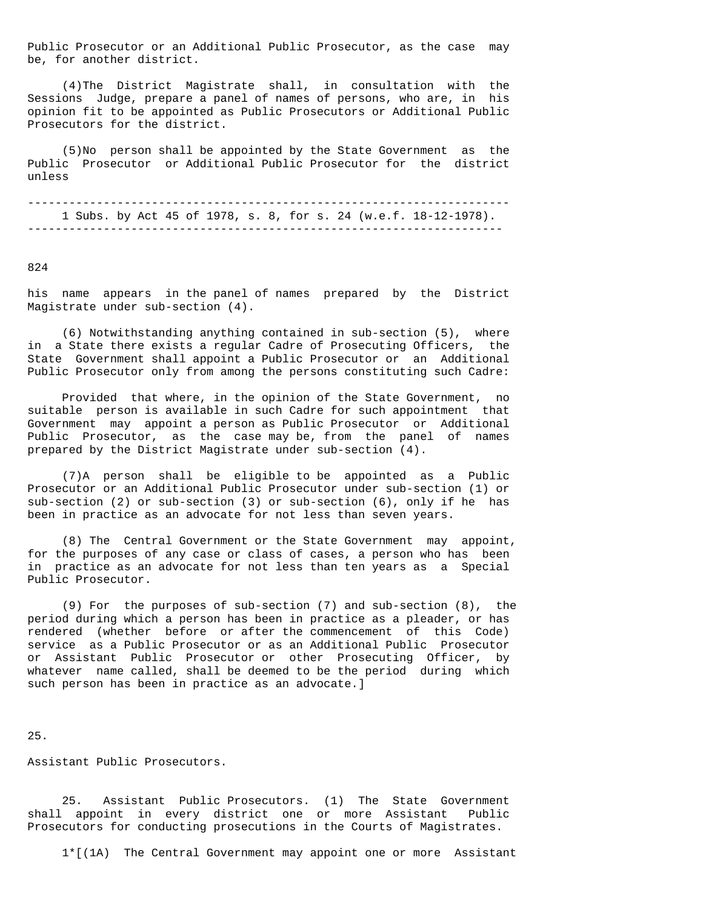Public Prosecutor or an Additional Public Prosecutor, as the case may be, for another district.

 (4)The District Magistrate shall, in consultation with the Sessions Judge, prepare a panel of names of persons, who are, in his opinion fit to be appointed as Public Prosecutors or Additional Public Prosecutors for the district.

 (5)No person shall be appointed by the State Government as the Public Prosecutor or Additional Public Prosecutor for the district unless

 ---------------------------------------------------------------------- 1 Subs. by Act 45 of 1978, s. 8, for s. 24 (w.e.f. 18-12-1978). ---------------------------------------------------------------------

824

 his name appears in the panel of names prepared by the District Magistrate under sub-section (4).

 (6) Notwithstanding anything contained in sub-section (5), where in a State there exists a regular Cadre of Prosecuting Officers, the State Government shall appoint a Public Prosecutor or an Additional Public Prosecutor only from among the persons constituting such Cadre:

 Provided that where, in the opinion of the State Government, no suitable person is available in such Cadre for such appointment that Government may appoint a person as Public Prosecutor or Additional Public Prosecutor, as the case may be, from the panel of names prepared by the District Magistrate under sub-section (4).

 (7)A person shall be eligible to be appointed as a Public Prosecutor or an Additional Public Prosecutor under sub-section (1) or sub-section (2) or sub-section (3) or sub-section (6), only if he has been in practice as an advocate for not less than seven years.

 (8) The Central Government or the State Government may appoint, for the purposes of any case or class of cases, a person who has been in practice as an advocate for not less than ten years as a Special Public Prosecutor.

 (9) For the purposes of sub-section (7) and sub-section (8), the period during which a person has been in practice as a pleader, or has rendered (whether before or after the commencement of this Code) service as a Public Prosecutor or as an Additional Public Prosecutor or Assistant Public Prosecutor or other Prosecuting Officer, by whatever name called, shall be deemed to be the period during which such person has been in practice as an advocate.]

25.

Assistant Public Prosecutors.

 25. Assistant Public Prosecutors. (1) The State Government shall appoint in every district one or more Assistant Public Prosecutors for conducting prosecutions in the Courts of Magistrates.

1\*[(1A) The Central Government may appoint one or more Assistant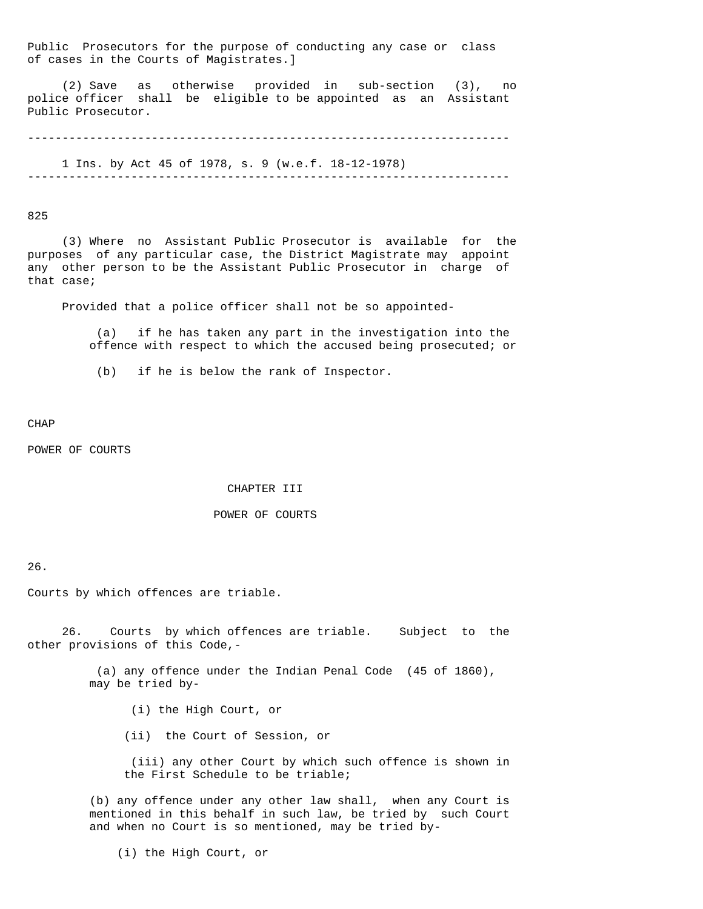Public Prosecutors for the purpose of conducting any case or class of cases in the Courts of Magistrates.]

 (2) Save as otherwise provided in sub-section (3), no police officer shall be eligible to be appointed as an Assistant Public Prosecutor.

----------------------------------------------------------------------

 1 Ins. by Act 45 of 1978, s. 9 (w.e.f. 18-12-1978) ----------------------------------------------------------------------

# 825

 (3) Where no Assistant Public Prosecutor is available for the purposes of any particular case, the District Magistrate may appoint any other person to be the Assistant Public Prosecutor in charge of that case;

Provided that a police officer shall not be so appointed-

 (a) if he has taken any part in the investigation into the offence with respect to which the accused being prosecuted; or

(b) if he is below the rank of Inspector.

# CHAP

POWER OF COURTS

CHAPTER III

#### POWER OF COURTS

26.

Courts by which offences are triable.

 26. Courts by which offences are triable. Subject to the other provisions of this Code,-

> (a) any offence under the Indian Penal Code (45 of 1860), may be tried by-

(i) the High Court, or

(ii) the Court of Session, or

 (iii) any other Court by which such offence is shown in the First Schedule to be triable;

 (b) any offence under any other law shall, when any Court is mentioned in this behalf in such law, be tried by such Court and when no Court is so mentioned, may be tried by-

(i) the High Court, or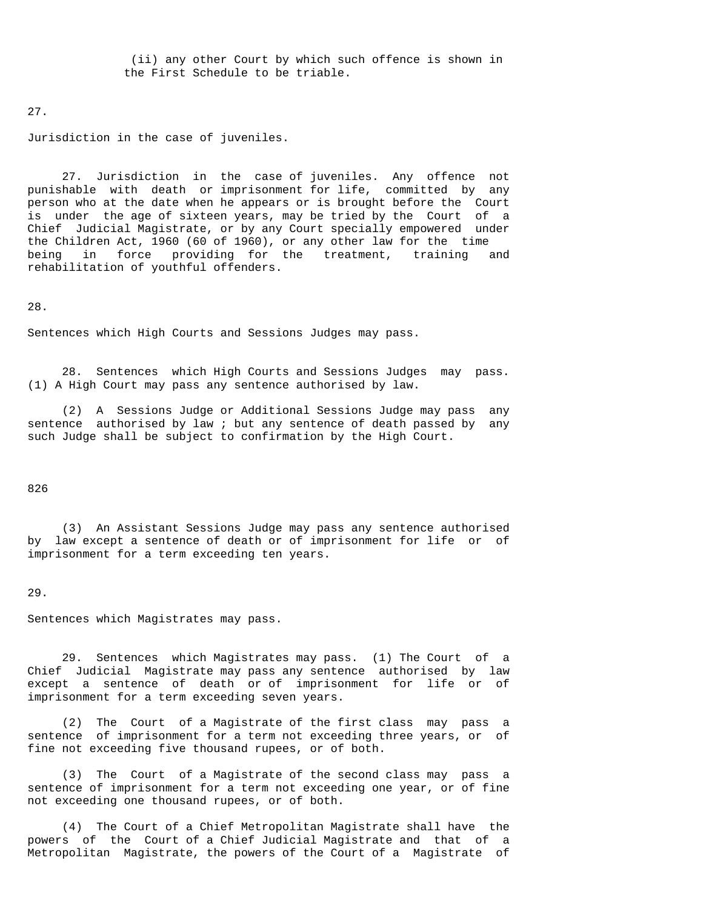(ii) any other Court by which such offence is shown in the First Schedule to be triable.

27.

Jurisdiction in the case of juveniles.

 27. Jurisdiction in the case of juveniles. Any offence not punishable with death or imprisonment for life, committed by any person who at the date when he appears or is brought before the Court is under the age of sixteen years, may be tried by the Court of a Chief Judicial Magistrate, or by any Court specially empowered under the Children Act, 1960 (60 of 1960), or any other law for the time being in force providing for the treatment, training and rehabilitation of youthful offenders.

28.

Sentences which High Courts and Sessions Judges may pass.

 28. Sentences which High Courts and Sessions Judges may pass. (1) A High Court may pass any sentence authorised by law.

 (2) A Sessions Judge or Additional Sessions Judge may pass any sentence authorised by law ; but any sentence of death passed by any such Judge shall be subject to confirmation by the High Court.

826

 (3) An Assistant Sessions Judge may pass any sentence authorised by law except a sentence of death or of imprisonment for life or of imprisonment for a term exceeding ten years.

29.

Sentences which Magistrates may pass.

 29. Sentences which Magistrates may pass. (1) The Court of a Chief Judicial Magistrate may pass any sentence authorised by law except a sentence of death or of imprisonment for life or of imprisonment for a term exceeding seven years.

 (2) The Court of a Magistrate of the first class may pass a sentence of imprisonment for a term not exceeding three years, or of fine not exceeding five thousand rupees, or of both.

 (3) The Court of a Magistrate of the second class may pass a sentence of imprisonment for a term not exceeding one year, or of fine not exceeding one thousand rupees, or of both.

 (4) The Court of a Chief Metropolitan Magistrate shall have the powers of the Court of a Chief Judicial Magistrate and that of a Metropolitan Magistrate, the powers of the Court of a Magistrate of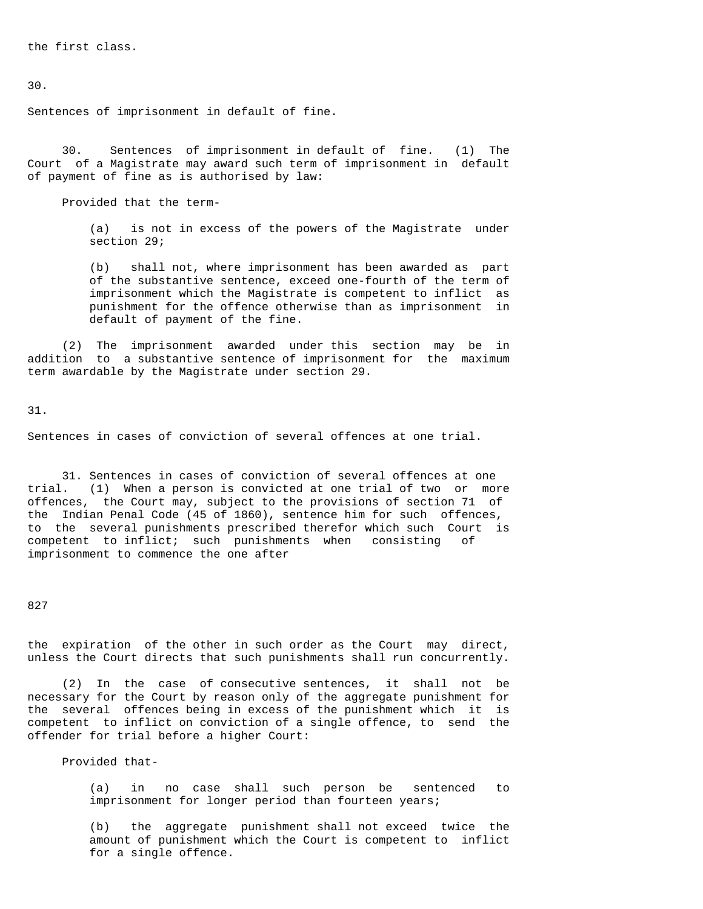the first class.

30.

Sentences of imprisonment in default of fine.

 30. Sentences of imprisonment in default of fine. (1) The Court of a Magistrate may award such term of imprisonment in default of payment of fine as is authorised by law:

Provided that the term-

 (a) is not in excess of the powers of the Magistrate under section 29;

 (b) shall not, where imprisonment has been awarded as part of the substantive sentence, exceed one-fourth of the term of imprisonment which the Magistrate is competent to inflict as punishment for the offence otherwise than as imprisonment in default of payment of the fine.

 (2) The imprisonment awarded under this section may be in addition to a substantive sentence of imprisonment for the maximum term awardable by the Magistrate under section 29.

31.

Sentences in cases of conviction of several offences at one trial.

 31. Sentences in cases of conviction of several offences at one trial. (1) When a person is convicted at one trial of two or more offences, the Court may, subject to the provisions of section 71 of the Indian Penal Code (45 of 1860), sentence him for such offences, to the several punishments prescribed therefor which such Court is competent to inflict; such punishments when consisting of imprisonment to commence the one after

827

 the expiration of the other in such order as the Court may direct, unless the Court directs that such punishments shall run concurrently.

 (2) In the case of consecutive sentences, it shall not be necessary for the Court by reason only of the aggregate punishment for the several offences being in excess of the punishment which it is competent to inflict on conviction of a single offence, to send the offender for trial before a higher Court:

Provided that-

 (a) in no case shall such person be sentenced to imprisonment for longer period than fourteen years;

 (b) the aggregate punishment shall not exceed twice the amount of punishment which the Court is competent to inflict for a single offence.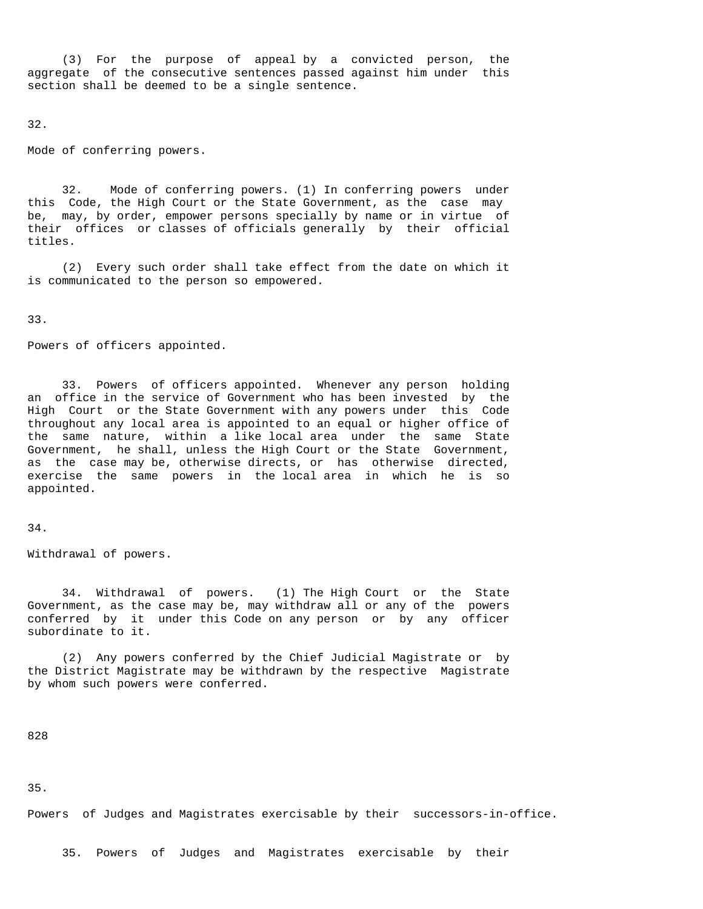(3) For the purpose of appeal by a convicted person, the aggregate of the consecutive sentences passed against him under this section shall be deemed to be a single sentence.

32.

Mode of conferring powers.

 32. Mode of conferring powers. (1) In conferring powers under this Code, the High Court or the State Government, as the case may be, may, by order, empower persons specially by name or in virtue of their offices or classes of officials generally by their official titles.

 (2) Every such order shall take effect from the date on which it is communicated to the person so empowered.

33.

Powers of officers appointed.

 33. Powers of officers appointed. Whenever any person holding an office in the service of Government who has been invested by the High Court or the State Government with any powers under this Code throughout any local area is appointed to an equal or higher office of the same nature, within a like local area under the same State Government, he shall, unless the High Court or the State Government, as the case may be, otherwise directs, or has otherwise directed, exercise the same powers in the local area in which he is so appointed.

34.

Withdrawal of powers.

 34. Withdrawal of powers. (1) The High Court or the State Government, as the case may be, may withdraw all or any of the powers conferred by it under this Code on any person or by any officer subordinate to it.

 (2) Any powers conferred by the Chief Judicial Magistrate or by the District Magistrate may be withdrawn by the respective Magistrate by whom such powers were conferred.

828

# 35.

Powers of Judges and Magistrates exercisable by their successors-in-office.

35. Powers of Judges and Magistrates exercisable by their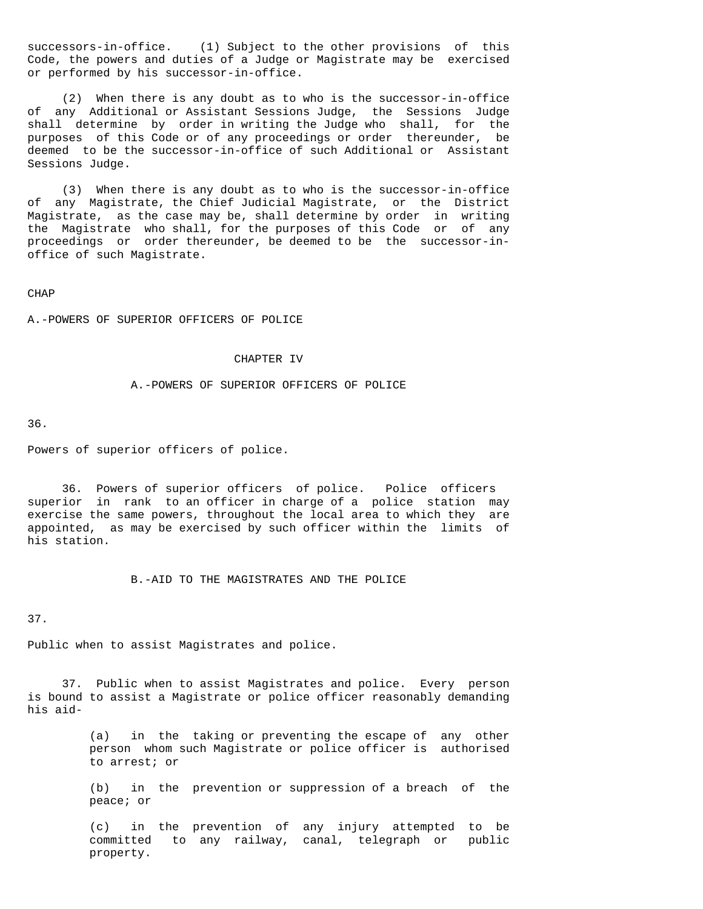successors-in-office. (1) Subject to the other provisions of this Code, the powers and duties of a Judge or Magistrate may be exercised or performed by his successor-in-office.

 (2) When there is any doubt as to who is the successor-in-office of any Additional or Assistant Sessions Judge, the Sessions Judge shall determine by order in writing the Judge who shall, for the purposes of this Code or of any proceedings or order thereunder, be deemed to be the successor-in-office of such Additional or Assistant Sessions Judge.

 (3) When there is any doubt as to who is the successor-in-office of any Magistrate, the Chief Judicial Magistrate, or the District Magistrate, as the case may be, shall determine by order in writing the Magistrate who shall, for the purposes of this Code or of any proceedings or order thereunder, be deemed to be the successor-in office of such Magistrate.

CHAP

A.-POWERS OF SUPERIOR OFFICERS OF POLICE

#### CHAPTER IV

A.-POWERS OF SUPERIOR OFFICERS OF POLICE

36.

Powers of superior officers of police.

 36. Powers of superior officers of police. Police officers superior in rank to an officer in charge of a police station may exercise the same powers, throughout the local area to which they are appointed, as may be exercised by such officer within the limits of his station.

B.-AID TO THE MAGISTRATES AND THE POLICE

37.

Public when to assist Magistrates and police.

 37. Public when to assist Magistrates and police. Every person is bound to assist a Magistrate or police officer reasonably demanding his aid-

> (a) in the taking or preventing the escape of any other person whom such Magistrate or police officer is authorised to arrest; or

> (b) in the prevention or suppression of a breach of the peace; or

> (c) in the prevention of any injury attempted to be committed to any railway, canal, telegraph or public property.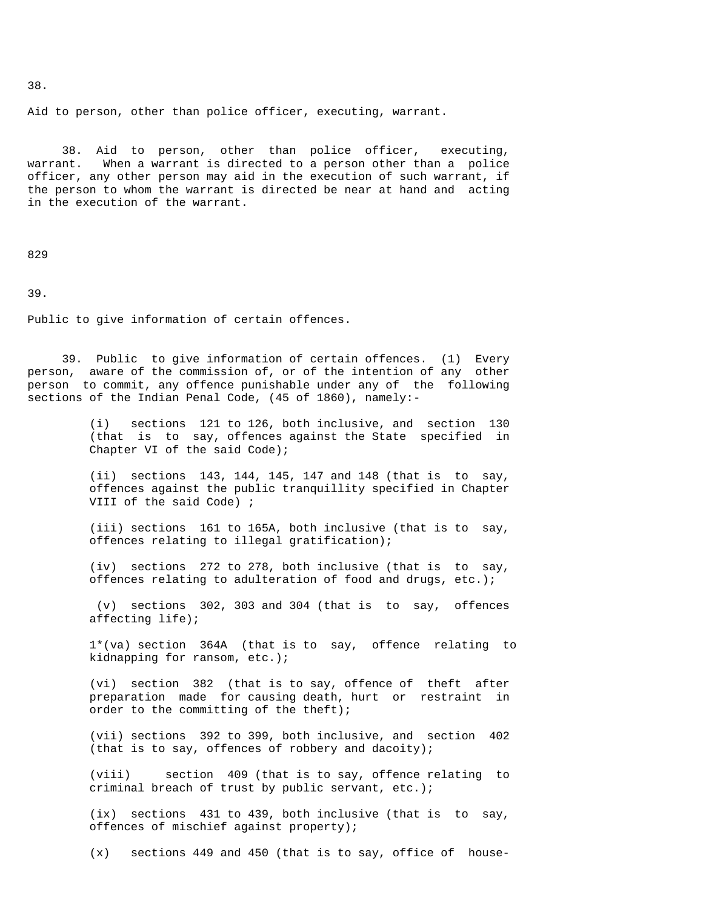Aid to person, other than police officer, executing, warrant.

 38. Aid to person, other than police officer, executing, warrant. When a warrant is directed to a person other than a police officer, any other person may aid in the execution of such warrant, if the person to whom the warrant is directed be near at hand and acting in the execution of the warrant.

829

39.

Public to give information of certain offences.

 39. Public to give information of certain offences. (1) Every person, aware of the commission of, or of the intention of any other person to commit, any offence punishable under any of the following sections of the Indian Penal Code, (45 of 1860), namely:-

> (i) sections 121 to 126, both inclusive, and section 130 (that is to say, offences against the State specified in Chapter VI of the said Code);

> (ii) sections 143, 144, 145, 147 and 148 (that is to say, offences against the public tranquillity specified in Chapter VIII of the said Code) ;

> (iii) sections 161 to 165A, both inclusive (that is to say, offences relating to illegal gratification);

> (iv) sections 272 to 278, both inclusive (that is to say, offences relating to adulteration of food and drugs, etc.);

> (v) sections 302, 303 and 304 (that is to say, offences affecting life);

 1\*(va) section 364A (that is to say, offence relating to kidnapping for ransom, etc.);

 (vi) section 382 (that is to say, offence of theft after preparation made for causing death, hurt or restraint in order to the committing of the theft);

 (vii) sections 392 to 399, both inclusive, and section 402 (that is to say, offences of robbery and dacoity);

 (viii) section 409 (that is to say, offence relating to criminal breach of trust by public servant, etc.);

 (ix) sections 431 to 439, both inclusive (that is to say, offences of mischief against property);

(x) sections 449 and 450 (that is to say, office of house-

38.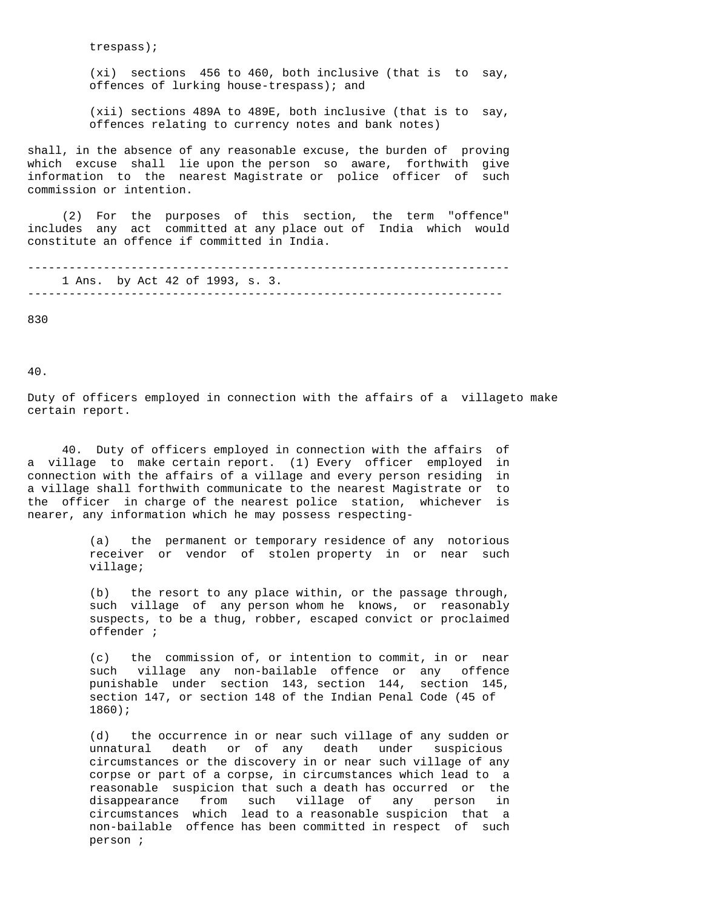trespass);

 (xi) sections 456 to 460, both inclusive (that is to say, offences of lurking house-trespass); and

 (xii) sections 489A to 489E, both inclusive (that is to say, offences relating to currency notes and bank notes)

 shall, in the absence of any reasonable excuse, the burden of proving which excuse shall lie upon the person so aware, forthwith give information to the nearest Magistrate or police officer of such commission or intention.

 (2) For the purposes of this section, the term "offence" includes any act committed at any place out of India which would constitute an offence if committed in India.

 ---------------------------------------------------------------------- 1 Ans. by Act 42 of 1993, s. 3. ---------------------------------------------------------------------

830

40.

 Duty of officers employed in connection with the affairs of a villageto make certain report.

 40. Duty of officers employed in connection with the affairs of a village to make certain report. (1) Every officer employed in connection with the affairs of a village and every person residing in a village shall forthwith communicate to the nearest Magistrate or to the officer in charge of the nearest police station, whichever is nearer, any information which he may possess respecting-

> (a) the permanent or temporary residence of any notorious receiver or vendor of stolen property in or near such village;

> (b) the resort to any place within, or the passage through, such village of any person whom he knows, or reasonably suspects, to be a thug, robber, escaped convict or proclaimed offender ;

> (c) the commission of, or intention to commit, in or near such village any non-bailable offence or any offence punishable under section 143, section 144, section 145, section 147, or section 148 of the Indian Penal Code (45 of 1860);

> (d) the occurrence in or near such village of any sudden or unnatural death or of any death under suspicious circumstances or the discovery in or near such village of any corpse or part of a corpse, in circumstances which lead to a reasonable suspicion that such a death has occurred or the disappearance from such village of any person in circumstances which lead to a reasonable suspicion that a non-bailable offence has been committed in respect of such person ;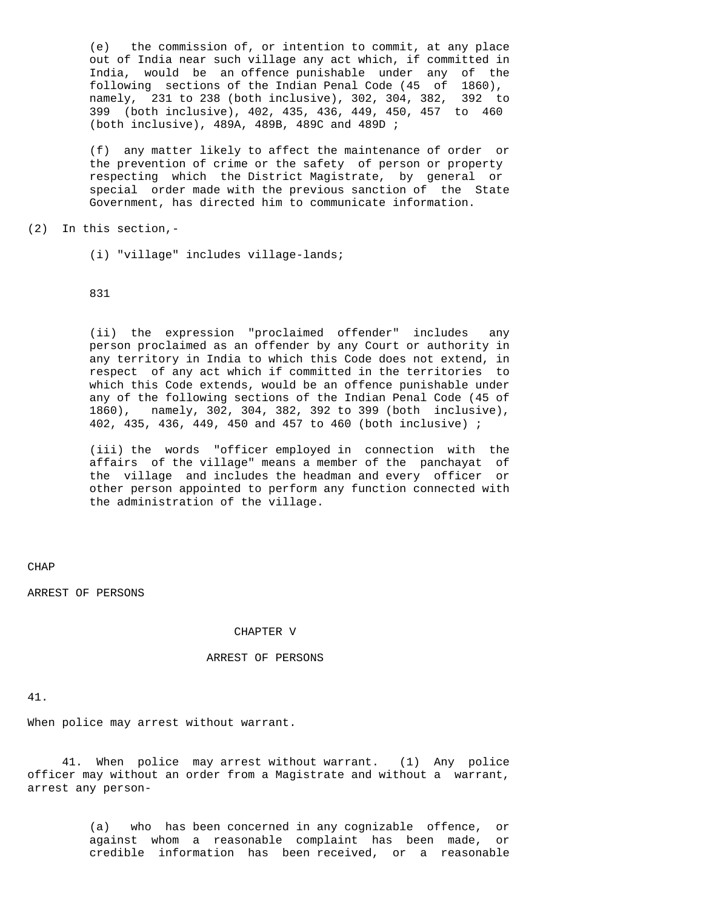(e) the commission of, or intention to commit, at any place out of India near such village any act which, if committed in India, would be an offence punishable under any of the following sections of the Indian Penal Code (45 of 1860), namely, 231 to 238 (both inclusive), 302, 304, 382, 392 to 399 (both inclusive), 402, 435, 436, 449, 450, 457 to 460 (both inclusive), 489A, 489B, 489C and 489D ;

 (f) any matter likely to affect the maintenance of order or the prevention of crime or the safety of person or property respecting which the District Magistrate, by general or special order made with the previous sanction of the State Government, has directed him to communicate information.

(2) In this section,-

(i) "village" includes village-lands;

## 831

 (ii) the expression "proclaimed offender" includes any person proclaimed as an offender by any Court or authority in any territory in India to which this Code does not extend, in respect of any act which if committed in the territories to which this Code extends, would be an offence punishable under any of the following sections of the Indian Penal Code (45 of 1860), namely, 302, 304, 382, 392 to 399 (both inclusive), 402, 435, 436, 449, 450 and 457 to 460 (both inclusive) ;

 (iii) the words "officer employed in connection with the affairs of the village" means a member of the panchayat of the village and includes the headman and every officer or other person appointed to perform any function connected with the administration of the village.

CHAP

ARREST OF PERSONS

#### CHAPTER V

# ARREST OF PERSONS

41.

When police may arrest without warrant.

 41. When police may arrest without warrant. (1) Any police officer may without an order from a Magistrate and without a warrant, arrest any person-

> (a) who has been concerned in any cognizable offence, or against whom a reasonable complaint has been made, or credible information has been received, or a reasonable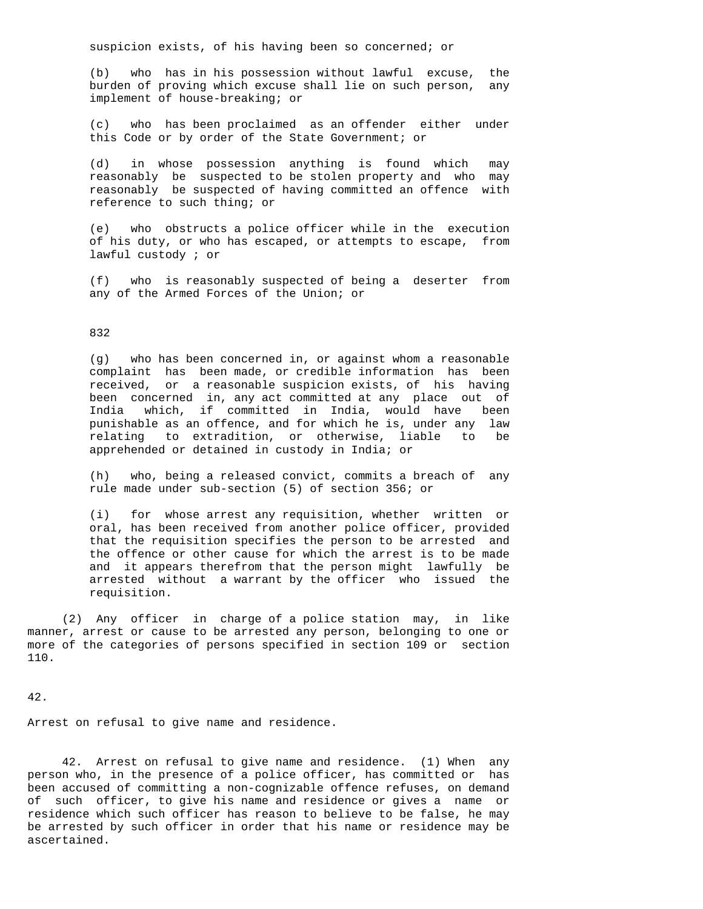suspicion exists, of his having been so concerned; or

 (b) who has in his possession without lawful excuse, the burden of proving which excuse shall lie on such person, any implement of house-breaking; or

 (c) who has been proclaimed as an offender either under this Code or by order of the State Government; or

 (d) in whose possession anything is found which may reasonably be suspected to be stolen property and who may reasonably be suspected of having committed an offence with reference to such thing; or

 (e) who obstructs a police officer while in the execution of his duty, or who has escaped, or attempts to escape, from lawful custody ; or

 (f) who is reasonably suspected of being a deserter from any of the Armed Forces of the Union; or

#### 832

 (g) who has been concerned in, or against whom a reasonable complaint has been made, or credible information has been received, or a reasonable suspicion exists, of his having been concerned in, any act committed at any place out of India which, if committed in India, would have been punishable as an offence, and for which he is, under any law relating to extradition, or otherwise, liable to be apprehended or detained in custody in India; or

 (h) who, being a released convict, commits a breach of any rule made under sub-section (5) of section 356; or

 (i) for whose arrest any requisition, whether written or oral, has been received from another police officer, provided that the requisition specifies the person to be arrested and the offence or other cause for which the arrest is to be made and it appears therefrom that the person might lawfully be arrested without a warrant by the officer who issued the requisition.

 (2) Any officer in charge of a police station may, in like manner, arrest or cause to be arrested any person, belonging to one or more of the categories of persons specified in section 109 or section 110.

#### 42.

Arrest on refusal to give name and residence.

 42. Arrest on refusal to give name and residence. (1) When any person who, in the presence of a police officer, has committed or has been accused of committing a non-cognizable offence refuses, on demand of such officer, to give his name and residence or gives a name or residence which such officer has reason to believe to be false, he may be arrested by such officer in order that his name or residence may be ascertained.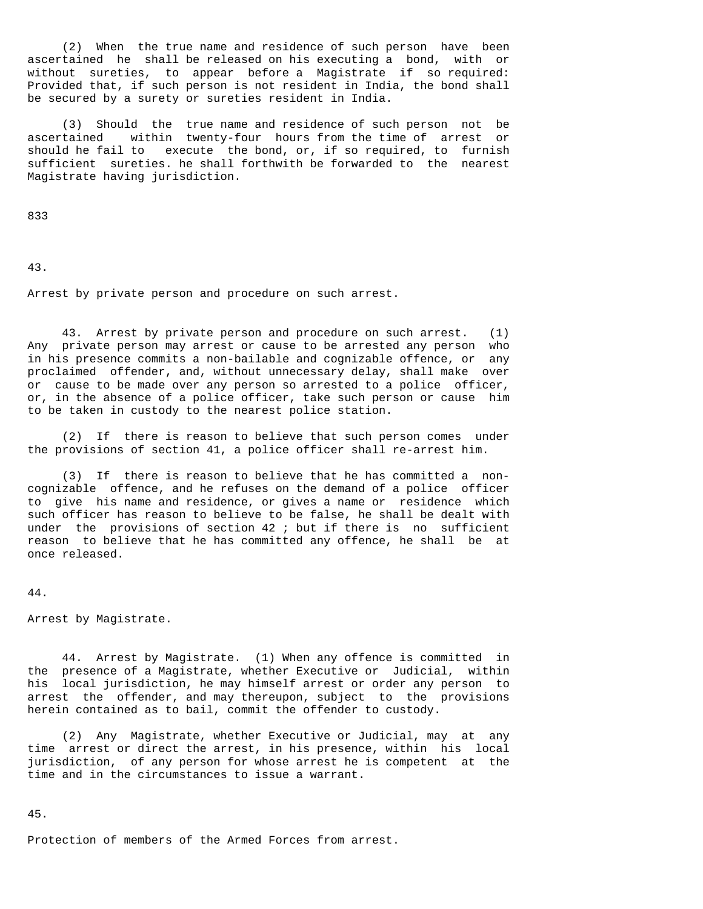(2) When the true name and residence of such person have been ascertained he shall be released on his executing a bond, with or without sureties, to appear before a Magistrate if so required: Provided that, if such person is not resident in India, the bond shall be secured by a surety or sureties resident in India.

 (3) Should the true name and residence of such person not be ascertained within twenty-four hours from the time of arrest or should he fail to execute the bond, or, if so required, to furnish sufficient sureties. he shall forthwith be forwarded to the nearest Magistrate having jurisdiction.

833

43.

Arrest by private person and procedure on such arrest.

 43. Arrest by private person and procedure on such arrest. (1) Any private person may arrest or cause to be arrested any person who in his presence commits a non-bailable and cognizable offence, or any proclaimed offender, and, without unnecessary delay, shall make over or cause to be made over any person so arrested to a police officer, or, in the absence of a police officer, take such person or cause him to be taken in custody to the nearest police station.

 (2) If there is reason to believe that such person comes under the provisions of section 41, a police officer shall re-arrest him.

 (3) If there is reason to believe that he has committed a non cognizable offence, and he refuses on the demand of a police officer to give his name and residence, or gives a name or residence which such officer has reason to believe to be false, he shall be dealt with under the provisions of section 42 ; but if there is no sufficient reason to believe that he has committed any offence, he shall be at once released.

44.

Arrest by Magistrate.

 44. Arrest by Magistrate. (1) When any offence is committed in the presence of a Magistrate, whether Executive or Judicial, within his local jurisdiction, he may himself arrest or order any person to arrest the offender, and may thereupon, subject to the provisions herein contained as to bail, commit the offender to custody.

 (2) Any Magistrate, whether Executive or Judicial, may at any time arrest or direct the arrest, in his presence, within his local jurisdiction, of any person for whose arrest he is competent at the time and in the circumstances to issue a warrant.

45.

Protection of members of the Armed Forces from arrest.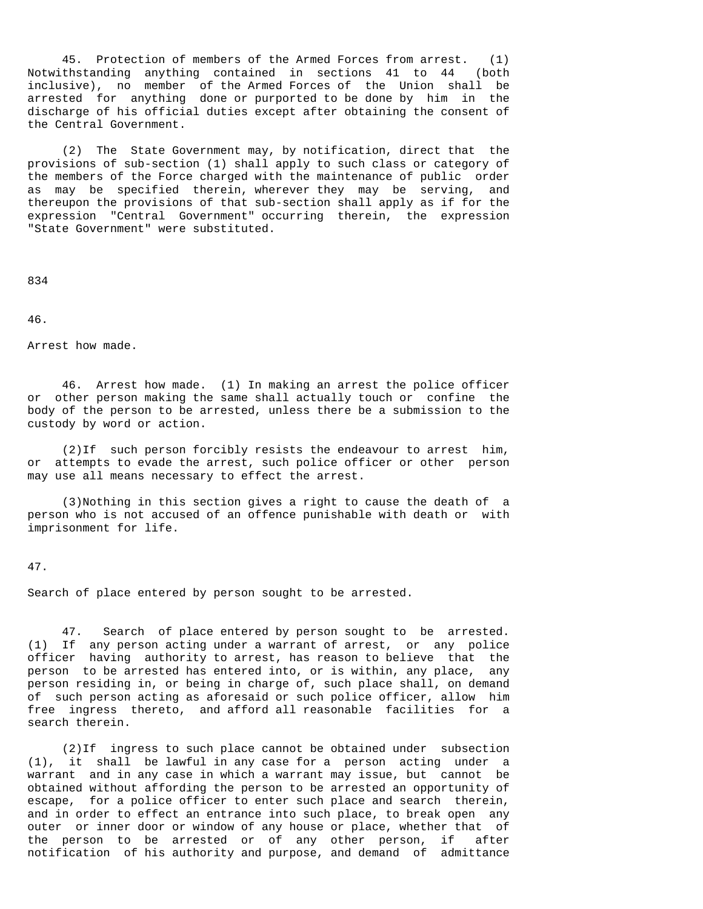45. Protection of members of the Armed Forces from arrest. (1) Notwithstanding anything contained in sections 41 to 44 (both inclusive), no member of the Armed Forces of the Union shall be arrested for anything done or purported to be done by him in the discharge of his official duties except after obtaining the consent of the Central Government.

 (2) The State Government may, by notification, direct that the provisions of sub-section (1) shall apply to such class or category of the members of the Force charged with the maintenance of public order as may be specified therein, wherever they may be serving, and thereupon the provisions of that sub-section shall apply as if for the expression "Central Government" occurring therein, the expression "State Government" were substituted.

834

46.

Arrest how made.

 46. Arrest how made. (1) In making an arrest the police officer or other person making the same shall actually touch or confine the body of the person to be arrested, unless there be a submission to the custody by word or action.

 (2)If such person forcibly resists the endeavour to arrest him, or attempts to evade the arrest, such police officer or other person may use all means necessary to effect the arrest.

 (3)Nothing in this section gives a right to cause the death of a person who is not accused of an offence punishable with death or with imprisonment for life.

47.

Search of place entered by person sought to be arrested.

 47. Search of place entered by person sought to be arrested. (1) If any person acting under a warrant of arrest, or any police officer having authority to arrest, has reason to believe that the person to be arrested has entered into, or is within, any place, any person residing in, or being in charge of, such place shall, on demand of such person acting as aforesaid or such police officer, allow him free ingress thereto, and afford all reasonable facilities for a search therein.

 (2)If ingress to such place cannot be obtained under subsection (1), it shall be lawful in any case for a person acting under a warrant and in any case in which a warrant may issue, but cannot be obtained without affording the person to be arrested an opportunity of escape, for a police officer to enter such place and search therein, and in order to effect an entrance into such place, to break open any outer or inner door or window of any house or place, whether that of the person to be arrested or of any other person, if after notification of his authority and purpose, and demand of admittance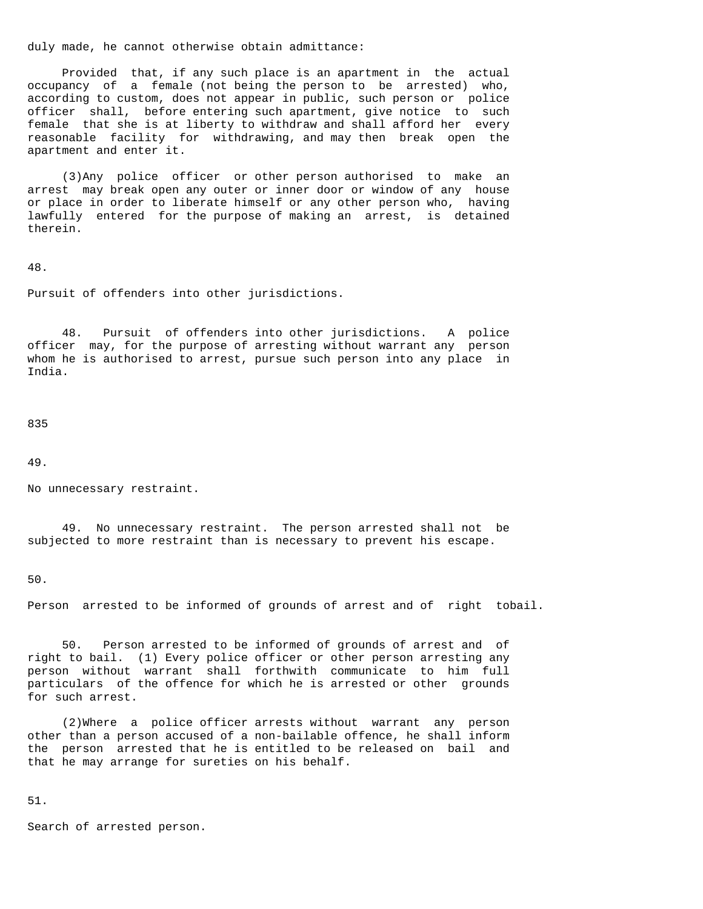duly made, he cannot otherwise obtain admittance:

 Provided that, if any such place is an apartment in the actual occupancy of a female (not being the person to be arrested) who, according to custom, does not appear in public, such person or police officer shall, before entering such apartment, give notice to such female that she is at liberty to withdraw and shall afford her every reasonable facility for withdrawing, and may then break open the apartment and enter it.

 (3)Any police officer or other person authorised to make an arrest may break open any outer or inner door or window of any house or place in order to liberate himself or any other person who, having lawfully entered for the purpose of making an arrest, is detained therein.

48.

Pursuit of offenders into other jurisdictions.

 48. Pursuit of offenders into other jurisdictions. A police officer may, for the purpose of arresting without warrant any person whom he is authorised to arrest, pursue such person into any place in India.

835

49.

No unnecessary restraint.

 49. No unnecessary restraint. The person arrested shall not be subjected to more restraint than is necessary to prevent his escape.

50.

Person arrested to be informed of grounds of arrest and of right tobail.

 50. Person arrested to be informed of grounds of arrest and of right to bail. (1) Every police officer or other person arresting any person without warrant shall forthwith communicate to him full particulars of the offence for which he is arrested or other grounds for such arrest.

 (2)Where a police officer arrests without warrant any person other than a person accused of a non-bailable offence, he shall inform the person arrested that he is entitled to be released on bail and that he may arrange for sureties on his behalf.

51.

Search of arrested person.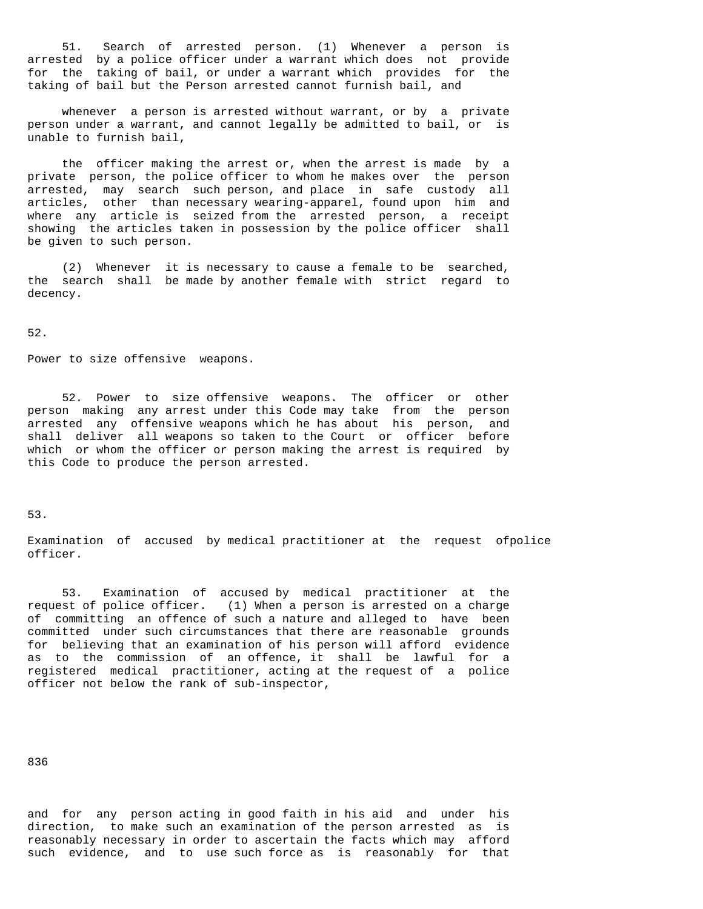51. Search of arrested person. (1) Whenever a person is arrested by a police officer under a warrant which does not provide for the taking of bail, or under a warrant which provides for the taking of bail but the Person arrested cannot furnish bail, and

 whenever a person is arrested without warrant, or by a private person under a warrant, and cannot legally be admitted to bail, or is unable to furnish bail,

 the officer making the arrest or, when the arrest is made by a private person, the police officer to whom he makes over the person arrested, may search such person, and place in safe custody all articles, other than necessary wearing-apparel, found upon him and where any article is seized from the arrested person, a receipt showing the articles taken in possession by the police officer shall be given to such person.

 (2) Whenever it is necessary to cause a female to be searched, the search shall be made by another female with strict regard to decency.

52.

Power to size offensive weapons.

 52. Power to size offensive weapons. The officer or other person making any arrest under this Code may take from the person arrested any offensive weapons which he has about his person, and shall deliver all weapons so taken to the Court or officer before which or whom the officer or person making the arrest is required by this Code to produce the person arrested.

53.

 Examination of accused by medical practitioner at the request ofpolice officer.

 53. Examination of accused by medical practitioner at the request of police officer. (1) When a person is arrested on a charge of committing an offence of such a nature and alleged to have been committed under such circumstances that there are reasonable grounds for believing that an examination of his person will afford evidence as to the commission of an offence, it shall be lawful for a registered medical practitioner, acting at the request of a police officer not below the rank of sub-inspector,

836

 and for any person acting in good faith in his aid and under his direction, to make such an examination of the person arrested as is reasonably necessary in order to ascertain the facts which may afford such evidence, and to use such force as is reasonably for that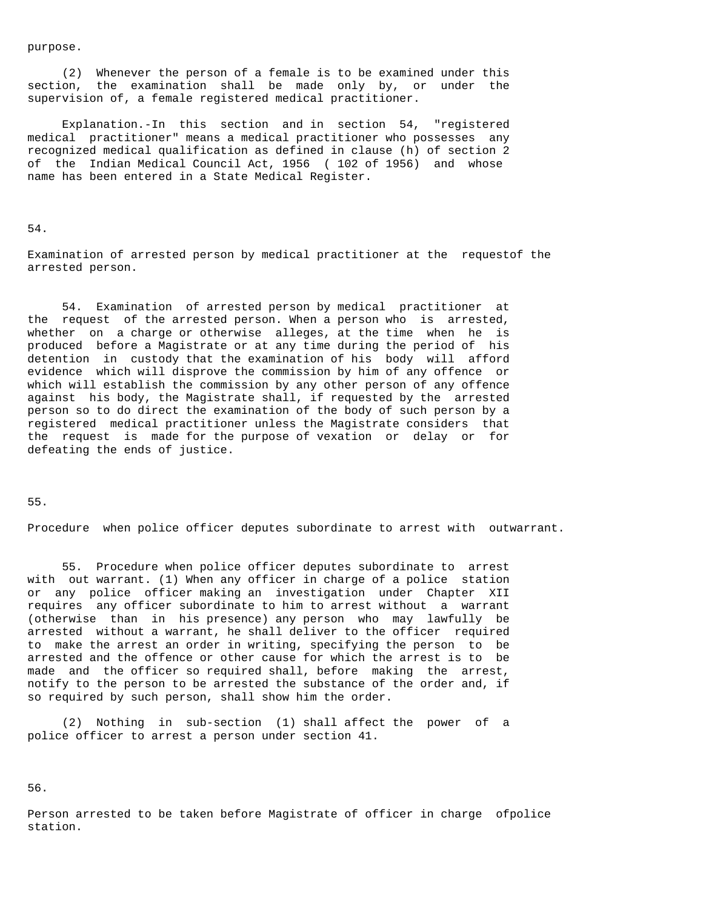purpose.

 (2) Whenever the person of a female is to be examined under this section, the examination shall be made only by, or under the supervision of, a female registered medical practitioner.

 Explanation.-In this section and in section 54, "registered medical practitioner" means a medical practitioner who possesses any recognized medical qualification as defined in clause (h) of section 2 of the Indian Medical Council Act, 1956 ( 102 of 1956) and whose name has been entered in a State Medical Register.

## 54.

 Examination of arrested person by medical practitioner at the requestof the arrested person.

 54. Examination of arrested person by medical practitioner at the request of the arrested person. When a person who is arrested, whether on a charge or otherwise alleges, at the time when he is produced before a Magistrate or at any time during the period of his detention in custody that the examination of his body will afford evidence which will disprove the commission by him of any offence or which will establish the commission by any other person of any offence against his body, the Magistrate shall, if requested by the arrested person so to do direct the examination of the body of such person by a registered medical practitioner unless the Magistrate considers that the request is made for the purpose of vexation or delay or for defeating the ends of justice.

#### 55.

Procedure when police officer deputes subordinate to arrest with outwarrant.

 55. Procedure when police officer deputes subordinate to arrest with out warrant. (1) When any officer in charge of a police station or any police officer making an investigation under Chapter XII requires any officer subordinate to him to arrest without a warrant (otherwise than in his presence) any person who may lawfully be arrested without a warrant, he shall deliver to the officer required to make the arrest an order in writing, specifying the person to be arrested and the offence or other cause for which the arrest is to be made and the officer so required shall, before making the arrest, notify to the person to be arrested the substance of the order and, if so required by such person, shall show him the order.

 (2) Nothing in sub-section (1) shall affect the power of a police officer to arrest a person under section 41.

56.

 Person arrested to be taken before Magistrate of officer in charge ofpolice station.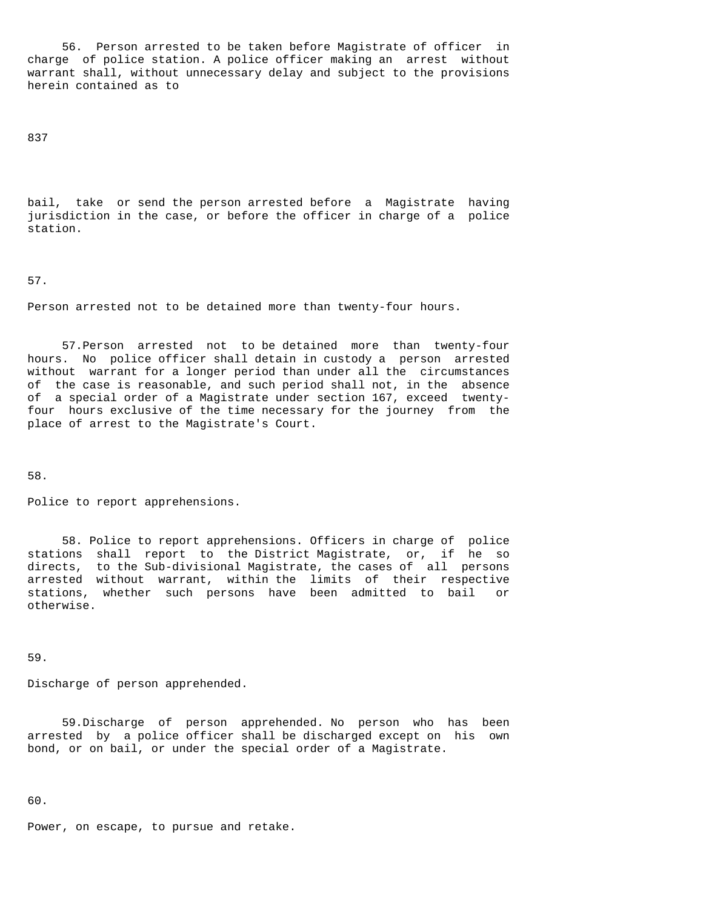56. Person arrested to be taken before Magistrate of officer in charge of police station. A police officer making an arrest without warrant shall, without unnecessary delay and subject to the provisions herein contained as to

837

 bail, take or send the person arrested before a Magistrate having jurisdiction in the case, or before the officer in charge of a police station.

57.

Person arrested not to be detained more than twenty-four hours.

 57.Person arrested not to be detained more than twenty-four hours. No police officer shall detain in custody a person arrested without warrant for a longer period than under all the circumstances of the case is reasonable, and such period shall not, in the absence of a special order of a Magistrate under section 167, exceed twenty four hours exclusive of the time necessary for the journey from the place of arrest to the Magistrate's Court.

58.

Police to report apprehensions.

 58. Police to report apprehensions. Officers in charge of police stations shall report to the District Magistrate, or, if he so directs, to the Sub-divisional Magistrate, the cases of all persons arrested without warrant, within the limits of their respective stations, whether such persons have been admitted to bail or otherwise.

59.

Discharge of person apprehended.

 59.Discharge of person apprehended. No person who has been arrested by a police officer shall be discharged except on his own bond, or on bail, or under the special order of a Magistrate.

60.

Power, on escape, to pursue and retake.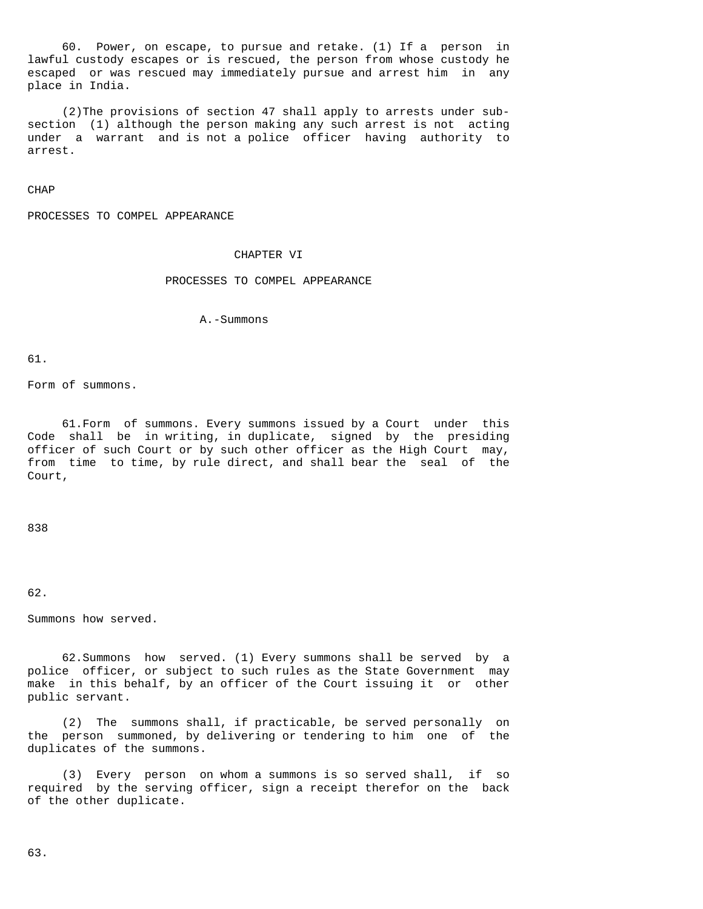60. Power, on escape, to pursue and retake. (1) If a person in lawful custody escapes or is rescued, the person from whose custody he escaped or was rescued may immediately pursue and arrest him in any place in India.

 (2)The provisions of section 47 shall apply to arrests under sub section (1) although the person making any such arrest is not acting under a warrant and is not a police officer having authority to arrest.

CHAP

PROCESSES TO COMPEL APPEARANCE

# CHAPTER VI

#### PROCESSES TO COMPEL APPEARANCE

A.-Summons

61.

Form of summons.

 61.Form of summons. Every summons issued by a Court under this Code shall be in writing, in duplicate, signed by the presiding officer of such Court or by such other officer as the High Court may, from time to time, by rule direct, and shall bear the seal of the Court,

838

# 62.

Summons how served.

 62.Summons how served. (1) Every summons shall be served by a police officer, or subject to such rules as the State Government may make in this behalf, by an officer of the Court issuing it or other public servant.

 (2) The summons shall, if practicable, be served personally on the person summoned, by delivering or tendering to him one of the duplicates of the summons.

 (3) Every person on whom a summons is so served shall, if so required by the serving officer, sign a receipt therefor on the back of the other duplicate.

63.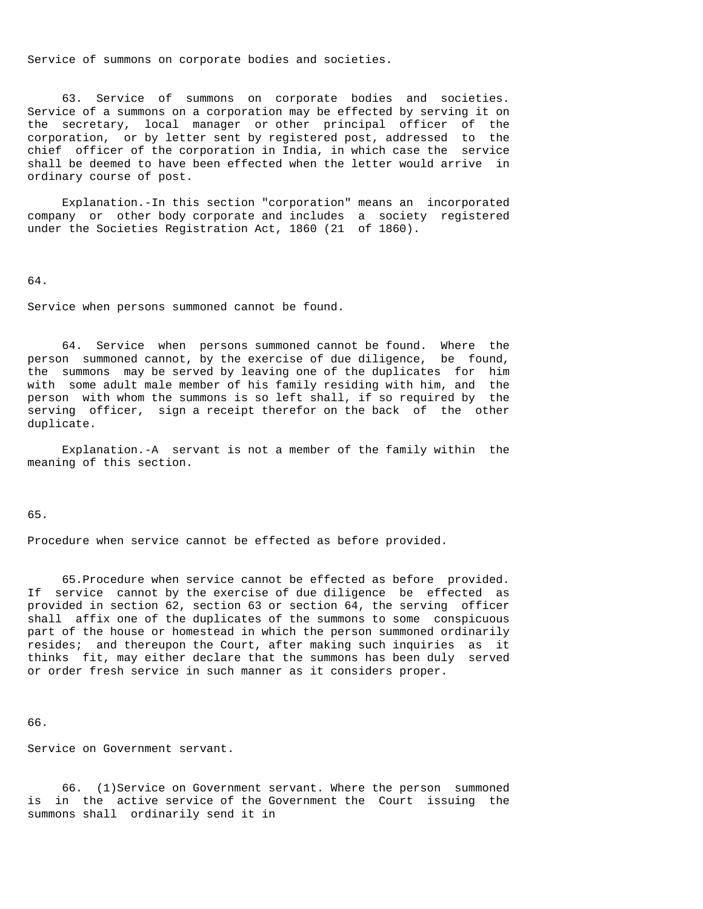Service of summons on corporate bodies and societies.

 63. Service of summons on corporate bodies and societies. Service of a summons on a corporation may be effected by serving it on the secretary, local manager or other principal officer of the corporation, or by letter sent by registered post, addressed to the chief officer of the corporation in India, in which case the service shall be deemed to have been effected when the letter would arrive in ordinary course of post.

 Explanation.-In this section "corporation" means an incorporated company or other body corporate and includes a society registered under the Societies Registration Act, 1860 (21 of 1860).

64.

Service when persons summoned cannot be found.

 64. Service when persons summoned cannot be found. Where the person summoned cannot, by the exercise of due diligence, be found, the summons may be served by leaving one of the duplicates for him with some adult male member of his family residing with him, and the person with whom the summons is so left shall, if so required by the serving officer, sign a receipt therefor on the back of the other duplicate.

 Explanation.-A servant is not a member of the family within the meaning of this section.

65.

Procedure when service cannot be effected as before provided.

 65.Procedure when service cannot be effected as before provided. If service cannot by the exercise of due diligence be effected as provided in section 62, section 63 or section 64, the serving officer shall affix one of the duplicates of the summons to some conspicuous part of the house or homestead in which the person summoned ordinarily resides; and thereupon the Court, after making such inquiries as it thinks fit, may either declare that the summons has been duly served or order fresh service in such manner as it considers proper.

66.

Service on Government servant.

 66. (1)Service on Government servant. Where the person summoned is in the active service of the Government the Court issuing the summons shall ordinarily send it in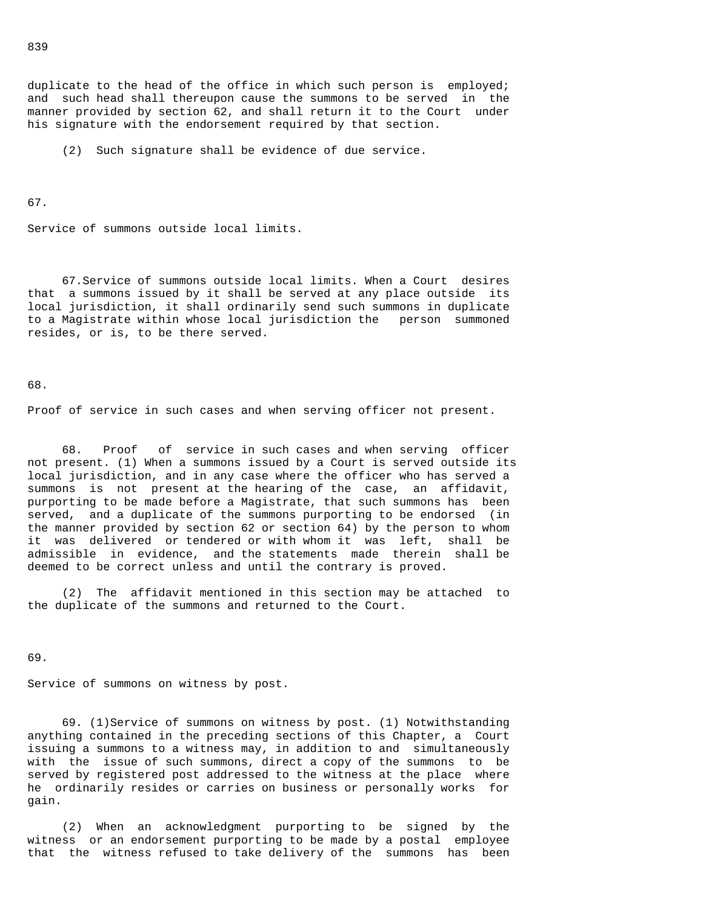duplicate to the head of the office in which such person is employed; and such head shall thereupon cause the summons to be served in the manner provided by section 62, and shall return it to the Court under his signature with the endorsement required by that section.

(2) Such signature shall be evidence of due service.

67.

Service of summons outside local limits.

 67.Service of summons outside local limits. When a Court desires that a summons issued by it shall be served at any place outside its local jurisdiction, it shall ordinarily send such summons in duplicate to a Magistrate within whose local jurisdiction the person summoned resides, or is, to be there served.

68.

Proof of service in such cases and when serving officer not present.

 68. Proof of service in such cases and when serving officer not present. (1) When a summons issued by a Court is served outside its local jurisdiction, and in any case where the officer who has served a summons is not present at the hearing of the case, an affidavit, purporting to be made before a Magistrate, that such summons has been served, and a duplicate of the summons purporting to be endorsed (in the manner provided by section 62 or section 64) by the person to whom it was delivered or tendered or with whom it was left, shall be admissible in evidence, and the statements made therein shall be deemed to be correct unless and until the contrary is proved.

 (2) The affidavit mentioned in this section may be attached to the duplicate of the summons and returned to the Court.

69.

Service of summons on witness by post.

 69. (1)Service of summons on witness by post. (1) Notwithstanding anything contained in the preceding sections of this Chapter, a Court issuing a summons to a witness may, in addition to and simultaneously with the issue of such summons, direct a copy of the summons to be served by registered post addressed to the witness at the place where he ordinarily resides or carries on business or personally works for gain.

 (2) When an acknowledgment purporting to be signed by the witness or an endorsement purporting to be made by a postal employee that the witness refused to take delivery of the summons has been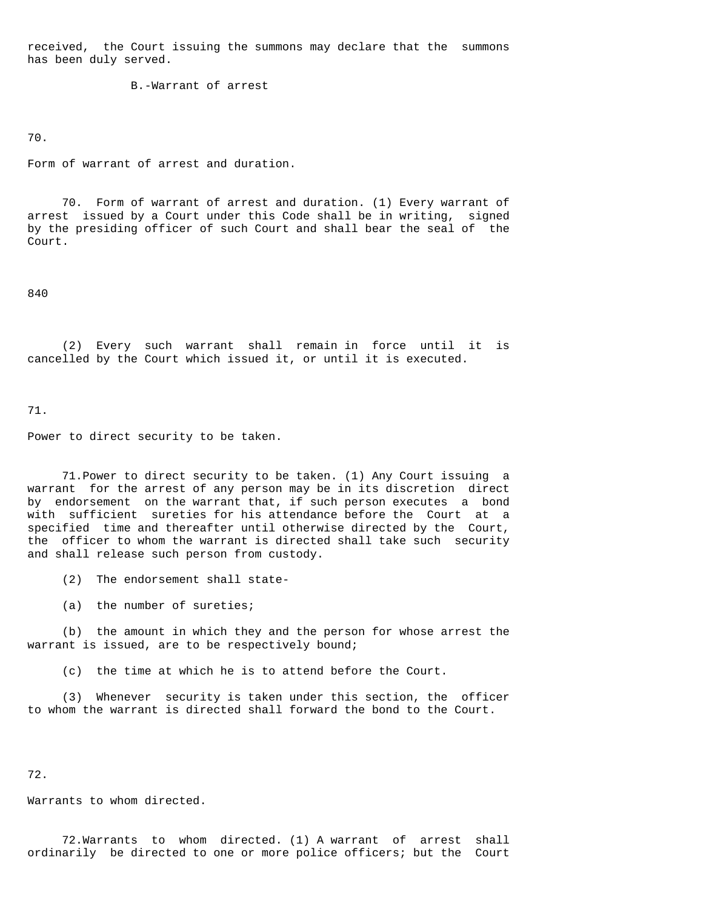received, the Court issuing the summons may declare that the summons has been duly served.

B.-Warrant of arrest

70.

Form of warrant of arrest and duration.

 70. Form of warrant of arrest and duration. (1) Every warrant of arrest issued by a Court under this Code shall be in writing, signed by the presiding officer of such Court and shall bear the seal of the Court.

840

 (2) Every such warrant shall remain in force until it is cancelled by the Court which issued it, or until it is executed.

71.

Power to direct security to be taken.

 71.Power to direct security to be taken. (1) Any Court issuing a warrant for the arrest of any person may be in its discretion direct by endorsement on the warrant that, if such person executes a bond with sufficient sureties for his attendance before the Court at a specified time and thereafter until otherwise directed by the Court, the officer to whom the warrant is directed shall take such security and shall release such person from custody.

- (2) The endorsement shall state-
- (a) the number of sureties;

 (b) the amount in which they and the person for whose arrest the warrant is issued, are to be respectively bound;

(c) the time at which he is to attend before the Court.

 (3) Whenever security is taken under this section, the officer to whom the warrant is directed shall forward the bond to the Court.

72.

Warrants to whom directed.

 72.Warrants to whom directed. (1) A warrant of arrest shall ordinarily be directed to one or more police officers; but the Court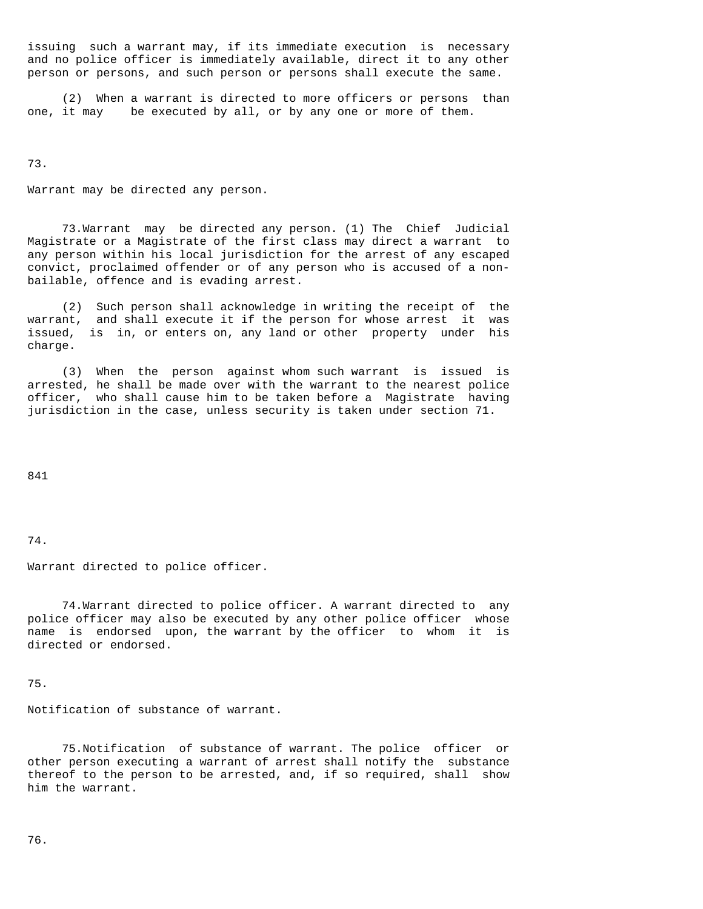issuing such a warrant may, if its immediate execution is necessary and no police officer is immediately available, direct it to any other person or persons, and such person or persons shall execute the same.

 (2) When a warrant is directed to more officers or persons than one, it may be executed by all, or by any one or more of them.

73.

Warrant may be directed any person.

 73.Warrant may be directed any person. (1) The Chief Judicial Magistrate or a Magistrate of the first class may direct a warrant to any person within his local jurisdiction for the arrest of any escaped convict, proclaimed offender or of any person who is accused of a non bailable, offence and is evading arrest.

 (2) Such person shall acknowledge in writing the receipt of the warrant, and shall execute it if the person for whose arrest it was issued, is in, or enters on, any land or other property under his charge.

 (3) When the person against whom such warrant is issued is arrested, he shall be made over with the warrant to the nearest police officer, who shall cause him to be taken before a Magistrate having jurisdiction in the case, unless security is taken under section 71.

841

74.

Warrant directed to police officer.

 74.Warrant directed to police officer. A warrant directed to any police officer may also be executed by any other police officer whose name is endorsed upon, the warrant by the officer to whom it is directed or endorsed.

75.

Notification of substance of warrant.

 75.Notification of substance of warrant. The police officer or other person executing a warrant of arrest shall notify the substance thereof to the person to be arrested, and, if so required, shall show him the warrant.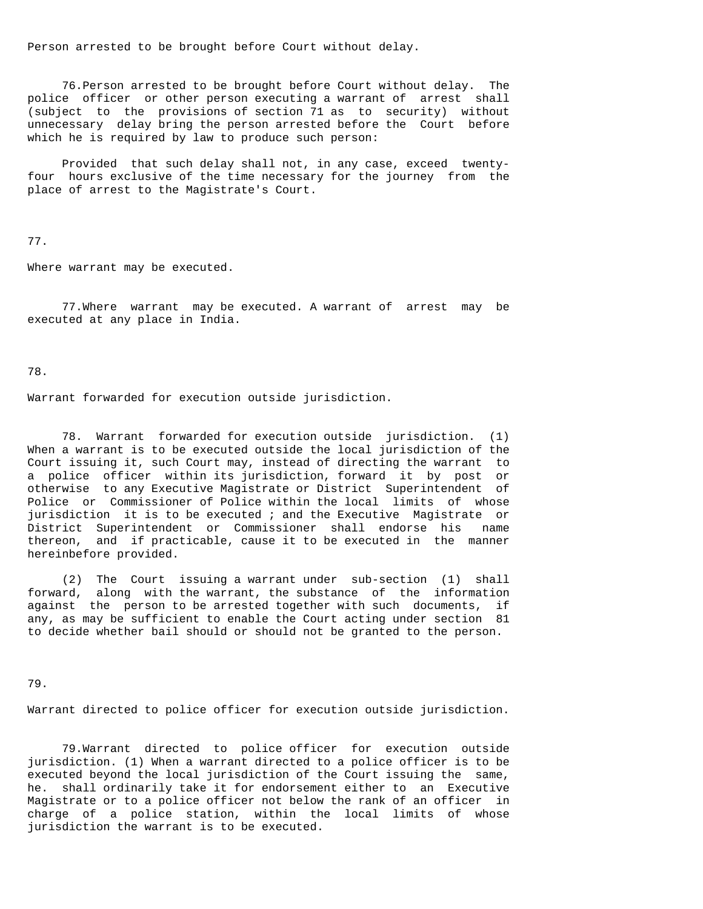Person arrested to be brought before Court without delay.

 76.Person arrested to be brought before Court without delay. The police officer or other person executing a warrant of arrest shall (subject to the provisions of section 71 as to security) without unnecessary delay bring the person arrested before the Court before which he is required by law to produce such person:

 Provided that such delay shall not, in any case, exceed twenty four hours exclusive of the time necessary for the journey from the place of arrest to the Magistrate's Court.

77.

Where warrant may be executed.

 77.Where warrant may be executed. A warrant of arrest may be executed at any place in India.

78.

Warrant forwarded for execution outside jurisdiction.

 78. Warrant forwarded for execution outside jurisdiction. (1) When a warrant is to be executed outside the local jurisdiction of the Court issuing it, such Court may, instead of directing the warrant to a police officer within its jurisdiction, forward it by post or otherwise to any Executive Magistrate or District Superintendent of Police or Commissioner of Police within the local limits of whose jurisdiction it is to be executed ; and the Executive Magistrate or District Superintendent or Commissioner shall endorse his name thereon, and if practicable, cause it to be executed in the manner hereinbefore provided.

 (2) The Court issuing a warrant under sub-section (1) shall forward, along with the warrant, the substance of the information against the person to be arrested together with such documents, if any, as may be sufficient to enable the Court acting under section 81 to decide whether bail should or should not be granted to the person.

79.

Warrant directed to police officer for execution outside jurisdiction.

 79.Warrant directed to police officer for execution outside jurisdiction. (1) When a warrant directed to a police officer is to be executed beyond the local jurisdiction of the Court issuing the same, he. shall ordinarily take it for endorsement either to an Executive Magistrate or to a police officer not below the rank of an officer in charge of a police station, within the local limits of whose jurisdiction the warrant is to be executed.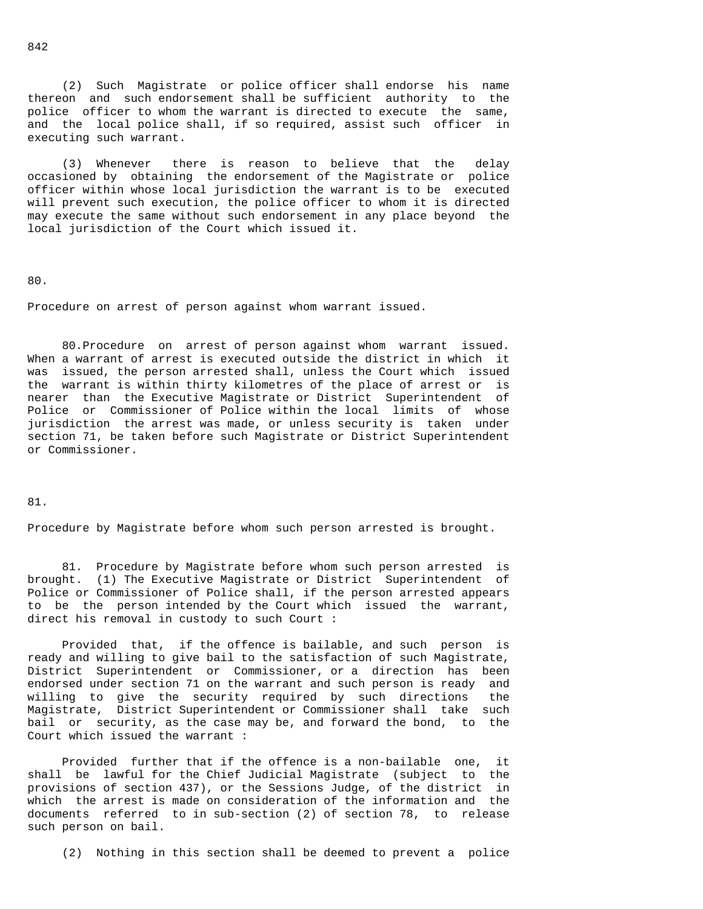(2) Such Magistrate or police officer shall endorse his name thereon and such endorsement shall be sufficient authority to the police officer to whom the warrant is directed to execute the same, and the local police shall, if so required, assist such officer in executing such warrant.

 (3) Whenever there is reason to believe that the delay occasioned by obtaining the endorsement of the Magistrate or police officer within whose local jurisdiction the warrant is to be executed will prevent such execution, the police officer to whom it is directed may execute the same without such endorsement in any place beyond the local jurisdiction of the Court which issued it.

80.

Procedure on arrest of person against whom warrant issued.

 80.Procedure on arrest of person against whom warrant issued. When a warrant of arrest is executed outside the district in which it was issued, the person arrested shall, unless the Court which issued the warrant is within thirty kilometres of the place of arrest or is nearer than the Executive Magistrate or District Superintendent of Police or Commissioner of Police within the local limits of whose jurisdiction the arrest was made, or unless security is taken under section 71, be taken before such Magistrate or District Superintendent or Commissioner.

#### 81.

Procedure by Magistrate before whom such person arrested is brought.

 81. Procedure by Magistrate before whom such person arrested is brought. (1) The Executive Magistrate or District Superintendent of Police or Commissioner of Police shall, if the person arrested appears to be the person intended by the Court which issued the warrant, direct his removal in custody to such Court :

 Provided that, if the offence is bailable, and such person is ready and willing to give bail to the satisfaction of such Magistrate, District Superintendent or Commissioner, or a direction has been endorsed under section 71 on the warrant and such person is ready and willing to give the security required by such directions the Magistrate, District Superintendent or Commissioner shall take such bail or security, as the case may be, and forward the bond, to the Court which issued the warrant :

 Provided further that if the offence is a non-bailable one, it shall be lawful for the Chief Judicial Magistrate (subject to the provisions of section 437), or the Sessions Judge, of the district in which the arrest is made on consideration of the information and the documents referred to in sub-section (2) of section 78, to release such person on bail.

(2) Nothing in this section shall be deemed to prevent a police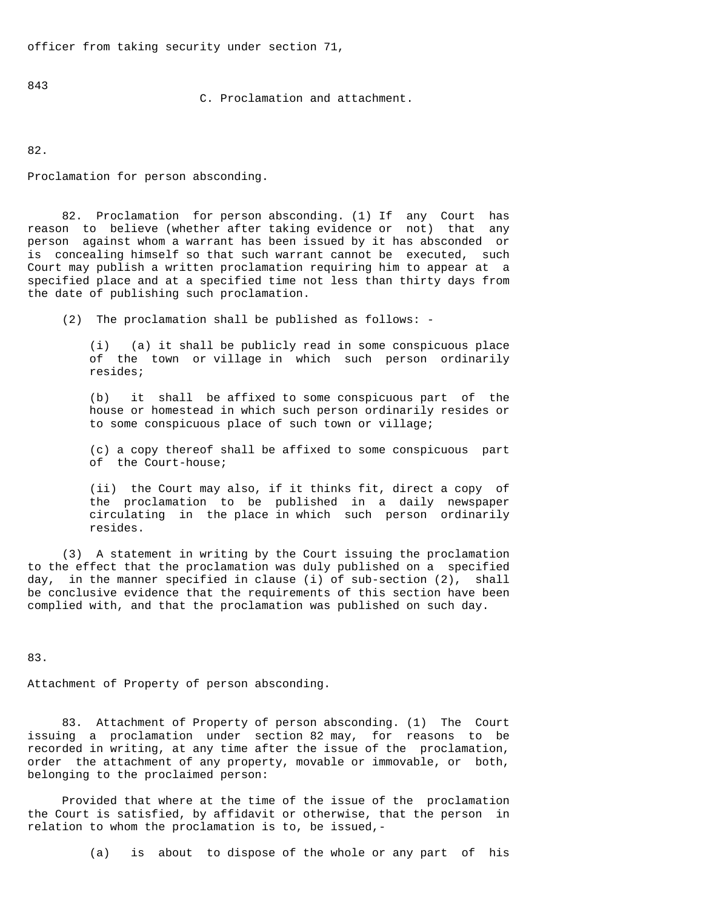officer from taking security under section 71,

843

C. Proclamation and attachment.

82.

Proclamation for person absconding.

 82. Proclamation for person absconding. (1) If any Court has reason to believe (whether after taking evidence or not) that any person against whom a warrant has been issued by it has absconded or is concealing himself so that such warrant cannot be executed, such Court may publish a written proclamation requiring him to appear at a specified place and at a specified time not less than thirty days from the date of publishing such proclamation.

(2) The proclamation shall be published as follows: -

 (i) (a) it shall be publicly read in some conspicuous place of the town or village in which such person ordinarily resides;

 (b) it shall be affixed to some conspicuous part of the house or homestead in which such person ordinarily resides or to some conspicuous place of such town or village;

 (c) a copy thereof shall be affixed to some conspicuous part of the Court-house;

 (ii) the Court may also, if it thinks fit, direct a copy of the proclamation to be published in a daily newspaper circulating in the place in which such person ordinarily resides.

 (3) A statement in writing by the Court issuing the proclamation to the effect that the proclamation was duly published on a specified day, in the manner specified in clause (i) of sub-section (2), shall be conclusive evidence that the requirements of this section have been complied with, and that the proclamation was published on such day.

83.

Attachment of Property of person absconding.

 83. Attachment of Property of person absconding. (1) The Court issuing a proclamation under section 82 may, for reasons to be recorded in writing, at any time after the issue of the proclamation, order the attachment of any property, movable or immovable, or both, belonging to the proclaimed person:

 Provided that where at the time of the issue of the proclamation the Court is satisfied, by affidavit or otherwise, that the person in relation to whom the proclamation is to, be issued,-

(a) is about to dispose of the whole or any part of his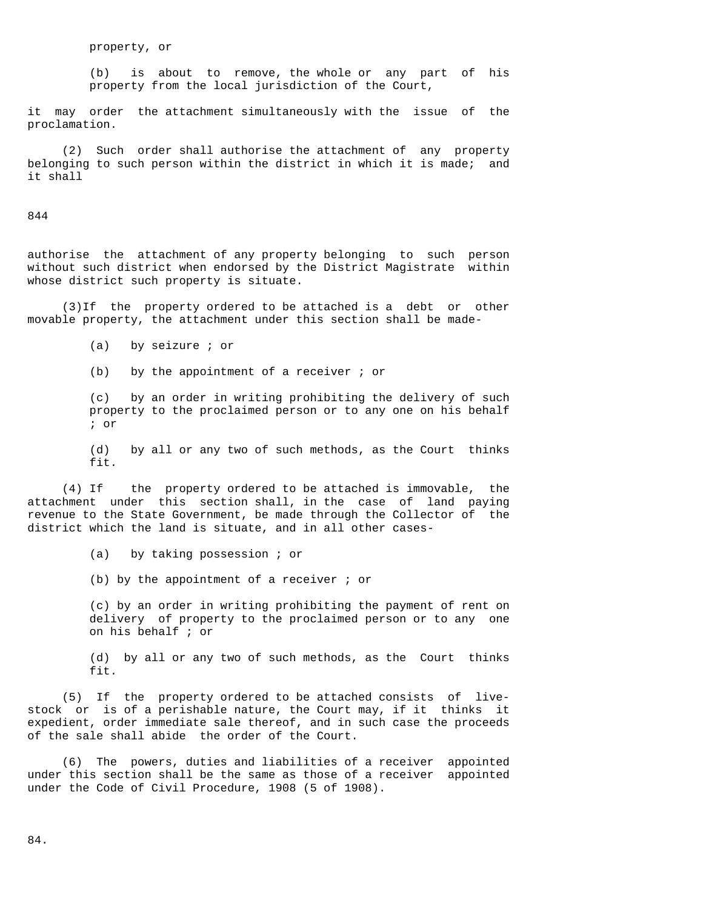property, or

 (b) is about to remove, the whole or any part of his property from the local jurisdiction of the Court,

 it may order the attachment simultaneously with the issue of the proclamation.

 (2) Such order shall authorise the attachment of any property belonging to such person within the district in which it is made; and it shall

844

 authorise the attachment of any property belonging to such person without such district when endorsed by the District Magistrate within whose district such property is situate.

 (3)If the property ordered to be attached is a debt or other movable property, the attachment under this section shall be made-

- (a) by seizure ; or
- (b) by the appointment of a receiver ; or

 (c) by an order in writing prohibiting the delivery of such property to the proclaimed person or to any one on his behalf ; or

 (d) by all or any two of such methods, as the Court thinks fit.

 (4) If the property ordered to be attached is immovable, the attachment under this section shall, in the case of land paying revenue to the State Government, be made through the Collector of the district which the land is situate, and in all other cases-

- (a) by taking possession ; or
- (b) by the appointment of a receiver ; or

 (c) by an order in writing prohibiting the payment of rent on delivery of property to the proclaimed person or to any one on his behalf ; or

 (d) by all or any two of such methods, as the Court thinks fit.

 (5) If the property ordered to be attached consists of live stock or is of a perishable nature, the Court may, if it thinks it expedient, order immediate sale thereof, and in such case the proceeds of the sale shall abide the order of the Court.

 (6) The powers, duties and liabilities of a receiver appointed under this section shall be the same as those of a receiver appointed under the Code of Civil Procedure, 1908 (5 of 1908).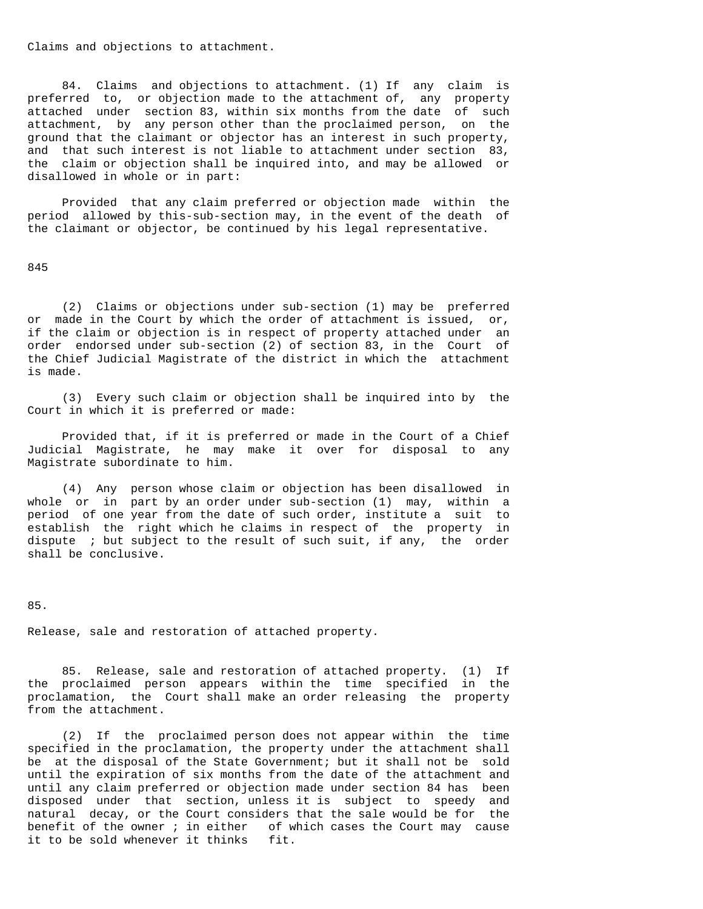Claims and objections to attachment.

 84. Claims and objections to attachment. (1) If any claim is preferred to, or objection made to the attachment of, any property attached under section 83, within six months from the date of such attachment, by any person other than the proclaimed person, on the ground that the claimant or objector has an interest in such property, and that such interest is not liable to attachment under section 83, the claim or objection shall be inquired into, and may be allowed or disallowed in whole or in part:

 Provided that any claim preferred or objection made within the period allowed by this-sub-section may, in the event of the death of the claimant or objector, be continued by his legal representative.

### 845

 (2) Claims or objections under sub-section (1) may be preferred or made in the Court by which the order of attachment is issued, or, if the claim or objection is in respect of property attached under an order endorsed under sub-section (2) of section 83, in the Court of the Chief Judicial Magistrate of the district in which the attachment is made.

 (3) Every such claim or objection shall be inquired into by the Court in which it is preferred or made:

 Provided that, if it is preferred or made in the Court of a Chief Judicial Magistrate, he may make it over for disposal to any Magistrate subordinate to him.

 (4) Any person whose claim or objection has been disallowed in whole or in part by an order under sub-section (1) may, within a period of one year from the date of such order, institute a suit to establish the right which he claims in respect of the property in dispute ; but subject to the result of such suit, if any, the order shall be conclusive.

85.

Release, sale and restoration of attached property.

 85. Release, sale and restoration of attached property. (1) If the proclaimed person appears within the time specified in the proclamation, the Court shall make an order releasing the property from the attachment.

 (2) If the proclaimed person does not appear within the time specified in the proclamation, the property under the attachment shall be at the disposal of the State Government; but it shall not be sold until the expiration of six months from the date of the attachment and until any claim preferred or objection made under section 84 has been disposed under that section, unless it is subject to speedy and natural decay, or the Court considers that the sale would be for the benefit of the owner ; in either of which cases the Court may cause it to be sold whenever it thinks fit.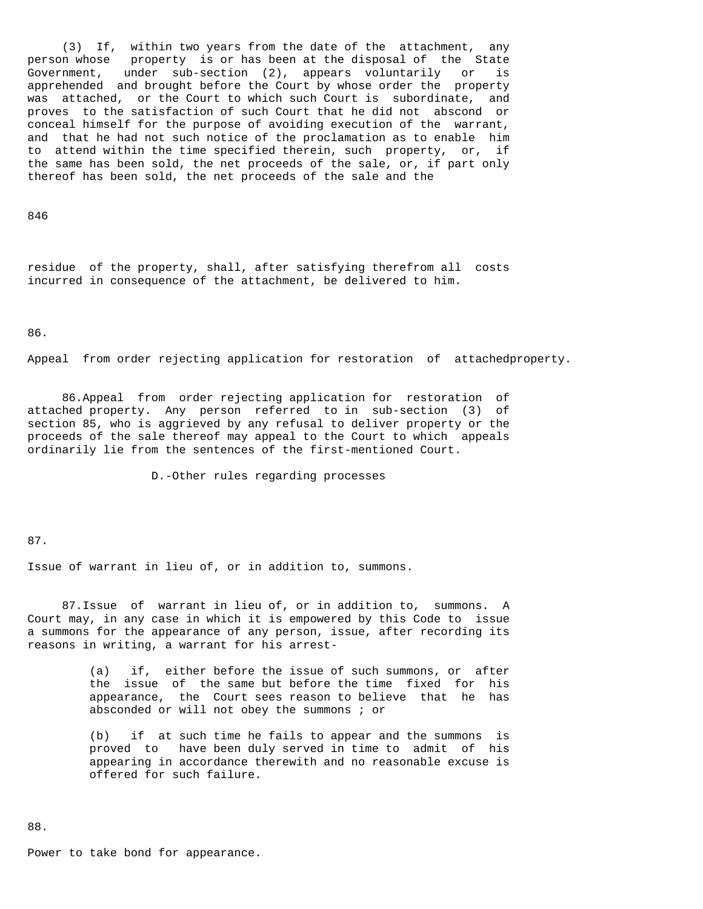(3) If, within two years from the date of the attachment, any person whose property is or has been at the disposal of the State Government, under sub-section (2), appears voluntarily or is apprehended and brought before the Court by whose order the property was attached, or the Court to which such Court is subordinate, and proves to the satisfaction of such Court that he did not abscond or conceal himself for the purpose of avoiding execution of the warrant, and that he had not such notice of the proclamation as to enable him to attend within the time specified therein, such property, or, if the same has been sold, the net proceeds of the sale, or, if part only thereof has been sold, the net proceeds of the sale and the

846

 residue of the property, shall, after satisfying therefrom all costs incurred in consequence of the attachment, be delivered to him.

86.

Appeal from order rejecting application for restoration of attachedproperty.

 86.Appeal from order rejecting application for restoration of attached property. Any person referred to in sub-section (3) of section 85, who is aggrieved by any refusal to deliver property or the proceeds of the sale thereof may appeal to the Court to which appeals ordinarily lie from the sentences of the first-mentioned Court.

D.-Other rules regarding processes

87.

Issue of warrant in lieu of, or in addition to, summons.

 87.Issue of warrant in lieu of, or in addition to, summons. A Court may, in any case in which it is empowered by this Code to issue a summons for the appearance of any person, issue, after recording its reasons in writing, a warrant for his arrest-

> (a) if, either before the issue of such summons, or after the issue of the same but before the time fixed for his appearance, the Court sees reason to believe that he has absconded or will not obey the summons ; or

> (b) if at such time he fails to appear and the summons is proved to have been duly served in time to admit of his appearing in accordance therewith and no reasonable excuse is offered for such failure.

88.

Power to take bond for appearance.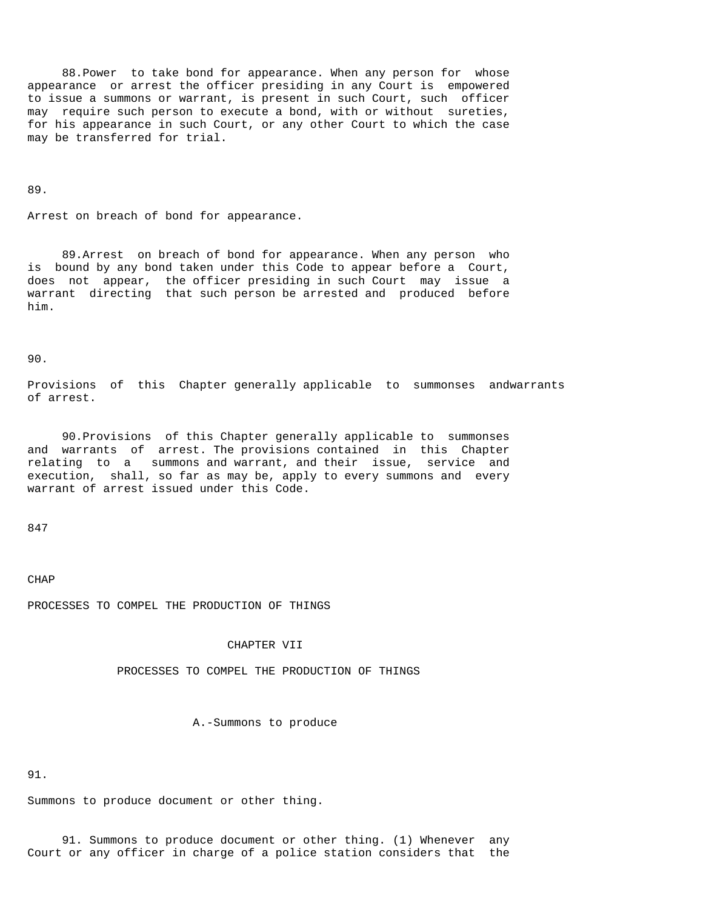88.Power to take bond for appearance. When any person for whose appearance or arrest the officer presiding in any Court is empowered to issue a summons or warrant, is present in such Court, such officer may require such person to execute a bond, with or without sureties, for his appearance in such Court, or any other Court to which the case may be transferred for trial.

89.

Arrest on breach of bond for appearance.

 89.Arrest on breach of bond for appearance. When any person who is bound by any bond taken under this Code to appear before a Court, does not appear, the officer presiding in such Court may issue a warrant directing that such person be arrested and produced before him.

90.

 Provisions of this Chapter generally applicable to summonses andwarrants of arrest.

 90.Provisions of this Chapter generally applicable to summonses and warrants of arrest. The provisions contained in this Chapter relating to a summons and warrant, and their issue, service and execution, shall, so far as may be, apply to every summons and every warrant of arrest issued under this Code.

847

CHAP

PROCESSES TO COMPEL THE PRODUCTION OF THINGS

CHAPTER VII

PROCESSES TO COMPEL THE PRODUCTION OF THINGS

A.-Summons to produce

91.

Summons to produce document or other thing.

 91. Summons to produce document or other thing. (1) Whenever any Court or any officer in charge of a police station considers that the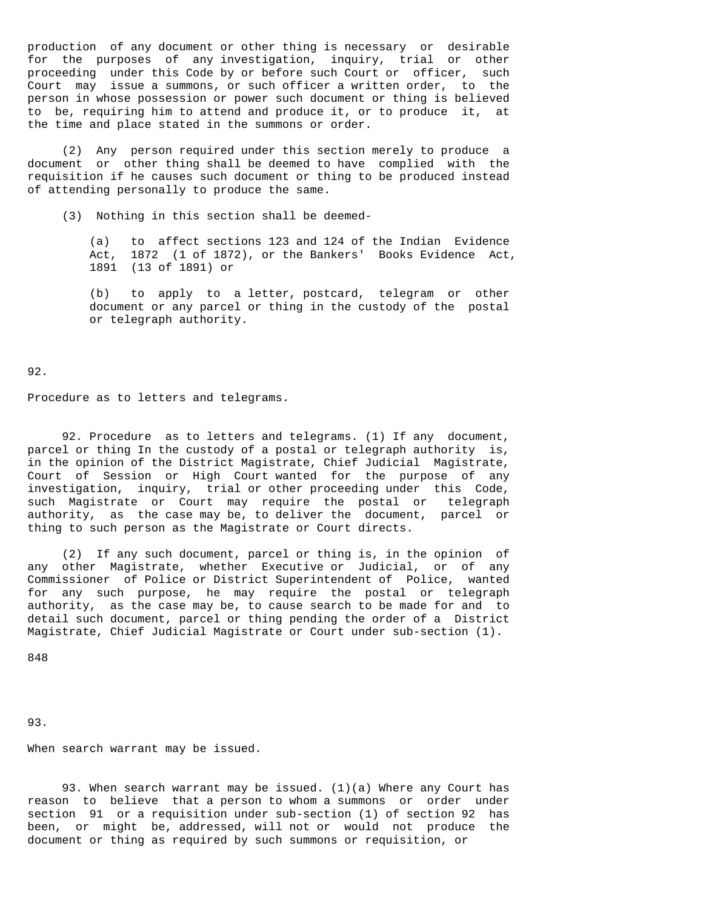production of any document or other thing is necessary or desirable for the purposes of any investigation, inquiry, trial or other proceeding under this Code by or before such Court or officer, such Court may issue a summons, or such officer a written order, to the person in whose possession or power such document or thing is believed to be, requiring him to attend and produce it, or to produce it, at the time and place stated in the summons or order.

 (2) Any person required under this section merely to produce a document or other thing shall be deemed to have complied with the requisition if he causes such document or thing to be produced instead of attending personally to produce the same.

(3) Nothing in this section shall be deemed-

 (a) to affect sections 123 and 124 of the Indian Evidence Act, 1872 (1 of 1872), or the Bankers' Books Evidence Act, 1891 (13 of 1891) or

 (b) to apply to a letter, postcard, telegram or other document or any parcel or thing in the custody of the postal or telegraph authority.

92.

Procedure as to letters and telegrams.

 92. Procedure as to letters and telegrams. (1) If any document, parcel or thing In the custody of a postal or telegraph authority is, in the opinion of the District Magistrate, Chief Judicial Magistrate, Court of Session or High Court wanted for the purpose of any investigation, inquiry, trial or other proceeding under this Code, such Magistrate or Court may require the postal or telegraph authority, as the case may be, to deliver the document, parcel or thing to such person as the Magistrate or Court directs.

 (2) If any such document, parcel or thing is, in the opinion of any other Magistrate, whether Executive or Judicial, or of any Commissioner of Police or District Superintendent of Police, wanted for any such purpose, he may require the postal or telegraph authority, as the case may be, to cause search to be made for and to detail such document, parcel or thing pending the order of a District Magistrate, Chief Judicial Magistrate or Court under sub-section (1).

848

93.

When search warrant may be issued.

 93. When search warrant may be issued. (1)(a) Where any Court has reason to believe that a person to whom a summons or order under section 91 or a requisition under sub-section (1) of section 92 has been, or might be, addressed, will not or would not produce the document or thing as required by such summons or requisition, or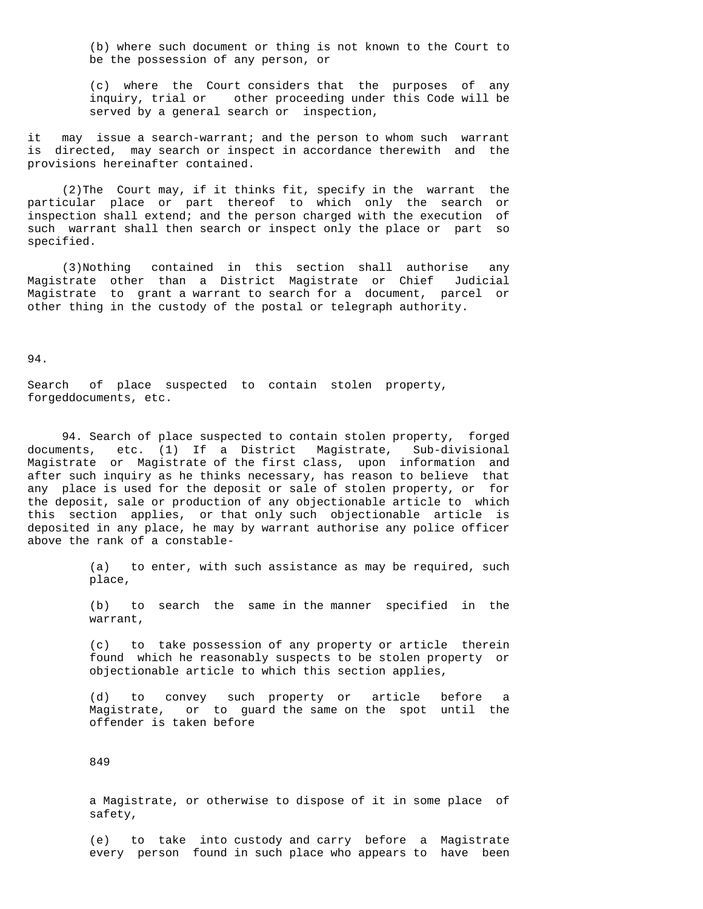(b) where such document or thing is not known to the Court to be the possession of any person, or

 (c) where the Court considers that the purposes of any inquiry, trial or other proceeding under this Code will be served by a general search or inspection,

it may issue a search-warrant; and the person to whom such warrant is directed, may search or inspect in accordance therewith and the provisions hereinafter contained.

 (2)The Court may, if it thinks fit, specify in the warrant the particular place or part thereof to which only the search or inspection shall extend; and the person charged with the execution of such warrant shall then search or inspect only the place or part so specified.

 (3)Nothing contained in this section shall authorise any Magistrate other than a District Magistrate or Chief Judicial Magistrate to grant a warrant to search for a document, parcel or other thing in the custody of the postal or telegraph authority.

94.

 Search of place suspected to contain stolen property, forgeddocuments, etc.

 94. Search of place suspected to contain stolen property, forged documents, etc. (1) If a District Magistrate, Sub-divisional Magistrate or Magistrate of the first class, upon information and after such inquiry as he thinks necessary, has reason to believe that any place is used for the deposit or sale of stolen property, or for the deposit, sale or production of any objectionable article to which this section applies, or that only such objectionable article is deposited in any place, he may by warrant authorise any police officer above the rank of a constable-

> (a) to enter, with such assistance as may be required, such place,

> (b) to search the same in the manner specified in the warrant,

> (c) to take possession of any property or article therein found which he reasonably suspects to be stolen property or objectionable article to which this section applies,

> (d) to convey such property or article before a Magistrate, or to guard the same on the spot until the offender is taken before

849

 a Magistrate, or otherwise to dispose of it in some place of safety,

 (e) to take into custody and carry before a Magistrate every person found in such place who appears to have been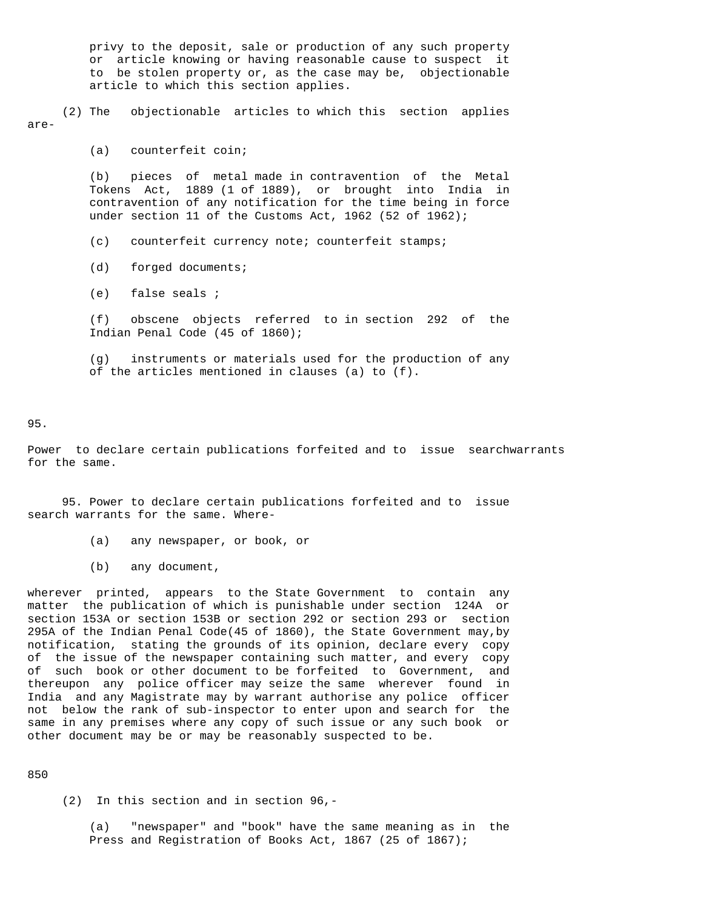privy to the deposit, sale or production of any such property or article knowing or having reasonable cause to suspect it to be stolen property or, as the case may be, objectionable article to which this section applies.

 (2) The objectionable articles to which this section applies are-

(a) counterfeit coin;

 (b) pieces of metal made in contravention of the Metal Tokens Act, 1889 (1 of 1889), or brought into India in contravention of any notification for the time being in force under section 11 of the Customs Act, 1962 (52 of 1962);

(c) counterfeit currency note; counterfeit stamps;

- (d) forged documents;
- (e) false seals ;

 (f) obscene objects referred to in section 292 of the Indian Penal Code (45 of 1860);

 (g) instruments or materials used for the production of any of the articles mentioned in clauses (a) to (f).

95.

 Power to declare certain publications forfeited and to issue searchwarrants for the same.

 95. Power to declare certain publications forfeited and to issue search warrants for the same. Where-

- (a) any newspaper, or book, or
- (b) any document,

 wherever printed, appears to the State Government to contain any matter the publication of which is punishable under section 124A or section 153A or section 153B or section 292 or section 293 or section 295A of the Indian Penal Code(45 of 1860), the State Government may,by notification, stating the grounds of its opinion, declare every copy of the issue of the newspaper containing such matter, and every copy of such book or other document to be forfeited to Government, and thereupon any police officer may seize the same wherever found in India and any Magistrate may by warrant authorise any police officer not below the rank of sub-inspector to enter upon and search for the same in any premises where any copy of such issue or any such book or other document may be or may be reasonably suspected to be.

850

(2) In this section and in section 96,-

 (a) "newspaper" and "book" have the same meaning as in the Press and Registration of Books Act, 1867 (25 of 1867);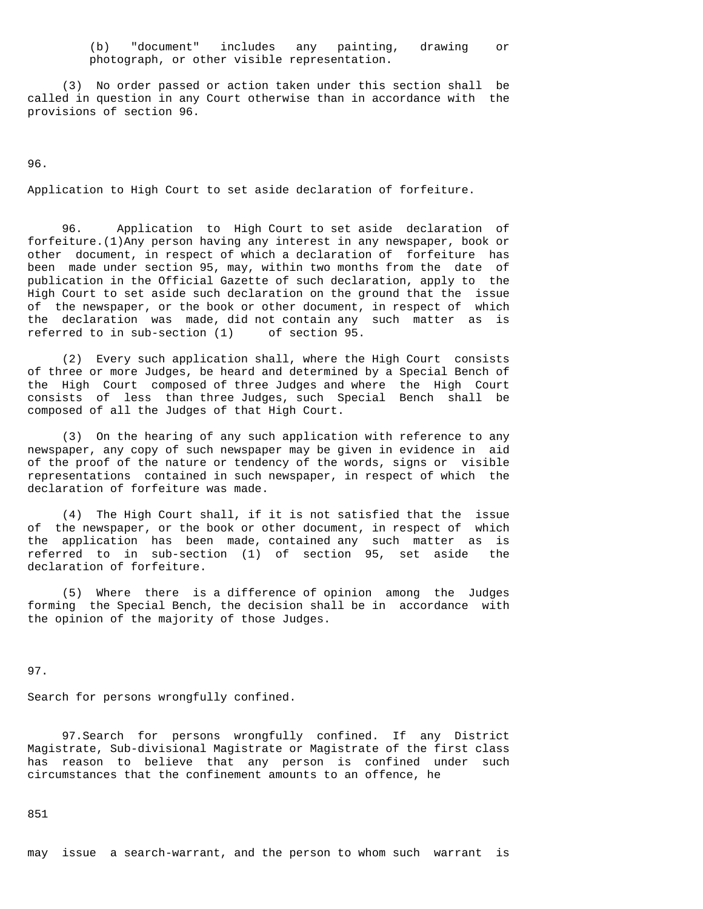(b) "document" includes any painting, drawing or photograph, or other visible representation.

 (3) No order passed or action taken under this section shall be called in question in any Court otherwise than in accordance with the provisions of section 96.

96.

Application to High Court to set aside declaration of forfeiture.

 96. Application to High Court to set aside declaration of forfeiture.(1)Any person having any interest in any newspaper, book or other document, in respect of which a declaration of forfeiture has been made under section 95, may, within two months from the date of publication in the Official Gazette of such declaration, apply to the High Court to set aside such declaration on the ground that the issue of the newspaper, or the book or other document, in respect of which the declaration was made, did not contain any such matter as is referred to in sub-section (1) of section 95.

 (2) Every such application shall, where the High Court consists of three or more Judges, be heard and determined by a Special Bench of the High Court composed of three Judges and where the High Court consists of less than three Judges, such Special Bench shall be composed of all the Judges of that High Court.

 (3) On the hearing of any such application with reference to any newspaper, any copy of such newspaper may be given in evidence in aid of the proof of the nature or tendency of the words, signs or visible representations contained in such newspaper, in respect of which the declaration of forfeiture was made.

 (4) The High Court shall, if it is not satisfied that the issue of the newspaper, or the book or other document, in respect of which the application has been made, contained any such matter as is referred to in sub-section (1) of section 95, set aside the declaration of forfeiture.

 (5) Where there is a difference of opinion among the Judges forming the Special Bench, the decision shall be in accordance with the opinion of the majority of those Judges.

97.

Search for persons wrongfully confined.

 97.Search for persons wrongfully confined. If any District Magistrate, Sub-divisional Magistrate or Magistrate of the first class has reason to believe that any person is confined under such circumstances that the confinement amounts to an offence, he

851

may issue a search-warrant, and the person to whom such warrant is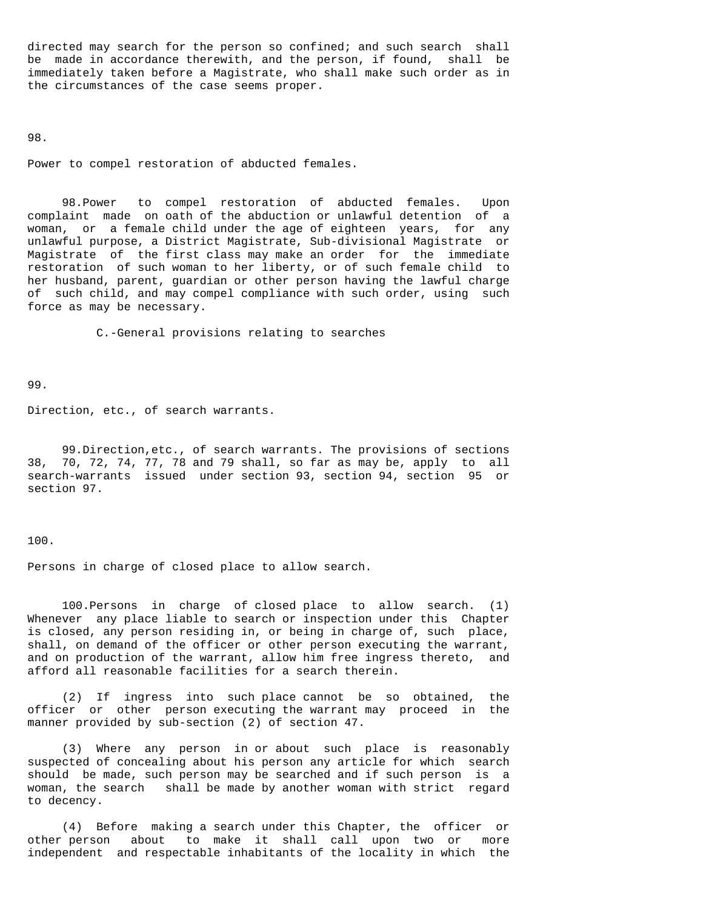directed may search for the person so confined; and such search shall be made in accordance therewith, and the person, if found, shall be immediately taken before a Magistrate, who shall make such order as in the circumstances of the case seems proper.

98.

Power to compel restoration of abducted females.

 98.Power to compel restoration of abducted females. Upon complaint made on oath of the abduction or unlawful detention of a woman, or a female child under the age of eighteen years, for any unlawful purpose, a District Magistrate, Sub-divisional Magistrate or Magistrate of the first class may make an order for the immediate restoration of such woman to her liberty, or of such female child to her husband, parent, guardian or other person having the lawful charge of such child, and may compel compliance with such order, using such force as may be necessary.

C.-General provisions relating to searches

99.

Direction, etc., of search warrants.

 99.Direction,etc., of search warrants. The provisions of sections 38, 70, 72, 74, 77, 78 and 79 shall, so far as may be, apply to all search-warrants issued under section 93, section 94, section 95 or section 97.

100.

Persons in charge of closed place to allow search.

 100.Persons in charge of closed place to allow search. (1) Whenever any place liable to search or inspection under this Chapter is closed, any person residing in, or being in charge of, such place, shall, on demand of the officer or other person executing the warrant, and on production of the warrant, allow him free ingress thereto, and afford all reasonable facilities for a search therein.

 (2) If ingress into such place cannot be so obtained, the officer or other person executing the warrant may proceed in the manner provided by sub-section (2) of section 47.

 (3) Where any person in or about such place is reasonably suspected of concealing about his person any article for which search should be made, such person may be searched and if such person is a woman, the search shall be made by another woman with strict regard to decency.

 (4) Before making a search under this Chapter, the officer or other person about to make it shall call upon two or more independent and respectable inhabitants of the locality in which the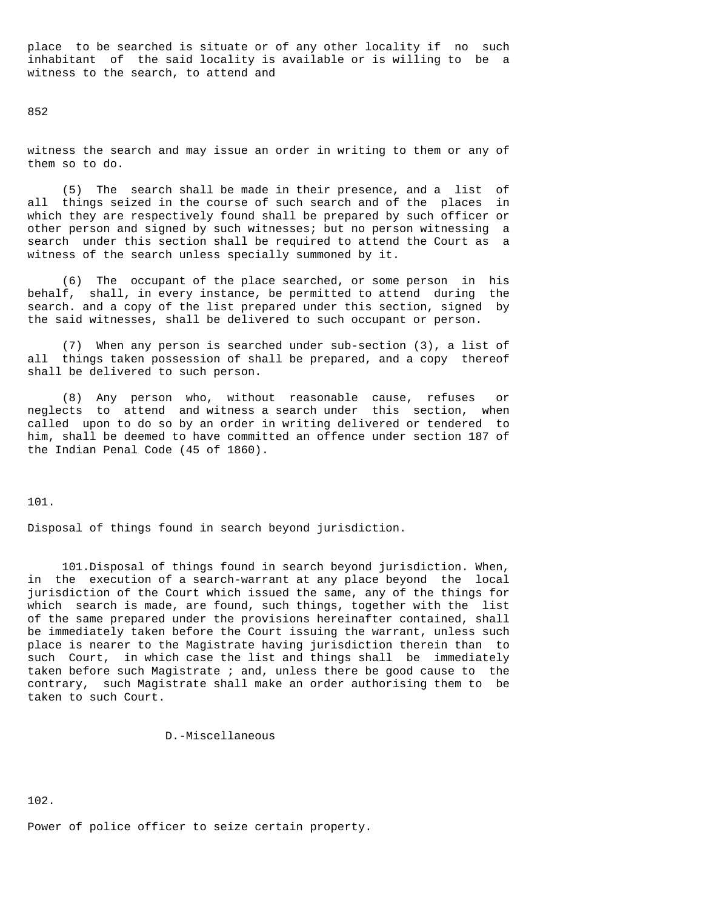place to be searched is situate or of any other locality if no such inhabitant of the said locality is available or is willing to be a witness to the search, to attend and

852

 witness the search and may issue an order in writing to them or any of them so to do.

 (5) The search shall be made in their presence, and a list of all things seized in the course of such search and of the places in which they are respectively found shall be prepared by such officer or other person and signed by such witnesses; but no person witnessing a search under this section shall be required to attend the Court as a witness of the search unless specially summoned by it.

 (6) The occupant of the place searched, or some person in his behalf, shall, in every instance, be permitted to attend during the search. and a copy of the list prepared under this section, signed by the said witnesses, shall be delivered to such occupant or person.

 (7) When any person is searched under sub-section (3), a list of all things taken possession of shall be prepared, and a copy thereof shall be delivered to such person.

 (8) Any person who, without reasonable cause, refuses or neglects to attend and witness a search under this section, when called upon to do so by an order in writing delivered or tendered to him, shall be deemed to have committed an offence under section 187 of the Indian Penal Code (45 of 1860).

101.

Disposal of things found in search beyond jurisdiction.

 101.Disposal of things found in search beyond jurisdiction. When, in the execution of a search-warrant at any place beyond the local jurisdiction of the Court which issued the same, any of the things for which search is made, are found, such things, together with the list of the same prepared under the provisions hereinafter contained, shall be immediately taken before the Court issuing the warrant, unless such place is nearer to the Magistrate having jurisdiction therein than to such Court, in which case the list and things shall be immediately taken before such Magistrate ; and, unless there be good cause to the contrary, such Magistrate shall make an order authorising them to be taken to such Court.

D.-Miscellaneous

102.

Power of police officer to seize certain property.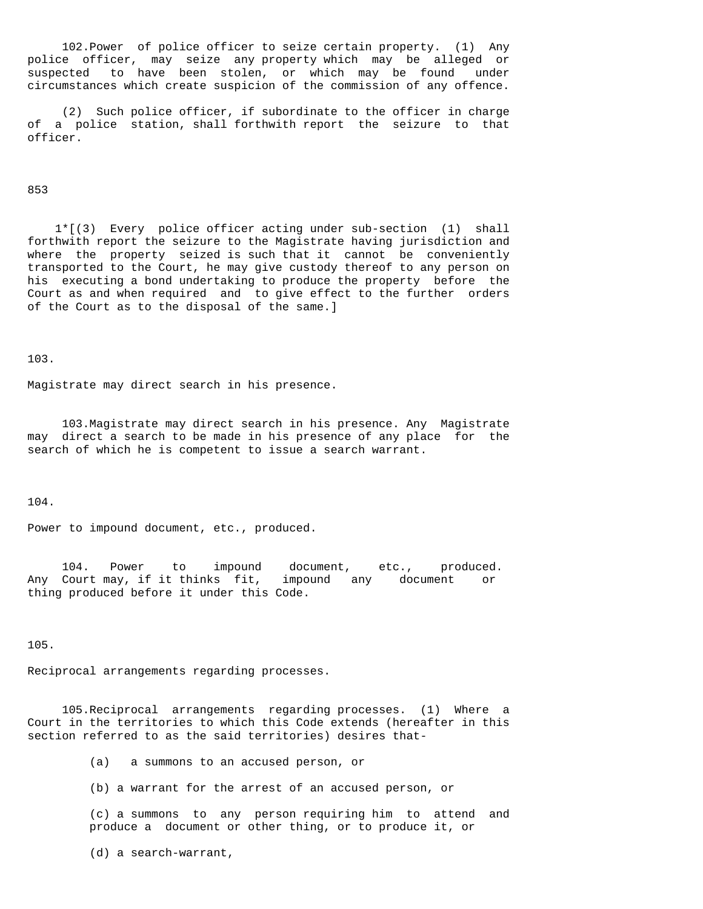102.Power of police officer to seize certain property. (1) Any police officer, may seize any property which may be alleged or suspected to have been stolen, or which may be found under circumstances which create suspicion of the commission of any offence.

 (2) Such police officer, if subordinate to the officer in charge of a police station, shall forthwith report the seizure to that officer.

853

 1\*[(3) Every police officer acting under sub-section (1) shall forthwith report the seizure to the Magistrate having jurisdiction and where the property seized is such that it cannot be conveniently transported to the Court, he may give custody thereof to any person on his executing a bond undertaking to produce the property before the Court as and when required and to give effect to the further orders of the Court as to the disposal of the same.]

103.

Magistrate may direct search in his presence.

 103.Magistrate may direct search in his presence. Any Magistrate may direct a search to be made in his presence of any place for the search of which he is competent to issue a search warrant.

104.

Power to impound document, etc., produced.

104. Power to impound document, etc., produced.<br>Court may, if it thinks fit, impound any document or Any Court may, if it thinks fit, impound any document or thing produced before it under this Code.

105.

Reciprocal arrangements regarding processes.

 105.Reciprocal arrangements regarding processes. (1) Where a Court in the territories to which this Code extends (hereafter in this section referred to as the said territories) desires that-

(a) a summons to an accused person, or

(b) a warrant for the arrest of an accused person, or

 (c) a summons to any person requiring him to attend and produce a document or other thing, or to produce it, or

(d) a search-warrant,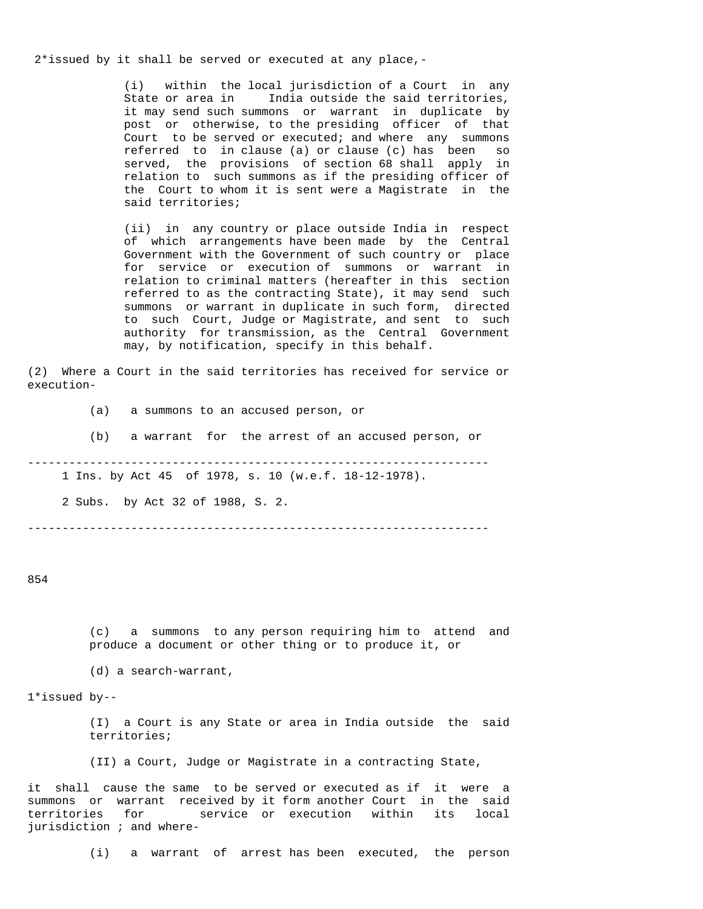2\*issued by it shall be served or executed at any place,-

 (i) within the local jurisdiction of a Court in any State or area in India outside the said territories, it may send such summons or warrant in duplicate by post or otherwise, to the presiding officer of that Court to be served or executed; and where any summons referred to in clause (a) or clause (c) has been so served, the provisions of section 68 shall apply in relation to such summons as if the presiding officer of the Court to whom it is sent were a Magistrate in the said territories;

 (ii) in any country or place outside India in respect of which arrangements have been made by the Central Government with the Government of such country or place for service or execution of summons or warrant in relation to criminal matters (hereafter in this section referred to as the contracting State), it may send such summons or warrant in duplicate in such form, directed to such Court, Judge or Magistrate, and sent to such authority for transmission, as the Central Government may, by notification, specify in this behalf.

 (2) Where a Court in the said territories has received for service or execution-

- (a) a summons to an accused person, or
- (b) a warrant for the arrest of an accused person, or

-------------------------------------------------------------------

1 Ins. by Act 45 of 1978, s. 10 (w.e.f. 18-12-1978).

2 Subs. by Act 32 of 1988, S. 2.

-------------------------------------------------------------------

# 854

 (c) a summons to any person requiring him to attend and produce a document or other thing or to produce it, or

(d) a search-warrant,

1\*issued by--

 (I) a Court is any State or area in India outside the said territories;

(II) a Court, Judge or Magistrate in a contracting State,

 it shall cause the same to be served or executed as if it were a summons or warrant received by it form another Court in the said territories for service or execution within its local jurisdiction ; and where-

(i) a warrant of arrest has been executed, the person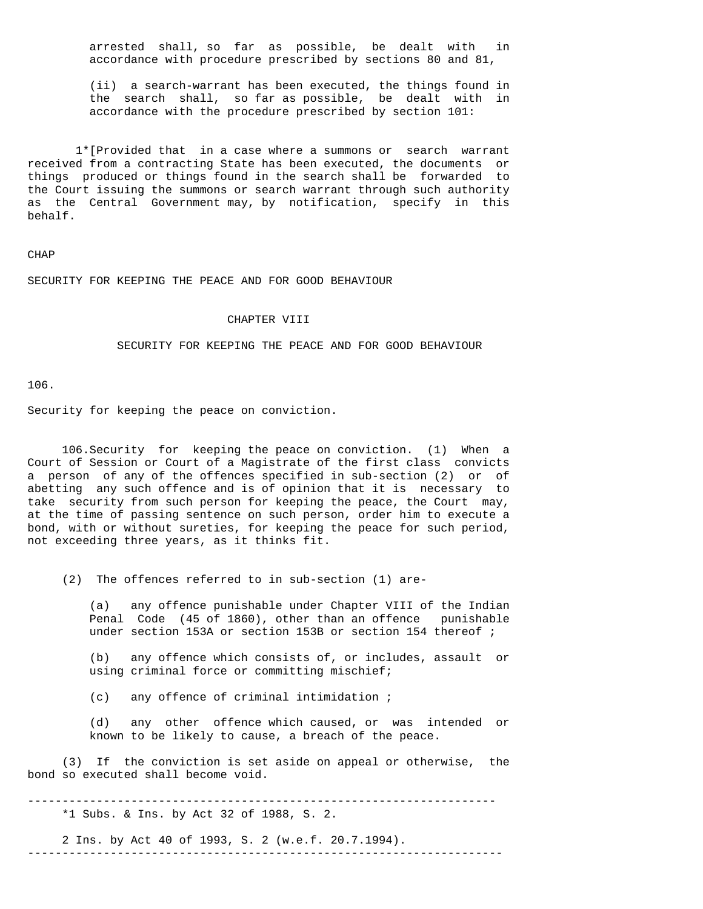arrested shall, so far as possible, be dealt with in accordance with procedure prescribed by sections 80 and 81,

 (ii) a search-warrant has been executed, the things found in the search shall, so far as possible, be dealt with in accordance with the procedure prescribed by section 101:

 1\*[Provided that in a case where a summons or search warrant received from a contracting State has been executed, the documents or things produced or things found in the search shall be forwarded to the Court issuing the summons or search warrant through such authority as the Central Government may, by notification, specify in this behalf.

CHAP

SECURITY FOR KEEPING THE PEACE AND FOR GOOD BEHAVIOUR

#### CHAPTER VIII

SECURITY FOR KEEPING THE PEACE AND FOR GOOD BEHAVIOUR

106.

Security for keeping the peace on conviction.

 106.Security for keeping the peace on conviction. (1) When a Court of Session or Court of a Magistrate of the first class convicts a person of any of the offences specified in sub-section (2) or of abetting any such offence and is of opinion that it is necessary to take security from such person for keeping the peace, the Court may, at the time of passing sentence on such person, order him to execute a bond, with or without sureties, for keeping the peace for such period, not exceeding three years, as it thinks fit.

(2) The offences referred to in sub-section (1) are-

 (a) any offence punishable under Chapter VIII of the Indian Penal Code (45 of 1860), other than an offence punishable under section 153A or section 153B or section 154 thereof ;

 (b) any offence which consists of, or includes, assault or using criminal force or committing mischief;

(c) any offence of criminal intimidation ;

 (d) any other offence which caused, or was intended or known to be likely to cause, a breach of the peace.

 (3) If the conviction is set aside on appeal or otherwise, the bond so executed shall become void.

 -------------------------------------------------------------------- \*1 Subs. & Ins. by Act 32 of 1988, S. 2.

 2 Ins. by Act 40 of 1993, S. 2 (w.e.f. 20.7.1994). ---------------------------------------------------------------------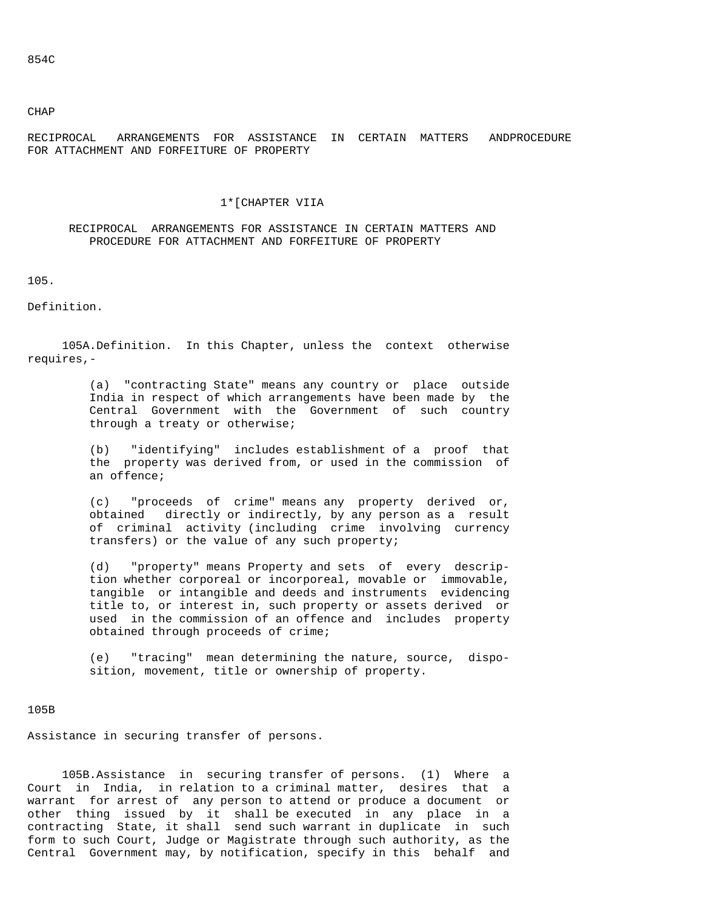CHAP

 RECIPROCAL ARRANGEMENTS FOR ASSISTANCE IN CERTAIN MATTERS ANDPROCEDURE FOR ATTACHMENT AND FORFEITURE OF PROPERTY

## 1\*[CHAPTER VIIA

# RECIPROCAL ARRANGEMENTS FOR ASSISTANCE IN CERTAIN MATTERS AND PROCEDURE FOR ATTACHMENT AND FORFEITURE OF PROPERTY

105.

Definition.

 105A.Definition. In this Chapter, unless the context otherwise requires,-

> (a) "contracting State" means any country or place outside India in respect of which arrangements have been made by the Central Government with the Government of such country through a treaty or otherwise;

> (b) "identifying" includes establishment of a proof that the property was derived from, or used in the commission of an offence;

> (c) "proceeds of crime" means any property derived or, obtained directly or indirectly, by any person as a result of criminal activity (including crime involving currency transfers) or the value of any such property;

> (d) "property" means Property and sets of every descrip tion whether corporeal or incorporeal, movable or immovable, tangible or intangible and deeds and instruments evidencing title to, or interest in, such property or assets derived or used in the commission of an offence and includes property obtained through proceeds of crime;

> (e) "tracing" mean determining the nature, source, dispo sition, movement, title or ownership of property.

## 105B

Assistance in securing transfer of persons.

 105B.Assistance in securing transfer of persons. (1) Where a Court in India, in relation to a criminal matter, desires that a warrant for arrest of any person to attend or produce a document or other thing issued by it shall be executed in any place in a contracting State, it shall send such warrant in duplicate in such form to such Court, Judge or Magistrate through such authority, as the Central Government may, by notification, specify in this behalf and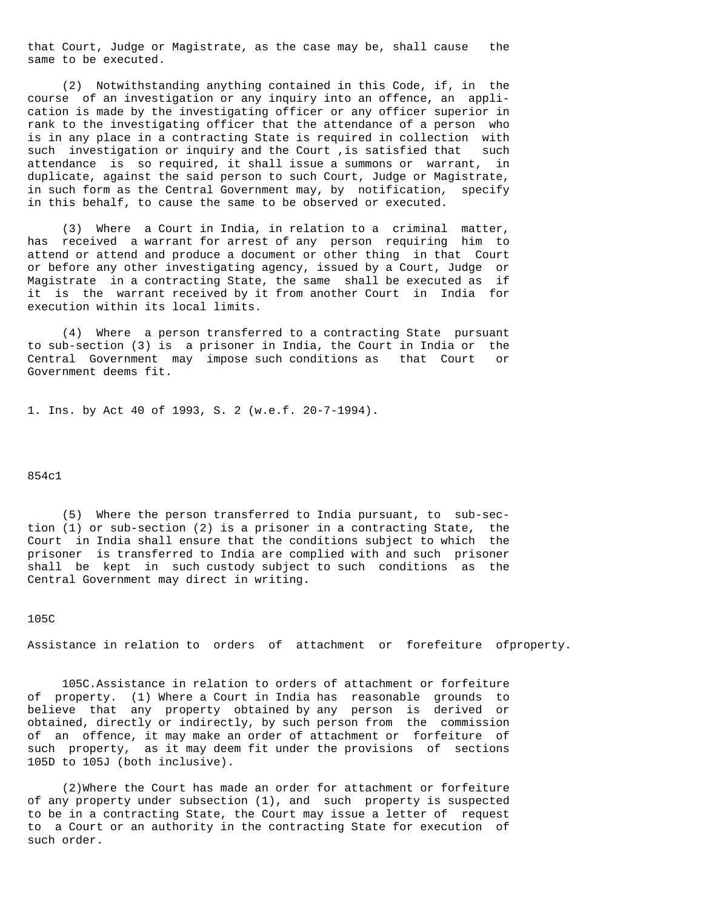that Court, Judge or Magistrate, as the case may be, shall cause the same to be executed.

 (2) Notwithstanding anything contained in this Code, if, in the course of an investigation or any inquiry into an offence, an appli cation is made by the investigating officer or any officer superior in rank to the investigating officer that the attendance of a person who is in any place in a contracting State is required in collection with such investigation or inquiry and the Court ,is satisfied that such attendance is so required, it shall issue a summons or warrant, in duplicate, against the said person to such Court, Judge or Magistrate, in such form as the Central Government may, by notification, specify in this behalf, to cause the same to be observed or executed.

 (3) Where a Court in India, in relation to a criminal matter, has received a warrant for arrest of any person requiring him to attend or attend and produce a document or other thing in that Court or before any other investigating agency, issued by a Court, Judge or Magistrate in a contracting State, the same shall be executed as if it is the warrant received by it from another Court in India for execution within its local limits.

 (4) Where a person transferred to a contracting State pursuant to sub-section (3) is a prisoner in India, the Court in India or the Central Government may impose such conditions as that Court or Government deems fit.

1. Ins. by Act 40 of 1993, S. 2 (w.e.f. 20-7-1994).

#### 854c1

 (5) Where the person transferred to India pursuant, to sub-sec tion (1) or sub-section (2) is a prisoner in a contracting State, the Court in India shall ensure that the conditions subject to which the prisoner is transferred to India are complied with and such prisoner shall be kept in such custody subject to such conditions as the Central Government may direct in writing.

105C

Assistance in relation to orders of attachment or forefeiture ofproperty.

 105C.Assistance in relation to orders of attachment or forfeiture of property. (1) Where a Court in India has reasonable grounds to believe that any property obtained by any person is derived or obtained, directly or indirectly, by such person from the commission of an offence, it may make an order of attachment or forfeiture of such property, as it may deem fit under the provisions of sections 105D to 105J (both inclusive).

 (2)Where the Court has made an order for attachment or forfeiture of any property under subsection (1), and such property is suspected to be in a contracting State, the Court may issue a letter of request to a Court or an authority in the contracting State for execution of such order.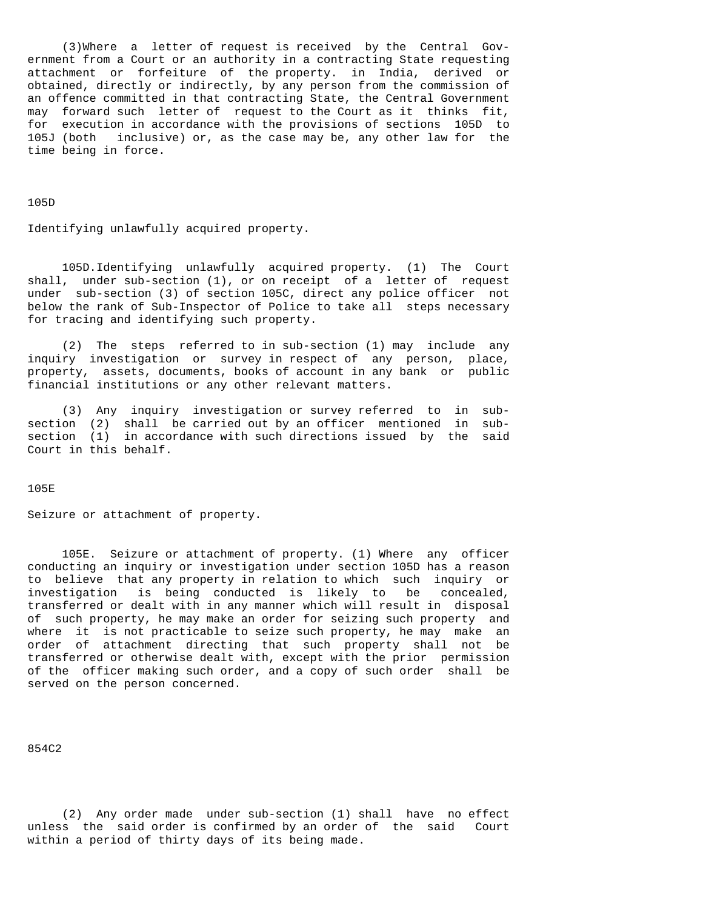(3)Where a letter of request is received by the Central Gov ernment from a Court or an authority in a contracting State requesting attachment or forfeiture of the property. in India, derived or obtained, directly or indirectly, by any person from the commission of an offence committed in that contracting State, the Central Government may forward such letter of request to the Court as it thinks fit, for execution in accordance with the provisions of sections 105D to 105J (both inclusive) or, as the case may be, any other law for the time being in force.

## 105D

Identifying unlawfully acquired property.

 105D.Identifying unlawfully acquired property. (1) The Court shall, under sub-section (1), or on receipt of a letter of request under sub-section (3) of section 105C, direct any police officer not below the rank of Sub-Inspector of Police to take all steps necessary for tracing and identifying such property.

 (2) The steps referred to in sub-section (1) may include any inquiry investigation or survey in respect of any person, place, property, assets, documents, books of account in any bank or public financial institutions or any other relevant matters.

 (3) Any inquiry investigation or survey referred to in sub section (2) shall be carried out by an officer mentioned in sub section (1) in accordance with such directions issued by the said Court in this behalf.

105E

Seizure or attachment of property.

 105E. Seizure or attachment of property. (1) Where any officer conducting an inquiry or investigation under section 105D has a reason to believe that any property in relation to which such inquiry or investigation is being conducted is likely to be concealed, transferred or dealt with in any manner which will result in disposal of such property, he may make an order for seizing such property and where it is not practicable to seize such property, he may make an order of attachment directing that such property shall not be transferred or otherwise dealt with, except with the prior permission of the officer making such order, and a copy of such order shall be served on the person concerned.

854C2

 (2) Any order made under sub-section (1) shall have no effect unless the said order is confirmed by an order of the said Court within a period of thirty days of its being made.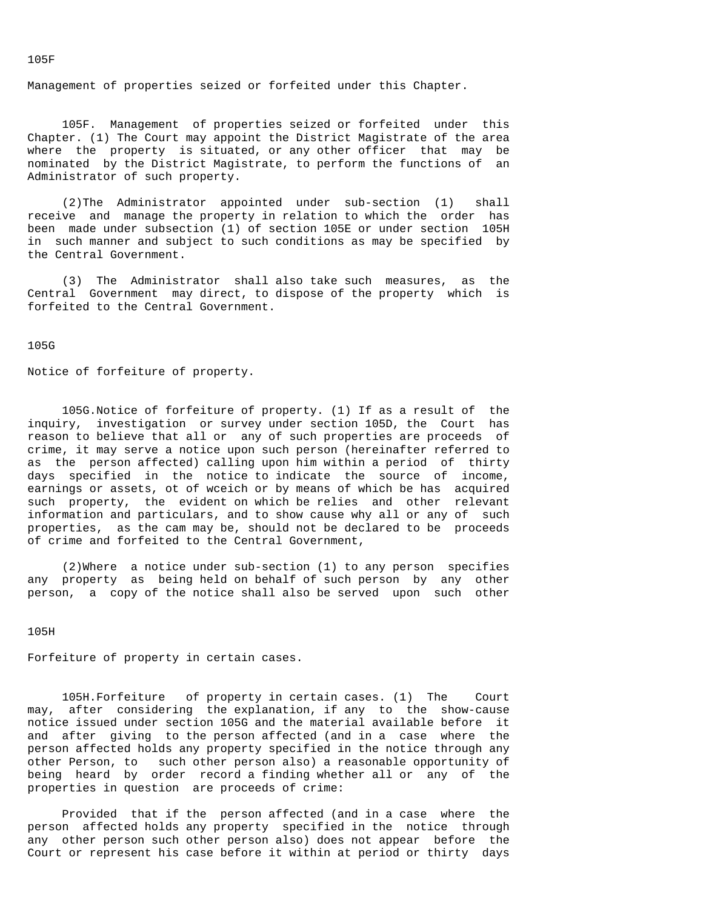Management of properties seized or forfeited under this Chapter.

 105F. Management of properties seized or forfeited under this Chapter. (1) The Court may appoint the District Magistrate of the area where the property is situated, or any other officer that may be nominated by the District Magistrate, to perform the functions of an Administrator of such property.

 (2)The Administrator appointed under sub-section (1) shall receive and manage the property in relation to which the order has been made under subsection (1) of section 105E or under section 105H in such manner and subject to such conditions as may be specified by the Central Government.

 (3) The Administrator shall also take such measures, as the Central Government may direct, to dispose of the property which is forfeited to the Central Government.

105G

Notice of forfeiture of property.

 105G.Notice of forfeiture of property. (1) If as a result of the inquiry, investigation or survey under section 105D, the Court has reason to believe that all or any of such properties are proceeds of crime, it may serve a notice upon such person (hereinafter referred to as the person affected) calling upon him within a period of thirty days specified in the notice to indicate the source of income, earnings or assets, ot of wceich or by means of which be has acquired such property, the evident on which be relies and other relevant information and particulars, and to show cause why all or any of such properties, as the cam may be, should not be declared to be proceeds of crime and forfeited to the Central Government,

 (2)Where a notice under sub-section (1) to any person specifies any property as being held on behalf of such person by any other person, a copy of the notice shall also be served upon such other

105H

Forfeiture of property in certain cases.

 105H.Forfeiture of property in certain cases. (1) The Court may, after considering the explanation, if any to the show-cause notice issued under section 105G and the material available before it and after giving to the person affected (and in a case where the person affected holds any property specified in the notice through any other Person, to such other person also) a reasonable opportunity of being heard by order record a finding whether all or any of the properties in question are proceeds of crime:

 Provided that if the person affected (and in a case where the person affected holds any property specified in the notice through any other person such other person also) does not appear before the Court or represent his case before it within at period or thirty days

105F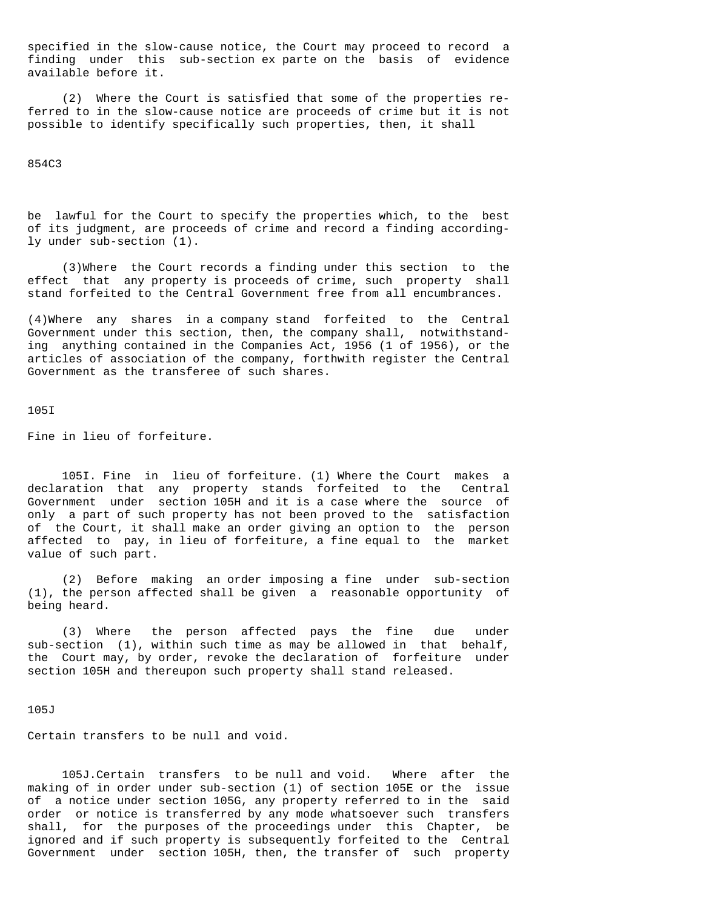specified in the slow-cause notice, the Court may proceed to record a finding under this sub-section ex parte on the basis of evidence available before it.

 (2) Where the Court is satisfied that some of the properties re ferred to in the slow-cause notice are proceeds of crime but it is not possible to identify specifically such properties, then, it shall

854C3

 be lawful for the Court to specify the properties which, to the best of its judgment, are proceeds of crime and record a finding according ly under sub-section (1).

 (3)Where the Court records a finding under this section to the effect that any property is proceeds of crime, such property shall stand forfeited to the Central Government free from all encumbrances.

 (4)Where any shares in a company stand forfeited to the Central Government under this section, then, the company shall, notwithstand ing anything contained in the Companies Act, 1956 (1 of 1956), or the articles of association of the company, forthwith register the Central Government as the transferee of such shares.

105I

Fine in lieu of forfeiture.

 105I. Fine in lieu of forfeiture. (1) Where the Court makes a declaration that any property stands forfeited to the Central Government under section 105H and it is a case where the source of only a part of such property has not been proved to the satisfaction of the Court, it shall make an order giving an option to the person affected to pay, in lieu of forfeiture, a fine equal to the market value of such part.

 (2) Before making an order imposing a fine under sub-section (1), the person affected shall be given a reasonable opportunity of being heard.

 (3) Where the person affected pays the fine due under sub-section (1), within such time as may be allowed in that behalf, the Court may, by order, revoke the declaration of forfeiture under section 105H and thereupon such property shall stand released.

105J

Certain transfers to be null and void.

 105J.Certain transfers to be null and void. Where after the making of in order under sub-section (1) of section 105E or the issue of a notice under section 105G, any property referred to in the said order or notice is transferred by any mode whatsoever such transfers shall, for the purposes of the proceedings under this Chapter, be ignored and if such property is subsequently forfeited to the Central Government under section 105H, then, the transfer of such property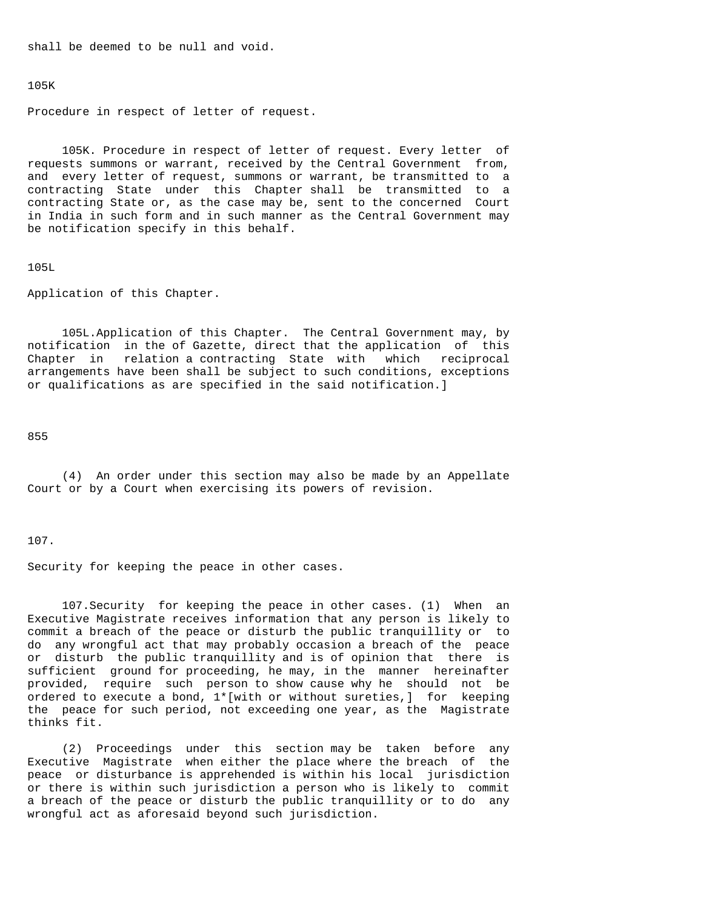shall be deemed to be null and void.

# 105K

Procedure in respect of letter of request.

 105K. Procedure in respect of letter of request. Every letter of requests summons or warrant, received by the Central Government from, and every letter of request, summons or warrant, be transmitted to a contracting State under this Chapter shall be transmitted to a contracting State or, as the case may be, sent to the concerned Court in India in such form and in such manner as the Central Government may be notification specify in this behalf.

### 105L

Application of this Chapter.

 105L.Application of this Chapter. The Central Government may, by notification in the of Gazette, direct that the application of this Chapter in relation a contracting State with which reciprocal arrangements have been shall be subject to such conditions, exceptions or qualifications as are specified in the said notification.]

855

 (4) An order under this section may also be made by an Appellate Court or by a Court when exercising its powers of revision.

#### 107.

Security for keeping the peace in other cases.

 107.Security for keeping the peace in other cases. (1) When an Executive Magistrate receives information that any person is likely to commit a breach of the peace or disturb the public tranquillity or to do any wrongful act that may probably occasion a breach of the peace or disturb the public tranquillity and is of opinion that there is sufficient ground for proceeding, he may, in the manner hereinafter provided, require such person to show cause why he should not be ordered to execute a bond,  $1*(with or without sureties, ] for keeping$  the peace for such period, not exceeding one year, as the Magistrate thinks fit.

 (2) Proceedings under this section may be taken before any Executive Magistrate when either the place where the breach of the peace or disturbance is apprehended is within his local jurisdiction or there is within such jurisdiction a person who is likely to commit a breach of the peace or disturb the public tranquillity or to do any wrongful act as aforesaid beyond such jurisdiction.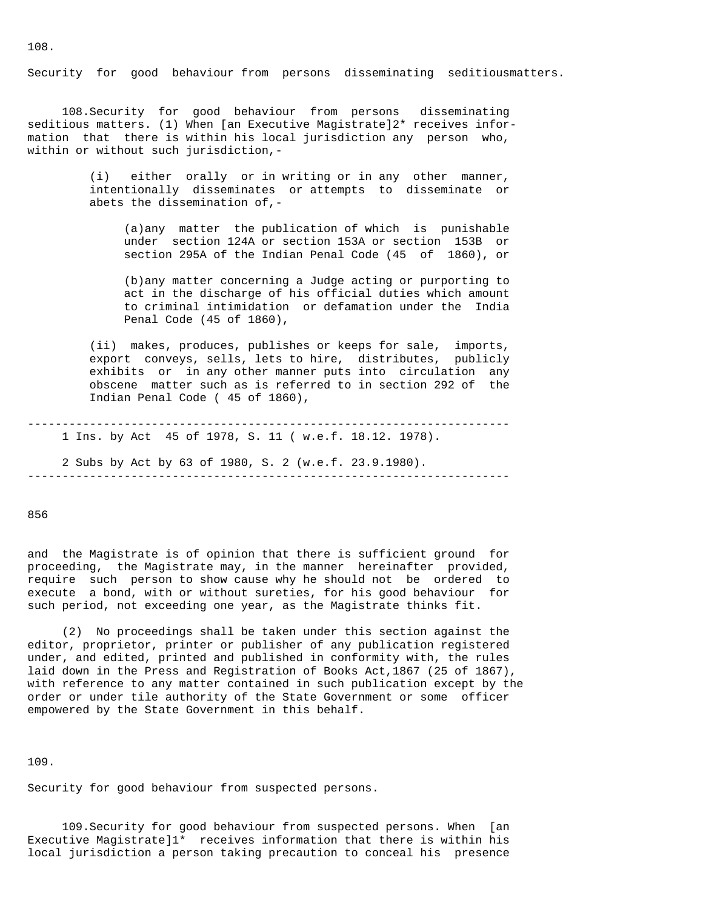Security for good behaviour from persons disseminating seditiousmatters.

 108.Security for good behaviour from persons disseminating seditious matters. (1) When [an Executive Magistrate]2\* receives infor mation that there is within his local jurisdiction any person who, within or without such jurisdiction,-

> (i) either orally or in writing or in any other manner, intentionally disseminates or attempts to disseminate or abets the dissemination of,-

 (a)any matter the publication of which is punishable under section 124A or section 153A or section 153B or section 295A of the Indian Penal Code (45 of 1860), or

 (b)any matter concerning a Judge acting or purporting to act in the discharge of his official duties which amount to criminal intimidation or defamation under the India Penal Code (45 of 1860),

 (ii) makes, produces, publishes or keeps for sale, imports, export conveys, sells, lets to hire, distributes, publicly exhibits or in any other manner puts into circulation any obscene matter such as is referred to in section 292 of the Indian Penal Code ( 45 of 1860),

----------------------------------------------------------------------

1 Ins. by Act 45 of 1978, S. 11 ( w.e.f. 18.12. 1978).

2 Subs by Act by 63 of 1980, S. 2 (w.e.f. 23.9.1980).

----------------------------------------------------------------------

856

 and the Magistrate is of opinion that there is sufficient ground for proceeding, the Magistrate may, in the manner hereinafter provided, require such person to show cause why he should not be ordered to execute a bond, with or without sureties, for his good behaviour for such period, not exceeding one year, as the Magistrate thinks fit.

 (2) No proceedings shall be taken under this section against the editor, proprietor, printer or publisher of any publication registered under, and edited, printed and published in conformity with, the rules laid down in the Press and Registration of Books Act,1867 (25 of 1867), with reference to any matter contained in such publication except by the order or under tile authority of the State Government or some officer empowered by the State Government in this behalf.

109.

Security for good behaviour from suspected persons.

 109.Security for good behaviour from suspected persons. When [an Executive Magistrate]1\* receives information that there is within his local jurisdiction a person taking precaution to conceal his presence

108.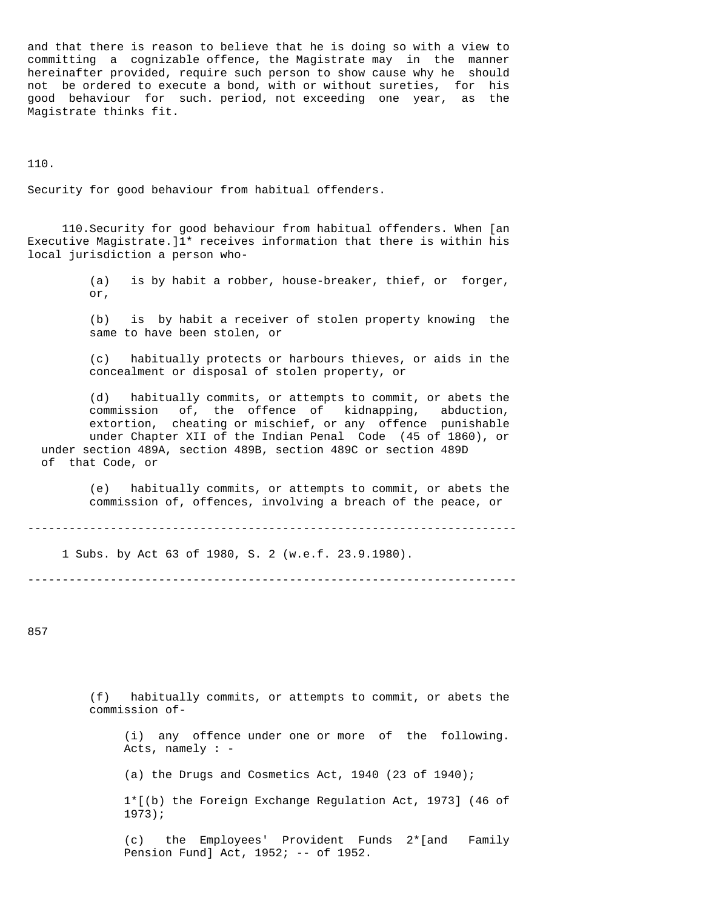and that there is reason to believe that he is doing so with a view to committing a cognizable offence, the Magistrate may in the manner hereinafter provided, require such person to show cause why he should not be ordered to execute a bond, with or without sureties, for his good behaviour for such. period, not exceeding one year, as the Magistrate thinks fit.

110.

Security for good behaviour from habitual offenders.

 110.Security for good behaviour from habitual offenders. When [an Executive Magistrate.]1\* receives information that there is within his local jurisdiction a person who-

> (a) is by habit a robber, house-breaker, thief, or forger, or,

> (b) is by habit a receiver of stolen property knowing the same to have been stolen, or

> (c) habitually protects or harbours thieves, or aids in the concealment or disposal of stolen property, or

 (d) habitually commits, or attempts to commit, or abets the commission of, the offence of kidnapping, abduction, extortion, cheating or mischief, or any offence punishable under Chapter XII of the Indian Penal Code (45 of 1860), or under section 489A, section 489B, section 489C or section 489D of that Code, or

 (e) habitually commits, or attempts to commit, or abets the commission of, offences, involving a breach of the peace, or

-----------------------------------------------------------------------

1 Subs. by Act 63 of 1980, S. 2 (w.e.f. 23.9.1980).

-----------------------------------------------------------------------

857

 (f) habitually commits, or attempts to commit, or abets the commission of-

 (i) any offence under one or more of the following. Acts, namely : -

(a) the Drugs and Cosmetics Act, 1940 (23 of 1940);

 1\*[(b) the Foreign Exchange Regulation Act, 1973] (46 of 1973);

 (c) the Employees' Provident Funds 2\*[and Family Pension Fund] Act, 1952; -- of 1952.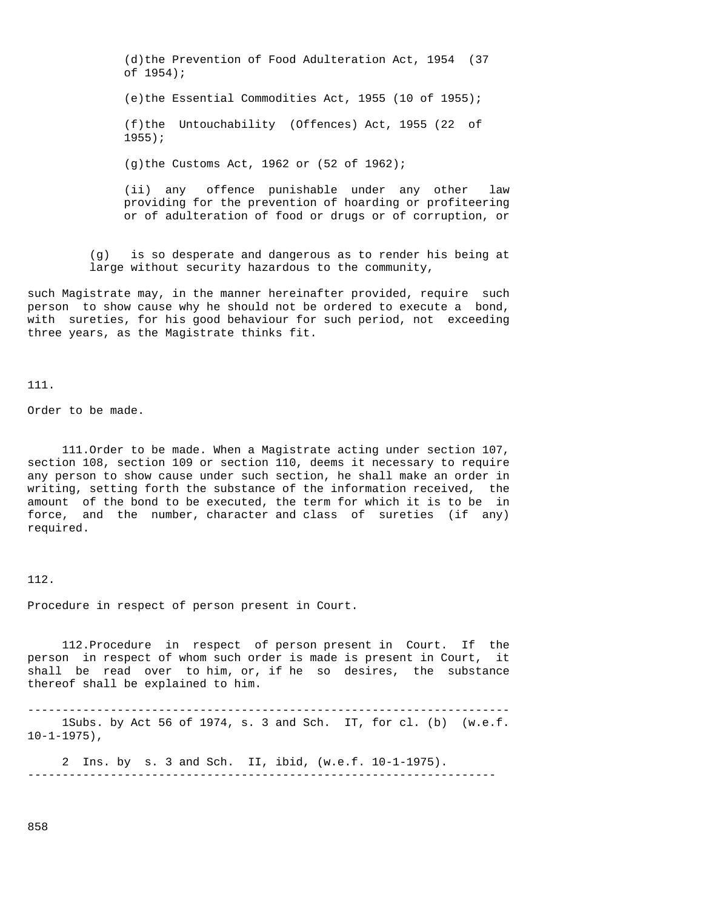(d)the Prevention of Food Adulteration Act, 1954 (37 of 1954);

(e)the Essential Commodities Act, 1955 (10 of 1955);

 (f)the Untouchability (Offences) Act, 1955 (22 of 1955);

(g)the Customs Act, 1962 or (52 of 1962);

 (ii) any offence punishable under any other law providing for the prevention of hoarding or profiteering or of adulteration of food or drugs or of corruption, or

 (g) is so desperate and dangerous as to render his being at large without security hazardous to the community,

 such Magistrate may, in the manner hereinafter provided, require such person to show cause why he should not be ordered to execute a bond, with sureties, for his good behaviour for such period, not exceeding three years, as the Magistrate thinks fit.

111.

Order to be made.

 111.Order to be made. When a Magistrate acting under section 107, section 108, section 109 or section 110, deems it necessary to require any person to show cause under such section, he shall make an order in writing, setting forth the substance of the information received, the amount of the bond to be executed, the term for which it is to be in force, and the number, character and class of sureties (if any) required.

112.

Procedure in respect of person present in Court.

 112.Procedure in respect of person present in Court. If the person in respect of whom such order is made is present in Court, it shall be read over to him, or, if he so desires, the substance thereof shall be explained to him.

 ---------------------------------------------------------------------- 1Subs. by Act 56 of 1974, s. 3 and Sch. IT, for cl. (b) (w.e.f.  $10-1-1975$ ),

 2 Ins. by s. 3 and Sch. II, ibid, (w.e.f. 10-1-1975). --------------------------------------------------------------------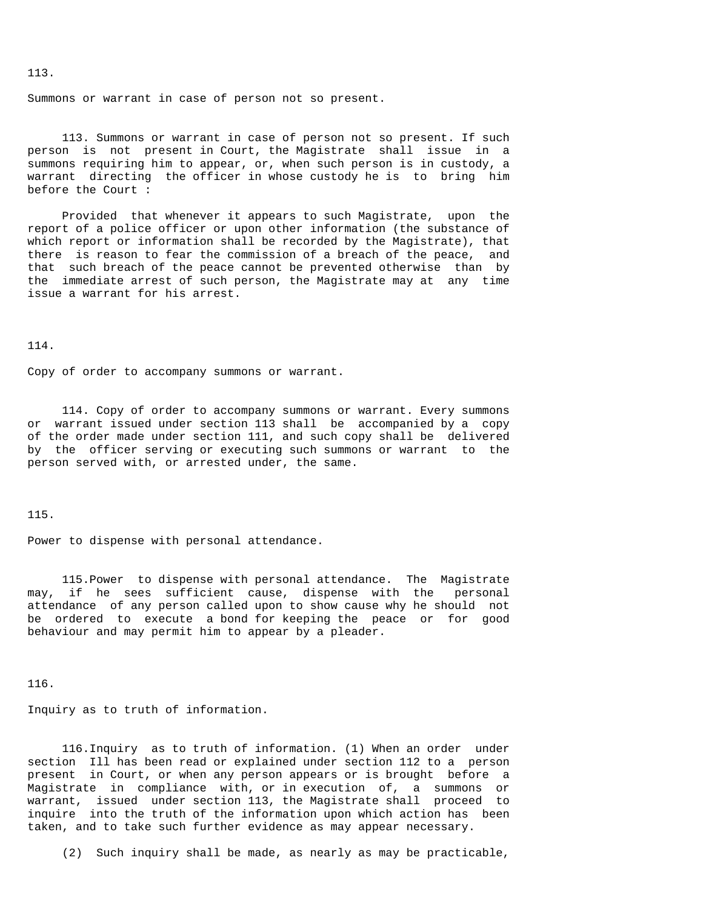Summons or warrant in case of person not so present.

 113. Summons or warrant in case of person not so present. If such person is not present in Court, the Magistrate shall issue in a summons requiring him to appear, or, when such person is in custody, a warrant directing the officer in whose custody he is to bring him before the Court :

 Provided that whenever it appears to such Magistrate, upon the report of a police officer or upon other information (the substance of which report or information shall be recorded by the Magistrate), that there is reason to fear the commission of a breach of the peace, and that such breach of the peace cannot be prevented otherwise than by the immediate arrest of such person, the Magistrate may at any time issue a warrant for his arrest.

## 114.

Copy of order to accompany summons or warrant.

 114. Copy of order to accompany summons or warrant. Every summons or warrant issued under section 113 shall be accompanied by a copy of the order made under section 111, and such copy shall be delivered by the officer serving or executing such summons or warrant to the person served with, or arrested under, the same.

#### 115.

Power to dispense with personal attendance.

 115.Power to dispense with personal attendance. The Magistrate may, if he sees sufficient cause, dispense with the personal attendance of any person called upon to show cause why he should not be ordered to execute a bond for keeping the peace or for good behaviour and may permit him to appear by a pleader.

116.

Inquiry as to truth of information.

 116.Inquiry as to truth of information. (1) When an order under section Ill has been read or explained under section 112 to a person present in Court, or when any person appears or is brought before a Magistrate in compliance with, or in execution of, a summons or warrant, issued under section 113, the Magistrate shall proceed to inquire into the truth of the information upon which action has been taken, and to take such further evidence as may appear necessary.

(2) Such inquiry shall be made, as nearly as may be practicable,

113.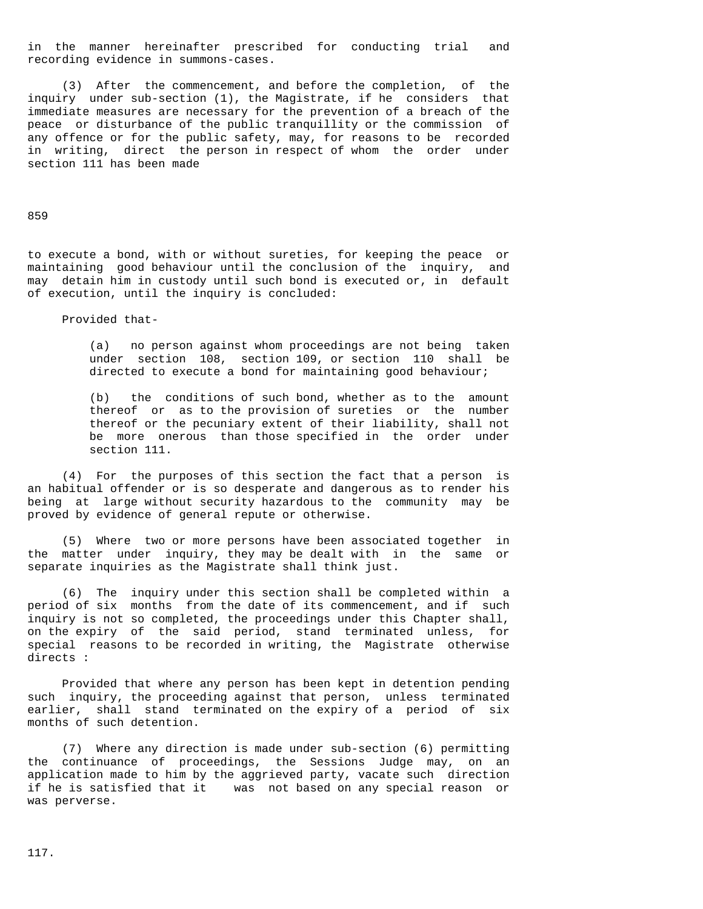in the manner hereinafter prescribed for conducting trial and recording evidence in summons-cases.

 (3) After the commencement, and before the completion, of the inquiry under sub-section (1), the Magistrate, if he considers that immediate measures are necessary for the prevention of a breach of the peace or disturbance of the public tranquillity or the commission of any offence or for the public safety, may, for reasons to be recorded in writing, direct the person in respect of whom the order under section 111 has been made

## 859

 to execute a bond, with or without sureties, for keeping the peace or maintaining good behaviour until the conclusion of the inquiry, and may detain him in custody until such bond is executed or, in default of execution, until the inquiry is concluded:

Provided that-

 (a) no person against whom proceedings are not being taken under section 108, section 109, or section 110 shall be directed to execute a bond for maintaining good behaviour;

 (b) the conditions of such bond, whether as to the amount thereof or as to the provision of sureties or the number thereof or the pecuniary extent of their liability, shall not be more onerous than those specified in the order under section 111.

 (4) For the purposes of this section the fact that a person is an habitual offender or is so desperate and dangerous as to render his being at large without security hazardous to the community may be proved by evidence of general repute or otherwise.

 (5) Where two or more persons have been associated together in the matter under inquiry, they may be dealt with in the same or separate inquiries as the Magistrate shall think just.

 (6) The inquiry under this section shall be completed within a period of six months from the date of its commencement, and if such inquiry is not so completed, the proceedings under this Chapter shall, on the expiry of the said period, stand terminated unless, for special reasons to be recorded in writing, the Magistrate otherwise directs :

 Provided that where any person has been kept in detention pending such inquiry, the proceeding against that person, unless terminated earlier, shall stand terminated on the expiry of a period of six months of such detention.

 (7) Where any direction is made under sub-section (6) permitting the continuance of proceedings, the Sessions Judge may, on an application made to him by the aggrieved party, vacate such direction if he is satisfied that it was not based on any special reason or was perverse.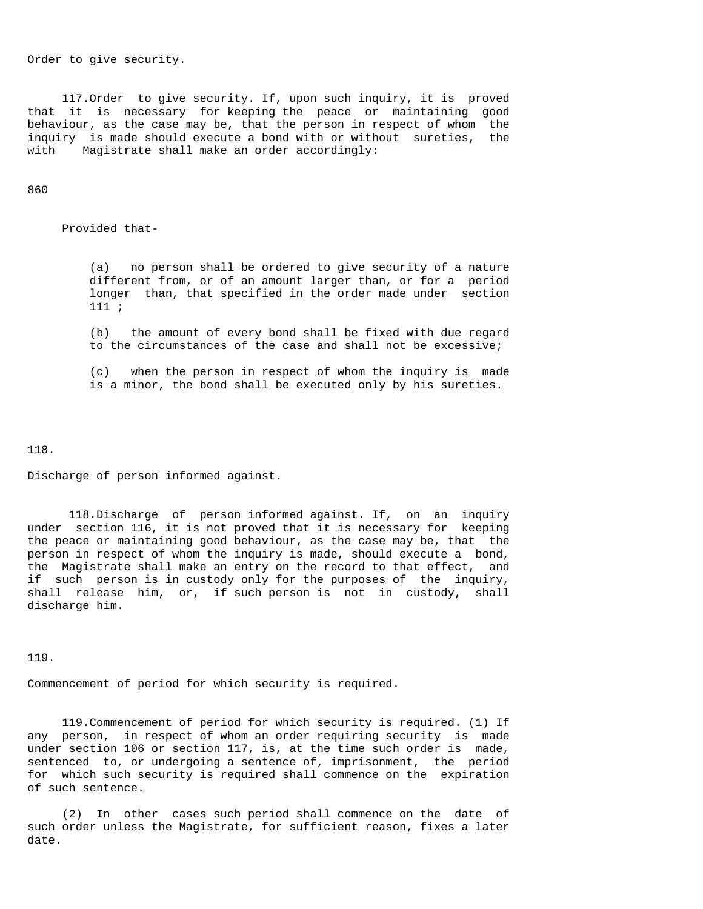Order to give security.

 117.Order to give security. If, upon such inquiry, it is proved that it is necessary for keeping the peace or maintaining good behaviour, as the case may be, that the person in respect of whom the inquiry is made should execute a bond with or without sureties, the with Magistrate shall make an order accordingly:

#### 860

Provided that-

 (a) no person shall be ordered to give security of a nature different from, or of an amount larger than, or for a period longer than, that specified in the order made under section 111 ;

 (b) the amount of every bond shall be fixed with due regard to the circumstances of the case and shall not be excessive;

 (c) when the person in respect of whom the inquiry is made is a minor, the bond shall be executed only by his sureties.

118.

Discharge of person informed against.

 118.Discharge of person informed against. If, on an inquiry under section 116, it is not proved that it is necessary for keeping the peace or maintaining good behaviour, as the case may be, that the person in respect of whom the inquiry is made, should execute a bond, the Magistrate shall make an entry on the record to that effect, and if such person is in custody only for the purposes of the inquiry, shall release him, or, if such person is not in custody, shall discharge him.

119.

Commencement of period for which security is required.

 119.Commencement of period for which security is required. (1) If any person, in respect of whom an order requiring security is made under section 106 or section 117, is, at the time such order is made, sentenced to, or undergoing a sentence of, imprisonment, the period for which such security is required shall commence on the expiration of such sentence.

 (2) In other cases such period shall commence on the date of such order unless the Magistrate, for sufficient reason, fixes a later date.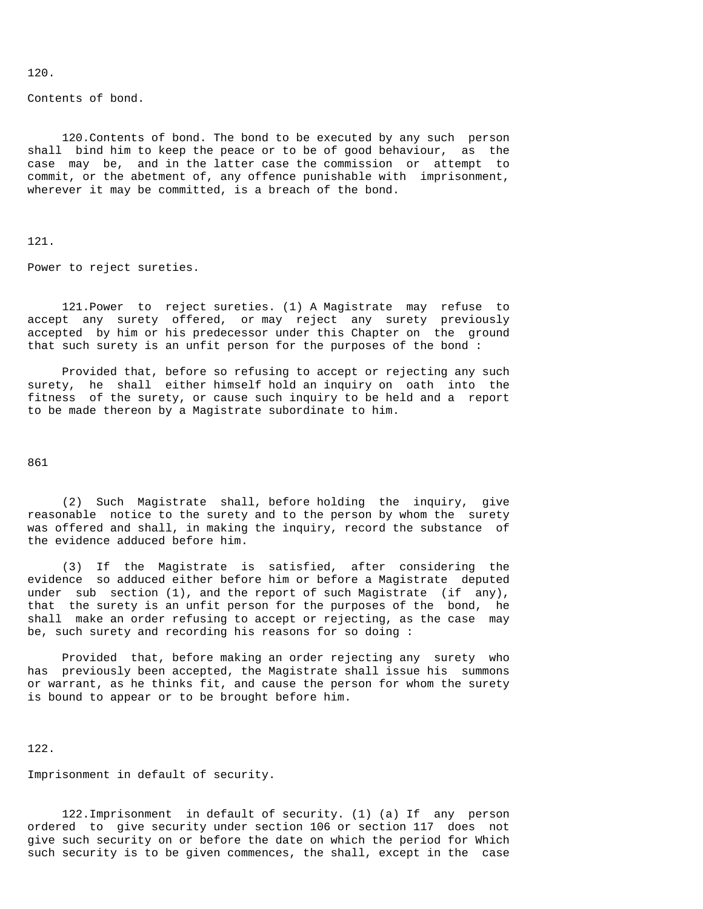120.

Contents of bond.

 120.Contents of bond. The bond to be executed by any such person shall bind him to keep the peace or to be of good behaviour, as the case may be, and in the latter case the commission or attempt to commit, or the abetment of, any offence punishable with imprisonment, wherever it may be committed, is a breach of the bond.

121.

Power to reject sureties.

 121.Power to reject sureties. (1) A Magistrate may refuse to accept any surety offered, or may reject any surety previously accepted by him or his predecessor under this Chapter on the ground that such surety is an unfit person for the purposes of the bond :

 Provided that, before so refusing to accept or rejecting any such surety, he shall either himself hold an inquiry on oath into the fitness of the surety, or cause such inquiry to be held and a report to be made thereon by a Magistrate subordinate to him.

#### 861

 (2) Such Magistrate shall, before holding the inquiry, give reasonable notice to the surety and to the person by whom the surety was offered and shall, in making the inquiry, record the substance of the evidence adduced before him.

 (3) If the Magistrate is satisfied, after considering the evidence so adduced either before him or before a Magistrate deputed under sub section (1), and the report of such Magistrate (if any), that the surety is an unfit person for the purposes of the bond, he shall make an order refusing to accept or rejecting, as the case may be, such surety and recording his reasons for so doing :

 Provided that, before making an order rejecting any surety who has previously been accepted, the Magistrate shall issue his summons or warrant, as he thinks fit, and cause the person for whom the surety is bound to appear or to be brought before him.

122.

Imprisonment in default of security.

 122.Imprisonment in default of security. (1) (a) If any person ordered to give security under section 106 or section 117 does not give such security on or before the date on which the period for Which such security is to be given commences, the shall, except in the case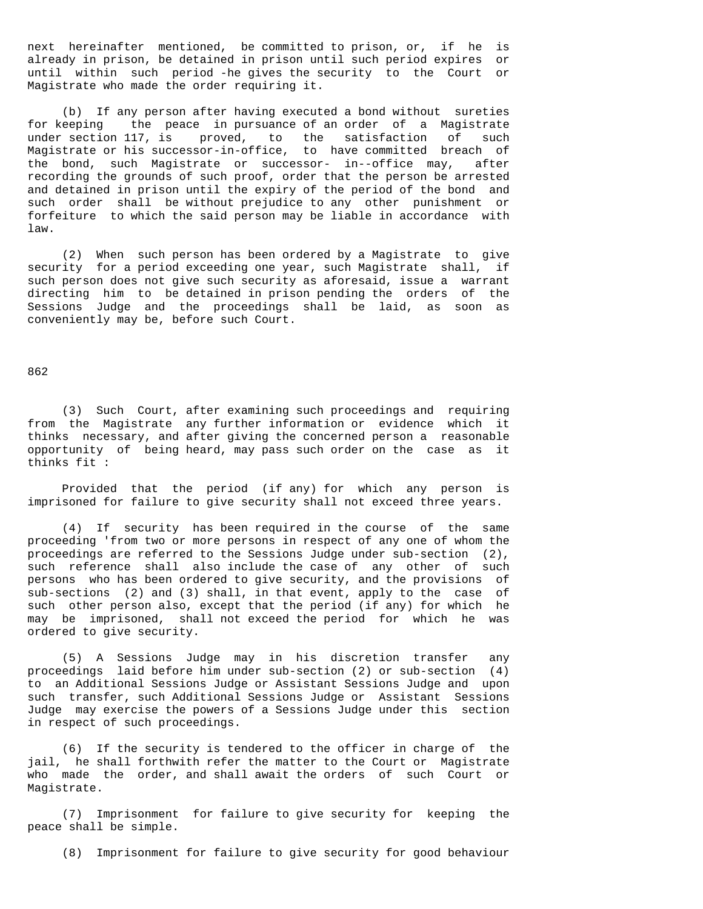next hereinafter mentioned, be committed to prison, or, if he is already in prison, be detained in prison until such period expires or until within such period -he gives the security to the Court or Magistrate who made the order requiring it.

 (b) If any person after having executed a bond without sureties for keeping the peace in pursuance of an order of a Magistrate under section 117, is proved, to the satisfaction of such Magistrate or his successor-in-office, to have committed breach of the bond, such Magistrate or successor- in--office may, after recording the grounds of such proof, order that the person be arrested and detained in prison until the expiry of the period of the bond and such order shall be without prejudice to any other punishment or forfeiture to which the said person may be liable in accordance with law.

 (2) When such person has been ordered by a Magistrate to give security for a period exceeding one year, such Magistrate shall, if such person does not give such security as aforesaid, issue a warrant directing him to be detained in prison pending the orders of the Sessions Judge and the proceedings shall be laid, as soon as conveniently may be, before such Court.

## 862

 (3) Such Court, after examining such proceedings and requiring from the Magistrate any further information or evidence which it thinks necessary, and after giving the concerned person a reasonable opportunity of being heard, may pass such order on the case as it thinks fit :

 Provided that the period (if any) for which any person is imprisoned for failure to give security shall not exceed three years.

 (4) If security has been required in the course of the same proceeding 'from two or more persons in respect of any one of whom the proceedings are referred to the Sessions Judge under sub-section (2), such reference shall also include the case of any other of such persons who has been ordered to give security, and the provisions of sub-sections (2) and (3) shall, in that event, apply to the case of such other person also, except that the period (if any) for which he may be imprisoned, shall not exceed the period for which he was ordered to give security.

 (5) A Sessions Judge may in his discretion transfer any proceedings laid before him under sub-section (2) or sub-section (4) to an Additional Sessions Judge or Assistant Sessions Judge and upon such transfer, such Additional Sessions Judge or Assistant Sessions Judge may exercise the powers of a Sessions Judge under this section in respect of such proceedings.

 (6) If the security is tendered to the officer in charge of the jail, he shall forthwith refer the matter to the Court or Magistrate who made the order, and shall await the orders of such Court or Magistrate.

 (7) Imprisonment for failure to give security for keeping the peace shall be simple.

(8) Imprisonment for failure to give security for good behaviour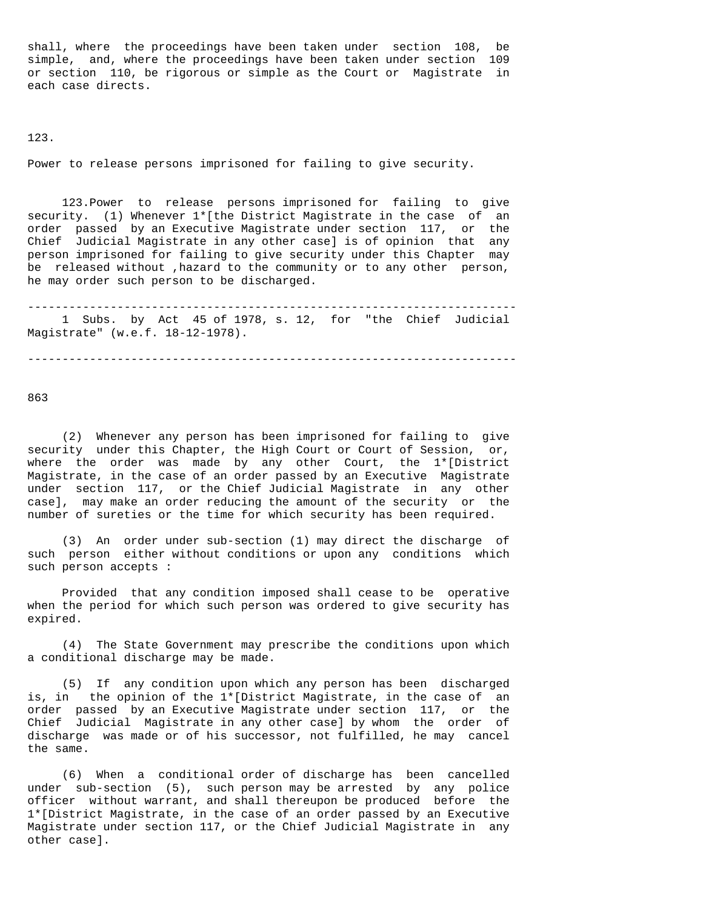shall, where the proceedings have been taken under section 108, be simple, and, where the proceedings have been taken under section 109 or section 110, be rigorous or simple as the Court or Magistrate in each case directs.

123.

Power to release persons imprisoned for failing to give security.

 123.Power to release persons imprisoned for failing to give security. (1) Whenever 1\*[the District Magistrate in the case of an order passed by an Executive Magistrate under section 117, or the Chief Judicial Magistrate in any other case] is of opinion that any person imprisoned for failing to give security under this Chapter may be released without ,hazard to the community or to any other person, he may order such person to be discharged.

 ----------------------------------------------------------------------- 1 Subs. by Act 45 of 1978, s. 12, for "the Chief Judicial Magistrate" (w.e.f. 18-12-1978).

-----------------------------------------------------------------------

863

 (2) Whenever any person has been imprisoned for failing to give security under this Chapter, the High Court or Court of Session, or, where the order was made by any other Court, the 1\*[District Magistrate, in the case of an order passed by an Executive Magistrate under section 117, or the Chief Judicial Magistrate in any other case], may make an order reducing the amount of the security or the number of sureties or the time for which security has been required.

 (3) An order under sub-section (1) may direct the discharge of such person either without conditions or upon any conditions which such person accepts :

 Provided that any condition imposed shall cease to be operative when the period for which such person was ordered to give security has expired.

 (4) The State Government may prescribe the conditions upon which a conditional discharge may be made.

 (5) If any condition upon which any person has been discharged is, in the opinion of the 1\*[District Magistrate, in the case of an order passed by an Executive Magistrate under section 117, or the Chief Judicial Magistrate in any other case] by whom the order of discharge was made or of his successor, not fulfilled, he may cancel the same.

 (6) When a conditional order of discharge has been cancelled under sub-section (5), such person may be arrested by any police officer without warrant, and shall thereupon be produced before the 1\*[District Magistrate, in the case of an order passed by an Executive Magistrate under section 117, or the Chief Judicial Magistrate in any other case].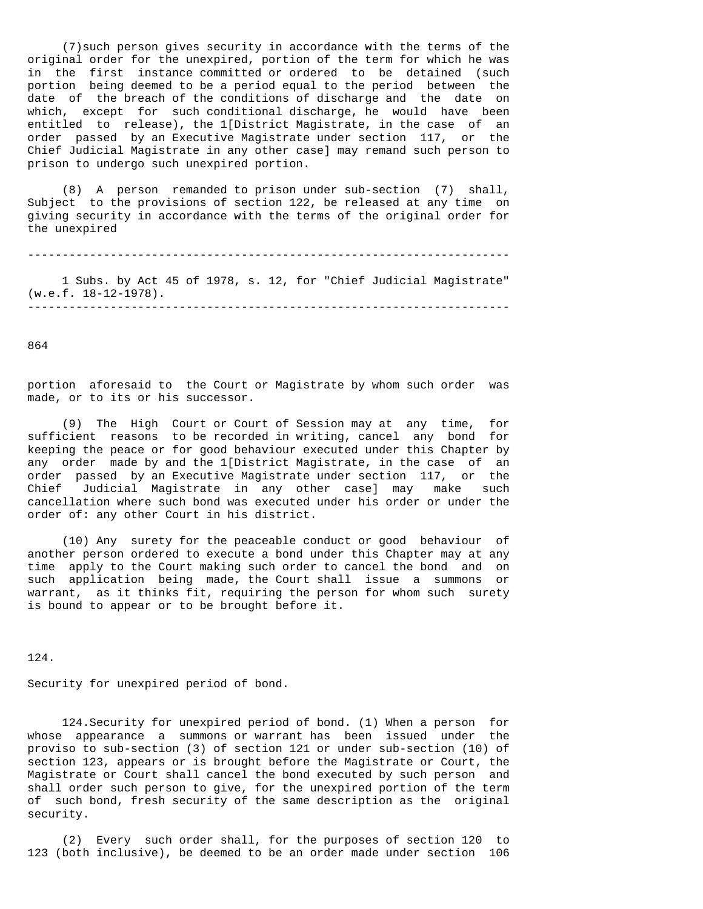(7)such person gives security in accordance with the terms of the original order for the unexpired, portion of the term for which he was in the first instance committed or ordered to be detained (such portion being deemed to be a period equal to the period between the date of the breach of the conditions of discharge and the date on which, except for such conditional discharge, he would have been entitled to release), the 1[District Magistrate, in the case of an order passed by an Executive Magistrate under section 117, or the Chief Judicial Magistrate in any other case] may remand such person to prison to undergo such unexpired portion.

 (8) A person remanded to prison under sub-section (7) shall, Subject to the provisions of section 122, be released at any time on giving security in accordance with the terms of the original order for the unexpired

----------------------------------------------------------------------

 1 Subs. by Act 45 of 1978, s. 12, for "Chief Judicial Magistrate" (w.e.f. 18-12-1978). ----------------------------------------------------------------------

864

 portion aforesaid to the Court or Magistrate by whom such order was made, or to its or his successor.

 (9) The High Court or Court of Session may at any time, for sufficient reasons to be recorded in writing, cancel any bond for keeping the peace or for good behaviour executed under this Chapter by any order made by and the 1[District Magistrate, in the case of an order passed by an Executive Magistrate under section 117, or the Chief Judicial Magistrate in any other case] may make such cancellation where such bond was executed under his order or under the order of: any other Court in his district.

 (10) Any surety for the peaceable conduct or good behaviour of another person ordered to execute a bond under this Chapter may at any time apply to the Court making such order to cancel the bond and on such application being made, the Court shall issue a summons or warrant, as it thinks fit, requiring the person for whom such surety is bound to appear or to be brought before it.

124.

Security for unexpired period of bond.

 124.Security for unexpired period of bond. (1) When a person for whose appearance a summons or warrant has been issued under the proviso to sub-section (3) of section 121 or under sub-section (10) of section 123, appears or is brought before the Magistrate or Court, the Magistrate or Court shall cancel the bond executed by such person and shall order such person to give, for the unexpired portion of the term of such bond, fresh security of the same description as the original security.

 (2) Every such order shall, for the purposes of section 120 to 123 (both inclusive), be deemed to be an order made under section 106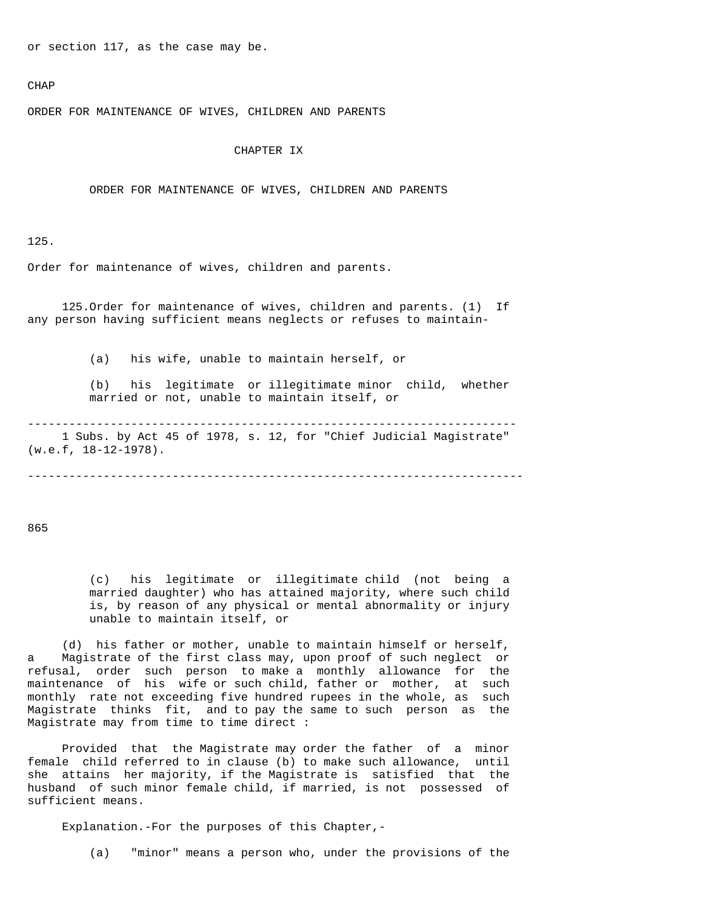or section 117, as the case may be.

# CHAP

ORDER FOR MAINTENANCE OF WIVES, CHILDREN AND PARENTS

## CHAPTER IX

#### ORDER FOR MAINTENANCE OF WIVES, CHILDREN AND PARENTS

125.

Order for maintenance of wives, children and parents.

 125.Order for maintenance of wives, children and parents. (1) If any person having sufficient means neglects or refuses to maintain-

(a) his wife, unable to maintain herself, or

 (b) his legitimate or illegitimate minor child, whether married or not, unable to maintain itself, or

 ----------------------------------------------------------------------- 1 Subs. by Act 45 of 1978, s. 12, for "Chief Judicial Magistrate" (w.e.f, 18-12-1978).

------------------------------------------------------------------------

#### 865

 (c) his legitimate or illegitimate child (not being a married daughter) who has attained majority, where such child is, by reason of any physical or mental abnormality or injury unable to maintain itself, or

 (d) his father or mother, unable to maintain himself or herself, a Magistrate of the first class may, upon proof of such neglect or refusal, order such person to make a monthly allowance for the maintenance of his wife or such child, father or mother, at such monthly rate not exceeding five hundred rupees in the whole, as such Magistrate thinks fit, and to pay the same to such person as the Magistrate may from time to time direct :

 Provided that the Magistrate may order the father of a minor female child referred to in clause (b) to make such allowance, until she attains her majority, if the Magistrate is satisfied that the husband of such minor female child, if married, is not possessed of sufficient means.

Explanation.-For the purposes of this Chapter,-

(a) "minor" means a person who, under the provisions of the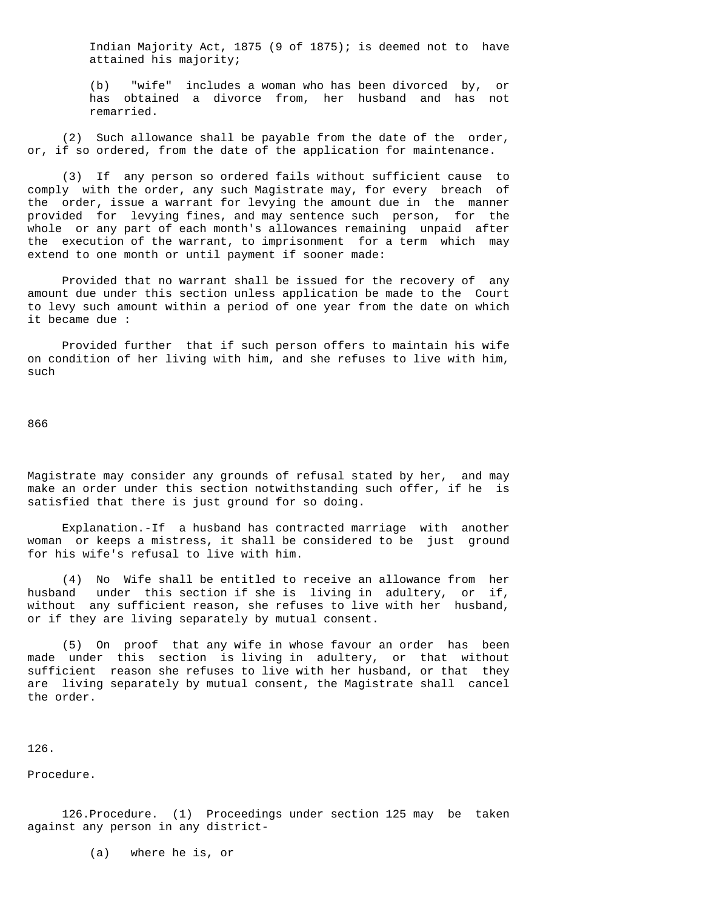Indian Majority Act, 1875 (9 of 1875); is deemed not to have attained his majority;

 (b) "wife" includes a woman who has been divorced by, or has obtained a divorce from, her husband and has not remarried.

 (2) Such allowance shall be payable from the date of the order, or, if so ordered, from the date of the application for maintenance.

 (3) If any person so ordered fails without sufficient cause to comply with the order, any such Magistrate may, for every breach of the order, issue a warrant for levying the amount due in the manner provided for levying fines, and may sentence such person, for the whole or any part of each month's allowances remaining unpaid after the execution of the warrant, to imprisonment for a term which may extend to one month or until payment if sooner made:

 Provided that no warrant shall be issued for the recovery of any amount due under this section unless application be made to the Court to levy such amount within a period of one year from the date on which it became due :

 Provided further that if such person offers to maintain his wife on condition of her living with him, and she refuses to live with him, such

866

 Magistrate may consider any grounds of refusal stated by her, and may make an order under this section notwithstanding such offer, if he is satisfied that there is just ground for so doing.

 Explanation.-If a husband has contracted marriage with another woman or keeps a mistress, it shall be considered to be just ground for his wife's refusal to live with him.

 (4) No Wife shall be entitled to receive an allowance from her husband under this section if she is living in adultery, or if, without any sufficient reason, she refuses to live with her husband, or if they are living separately by mutual consent.

 (5) On proof that any wife in whose favour an order has been made under this section is living in adultery, or that without sufficient reason she refuses to live with her husband, or that they are living separately by mutual consent, the Magistrate shall cancel the order.

126.

Procedure.

 126.Procedure. (1) Proceedings under section 125 may be taken against any person in any district-

(a) where he is, or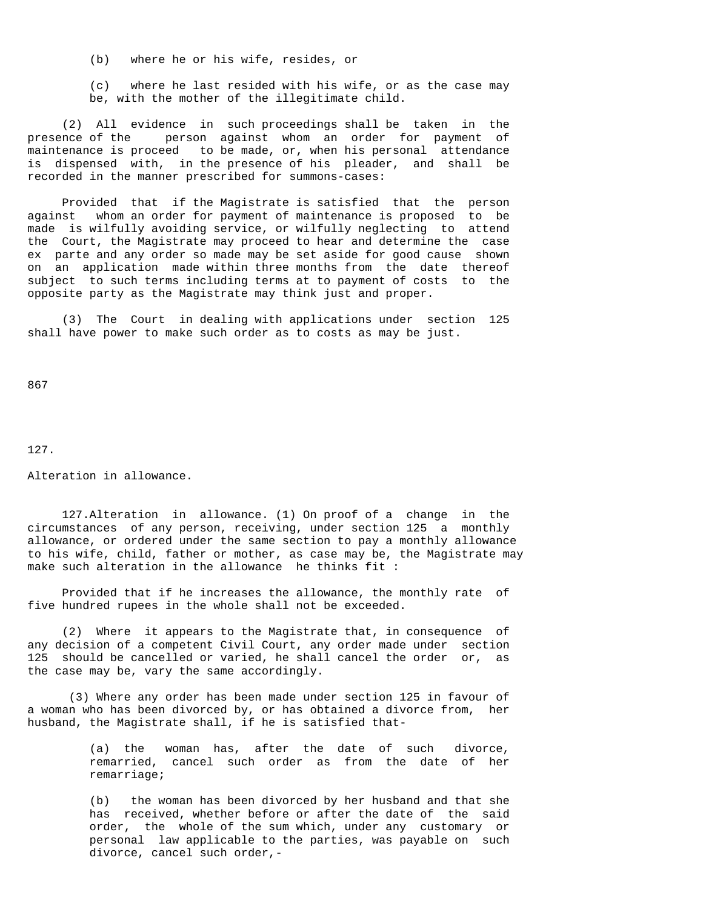(b) where he or his wife, resides, or

 (c) where he last resided with his wife, or as the case may be, with the mother of the illegitimate child.

 (2) All evidence in such proceedings shall be taken in the presence of the person against whom an order for payment of maintenance is proceed to be made, or, when his personal attendance is dispensed with, in the presence of his pleader, and shall be recorded in the manner prescribed for summons-cases:

 Provided that if the Magistrate is satisfied that the person against whom an order for payment of maintenance is proposed to be made is wilfully avoiding service, or wilfully neglecting to attend the Court, the Magistrate may proceed to hear and determine the case ex parte and any order so made may be set aside for good cause shown on an application made within three months from the date thereof subject to such terms including terms at to payment of costs to the opposite party as the Magistrate may think just and proper.

 (3) The Court in dealing with applications under section 125 shall have power to make such order as to costs as may be just.

867

127.

Alteration in allowance.

 127.Alteration in allowance. (1) On proof of a change in the circumstances of any person, receiving, under section 125 a monthly allowance, or ordered under the same section to pay a monthly allowance to his wife, child, father or mother, as case may be, the Magistrate may make such alteration in the allowance he thinks fit :

 Provided that if he increases the allowance, the monthly rate of five hundred rupees in the whole shall not be exceeded.

 (2) Where it appears to the Magistrate that, in consequence of any decision of a competent Civil Court, any order made under section 125 should be cancelled or varied, he shall cancel the order or, as the case may be, vary the same accordingly.

 (3) Where any order has been made under section 125 in favour of a woman who has been divorced by, or has obtained a divorce from, her husband, the Magistrate shall, if he is satisfied that-

> (a) the woman has, after the date of such divorce, remarried, cancel such order as from the date of her remarriage;

> (b) the woman has been divorced by her husband and that she has received, whether before or after the date of the said order, the whole of the sum which, under any customary or personal law applicable to the parties, was payable on such divorce, cancel such order,-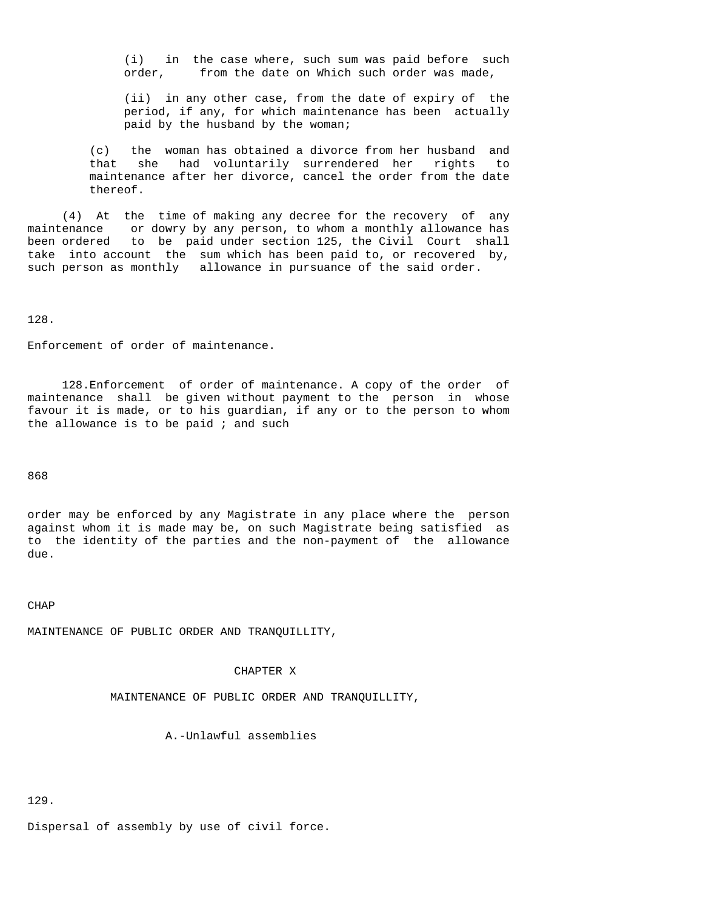(i) in the case where, such sum was paid before such order, from the date on Which such order was made,

 (ii) in any other case, from the date of expiry of the period, if any, for which maintenance has been actually paid by the husband by the woman;

 (c) the woman has obtained a divorce from her husband and that she had voluntarily surrendered her rights to maintenance after her divorce, cancel the order from the date thereof.

 (4) At the time of making any decree for the recovery of any maintenance or dowry by any person, to whom a monthly allowance has been ordered to be paid under section 125, the Civil Court shall take into account the sum which has been paid to, or recovered by, such person as monthly allowance in pursuance of the said order.

128.

Enforcement of order of maintenance.

 128.Enforcement of order of maintenance. A copy of the order of maintenance shall be given without payment to the person in whose favour it is made, or to his guardian, if any or to the person to whom the allowance is to be paid  $i$  and such

868

 order may be enforced by any Magistrate in any place where the person against whom it is made may be, on such Magistrate being satisfied as to the identity of the parties and the non-payment of the allowance due.

CHAP

MAINTENANCE OF PUBLIC ORDER AND TRANQUILLITY,

CHAPTER X

MAINTENANCE OF PUBLIC ORDER AND TRANQUILLITY,

A.-Unlawful assemblies

129.

Dispersal of assembly by use of civil force.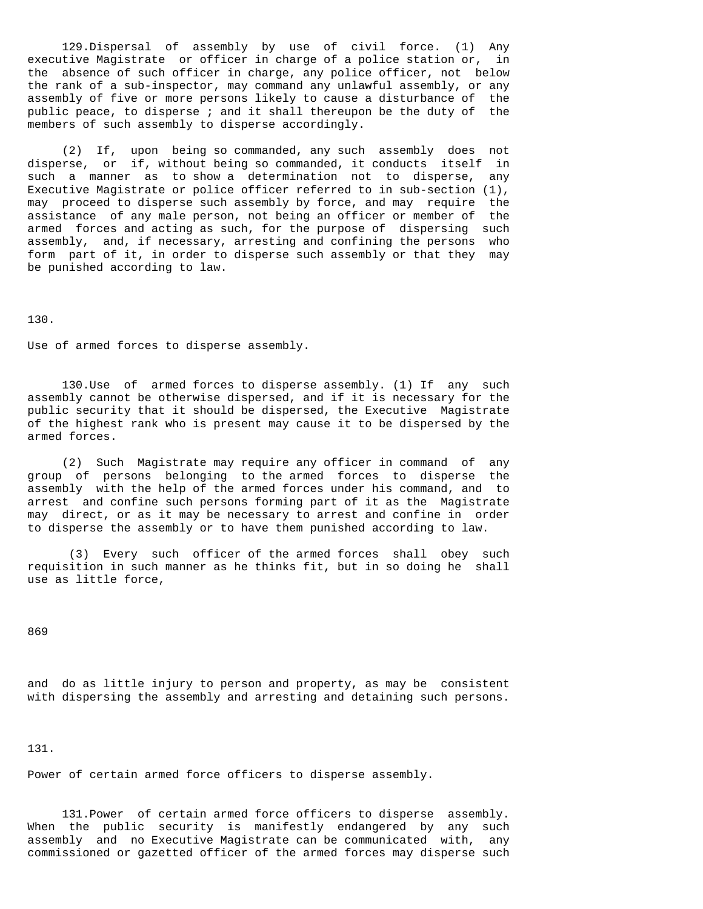129.Dispersal of assembly by use of civil force. (1) Any executive Magistrate or officer in charge of a police station or, in the absence of such officer in charge, any police officer, not below the rank of a sub-inspector, may command any unlawful assembly, or any assembly of five or more persons likely to cause a disturbance of the public peace, to disperse ; and it shall thereupon be the duty of the members of such assembly to disperse accordingly.

 (2) If, upon being so commanded, any such assembly does not disperse, or if, without being so commanded, it conducts itself in such a manner as to show a determination not to disperse, any Executive Magistrate or police officer referred to in sub-section (1), may proceed to disperse such assembly by force, and may require the assistance of any male person, not being an officer or member of the armed forces and acting as such, for the purpose of dispersing such assembly, and, if necessary, arresting and confining the persons who form part of it, in order to disperse such assembly or that they may be punished according to law.

130.

Use of armed forces to disperse assembly.

 130.Use of armed forces to disperse assembly. (1) If any such assembly cannot be otherwise dispersed, and if it is necessary for the public security that it should be dispersed, the Executive Magistrate of the highest rank who is present may cause it to be dispersed by the armed forces.

 (2) Such Magistrate may require any officer in command of any group of persons belonging to the armed forces to disperse the assembly with the help of the armed forces under his command, and to arrest and confine such persons forming part of it as the Magistrate may direct, or as it may be necessary to arrest and confine in order to disperse the assembly or to have them punished according to law.

 (3) Every such officer of the armed forces shall obey such requisition in such manner as he thinks fit, but in so doing he shall use as little force,

869

 and do as little injury to person and property, as may be consistent with dispersing the assembly and arresting and detaining such persons.

131.

Power of certain armed force officers to disperse assembly.

 131.Power of certain armed force officers to disperse assembly. When the public security is manifestly endangered by any such assembly and no Executive Magistrate can be communicated with, any commissioned or gazetted officer of the armed forces may disperse such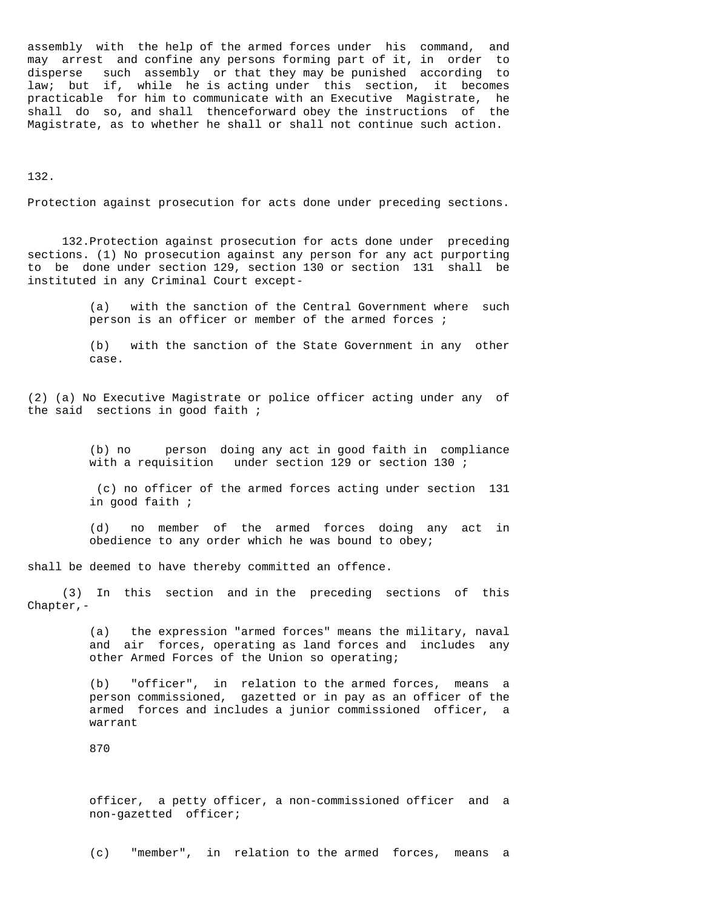assembly with the help of the armed forces under his command, and may arrest and confine any persons forming part of it, in order to disperse such assembly or that they may be punished according to law; but if, while he is acting under this section, it becomes practicable for him to communicate with an Executive Magistrate, he shall do so, and shall thenceforward obey the instructions of the Magistrate, as to whether he shall or shall not continue such action.

132.

Protection against prosecution for acts done under preceding sections.

 132.Protection against prosecution for acts done under preceding sections. (1) No prosecution against any person for any act purporting to be done under section 129, section 130 or section 131 shall be instituted in any Criminal Court except-

> (a) with the sanction of the Central Government where such person is an officer or member of the armed forces ;

> (b) with the sanction of the State Government in any other case.

 (2) (a) No Executive Magistrate or police officer acting under any of the said sections in good faith ;

> (b) no person doing any act in good faith in compliance with a requisition under section 129 or section 130 ;

> (c) no officer of the armed forces acting under section 131 in good faith ;

> (d) no member of the armed forces doing any act in obedience to any order which he was bound to obey;

shall be deemed to have thereby committed an offence.

 (3) In this section and in the preceding sections of this Chapter,-

> (a) the expression "armed forces" means the military, naval and air forces, operating as land forces and includes any other Armed Forces of the Union so operating;

> (b) "officer", in relation to the armed forces, means a person commissioned, gazetted or in pay as an officer of the armed forces and includes a junior commissioned officer, a warrant

870

 officer, a petty officer, a non-commissioned officer and a non-gazetted officer;

(c) "member", in relation to the armed forces, means a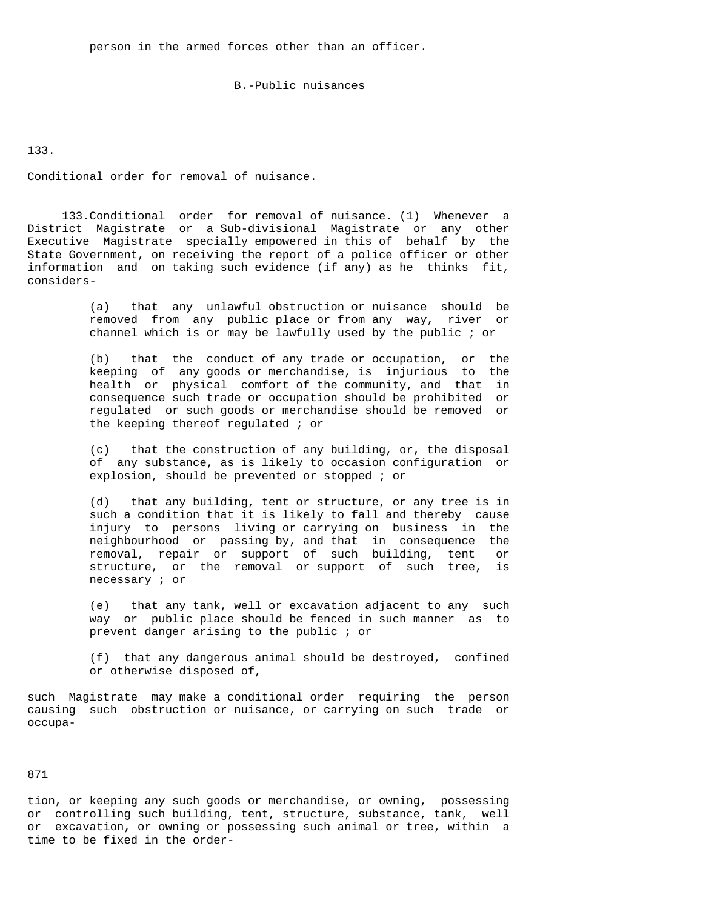person in the armed forces other than an officer.

B.-Public nuisances

133.

Conditional order for removal of nuisance.

 133.Conditional order for removal of nuisance. (1) Whenever a District Magistrate or a Sub-divisional Magistrate or any other Executive Magistrate specially empowered in this of behalf by the State Government, on receiving the report of a police officer or other information and on taking such evidence (if any) as he thinks fit, considers-

> (a) that any unlawful obstruction or nuisance should be removed from any public place or from any way, river or channel which is or may be lawfully used by the public ; or

> (b) that the conduct of any trade or occupation, or the keeping of any goods or merchandise, is injurious to the health or physical comfort of the community, and that in consequence such trade or occupation should be prohibited or regulated or such goods or merchandise should be removed or the keeping thereof regulated ; or

> (c) that the construction of any building, or, the disposal of any substance, as is likely to occasion configuration or explosion, should be prevented or stopped ; or

> (d) that any building, tent or structure, or any tree is in such a condition that it is likely to fall and thereby cause injury to persons living or carrying on business in the neighbourhood or passing by, and that in consequence the removal, repair or support of such building, tent or structure, or the removal or support of such tree, is necessary ; or

> (e) that any tank, well or excavation adjacent to any such way or public place should be fenced in such manner as to prevent danger arising to the public ; or

> (f) that any dangerous animal should be destroyed, confined or otherwise disposed of,

 such Magistrate may make a conditional order requiring the person causing such obstruction or nuisance, or carrying on such trade or occupa-

## 871

 tion, or keeping any such goods or merchandise, or owning, possessing or controlling such building, tent, structure, substance, tank, well or excavation, or owning or possessing such animal or tree, within a time to be fixed in the order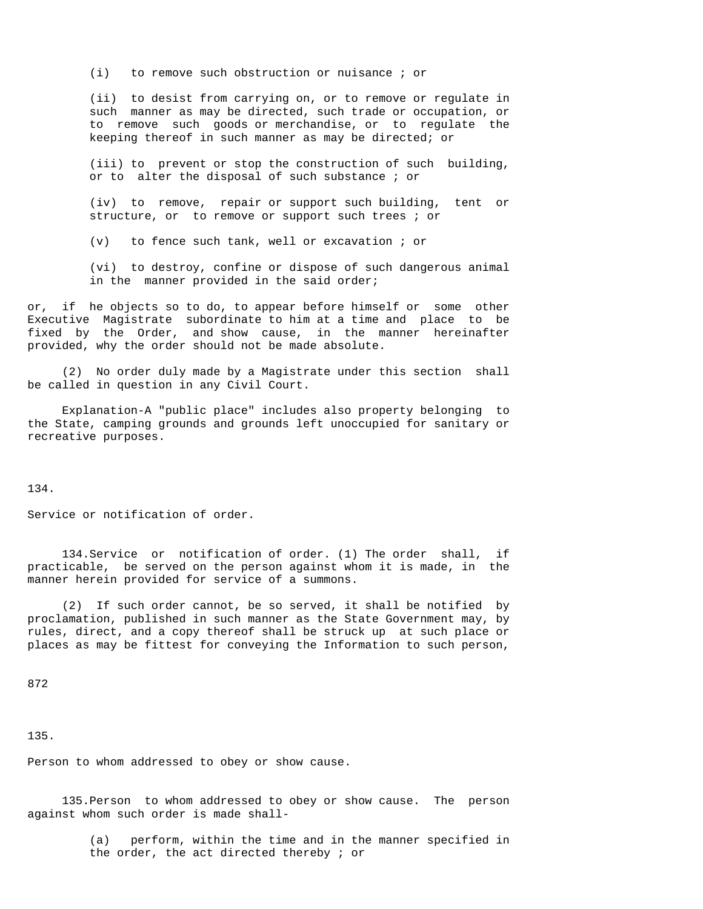(i) to remove such obstruction or nuisance ; or

 (ii) to desist from carrying on, or to remove or regulate in such manner as may be directed, such trade or occupation, or to remove such goods or merchandise, or to regulate the keeping thereof in such manner as may be directed; or

 (iii) to prevent or stop the construction of such building, or to alter the disposal of such substance ; or

 (iv) to remove, repair or support such building, tent or structure, or to remove or support such trees ; or

(v) to fence such tank, well or excavation ; or

 (vi) to destroy, confine or dispose of such dangerous animal in the manner provided in the said order;

 or, if he objects so to do, to appear before himself or some other Executive Magistrate subordinate to him at a time and place to be fixed by the Order, and show cause, in the manner hereinafter provided, why the order should not be made absolute.

 (2) No order duly made by a Magistrate under this section shall be called in question in any Civil Court.

 Explanation-A "public place" includes also property belonging to the State, camping grounds and grounds left unoccupied for sanitary or recreative purposes.

134.

Service or notification of order.

 134.Service or notification of order. (1) The order shall, if practicable, be served on the person against whom it is made, in the manner herein provided for service of a summons.

 (2) If such order cannot, be so served, it shall be notified by proclamation, published in such manner as the State Government may, by rules, direct, and a copy thereof shall be struck up at such place or places as may be fittest for conveying the Information to such person,

872

135.

Person to whom addressed to obey or show cause.

 135.Person to whom addressed to obey or show cause. The person against whom such order is made shall-

> (a) perform, within the time and in the manner specified in the order, the act directed thereby ; or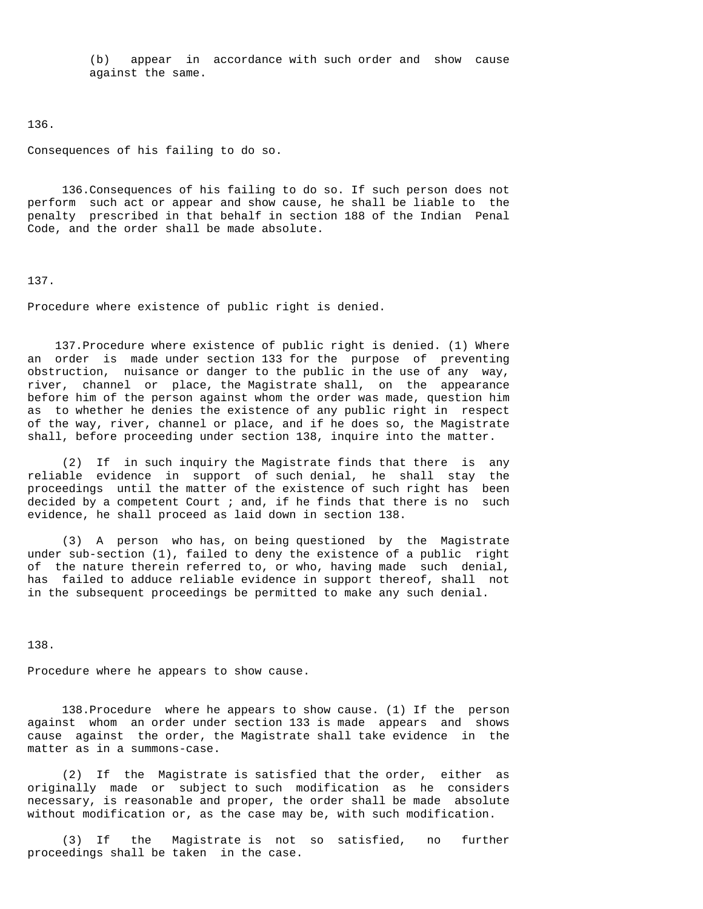(b) appear in accordance with such order and show cause against the same.

136.

Consequences of his failing to do so.

 136.Consequences of his failing to do so. If such person does not perform such act or appear and show cause, he shall be liable to the penalty prescribed in that behalf in section 188 of the Indian Penal Code, and the order shall be made absolute.

137.

Procedure where existence of public right is denied.

 137.Procedure where existence of public right is denied. (1) Where an order is made under section 133 for the purpose of preventing obstruction, nuisance or danger to the public in the use of any way, river, channel or place, the Magistrate shall, on the appearance before him of the person against whom the order was made, question him as to whether he denies the existence of any public right in respect of the way, river, channel or place, and if he does so, the Magistrate shall, before proceeding under section 138, inquire into the matter.

 (2) If in such inquiry the Magistrate finds that there is any reliable evidence in support of such denial, he shall stay the proceedings until the matter of the existence of such right has been decided by a competent Court ; and, if he finds that there is no such evidence, he shall proceed as laid down in section 138.

 (3) A person who has, on being questioned by the Magistrate under sub-section (1), failed to deny the existence of a public right of the nature therein referred to, or who, having made such denial, has failed to adduce reliable evidence in support thereof, shall not in the subsequent proceedings be permitted to make any such denial.

138.

Procedure where he appears to show cause.

 138.Procedure where he appears to show cause. (1) If the person against whom an order under section 133 is made appears and shows cause against the order, the Magistrate shall take evidence in the matter as in a summons-case.

 (2) If the Magistrate is satisfied that the order, either as originally made or subject to such modification as he considers necessary, is reasonable and proper, the order shall be made absolute without modification or, as the case may be, with such modification.

 (3) If the Magistrate is not so satisfied, no further proceedings shall be taken in the case.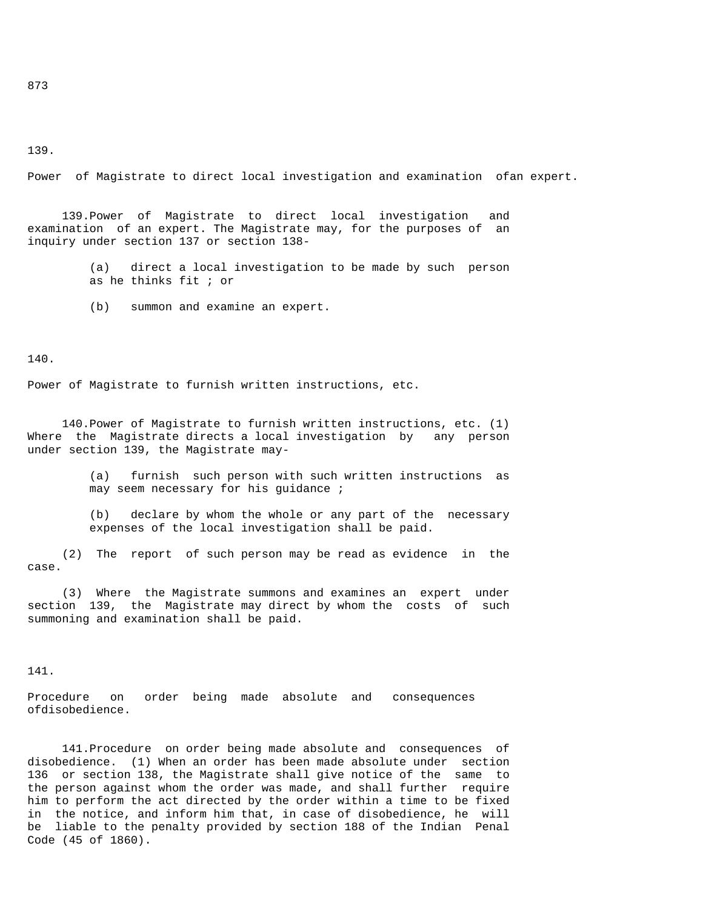139.

Power of Magistrate to direct local investigation and examination ofan expert.

 139.Power of Magistrate to direct local investigation and examination of an expert. The Magistrate may, for the purposes of an inquiry under section 137 or section 138-

> (a) direct a local investigation to be made by such person as he thinks fit ; or

(b) summon and examine an expert.

# 140.

Power of Magistrate to furnish written instructions, etc.

 140.Power of Magistrate to furnish written instructions, etc. (1) Where the Magistrate directs a local investigation by any person under section 139, the Magistrate may-

> (a) furnish such person with such written instructions as may seem necessary for his guidance ;

> (b) declare by whom the whole or any part of the necessary expenses of the local investigation shall be paid.

 (2) The report of such person may be read as evidence in the case.

 (3) Where the Magistrate summons and examines an expert under section 139, the Magistrate may direct by whom the costs of such summoning and examination shall be paid.

141.

 Procedure on order being made absolute and consequences ofdisobedience.

 141.Procedure on order being made absolute and consequences of disobedience. (1) When an order has been made absolute under section 136 or section 138, the Magistrate shall give notice of the same to the person against whom the order was made, and shall further require him to perform the act directed by the order within a time to be fixed in the notice, and inform him that, in case of disobedience, he will be liable to the penalty provided by section 188 of the Indian Penal Code (45 of 1860).

873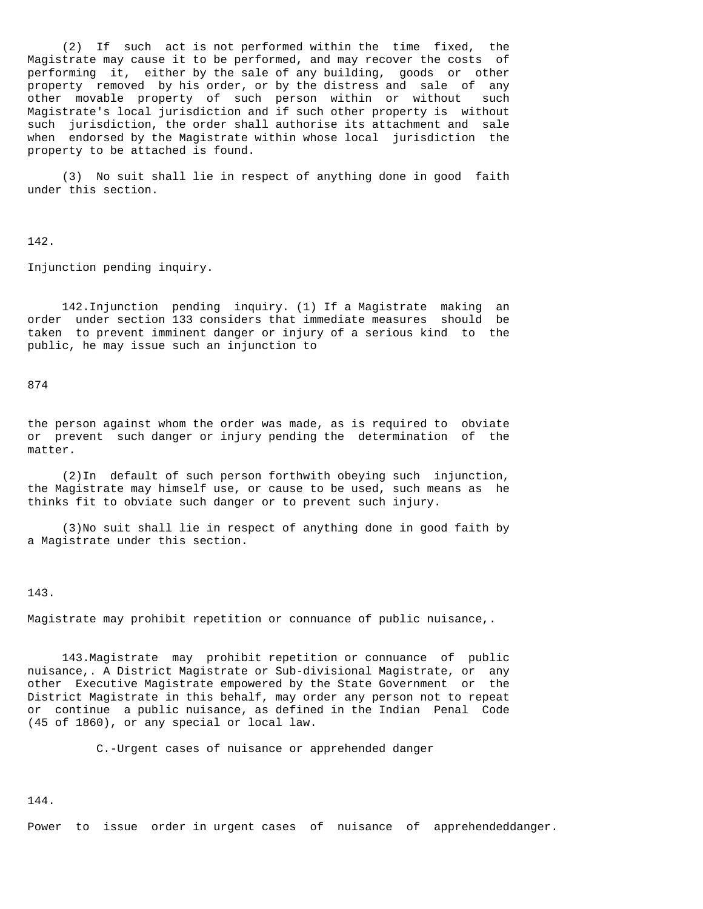(2) If such act is not performed within the time fixed, the Magistrate may cause it to be performed, and may recover the costs of performing it, either by the sale of any building, goods or other property removed by his order, or by the distress and sale of any other movable property of such person within or without such Magistrate's local jurisdiction and if such other property is without such jurisdiction, the order shall authorise its attachment and sale when endorsed by the Magistrate within whose local jurisdiction the property to be attached is found.

 (3) No suit shall lie in respect of anything done in good faith under this section.

142.

Injunction pending inquiry.

 142.Injunction pending inquiry. (1) If a Magistrate making an order under section 133 considers that immediate measures should be taken to prevent imminent danger or injury of a serious kind to the public, he may issue such an injunction to

874

 the person against whom the order was made, as is required to obviate or prevent such danger or injury pending the determination of the matter.

 (2)In default of such person forthwith obeying such injunction, the Magistrate may himself use, or cause to be used, such means as he thinks fit to obviate such danger or to prevent such injury.

 (3)No suit shall lie in respect of anything done in good faith by a Magistrate under this section.

143.

Magistrate may prohibit repetition or connuance of public nuisance,.

 143.Magistrate may prohibit repetition or connuance of public nuisance,. A District Magistrate or Sub-divisional Magistrate, or any other Executive Magistrate empowered by the State Government or the District Magistrate in this behalf, may order any person not to repeat or continue a public nuisance, as defined in the Indian Penal Code (45 of 1860), or any special or local law.

C.-Urgent cases of nuisance or apprehended danger

144.

Power to issue order in urgent cases of nuisance of apprehendeddanger.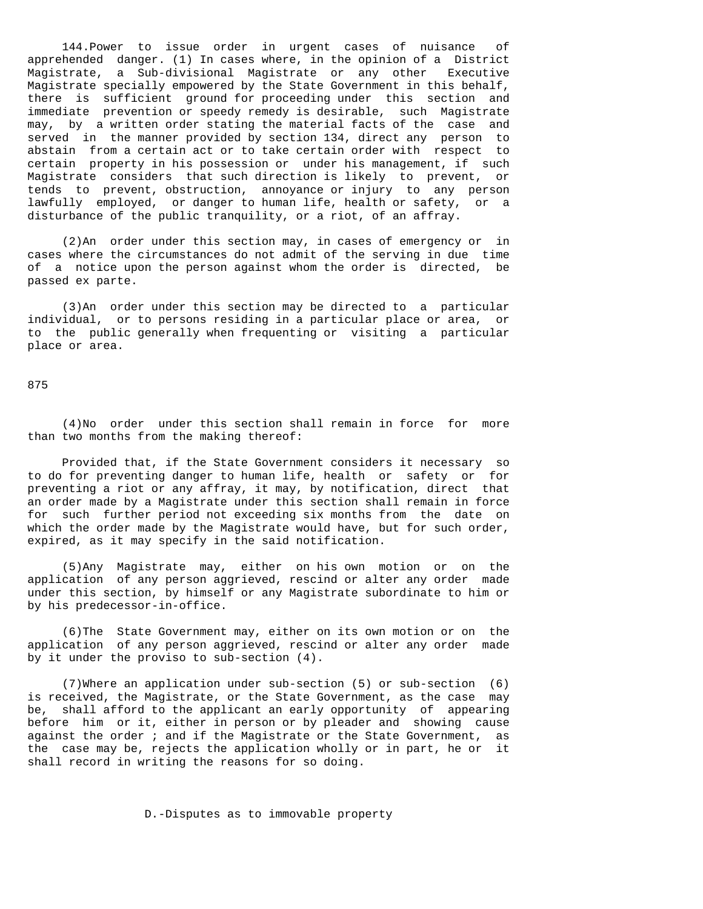144.Power to issue order in urgent cases of nuisance of apprehended danger. (1) In cases where, in the opinion of a District Magistrate, a Sub-divisional Magistrate or any other Executive Magistrate specially empowered by the State Government in this behalf, there is sufficient ground for proceeding under this section and immediate prevention or speedy remedy is desirable, such Magistrate may, by a written order stating the material facts of the case and served in the manner provided by section 134, direct any person to abstain from a certain act or to take certain order with respect to certain property in his possession or under his management, if such Magistrate considers that such direction is likely to prevent, or tends to prevent, obstruction, annoyance or injury to any person lawfully employed, or danger to human life, health or safety, or a disturbance of the public tranquility, or a riot, of an affray.

 (2)An order under this section may, in cases of emergency or in cases where the circumstances do not admit of the serving in due time of a notice upon the person against whom the order is directed, be passed ex parte.

 (3)An order under this section may be directed to a particular individual, or to persons residing in a particular place or area, or to the public generally when frequenting or visiting a particular place or area.

#### 875

 (4)No order under this section shall remain in force for more than two months from the making thereof:

 Provided that, if the State Government considers it necessary so to do for preventing danger to human life, health or safety or for preventing a riot or any affray, it may, by notification, direct that an order made by a Magistrate under this section shall remain in force for such further period not exceeding six months from the date on which the order made by the Magistrate would have, but for such order, expired, as it may specify in the said notification.

 (5)Any Magistrate may, either on his own motion or on the application of any person aggrieved, rescind or alter any order made under this section, by himself or any Magistrate subordinate to him or by his predecessor-in-office.

 (6)The State Government may, either on its own motion or on the application of any person aggrieved, rescind or alter any order made by it under the proviso to sub-section (4).

 (7)Where an application under sub-section (5) or sub-section (6) is received, the Magistrate, or the State Government, as the case may be, shall afford to the applicant an early opportunity of appearing before him or it, either in person or by pleader and showing cause against the order ; and if the Magistrate or the State Government, as the case may be, rejects the application wholly or in part, he or it shall record in writing the reasons for so doing.

D.-Disputes as to immovable property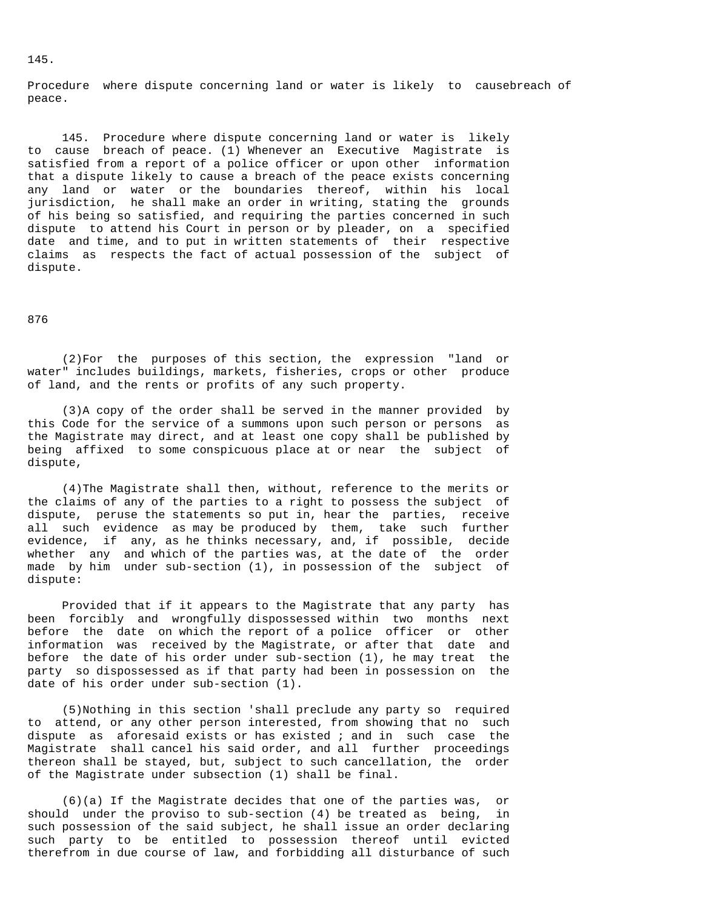Procedure where dispute concerning land or water is likely to causebreach of peace.

 145. Procedure where dispute concerning land or water is likely to cause breach of peace. (1) Whenever an Executive Magistrate is satisfied from a report of a police officer or upon other information that a dispute likely to cause a breach of the peace exists concerning any land or water or the boundaries thereof, within his local jurisdiction, he shall make an order in writing, stating the grounds of his being so satisfied, and requiring the parties concerned in such dispute to attend his Court in person or by pleader, on a specified date and time, and to put in written statements of their respective claims as respects the fact of actual possession of the subject of dispute.

876

 (2)For the purposes of this section, the expression "land or water" includes buildings, markets, fisheries, crops or other produce of land, and the rents or profits of any such property.

 (3)A copy of the order shall be served in the manner provided by this Code for the service of a summons upon such person or persons as the Magistrate may direct, and at least one copy shall be published by being affixed to some conspicuous place at or near the subject of dispute,

 (4)The Magistrate shall then, without, reference to the merits or the claims of any of the parties to a right to possess the subject of dispute, peruse the statements so put in, hear the parties, receive all such evidence as may be produced by them, take such further evidence, if any, as he thinks necessary, and, if possible, decide whether any and which of the parties was, at the date of the order made by him under sub-section (1), in possession of the subject of dispute:

 Provided that if it appears to the Magistrate that any party has been forcibly and wrongfully dispossessed within two months next before the date on which the report of a police officer or other information was received by the Magistrate, or after that date and before the date of his order under sub-section (1), he may treat the party so dispossessed as if that party had been in possession on the date of his order under sub-section (1).

 (5)Nothing in this section 'shall preclude any party so required to attend, or any other person interested, from showing that no such dispute as aforesaid exists or has existed ; and in such case the Magistrate shall cancel his said order, and all further proceedings thereon shall be stayed, but, subject to such cancellation, the order of the Magistrate under subsection (1) shall be final.

 (6)(a) If the Magistrate decides that one of the parties was, or should under the proviso to sub-section (4) be treated as being, in such possession of the said subject, he shall issue an order declaring such party to be entitled to possession thereof until evicted therefrom in due course of law, and forbidding all disturbance of such

145.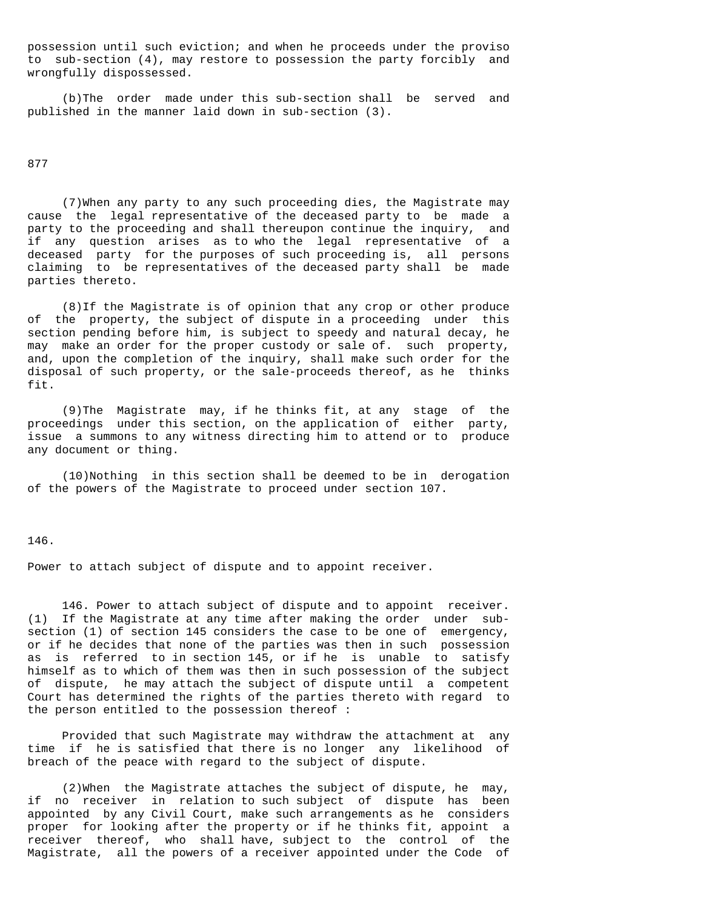possession until such eviction; and when he proceeds under the proviso to sub-section (4), may restore to possession the party forcibly and wrongfully dispossessed.

 (b)The order made under this sub-section shall be served and published in the manner laid down in sub-section (3).

877

 (7)When any party to any such proceeding dies, the Magistrate may cause the legal representative of the deceased party to be made a party to the proceeding and shall thereupon continue the inquiry, and if any question arises as to who the legal representative of a deceased party for the purposes of such proceeding is, all persons claiming to be representatives of the deceased party shall be made parties thereto.

 (8)If the Magistrate is of opinion that any crop or other produce of the property, the subject of dispute in a proceeding under this section pending before him, is subject to speedy and natural decay, he may make an order for the proper custody or sale of. such property, and, upon the completion of the inquiry, shall make such order for the disposal of such property, or the sale-proceeds thereof, as he thinks fit.

 (9)The Magistrate may, if he thinks fit, at any stage of the proceedings under this section, on the application of either party, issue a summons to any witness directing him to attend or to produce any document or thing.

 (10)Nothing in this section shall be deemed to be in derogation of the powers of the Magistrate to proceed under section 107.

146.

Power to attach subject of dispute and to appoint receiver.

 146. Power to attach subject of dispute and to appoint receiver. (1) If the Magistrate at any time after making the order under sub section (1) of section 145 considers the case to be one of emergency, or if he decides that none of the parties was then in such possession as is referred to in section 145, or if he is unable to satisfy himself as to which of them was then in such possession of the subject of dispute, he may attach the subject of dispute until a competent Court has determined the rights of the parties thereto with regard to the person entitled to the possession thereof :

 Provided that such Magistrate may withdraw the attachment at any time if he is satisfied that there is no longer any likelihood of breach of the peace with regard to the subject of dispute.

 (2)When the Magistrate attaches the subject of dispute, he may, if no receiver in relation to such subject of dispute has been appointed by any Civil Court, make such arrangements as he considers proper for looking after the property or if he thinks fit, appoint a receiver thereof, who shall have, subject to the control of the Magistrate, all the powers of a receiver appointed under the Code of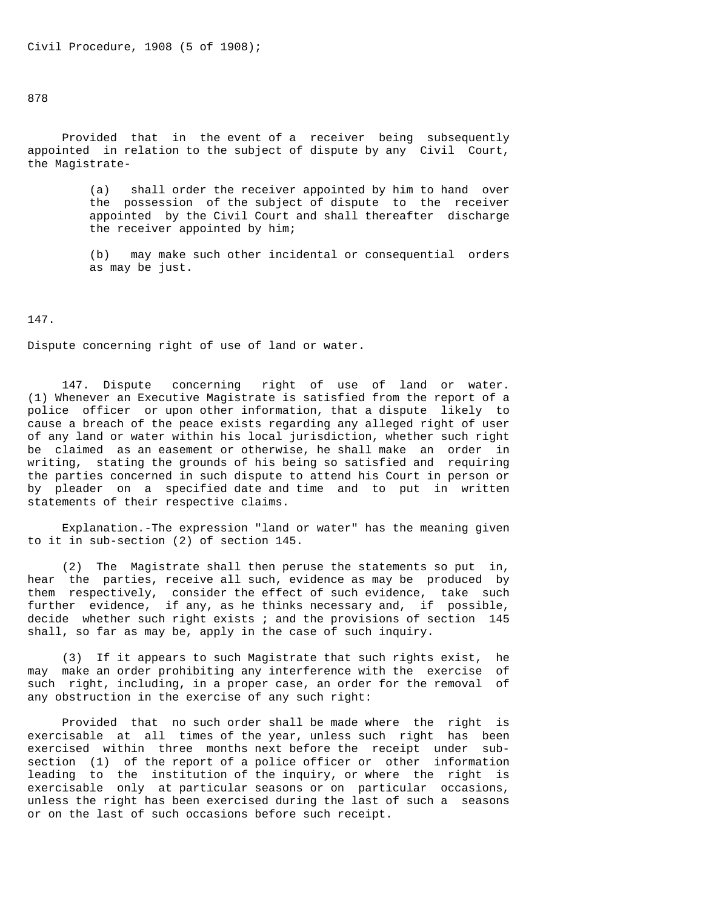#### 878

 Provided that in the event of a receiver being subsequently appointed in relation to the subject of dispute by any Civil Court, the Magistrate-

> (a) shall order the receiver appointed by him to hand over the possession of the subject of dispute to the receiver appointed by the Civil Court and shall thereafter discharge the receiver appointed by him;

> (b) may make such other incidental or consequential orders as may be just.

147.

Dispute concerning right of use of land or water.

 147. Dispute concerning right of use of land or water. (1) Whenever an Executive Magistrate is satisfied from the report of a police officer or upon other information, that a dispute likely to cause a breach of the peace exists regarding any alleged right of user of any land or water within his local jurisdiction, whether such right be claimed as an easement or otherwise, he shall make an order in writing, stating the grounds of his being so satisfied and requiring the parties concerned in such dispute to attend his Court in person or by pleader on a specified date and time and to put in written statements of their respective claims.

 Explanation.-The expression "land or water" has the meaning given to it in sub-section (2) of section 145.

 (2) The Magistrate shall then peruse the statements so put in, hear the parties, receive all such, evidence as may be produced by them respectively, consider the effect of such evidence, take such further evidence, if any, as he thinks necessary and, if possible, decide whether such right exists  $i$  and the provisions of section 145 shall, so far as may be, apply in the case of such inquiry.

 (3) If it appears to such Magistrate that such rights exist, he may make an order prohibiting any interference with the exercise of such right, including, in a proper case, an order for the removal of any obstruction in the exercise of any such right:

 Provided that no such order shall be made where the right is exercisable at all times of the year, unless such right has been exercised within three months next before the receipt under sub section (1) of the report of a police officer or other information leading to the institution of the inquiry, or where the right is exercisable only at particular seasons or on particular occasions, unless the right has been exercised during the last of such a seasons or on the last of such occasions before such receipt.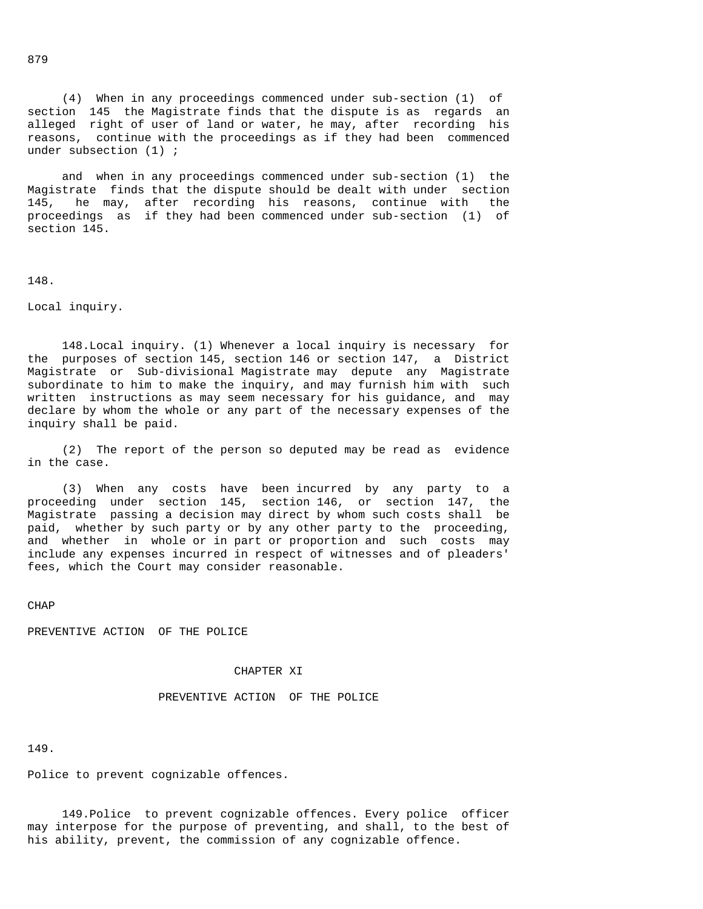(4) When in any proceedings commenced under sub-section (1) of section 145 the Magistrate finds that the dispute is as regards an alleged right of user of land or water, he may, after recording his reasons, continue with the proceedings as if they had been commenced under subsection (1) ;

 and when in any proceedings commenced under sub-section (1) the Magistrate finds that the dispute should be dealt with under section 145, he may, after recording his reasons, continue with the proceedings as if they had been commenced under sub-section (1) of section 145.

#### 148.

Local inquiry.

 148.Local inquiry. (1) Whenever a local inquiry is necessary for the purposes of section 145, section 146 or section 147, a District Magistrate or Sub-divisional Magistrate may depute any Magistrate subordinate to him to make the inquiry, and may furnish him with such written instructions as may seem necessary for his guidance, and may declare by whom the whole or any part of the necessary expenses of the inquiry shall be paid.

 (2) The report of the person so deputed may be read as evidence in the case.

 (3) When any costs have been incurred by any party to a proceeding under section 145, section 146, or section 147, the Magistrate passing a decision may direct by whom such costs shall be paid, whether by such party or by any other party to the proceeding, and whether in whole or in part or proportion and such costs may include any expenses incurred in respect of witnesses and of pleaders' fees, which the Court may consider reasonable.

CHAP

PREVENTIVE ACTION OF THE POLICE

### CHAPTER XI

#### PREVENTIVE ACTION OF THE POLICE

149.

Police to prevent cognizable offences.

 149.Police to prevent cognizable offences. Every police officer may interpose for the purpose of preventing, and shall, to the best of his ability, prevent, the commission of any cognizable offence.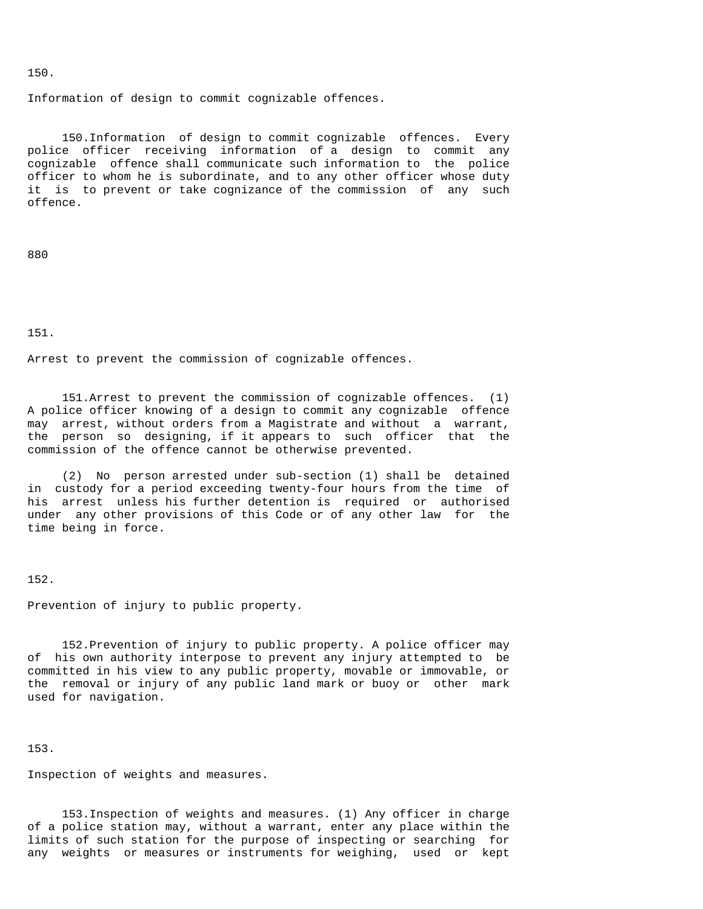Information of design to commit cognizable offences.

 150.Information of design to commit cognizable offences. Every police officer receiving information of a design to commit any cognizable offence shall communicate such information to the police officer to whom he is subordinate, and to any other officer whose duty it is to prevent or take cognizance of the commission of any such offence.

880

151.

Arrest to prevent the commission of cognizable offences.

 151.Arrest to prevent the commission of cognizable offences. (1) A police officer knowing of a design to commit any cognizable offence may arrest, without orders from a Magistrate and without a warrant, the person so designing, if it appears to such officer that the commission of the offence cannot be otherwise prevented.

 (2) No person arrested under sub-section (1) shall be detained in custody for a period exceeding twenty-four hours from the time of his arrest unless his further detention is required or authorised under any other provisions of this Code or of any other law for the time being in force.

152.

Prevention of injury to public property.

 152.Prevention of injury to public property. A police officer may of his own authority interpose to prevent any injury attempted to be committed in his view to any public property, movable or immovable, or the removal or injury of any public land mark or buoy or other mark used for navigation.

153.

Inspection of weights and measures.

 153.Inspection of weights and measures. (1) Any officer in charge of a police station may, without a warrant, enter any place within the limits of such station for the purpose of inspecting or searching for any weights or measures or instruments for weighing, used or kept

150.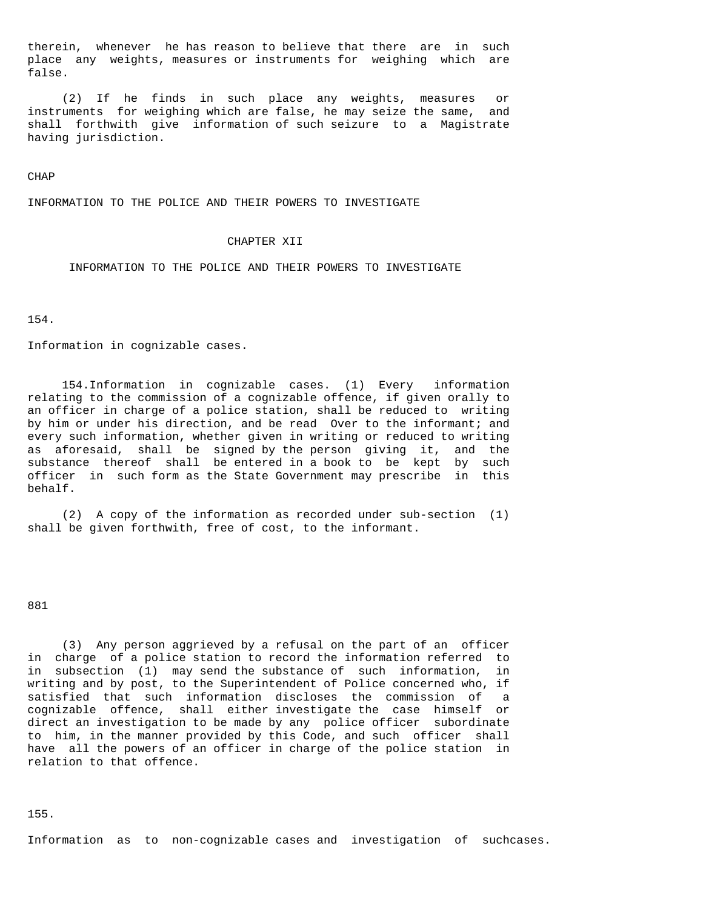therein, whenever he has reason to believe that there are in such place any weights, measures or instruments for weighing which are false.

 (2) If he finds in such place any weights, measures or instruments for weighing which are false, he may seize the same, and shall forthwith give information of such seizure to a Magistrate having jurisdiction.

CHAP

INFORMATION TO THE POLICE AND THEIR POWERS TO INVESTIGATE

## CHAPTER XII

INFORMATION TO THE POLICE AND THEIR POWERS TO INVESTIGATE

154.

Information in cognizable cases.

 154.Information in cognizable cases. (1) Every information relating to the commission of a cognizable offence, if given orally to an officer in charge of a police station, shall be reduced to writing by him or under his direction, and be read Over to the informant; and every such information, whether given in writing or reduced to writing as aforesaid, shall be signed by the person giving it, and the substance thereof shall be entered in a book to be kept by such officer in such form as the State Government may prescribe in this behalf.

 (2) A copy of the information as recorded under sub-section (1) shall be given forthwith, free of cost, to the informant.

## 881

 (3) Any person aggrieved by a refusal on the part of an officer in charge of a police station to record the information referred to in subsection (1) may send the substance of such information, in writing and by post, to the Superintendent of Police concerned who, if<br>satisfied that such information discloses the commission of a satisfied that such information discloses the commission of cognizable offence, shall either investigate the case himself or direct an investigation to be made by any police officer subordinate to him, in the manner provided by this Code, and such officer shall have all the powers of an officer in charge of the police station in relation to that offence.

155.

Information as to non-cognizable cases and investigation of suchcases.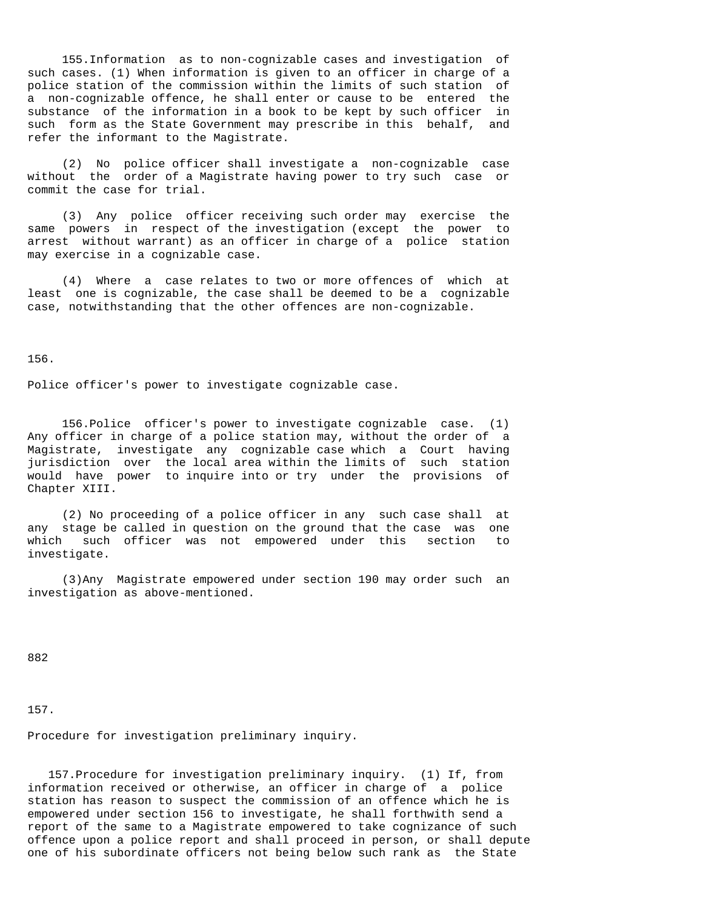155.Information as to non-cognizable cases and investigation of such cases. (1) When information is given to an officer in charge of a police station of the commission within the limits of such station of a non-cognizable offence, he shall enter or cause to be entered the substance of the information in a book to be kept by such officer in such form as the State Government may prescribe in this behalf, and refer the informant to the Magistrate.

 (2) No police officer shall investigate a non-cognizable case without the order of a Magistrate having power to try such case or commit the case for trial.

 (3) Any police officer receiving such order may exercise the same powers in respect of the investigation (except the power to arrest without warrant) as an officer in charge of a police station may exercise in a cognizable case.

 (4) Where a case relates to two or more offences of which at least one is cognizable, the case shall be deemed to be a cognizable case, notwithstanding that the other offences are non-cognizable.

156.

Police officer's power to investigate cognizable case.

 156.Police officer's power to investigate cognizable case. (1) Any officer in charge of a police station may, without the order of a Magistrate, investigate any cognizable case which a Court having jurisdiction over the local area within the limits of such station would have power to inquire into or try under the provisions of Chapter XIII.

 (2) No proceeding of a police officer in any such case shall at any stage be called in question on the ground that the case was one which such officer was not empowered under this section to investigate.

 (3)Any Magistrate empowered under section 190 may order such an investigation as above-mentioned.

882

157.

Procedure for investigation preliminary inquiry.

 157.Procedure for investigation preliminary inquiry. (1) If, from information received or otherwise, an officer in charge of a police station has reason to suspect the commission of an offence which he is empowered under section 156 to investigate, he shall forthwith send a report of the same to a Magistrate empowered to take cognizance of such offence upon a police report and shall proceed in person, or shall depute one of his subordinate officers not being below such rank as the State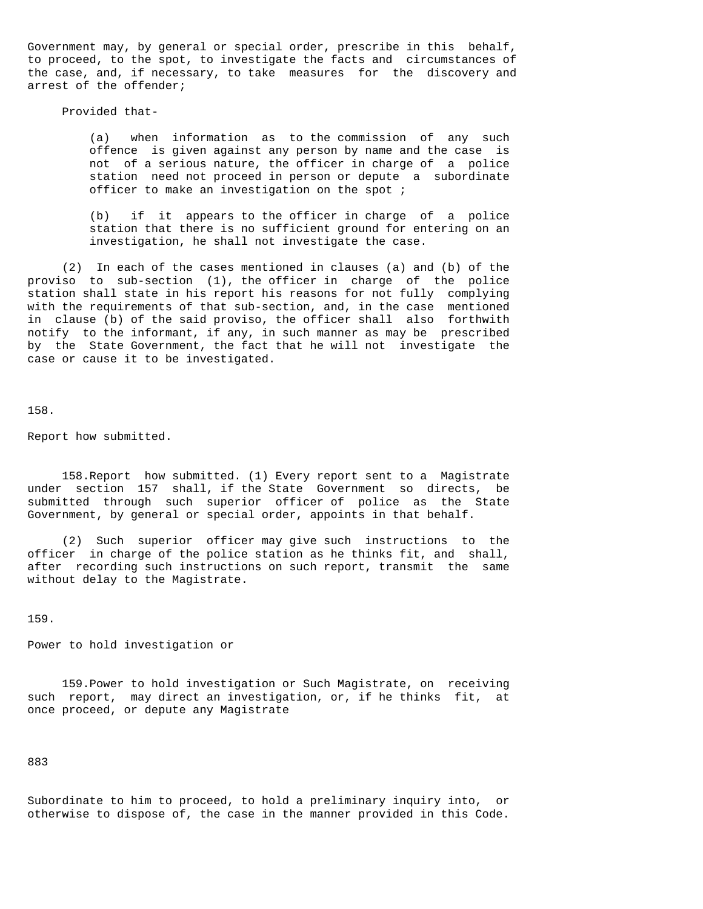Government may, by general or special order, prescribe in this behalf, to proceed, to the spot, to investigate the facts and circumstances of the case, and, if necessary, to take measures for the discovery and arrest of the offender;

Provided that-

 (a) when information as to the commission of any such offence is given against any person by name and the case is not of a serious nature, the officer in charge of a police station need not proceed in person or depute a subordinate officer to make an investigation on the spot ;

 (b) if it appears to the officer in charge of a police station that there is no sufficient ground for entering on an investigation, he shall not investigate the case.

 (2) In each of the cases mentioned in clauses (a) and (b) of the proviso to sub-section (1), the officer in charge of the police station shall state in his report his reasons for not fully complying with the requirements of that sub-section, and, in the case mentioned in clause (b) of the said proviso, the officer shall also forthwith notify to the informant, if any, in such manner as may be prescribed by the State Government, the fact that he will not investigate the case or cause it to be investigated.

158.

Report how submitted.

 158.Report how submitted. (1) Every report sent to a Magistrate under section 157 shall, if the State Government so directs, be submitted through such superior officer of police as the State Government, by general or special order, appoints in that behalf.

 (2) Such superior officer may give such instructions to the officer in charge of the police station as he thinks fit, and shall, after recording such instructions on such report, transmit the same without delay to the Magistrate.

159.

Power to hold investigation or

 159.Power to hold investigation or Such Magistrate, on receiving such report, may direct an investigation, or, if he thinks fit, at once proceed, or depute any Magistrate

883

 Subordinate to him to proceed, to hold a preliminary inquiry into, or otherwise to dispose of, the case in the manner provided in this Code.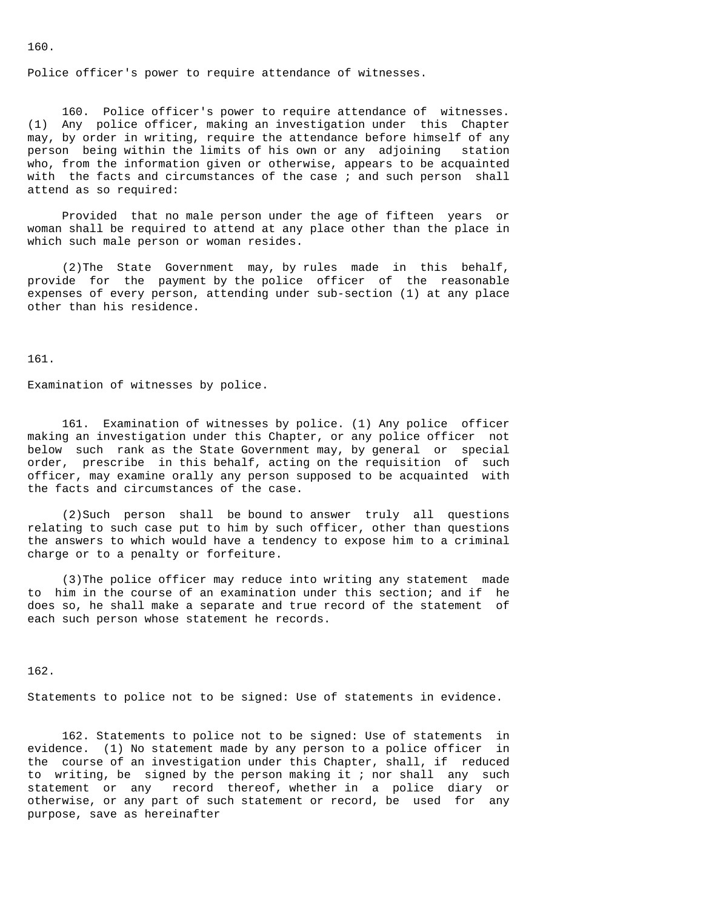Police officer's power to require attendance of witnesses.

 160. Police officer's power to require attendance of witnesses. (1) Any police officer, making an investigation under this Chapter may, by order in writing, require the attendance before himself of any person being within the limits of his own or any adjoining station who, from the information given or otherwise, appears to be acquainted with the facts and circumstances of the case  $i$  and such person shall attend as so required:

 Provided that no male person under the age of fifteen years or woman shall be required to attend at any place other than the place in which such male person or woman resides.

 (2)The State Government may, by rules made in this behalf, provide for the payment by the police officer of the reasonable expenses of every person, attending under sub-section (1) at any place other than his residence.

161.

Examination of witnesses by police.

 161. Examination of witnesses by police. (1) Any police officer making an investigation under this Chapter, or any police officer not below such rank as the State Government may, by general or special order, prescribe in this behalf, acting on the requisition of such officer, may examine orally any person supposed to be acquainted with the facts and circumstances of the case.

 (2)Such person shall be bound to answer truly all questions relating to such case put to him by such officer, other than questions the answers to which would have a tendency to expose him to a criminal charge or to a penalty or forfeiture.

 (3)The police officer may reduce into writing any statement made to him in the course of an examination under this section; and if he does so, he shall make a separate and true record of the statement of each such person whose statement he records.

162.

Statements to police not to be signed: Use of statements in evidence.

 162. Statements to police not to be signed: Use of statements in evidence. (1) No statement made by any person to a police officer in the course of an investigation under this Chapter, shall, if reduced to writing, be signed by the person making it ; nor shall any such statement or any record thereof, whether in a police diary or otherwise, or any part of such statement or record, be used for any purpose, save as hereinafter

160.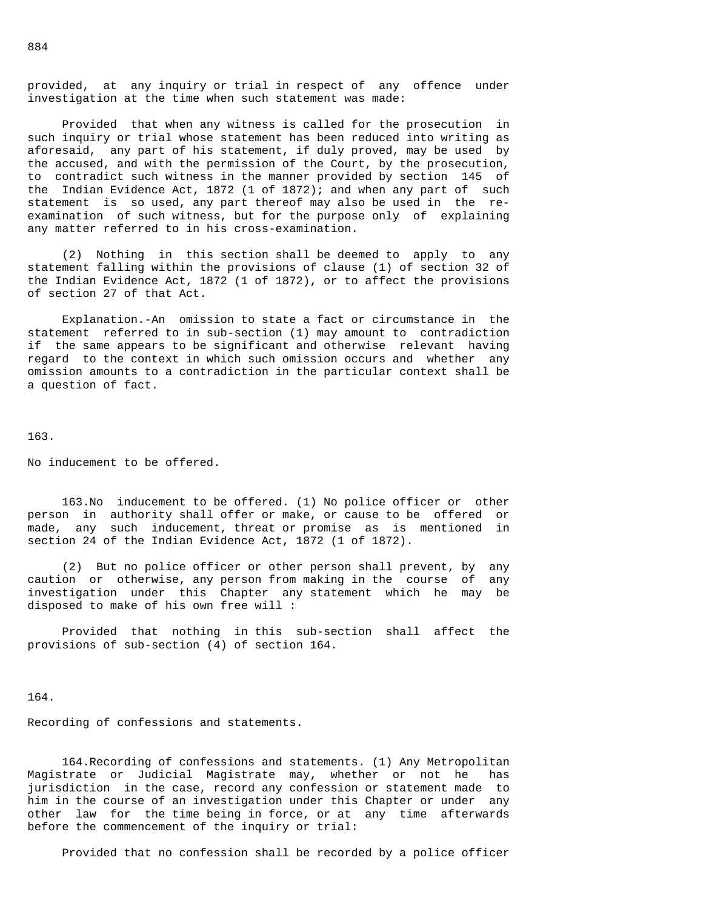provided, at any inquiry or trial in respect of any offence under investigation at the time when such statement was made:

 Provided that when any witness is called for the prosecution in such inquiry or trial whose statement has been reduced into writing as aforesaid, any part of his statement, if duly proved, may be used by the accused, and with the permission of the Court, by the prosecution, to contradict such witness in the manner provided by section 145 of the Indian Evidence Act, 1872 (1 of 1872); and when any part of such statement is so used, any part thereof may also be used in the re examination of such witness, but for the purpose only of explaining any matter referred to in his cross-examination.

 (2) Nothing in this section shall be deemed to apply to any statement falling within the provisions of clause (1) of section 32 of the Indian Evidence Act, 1872 (1 of 1872), or to affect the provisions of section 27 of that Act.

 Explanation.-An omission to state a fact or circumstance in the statement referred to in sub-section (1) may amount to contradiction if the same appears to be significant and otherwise relevant having regard to the context in which such omission occurs and whether any omission amounts to a contradiction in the particular context shall be a question of fact.

163.

No inducement to be offered.

 163.No inducement to be offered. (1) No police officer or other person in authority shall offer or make, or cause to be offered or made, any such inducement, threat or promise as is mentioned in section 24 of the Indian Evidence Act, 1872 (1 of 1872).

 (2) But no police officer or other person shall prevent, by any caution or otherwise, any person from making in the course of any investigation under this Chapter any statement which he may be disposed to make of his own free will :

 Provided that nothing in this sub-section shall affect the provisions of sub-section (4) of section 164.

164.

Recording of confessions and statements.

 164.Recording of confessions and statements. (1) Any Metropolitan Magistrate or Judicial Magistrate may, whether or not he has jurisdiction in the case, record any confession or statement made to him in the course of an investigation under this Chapter or under any other law for the time being in force, or at any time afterwards before the commencement of the inquiry or trial:

Provided that no confession shall be recorded by a police officer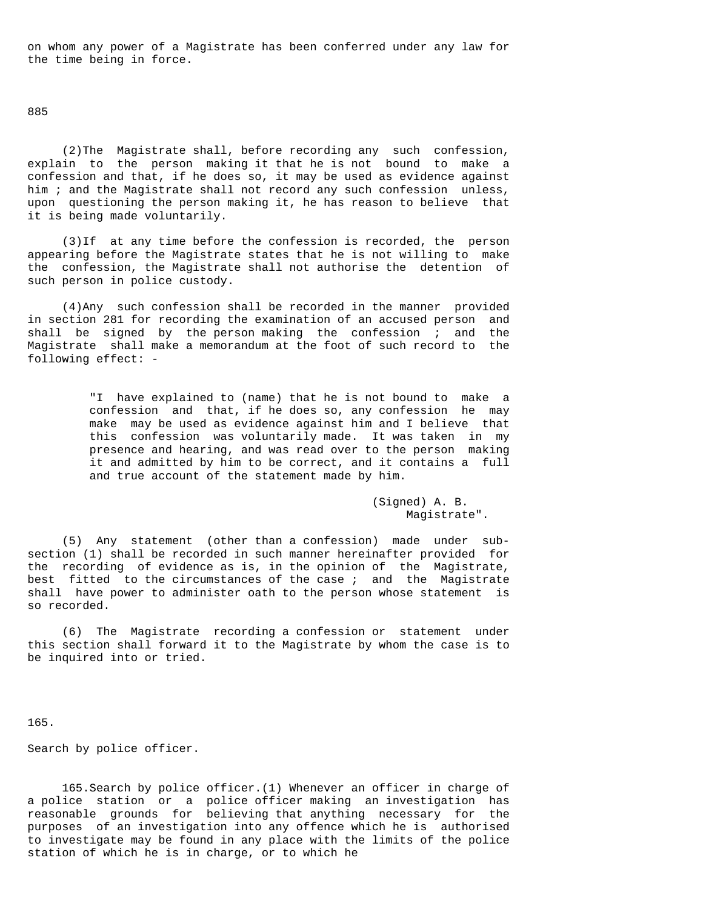on whom any power of a Magistrate has been conferred under any law for the time being in force.

885

 (2)The Magistrate shall, before recording any such confession, explain to the person making it that he is not bound to make a confession and that, if he does so, it may be used as evidence against him ; and the Magistrate shall not record any such confession unless, upon questioning the person making it, he has reason to believe that it is being made voluntarily.

 (3)If at any time before the confession is recorded, the person appearing before the Magistrate states that he is not willing to make the confession, the Magistrate shall not authorise the detention of such person in police custody.

 (4)Any such confession shall be recorded in the manner provided in section 281 for recording the examination of an accused person and shall be signed by the person making the confession ; and the Magistrate shall make a memorandum at the foot of such record to the following effect: -

> "I have explained to (name) that he is not bound to make a confession and that, if he does so, any confession he may make may be used as evidence against him and I believe that this confession was voluntarily made. It was taken in my presence and hearing, and was read over to the person making it and admitted by him to be correct, and it contains a full and true account of the statement made by him.

> > (Signed) A. B. Magistrate".

 (5) Any statement (other than a confession) made under sub section (1) shall be recorded in such manner hereinafter provided for the recording of evidence as is, in the opinion of the Magistrate, best fitted to the circumstances of the case ; and the Magistrate shall have power to administer oath to the person whose statement is so recorded.

 (6) The Magistrate recording a confession or statement under this section shall forward it to the Magistrate by whom the case is to be inquired into or tried.

165.

Search by police officer.

 165.Search by police officer.(1) Whenever an officer in charge of a police station or a police officer making an investigation has reasonable grounds for believing that anything necessary for the purposes of an investigation into any offence which he is authorised to investigate may be found in any place with the limits of the police station of which he is in charge, or to which he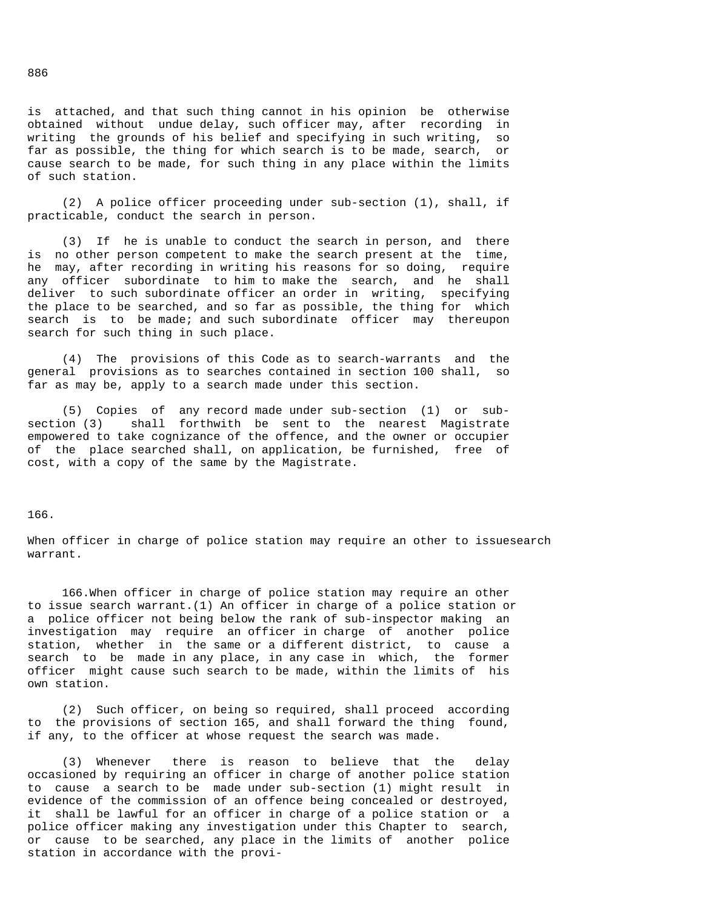is attached, and that such thing cannot in his opinion be otherwise obtained without undue delay, such officer may, after recording in writing the grounds of his belief and specifying in such writing, so far as possible, the thing for which search is to be made, search, or cause search to be made, for such thing in any place within the limits of such station.

 (2) A police officer proceeding under sub-section (1), shall, if practicable, conduct the search in person.

 (3) If he is unable to conduct the search in person, and there is no other person competent to make the search present at the time, he may, after recording in writing his reasons for so doing, require any officer subordinate to him to make the search, and he shall deliver to such subordinate officer an order in writing, specifying the place to be searched, and so far as possible, the thing for which search is to be made; and such subordinate officer may thereupon search for such thing in such place.

 (4) The provisions of this Code as to search-warrants and the general provisions as to searches contained in section 100 shall, so far as may be, apply to a search made under this section.

 (5) Copies of any record made under sub-section (1) or sub section (3) shall forthwith be sent to the nearest Magistrate empowered to take cognizance of the offence, and the owner or occupier of the place searched shall, on application, be furnished, free of cost, with a copy of the same by the Magistrate.

### 166.

 When officer in charge of police station may require an other to issuesearch warrant.

 166.When officer in charge of police station may require an other to issue search warrant.(1) An officer in charge of a police station or a police officer not being below the rank of sub-inspector making an investigation may require an officer in charge of another police station, whether in the same or a different district, to cause a search to be made in any place, in any case in which, the former officer might cause such search to be made, within the limits of his own station.

 (2) Such officer, on being so required, shall proceed according to the provisions of section 165, and shall forward the thing found, if any, to the officer at whose request the search was made.

 (3) Whenever there is reason to believe that the delay occasioned by requiring an officer in charge of another police station to cause a search to be made under sub-section (1) might result in evidence of the commission of an offence being concealed or destroyed, it shall be lawful for an officer in charge of a police station or a police officer making any investigation under this Chapter to search, or cause to be searched, any place in the limits of another police station in accordance with the provi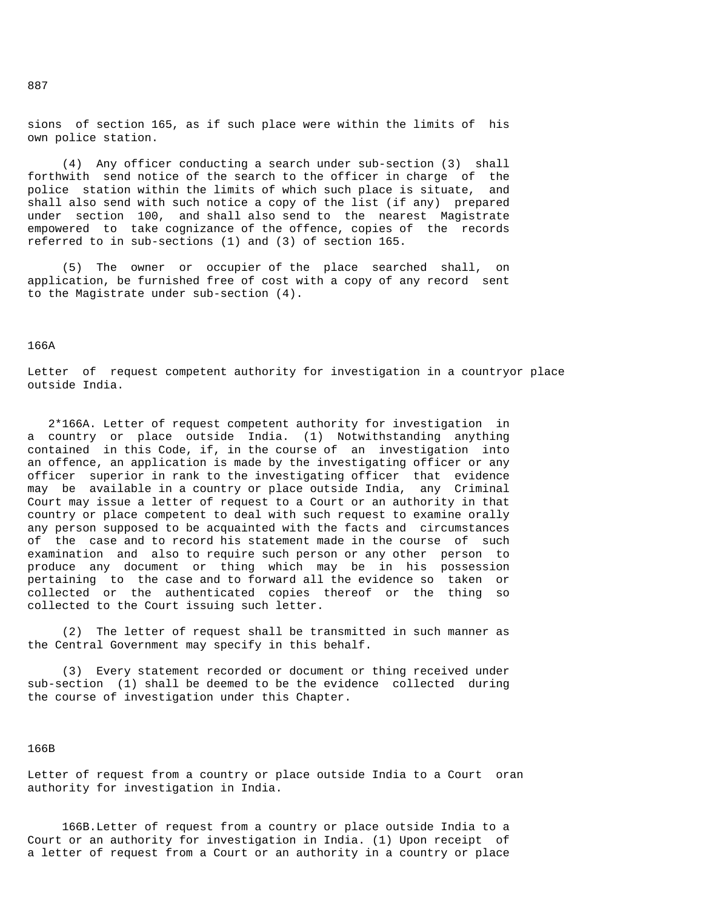sions of section 165, as if such place were within the limits of his own police station.

 (4) Any officer conducting a search under sub-section (3) shall forthwith send notice of the search to the officer in charge of the police station within the limits of which such place is situate, and shall also send with such notice a copy of the list (if any) prepared under section 100, and shall also send to the nearest Magistrate empowered to take cognizance of the offence, copies of the records referred to in sub-sections (1) and (3) of section 165.

 (5) The owner or occupier of the place searched shall, on application, be furnished free of cost with a copy of any record sent to the Magistrate under sub-section (4).

## 166A

 Letter of request competent authority for investigation in a countryor place outside India.

 2\*166A. Letter of request competent authority for investigation in a country or place outside India. (1) Notwithstanding anything contained in this Code, if, in the course of an investigation into an offence, an application is made by the investigating officer or any officer superior in rank to the investigating officer that evidence may be available in a country or place outside India, any Criminal Court may issue a letter of request to a Court or an authority in that country or place competent to deal with such request to examine orally any person supposed to be acquainted with the facts and circumstances of the case and to record his statement made in the course of such examination and also to require such person or any other person to produce any document or thing which may be in his possession pertaining to the case and to forward all the evidence so taken or collected or the authenticated copies thereof or the thing so collected to the Court issuing such letter.

 (2) The letter of request shall be transmitted in such manner as the Central Government may specify in this behalf.

 (3) Every statement recorded or document or thing received under sub-section (1) shall be deemed to be the evidence collected during the course of investigation under this Chapter.

### 166B

 Letter of request from a country or place outside India to a Court oran authority for investigation in India.

 166B.Letter of request from a country or place outside India to a Court or an authority for investigation in India. (1) Upon receipt of a letter of request from a Court or an authority in a country or place

887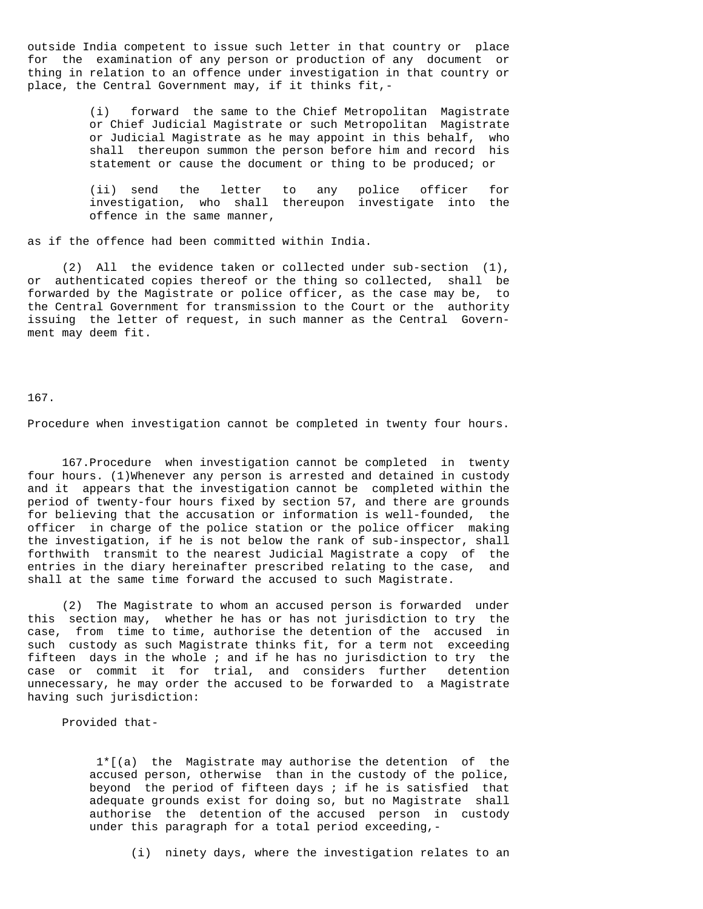outside India competent to issue such letter in that country or place for the examination of any person or production of any document or thing in relation to an offence under investigation in that country or place, the Central Government may, if it thinks fit,-

> (i) forward the same to the Chief Metropolitan Magistrate or Chief Judicial Magistrate or such Metropolitan Magistrate or Judicial Magistrate as he may appoint in this behalf, who shall thereupon summon the person before him and record his statement or cause the document or thing to be produced; or

> (ii) send the letter to any police officer for investigation, who shall thereupon investigate into the offence in the same manner,

as if the offence had been committed within India.

 (2) All the evidence taken or collected under sub-section (1), or authenticated copies thereof or the thing so collected, shall be forwarded by the Magistrate or police officer, as the case may be, to the Central Government for transmission to the Court or the authority issuing the letter of request, in such manner as the Central Govern ment may deem fit.

## 167.

Procedure when investigation cannot be completed in twenty four hours.

 167.Procedure when investigation cannot be completed in twenty four hours. (1)Whenever any person is arrested and detained in custody and it appears that the investigation cannot be completed within the period of twenty-four hours fixed by section 57, and there are grounds for believing that the accusation or information is well-founded, the officer in charge of the police station or the police officer making the investigation, if he is not below the rank of sub-inspector, shall forthwith transmit to the nearest Judicial Magistrate a copy of the entries in the diary hereinafter prescribed relating to the case, and shall at the same time forward the accused to such Magistrate.

 (2) The Magistrate to whom an accused person is forwarded under this section may, whether he has or has not jurisdiction to try the case, from time to time, authorise the detention of the accused in such custody as such Magistrate thinks fit, for a term not exceeding fifteen days in the whole  $i$  and if he has no jurisdiction to try the case or commit it for trial, and considers further detention unnecessary, he may order the accused to be forwarded to a Magistrate having such jurisdiction:

Provided that-

 1\*[(a) the Magistrate may authorise the detention of the accused person, otherwise than in the custody of the police, beyond the period of fifteen days ; if he is satisfied that adequate grounds exist for doing so, but no Magistrate shall authorise the detention of the accused person in custody under this paragraph for a total period exceeding,-

(i) ninety days, where the investigation relates to an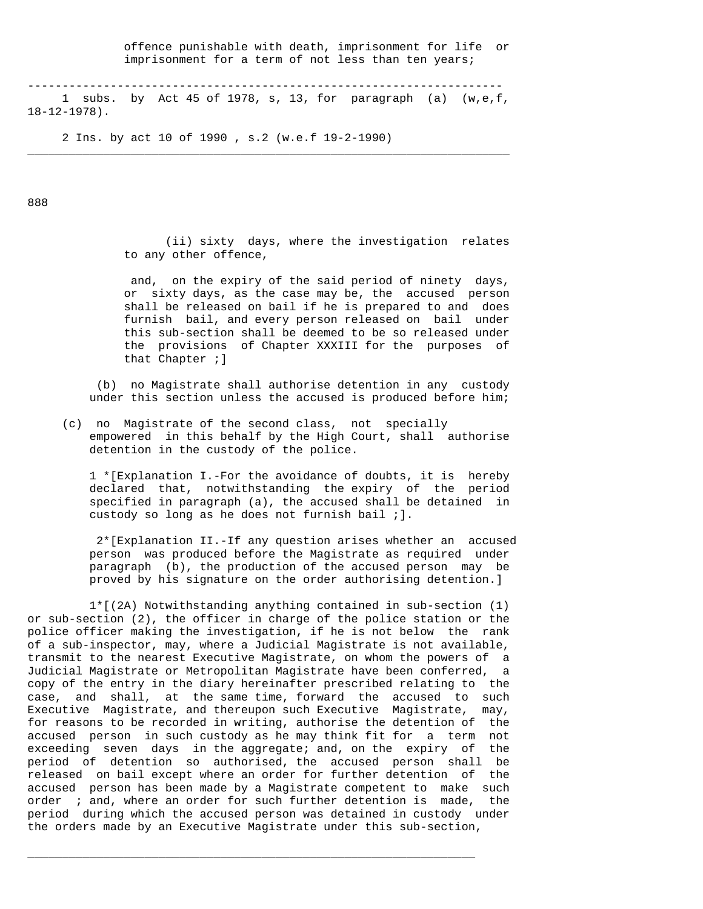offence punishable with death, imprisonment for life or imprisonment for a term of not less than ten years;

 --------------------------------------------------------------------- 1 subs. by Act 45 of 1978, s, 13, for paragraph (a) (w,e,f, 18-12-1978).

\_\_\_\_\_\_\_\_\_\_\_\_\_\_\_\_\_\_\_\_\_\_\_\_\_\_\_\_\_\_\_\_\_\_\_\_\_\_\_\_\_\_\_\_\_\_\_\_\_\_\_\_\_\_\_\_\_\_\_\_\_\_\_\_\_\_\_\_\_\_

2 Ins. by act 10 of 1990 , s.2 (w.e.f 19-2-1990)

888

 (ii) sixty days, where the investigation relates to any other offence,

 and, on the expiry of the said period of ninety days, or sixty days, as the case may be, the accused person shall be released on bail if he is prepared to and does furnish bail, and every person released on bail under this sub-section shall be deemed to be so released under the provisions of Chapter XXXIII for the purposes of that Chapter ;]

 (b) no Magistrate shall authorise detention in any custody under this section unless the accused is produced before him;

 (c) no Magistrate of the second class, not specially empowered in this behalf by the High Court, shall authorise detention in the custody of the police.

 1 \*[Explanation I.-For the avoidance of doubts, it is hereby declared that, notwithstanding the expiry of the period specified in paragraph (a), the accused shall be detained in custody so long as he does not furnish bail ;].

 2\*[Explanation II.-If any question arises whether an accused person was produced before the Magistrate as required under paragraph (b), the production of the accused person may be proved by his signature on the order authorising detention.]

 1\*[(2A) Notwithstanding anything contained in sub-section (1) or sub-section (2), the officer in charge of the police station or the police officer making the investigation, if he is not below the rank of a sub-inspector, may, where a Judicial Magistrate is not available, transmit to the nearest Executive Magistrate, on whom the powers of a Judicial Magistrate or Metropolitan Magistrate have been conferred, a copy of the entry in the diary hereinafter prescribed relating to the case, and shall, at the same time, forward the accused to such Executive Magistrate, and thereupon such Executive Magistrate, may, for reasons to be recorded in writing, authorise the detention of the accused person in such custody as he may think fit for a term not exceeding seven days in the aggregate; and, on the expiry of the period of detention so authorised, the accused person shall be released on bail except where an order for further detention of the accused person has been made by a Magistrate competent to make such order ; and, where an order for such further detention is made, the period during which the accused person was detained in custody under the orders made by an Executive Magistrate under this sub-section,

 $\overline{\phantom{a}}$  , and the contribution of the contribution of the contribution of the contribution of the contribution of the contribution of the contribution of the contribution of the contribution of the contribution of the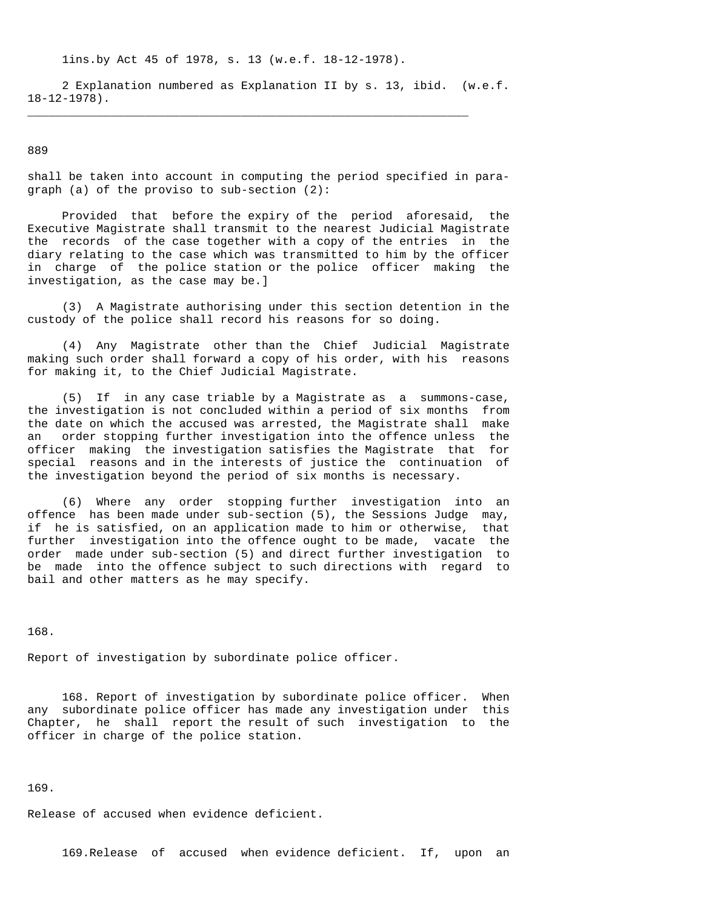1ins.by Act 45 of 1978, s. 13 (w.e.f. 18-12-1978).

 2 Explanation numbered as Explanation II by s. 13, ibid. (w.e.f. 18-12-1978).

\_\_\_\_\_\_\_\_\_\_\_\_\_\_\_\_\_\_\_\_\_\_\_\_\_\_\_\_\_\_\_\_\_\_\_\_\_\_\_\_\_\_\_\_\_\_\_\_\_\_\_\_\_\_\_\_\_\_\_\_\_\_\_\_

889

 shall be taken into account in computing the period specified in para graph (a) of the proviso to sub-section (2):

 Provided that before the expiry of the period aforesaid, the Executive Magistrate shall transmit to the nearest Judicial Magistrate the records of the case together with a copy of the entries in the diary relating to the case which was transmitted to him by the officer in charge of the police station or the police officer making the investigation, as the case may be.]

 (3) A Magistrate authorising under this section detention in the custody of the police shall record his reasons for so doing.

 (4) Any Magistrate other than the Chief Judicial Magistrate making such order shall forward a copy of his order, with his reasons for making it, to the Chief Judicial Magistrate.

 (5) If in any case triable by a Magistrate as a summons-case, the investigation is not concluded within a period of six months from the date on which the accused was arrested, the Magistrate shall make an order stopping further investigation into the offence unless the officer making the investigation satisfies the Magistrate that for special reasons and in the interests of justice the continuation of the investigation beyond the period of six months is necessary.

 (6) Where any order stopping further investigation into an offence has been made under sub-section (5), the Sessions Judge may, if he is satisfied, on an application made to him or otherwise, that further investigation into the offence ought to be made, vacate the order made under sub-section (5) and direct further investigation to be made into the offence subject to such directions with regard to bail and other matters as he may specify.

168.

Report of investigation by subordinate police officer.

 168. Report of investigation by subordinate police officer. When any subordinate police officer has made any investigation under this Chapter, he shall report the result of such investigation to the officer in charge of the police station.

169.

Release of accused when evidence deficient.

169.Release of accused when evidence deficient. If, upon an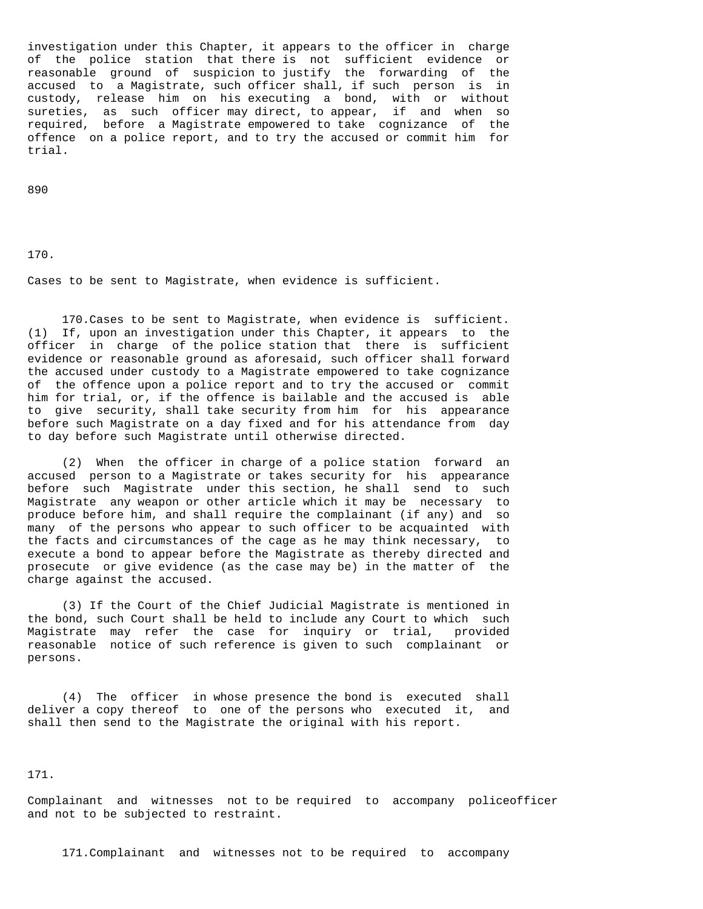investigation under this Chapter, it appears to the officer in charge of the police station that there is not sufficient evidence or reasonable ground of suspicion to justify the forwarding of the accused to a Magistrate, such officer shall, if such person is in custody, release him on his executing a bond, with or without sureties, as such officer may direct, to appear, if and when so required, before a Magistrate empowered to take cognizance of the offence on a police report, and to try the accused or commit him for trial.

890

170.

Cases to be sent to Magistrate, when evidence is sufficient.

 170.Cases to be sent to Magistrate, when evidence is sufficient. (1) If, upon an investigation under this Chapter, it appears to the officer in charge of the police station that there is sufficient evidence or reasonable ground as aforesaid, such officer shall forward the accused under custody to a Magistrate empowered to take cognizance of the offence upon a police report and to try the accused or commit him for trial, or, if the offence is bailable and the accused is able to give security, shall take security from him for his appearance before such Magistrate on a day fixed and for his attendance from day to day before such Magistrate until otherwise directed.

 (2) When the officer in charge of a police station forward an accused person to a Magistrate or takes security for his appearance before such Magistrate under this section, he shall send to such Magistrate any weapon or other article which it may be necessary to produce before him, and shall require the complainant (if any) and so many of the persons who appear to such officer to be acquainted with the facts and circumstances of the cage as he may think necessary, to execute a bond to appear before the Magistrate as thereby directed and prosecute or give evidence (as the case may be) in the matter of the charge against the accused.

 (3) If the Court of the Chief Judicial Magistrate is mentioned in the bond, such Court shall be held to include any Court to which such Magistrate may refer the case for inquiry or trial, provided reasonable notice of such reference is given to such complainant or persons.

 (4) The officer in whose presence the bond is executed shall deliver a copy thereof to one of the persons who executed it, and shall then send to the Magistrate the original with his report.

171.

 Complainant and witnesses not to be required to accompany policeofficer and not to be subjected to restraint.

171.Complainant and witnesses not to be required to accompany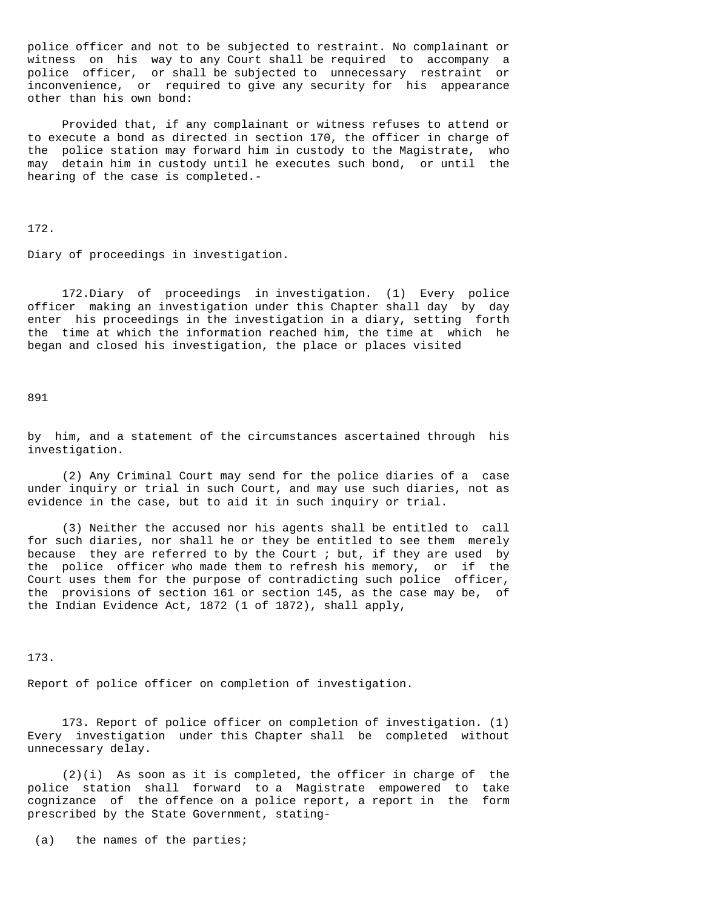police officer and not to be subjected to restraint. No complainant or witness on his way to any Court shall be required to accompany a police officer, or shall be subjected to unnecessary restraint or inconvenience, or required to give any security for his appearance other than his own bond:

 Provided that, if any complainant or witness refuses to attend or to execute a bond as directed in section 170, the officer in charge of the police station may forward him in custody to the Magistrate, who may detain him in custody until he executes such bond, or until the hearing of the case is completed.-

172.

Diary of proceedings in investigation.

 172.Diary of proceedings in investigation. (1) Every police officer making an investigation under this Chapter shall day by day enter his proceedings in the investigation in a diary, setting forth the time at which the information reached him, the time at which he began and closed his investigation, the place or places visited

891

 by him, and a statement of the circumstances ascertained through his investigation.

 (2) Any Criminal Court may send for the police diaries of a case under inquiry or trial in such Court, and may use such diaries, not as evidence in the case, but to aid it in such inquiry or trial.

 (3) Neither the accused nor his agents shall be entitled to call for such diaries, nor shall he or they be entitled to see them merely because they are referred to by the Court ; but, if they are used by the police officer who made them to refresh his memory, or if the Court uses them for the purpose of contradicting such police officer, the provisions of section 161 or section 145, as the case may be, of the Indian Evidence Act, 1872 (1 of 1872), shall apply,

173.

Report of police officer on completion of investigation.

 173. Report of police officer on completion of investigation. (1) Every investigation under this Chapter shall be completed without unnecessary delay.

 $(2)(i)$  As soon as it is completed, the officer in charge of the police station shall forward to a Magistrate empowered to take cognizance of the offence on a police report, a report in the form prescribed by the State Government, stating-

(a) the names of the parties;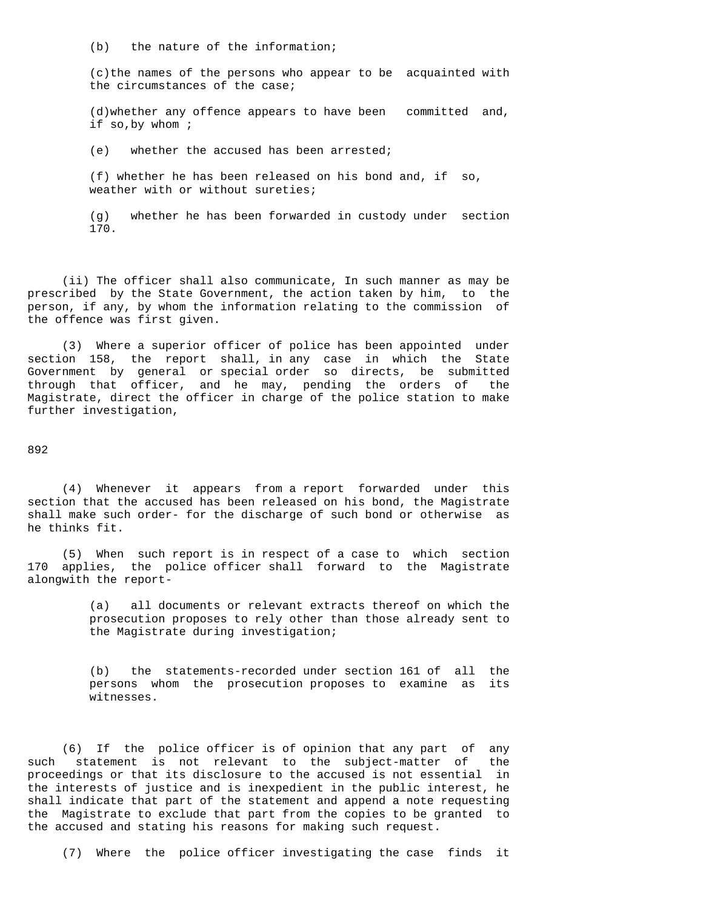(b) the nature of the information;

 (c)the names of the persons who appear to be acquainted with the circumstances of the case;

 (d)whether any offence appears to have been committed and, if so,by whom ;

(e) whether the accused has been arrested;

 (f) whether he has been released on his bond and, if so, weather with or without sureties;

 (g) whether he has been forwarded in custody under section 170.

 (ii) The officer shall also communicate, In such manner as may be prescribed by the State Government, the action taken by him, to the person, if any, by whom the information relating to the commission of the offence was first given.

 (3) Where a superior officer of police has been appointed under section 158, the report shall, in any case in which the State Government by general or special order so directs, be submitted through that officer, and he may, pending the orders of the Magistrate, direct the officer in charge of the police station to make further investigation,

892

 (4) Whenever it appears from a report forwarded under this section that the accused has been released on his bond, the Magistrate shall make such order- for the discharge of such bond or otherwise as he thinks fit.

 (5) When such report is in respect of a case to which section 170 applies, the police officer shall forward to the Magistrate alongwith the report-

> (a) all documents or relevant extracts thereof on which the prosecution proposes to rely other than those already sent to the Magistrate during investigation;

> (b) the statements-recorded under section 161 of all the persons whom the prosecution proposes to examine as its witnesses.

 (6) If the police officer is of opinion that any part of any such statement is not relevant to the subject-matter of the proceedings or that its disclosure to the accused is not essential in the interests of justice and is inexpedient in the public interest, he shall indicate that part of the statement and append a note requesting the Magistrate to exclude that part from the copies to be granted to the accused and stating his reasons for making such request.

(7) Where the police officer investigating the case finds it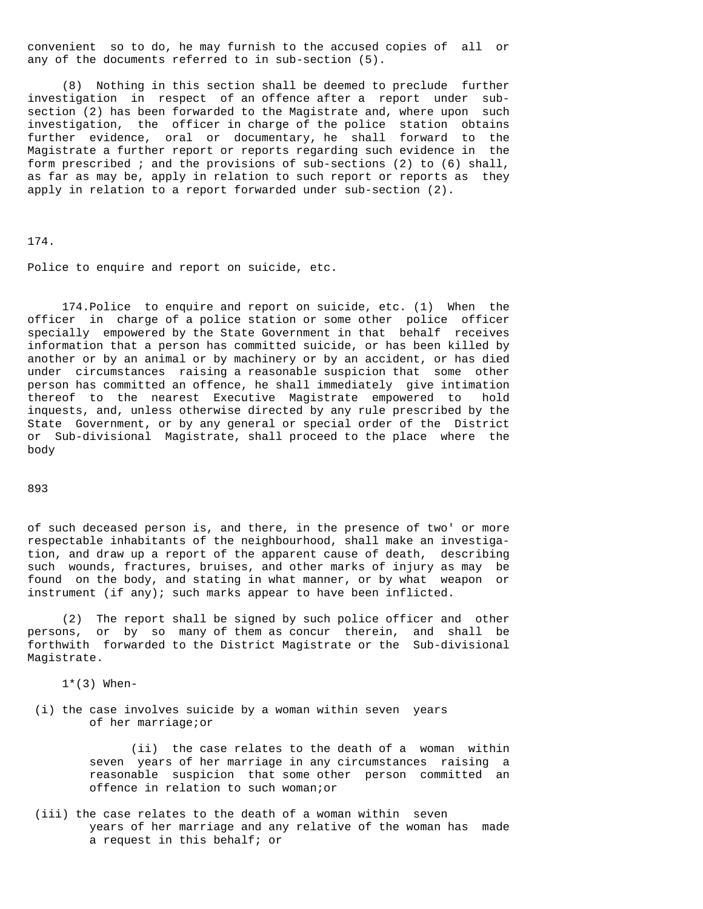convenient so to do, he may furnish to the accused copies of all or any of the documents referred to in sub-section (5).

 (8) Nothing in this section shall be deemed to preclude further investigation in respect of an offence after a report under sub section (2) has been forwarded to the Magistrate and, where upon such investigation, the officer in charge of the police station obtains further evidence, oral or documentary, he shall forward to the Magistrate a further report or reports regarding such evidence in the form prescribed ; and the provisions of sub-sections (2) to (6) shall, as far as may be, apply in relation to such report or reports as they apply in relation to a report forwarded under sub-section (2).

#### 174.

Police to enquire and report on suicide, etc.

 174.Police to enquire and report on suicide, etc. (1) When the officer in charge of a police station or some other police officer specially empowered by the State Government in that behalf receives information that a person has committed suicide, or has been killed by another or by an animal or by machinery or by an accident, or has died under circumstances raising a reasonable suspicion that some other person has committed an offence, he shall immediately give intimation thereof to the nearest Executive Magistrate empowered to hold inquests, and, unless otherwise directed by any rule prescribed by the State Government, or by any general or special order of the District or Sub-divisional Magistrate, shall proceed to the place where the body

#### 893

 of such deceased person is, and there, in the presence of two' or more respectable inhabitants of the neighbourhood, shall make an investiga tion, and draw up a report of the apparent cause of death, describing such wounds, fractures, bruises, and other marks of injury as may be found on the body, and stating in what manner, or by what weapon or instrument (if any); such marks appear to have been inflicted.

 (2) The report shall be signed by such police officer and other persons, or by so many of them as concur therein, and shall be forthwith forwarded to the District Magistrate or the Sub-divisional Magistrate.

 $1*(3)$  When-

 (i) the case involves suicide by a woman within seven years of her marriage;or

> (ii) the case relates to the death of a woman within seven years of her marriage in any circumstances raising a reasonable suspicion that some other person committed an offence in relation to such woman;or

 (iii) the case relates to the death of a woman within seven years of her marriage and any relative of the woman has made a request in this behalf; or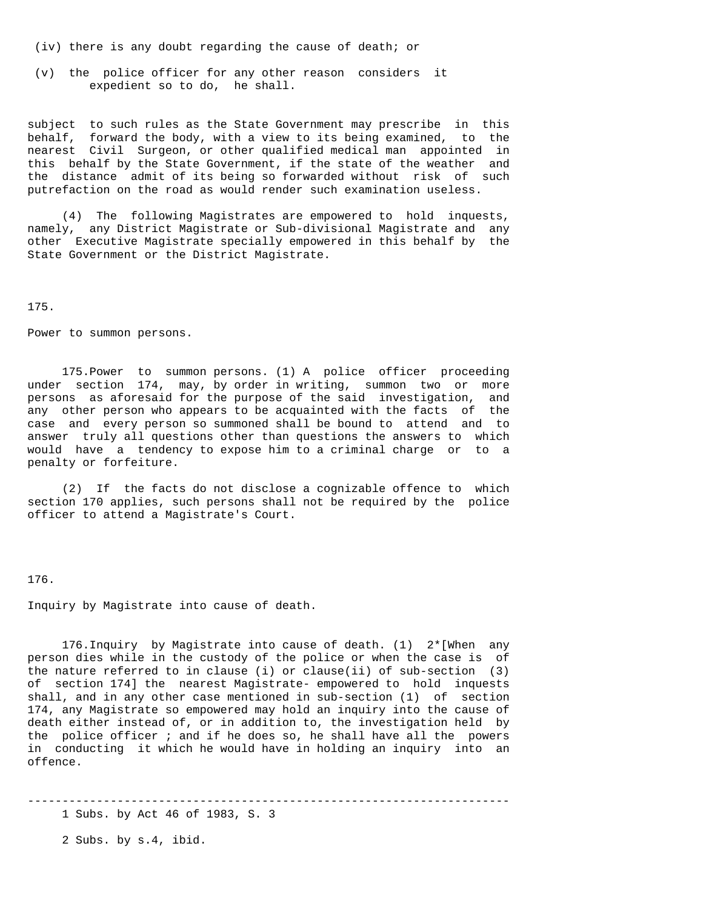(iv) there is any doubt regarding the cause of death; or

 (v) the police officer for any other reason considers it expedient so to do, he shall.

 subject to such rules as the State Government may prescribe in this behalf, forward the body, with a view to its being examined, to the nearest Civil Surgeon, or other qualified medical man appointed in this behalf by the State Government, if the state of the weather and the distance admit of its being so forwarded without risk of such putrefaction on the road as would render such examination useless.

 (4) The following Magistrates are empowered to hold inquests, namely, any District Magistrate or Sub-divisional Magistrate and any other Executive Magistrate specially empowered in this behalf by the State Government or the District Magistrate.

175.

Power to summon persons.

 175.Power to summon persons. (1) A police officer proceeding under section 174, may, by order in writing, summon two or more persons as aforesaid for the purpose of the said investigation, and any other person who appears to be acquainted with the facts of the case and every person so summoned shall be bound to attend and to answer truly all questions other than questions the answers to which would have a tendency to expose him to a criminal charge or to a penalty or forfeiture.

 (2) If the facts do not disclose a cognizable offence to which section 170 applies, such persons shall not be required by the police officer to attend a Magistrate's Court.

176.

Inquiry by Magistrate into cause of death.

 176.Inquiry by Magistrate into cause of death. (1) 2\*[When any person dies while in the custody of the police or when the case is of the nature referred to in clause (i) or clause(ii) of sub-section  $(3)$  of section 174] the nearest Magistrate- empowered to hold inquests shall, and in any other case mentioned in sub-section (1) of section 174, any Magistrate so empowered may hold an inquiry into the cause of death either instead of, or in addition to, the investigation held by the police officer ; and if he does so, he shall have all the powers in conducting it which he would have in holding an inquiry into an offence.

----------------------------------------------------------------------

1 Subs. by Act 46 of 1983, S. 3

2 Subs. by s.4, ibid.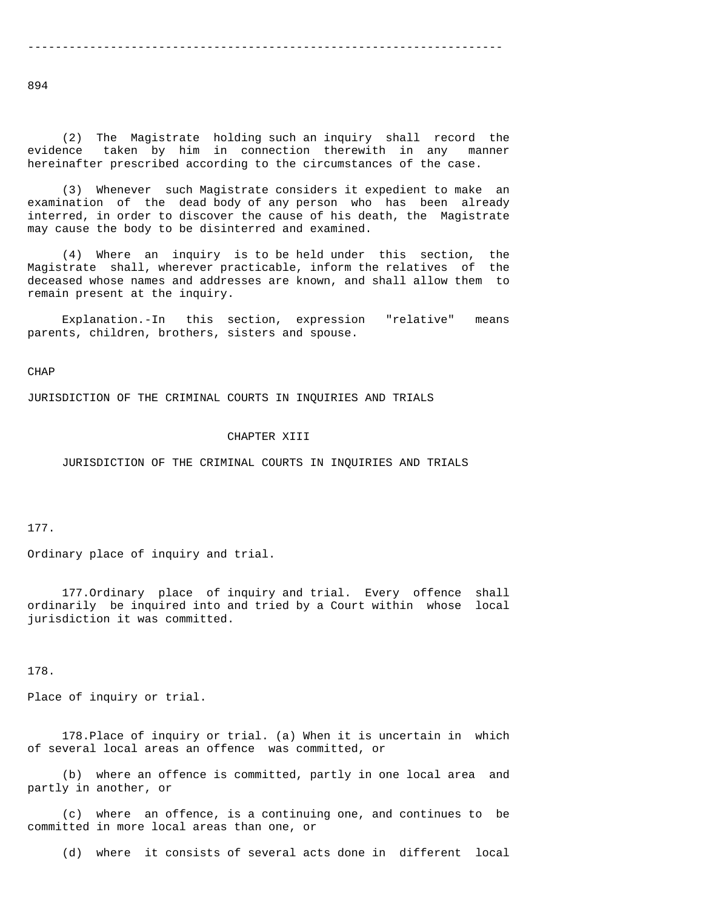---------------------------------------------------------------------

 (2) The Magistrate holding such an inquiry shall record the evidence taken by him in connection therewith in any manner hereinafter prescribed according to the circumstances of the case.

 (3) Whenever such Magistrate considers it expedient to make an examination of the dead body of any person who has been already interred, in order to discover the cause of his death, the Magistrate may cause the body to be disinterred and examined.

 (4) Where an inquiry is to be held under this section, the Magistrate shall, wherever practicable, inform the relatives of the deceased whose names and addresses are known, and shall allow them to remain present at the inquiry.

 Explanation.-In this section, expression "relative" means parents, children, brothers, sisters and spouse.

CHAP

JURISDICTION OF THE CRIMINAL COURTS IN INQUIRIES AND TRIALS

## CHAPTER XIII

JURISDICTION OF THE CRIMINAL COURTS IN INQUIRIES AND TRIALS

177.

Ordinary place of inquiry and trial.

 177.Ordinary place of inquiry and trial. Every offence shall ordinarily be inquired into and tried by a Court within whose local jurisdiction it was committed.

178.

Place of inquiry or trial.

 178.Place of inquiry or trial. (a) When it is uncertain in which of several local areas an offence was committed, or

 (b) where an offence is committed, partly in one local area and partly in another, or

 (c) where an offence, is a continuing one, and continues to be committed in more local areas than one, or

(d) where it consists of several acts done in different local

894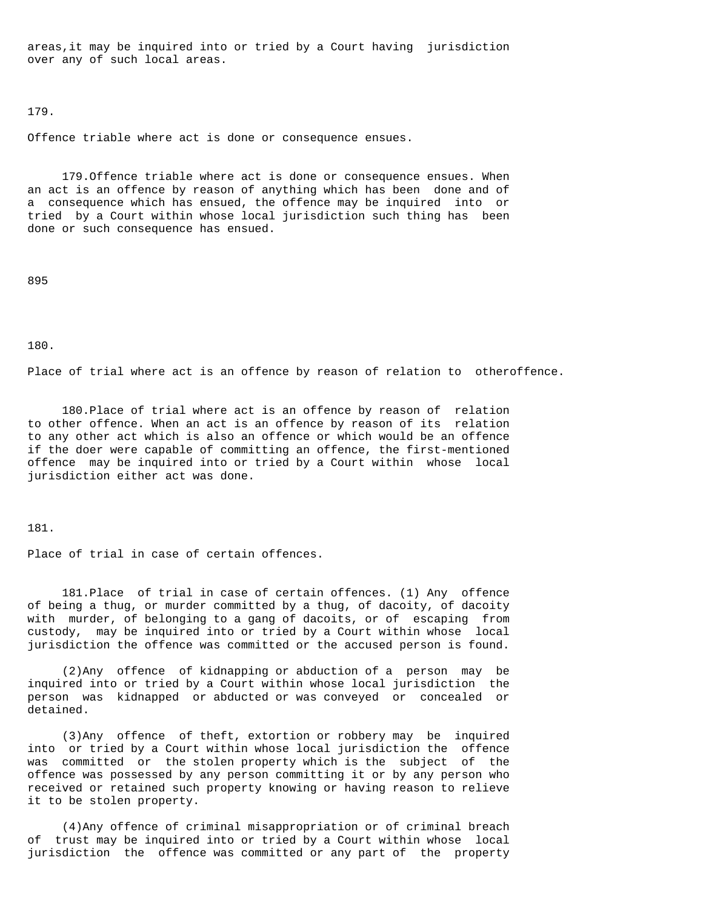areas,it may be inquired into or tried by a Court having jurisdiction over any of such local areas.

179.

Offence triable where act is done or consequence ensues.

 179.Offence triable where act is done or consequence ensues. When an act is an offence by reason of anything which has been done and of a consequence which has ensued, the offence may be inquired into or tried by a Court within whose local jurisdiction such thing has been done or such consequence has ensued.

895

180.

Place of trial where act is an offence by reason of relation to otheroffence.

 180.Place of trial where act is an offence by reason of relation to other offence. When an act is an offence by reason of its relation to any other act which is also an offence or which would be an offence if the doer were capable of committing an offence, the first-mentioned offence may be inquired into or tried by a Court within whose local jurisdiction either act was done.

181.

Place of trial in case of certain offences.

 181.Place of trial in case of certain offences. (1) Any offence of being a thug, or murder committed by a thug, of dacoity, of dacoity with murder, of belonging to a gang of dacoits, or of escaping from custody, may be inquired into or tried by a Court within whose local jurisdiction the offence was committed or the accused person is found.

 (2)Any offence of kidnapping or abduction of a person may be inquired into or tried by a Court within whose local jurisdiction the person was kidnapped or abducted or was conveyed or concealed or detained.

 (3)Any offence of theft, extortion or robbery may be inquired into or tried by a Court within whose local jurisdiction the offence was committed or the stolen property which is the subject of the offence was possessed by any person committing it or by any person who received or retained such property knowing or having reason to relieve it to be stolen property.

 (4)Any offence of criminal misappropriation or of criminal breach of trust may be inquired into or tried by a Court within whose local jurisdiction the offence was committed or any part of the property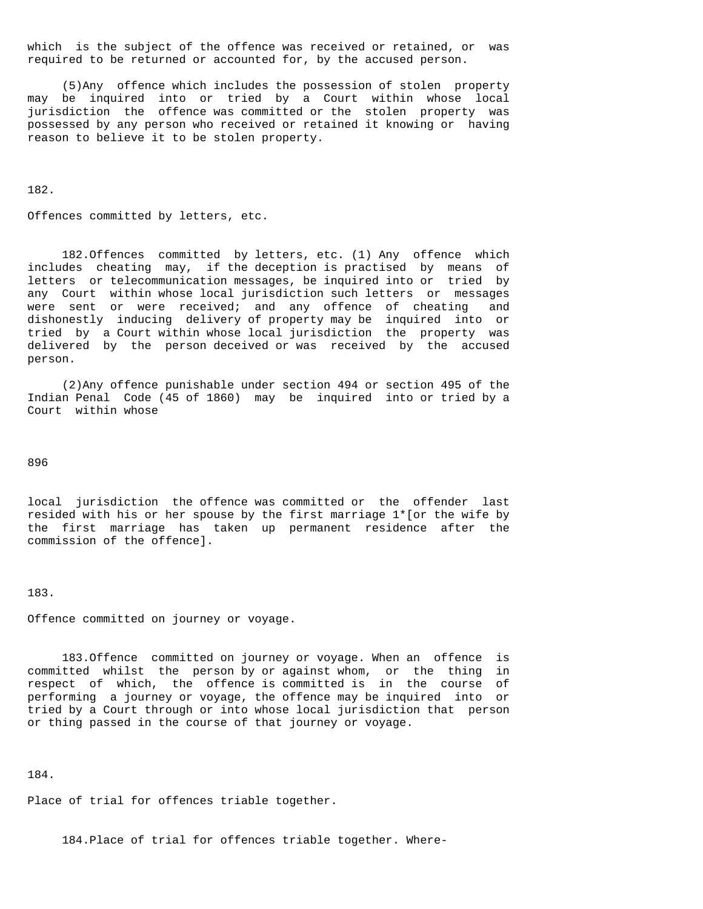which is the subject of the offence was received or retained, or was required to be returned or accounted for, by the accused person.

 (5)Any offence which includes the possession of stolen property may be inquired into or tried by a Court within whose local jurisdiction the offence was committed or the stolen property was possessed by any person who received or retained it knowing or having reason to believe it to be stolen property.

182.

Offences committed by letters, etc.

 182.Offences committed by letters, etc. (1) Any offence which includes cheating may, if the deception is practised by means of letters or telecommunication messages, be inquired into or tried by any Court within whose local jurisdiction such letters or messages were sent or were received; and any offence of cheating and dishonestly inducing delivery of property may be inquired into or tried by a Court within whose local jurisdiction the property was delivered by the person deceived or was received by the accused person.

 (2)Any offence punishable under section 494 or section 495 of the Indian Penal Code (45 of 1860) may be inquired into or tried by a Court within whose

896

 local jurisdiction the offence was committed or the offender last resided with his or her spouse by the first marriage 1\*[or the wife by the first marriage has taken up permanent residence after the commission of the offence].

183.

Offence committed on journey or voyage.

 183.Offence committed on journey or voyage. When an offence is committed whilst the person by or against whom, or the thing in respect of which, the offence is committed is in the course of performing a journey or voyage, the offence may be inquired into or tried by a Court through or into whose local jurisdiction that person or thing passed in the course of that journey or voyage.

184.

Place of trial for offences triable together.

184.Place of trial for offences triable together. Where-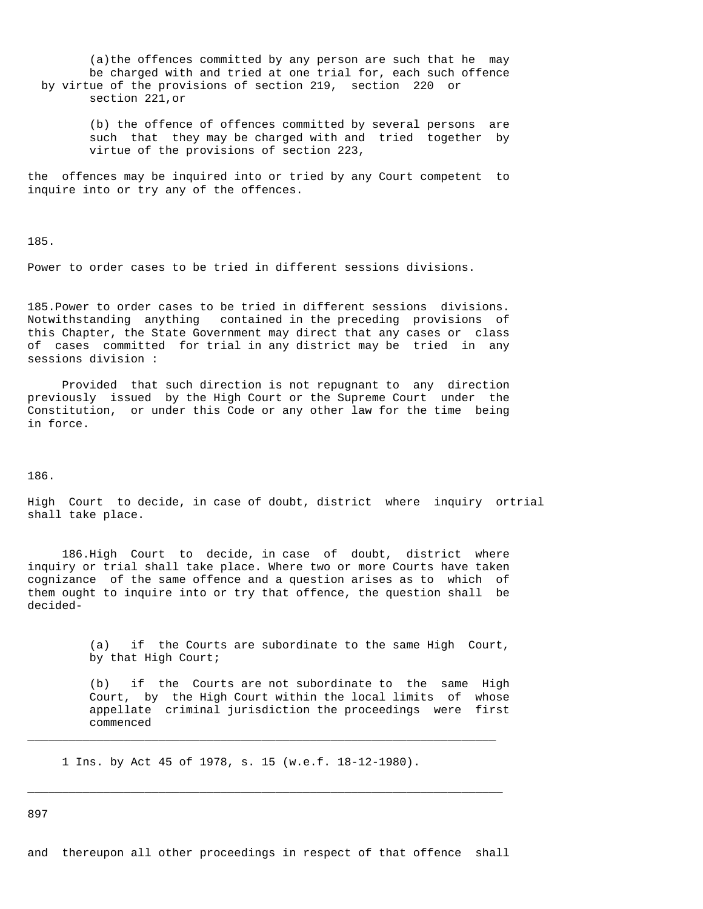(a)the offences committed by any person are such that he may be charged with and tried at one trial for, each such offence by virtue of the provisions of section 219, section 220 or section 221,or

> (b) the offence of offences committed by several persons are such that they may be charged with and tried together by virtue of the provisions of section 223,

 the offences may be inquired into or tried by any Court competent to inquire into or try any of the offences.

185.

Power to order cases to be tried in different sessions divisions.

 185.Power to order cases to be tried in different sessions divisions. Notwithstanding anything contained in the preceding provisions of this Chapter, the State Government may direct that any cases or class of cases committed for trial in any district may be tried in any sessions division :

 Provided that such direction is not repugnant to any direction previously issued by the High Court or the Supreme Court under the Constitution, or under this Code or any other law for the time being in force.

186.

 High Court to decide, in case of doubt, district where inquiry ortrial shall take place.

 186.High Court to decide, in case of doubt, district where inquiry or trial shall take place. Where two or more Courts have taken cognizance of the same offence and a question arises as to which of them ought to inquire into or try that offence, the question shall be decided-

> (a) if the Courts are subordinate to the same High Court, by that High Court;

> (b) if the Courts are not subordinate to the same High Court, by the High Court within the local limits of whose appellate criminal jurisdiction the proceedings were first commenced

1 Ins. by Act 45 of 1978, s. 15 (w.e.f. 18-12-1980).

\_\_\_\_\_\_\_\_\_\_\_\_\_\_\_\_\_\_\_\_\_\_\_\_\_\_\_\_\_\_\_\_\_\_\_\_\_\_\_\_\_\_\_\_\_\_\_\_\_\_\_\_\_\_\_\_\_\_\_\_\_\_\_\_\_\_\_\_

\_\_\_\_\_\_\_\_\_\_\_\_\_\_\_\_\_\_\_\_\_\_\_\_\_\_\_\_\_\_\_\_\_\_\_\_\_\_\_\_\_\_\_\_\_\_\_\_\_\_\_\_\_\_\_\_\_\_\_\_\_\_\_\_\_\_\_\_\_

897

and thereupon all other proceedings in respect of that offence shall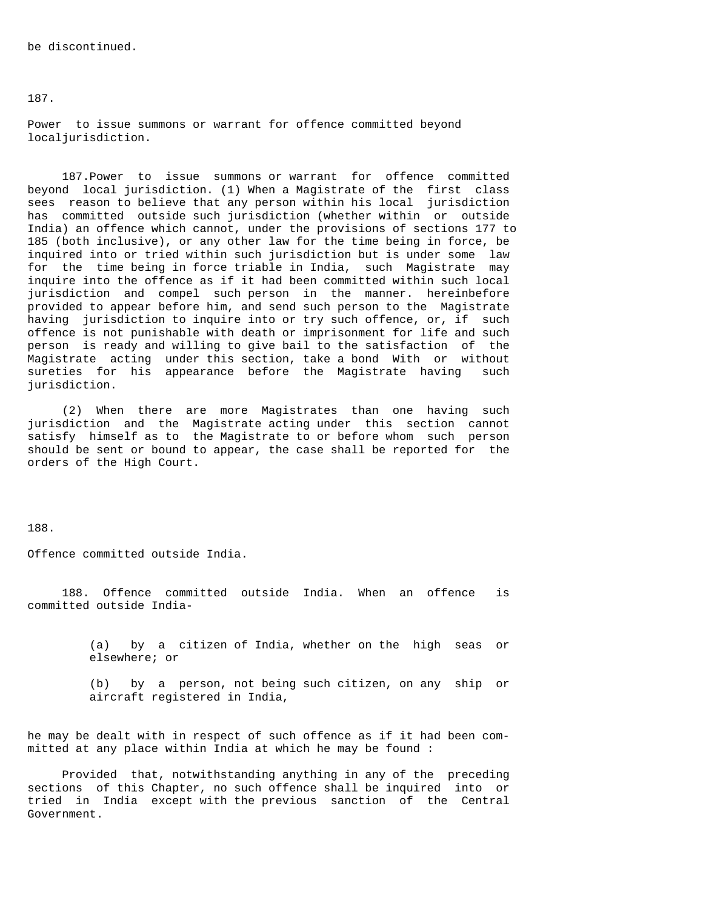187.

 Power to issue summons or warrant for offence committed beyond localjurisdiction.

 187.Power to issue summons or warrant for offence committed beyond local jurisdiction. (1) When a Magistrate of the first class sees reason to believe that any person within his local jurisdiction has committed outside such jurisdiction (whether within or outside India) an offence which cannot, under the provisions of sections 177 to 185 (both inclusive), or any other law for the time being in force, be inquired into or tried within such jurisdiction but is under some law for the time being in force triable in India, such Magistrate may inquire into the offence as if it had been committed within such local jurisdiction and compel such person in the manner. hereinbefore provided to appear before him, and send such person to the Magistrate having jurisdiction to inquire into or try such offence, or, if such offence is not punishable with death or imprisonment for life and such person is ready and willing to give bail to the satisfaction of the Magistrate acting under this section, take a bond With or without sureties for his appearance before the Magistrate having such jurisdiction.

 (2) When there are more Magistrates than one having such jurisdiction and the Magistrate acting under this section cannot satisfy himself as to the Magistrate to or before whom such person should be sent or bound to appear, the case shall be reported for the orders of the High Court.

188.

Offence committed outside India.

 188. Offence committed outside India. When an offence is committed outside India-

> (a) by a citizen of India, whether on the high seas or elsewhere; or

> (b) by a person, not being such citizen, on any ship or aircraft registered in India,

 he may be dealt with in respect of such offence as if it had been com mitted at any place within India at which he may be found :

 Provided that, notwithstanding anything in any of the preceding sections of this Chapter, no such offence shall be inquired into or tried in India except with the previous sanction of the Central Government.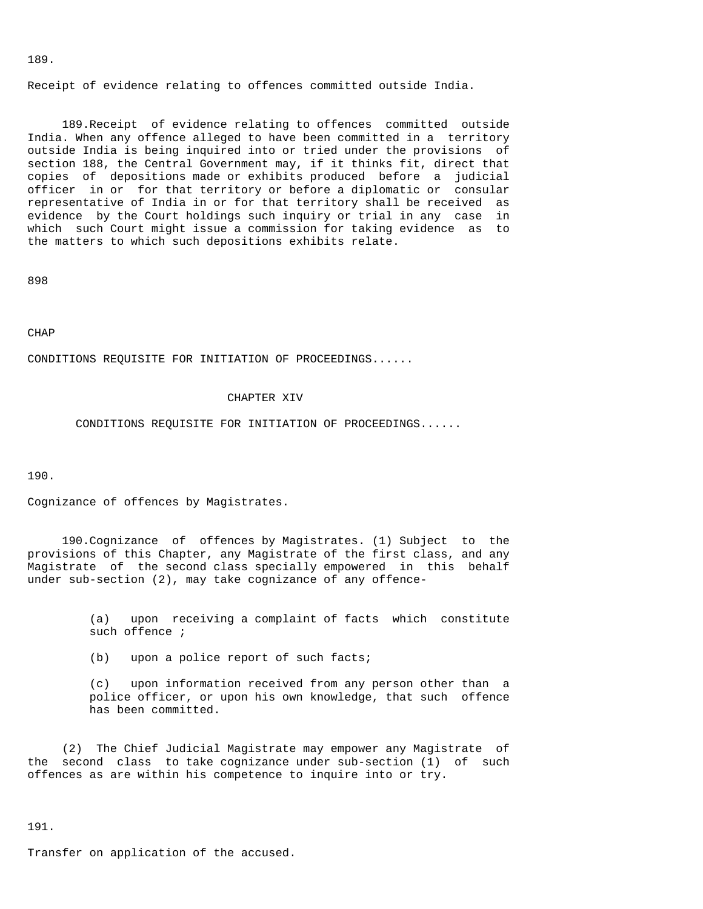Receipt of evidence relating to offences committed outside India.

 189.Receipt of evidence relating to offences committed outside India. When any offence alleged to have been committed in a territory outside India is being inquired into or tried under the provisions of section 188, the Central Government may, if it thinks fit, direct that copies of depositions made or exhibits produced before a judicial officer in or for that territory or before a diplomatic or consular representative of India in or for that territory shall be received as evidence by the Court holdings such inquiry or trial in any case in which such Court might issue a commission for taking evidence as to the matters to which such depositions exhibits relate.

898

### CHAP

CONDITIONS REQUISITE FOR INITIATION OF PROCEEDINGS......

# CHAPTER XIV

CONDITIONS REQUISITE FOR INITIATION OF PROCEEDINGS......

190.

Cognizance of offences by Magistrates.

 190.Cognizance of offences by Magistrates. (1) Subject to the provisions of this Chapter, any Magistrate of the first class, and any Magistrate of the second class specially empowered in this behalf under sub-section (2), may take cognizance of any offence-

> (a) upon receiving a complaint of facts which constitute such offence ;

(b) upon a police report of such facts;

 (c) upon information received from any person other than a police officer, or upon his own knowledge, that such offence has been committed.

 (2) The Chief Judicial Magistrate may empower any Magistrate of the second class to take cognizance under sub-section (1) of such offences as are within his competence to inquire into or try.

191.

Transfer on application of the accused.

189.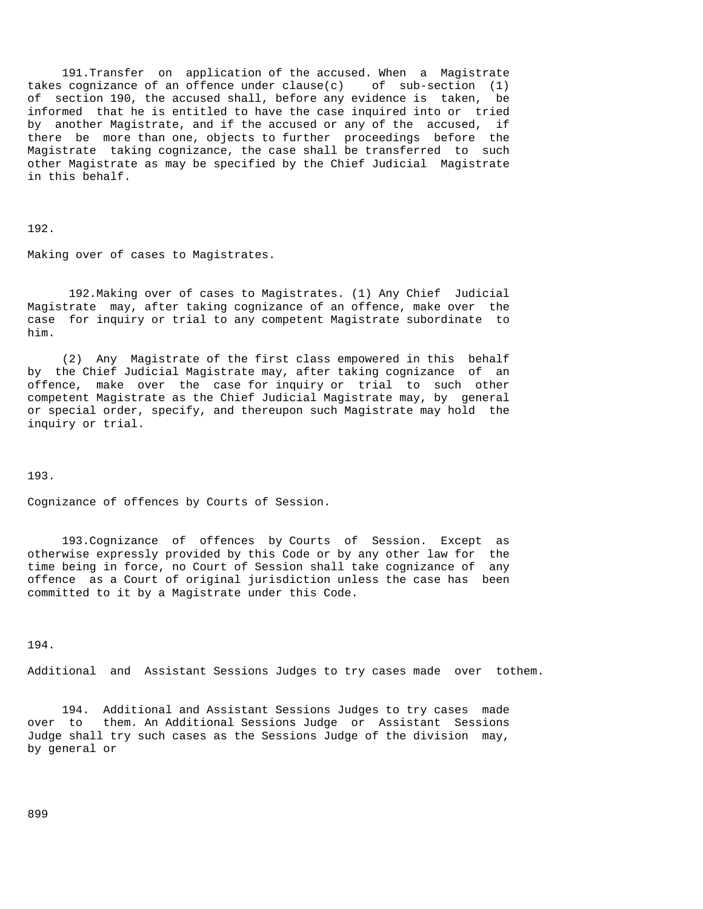191.Transfer on application of the accused. When a Magistrate takes cognizance of an offence under clause(c) of sub-section (1) of section 190, the accused shall, before any evidence is taken, be informed that he is entitled to have the case inquired into or tried by another Magistrate, and if the accused or any of the accused, if there be more than one, objects to further proceedings before the Magistrate taking cognizance, the case shall be transferred to such other Magistrate as may be specified by the Chief Judicial Magistrate in this behalf.

## 192.

Making over of cases to Magistrates.

 192.Making over of cases to Magistrates. (1) Any Chief Judicial Magistrate may, after taking cognizance of an offence, make over the case for inquiry or trial to any competent Magistrate subordinate to him.

 (2) Any Magistrate of the first class empowered in this behalf by the Chief Judicial Magistrate may, after taking cognizance of an offence, make over the case for inquiry or trial to such other competent Magistrate as the Chief Judicial Magistrate may, by general or special order, specify, and thereupon such Magistrate may hold the inquiry or trial.

193.

Cognizance of offences by Courts of Session.

 193.Cognizance of offences by Courts of Session. Except as otherwise expressly provided by this Code or by any other law for the time being in force, no Court of Session shall take cognizance of any offence as a Court of original jurisdiction unless the case has been committed to it by a Magistrate under this Code.

194.

Additional and Assistant Sessions Judges to try cases made over tothem.

 194. Additional and Assistant Sessions Judges to try cases made over to them. An Additional Sessions Judge or Assistant Sessions Judge shall try such cases as the Sessions Judge of the division may, by general or

899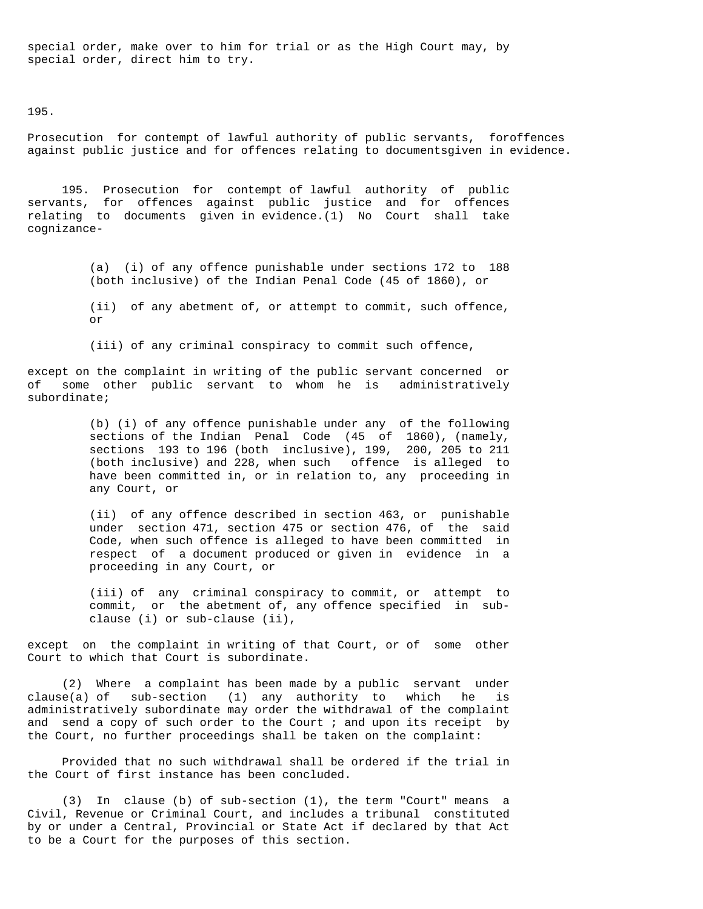special order, make over to him for trial or as the High Court may, by special order, direct him to try.

195.

 Prosecution for contempt of lawful authority of public servants, foroffences against public justice and for offences relating to documentsgiven in evidence.

 195. Prosecution for contempt of lawful authority of public servants, for offences against public justice and for offences relating to documents given in evidence.(1) No Court shall take cognizance-

- (a) (i) of any offence punishable under sections 172 to 188 (both inclusive) of the Indian Penal Code (45 of 1860), or
- (ii) of any abetment of, or attempt to commit, such offence, or
- (iii) of any criminal conspiracy to commit such offence,

 except on the complaint in writing of the public servant concerned or of some other public servant to whom he is administratively subordinate;

> (b) (i) of any offence punishable under any of the following sections of the Indian Penal Code (45 of 1860), (namely, sections 193 to 196 (both inclusive), 199, 200, 205 to 211 (both inclusive) and 228, when such offence is alleged to have been committed in, or in relation to, any proceeding in any Court, or

> (ii) of any offence described in section 463, or punishable under section 471, section 475 or section 476, of the said Code, when such offence is alleged to have been committed in respect of a document produced or given in evidence in a proceeding in any Court, or

> (iii) of any criminal conspiracy to commit, or attempt to commit, or the abetment of, any offence specified in sub clause (i) or sub-clause (ii),

 except on the complaint in writing of that Court, or of some other Court to which that Court is subordinate.

 (2) Where a complaint has been made by a public servant under clause(a) of sub-section (1) any authority to which he is administratively subordinate may order the withdrawal of the complaint and send a copy of such order to the Court  $i$  and upon its receipt by the Court, no further proceedings shall be taken on the complaint:

 Provided that no such withdrawal shall be ordered if the trial in the Court of first instance has been concluded.

 (3) In clause (b) of sub-section (1), the term "Court" means a Civil, Revenue or Criminal Court, and includes a tribunal constituted by or under a Central, Provincial or State Act if declared by that Act to be a Court for the purposes of this section.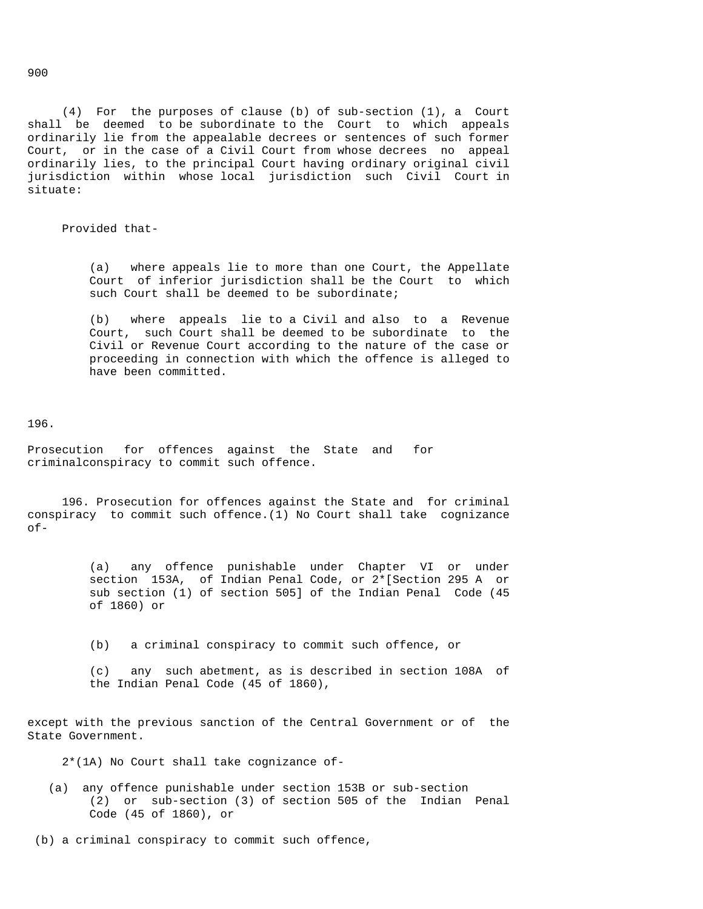(4) For the purposes of clause (b) of sub-section (1), a Court shall be deemed to be subordinate to the Court to which appeals ordinarily lie from the appealable decrees or sentences of such former Court, or in the case of a Civil Court from whose decrees no appeal ordinarily lies, to the principal Court having ordinary original civil jurisdiction within whose local jurisdiction such Civil Court in situate:

Provided that-

 (a) where appeals lie to more than one Court, the Appellate Court of inferior jurisdiction shall be the Court to which such Court shall be deemed to be subordinate;

 (b) where appeals lie to a Civil and also to a Revenue Court, such Court shall be deemed to be subordinate to the Civil or Revenue Court according to the nature of the case or proceeding in connection with which the offence is alleged to have been committed.

196.

 Prosecution for offences against the State and for criminalconspiracy to commit such offence.

 196. Prosecution for offences against the State and for criminal conspiracy to commit such offence.(1) No Court shall take cognizance  $of-$ 

> (a) any offence punishable under Chapter VI or under section 153A, of Indian Penal Code, or 2\*[Section 295 A or sub section (1) of section 505] of the Indian Penal Code (45 of 1860) or

(b) a criminal conspiracy to commit such offence, or

 (c) any such abetment, as is described in section 108A of the Indian Penal Code (45 of 1860),

 except with the previous sanction of the Central Government or of the State Government.

2\*(1A) No Court shall take cognizance of-

 (a) any offence punishable under section 153B or sub-section (2) or sub-section (3) of section 505 of the Indian Penal Code (45 of 1860), or

(b) a criminal conspiracy to commit such offence,

900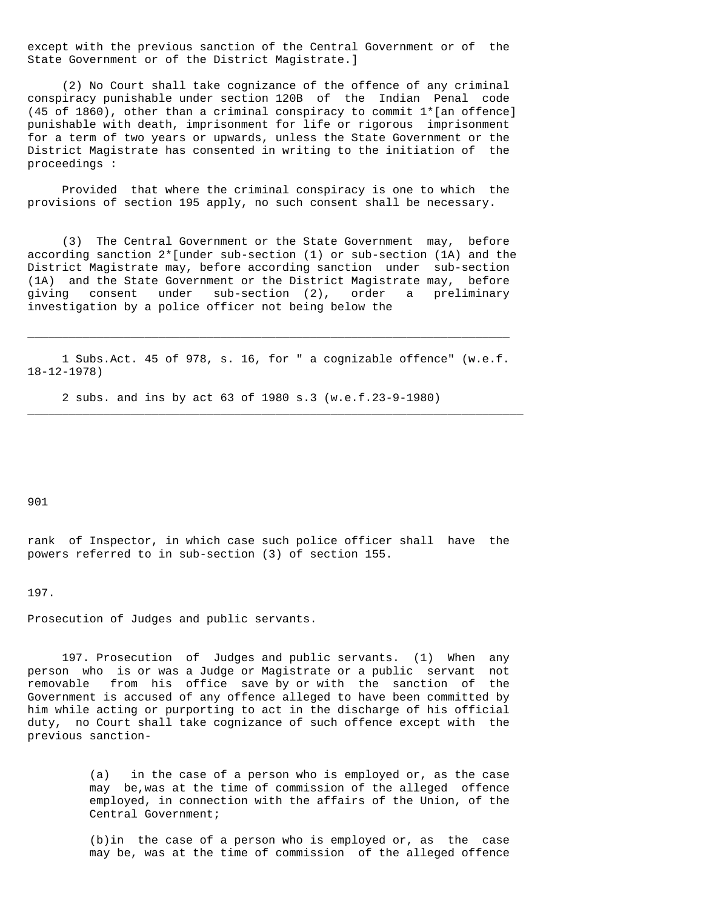except with the previous sanction of the Central Government or of the State Government or of the District Magistrate.]

 (2) No Court shall take cognizance of the offence of any criminal conspiracy punishable under section 120B of the Indian Penal code (45 of 1860), other than a criminal conspiracy to commit 1\*[an offence] punishable with death, imprisonment for life or rigorous imprisonment for a term of two years or upwards, unless the State Government or the District Magistrate has consented in writing to the initiation of the proceedings :

 Provided that where the criminal conspiracy is one to which the provisions of section 195 apply, no such consent shall be necessary.

 (3) The Central Government or the State Government may, before according sanction 2\*[under sub-section (1) or sub-section (1A) and the District Magistrate may, before according sanction under sub-section (1A) and the State Government or the District Magistrate may, before giving consent under sub-section (2), order a preliminary investigation by a police officer not being below the

 1 Subs.Act. 45 of 978, s. 16, for " a cognizable offence" (w.e.f. 18-12-1978)

\_\_\_\_\_\_\_\_\_\_\_\_\_\_\_\_\_\_\_\_\_\_\_\_\_\_\_\_\_\_\_\_\_\_\_\_\_\_\_\_\_\_\_\_\_\_\_\_\_\_\_\_\_\_\_\_\_\_\_\_\_\_\_\_\_\_\_\_\_\_\_\_

\_\_\_\_\_\_\_\_\_\_\_\_\_\_\_\_\_\_\_\_\_\_\_\_\_\_\_\_\_\_\_\_\_\_\_\_\_\_\_\_\_\_\_\_\_\_\_\_\_\_\_\_\_\_\_\_\_\_\_\_\_\_\_\_\_\_\_\_\_\_

2 subs. and ins by act 63 of 1980 s.3 (w.e.f.23-9-1980)

901

 rank of Inspector, in which case such police officer shall have the powers referred to in sub-section (3) of section 155.

197.

Prosecution of Judges and public servants.

 197. Prosecution of Judges and public servants. (1) When any person who is or was a Judge or Magistrate or a public servant not removable from his office save by or with the sanction of the Government is accused of any offence alleged to have been committed by him while acting or purporting to act in the discharge of his official duty, no Court shall take cognizance of such offence except with the previous sanction-

> (a) in the case of a person who is employed or, as the case may be,was at the time of commission of the alleged offence employed, in connection with the affairs of the Union, of the Central Government;

> (b)in the case of a person who is employed or, as the case may be, was at the time of commission of the alleged offence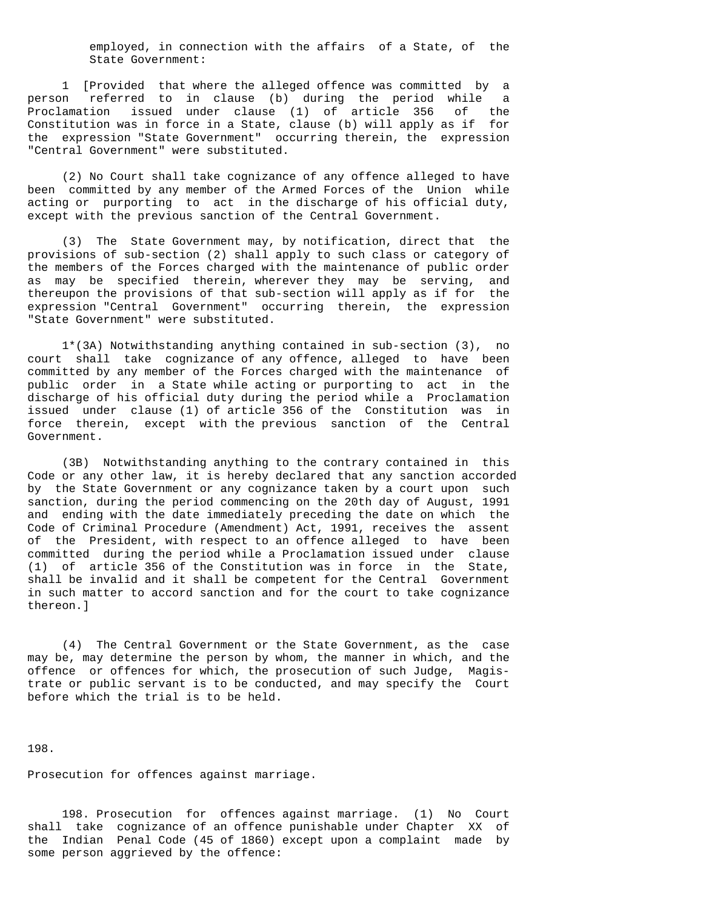employed, in connection with the affairs of a State, of the State Government:

 1 [Provided that where the alleged offence was committed by a person referred to in clause (b) during the period while a Proclamation issued under clause (1) of article 356 of the Constitution was in force in a State, clause (b) will apply as if for the expression "State Government" occurring therein, the expression "Central Government" were substituted.

 (2) No Court shall take cognizance of any offence alleged to have been committed by any member of the Armed Forces of the Union while acting or purporting to act in the discharge of his official duty, except with the previous sanction of the Central Government.

 (3) The State Government may, by notification, direct that the provisions of sub-section (2) shall apply to such class or category of the members of the Forces charged with the maintenance of public order as may be specified therein, wherever they may be serving, and thereupon the provisions of that sub-section will apply as if for the expression "Central Government" occurring therein, the expression "State Government" were substituted.

 1\*(3A) Notwithstanding anything contained in sub-section (3), no court shall take cognizance of any offence, alleged to have been committed by any member of the Forces charged with the maintenance of public order in a State while acting or purporting to act in the discharge of his official duty during the period while a Proclamation issued under clause (1) of article 356 of the Constitution was in force therein, except with the previous sanction of the Central Government.

 (3B) Notwithstanding anything to the contrary contained in this Code or any other law, it is hereby declared that any sanction accorded by the State Government or any cognizance taken by a court upon such sanction, during the period commencing on the 20th day of August, 1991 and ending with the date immediately preceding the date on which the Code of Criminal Procedure (Amendment) Act, 1991, receives the assent of the President, with respect to an offence alleged to have been committed during the period while a Proclamation issued under clause (1) of article 356 of the Constitution was in force in the State, shall be invalid and it shall be competent for the Central Government in such matter to accord sanction and for the court to take cognizance thereon.]

 (4) The Central Government or the State Government, as the case may be, may determine the person by whom, the manner in which, and the offence or offences for which, the prosecution of such Judge, Magis trate or public servant is to be conducted, and may specify the Court before which the trial is to be held.

198.

Prosecution for offences against marriage.

 198. Prosecution for offences against marriage. (1) No Court shall take cognizance of an offence punishable under Chapter XX of the Indian Penal Code (45 of 1860) except upon a complaint made by some person aggrieved by the offence: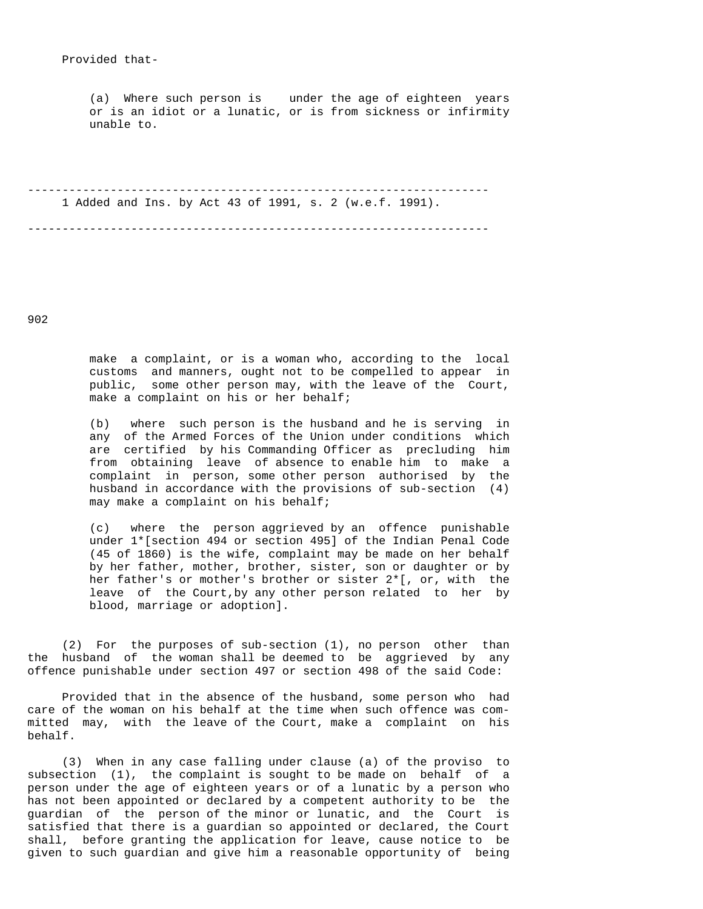Provided that-

 (a) Where such person is under the age of eighteen years or is an idiot or a lunatic, or is from sickness or infirmity unable to.

 ------------------------------------------------------------------- 1 Added and Ins. by Act 43 of 1991, s. 2 (w.e.f. 1991).

-------------------------------------------------------------------

902

 make a complaint, or is a woman who, according to the local customs and manners, ought not to be compelled to appear in public, some other person may, with the leave of the Court, make a complaint on his or her behalf;

 (b) where such person is the husband and he is serving in any of the Armed Forces of the Union under conditions which are certified by his Commanding Officer as precluding him from obtaining leave of absence to enable him to make a complaint in person, some other person authorised by the husband in accordance with the provisions of sub-section (4) may make a complaint on his behalf;

 (c) where the person aggrieved by an offence punishable under 1\*[section 494 or section 495] of the Indian Penal Code (45 of 1860) is the wife, complaint may be made on her behalf by her father, mother, brother, sister, son or daughter or by her father's or mother's brother or sister 2\*[, or, with the leave of the Court,by any other person related to her by blood, marriage or adoption].

 (2) For the purposes of sub-section (1), no person other than the husband of the woman shall be deemed to be aggrieved by any offence punishable under section 497 or section 498 of the said Code:

 Provided that in the absence of the husband, some person who had care of the woman on his behalf at the time when such offence was com mitted may, with the leave of the Court, make a complaint on his behalf.

 (3) When in any case falling under clause (a) of the proviso to subsection (1), the complaint is sought to be made on behalf of a person under the age of eighteen years or of a lunatic by a person who has not been appointed or declared by a competent authority to be the guardian of the person of the minor or lunatic, and the Court is satisfied that there is a guardian so appointed or declared, the Court shall, before granting the application for leave, cause notice to be given to such guardian and give him a reasonable opportunity of being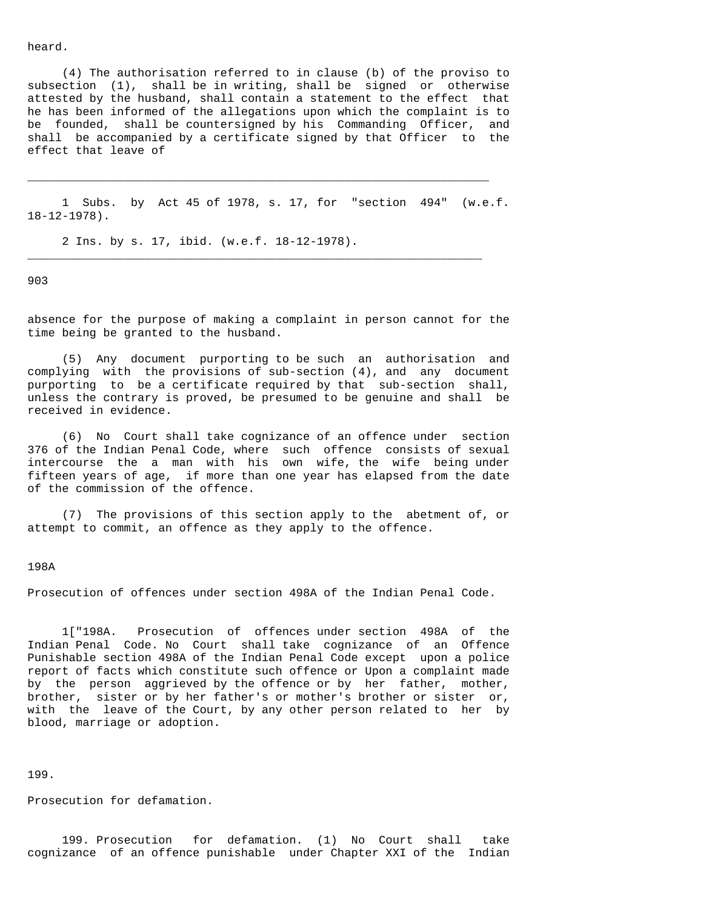heard.

 (4) The authorisation referred to in clause (b) of the proviso to subsection (1), shall be in writing, shall be signed or otherwise attested by the husband, shall contain a statement to the effect that he has been informed of the allegations upon which the complaint is to be founded, shall be countersigned by his Commanding Officer, and shall be accompanied by a certificate signed by that Officer to the effect that leave of

 1 Subs. by Act 45 of 1978, s. 17, for "section 494" (w.e.f. 18-12-1978).

 $\overline{\phantom{a}}$  , and the contribution of the contribution of the contribution of the contribution of the contribution of the contribution of the contribution of the contribution of the contribution of the contribution of the

 $\overline{\phantom{a}}$  , and the contribution of the contribution of the contribution of the contribution of the contribution of the contribution of the contribution of the contribution of the contribution of the contribution of the

2 Ins. by s. 17, ibid. (w.e.f. 18-12-1978).

903

 absence for the purpose of making a complaint in person cannot for the time being be granted to the husband.

 (5) Any document purporting to be such an authorisation and complying with the provisions of sub-section (4), and any document purporting to be a certificate required by that sub-section shall, unless the contrary is proved, be presumed to be genuine and shall be received in evidence.

 (6) No Court shall take cognizance of an offence under section 376 of the Indian Penal Code, where such offence consists of sexual intercourse the a man with his own wife, the wife being under fifteen years of age, if more than one year has elapsed from the date of the commission of the offence.

 (7) The provisions of this section apply to the abetment of, or attempt to commit, an offence as they apply to the offence.

198A

Prosecution of offences under section 498A of the Indian Penal Code.

 1["198A. Prosecution of offences under section 498A of the Indian Penal Code. No Court shall take cognizance of an Offence Punishable section 498A of the Indian Penal Code except upon a police report of facts which constitute such offence or Upon a complaint made by the person aggrieved by the offence or by her father, mother, brother, sister or by her father's or mother's brother or sister or, with the leave of the Court, by any other person related to her by blood, marriage or adoption.

199.

Prosecution for defamation.

 199. Prosecution for defamation. (1) No Court shall take cognizance of an offence punishable under Chapter XXI of the Indian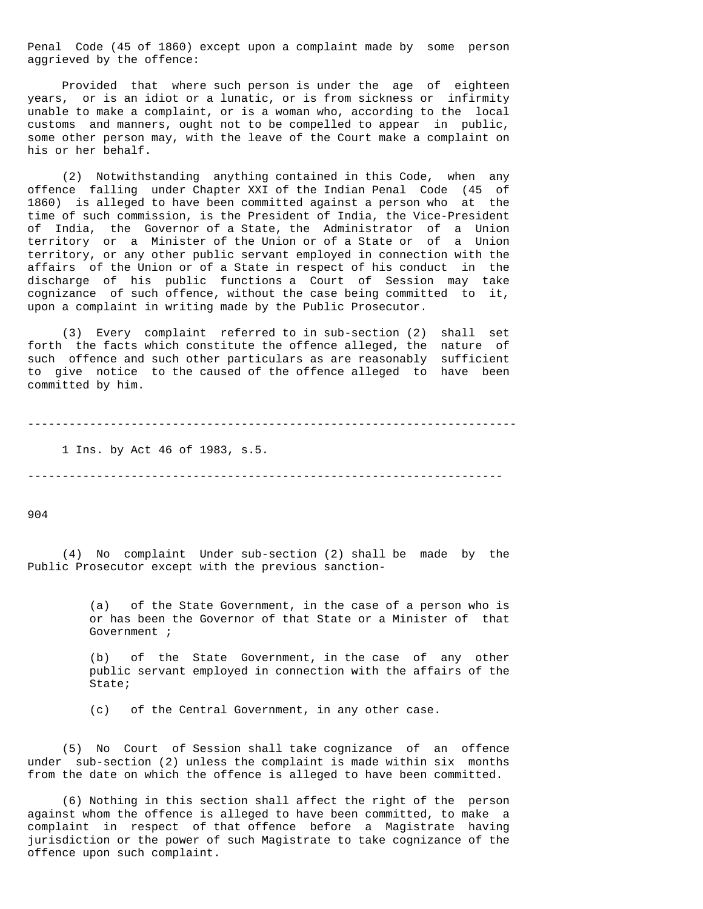Penal Code (45 of 1860) except upon a complaint made by some person aggrieved by the offence:

 Provided that where such person is under the age of eighteen years, or is an idiot or a lunatic, or is from sickness or infirmity unable to make a complaint, or is a woman who, according to the local customs and manners, ought not to be compelled to appear in public, some other person may, with the leave of the Court make a complaint on his or her behalf.

 (2) Notwithstanding anything contained in this Code, when any offence falling under Chapter XXI of the Indian Penal Code (45 of 1860) is alleged to have been committed against a person who at the time of such commission, is the President of India, the Vice-President of India, the Governor of a State, the Administrator of a Union territory or a Minister of the Union or of a State or of a Union territory, or any other public servant employed in connection with the affairs of the Union or of a State in respect of his conduct in the discharge of his public functions a Court of Session may take cognizance of such offence, without the case being committed to it, upon a complaint in writing made by the Public Prosecutor.

 (3) Every complaint referred to in sub-section (2) shall set forth the facts which constitute the offence alleged, the nature of such offence and such other particulars as are reasonably sufficient to give notice to the caused of the offence alleged to have been committed by him.

-----------------------------------------------------------------------

1 Ins. by Act 46 of 1983, s.5.

---------------------------------------------------------------------

904

 (4) No complaint Under sub-section (2) shall be made by the Public Prosecutor except with the previous sanction-

> (a) of the State Government, in the case of a person who is or has been the Governor of that State or a Minister of that Government *;*

> (b) of the State Government, in the case of any other public servant employed in connection with the affairs of the State;

(c) of the Central Government, in any other case.

 (5) No Court of Session shall take cognizance of an offence under sub-section (2) unless the complaint is made within six months from the date on which the offence is alleged to have been committed.

 (6) Nothing in this section shall affect the right of the person against whom the offence is alleged to have been committed, to make a complaint in respect of that offence before a Magistrate having jurisdiction or the power of such Magistrate to take cognizance of the offence upon such complaint.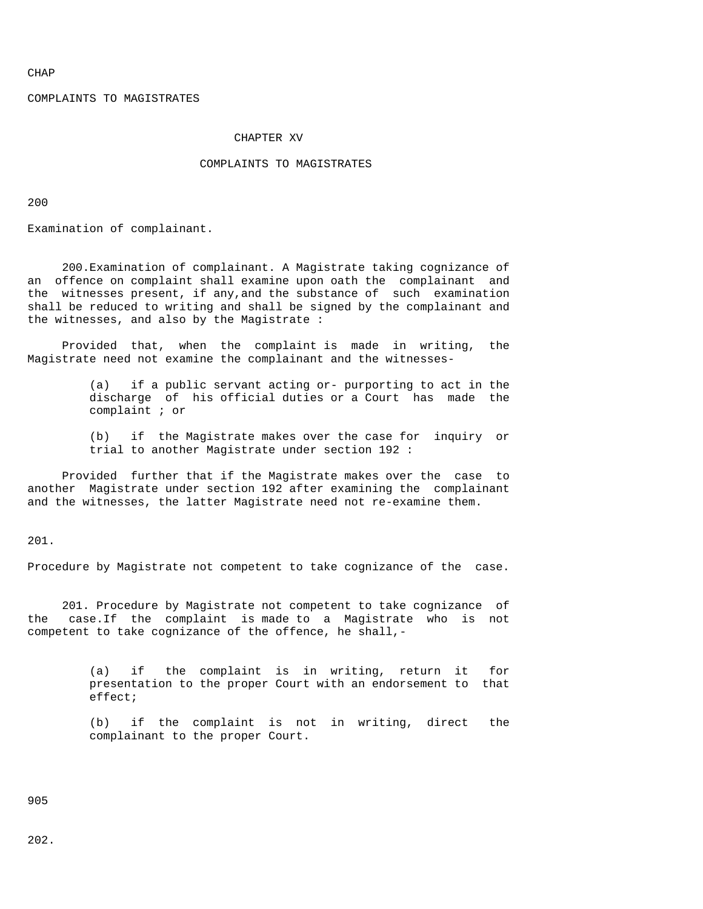CHAP

#### COMPLAINTS TO MAGISTRATES

#### CHAPTER XV

#### COMPLAINTS TO MAGISTRATES

200

Examination of complainant.

 200.Examination of complainant. A Magistrate taking cognizance of an offence on complaint shall examine upon oath the complainant and the witnesses present, if any,and the substance of such examination shall be reduced to writing and shall be signed by the complainant and the witnesses, and also by the Magistrate :

 Provided that, when the complaint is made in writing, the Magistrate need not examine the complainant and the witnesses-

> (a) if a public servant acting or- purporting to act in the discharge of his official duties or a Court has made the complaint ; or

> (b) if the Magistrate makes over the case for inquiry or trial to another Magistrate under section 192 :

 Provided further that if the Magistrate makes over the case to another Magistrate under section 192 after examining the complainant and the witnesses, the latter Magistrate need not re-examine them.

201.

Procedure by Magistrate not competent to take cognizance of the case.

 201. Procedure by Magistrate not competent to take cognizance of the case.If the complaint is made to a Magistrate who is not competent to take cognizance of the offence, he shall,-

> (a) if the complaint is in writing, return it for presentation to the proper Court with an endorsement to that effect;

> (b) if the complaint is not in writing, direct the complainant to the proper Court.

905

202.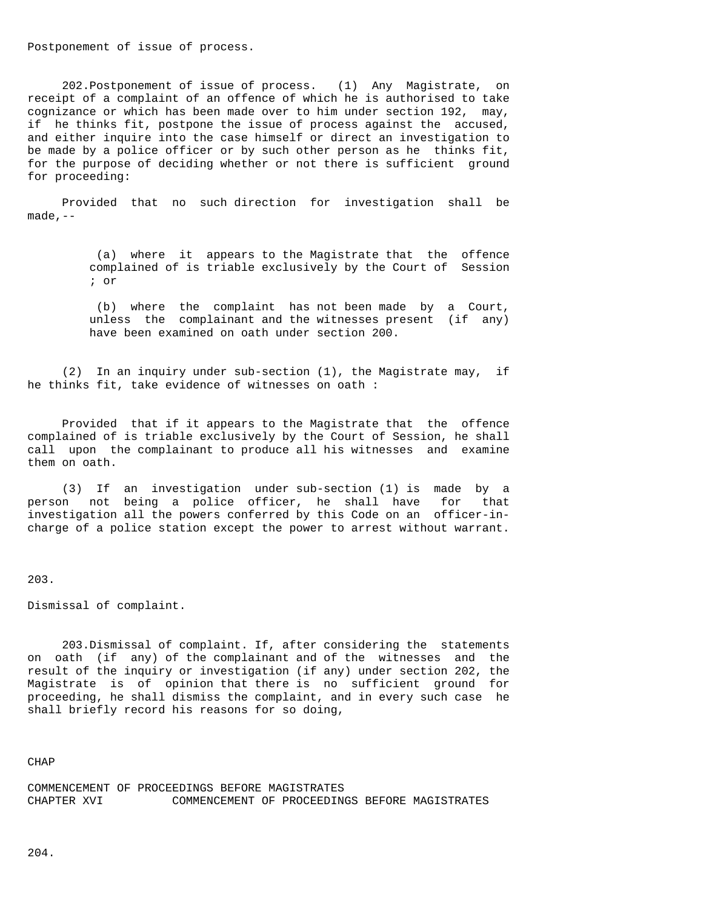Postponement of issue of process.

 202.Postponement of issue of process. (1) Any Magistrate, on receipt of a complaint of an offence of which he is authorised to take cognizance or which has been made over to him under section 192, may, if he thinks fit, postpone the issue of process against the accused, and either inquire into the case himself or direct an investigation to be made by a police officer or by such other person as he thinks fit, for the purpose of deciding whether or not there is sufficient ground for proceeding:

 Provided that no such direction for investigation shall be made, $--$ 

> (a) where it appears to the Magistrate that the offence complained of is triable exclusively by the Court of Session ; or

> (b) where the complaint has not been made by a Court, unless the complainant and the witnesses present (if any) have been examined on oath under section 200.

 (2) In an inquiry under sub-section (1), the Magistrate may, if he thinks fit, take evidence of witnesses on oath :

 Provided that if it appears to the Magistrate that the offence complained of is triable exclusively by the Court of Session, he shall call upon the complainant to produce all his witnesses and examine them on oath.

 (3) If an investigation under sub-section (1) is made by a person not being a police officer, he shall have for that investigation all the powers conferred by this Code on an officer-in charge of a police station except the power to arrest without warrant.

203.

Dismissal of complaint.

 203.Dismissal of complaint. If, after considering the statements on oath (if any) of the complainant and of the witnesses and the result of the inquiry or investigation (if any) under section 202, the Magistrate is of opinion that there is no sufficient ground for proceeding, he shall dismiss the complaint, and in every such case he shall briefly record his reasons for so doing,

CHAP

 COMMENCEMENT OF PROCEEDINGS BEFORE MAGISTRATES CHAPTER XVI COMMENCEMENT OF PROCEEDINGS BEFORE MAGISTRATES

204.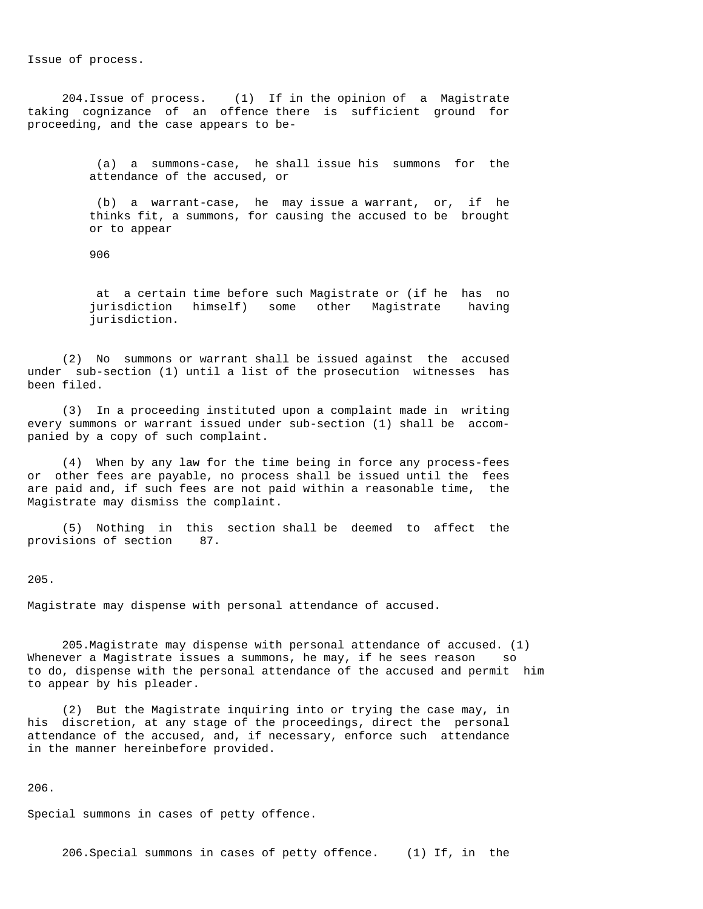Issue of process.

 204.Issue of process. (1) If in the opinion of a Magistrate taking cognizance of an offence there is sufficient ground for proceeding, and the case appears to be-

> (a) a summons-case, he shall issue his summons for the attendance of the accused, or

> (b) a warrant-case, he may issue a warrant, or, if he thinks fit, a summons, for causing the accused to be brought or to appear

906

 at a certain time before such Magistrate or (if he has no jurisdiction himself) some other Magistrate having jurisdiction.

 (2) No summons or warrant shall be issued against the accused under sub-section (1) until a list of the prosecution witnesses has been filed.

 (3) In a proceeding instituted upon a complaint made in writing every summons or warrant issued under sub-section (1) shall be accom panied by a copy of such complaint.

 (4) When by any law for the time being in force any process-fees or other fees are payable, no process shall be issued until the fees are paid and, if such fees are not paid within a reasonable time, the Magistrate may dismiss the complaint.

 (5) Nothing in this section shall be deemed to affect the provisions of section 87.

205.

Magistrate may dispense with personal attendance of accused.

 205.Magistrate may dispense with personal attendance of accused. (1) Whenever a Magistrate issues a summons, he may, if he sees reason so to do, dispense with the personal attendance of the accused and permit him to appear by his pleader.

 (2) But the Magistrate inquiring into or trying the case may, in his discretion, at any stage of the proceedings, direct the personal attendance of the accused, and, if necessary, enforce such attendance in the manner hereinbefore provided.

206.

Special summons in cases of petty offence.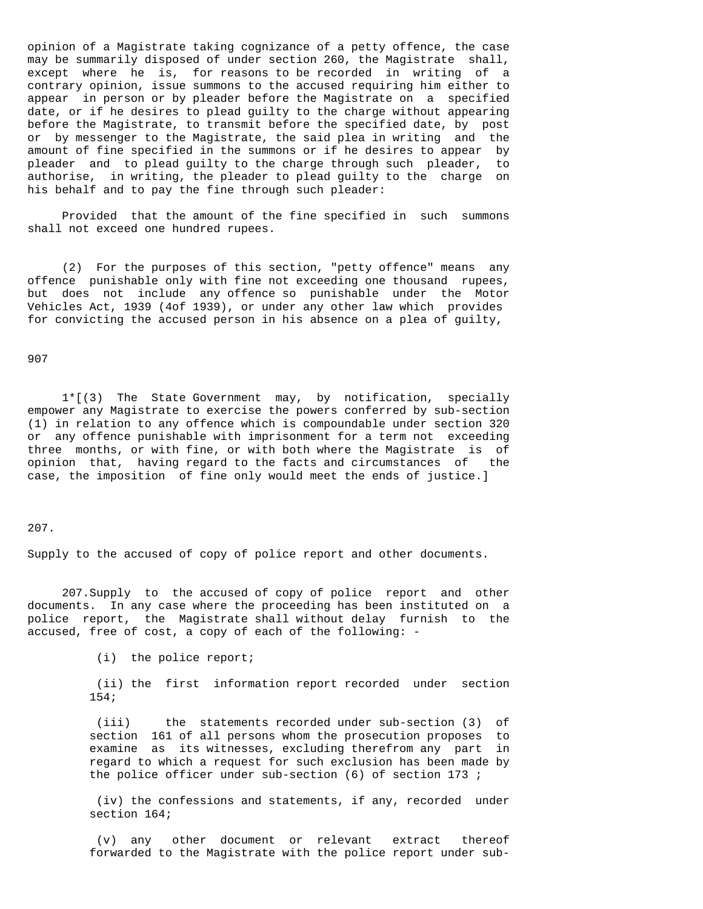opinion of a Magistrate taking cognizance of a petty offence, the case may be summarily disposed of under section 260, the Magistrate shall, except where he is, for reasons to be recorded in writing of a contrary opinion, issue summons to the accused requiring him either to appear in person or by pleader before the Magistrate on a specified date, or if he desires to plead guilty to the charge without appearing before the Magistrate, to transmit before the specified date, by post or by messenger to the Magistrate, the said plea in writing and the amount of fine specified in the summons or if he desires to appear by pleader and to plead guilty to the charge through such pleader, to authorise, in writing, the pleader to plead guilty to the charge on his behalf and to pay the fine through such pleader:

 Provided that the amount of the fine specified in such summons shall not exceed one hundred rupees.

 (2) For the purposes of this section, "petty offence" means any offence punishable only with fine not exceeding one thousand rupees, but does not include any offence so punishable under the Motor Vehicles Act, 1939 (4of 1939), or under any other law which provides for convicting the accused person in his absence on a plea of guilty,

# 907

 1\*[(3) The State Government may, by notification, specially empower any Magistrate to exercise the powers conferred by sub-section (1) in relation to any offence which is compoundable under section 320 or any offence punishable with imprisonment for a term not exceeding three months, or with fine, or with both where the Magistrate is of opinion that, having regard to the facts and circumstances of the case, the imposition of fine only would meet the ends of justice.]

#### 207.

Supply to the accused of copy of police report and other documents.

 207.Supply to the accused of copy of police report and other documents. In any case where the proceeding has been instituted on a police report, the Magistrate shall without delay furnish to the accused, free of cost, a copy of each of the following: -

(i) the police report;

 (ii) the first information report recorded under section 154;

 (iii) the statements recorded under sub-section (3) of section 161 of all persons whom the prosecution proposes to examine as its witnesses, excluding therefrom any part in regard to which a request for such exclusion has been made by the police officer under sub-section (6) of section 173 ;

 (iv) the confessions and statements, if any, recorded under section 164;

 (v) any other document or relevant extract thereof forwarded to the Magistrate with the police report under sub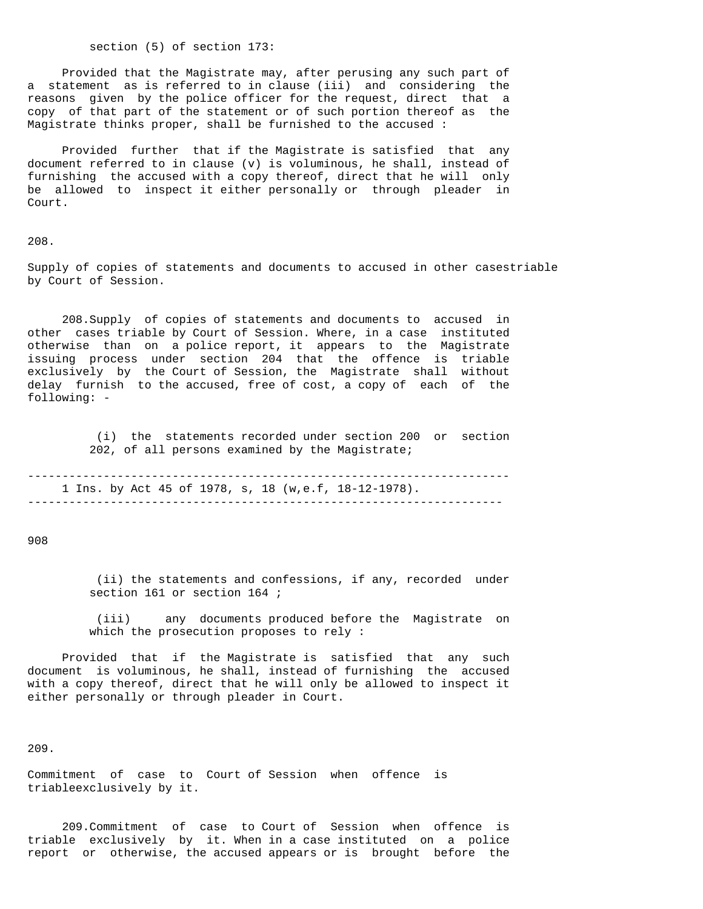section (5) of section 173:

 Provided that the Magistrate may, after perusing any such part of a statement as is referred to in clause (iii) and considering the reasons given by the police officer for the request, direct that a copy of that part of the statement or of such portion thereof as the Magistrate thinks proper, shall be furnished to the accused :

 Provided further that if the Magistrate is satisfied that any document referred to in clause (v) is voluminous, he shall, instead of furnishing the accused with a copy thereof, direct that he will only be allowed to inspect it either personally or through pleader in Court.

208.

 Supply of copies of statements and documents to accused in other casestriable by Court of Session.

 208.Supply of copies of statements and documents to accused in other cases triable by Court of Session. Where, in a case instituted otherwise than on a police report, it appears to the Magistrate issuing process under section 204 that the offence is triable exclusively by the Court of Session, the Magistrate shall without delay furnish to the accused, free of cost, a copy of each of the following: -

> (i) the statements recorded under section 200 or section 202, of all persons examined by the Magistrate;

 ---------------------------------------------------------------------- 1 Ins. by Act 45 of 1978, s, 18 (w,e.f, 18-12-1978). ---------------------------------------------------------------------

908

 (ii) the statements and confessions, if any, recorded under section 161 or section 164 ;

 (iii) any documents produced before the Magistrate on which the prosecution proposes to rely :

 Provided that if the Magistrate is satisfied that any such document is voluminous, he shall, instead of furnishing the accused with a copy thereof, direct that he will only be allowed to inspect it either personally or through pleader in Court.

209.

 Commitment of case to Court of Session when offence is triableexclusively by it.

 209.Commitment of case to Court of Session when offence is triable exclusively by it. When in a case instituted on a police report or otherwise, the accused appears or is brought before the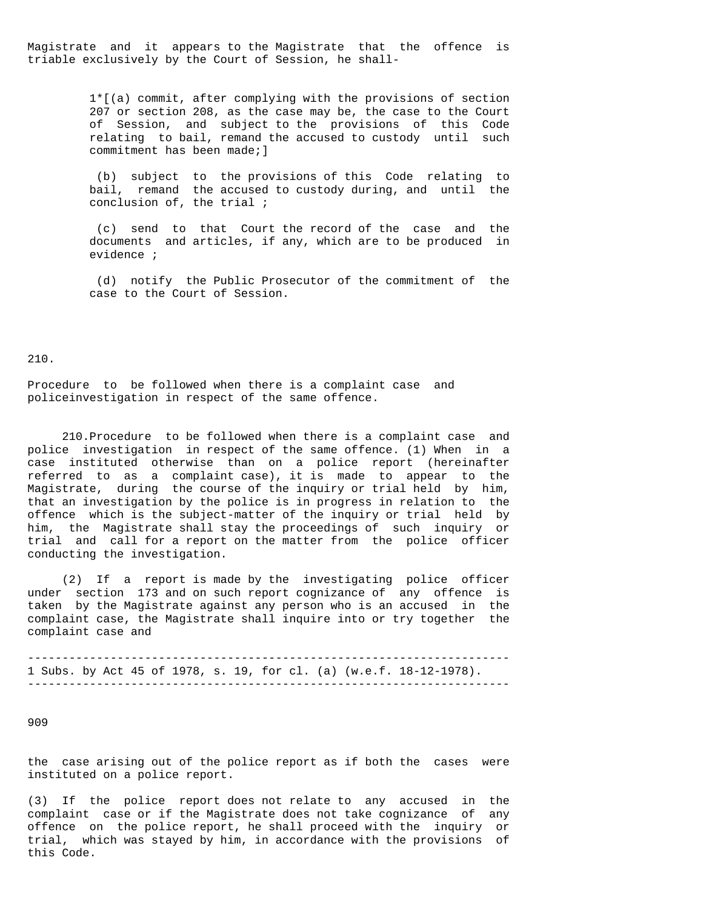Magistrate and it appears to the Magistrate that the offence is triable exclusively by the Court of Session, he shall-

> 1\*[(a) commit, after complying with the provisions of section 207 or section 208, as the case may be, the case to the Court of Session, and subject to the provisions of this Code relating to bail, remand the accused to custody until such commitment has been made;]

> (b) subject to the provisions of this Code relating to bail, remand the accused to custody during, and until the conclusion of, the trial ;

> (c) send to that Court the record of the case and the documents and articles, if any, which are to be produced in evidence ;

> (d) notify the Public Prosecutor of the commitment of the case to the Court of Session.

210.

 Procedure to be followed when there is a complaint case and policeinvestigation in respect of the same offence.

 210.Procedure to be followed when there is a complaint case and police investigation in respect of the same offence. (1) When in a case instituted otherwise than on a police report (hereinafter referred to as a complaint case), it is made to appear to the Magistrate, during the course of the inquiry or trial held by him, that an investigation by the police is in progress in relation to the offence which is the subject-matter of the inquiry or trial held by him, the Magistrate shall stay the proceedings of such inquiry or trial and call for a report on the matter from the police officer conducting the investigation.

 (2) If a report is made by the investigating police officer under section 173 and on such report cognizance of any offence is taken by the Magistrate against any person who is an accused in the complaint case, the Magistrate shall inquire into or try together the complaint case and

|  |  |  |  |  | 1 Subs. by Act 45 of 1978, s. 19, for cl. (a) (w.e.f. 18-12-1978). |
|--|--|--|--|--|--------------------------------------------------------------------|
|  |  |  |  |  |                                                                    |

909

 the case arising out of the police report as if both the cases were instituted on a police report.

 (3) If the police report does not relate to any accused in the complaint case or if the Magistrate does not take cognizance of any offence on the police report, he shall proceed with the inquiry or trial, which was stayed by him, in accordance with the provisions of this Code.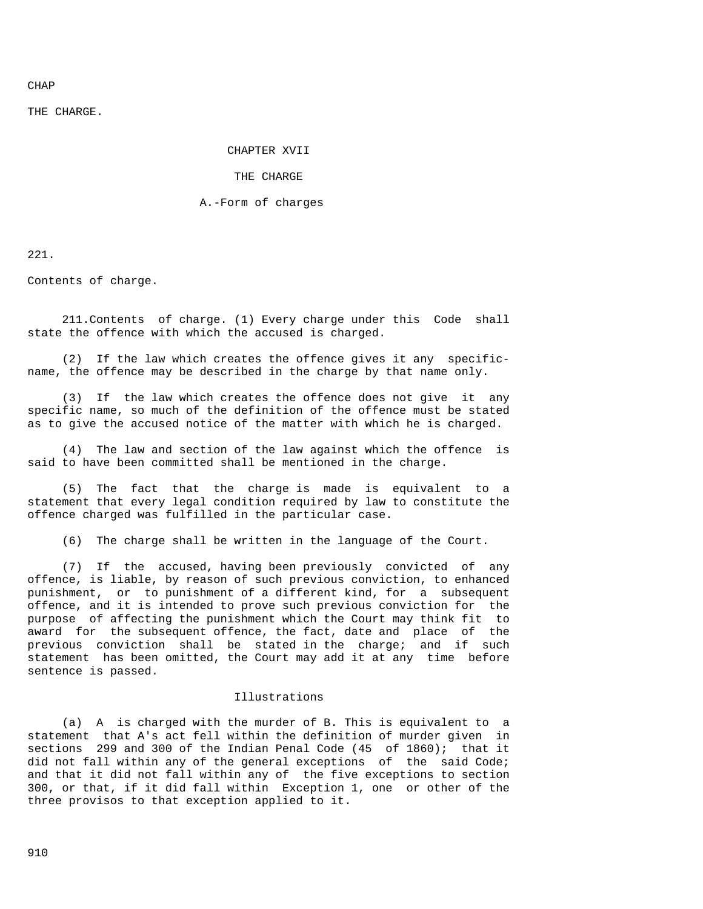CHAP

THE CHARGE.

CHAPTER XVII

# THE CHARGE

### A.-Form of charges

221.

Contents of charge.

 211.Contents of charge. (1) Every charge under this Code shall state the offence with which the accused is charged.

 (2) If the law which creates the offence gives it any specific name, the offence may be described in the charge by that name only.

 (3) If the law which creates the offence does not give it any specific name, so much of the definition of the offence must be stated as to give the accused notice of the matter with which he is charged.

 (4) The law and section of the law against which the offence is said to have been committed shall be mentioned in the charge.

 (5) The fact that the charge is made is equivalent to a statement that every legal condition required by law to constitute the offence charged was fulfilled in the particular case.

(6) The charge shall be written in the language of the Court.

 (7) If the accused, having been previously convicted of any offence, is liable, by reason of such previous conviction, to enhanced punishment, or to punishment of a different kind, for a subsequent offence, and it is intended to prove such previous conviction for the purpose of affecting the punishment which the Court may think fit to award for the subsequent offence, the fact, date and place of the previous conviction shall be stated in the charge; and if such statement has been omitted, the Court may add it at any time before sentence is passed.

### Illustrations

 (a) A is charged with the murder of B. This is equivalent to a statement that A's act fell within the definition of murder given in sections 299 and 300 of the Indian Penal Code (45 of 1860); that it did not fall within any of the general exceptions of the said Code; and that it did not fall within any of the five exceptions to section 300, or that, if it did fall within Exception 1, one or other of the three provisos to that exception applied to it.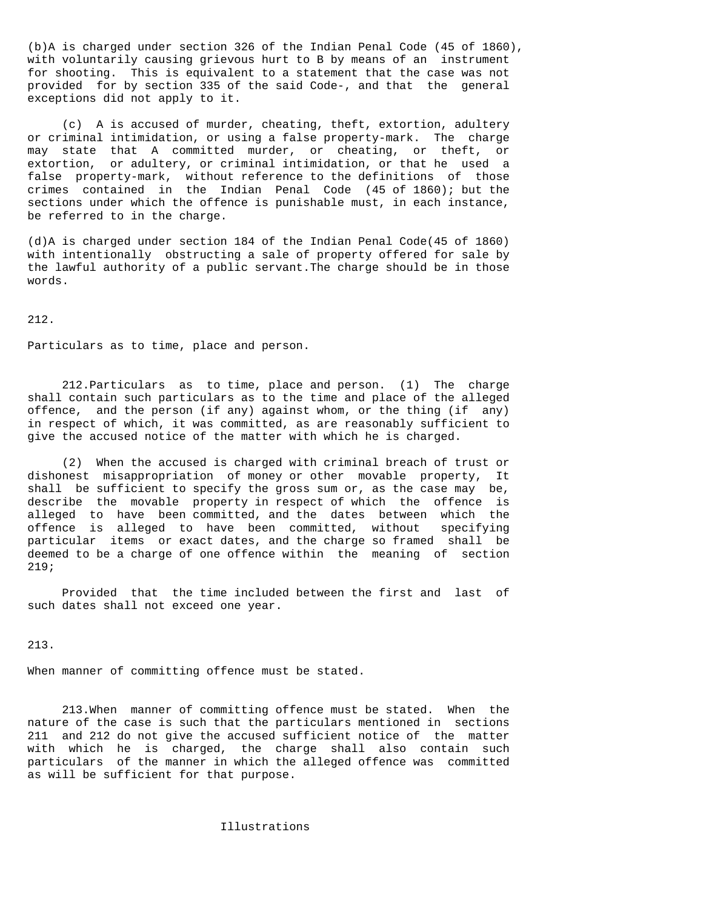(b)A is charged under section 326 of the Indian Penal Code (45 of 1860), with voluntarily causing grievous hurt to B by means of an instrument for shooting. This is equivalent to a statement that the case was not provided for by section 335 of the said Code-, and that the general exceptions did not apply to it.

 (c) A is accused of murder, cheating, theft, extortion, adultery or criminal intimidation, or using a false property-mark. The charge may state that A committed murder, or cheating, or theft, or extortion, or adultery, or criminal intimidation, or that he used a false property-mark, without reference to the definitions of those crimes contained in the Indian Penal Code (45 of 1860); but the sections under which the offence is punishable must, in each instance, be referred to in the charge.

 (d)A is charged under section 184 of the Indian Penal Code(45 of 1860) with intentionally obstructing a sale of property offered for sale by the lawful authority of a public servant.The charge should be in those words.

212.

Particulars as to time, place and person.

 212.Particulars as to time, place and person. (1) The charge shall contain such particulars as to the time and place of the alleged offence, and the person (if any) against whom, or the thing (if any) in respect of which, it was committed, as are reasonably sufficient to give the accused notice of the matter with which he is charged.

 (2) When the accused is charged with criminal breach of trust or dishonest misappropriation of money or other movable property, It shall be sufficient to specify the gross sum or, as the case may be, describe the movable property in respect of which the offence is alleged to have been committed, and the dates between which the offence is alleged to have been committed, without specifying particular items or exact dates, and the charge so framed shall be deemed to be a charge of one offence within the meaning of section 219;

 Provided that the time included between the first and last of such dates shall not exceed one year.

213.

When manner of committing offence must be stated.

 213.When manner of committing offence must be stated. When the nature of the case is such that the particulars mentioned in sections 211 and 212 do not give the accused sufficient notice of the matter with which he is charged, the charge shall also contain such particulars of the manner in which the alleged offence was committed as will be sufficient for that purpose.

Illustrations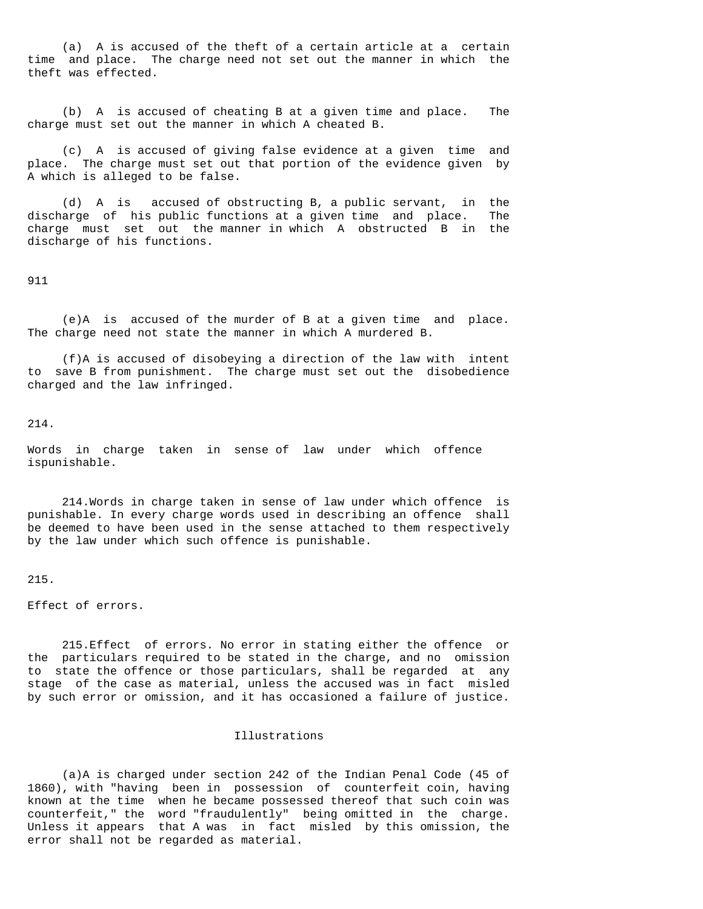(a) A is accused of the theft of a certain article at a certain time and place. The charge need not set out the manner in which the theft was effected.

 (b) A is accused of cheating B at a given time and place. The charge must set out the manner in which A cheated B.

 (c) A is accused of giving false evidence at a given time and place. The charge must set out that portion of the evidence given by A which is alleged to be false.

 (d) A is accused of obstructing B, a public servant, in the discharge of his public functions at a given time and place. The charge must set out the manner in which A obstructed B in the discharge of his functions.

911

 (e)A is accused of the murder of B at a given time and place. The charge need not state the manner in which A murdered B.

 (f)A is accused of disobeying a direction of the law with intent to save B from punishment. The charge must set out the disobedience charged and the law infringed.

214.

 Words in charge taken in sense of law under which offence ispunishable.

 214.Words in charge taken in sense of law under which offence is punishable. In every charge words used in describing an offence shall be deemed to have been used in the sense attached to them respectively by the law under which such offence is punishable.

215.

Effect of errors.

 215.Effect of errors. No error in stating either the offence or the particulars required to be stated in the charge, and no omission to state the offence or those particulars, shall be regarded at any stage of the case as material, unless the accused was in fact misled by such error or omission, and it has occasioned a failure of justice.

### Illustrations

 (a)A is charged under section 242 of the Indian Penal Code (45 of 1860), with "having been in possession of counterfeit coin, having known at the time when he became possessed thereof that such coin was counterfeit," the word "fraudulently" being omitted in the charge. Unless it appears that A was in fact misled by this omission, the error shall not be regarded as material.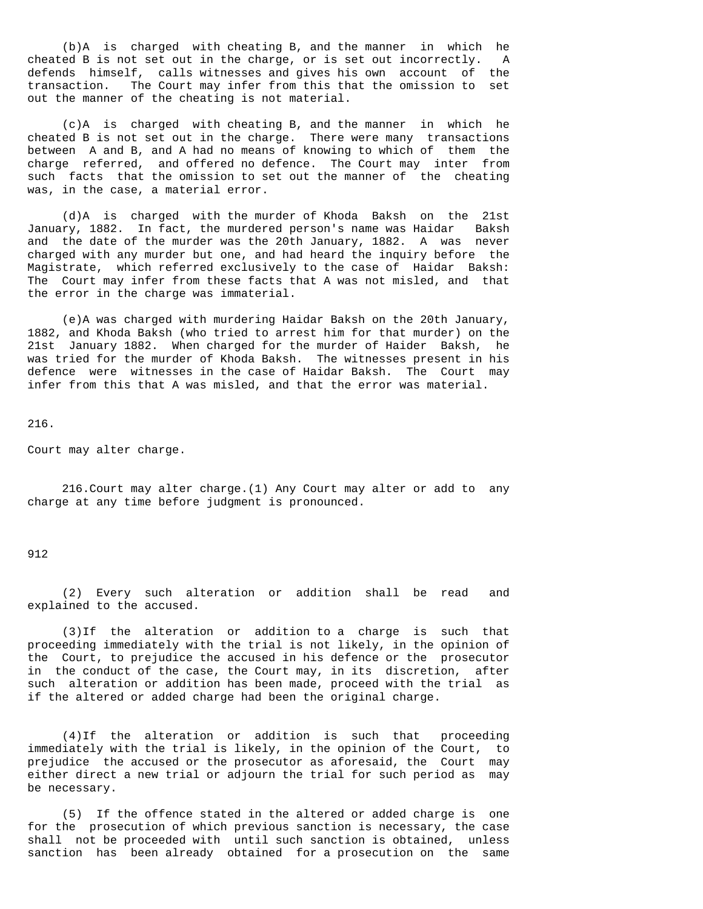(b)A is charged with cheating B, and the manner in which he cheated B is not set out in the charge, or is set out incorrectly. A defends himself, calls witnesses and gives his own account of the transaction. The Court may infer from this that the omission to set out the manner of the cheating is not material.

 (c)A is charged with cheating B, and the manner in which he cheated B is not set out in the charge. There were many transactions between A and B, and A had no means of knowing to which of them the charge referred, and offered no defence. The Court may inter from such facts that the omission to set out the manner of the cheating was, in the case, a material error.

 (d)A is charged with the murder of Khoda Baksh on the 21st January, 1882. In fact, the murdered person's name was Haidar Baksh and the date of the murder was the 20th January, 1882. A was never charged with any murder but one, and had heard the inquiry before the Magistrate, which referred exclusively to the case of Haidar Baksh: The Court may infer from these facts that A was not misled, and that the error in the charge was immaterial.

 (e)A was charged with murdering Haidar Baksh on the 20th January, 1882, and Khoda Baksh (who tried to arrest him for that murder) on the 21st January 1882. When charged for the murder of Haider Baksh, he was tried for the murder of Khoda Baksh. The witnesses present in his defence were witnesses in the case of Haidar Baksh. The Court may infer from this that A was misled, and that the error was material.

216.

Court may alter charge.

 216.Court may alter charge.(1) Any Court may alter or add to any charge at any time before judgment is pronounced.

912

 (2) Every such alteration or addition shall be read and explained to the accused.

 (3)If the alteration or addition to a charge is such that proceeding immediately with the trial is not likely, in the opinion of the Court, to prejudice the accused in his defence or the prosecutor in the conduct of the case, the Court may, in its discretion, after such alteration or addition has been made, proceed with the trial as if the altered or added charge had been the original charge.

 (4)If the alteration or addition is such that proceeding immediately with the trial is likely, in the opinion of the Court, to prejudice the accused or the prosecutor as aforesaid, the Court may either direct a new trial or adjourn the trial for such period as may be necessary.

 (5) If the offence stated in the altered or added charge is one for the prosecution of which previous sanction is necessary, the case shall not be proceeded with until such sanction is obtained, unless sanction has been already obtained for a prosecution on the same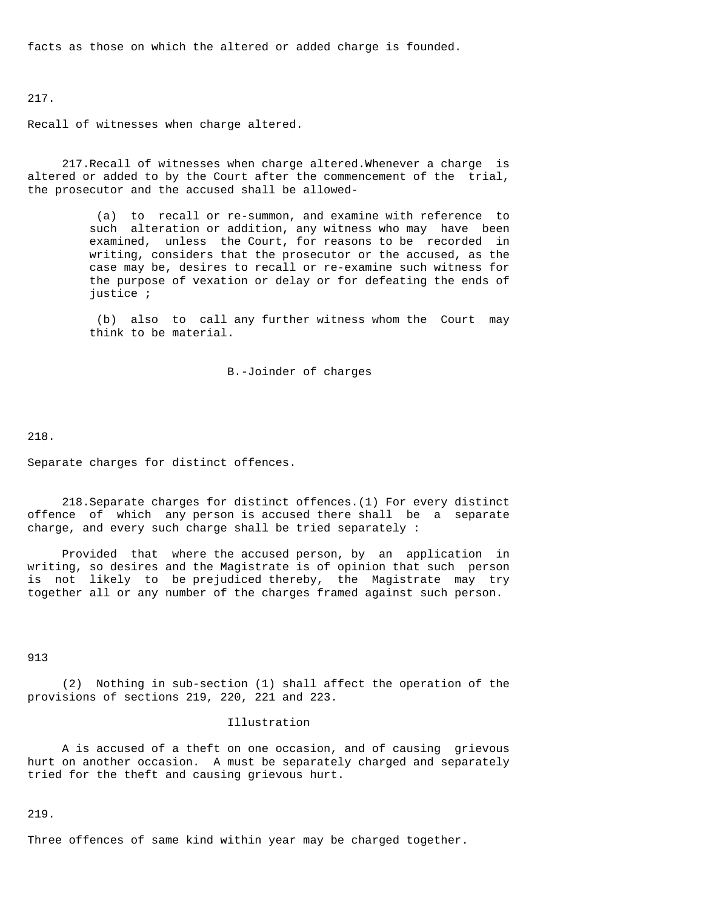facts as those on which the altered or added charge is founded.

217.

Recall of witnesses when charge altered.

 217.Recall of witnesses when charge altered.Whenever a charge is altered or added to by the Court after the commencement of the trial, the prosecutor and the accused shall be allowed-

> (a) to recall or re-summon, and examine with reference to such alteration or addition, any witness who may have been examined, unless the Court, for reasons to be recorded in writing, considers that the prosecutor or the accused, as the case may be, desires to recall or re-examine such witness for the purpose of vexation or delay or for defeating the ends of justice ;

> (b) also to call any further witness whom the Court may think to be material.

> > B.-Joinder of charges

218.

Separate charges for distinct offences.

 218.Separate charges for distinct offences.(1) For every distinct offence of which any person is accused there shall be a separate charge, and every such charge shall be tried separately :

 Provided that where the accused person, by an application in writing, so desires and the Magistrate is of opinion that such person is not likely to be prejudiced thereby, the Magistrate may try together all or any number of the charges framed against such person.

913

 (2) Nothing in sub-section (1) shall affect the operation of the provisions of sections 219, 220, 221 and 223.

#### Illustration

 A is accused of a theft on one occasion, and of causing grievous hurt on another occasion. A must be separately charged and separately tried for the theft and causing grievous hurt.

219.

Three offences of same kind within year may be charged together.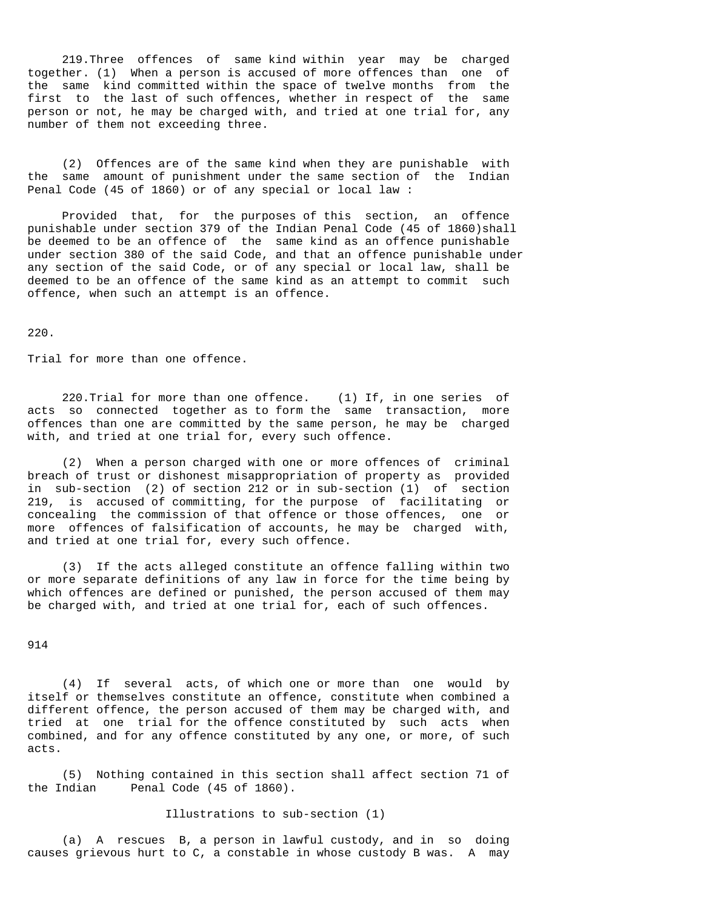219.Three offences of same kind within year may be charged together. (1) When a person is accused of more offences than one of the same kind committed within the space of twelve months from the first to the last of such offences, whether in respect of the same person or not, he may be charged with, and tried at one trial for, any number of them not exceeding three.

 (2) Offences are of the same kind when they are punishable with the same amount of punishment under the same section of the Indian Penal Code (45 of 1860) or of any special or local law :

 Provided that, for the purposes of this section, an offence punishable under section 379 of the Indian Penal Code (45 of 1860)shall be deemed to be an offence of the same kind as an offence punishable under section 380 of the said Code, and that an offence punishable under any section of the said Code, or of any special or local law, shall be deemed to be an offence of the same kind as an attempt to commit such offence, when such an attempt is an offence.

220.

Trial for more than one offence.

 220.Trial for more than one offence. (1) If, in one series of acts so connected together as to form the same transaction, more offences than one are committed by the same person, he may be charged with, and tried at one trial for, every such offence.

 (2) When a person charged with one or more offences of criminal breach of trust or dishonest misappropriation of property as provided in sub-section (2) of section 212 or in sub-section (1) of section 219, is accused of committing, for the purpose of facilitating or concealing the commission of that offence or those offences, one or more offences of falsification of accounts, he may be charged with, and tried at one trial for, every such offence.

 (3) If the acts alleged constitute an offence falling within two or more separate definitions of any law in force for the time being by which offences are defined or punished, the person accused of them may be charged with, and tried at one trial for, each of such offences.

914

 (4) If several acts, of which one or more than one would by itself or themselves constitute an offence, constitute when combined a different offence, the person accused of them may be charged with, and tried at one trial for the offence constituted by such acts when combined, and for any offence constituted by any one, or more, of such acts.

 (5) Nothing contained in this section shall affect section 71 of the Indian Penal Code (45 of 1860).

#### Illustrations to sub-section (1)

 (a) A rescues B, a person in lawful custody, and in so doing causes grievous hurt to C, a constable in whose custody B was. A may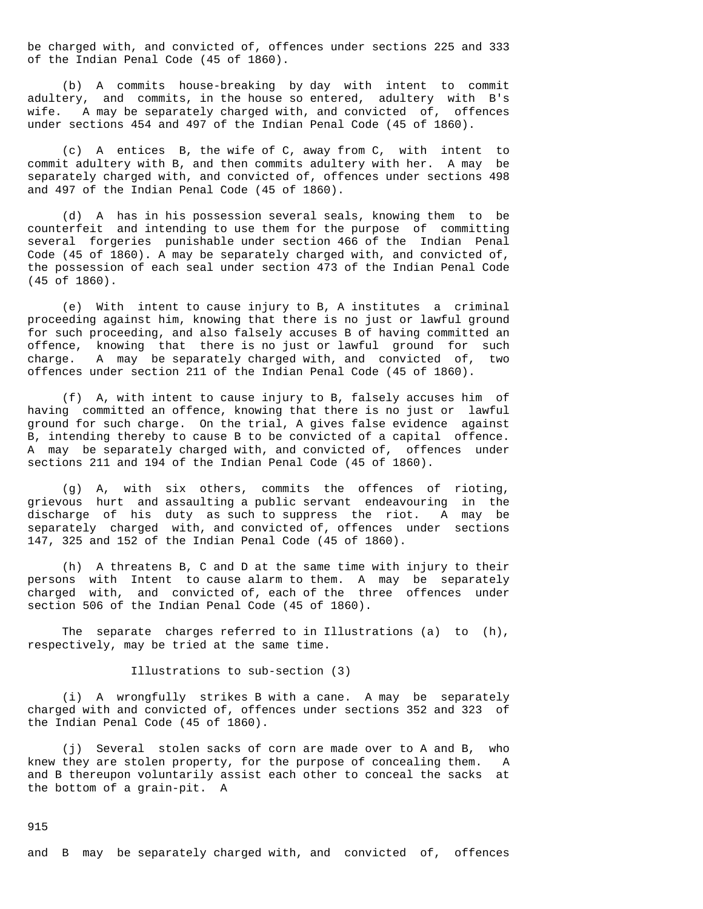be charged with, and convicted of, offences under sections 225 and 333 of the Indian Penal Code (45 of 1860).

 (b) A commits house-breaking by day with intent to commit adultery, and commits, in the house so entered, adultery with B's wife. A may be separately charged with, and convicted of, offences under sections 454 and 497 of the Indian Penal Code (45 of 1860).

 (c) A entices B, the wife of C, away from C, with intent to commit adultery with B, and then commits adultery with her. A may be separately charged with, and convicted of, offences under sections 498 and 497 of the Indian Penal Code (45 of 1860).

 (d) A has in his possession several seals, knowing them to be counterfeit and intending to use them for the purpose of committing several forgeries punishable under section 466 of the Indian Penal Code (45 of 1860). A may be separately charged with, and convicted of, the possession of each seal under section 473 of the Indian Penal Code (45 of 1860).

 (e) With intent to cause injury to B, A institutes a criminal proceeding against him, knowing that there is no just or lawful ground for such proceeding, and also falsely accuses B of having committed an offence, knowing that there is no just or lawful ground for such charge. A may be separately charged with, and convicted of, two offences under section 211 of the Indian Penal Code (45 of 1860).

 (f) A, with intent to cause injury to B, falsely accuses him of having committed an offence, knowing that there is no just or lawful ground for such charge. On the trial, A gives false evidence against B, intending thereby to cause B to be convicted of a capital offence. A may be separately charged with, and convicted of, offences under sections 211 and 194 of the Indian Penal Code (45 of 1860).

 (g) A, with six others, commits the offences of rioting, grievous hurt and assaulting a public servant endeavouring in the discharge of his duty as such to suppress the riot. A may be separately charged with, and convicted of, offences under sections 147, 325 and 152 of the Indian Penal Code (45 of 1860).

 (h) A threatens B, C and D at the same time with injury to their persons with Intent to cause alarm to them. A may be separately charged with, and convicted of, each of the three offences under section 506 of the Indian Penal Code (45 of 1860).

The separate charges referred to in Illustrations (a) to (h), respectively, may be tried at the same time.

Illustrations to sub-section (3)

 (i) A wrongfully strikes B with a cane. A may be separately charged with and convicted of, offences under sections 352 and 323 of the Indian Penal Code (45 of 1860).

 (j) Several stolen sacks of corn are made over to A and B, who knew they are stolen property, for the purpose of concealing them. A and B thereupon voluntarily assist each other to conceal the sacks at the bottom of a grain-pit. A

915

and B may be separately charged with, and convicted of, offences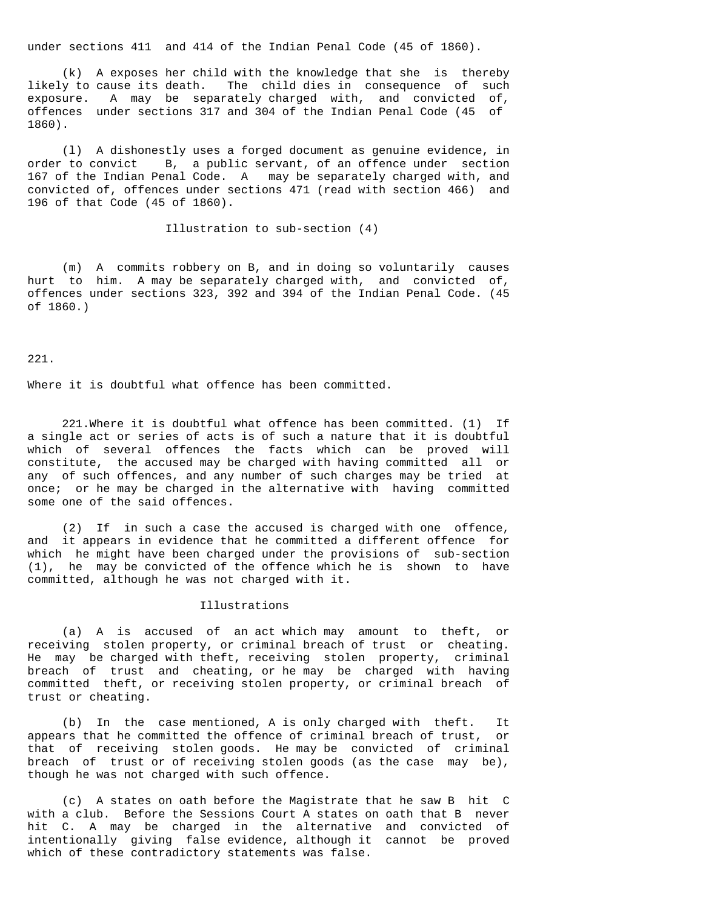under sections 411 and 414 of the Indian Penal Code (45 of 1860).

 (k) A exposes her child with the knowledge that she is thereby likely to cause its death. The child dies in consequence of such exposure. A may be separately charged with, and convicted of, offences under sections 317 and 304 of the Indian Penal Code (45 of 1860).

 (l) A dishonestly uses a forged document as genuine evidence, in order to convict B, a public servant, of an offence under section 167 of the Indian Penal Code. A may be separately charged with, and convicted of, offences under sections 471 (read with section 466) and 196 of that Code (45 of 1860).

Illustration to sub-section (4)

 (m) A commits robbery on B, and in doing so voluntarily causes hurt to him. A may be separately charged with, and convicted of, offences under sections 323, 392 and 394 of the Indian Penal Code. (45 of 1860.)

221.

Where it is doubtful what offence has been committed.

 221.Where it is doubtful what offence has been committed. (1) If a single act or series of acts is of such a nature that it is doubtful which of several offences the facts which can be proved will constitute, the accused may be charged with having committed all or any of such offences, and any number of such charges may be tried at once; or he may be charged in the alternative with having committed some one of the said offences.

 (2) If in such a case the accused is charged with one offence, and it appears in evidence that he committed a different offence for which he might have been charged under the provisions of sub-section (1), he may be convicted of the offence which he is shown to have committed, although he was not charged with it.

### Illustrations

 (a) A is accused of an act which may amount to theft, or receiving stolen property, or criminal breach of trust or cheating. He may be charged with theft, receiving stolen property, criminal breach of trust and cheating, or he may be charged with having committed theft, or receiving stolen property, or criminal breach of trust or cheating.

 (b) In the case mentioned, A is only charged with theft. It appears that he committed the offence of criminal breach of trust, or that of receiving stolen goods. He may be convicted of criminal breach of trust or of receiving stolen goods (as the case may be), though he was not charged with such offence.

 (c) A states on oath before the Magistrate that he saw B hit C with a club. Before the Sessions Court A states on oath that B never hit C. A may be charged in the alternative and convicted of intentionally giving false evidence, although it cannot be proved which of these contradictory statements was false.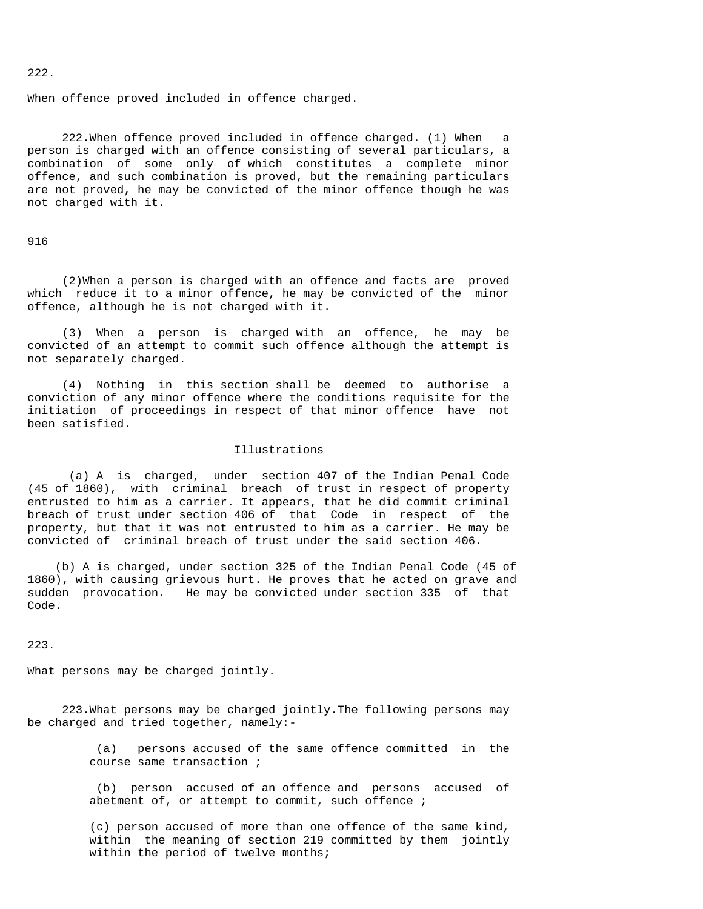When offence proved included in offence charged.

 222.When offence proved included in offence charged. (1) When a person is charged with an offence consisting of several particulars, a combination of some only of which constitutes a complete minor offence, and such combination is proved, but the remaining particulars are not proved, he may be convicted of the minor offence though he was not charged with it.

#### 916

 (2)When a person is charged with an offence and facts are proved which reduce it to a minor offence, he may be convicted of the minor offence, although he is not charged with it.

 (3) When a person is charged with an offence, he may be convicted of an attempt to commit such offence although the attempt is not separately charged.

 (4) Nothing in this section shall be deemed to authorise a conviction of any minor offence where the conditions requisite for the initiation of proceedings in respect of that minor offence have not been satisfied.

### Illustrations

 (a) A is charged, under section 407 of the Indian Penal Code (45 of 1860), with criminal breach of trust in respect of property entrusted to him as a carrier. It appears, that he did commit criminal breach of trust under section 406 of that Code in respect of the property, but that it was not entrusted to him as a carrier. He may be convicted of criminal breach of trust under the said section 406.

 (b) A is charged, under section 325 of the Indian Penal Code (45 of 1860), with causing grievous hurt. He proves that he acted on grave and sudden provocation. He may be convicted under section 335 of that Code.

223.

What persons may be charged jointly.

 223.What persons may be charged jointly.The following persons may be charged and tried together, namely:-

> (a) persons accused of the same offence committed in the course same transaction ;

> (b) person accused of an offence and persons accused of abetment of, or attempt to commit, such offence ;

> (c) person accused of more than one offence of the same kind, within the meaning of section 219 committed by them jointly within the period of twelve months;

222.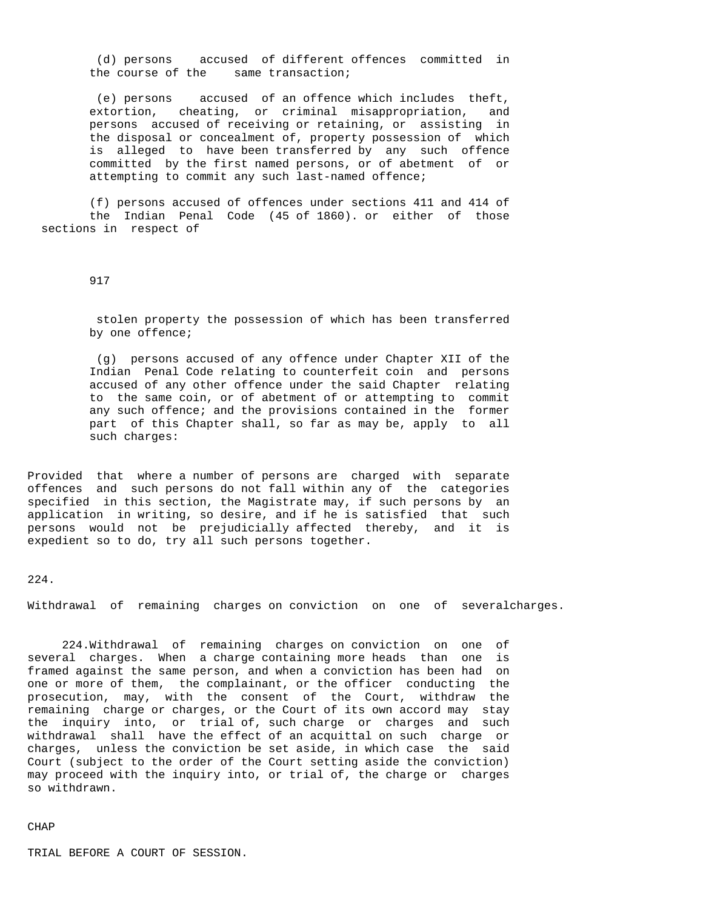(d) persons accused of different offences committed in the course of the same transaction;

 (e) persons accused of an offence which includes theft, extortion, cheating, or criminal misappropriation, and persons accused of receiving or retaining, or assisting in the disposal or concealment of, property possession of which is alleged to have been transferred by any such offence committed by the first named persons, or of abetment of or attempting to commit any such last-named offence;

 (f) persons accused of offences under sections 411 and 414 of the Indian Penal Code (45 of 1860). or either of those sections in respect of

#### 917

 stolen property the possession of which has been transferred by one offence;

 (g) persons accused of any offence under Chapter XII of the Indian Penal Code relating to counterfeit coin and persons accused of any other offence under the said Chapter relating to the same coin, or of abetment of or attempting to commit any such offence; and the provisions contained in the former part of this Chapter shall, so far as may be, apply to all such charges:

 Provided that where a number of persons are charged with separate offences and such persons do not fall within any of the categories specified in this section, the Magistrate may, if such persons by an application in writing, so desire, and if he is satisfied that such persons would not be prejudicially affected thereby, and it is expedient so to do, try all such persons together.

224.

Withdrawal of remaining charges on conviction on one of severalcharges.

 224.Withdrawal of remaining charges on conviction on one of several charges. When a charge containing more heads than one is framed against the same person, and when a conviction has been had on one or more of them, the complainant, or the officer conducting the prosecution, may, with the consent of the Court, withdraw the remaining charge or charges, or the Court of its own accord may stay the inquiry into, or trial of, such charge or charges and such withdrawal shall have the effect of an acquittal on such charge or charges, unless the conviction be set aside, in which case the said Court (subject to the order of the Court setting aside the conviction) may proceed with the inquiry into, or trial of, the charge or charges so withdrawn.

### CHAP

TRIAL BEFORE A COURT OF SESSION.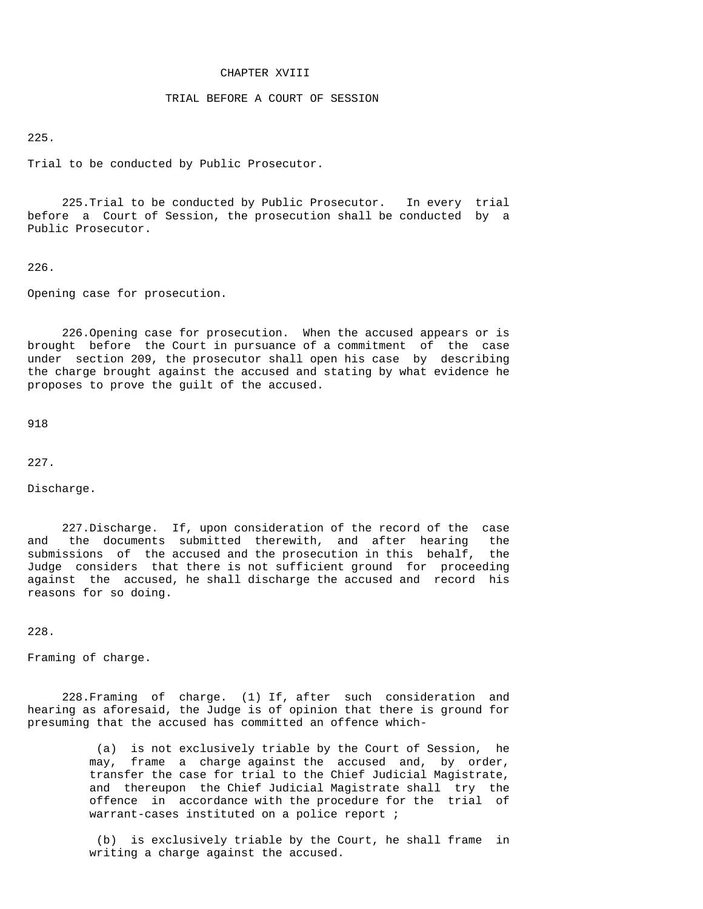#### CHAPTER XVIII

TRIAL BEFORE A COURT OF SESSION

225.

Trial to be conducted by Public Prosecutor.

 225.Trial to be conducted by Public Prosecutor. In every trial before a Court of Session, the prosecution shall be conducted by a Public Prosecutor.

226.

Opening case for prosecution.

 226.Opening case for prosecution. When the accused appears or is brought before the Court in pursuance of a commitment of the case under section 209, the prosecutor shall open his case by describing the charge brought against the accused and stating by what evidence he proposes to prove the guilt of the accused.

918

227.

Discharge.

 227.Discharge. If, upon consideration of the record of the case and the documents submitted therewith, and after hearing the submissions of the accused and the prosecution in this behalf, the Judge considers that there is not sufficient ground for proceeding against the accused, he shall discharge the accused and record his reasons for so doing.

228.

Framing of charge.

 228.Framing of charge. (1) If, after such consideration and hearing as aforesaid, the Judge is of opinion that there is ground for presuming that the accused has committed an offence which-

> (a) is not exclusively triable by the Court of Session, he may, frame a charge against the accused and, by order, transfer the case for trial to the Chief Judicial Magistrate, and thereupon the Chief Judicial Magistrate shall try the offence in accordance with the procedure for the trial of warrant-cases instituted on a police report ;

> (b) is exclusively triable by the Court, he shall frame in writing a charge against the accused.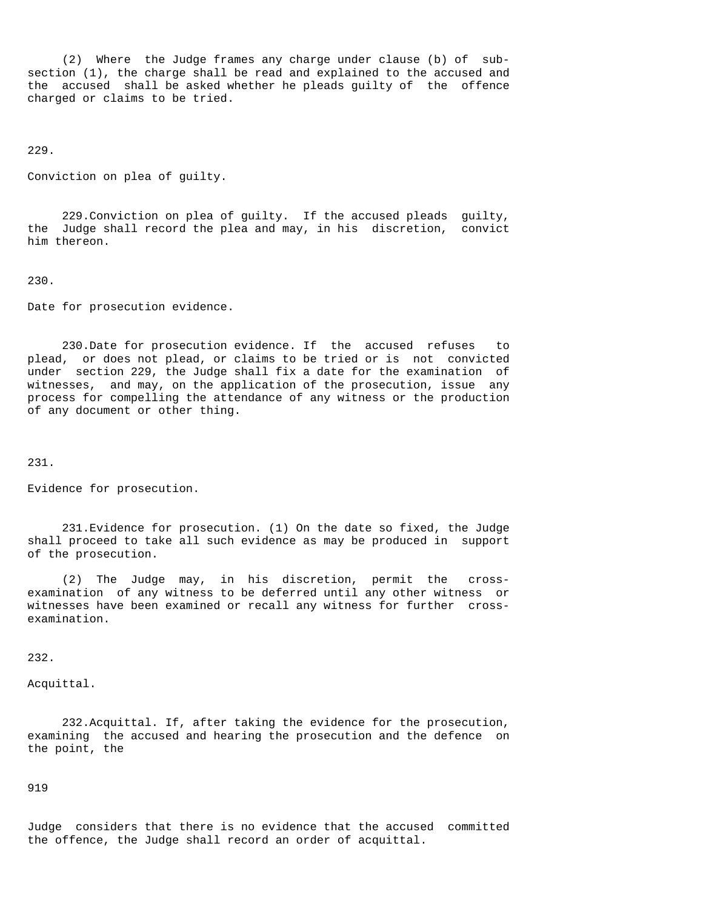(2) Where the Judge frames any charge under clause (b) of sub section (1), the charge shall be read and explained to the accused and the accused shall be asked whether he pleads guilty of the offence charged or claims to be tried.

229.

Conviction on plea of guilty.

 229.Conviction on plea of guilty. If the accused pleads guilty, the Judge shall record the plea and may, in his discretion, convict him thereon.

230.

Date for prosecution evidence.

 230.Date for prosecution evidence. If the accused refuses to plead, or does not plead, or claims to be tried or is not convicted under section 229, the Judge shall fix a date for the examination of witnesses, and may, on the application of the prosecution, issue any process for compelling the attendance of any witness or the production of any document or other thing.

231.

Evidence for prosecution.

 231.Evidence for prosecution. (1) On the date so fixed, the Judge shall proceed to take all such evidence as may be produced in support of the prosecution.

 (2) The Judge may, in his discretion, permit the cross examination of any witness to be deferred until any other witness or witnesses have been examined or recall any witness for further cross examination.

232.

Acquittal.

 232.Acquittal. If, after taking the evidence for the prosecution, examining the accused and hearing the prosecution and the defence on the point, the

919

 Judge considers that there is no evidence that the accused committed the offence, the Judge shall record an order of acquittal.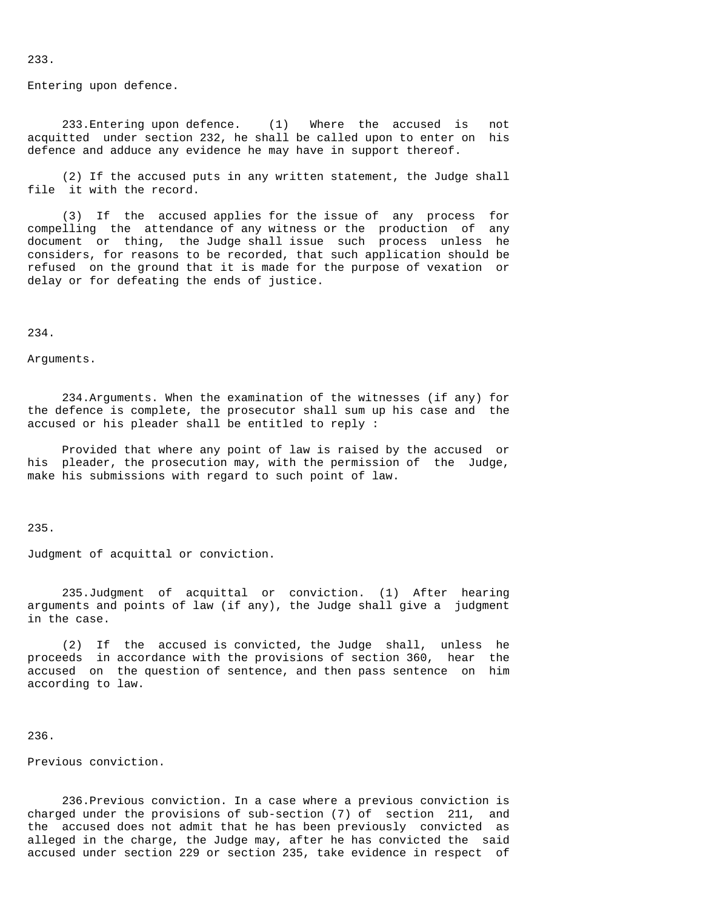Entering upon defence.

 233.Entering upon defence. (1) Where the accused is not acquitted under section 232, he shall be called upon to enter on his defence and adduce any evidence he may have in support thereof.

 (2) If the accused puts in any written statement, the Judge shall file it with the record.

 (3) If the accused applies for the issue of any process for compelling the attendance of any witness or the production of any document or thing, the Judge shall issue such process unless he considers, for reasons to be recorded, that such application should be refused on the ground that it is made for the purpose of vexation or delay or for defeating the ends of justice.

234.

Arguments.

 234.Arguments. When the examination of the witnesses (if any) for the defence is complete, the prosecutor shall sum up his case and the accused or his pleader shall be entitled to reply :

 Provided that where any point of law is raised by the accused or his pleader, the prosecution may, with the permission of the Judge, make his submissions with regard to such point of law.

235.

Judgment of acquittal or conviction.

 235.Judgment of acquittal or conviction. (1) After hearing arguments and points of law (if any), the Judge shall give a judgment in the case.

 (2) If the accused is convicted, the Judge shall, unless he proceeds in accordance with the provisions of section 360, hear the accused on the question of sentence, and then pass sentence on him according to law.

236.

Previous conviction.

 236.Previous conviction. In a case where a previous conviction is charged under the provisions of sub-section (7) of section 211, and the accused does not admit that he has been previously convicted as alleged in the charge, the Judge may, after he has convicted the said accused under section 229 or section 235, take evidence in respect of

233.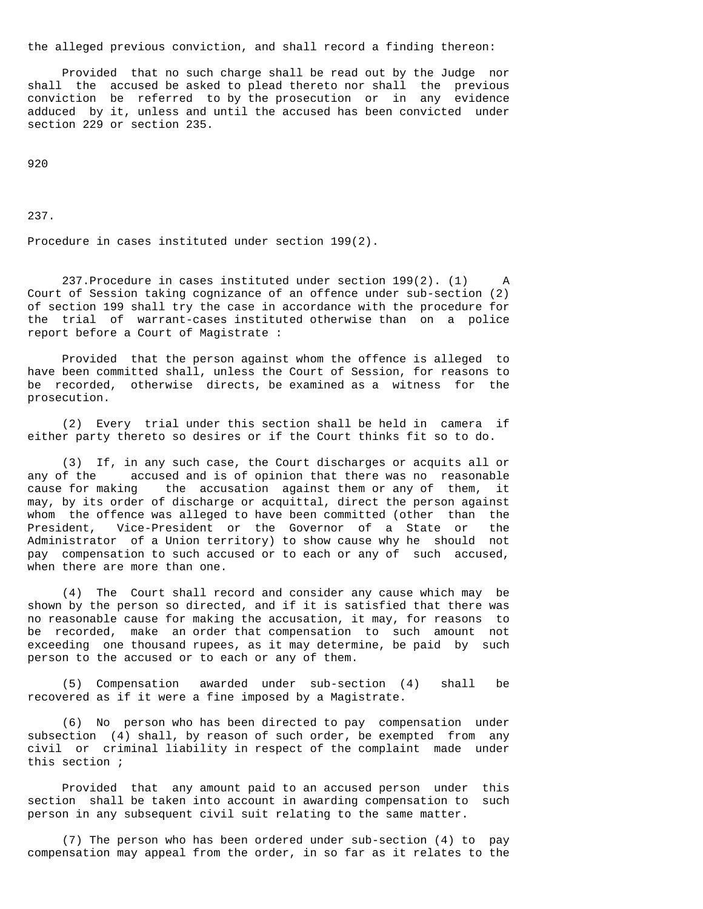the alleged previous conviction, and shall record a finding thereon:

 Provided that no such charge shall be read out by the Judge nor shall the accused be asked to plead thereto nor shall the previous conviction be referred to by the prosecution or in any evidence adduced by it, unless and until the accused has been convicted under section 229 or section 235.

920

237.

Procedure in cases instituted under section 199(2).

 237.Procedure in cases instituted under section 199(2). (1) A Court of Session taking cognizance of an offence under sub-section (2) of section 199 shall try the case in accordance with the procedure for the trial of warrant-cases instituted otherwise than on a police report before a Court of Magistrate :

 Provided that the person against whom the offence is alleged to have been committed shall, unless the Court of Session, for reasons to be recorded, otherwise directs, be examined as a witness for the prosecution.

 (2) Every trial under this section shall be held in camera if either party thereto so desires or if the Court thinks fit so to do.

 (3) If, in any such case, the Court discharges or acquits all or any of the accused and is of opinion that there was no reasonable cause for making the accusation against them or any of them, it may, by its order of discharge or acquittal, direct the person against whom the offence was alleged to have been committed (other than the President, Vice-President or the Governor of a State or the Vice-President or the Governor of a State or the Administrator of a Union territory) to show cause why he should not pay compensation to such accused or to each or any of such accused, when there are more than one.

 (4) The Court shall record and consider any cause which may be shown by the person so directed, and if it is satisfied that there was no reasonable cause for making the accusation, it may, for reasons to be recorded, make an order that compensation to such amount not exceeding one thousand rupees, as it may determine, be paid by such person to the accused or to each or any of them.

 (5) Compensation awarded under sub-section (4) shall be recovered as if it were a fine imposed by a Magistrate.

 (6) No person who has been directed to pay compensation under subsection (4) shall, by reason of such order, be exempted from any civil or criminal liability in respect of the complaint made under this section ;

 Provided that any amount paid to an accused person under this section shall be taken into account in awarding compensation to such person in any subsequent civil suit relating to the same matter.

 (7) The person who has been ordered under sub-section (4) to pay compensation may appeal from the order, in so far as it relates to the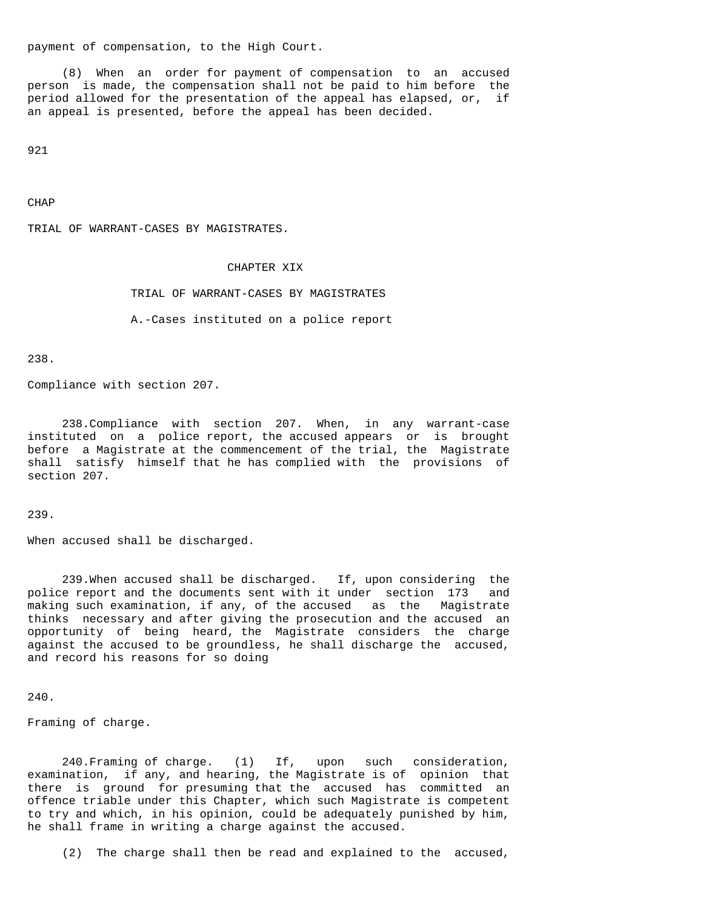payment of compensation, to the High Court.

 (8) When an order for payment of compensation to an accused person is made, the compensation shall not be paid to him before the period allowed for the presentation of the appeal has elapsed, or, if an appeal is presented, before the appeal has been decided.

921

CHAP

TRIAL OF WARRANT-CASES BY MAGISTRATES.

### CHAPTER XIX

#### TRIAL OF WARRANT-CASES BY MAGISTRATES

A.-Cases instituted on a police report

238.

Compliance with section 207.

 238.Compliance with section 207. When, in any warrant-case instituted on a police report, the accused appears or is brought before a Magistrate at the commencement of the trial, the Magistrate shall satisfy himself that he has complied with the provisions of section 207.

239.

When accused shall be discharged.

 239.When accused shall be discharged. If, upon considering the police report and the documents sent with it under section 173 and making such examination, if any, of the accused as the Magistrate thinks necessary and after giving the prosecution and the accused an opportunity of being heard, the Magistrate considers the charge against the accused to be groundless, he shall discharge the accused, and record his reasons for so doing

240.

Framing of charge.

 240.Framing of charge. (1) If, upon such consideration, examination, if any, and hearing, the Magistrate is of opinion that there is ground for presuming that the accused has committed an offence triable under this Chapter, which such Magistrate is competent to try and which, in his opinion, could be adequately punished by him, he shall frame in writing a charge against the accused.

(2) The charge shall then be read and explained to the accused,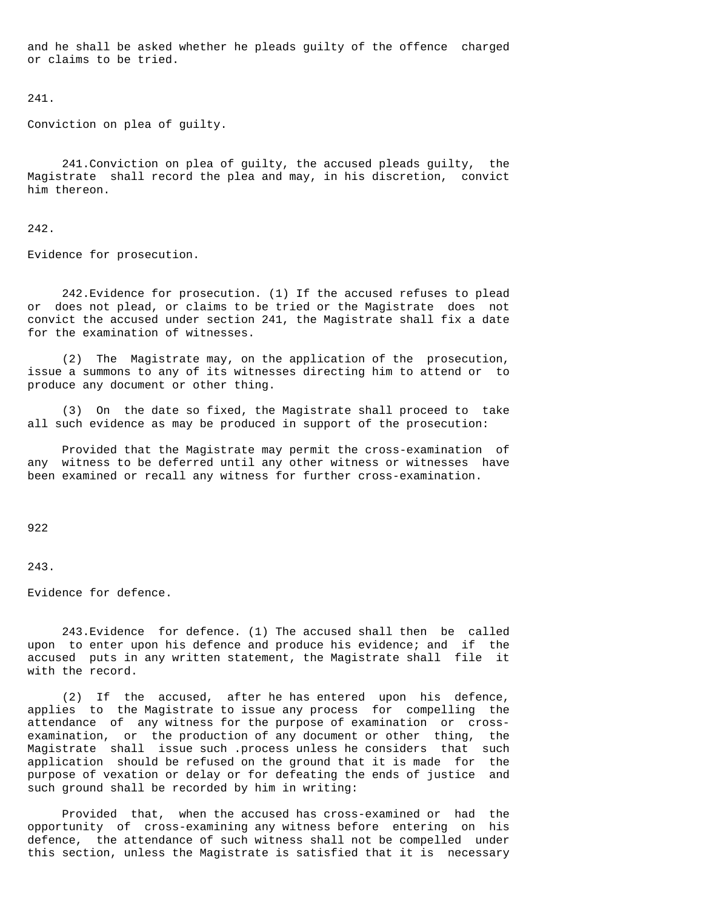and he shall be asked whether he pleads guilty of the offence charged or claims to be tried.

241.

Conviction on plea of guilty.

 241.Conviction on plea of guilty, the accused pleads guilty, the Magistrate shall record the plea and may, in his discretion, convict him thereon.

242.

Evidence for prosecution.

 242.Evidence for prosecution. (1) If the accused refuses to plead or does not plead, or claims to be tried or the Magistrate does not convict the accused under section 241, the Magistrate shall fix a date for the examination of witnesses.

 (2) The Magistrate may, on the application of the prosecution, issue a summons to any of its witnesses directing him to attend or to produce any document or other thing.

 (3) On the date so fixed, the Magistrate shall proceed to take all such evidence as may be produced in support of the prosecution:

 Provided that the Magistrate may permit the cross-examination of any witness to be deferred until any other witness or witnesses have been examined or recall any witness for further cross-examination.

922

243.

Evidence for defence.

 243.Evidence for defence. (1) The accused shall then be called upon to enter upon his defence and produce his evidence; and if the accused puts in any written statement, the Magistrate shall file it with the record.

 (2) If the accused, after he has entered upon his defence, applies to the Magistrate to issue any process for compelling the attendance of any witness for the purpose of examination or cross examination, or the production of any document or other thing, the Magistrate shall issue such .process unless he considers that such application should be refused on the ground that it is made for the purpose of vexation or delay or for defeating the ends of justice and such ground shall be recorded by him in writing:

 Provided that, when the accused has cross-examined or had the opportunity of cross-examining any witness before entering on his defence, the attendance of such witness shall not be compelled under this section, unless the Magistrate is satisfied that it is necessary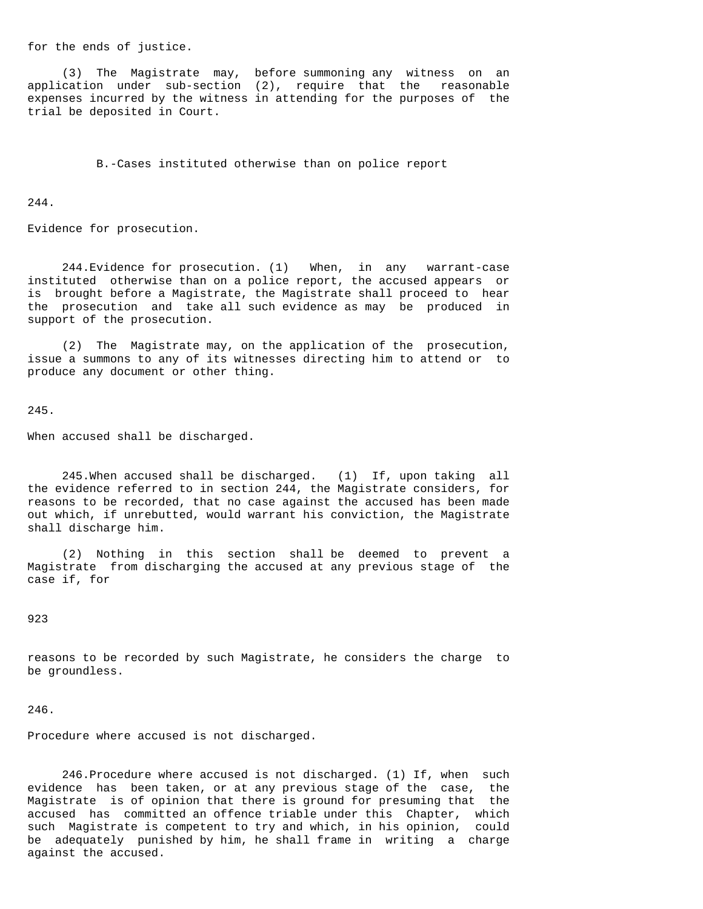for the ends of justice.

 (3) The Magistrate may, before summoning any witness on an application under sub-section (2), require that the reasonable expenses incurred by the witness in attending for the purposes of the trial be deposited in Court.

B.-Cases instituted otherwise than on police report

244.

Evidence for prosecution.

 244.Evidence for prosecution. (1) When, in any warrant-case instituted otherwise than on a police report, the accused appears or is brought before a Magistrate, the Magistrate shall proceed to hear the prosecution and take all such evidence as may be produced in support of the prosecution.

 (2) The Magistrate may, on the application of the prosecution, issue a summons to any of its witnesses directing him to attend or to produce any document or other thing.

245.

When accused shall be discharged.

 245.When accused shall be discharged. (1) If, upon taking all the evidence referred to in section 244, the Magistrate considers, for reasons to be recorded, that no case against the accused has been made out which, if unrebutted, would warrant his conviction, the Magistrate shall discharge him.

 (2) Nothing in this section shall be deemed to prevent a Magistrate from discharging the accused at any previous stage of the case if, for

923

 reasons to be recorded by such Magistrate, he considers the charge to be groundless.

246.

Procedure where accused is not discharged.

 246.Procedure where accused is not discharged. (1) If, when such evidence has been taken, or at any previous stage of the case, the Magistrate is of opinion that there is ground for presuming that the accused has committed an offence triable under this Chapter, which such Magistrate is competent to try and which, in his opinion, could be adequately punished by him, he shall frame in writing a charge against the accused.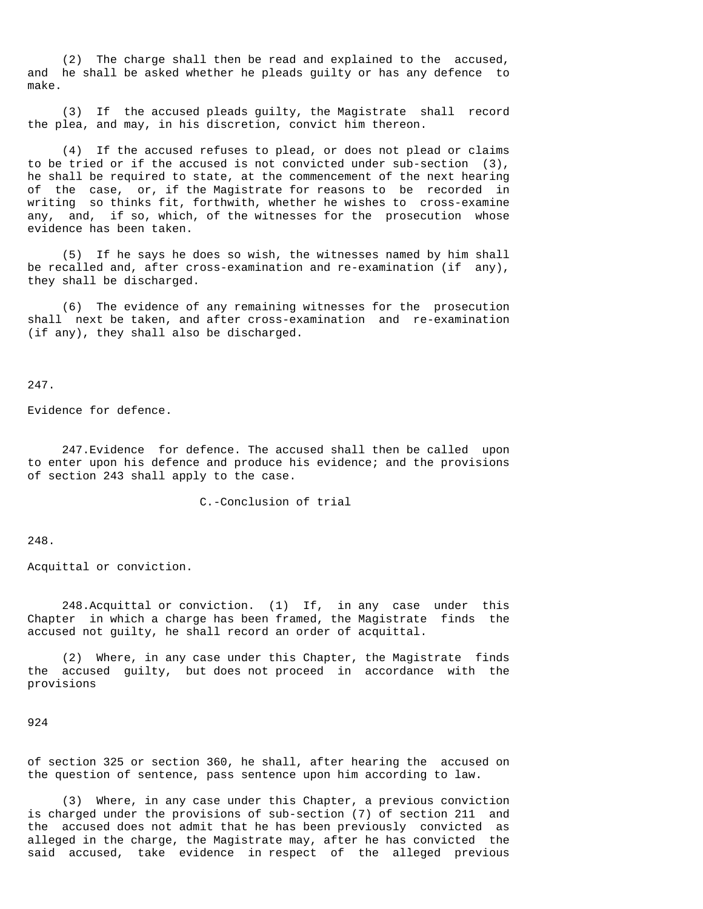(2) The charge shall then be read and explained to the accused, and he shall be asked whether he pleads guilty or has any defence to make.

 (3) If the accused pleads guilty, the Magistrate shall record the plea, and may, in his discretion, convict him thereon.

 (4) If the accused refuses to plead, or does not plead or claims to be tried or if the accused is not convicted under sub-section (3), he shall be required to state, at the commencement of the next hearing of the case, or, if the Magistrate for reasons to be recorded in writing so thinks fit, forthwith, whether he wishes to cross-examine any, and, if so, which, of the witnesses for the prosecution whose evidence has been taken.

 (5) If he says he does so wish, the witnesses named by him shall be recalled and, after cross-examination and re-examination (if any), they shall be discharged.

 (6) The evidence of any remaining witnesses for the prosecution shall next be taken, and after cross-examination and re-examination (if any), they shall also be discharged.

247.

Evidence for defence.

 247.Evidence for defence. The accused shall then be called upon to enter upon his defence and produce his evidence; and the provisions of section 243 shall apply to the case.

C.-Conclusion of trial

248.

Acquittal or conviction.

 248.Acquittal or conviction. (1) If, in any case under this Chapter in which a charge has been framed, the Magistrate finds the accused not guilty, he shall record an order of acquittal.

 (2) Where, in any case under this Chapter, the Magistrate finds the accused guilty, but does not proceed in accordance with the provisions

924

 of section 325 or section 360, he shall, after hearing the accused on the question of sentence, pass sentence upon him according to law.

 (3) Where, in any case under this Chapter, a previous conviction is charged under the provisions of sub-section (7) of section 211 and the accused does not admit that he has been previously convicted as alleged in the charge, the Magistrate may, after he has convicted the said accused, take evidence in respect of the alleged previous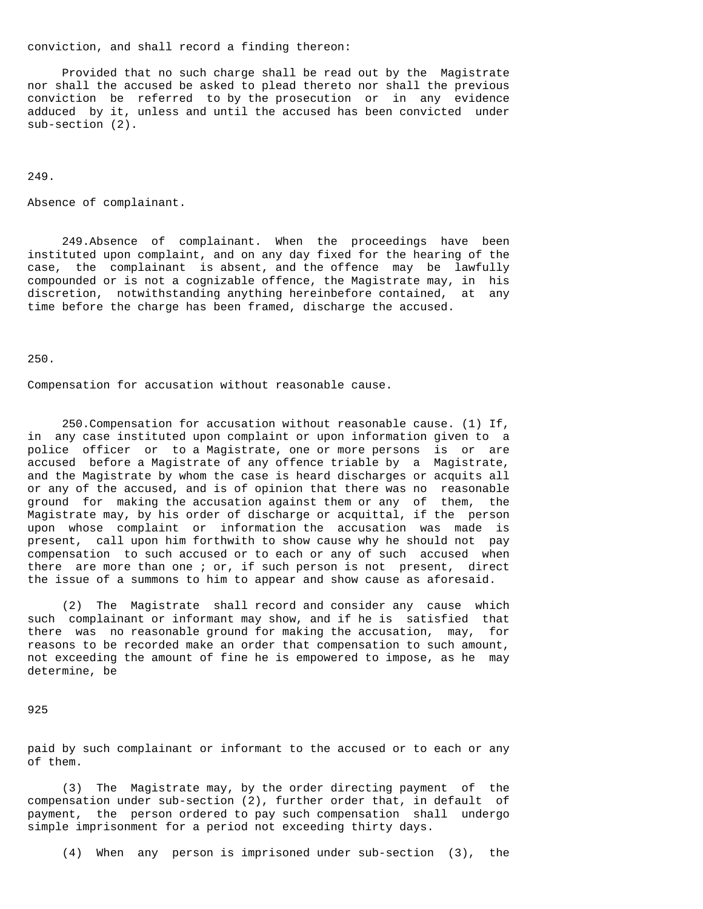#### conviction, and shall record a finding thereon:

 Provided that no such charge shall be read out by the Magistrate nor shall the accused be asked to plead thereto nor shall the previous conviction be referred to by the prosecution or in any evidence adduced by it, unless and until the accused has been convicted under sub-section (2).

249.

Absence of complainant.

 249.Absence of complainant. When the proceedings have been instituted upon complaint, and on any day fixed for the hearing of the case, the complainant is absent, and the offence may be lawfully compounded or is not a cognizable offence, the Magistrate may, in his discretion, notwithstanding anything hereinbefore contained, at any time before the charge has been framed, discharge the accused.

250.

Compensation for accusation without reasonable cause.

 250.Compensation for accusation without reasonable cause. (1) If, in any case instituted upon complaint or upon information given to a police officer or to a Magistrate, one or more persons is or are accused before a Magistrate of any offence triable by a Magistrate, and the Magistrate by whom the case is heard discharges or acquits all or any of the accused, and is of opinion that there was no reasonable ground for making the accusation against them or any of them, the Magistrate may, by his order of discharge or acquittal, if the person upon whose complaint or information the accusation was made is present, call upon him forthwith to show cause why he should not pay compensation to such accused or to each or any of such accused when there are more than one  $i$  or, if such person is not present, direct the issue of a summons to him to appear and show cause as aforesaid.

 (2) The Magistrate shall record and consider any cause which such complainant or informant may show, and if he is satisfied that there was no reasonable ground for making the accusation, may, for reasons to be recorded make an order that compensation to such amount, not exceeding the amount of fine he is empowered to impose, as he may determine, be

925

 paid by such complainant or informant to the accused or to each or any of them.

 (3) The Magistrate may, by the order directing payment of the compensation under sub-section (2), further order that, in default of payment, the person ordered to pay such compensation shall undergo simple imprisonment for a period not exceeding thirty days.

(4) When any person is imprisoned under sub-section (3), the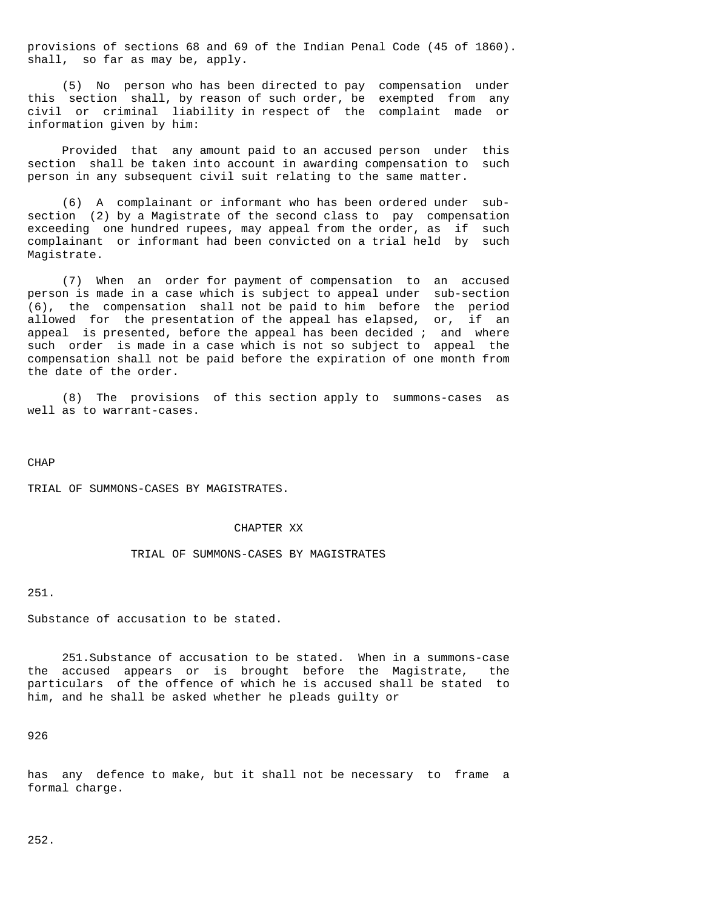provisions of sections 68 and 69 of the Indian Penal Code (45 of 1860). shall, so far as may be, apply.

 (5) No person who has been directed to pay compensation under this section shall, by reason of such order, be exempted from any civil or criminal liability in respect of the complaint made or information given by him:

 Provided that any amount paid to an accused person under this section shall be taken into account in awarding compensation to such person in any subsequent civil suit relating to the same matter.

 (6) A complainant or informant who has been ordered under sub section (2) by a Magistrate of the second class to pay compensation exceeding one hundred rupees, may appeal from the order, as if such complainant or informant had been convicted on a trial held by such Magistrate.

 (7) When an order for payment of compensation to an accused person is made in a case which is subject to appeal under sub-section (6), the compensation shall not be paid to him before the period allowed for the presentation of the appeal has elapsed, or, if an appeal is presented, before the appeal has been decided ; and where such order is made in a case which is not so subject to appeal the compensation shall not be paid before the expiration of one month from the date of the order.

 (8) The provisions of this section apply to summons-cases as well as to warrant-cases.

CHAP

TRIAL OF SUMMONS-CASES BY MAGISTRATES.

#### CHAPTER XX

TRIAL OF SUMMONS-CASES BY MAGISTRATES

251.

Substance of accusation to be stated.

 251.Substance of accusation to be stated. When in a summons-case the accused appears or is brought before the Magistrate, the particulars of the offence of which he is accused shall be stated to him, and he shall be asked whether he pleads guilty or

926

 has any defence to make, but it shall not be necessary to frame a formal charge.

252.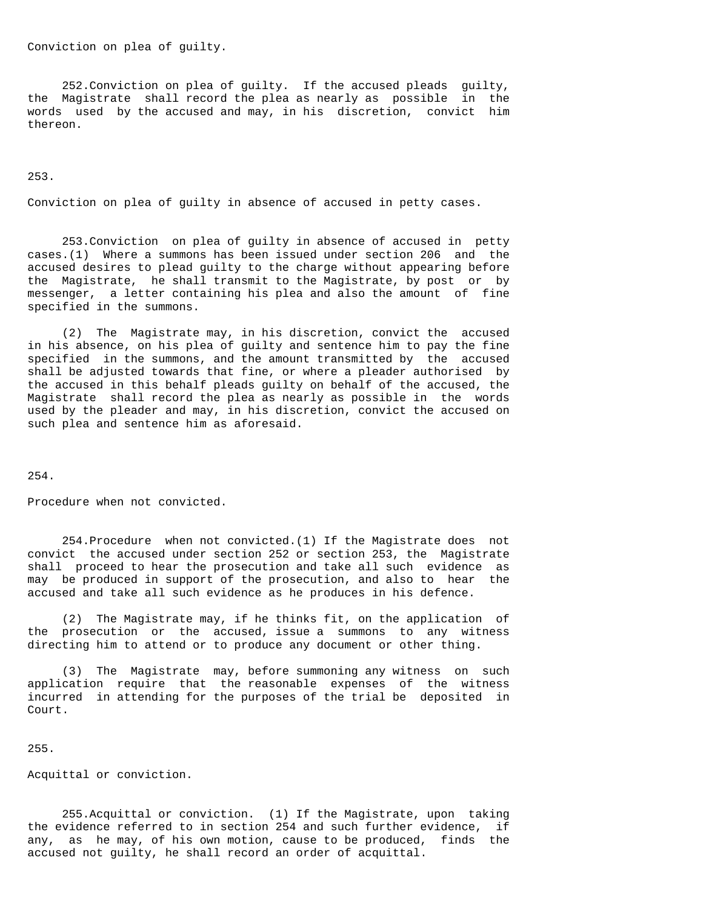Conviction on plea of guilty.

 252.Conviction on plea of guilty. If the accused pleads guilty, the Magistrate shall record the plea as nearly as possible in the words used by the accused and may, in his discretion, convict him thereon.

# 253.

Conviction on plea of guilty in absence of accused in petty cases.

 253.Conviction on plea of guilty in absence of accused in petty cases.(1) Where a summons has been issued under section 206 and the accused desires to plead guilty to the charge without appearing before the Magistrate, he shall transmit to the Magistrate, by post or by messenger, a letter containing his plea and also the amount of fine specified in the summons.

 (2) The Magistrate may, in his discretion, convict the accused in his absence, on his plea of guilty and sentence him to pay the fine specified in the summons, and the amount transmitted by the accused shall be adjusted towards that fine, or where a pleader authorised by the accused in this behalf pleads guilty on behalf of the accused, the Magistrate shall record the plea as nearly as possible in the words used by the pleader and may, in his discretion, convict the accused on such plea and sentence him as aforesaid.

254.

Procedure when not convicted.

 254.Procedure when not convicted.(1) If the Magistrate does not convict the accused under section 252 or section 253, the Magistrate shall proceed to hear the prosecution and take all such evidence as may be produced in support of the prosecution, and also to hear the accused and take all such evidence as he produces in his defence.

 (2) The Magistrate may, if he thinks fit, on the application of the prosecution or the accused, issue a summons to any witness directing him to attend or to produce any document or other thing.

 (3) The Magistrate may, before summoning any witness on such application require that the reasonable expenses of the witness incurred in attending for the purposes of the trial be deposited in Court.

255.

Acquittal or conviction.

 255.Acquittal or conviction. (1) If the Magistrate, upon taking the evidence referred to in section 254 and such further evidence, if any, as he may, of his own motion, cause to be produced, finds the accused not guilty, he shall record an order of acquittal.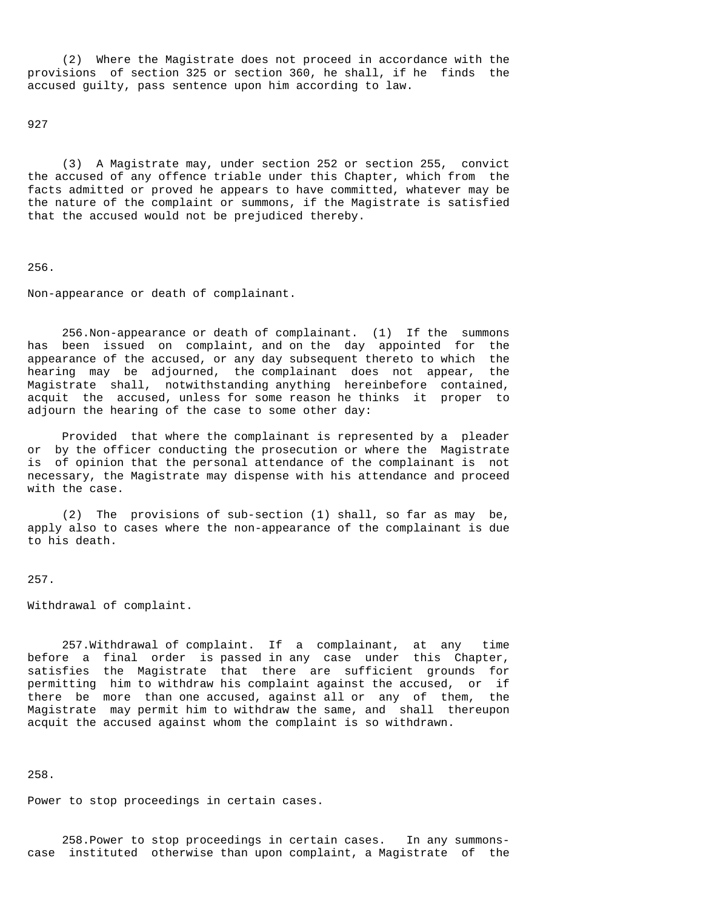(2) Where the Magistrate does not proceed in accordance with the provisions of section 325 or section 360, he shall, if he finds the accused guilty, pass sentence upon him according to law.

927

 (3) A Magistrate may, under section 252 or section 255, convict the accused of any offence triable under this Chapter, which from the facts admitted or proved he appears to have committed, whatever may be the nature of the complaint or summons, if the Magistrate is satisfied that the accused would not be prejudiced thereby.

256.

Non-appearance or death of complainant.

 256.Non-appearance or death of complainant. (1) If the summons has been issued on complaint, and on the day appointed for the appearance of the accused, or any day subsequent thereto to which the hearing may be adjourned, the complainant does not appear, the Magistrate shall, notwithstanding anything hereinbefore contained, acquit the accused, unless for some reason he thinks it proper to adjourn the hearing of the case to some other day:

 Provided that where the complainant is represented by a pleader or by the officer conducting the prosecution or where the Magistrate is of opinion that the personal attendance of the complainant is not necessary, the Magistrate may dispense with his attendance and proceed with the case.

 (2) The provisions of sub-section (1) shall, so far as may be, apply also to cases where the non-appearance of the complainant is due to his death.

257.

Withdrawal of complaint.

 257.Withdrawal of complaint. If a complainant, at any time before a final order is passed in any case under this Chapter, satisfies the Magistrate that there are sufficient grounds for permitting him to withdraw his complaint against the accused, or if there be more than one accused, against all or any of them, the Magistrate may permit him to withdraw the same, and shall thereupon acquit the accused against whom the complaint is so withdrawn.

258.

Power to stop proceedings in certain cases.

 258.Power to stop proceedings in certain cases. In any summons case instituted otherwise than upon complaint, a Magistrate of the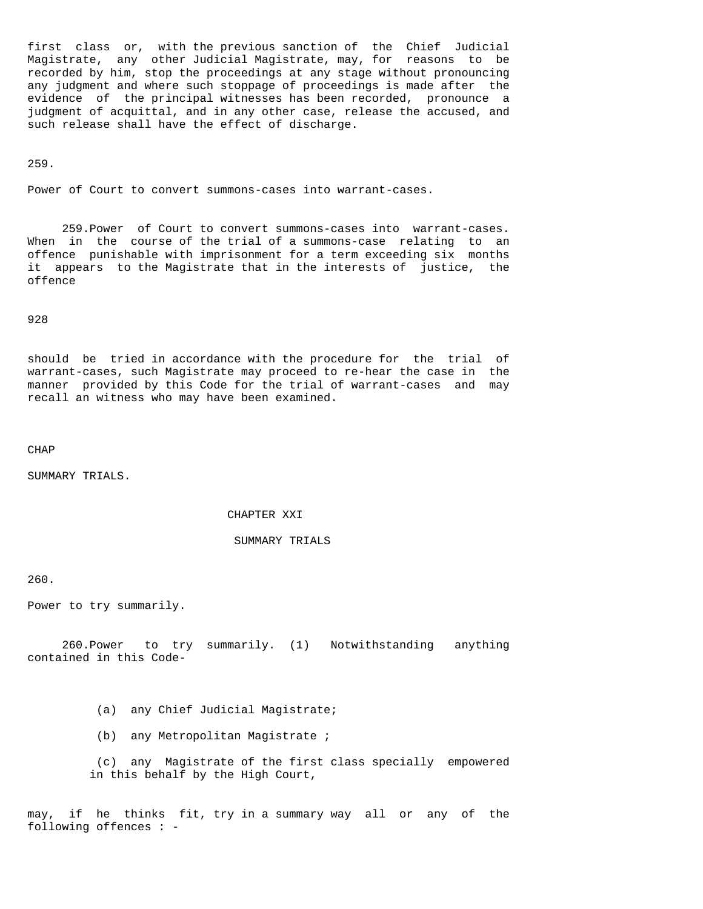first class or, with the previous sanction of the Chief Judicial Magistrate, any other Judicial Magistrate, may, for reasons to be recorded by him, stop the proceedings at any stage without pronouncing any judgment and where such stoppage of proceedings is made after the evidence of the principal witnesses has been recorded, pronounce a judgment of acquittal, and in any other case, release the accused, and such release shall have the effect of discharge.

259.

Power of Court to convert summons-cases into warrant-cases.

 259.Power of Court to convert summons-cases into warrant-cases. When in the course of the trial of a summons-case relating to an offence punishable with imprisonment for a term exceeding six months it appears to the Magistrate that in the interests of justice, the offence

928

 should be tried in accordance with the procedure for the trial of warrant-cases, such Magistrate may proceed to re-hear the case in the manner provided by this Code for the trial of warrant-cases and may recall an witness who may have been examined.

**CHAP** 

SUMMARY TRIALS.

CHAPTER XXI

SUMMARY TRIALS

260.

Power to try summarily.

 260.Power to try summarily. (1) Notwithstanding anything contained in this Code-

- (a) any Chief Judicial Magistrate;
- (b) any Metropolitan Magistrate ;
- (c) any Magistrate of the first class specially empowered in this behalf by the High Court,

 may, if he thinks fit, try in a summary way all or any of the following offences : -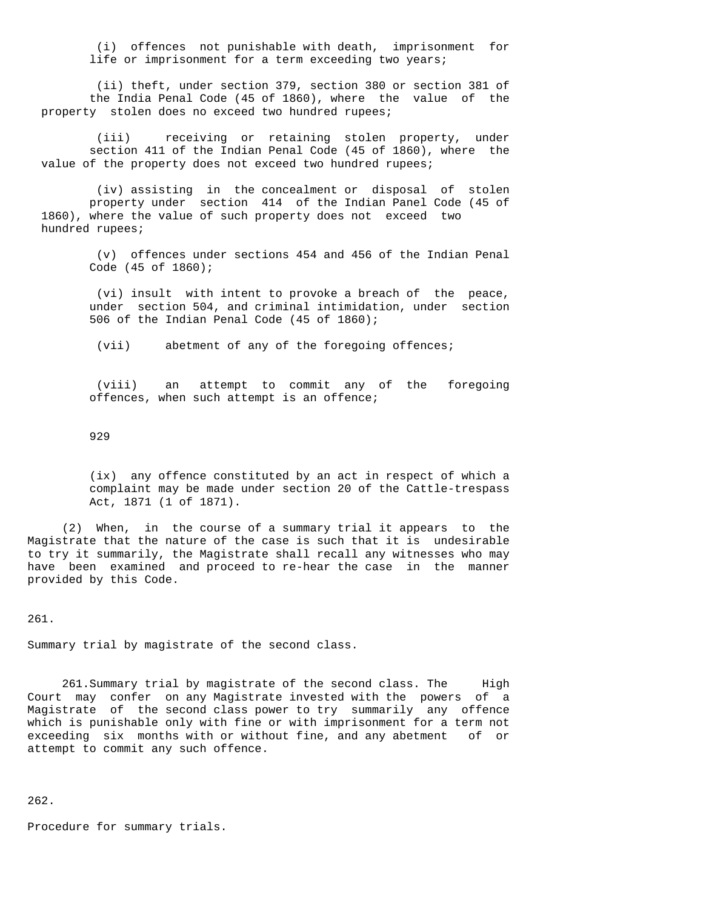(i) offences not punishable with death, imprisonment for life or imprisonment for a term exceeding two years;

 (ii) theft, under section 379, section 380 or section 381 of the India Penal Code (45 of 1860), where the value of the property stolen does no exceed two hundred rupees;

 (iii) receiving or retaining stolen property, under section 411 of the Indian Penal Code (45 of 1860), where the value of the property does not exceed two hundred rupees;

 (iv) assisting in the concealment or disposal of stolen property under section 414 of the Indian Panel Code (45 of 1860), where the value of such property does not exceed two hundred rupees;

> (v) offences under sections 454 and 456 of the Indian Penal Code (45 of 1860);

> (vi) insult with intent to provoke a breach of the peace, under section 504, and criminal intimidation, under section 506 of the Indian Penal Code (45 of 1860);

(vii) abetment of any of the foregoing offences;

 (viii) an attempt to commit any of the foregoing offences, when such attempt is an offence;

929

 (ix) any offence constituted by an act in respect of which a complaint may be made under section 20 of the Cattle-trespass Act, 1871 (1 of 1871).

 (2) When, in the course of a summary trial it appears to the Magistrate that the nature of the case is such that it is undesirable to try it summarily, the Magistrate shall recall any witnesses who may have been examined and proceed to re-hear the case in the manner provided by this Code.

261.

Summary trial by magistrate of the second class.

 261.Summary trial by magistrate of the second class. The High Court may confer on any Magistrate invested with the powers of a Magistrate of the second class power to try summarily any offence which is punishable only with fine or with imprisonment for a term not exceeding six months with or without fine, and any abetment of or attempt to commit any such offence.

262.

Procedure for summary trials.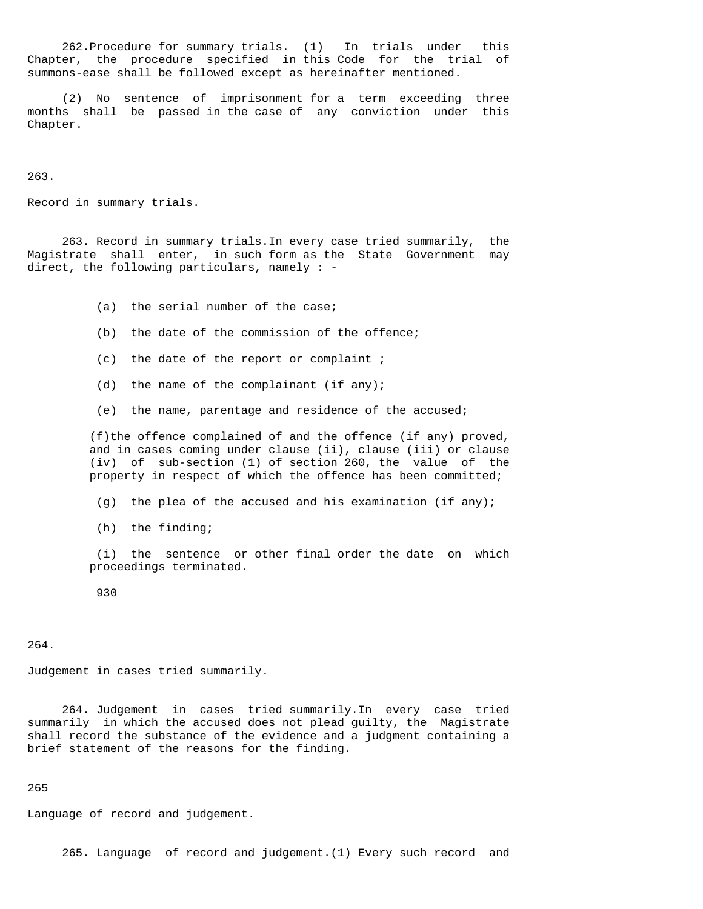262.Procedure for summary trials. (1) In trials under this Chapter, the procedure specified in this Code for the trial of summons-ease shall be followed except as hereinafter mentioned.

 (2) No sentence of imprisonment for a term exceeding three months shall be passed in the case of any conviction under this Chapter.

263.

Record in summary trials.

 263. Record in summary trials.In every case tried summarily, the Magistrate shall enter, in such form as the State Government may direct, the following particulars, namely : -

- (a) the serial number of the case;
- (b) the date of the commission of the offence;
- (c) the date of the report or complaint ;
- $(d)$  the name of the complainant (if any);
- (e) the name, parentage and residence of the accused;

 (f)the offence complained of and the offence (if any) proved, and in cases coming under clause (ii), clause (iii) or clause (iv) of sub-section (1) of section 260, the value of the property in respect of which the offence has been committed;

(g) the plea of the accused and his examination (if any);

(h) the finding;

 (i) the sentence or other final order the date on which proceedings terminated.

930

264.

Judgement in cases tried summarily.

 264. Judgement in cases tried summarily.In every case tried summarily in which the accused does not plead guilty, the Magistrate shall record the substance of the evidence and a judgment containing a brief statement of the reasons for the finding.

265

Language of record and judgement.

265. Language of record and judgement.(1) Every such record and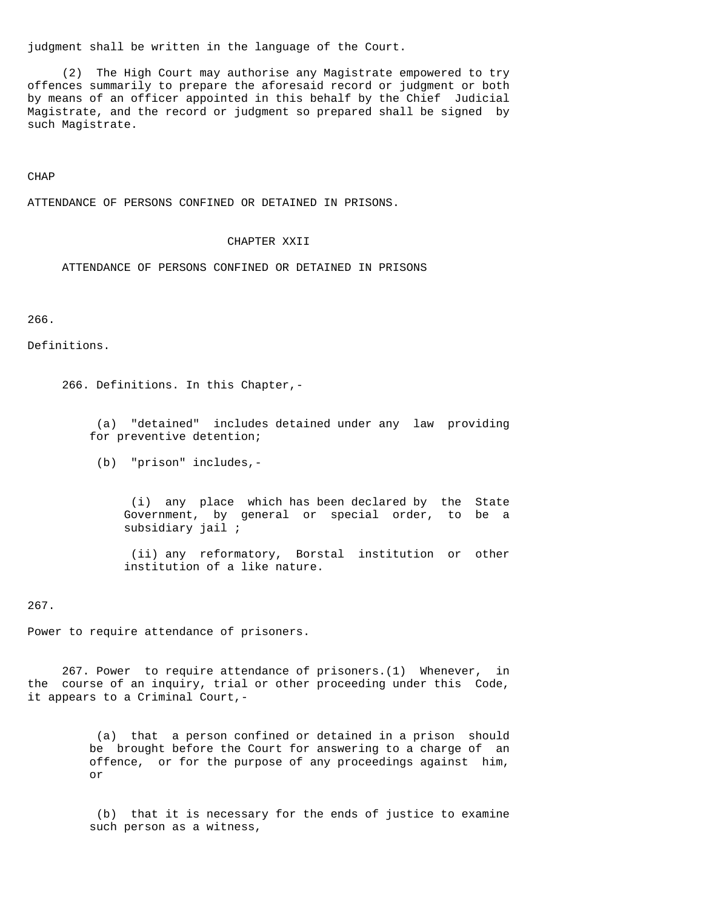judgment shall be written in the language of the Court.

 (2) The High Court may authorise any Magistrate empowered to try offences summarily to prepare the aforesaid record or judgment or both by means of an officer appointed in this behalf by the Chief Judicial Magistrate, and the record or judgment so prepared shall be signed by such Magistrate.

CHAP

ATTENDANCE OF PERSONS CONFINED OR DETAINED IN PRISONS.

# CHAPTER XXII

ATTENDANCE OF PERSONS CONFINED OR DETAINED IN PRISONS

266.

Definitions.

266. Definitions. In this Chapter,-

 (a) "detained" includes detained under any law providing for preventive detention;

(b) "prison" includes,-

 (i) any place which has been declared by the State Government, by general or special order, to be a subsidiary jail ;

 (ii) any reformatory, Borstal institution or other institution of a like nature.

267.

Power to require attendance of prisoners.

 267. Power to require attendance of prisoners.(1) Whenever, in the course of an inquiry, trial or other proceeding under this Code, it appears to a Criminal Court,-

> (a) that a person confined or detained in a prison should be brought before the Court for answering to a charge of an offence, or for the purpose of any proceedings against him, or

> (b) that it is necessary for the ends of justice to examine such person as a witness,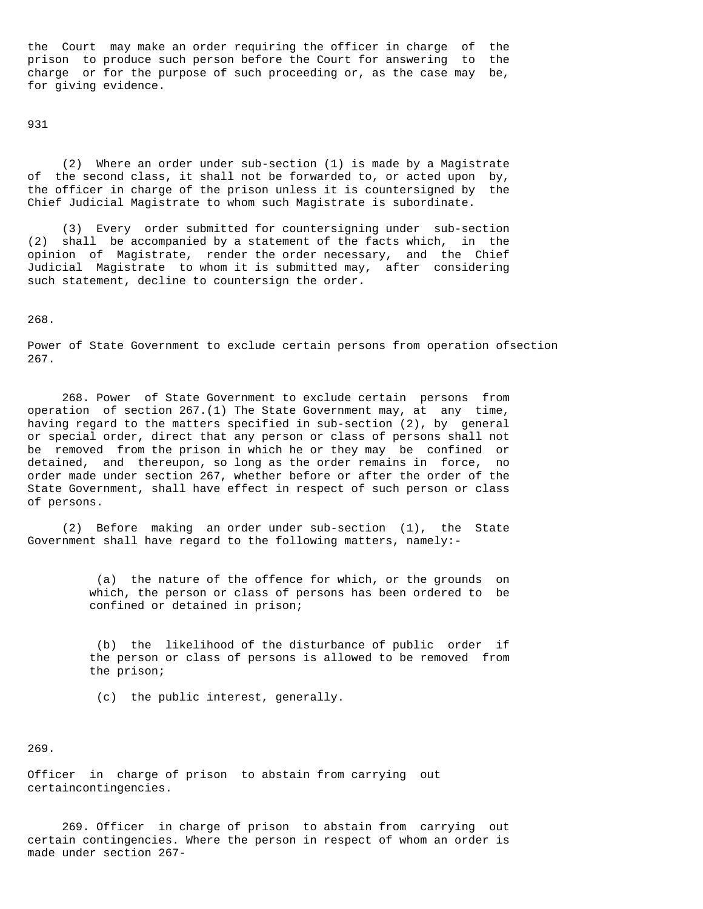the Court may make an order requiring the officer in charge of the prison to produce such person before the Court for answering to the charge or for the purpose of such proceeding or, as the case may be, for giving evidence.

931

 (2) Where an order under sub-section (1) is made by a Magistrate of the second class, it shall not be forwarded to, or acted upon by, the officer in charge of the prison unless it is countersigned by the Chief Judicial Magistrate to whom such Magistrate is subordinate.

 (3) Every order submitted for countersigning under sub-section (2) shall be accompanied by a statement of the facts which, in the opinion of Magistrate, render the order necessary, and the Chief Judicial Magistrate to whom it is submitted may, after considering such statement, decline to countersign the order.

268.

 Power of State Government to exclude certain persons from operation ofsection 267.

 268. Power of State Government to exclude certain persons from operation of section 267.(1) The State Government may, at any time, having regard to the matters specified in sub-section (2), by general or special order, direct that any person or class of persons shall not be removed from the prison in which he or they may be confined or detained, and thereupon, so long as the order remains in force, no order made under section 267, whether before or after the order of the State Government, shall have effect in respect of such person or class of persons.

 (2) Before making an order under sub-section (1), the State Government shall have regard to the following matters, namely:-

> (a) the nature of the offence for which, or the grounds on which, the person or class of persons has been ordered to be confined or detained in prison;

> (b) the likelihood of the disturbance of public order if the person or class of persons is allowed to be removed from the prison;

(c) the public interest, generally.

269.

 Officer in charge of prison to abstain from carrying out certaincontingencies.

 269. Officer in charge of prison to abstain from carrying out certain contingencies. Where the person in respect of whom an order is made under section 267-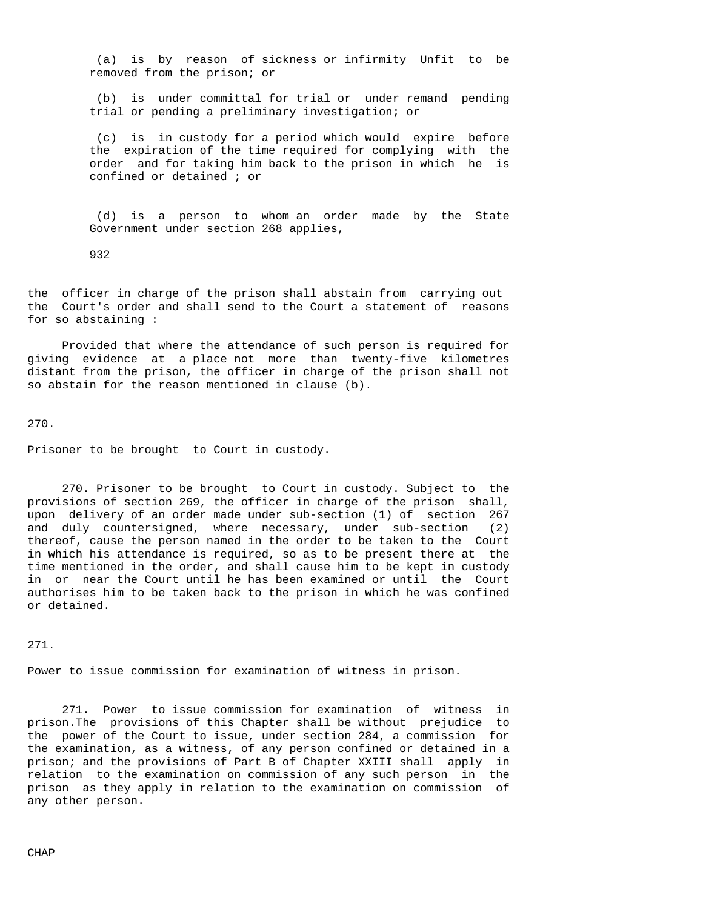(a) is by reason of sickness or infirmity Unfit to be removed from the prison; or

 (b) is under committal for trial or under remand pending trial or pending a preliminary investigation; or

 (c) is in custody for a period which would expire before the expiration of the time required for complying with the order and for taking him back to the prison in which he is confined or detained ; or

 (d) is a person to whom an order made by the State Government under section 268 applies,

932

 the officer in charge of the prison shall abstain from carrying out the Court's order and shall send to the Court a statement of reasons for so abstaining :

 Provided that where the attendance of such person is required for giving evidence at a place not more than twenty-five kilometres distant from the prison, the officer in charge of the prison shall not so abstain for the reason mentioned in clause (b).

270.

Prisoner to be brought to Court in custody.

 270. Prisoner to be brought to Court in custody. Subject to the provisions of section 269, the officer in charge of the prison shall, upon delivery of an order made under sub-section (1) of section 267 and duly countersigned, where necessary, under sub-section (2) thereof, cause the person named in the order to be taken to the Court in which his attendance is required, so as to be present there at the time mentioned in the order, and shall cause him to be kept in custody in or near the Court until he has been examined or until the Court authorises him to be taken back to the prison in which he was confined or detained.

271.

Power to issue commission for examination of witness in prison.

 271. Power to issue commission for examination of witness in prison.The provisions of this Chapter shall be without prejudice to the power of the Court to issue, under section 284, a commission for the examination, as a witness, of any person confined or detained in a prison; and the provisions of Part B of Chapter XXIII shall apply in relation to the examination on commission of any such person in the prison as they apply in relation to the examination on commission of any other person.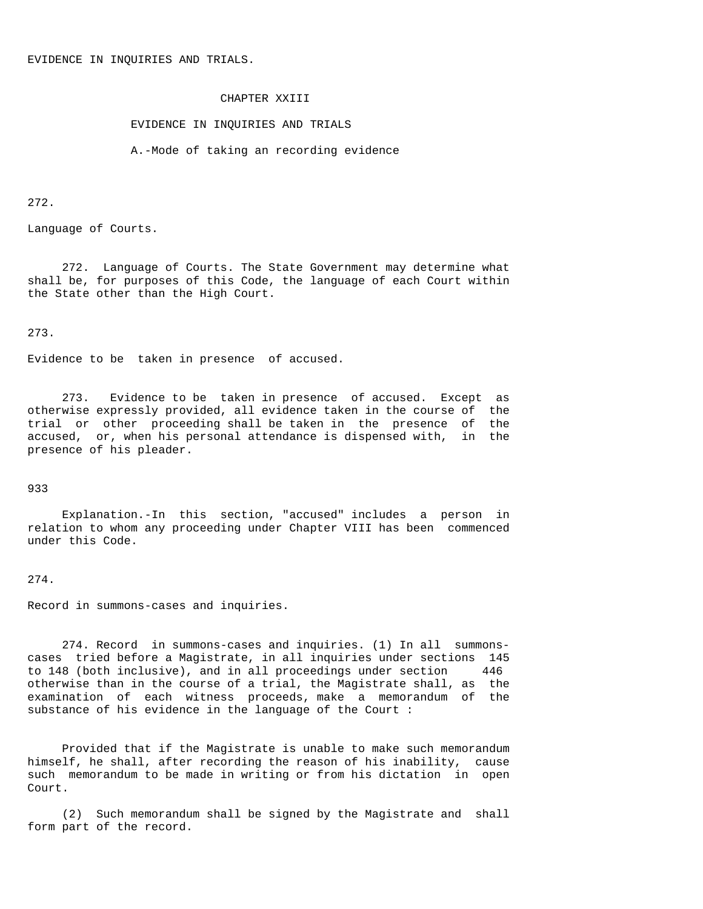## CHAPTER XXIII

## EVIDENCE IN INQUIRIES AND TRIALS

A.-Mode of taking an recording evidence

272.

Language of Courts.

 272. Language of Courts. The State Government may determine what shall be, for purposes of this Code, the language of each Court within the State other than the High Court.

### 273.

Evidence to be taken in presence of accused.

 273. Evidence to be taken in presence of accused. Except as otherwise expressly provided, all evidence taken in the course of the trial or other proceeding shall be taken in the presence of the accused, or, when his personal attendance is dispensed with, in the presence of his pleader.

#### 933

 Explanation.-In this section, "accused" includes a person in relation to whom any proceeding under Chapter VIII has been commenced under this Code.

274.

Record in summons-cases and inquiries.

 274. Record in summons-cases and inquiries. (1) In all summons cases tried before a Magistrate, in all inquiries under sections 145 to 148 (both inclusive), and in all proceedings under section 446 otherwise than in the course of a trial, the Magistrate shall, as the examination of each witness proceeds, make a memorandum of the substance of his evidence in the language of the Court :

 Provided that if the Magistrate is unable to make such memorandum himself, he shall, after recording the reason of his inability, cause such memorandum to be made in writing or from his dictation in open Court.

 (2) Such memorandum shall be signed by the Magistrate and shall form part of the record.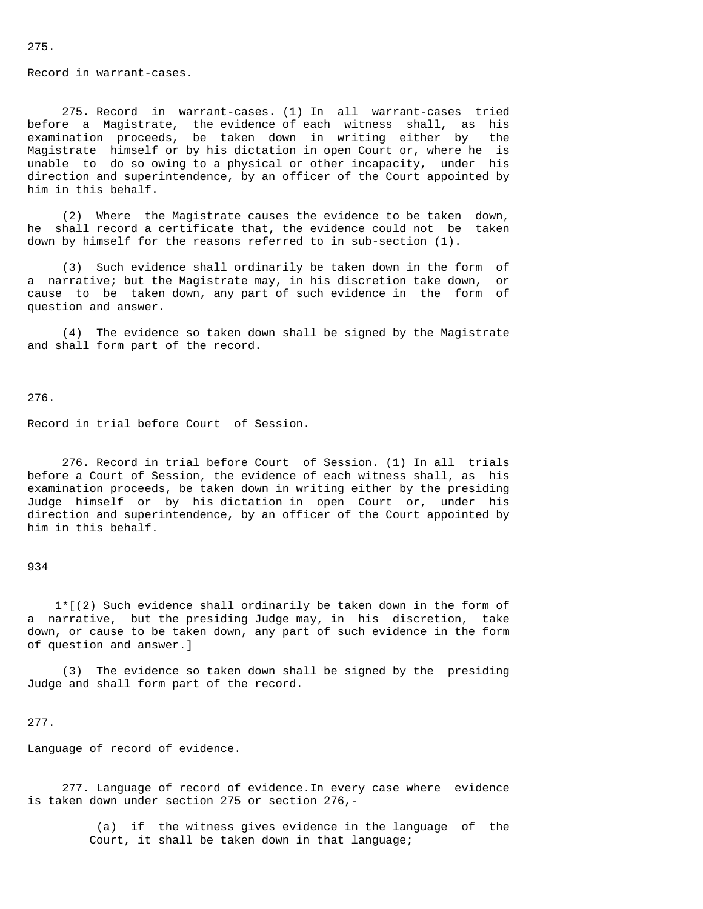Record in warrant-cases.

 275. Record in warrant-cases. (1) In all warrant-cases tried before a Magistrate, the evidence of each witness shall, as his examination proceeds, be taken down in writing either by the Magistrate himself or by his dictation in open Court or, where he is unable to do so owing to a physical or other incapacity, under his direction and superintendence, by an officer of the Court appointed by him in this behalf.

 (2) Where the Magistrate causes the evidence to be taken down, he shall record a certificate that, the evidence could not be taken down by himself for the reasons referred to in sub-section (1).

 (3) Such evidence shall ordinarily be taken down in the form of a narrative; but the Magistrate may, in his discretion take down, or cause to be taken down, any part of such evidence in the form of question and answer.

 (4) The evidence so taken down shall be signed by the Magistrate and shall form part of the record.

276.

Record in trial before Court of Session.

 276. Record in trial before Court of Session. (1) In all trials before a Court of Session, the evidence of each witness shall, as his examination proceeds, be taken down in writing either by the presiding Judge himself or by his dictation in open Court or, under his direction and superintendence, by an officer of the Court appointed by him in this behalf.

## 934

 1\*[(2) Such evidence shall ordinarily be taken down in the form of a narrative, but the presiding Judge may, in his discretion, take down, or cause to be taken down, any part of such evidence in the form of question and answer.]

 (3) The evidence so taken down shall be signed by the presiding Judge and shall form part of the record.

277.

Language of record of evidence.

 277. Language of record of evidence.In every case where evidence is taken down under section 275 or section 276,-

> (a) if the witness gives evidence in the language of the Court, it shall be taken down in that language;

275.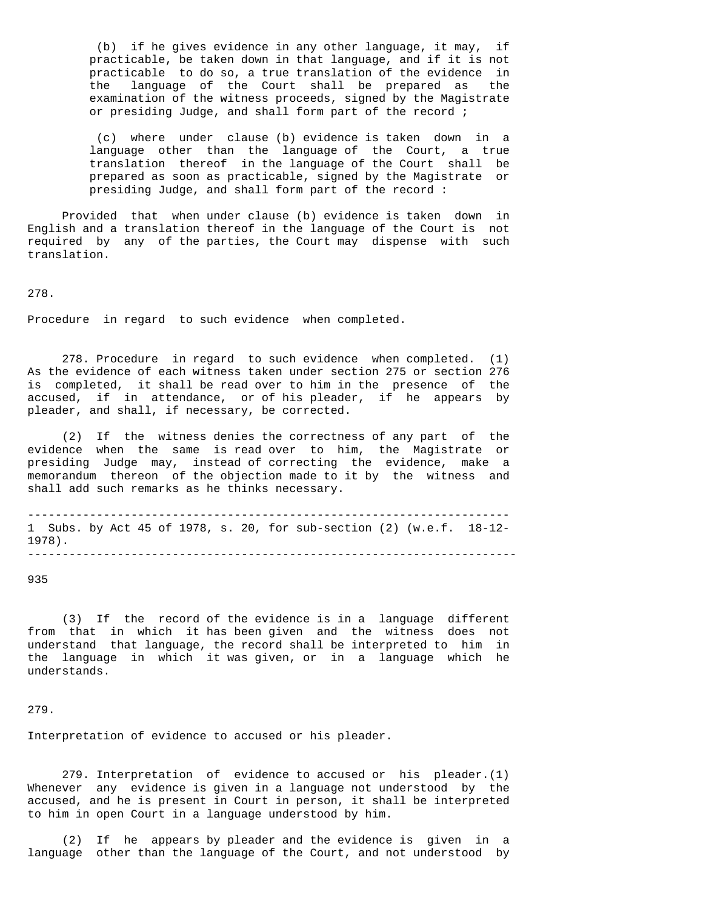(b) if he gives evidence in any other language, it may, if practicable, be taken down in that language, and if it is not practicable to do so, a true translation of the evidence in the language of the Court shall be prepared as the examination of the witness proceeds, signed by the Magistrate or presiding Judge, and shall form part of the record ;

 (c) where under clause (b) evidence is taken down in a language other than the language of the Court, a true translation thereof in the language of the Court shall be prepared as soon as practicable, signed by the Magistrate or presiding Judge, and shall form part of the record :

 Provided that when under clause (b) evidence is taken down in English and a translation thereof in the language of the Court is not required by any of the parties, the Court may dispense with such translation.

278.

Procedure in regard to such evidence when completed.

 278. Procedure in regard to such evidence when completed. (1) As the evidence of each witness taken under section 275 or section 276 is completed, it shall be read over to him in the presence of the accused, if in attendance, or of his pleader, if he appears by pleader, and shall, if necessary, be corrected.

 (2) If the witness denies the correctness of any part of the evidence when the same is read over to him, the Magistrate or presiding Judge may, instead of correcting the evidence, make a memorandum thereon of the objection made to it by the witness and shall add such remarks as he thinks necessary.

 ---------------------------------------------------------------------- 1 Subs. by Act 45 of 1978, s. 20, for sub-section (2) (w.e.f. 18-12- 1978). -----------------------------------------------------------------------

935

 (3) If the record of the evidence is in a language different from that in which it has been given and the witness does not understand that language, the record shall be interpreted to him in the language in which it was given, or in a language which he understands.

279.

Interpretation of evidence to accused or his pleader.

 279. Interpretation of evidence to accused or his pleader.(1) Whenever any evidence is given in a language not understood by the accused, and he is present in Court in person, it shall be interpreted to him in open Court in a language understood by him.

 (2) If he appears by pleader and the evidence is given in a language other than the language of the Court, and not understood by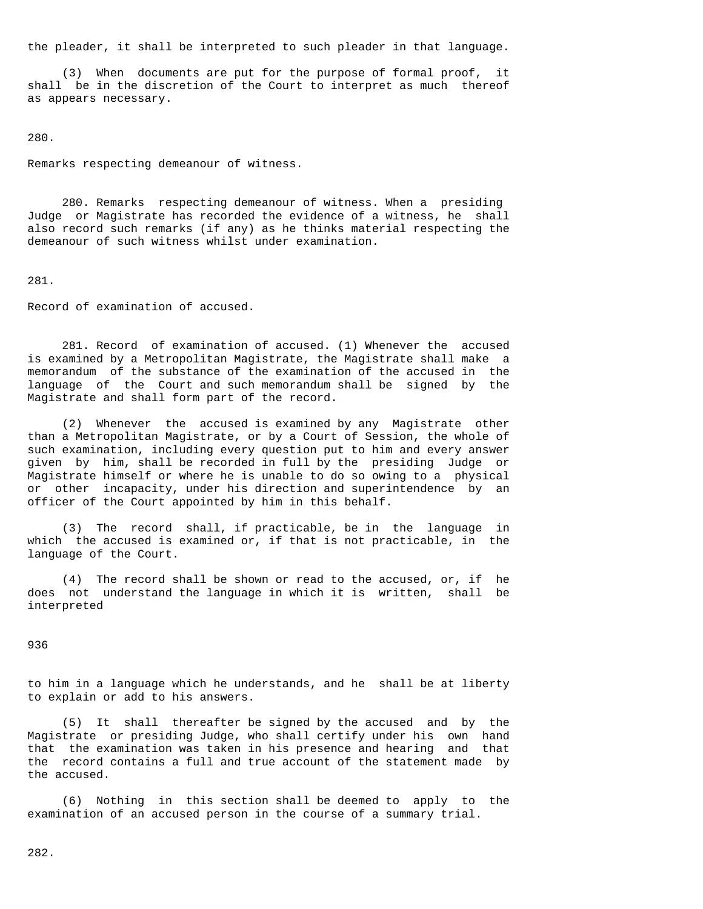the pleader, it shall be interpreted to such pleader in that language.

 (3) When documents are put for the purpose of formal proof, it shall be in the discretion of the Court to interpret as much thereof as appears necessary.

280.

Remarks respecting demeanour of witness.

 280. Remarks respecting demeanour of witness. When a presiding Judge or Magistrate has recorded the evidence of a witness, he shall also record such remarks (if any) as he thinks material respecting the demeanour of such witness whilst under examination.

281.

Record of examination of accused.

 281. Record of examination of accused. (1) Whenever the accused is examined by a Metropolitan Magistrate, the Magistrate shall make a memorandum of the substance of the examination of the accused in the language of the Court and such memorandum shall be signed by the Magistrate and shall form part of the record.

 (2) Whenever the accused is examined by any Magistrate other than a Metropolitan Magistrate, or by a Court of Session, the whole of such examination, including every question put to him and every answer given by him, shall be recorded in full by the presiding Judge or Magistrate himself or where he is unable to do so owing to a physical or other incapacity, under his direction and superintendence by an officer of the Court appointed by him in this behalf.

 (3) The record shall, if practicable, be in the language in which the accused is examined or, if that is not practicable, in the language of the Court.

 (4) The record shall be shown or read to the accused, or, if he does not understand the language in which it is written, shall be interpreted

936

 to him in a language which he understands, and he shall be at liberty to explain or add to his answers.

 (5) It shall thereafter be signed by the accused and by the Magistrate or presiding Judge, who shall certify under his own hand that the examination was taken in his presence and hearing and that the record contains a full and true account of the statement made by the accused.

 (6) Nothing in this section shall be deemed to apply to the examination of an accused person in the course of a summary trial.

282.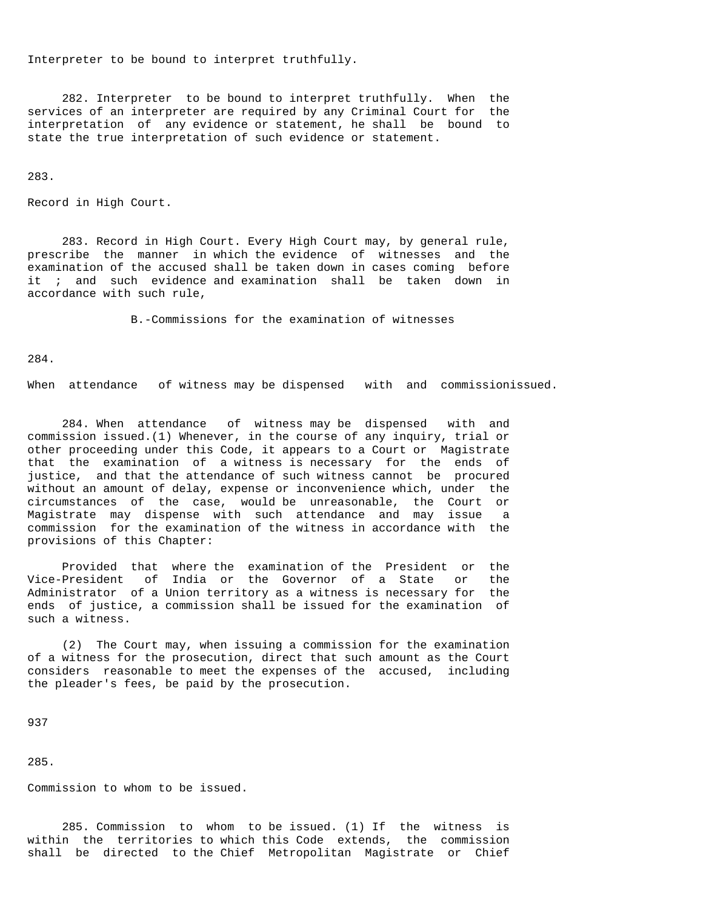Interpreter to be bound to interpret truthfully.

 282. Interpreter to be bound to interpret truthfully. When the services of an interpreter are required by any Criminal Court for the interpretation of any evidence or statement, he shall be bound to state the true interpretation of such evidence or statement.

283.

Record in High Court.

 283. Record in High Court. Every High Court may, by general rule, prescribe the manner in which the evidence of witnesses and the examination of the accused shall be taken down in cases coming before it ; and such evidence and examination shall be taken down in accordance with such rule,

B.-Commissions for the examination of witnesses

284.

When attendance of witness may be dispensed with and commissionissued.

 284. When attendance of witness may be dispensed with and commission issued.(1) Whenever, in the course of any inquiry, trial or other proceeding under this Code, it appears to a Court or Magistrate that the examination of a witness is necessary for the ends of justice, and that the attendance of such witness cannot be procured without an amount of delay, expense or inconvenience which, under the circumstances of the case, would be unreasonable, the Court or Magistrate may dispense with such attendance and may issue a commission for the examination of the witness in accordance with the provisions of this Chapter:

 Provided that where the examination of the President or the Vice-President of India or the Governor of a State or the Administrator of a Union territory as a witness is necessary for the ends of justice, a commission shall be issued for the examination of such a witness.

 (2) The Court may, when issuing a commission for the examination of a witness for the prosecution, direct that such amount as the Court considers reasonable to meet the expenses of the accused, including the pleader's fees, be paid by the prosecution.

937

285.

Commission to whom to be issued.

 285. Commission to whom to be issued. (1) If the witness is within the territories to which this Code extends, the commission shall be directed to the Chief Metropolitan Magistrate or Chief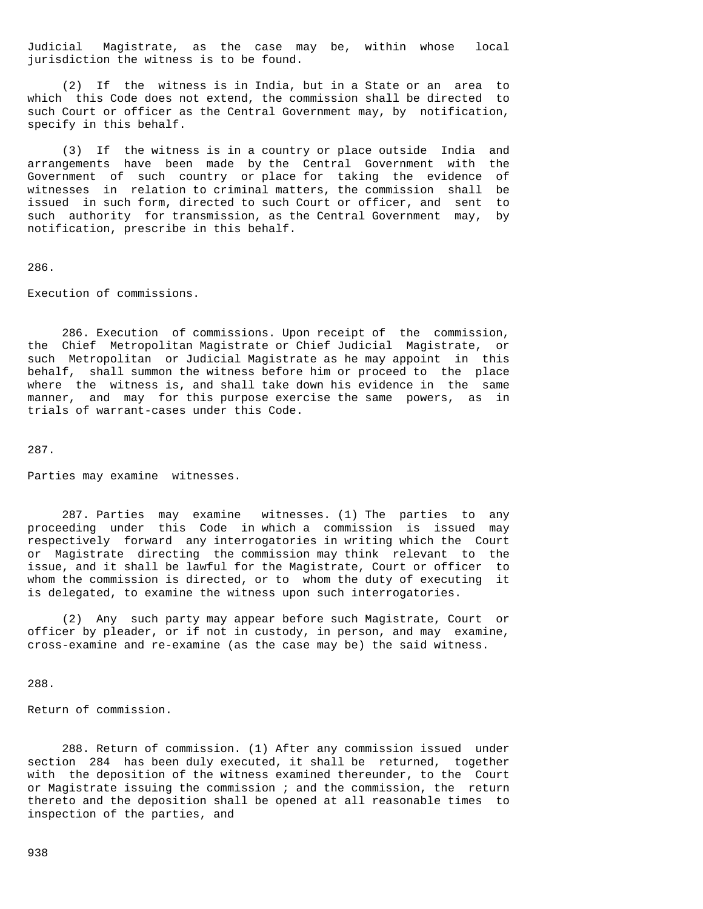Judicial Magistrate, as the case may be, within whose local jurisdiction the witness is to be found.

 (2) If the witness is in India, but in a State or an area to which this Code does not extend, the commission shall be directed to such Court or officer as the Central Government may, by notification, specify in this behalf.

 (3) If the witness is in a country or place outside India and arrangements have been made by the Central Government with the Government of such country or place for taking the evidence of witnesses in relation to criminal matters, the commission shall be issued in such form, directed to such Court or officer, and sent to such authority for transmission, as the Central Government may, by notification, prescribe in this behalf.

```
 286.
```
Execution of commissions.

 286. Execution of commissions. Upon receipt of the commission, the Chief Metropolitan Magistrate or Chief Judicial Magistrate, or such Metropolitan or Judicial Magistrate as he may appoint in this behalf, shall summon the witness before him or proceed to the place where the witness is, and shall take down his evidence in the same manner, and may for this purpose exercise the same powers, as in trials of warrant-cases under this Code.

287.

Parties may examine witnesses.

 287. Parties may examine witnesses. (1) The parties to any proceeding under this Code in which a commission is issued may respectively forward any interrogatories in writing which the Court or Magistrate directing the commission may think relevant to the issue, and it shall be lawful for the Magistrate, Court or officer to whom the commission is directed, or to whom the duty of executing it is delegated, to examine the witness upon such interrogatories.

 (2) Any such party may appear before such Magistrate, Court or officer by pleader, or if not in custody, in person, and may examine, cross-examine and re-examine (as the case may be) the said witness.

288.

Return of commission.

 288. Return of commission. (1) After any commission issued under section 284 has been duly executed, it shall be returned, together with the deposition of the witness examined thereunder, to the Court or Magistrate issuing the commission ; and the commission, the return thereto and the deposition shall be opened at all reasonable times to inspection of the parties, and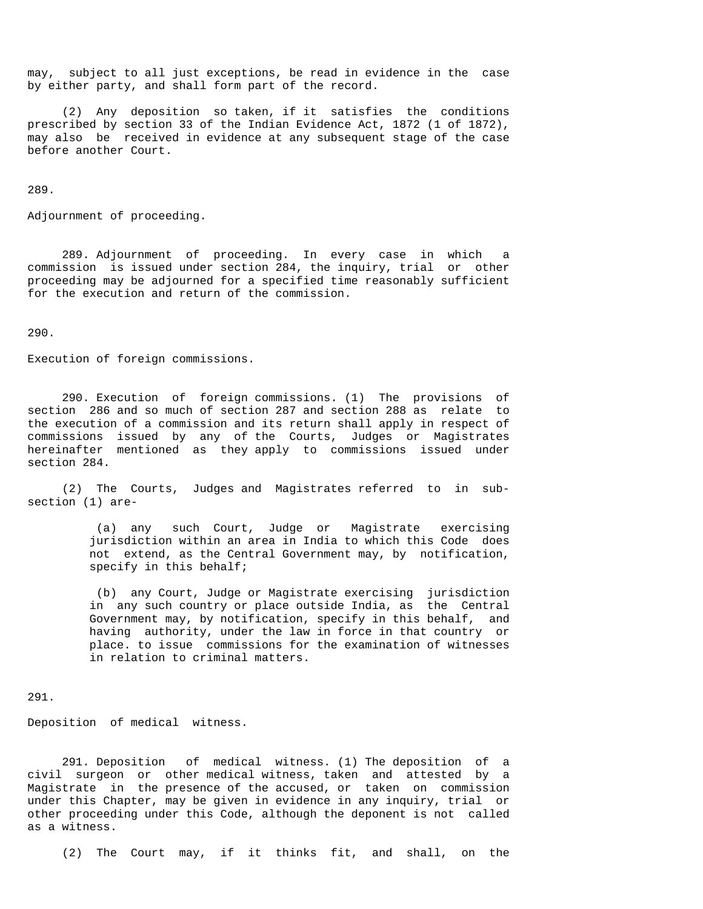may, subject to all just exceptions, be read in evidence in the case by either party, and shall form part of the record.

 (2) Any deposition so taken, if it satisfies the conditions prescribed by section 33 of the Indian Evidence Act, 1872 (1 of 1872), may also be received in evidence at any subsequent stage of the case before another Court.

289.

Adjournment of proceeding.

 289. Adjournment of proceeding. In every case in which a commission is issued under section 284, the inquiry, trial or other proceeding may be adjourned for a specified time reasonably sufficient for the execution and return of the commission.

290.

Execution of foreign commissions.

 290. Execution of foreign commissions. (1) The provisions of section 286 and so much of section 287 and section 288 as relate to the execution of a commission and its return shall apply in respect of commissions issued by any of the Courts, Judges or Magistrates hereinafter mentioned as they apply to commissions issued under section 284.

 (2) The Courts, Judges and Magistrates referred to in sub section (1) are-

> (a) any such Court, Judge or Magistrate exercising jurisdiction within an area in India to which this Code does not extend, as the Central Government may, by notification, specify in this behalf;

> (b) any Court, Judge or Magistrate exercising jurisdiction in any such country or place outside India, as the Central Government may, by notification, specify in this behalf, and having authority, under the law in force in that country or place. to issue commissions for the examination of witnesses in relation to criminal matters.

291.

Deposition of medical witness.

 291. Deposition of medical witness. (1) The deposition of a civil surgeon or other medical witness, taken and attested by a Magistrate in the presence of the accused, or taken on commission under this Chapter, may be given in evidence in any inquiry, trial or other proceeding under this Code, although the deponent is not called as a witness.

(2) The Court may, if it thinks fit, and shall, on the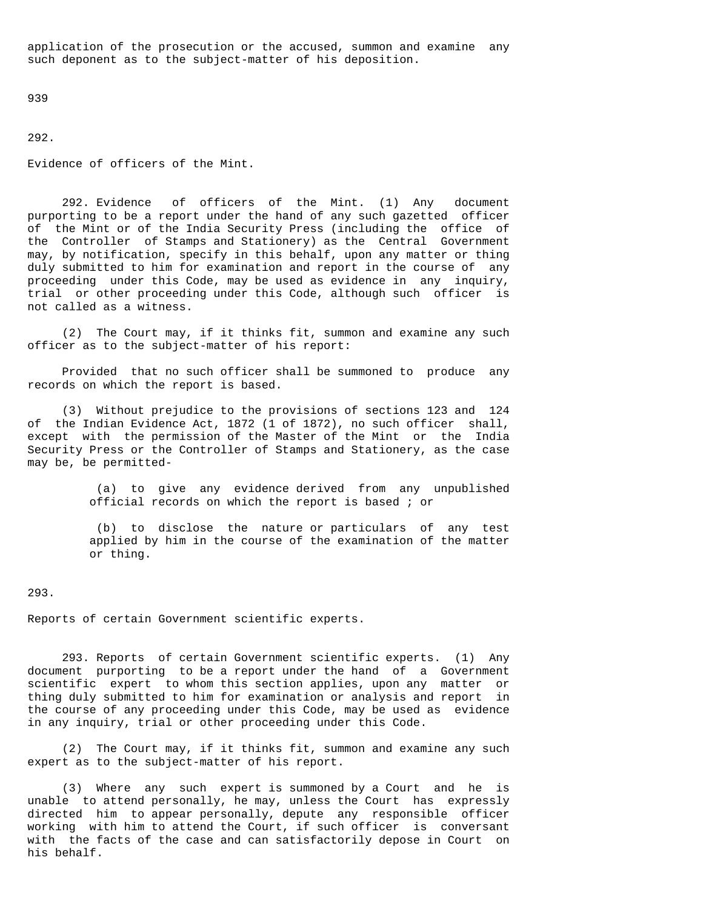application of the prosecution or the accused, summon and examine any such deponent as to the subject-matter of his deposition.

939

292.

Evidence of officers of the Mint.

 292. Evidence of officers of the Mint. (1) Any document purporting to be a report under the hand of any such gazetted officer of the Mint or of the India Security Press (including the office of the Controller of Stamps and Stationery) as the Central Government may, by notification, specify in this behalf, upon any matter or thing duly submitted to him for examination and report in the course of any proceeding under this Code, may be used as evidence in any inquiry, trial or other proceeding under this Code, although such officer is not called as a witness.

 (2) The Court may, if it thinks fit, summon and examine any such officer as to the subject-matter of his report:

 Provided that no such officer shall be summoned to produce any records on which the report is based.

 (3) Without prejudice to the provisions of sections 123 and 124 of the Indian Evidence Act, 1872 (1 of 1872), no such officer shall, except with the permission of the Master of the Mint or the India Security Press or the Controller of Stamps and Stationery, as the case may be, be permitted-

> (a) to give any evidence derived from any unpublished official records on which the report is based ; or

> (b) to disclose the nature or particulars of any test applied by him in the course of the examination of the matter or thing.

293.

Reports of certain Government scientific experts.

 293. Reports of certain Government scientific experts. (1) Any document purporting to be a report under the hand of a Government scientific expert to whom this section applies, upon any matter or thing duly submitted to him for examination or analysis and report in the course of any proceeding under this Code, may be used as evidence in any inquiry, trial or other proceeding under this Code.

 (2) The Court may, if it thinks fit, summon and examine any such expert as to the subject-matter of his report.

 (3) Where any such expert is summoned by a Court and he is unable to attend personally, he may, unless the Court has expressly directed him to appear personally, depute any responsible officer working with him to attend the Court, if such officer is conversant with the facts of the case and can satisfactorily depose in Court on his behalf.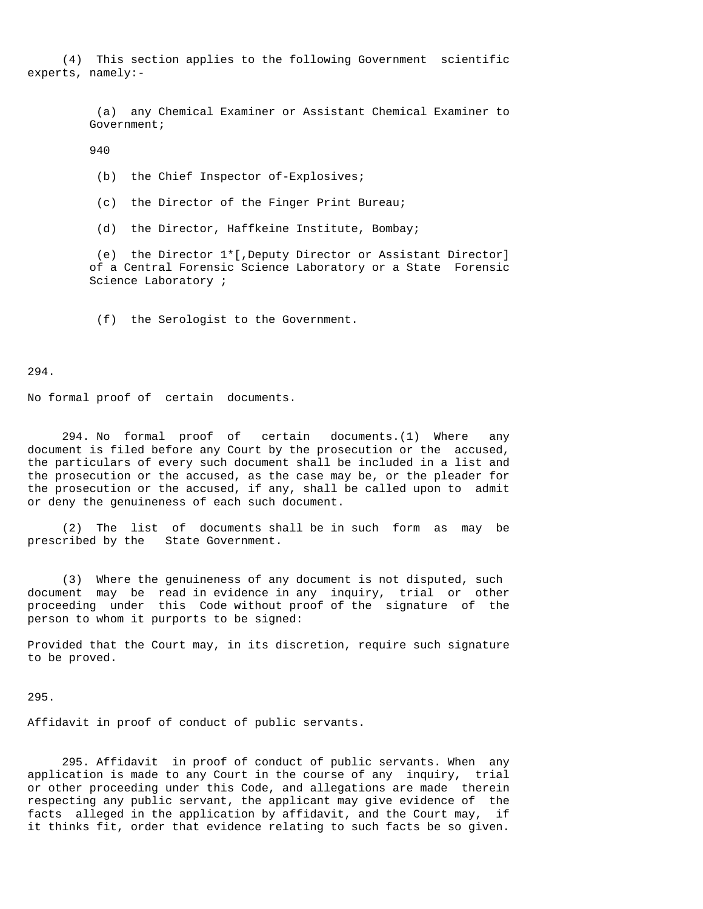(4) This section applies to the following Government scientific experts, namely:-

> (a) any Chemical Examiner or Assistant Chemical Examiner to Government;

940

(b) the Chief Inspector of-Explosives;

(c) the Director of the Finger Print Bureau;

(d) the Director, Haffkeine Institute, Bombay;

 (e) the Director 1\*[,Deputy Director or Assistant Director] of a Central Forensic Science Laboratory or a State Forensic Science Laboratory ;

(f) the Serologist to the Government.

# 294.

No formal proof of certain documents.

 294. No formal proof of certain documents.(1) Where any document is filed before any Court by the prosecution or the accused, the particulars of every such document shall be included in a list and the prosecution or the accused, as the case may be, or the pleader for the prosecution or the accused, if any, shall be called upon to admit or deny the genuineness of each such document.

 (2) The list of documents shall be in such form as may be prescribed by the State Government.

 (3) Where the genuineness of any document is not disputed, such document may be read in evidence in any inquiry, trial or other proceeding under this Code without proof of the signature of the person to whom it purports to be signed:

 Provided that the Court may, in its discretion, require such signature to be proved.

295.

Affidavit in proof of conduct of public servants.

 295. Affidavit in proof of conduct of public servants. When any application is made to any Court in the course of any inquiry, trial or other proceeding under this Code, and allegations are made therein respecting any public servant, the applicant may give evidence of the facts alleged in the application by affidavit, and the Court may, if it thinks fit, order that evidence relating to such facts be so given.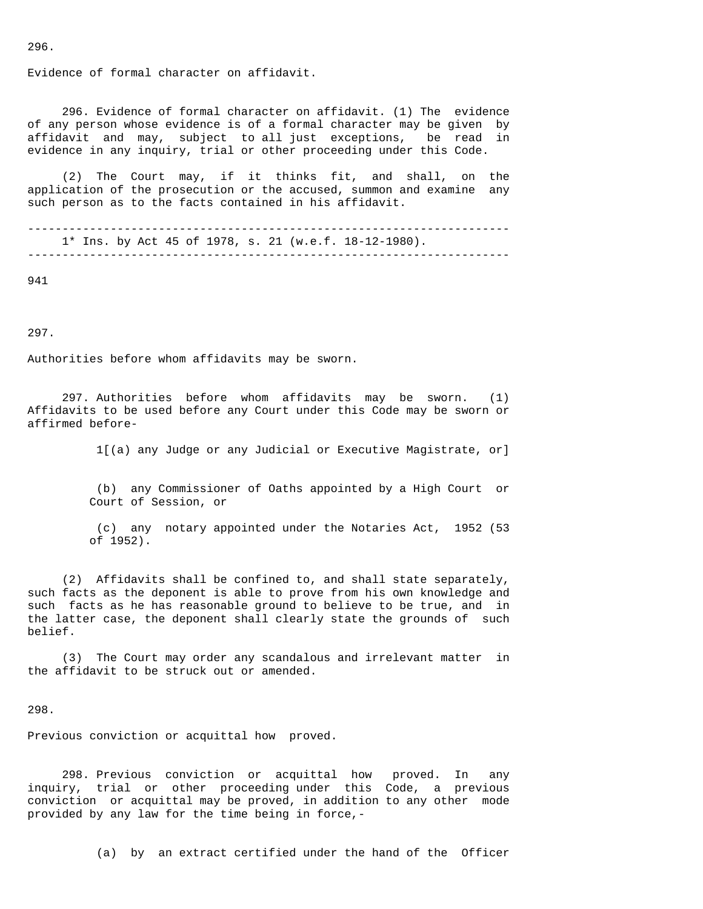Evidence of formal character on affidavit.

 296. Evidence of formal character on affidavit. (1) The evidence of any person whose evidence is of a formal character may be given by affidavit and may, subject to all just exceptions, be read in evidence in any inquiry, trial or other proceeding under this Code.

 (2) The Court may, if it thinks fit, and shall, on the application of the prosecution or the accused, summon and examine any such person as to the facts contained in his affidavit.

 ---------------------------------------------------------------------- 1\* Ins. by Act 45 of 1978, s. 21 (w.e.f. 18-12-1980). ----------------------------------------------------------------------

941

297.

Authorities before whom affidavits may be sworn.

 297. Authorities before whom affidavits may be sworn. (1) Affidavits to be used before any Court under this Code may be sworn or affirmed before-

1[(a) any Judge or any Judicial or Executive Magistrate, or]

 (b) any Commissioner of Oaths appointed by a High Court or Court of Session, or

 (c) any notary appointed under the Notaries Act, 1952 (53 of 1952).

 (2) Affidavits shall be confined to, and shall state separately, such facts as the deponent is able to prove from his own knowledge and such facts as he has reasonable ground to believe to be true, and in the latter case, the deponent shall clearly state the grounds of such belief.

 (3) The Court may order any scandalous and irrelevant matter in the affidavit to be struck out or amended.

298.

Previous conviction or acquittal how proved.

 298. Previous conviction or acquittal how proved. In any inquiry, trial or other proceeding under this Code, a previous conviction or acquittal may be proved, in addition to any other mode provided by any law for the time being in force,-

(a) by an extract certified under the hand of the Officer

296.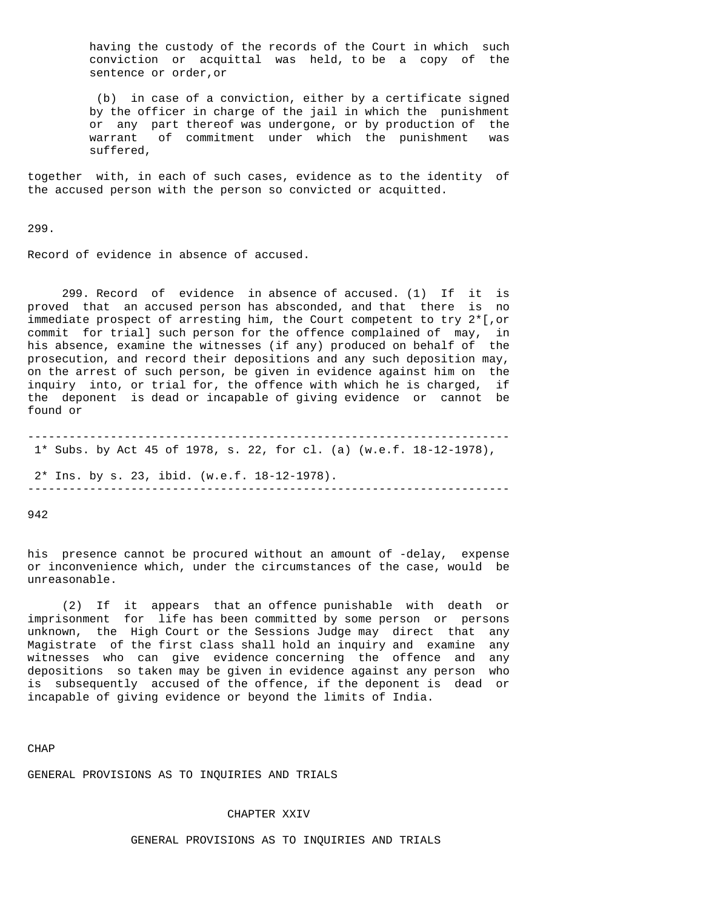having the custody of the records of the Court in which such conviction or acquittal was held, to be a copy of the sentence or order,or

 (b) in case of a conviction, either by a certificate signed by the officer in charge of the jail in which the punishment or any part thereof was undergone, or by production of the warrant of commitment under which the punishment was suffered,

 together with, in each of such cases, evidence as to the identity of the accused person with the person so convicted or acquitted.

299.

Record of evidence in absence of accused.

 299. Record of evidence in absence of accused. (1) If it is proved that an accused person has absconded, and that there is no immediate prospect of arresting him, the Court competent to try 2\*[,or commit for trial] such person for the offence complained of may, in his absence, examine the witnesses (if any) produced on behalf of the prosecution, and record their depositions and any such deposition may, on the arrest of such person, be given in evidence against him on the inquiry into, or trial for, the offence with which he is charged, if the deponent is dead or incapable of giving evidence or cannot be found or

 ---------------------------------------------------------------------- 1\* Subs. by Act 45 of 1978, s. 22, for cl. (a) (w.e.f. 18-12-1978),

----------------------------------------------------------------------

2\* Ins. by s. 23, ibid. (w.e.f. 18-12-1978).

942

 his presence cannot be procured without an amount of -delay, expense or inconvenience which, under the circumstances of the case, would be unreasonable.

 (2) If it appears that an offence punishable with death or imprisonment for life has been committed by some person or persons unknown, the High Court or the Sessions Judge may direct that any Magistrate of the first class shall hold an inquiry and examine any witnesses who can give evidence concerning the offence and any depositions so taken may be given in evidence against any person who is subsequently accused of the offence, if the deponent is dead or incapable of giving evidence or beyond the limits of India.

CHAP

GENERAL PROVISIONS AS TO INQUIRIES AND TRIALS

#### CHAPTER XXIV

GENERAL PROVISIONS AS TO INQUIRIES AND TRIALS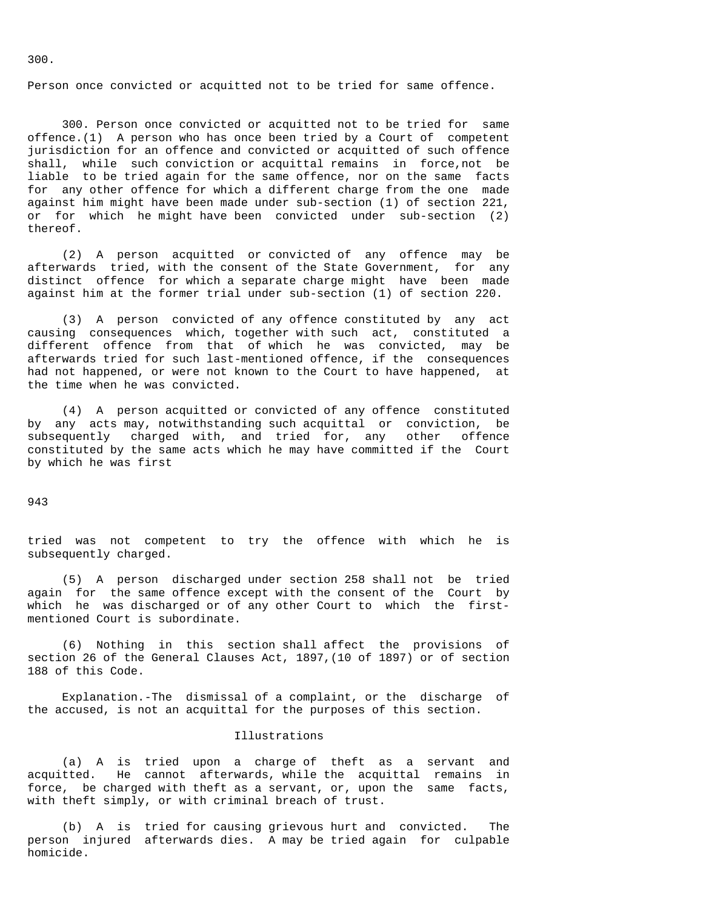Person once convicted or acquitted not to be tried for same offence.

 300. Person once convicted or acquitted not to be tried for same offence.(1) A person who has once been tried by a Court of competent jurisdiction for an offence and convicted or acquitted of such offence shall, while such conviction or acquittal remains in force,not be liable to be tried again for the same offence, nor on the same facts for any other offence for which a different charge from the one made against him might have been made under sub-section (1) of section 221, or for which he might have been convicted under sub-section (2) thereof.

 (2) A person acquitted or convicted of any offence may be afterwards tried, with the consent of the State Government, for any distinct offence for which a separate charge might have been made against him at the former trial under sub-section (1) of section 220.

 (3) A person convicted of any offence constituted by any act causing consequences which, together with such act, constituted a different offence from that of which he was convicted, may be afterwards tried for such last-mentioned offence, if the consequences had not happened, or were not known to the Court to have happened, at the time when he was convicted.

 (4) A person acquitted or convicted of any offence constituted by any acts may, notwithstanding such acquittal or conviction, be subsequently charged with, and tried for, any other offence constituted by the same acts which he may have committed if the Court by which he was first

### 943

 tried was not competent to try the offence with which he is subsequently charged.

 (5) A person discharged under section 258 shall not be tried again for the same offence except with the consent of the Court by which he was discharged or of any other Court to which the first mentioned Court is subordinate.

 (6) Nothing in this section shall affect the provisions of section 26 of the General Clauses Act, 1897,(10 of 1897) or of section 188 of this Code.

 Explanation.-The dismissal of a complaint, or the discharge of the accused, is not an acquittal for the purposes of this section.

## Illustrations

 (a) A is tried upon a charge of theft as a servant and acquitted. He cannot afterwards, while the acquittal remains in force, be charged with theft as a servant, or, upon the same facts, with theft simply, or with criminal breach of trust.

 (b) A is tried for causing grievous hurt and convicted. The person injured afterwards dies. A may be tried again for culpable homicide.

300.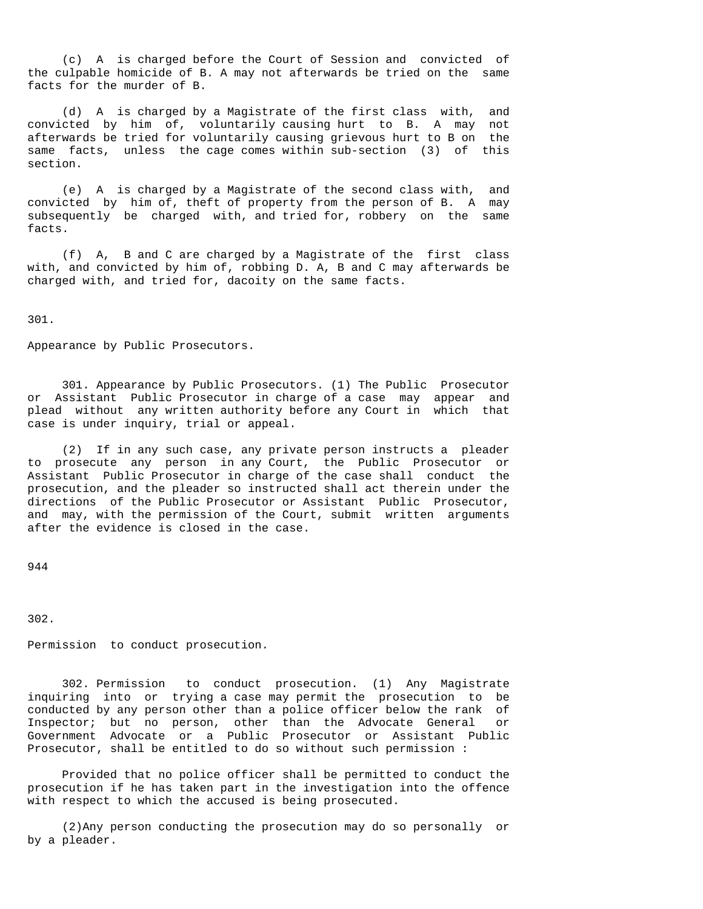(c) A is charged before the Court of Session and convicted of the culpable homicide of B. A may not afterwards be tried on the same facts for the murder of B.

 (d) A is charged by a Magistrate of the first class with, and convicted by him of, voluntarily causing hurt to B. A may not afterwards be tried for voluntarily causing grievous hurt to B on the same facts, unless the cage comes within sub-section (3) of this section.

 (e) A is charged by a Magistrate of the second class with, and convicted by him of, theft of property from the person of B. A may subsequently be charged with, and tried for, robbery on the same facts.

 (f) A, B and C are charged by a Magistrate of the first class with, and convicted by him of, robbing D. A, B and C may afterwards be charged with, and tried for, dacoity on the same facts.

301.

Appearance by Public Prosecutors.

 301. Appearance by Public Prosecutors. (1) The Public Prosecutor or Assistant Public Prosecutor in charge of a case may appear and plead without any written authority before any Court in which that case is under inquiry, trial or appeal.

 (2) If in any such case, any private person instructs a pleader to prosecute any person in any Court, the Public Prosecutor or Assistant Public Prosecutor in charge of the case shall conduct the prosecution, and the pleader so instructed shall act therein under the directions of the Public Prosecutor or Assistant Public Prosecutor, and may, with the permission of the Court, submit written arguments after the evidence is closed in the case.

944

302.

Permission to conduct prosecution.

 302. Permission to conduct prosecution. (1) Any Magistrate inquiring into or trying a case may permit the prosecution to be conducted by any person other than a police officer below the rank of Inspector; but no person, other than the Advocate General or Government Advocate or a Public Prosecutor or Assistant Public Prosecutor, shall be entitled to do so without such permission :

 Provided that no police officer shall be permitted to conduct the prosecution if he has taken part in the investigation into the offence with respect to which the accused is being prosecuted.

 (2)Any person conducting the prosecution may do so personally or by a pleader.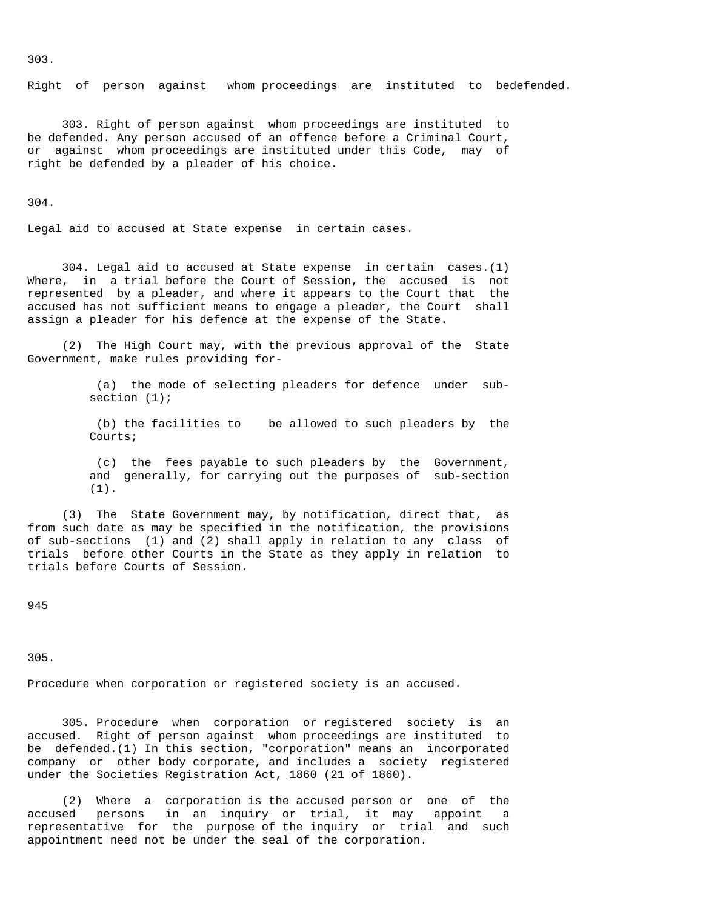Right of person against whom proceedings are instituted to bedefended.

 303. Right of person against whom proceedings are instituted to be defended. Any person accused of an offence before a Criminal Court, or against whom proceedings are instituted under this Code, may of right be defended by a pleader of his choice.

304.

303.

Legal aid to accused at State expense in certain cases.

 304. Legal aid to accused at State expense in certain cases.(1) Where, in a trial before the Court of Session, the accused is not represented by a pleader, and where it appears to the Court that the accused has not sufficient means to engage a pleader, the Court shall assign a pleader for his defence at the expense of the State.

 (2) The High Court may, with the previous approval of the State Government, make rules providing for-

> (a) the mode of selecting pleaders for defence under sub section (1);

> (b) the facilities to be allowed to such pleaders by the Courts;

> (c) the fees payable to such pleaders by the Government, and generally, for carrying out the purposes of sub-section (1).

 (3) The State Government may, by notification, direct that, as from such date as may be specified in the notification, the provisions of sub-sections (1) and (2) shall apply in relation to any class of trials before other Courts in the State as they apply in relation to trials before Courts of Session.

945

305.

Procedure when corporation or registered society is an accused.

 305. Procedure when corporation or registered society is an accused. Right of person against whom proceedings are instituted to be defended.(1) In this section, "corporation" means an incorporated company or other body corporate, and includes a society registered under the Societies Registration Act, 1860 (21 of 1860).

 (2) Where a corporation is the accused person or one of the accused persons in an inquiry or trial, it may appoint a representative for the purpose of the inquiry or trial and such appointment need not be under the seal of the corporation.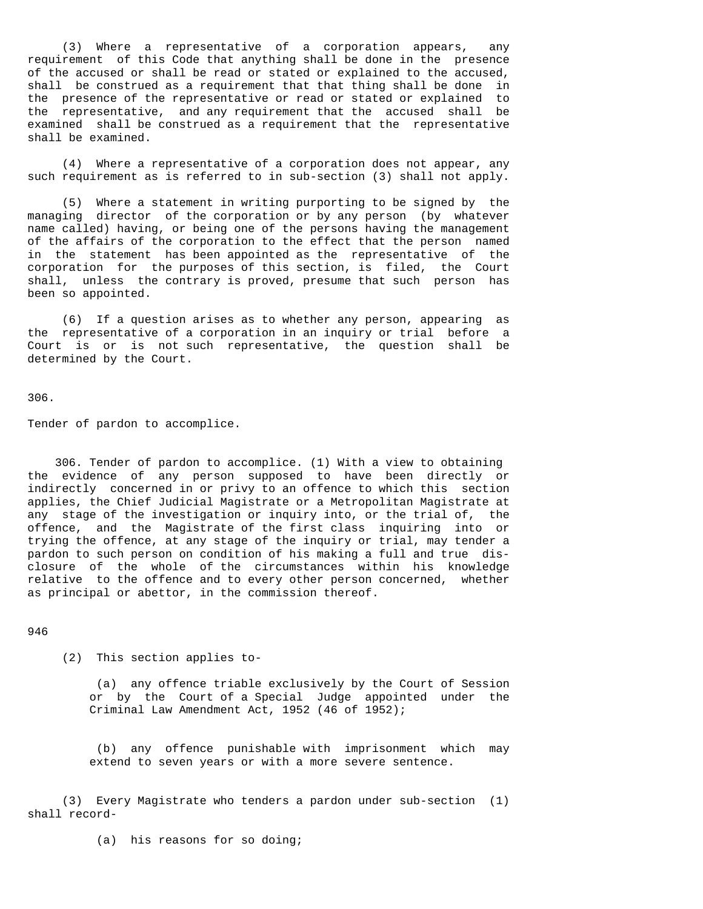(3) Where a representative of a corporation appears, any requirement of this Code that anything shall be done in the presence of the accused or shall be read or stated or explained to the accused, shall be construed as a requirement that that thing shall be done in the presence of the representative or read or stated or explained to the representative, and any requirement that the accused shall be examined shall be construed as a requirement that the representative shall be examined.

 (4) Where a representative of a corporation does not appear, any such requirement as is referred to in sub-section (3) shall not apply.

 (5) Where a statement in writing purporting to be signed by the managing director of the corporation or by any person (by whatever name called) having, or being one of the persons having the management of the affairs of the corporation to the effect that the person named in the statement has been appointed as the representative of the corporation for the purposes of this section, is filed, the Court shall, unless the contrary is proved, presume that such person has been so appointed.

 (6) If a question arises as to whether any person, appearing as the representative of a corporation in an inquiry or trial before a Court is or is not such representative, the question shall be determined by the Court.

306.

Tender of pardon to accomplice.

 306. Tender of pardon to accomplice. (1) With a view to obtaining the evidence of any person supposed to have been directly or indirectly concerned in or privy to an offence to which this section applies, the Chief Judicial Magistrate or a Metropolitan Magistrate at any stage of the investigation or inquiry into, or the trial of, the offence, and the Magistrate of the first class inquiring into or trying the offence, at any stage of the inquiry or trial, may tender a pardon to such person on condition of his making a full and true dis closure of the whole of the circumstances within his knowledge relative to the offence and to every other person concerned, whether as principal or abettor, in the commission thereof.

946

(2) This section applies to-

 (a) any offence triable exclusively by the Court of Session or by the Court of a Special Judge appointed under the Criminal Law Amendment Act, 1952 (46 of 1952);

 (b) any offence punishable with imprisonment which may extend to seven years or with a more severe sentence.

 (3) Every Magistrate who tenders a pardon under sub-section (1) shall record-

(a) his reasons for so doing;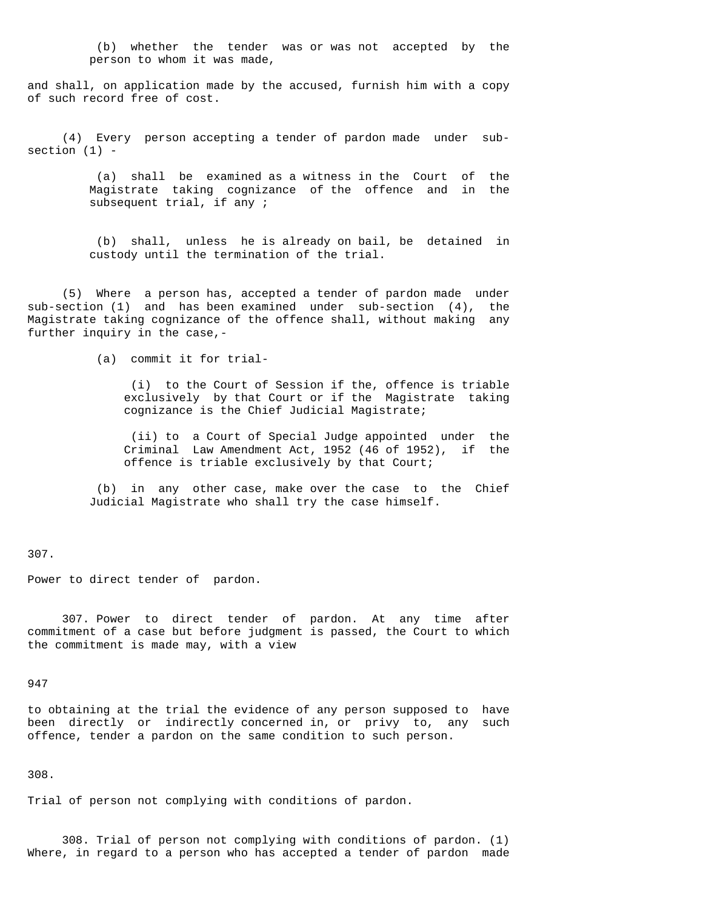(b) whether the tender was or was not accepted by the person to whom it was made,

 and shall, on application made by the accused, furnish him with a copy of such record free of cost.

 (4) Every person accepting a tender of pardon made under sub section  $(1)$  -

> (a) shall be examined as a witness in the Court of the Magistrate taking cognizance of the offence and in the subsequent trial, if any ;

> (b) shall, unless he is already on bail, be detained in custody until the termination of the trial.

 (5) Where a person has, accepted a tender of pardon made under sub-section (1) and has been examined under sub-section (4), the Magistrate taking cognizance of the offence shall, without making any further inquiry in the case,-

(a) commit it for trial-

 (i) to the Court of Session if the, offence is triable exclusively by that Court or if the Magistrate taking cognizance is the Chief Judicial Magistrate;

 (ii) to a Court of Special Judge appointed under the Criminal Law Amendment Act, 1952 (46 of 1952), if the offence is triable exclusively by that Court;

 (b) in any other case, make over the case to the Chief Judicial Magistrate who shall try the case himself.

# 307.

Power to direct tender of pardon.

 307. Power to direct tender of pardon. At any time after commitment of a case but before judgment is passed, the Court to which the commitment is made may, with a view

947

 to obtaining at the trial the evidence of any person supposed to have been directly or indirectly concerned in, or privy to, any such offence, tender a pardon on the same condition to such person.

308.

Trial of person not complying with conditions of pardon.

 308. Trial of person not complying with conditions of pardon. (1) Where, in regard to a person who has accepted a tender of pardon made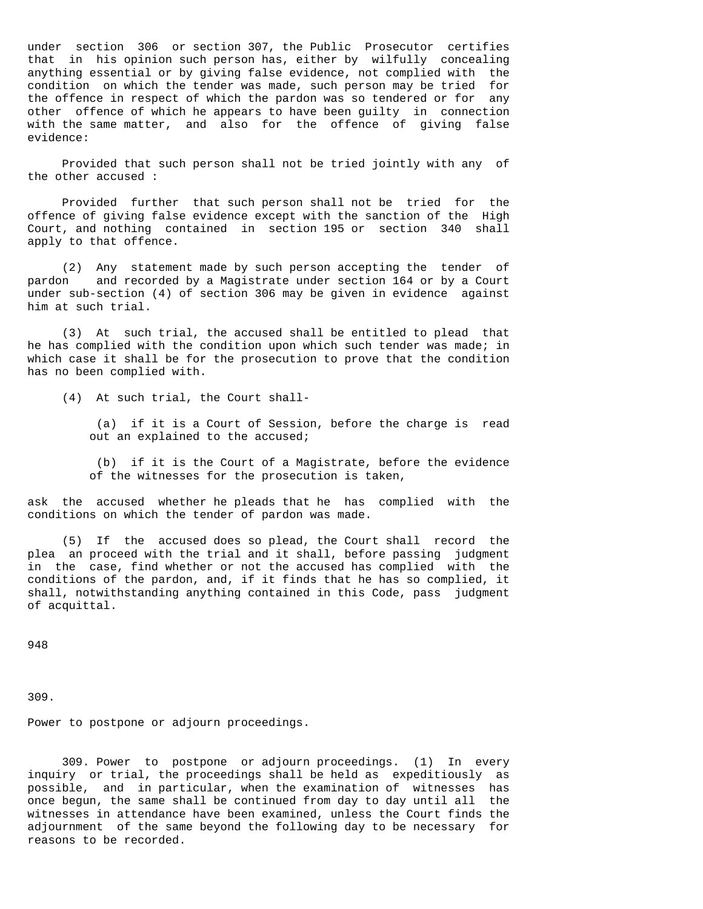under section 306 or section 307, the Public Prosecutor certifies that in his opinion such person has, either by wilfully concealing anything essential or by giving false evidence, not complied with the condition on which the tender was made, such person may be tried for the offence in respect of which the pardon was so tendered or for any other offence of which he appears to have been guilty in connection with the same matter, and also for the offence of giving false evidence:

 Provided that such person shall not be tried jointly with any of the other accused :

 Provided further that such person shall not be tried for the offence of giving false evidence except with the sanction of the High Court, and nothing contained in section 195 or section 340 shall apply to that offence.

 (2) Any statement made by such person accepting the tender of pardon and recorded by a Magistrate under section 164 or by a Court under sub-section (4) of section 306 may be given in evidence against him at such trial.

 (3) At such trial, the accused shall be entitled to plead that he has complied with the condition upon which such tender was made; in which case it shall be for the prosecution to prove that the condition has no been complied with.

(4) At such trial, the Court shall-

 (a) if it is a Court of Session, before the charge is read out an explained to the accused;

 (b) if it is the Court of a Magistrate, before the evidence of the witnesses for the prosecution is taken,

 ask the accused whether he pleads that he has complied with the conditions on which the tender of pardon was made.

 (5) If the accused does so plead, the Court shall record the plea an proceed with the trial and it shall, before passing judgment in the case, find whether or not the accused has complied with the conditions of the pardon, and, if it finds that he has so complied, it shall, notwithstanding anything contained in this Code, pass judgment of acquittal.

948

309.

Power to postpone or adjourn proceedings.

 309. Power to postpone or adjourn proceedings. (1) In every inquiry or trial, the proceedings shall be held as expeditiously as possible, and in particular, when the examination of witnesses has once begun, the same shall be continued from day to day until all the witnesses in attendance have been examined, unless the Court finds the adjournment of the same beyond the following day to be necessary for reasons to be recorded.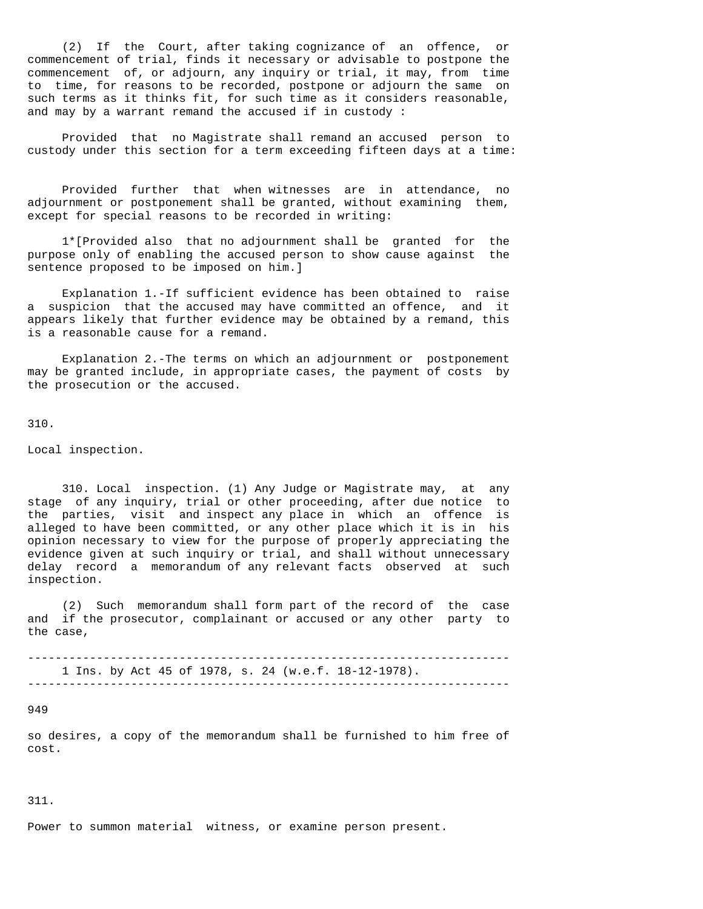(2) If the Court, after taking cognizance of an offence, or commencement of trial, finds it necessary or advisable to postpone the commencement of, or adjourn, any inquiry or trial, it may, from time to time, for reasons to be recorded, postpone or adjourn the same on such terms as it thinks fit, for such time as it considers reasonable, and may by a warrant remand the accused if in custody :

 Provided that no Magistrate shall remand an accused person to custody under this section for a term exceeding fifteen days at a time:

 Provided further that when witnesses are in attendance, no adjournment or postponement shall be granted, without examining them, except for special reasons to be recorded in writing:

 1\*[Provided also that no adjournment shall be granted for the purpose only of enabling the accused person to show cause against the sentence proposed to be imposed on him.]

 Explanation 1.-If sufficient evidence has been obtained to raise a suspicion that the accused may have committed an offence, and it appears likely that further evidence may be obtained by a remand, this is a reasonable cause for a remand.

 Explanation 2.-The terms on which an adjournment or postponement may be granted include, in appropriate cases, the payment of costs by the prosecution or the accused.

310.

Local inspection.

 310. Local inspection. (1) Any Judge or Magistrate may, at any stage of any inquiry, trial or other proceeding, after due notice to the parties, visit and inspect any place in which an offence is alleged to have been committed, or any other place which it is in his opinion necessary to view for the purpose of properly appreciating the evidence given at such inquiry or trial, and shall without unnecessary delay record a memorandum of any relevant facts observed at such inspection.

 (2) Such memorandum shall form part of the record of the case and if the prosecutor, complainant or accused or any other party to the case,

 ---------------------------------------------------------------------- 1 Ins. by Act 45 of 1978, s. 24 (w.e.f. 18-12-1978). ----------------------------------------------------------------------

949

 so desires, a copy of the memorandum shall be furnished to him free of cost.

### 311.

Power to summon material witness, or examine person present.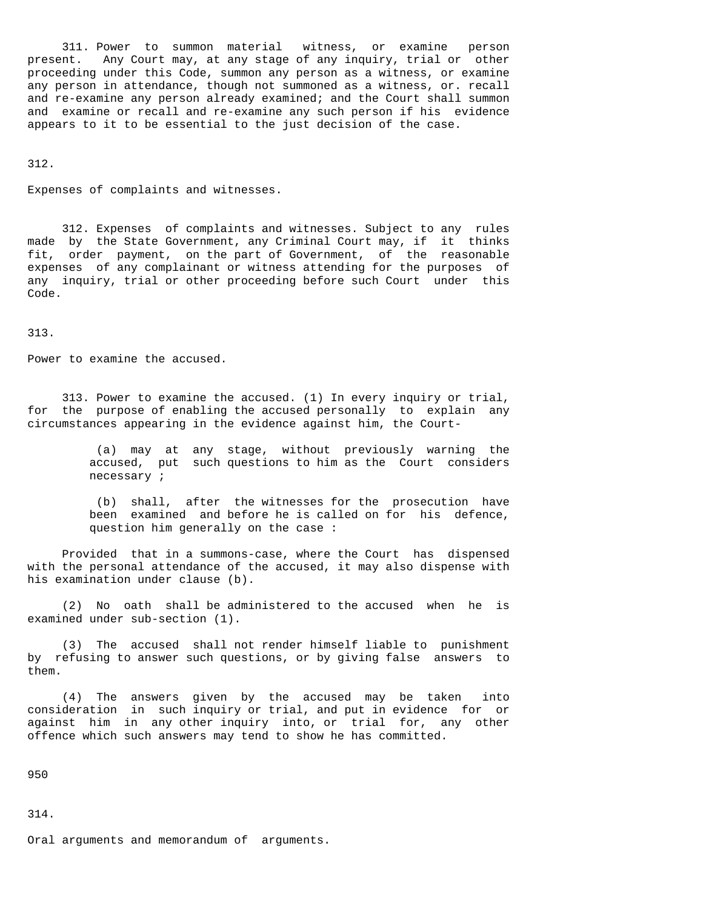311. Power to summon material witness, or examine person present. Any Court may, at any stage of any inquiry, trial or other proceeding under this Code, summon any person as a witness, or examine any person in attendance, though not summoned as a witness, or. recall and re-examine any person already examined; and the Court shall summon and examine or recall and re-examine any such person if his evidence appears to it to be essential to the just decision of the case.

312.

Expenses of complaints and witnesses.

 312. Expenses of complaints and witnesses. Subject to any rules made by the State Government, any Criminal Court may, if it thinks fit, order payment, on the part of Government, of the reasonable expenses of any complainant or witness attending for the purposes of any inquiry, trial or other proceeding before such Court under this Code.

313.

Power to examine the accused.

 313. Power to examine the accused. (1) In every inquiry or trial, for the purpose of enabling the accused personally to explain any circumstances appearing in the evidence against him, the Court-

> (a) may at any stage, without previously warning the accused, put such questions to him as the Court considers necessary ;

> (b) shall, after the witnesses for the prosecution have been examined and before he is called on for his defence, question him generally on the case :

 Provided that in a summons-case, where the Court has dispensed with the personal attendance of the accused, it may also dispense with his examination under clause (b).

 (2) No oath shall be administered to the accused when he is examined under sub-section (1).

 (3) The accused shall not render himself liable to punishment by refusing to answer such questions, or by giving false answers to them.

 (4) The answers given by the accused may be taken into consideration in such inquiry or trial, and put in evidence for or against him in any other inquiry into, or trial for, any other offence which such answers may tend to show he has committed.

950

314.

Oral arguments and memorandum of arguments.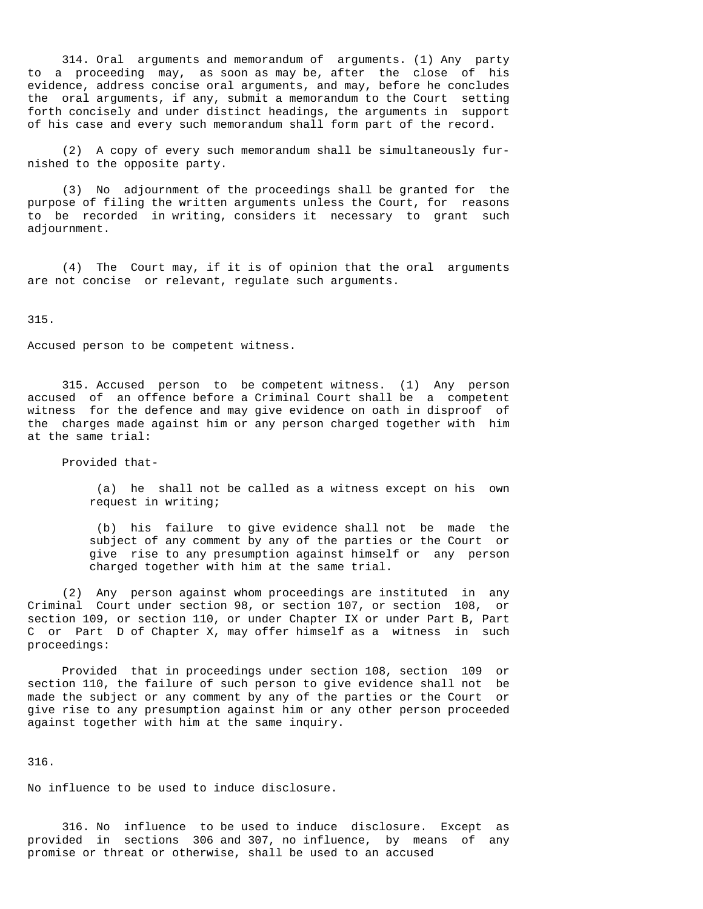314. Oral arguments and memorandum of arguments. (1) Any party to a proceeding may, as soon as may be, after the close of his evidence, address concise oral arguments, and may, before he concludes the oral arguments, if any, submit a memorandum to the Court setting forth concisely and under distinct headings, the arguments in support of his case and every such memorandum shall form part of the record.

 (2) A copy of every such memorandum shall be simultaneously fur nished to the opposite party.

 (3) No adjournment of the proceedings shall be granted for the purpose of filing the written arguments unless the Court, for reasons to be recorded in writing, considers it necessary to grant such adjournment.

 (4) The Court may, if it is of opinion that the oral arguments are not concise or relevant, regulate such arguments.

315.

Accused person to be competent witness.

 315. Accused person to be competent witness. (1) Any person accused of an offence before a Criminal Court shall be a competent witness for the defence and may give evidence on oath in disproof of the charges made against him or any person charged together with him at the same trial:

Provided that-

 (a) he shall not be called as a witness except on his own request in writing;

 (b) his failure to give evidence shall not be made the subject of any comment by any of the parties or the Court or give rise to any presumption against himself or any person charged together with him at the same trial.

 (2) Any person against whom proceedings are instituted in any Criminal Court under section 98, or section 107, or section 108, or section 109, or section 110, or under Chapter IX or under Part B, Part C or Part D of Chapter X, may offer himself as a witness in such proceedings:

 Provided that in proceedings under section 108, section 109 or section 110, the failure of such person to give evidence shall not be made the subject or any comment by any of the parties or the Court or give rise to any presumption against him or any other person proceeded against together with him at the same inquiry.

316.

No influence to be used to induce disclosure.

 316. No influence to be used to induce disclosure. Except as provided in sections 306 and 307, no influence, by means of any promise or threat or otherwise, shall be used to an accused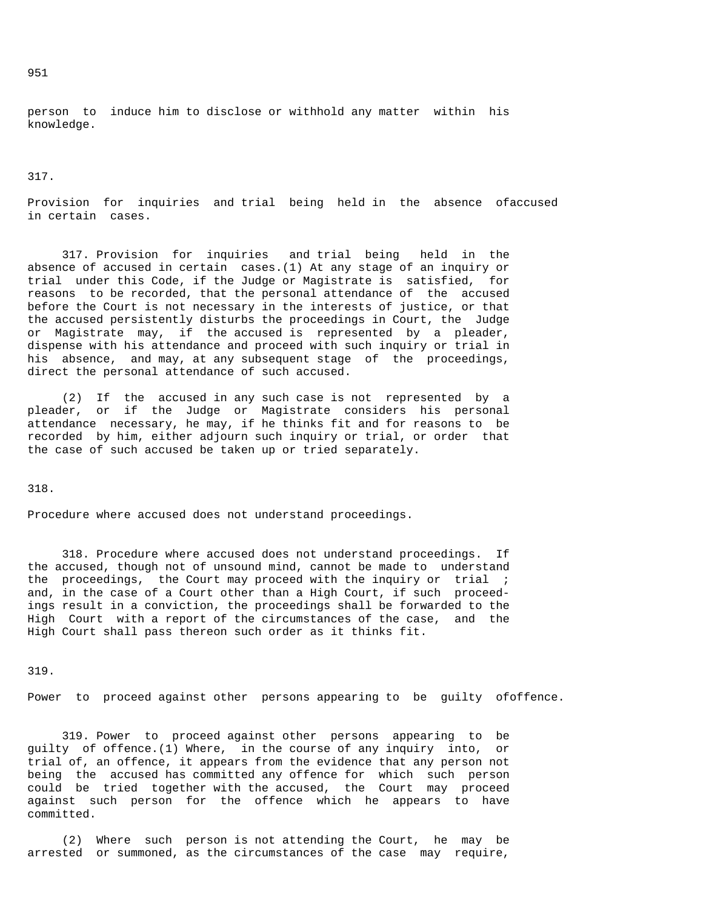person to induce him to disclose or withhold any matter within his knowledge.

317.

 Provision for inquiries and trial being held in the absence ofaccused in certain cases.

 317. Provision for inquiries and trial being held in the absence of accused in certain cases.(1) At any stage of an inquiry or trial under this Code, if the Judge or Magistrate is satisfied, for reasons to be recorded, that the personal attendance of the accused before the Court is not necessary in the interests of justice, or that the accused persistently disturbs the proceedings in Court, the Judge or Magistrate may, if the accused is represented by a pleader, dispense with his attendance and proceed with such inquiry or trial in his absence, and may, at any subsequent stage of the proceedings, direct the personal attendance of such accused.

 (2) If the accused in any such case is not represented by a pleader, or if the Judge or Magistrate considers his personal attendance necessary, he may, if he thinks fit and for reasons to be recorded by him, either adjourn such inquiry or trial, or order that the case of such accused be taken up or tried separately.

318.

Procedure where accused does not understand proceedings.

 318. Procedure where accused does not understand proceedings. If the accused, though not of unsound mind, cannot be made to understand the proceedings, the Court may proceed with the inquiry or trial ; and, in the case of a Court other than a High Court, if such proceed ings result in a conviction, the proceedings shall be forwarded to the High Court with a report of the circumstances of the case, and the High Court shall pass thereon such order as it thinks fit.

319.

Power to proceed against other persons appearing to be guilty ofoffence.

 319. Power to proceed against other persons appearing to be guilty of offence.(1) Where, in the course of any inquiry into, or trial of, an offence, it appears from the evidence that any person not being the accused has committed any offence for which such person could be tried together with the accused, the Court may proceed against such person for the offence which he appears to have committed.

 (2) Where such person is not attending the Court, he may be arrested or summoned, as the circumstances of the case may require,

951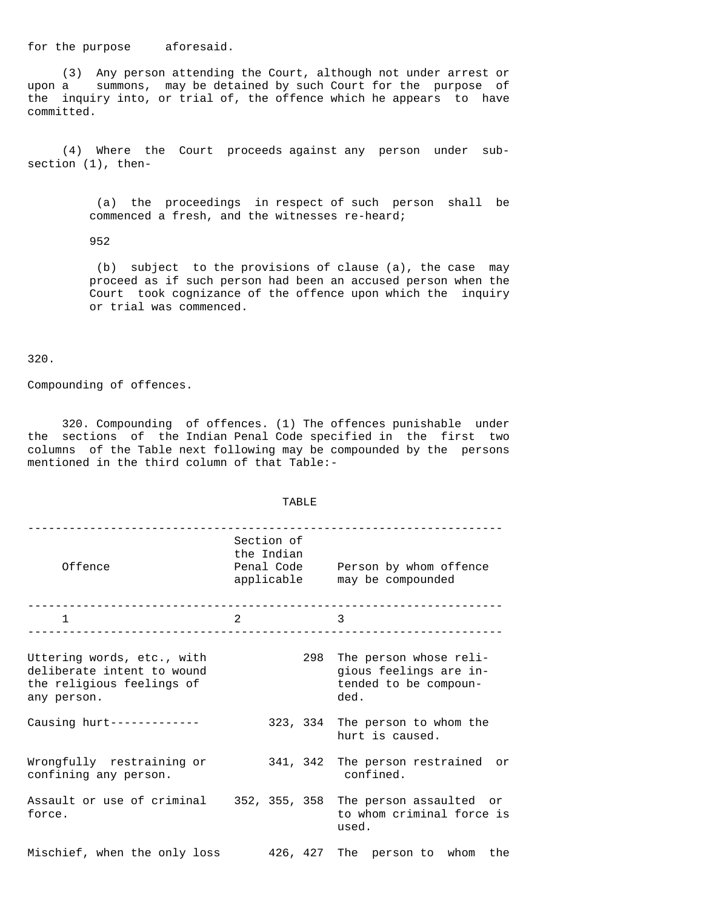for the purpose aforesaid.

 (3) Any person attending the Court, although not under arrest or upon a summons, may be detained by such Court for the purpose of the inquiry into, or trial of, the offence which he appears to have committed.

 (4) Where the Court proceeds against any person under sub section (1), then-

> (a) the proceedings in respect of such person shall be commenced a fresh, and the witnesses re-heard;

952

 (b) subject to the provisions of clause (a), the case may proceed as if such person had been an accused person when the Court took cognizance of the offence upon which the inquiry or trial was commenced.

320.

Compounding of offences.

 320. Compounding of offences. (1) The offences punishable under the sections of the Indian Penal Code specified in the first two columns of the Table next following may be compounded by the persons mentioned in the third column of that Table:-

|                                                                                                      |               | TABLE                                                |     |                                                                                   |
|------------------------------------------------------------------------------------------------------|---------------|------------------------------------------------------|-----|-----------------------------------------------------------------------------------|
| Offence                                                                                              |               | Section of<br>the Indian<br>Penal Code<br>applicable |     | Person by whom offence<br>may be compounded                                       |
| $\mathbf{1}$                                                                                         | $\mathcal{L}$ |                                                      |     | ----------------------<br>$\mathcal{E}$                                           |
| Uttering words, etc., with<br>deliberate intent to wound<br>the religious feelings of<br>any person. |               |                                                      | 298 | The person whose reli-<br>gious feelings are in-<br>tended to be compoun-<br>ded. |
| Causing hurt-------------                                                                            |               |                                                      |     | 323, 334 The person to whom the<br>hurt is caused.                                |
| Wrongfully restraining or<br>confining any person.                                                   |               |                                                      |     | 341, 342 The person restrained or<br>confined.                                    |
| Assault or use of criminal 352, 355, 358<br>force.                                                   |               |                                                      |     | The person assaulted or<br>to whom criminal force is<br>used.                     |
| Mischief, when the only loss                                                                         |               |                                                      |     | 426, 427 The person to whom the                                                   |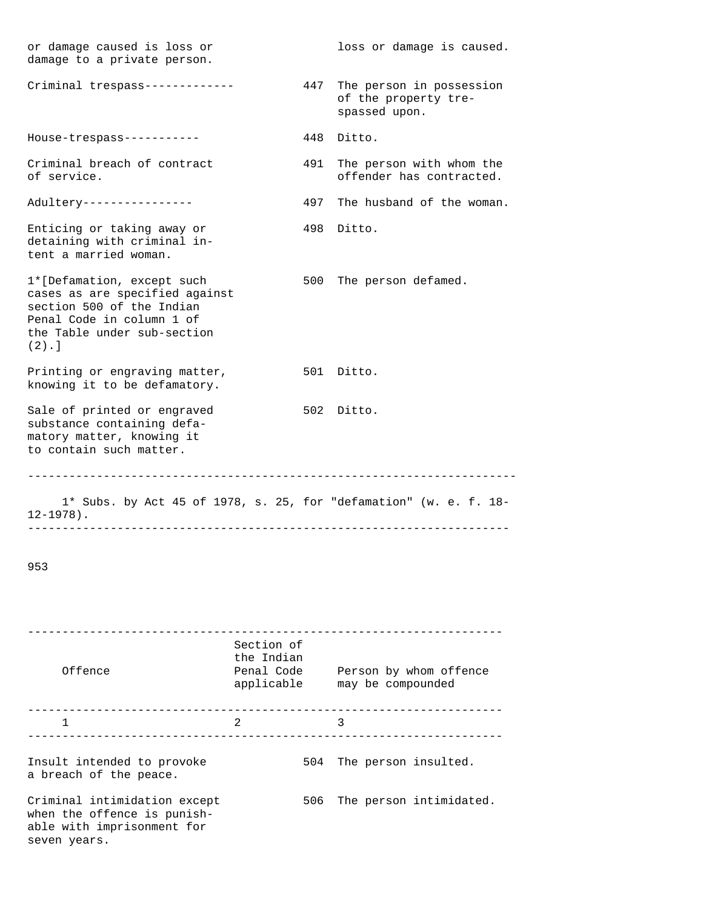| or damage caused is loss or<br>damage to a private person.                                                                                                        |     | loss or damage is caused.                                         |
|-------------------------------------------------------------------------------------------------------------------------------------------------------------------|-----|-------------------------------------------------------------------|
| Criminal trespass-------------                                                                                                                                    | 447 | The person in possession<br>of the property tre-<br>spassed upon. |
| House-trespass-----------                                                                                                                                         | 448 | Ditto.                                                            |
| Criminal breach of contract<br>of service.                                                                                                                        | 491 | The person with whom the<br>offender has contracted.              |
| Adultery----------------                                                                                                                                          | 497 | The husband of the woman.                                         |
| Enticing or taking away or<br>detaining with criminal in-<br>tent a married woman.                                                                                | 498 | Ditto.                                                            |
| 1*[Defamation, except such<br>cases as are specified against<br>section 500 of the Indian<br>Penal Code in column 1 of<br>the Table under sub-section<br>$(2)$ .] | 500 | The person defamed.                                               |
| Printing or engraving matter,<br>knowing it to be defamatory.                                                                                                     |     | 501 Ditto.                                                        |
| Sale of printed or engraved<br>substance containing defa-<br>matory matter, knowing it<br>to contain such matter.                                                 |     | $502$ Ditto.                                                      |
| 1* Subs. by Act 45 of 1978, s. 25, for "defamation" (w. e. f. 18-<br>$12 - 1978$ .                                                                                |     |                                                                   |

953

| Offence                                                                                                   | Section of<br>the Indian<br>Penal Code<br>applicable |     | Person by whom offence<br>may be compounded |  |
|-----------------------------------------------------------------------------------------------------------|------------------------------------------------------|-----|---------------------------------------------|--|
| $\mathbf{1}$                                                                                              | $\mathfrak{D}$                                       |     | 3                                           |  |
| Insult intended to provoke<br>a breach of the peace.                                                      |                                                      | 504 | The person insulted.                        |  |
| Criminal intimidation except<br>when the offence is punish-<br>able with imprisonment for<br>seven years. |                                                      | 506 | The person intimidated.                     |  |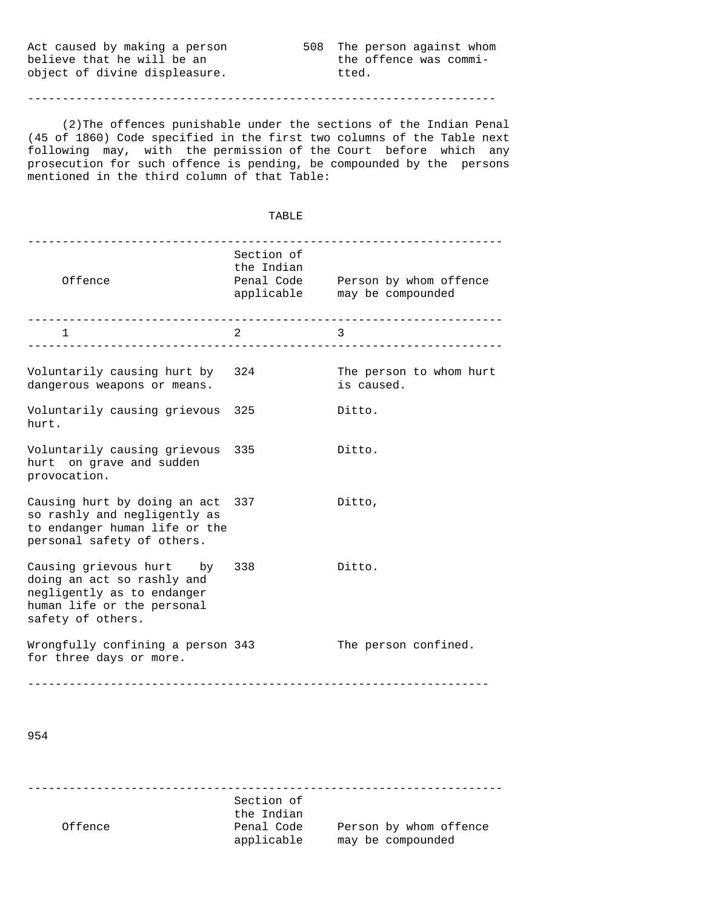| Act caused by making a person | 508 The person against whom |
|-------------------------------|-----------------------------|
| believe that he will be an    | the offence was commi-      |
| object of divine displeasure. | tted.                       |

--------------------------------------------------------------------

 (2)The offences punishable under the sections of the Indian Penal (45 of 1860) Code specified in the first two columns of the Table next following may, with the permission of the Court before which any prosecution for such offence is pending, be compounded by the persons mentioned in the third column of that Table:

|                                                                                                                                         | TABLE                                                |                                             |
|-----------------------------------------------------------------------------------------------------------------------------------------|------------------------------------------------------|---------------------------------------------|
| Offence                                                                                                                                 | Section of<br>the Indian<br>Penal Code<br>applicable | Person by whom offence<br>may be compounded |
| $\mathbf{1}$                                                                                                                            | $2^{\circ}$                                          | 3                                           |
| Voluntarily causing hurt by<br>dangerous weapons or means.                                                                              | 324                                                  | The person to whom hurt<br>is caused.       |
| Voluntarily causing grievous<br>hurt.                                                                                                   | 325                                                  | Ditto.                                      |
| Voluntarily causing grievous<br>hurt on grave and sudden<br>provocation.                                                                | 335                                                  | Ditto.                                      |
| Causing hurt by doing an act<br>so rashly and negligently as<br>to endanger human life or the<br>personal safety of others.             | 337                                                  | Ditto,                                      |
| Causing grievous hurt by<br>doing an act so rashly and<br>negligently as to endanger<br>human life or the personal<br>safety of others. | 338                                                  | Ditto.                                      |
| Wrongfully confining a person 343<br>for three days or more.                                                                            |                                                      | The person confined.                        |
|                                                                                                                                         |                                                      |                                             |

954

---------------------------------------------------------------------

 Section of the Indian<br>Offence The Penal Code Offence The Penal Code Person by whom offence applicable may be compounded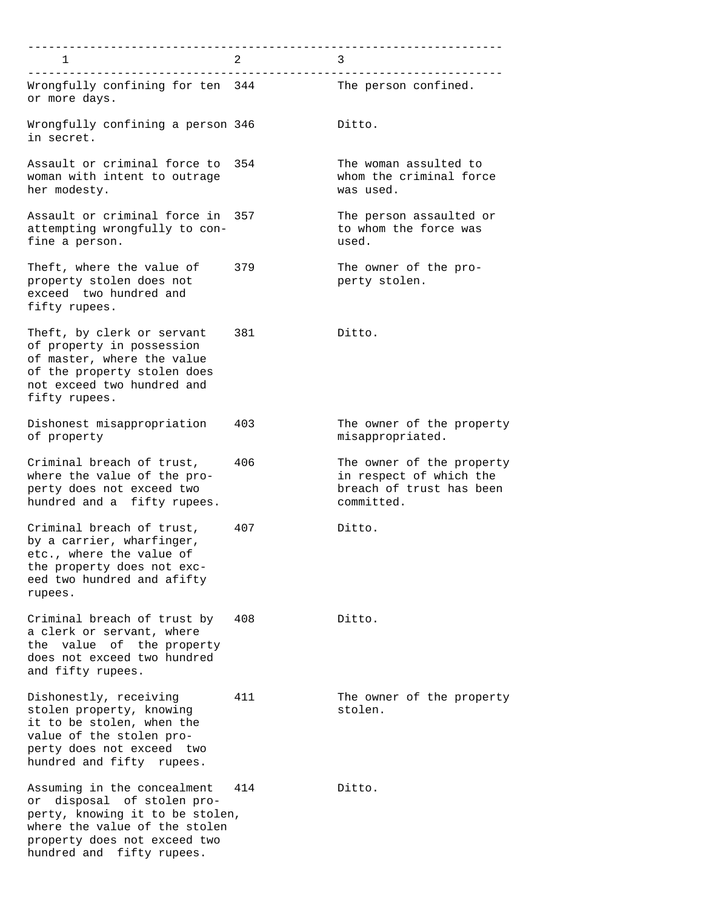| $\mathbf{1}$                                                                                                                                                                                  | 2   | 3                                                                                              |
|-----------------------------------------------------------------------------------------------------------------------------------------------------------------------------------------------|-----|------------------------------------------------------------------------------------------------|
| Wrongfully confining for ten 344<br>or more days.                                                                                                                                             |     | The person confined.                                                                           |
| Wrongfully confining a person 346<br>in secret.                                                                                                                                               |     | Ditto.                                                                                         |
| Assault or criminal force to<br>woman with intent to outrage<br>her modesty.                                                                                                                  | 354 | The woman assulted to<br>whom the criminal force<br>was used.                                  |
| Assault or criminal force in<br>attempting wrongfully to con-<br>fine a person.                                                                                                               | 357 | The person assaulted or<br>to whom the force was<br>used.                                      |
| Theft, where the value of<br>property stolen does not<br>exceed two hundred and<br>fifty rupees.                                                                                              | 379 | The owner of the pro-<br>perty stolen.                                                         |
| Theft, by clerk or servant<br>of property in possession<br>of master, where the value<br>of the property stolen does<br>not exceed two hundred and<br>fifty rupees.                           | 381 | Ditto.                                                                                         |
| Dishonest misappropriation<br>of property                                                                                                                                                     | 403 | The owner of the property<br>misappropriated.                                                  |
| Criminal breach of trust,<br>where the value of the pro-<br>perty does not exceed two<br>hundred and a fifty rupees.                                                                          | 406 | The owner of the property<br>in respect of which the<br>breach of trust has been<br>committed. |
| Criminal breach of trust,<br>by a carrier, wharfinger,<br>etc., where the value of<br>the property does not exc-<br>eed two hundred and afifty<br>rupees.                                     | 407 | Ditto.                                                                                         |
| Criminal breach of trust by<br>a clerk or servant, where<br>value of the property<br>the<br>does not exceed two hundred<br>and fifty rupees.                                                  | 408 | Ditto.                                                                                         |
| Dishonestly, receiving<br>stolen property, knowing<br>it to be stolen, when the<br>value of the stolen pro-<br>perty does not exceed two<br>hundred and fifty rupees.                         | 411 | The owner of the property<br>stolen.                                                           |
| Assuming in the concealment<br>disposal of stolen pro-<br>or<br>perty, knowing it to be stolen,<br>where the value of the stolen<br>property does not exceed two<br>hundred and fifty rupees. | 414 | Ditto.                                                                                         |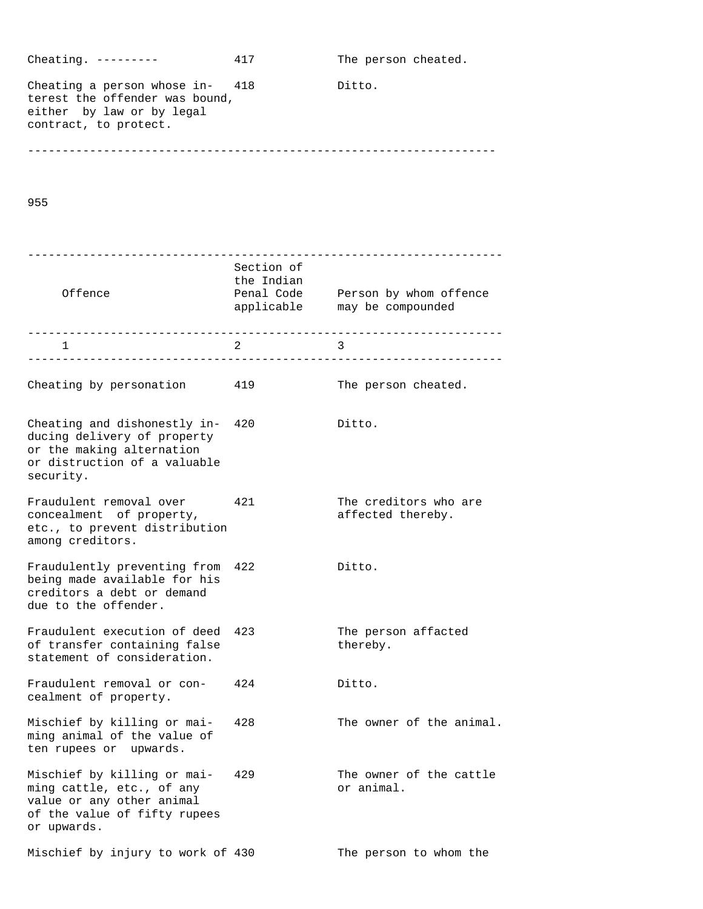| Cheating. $------$                                                                                                                    | 417                                                  | The person cheated.                         |
|---------------------------------------------------------------------------------------------------------------------------------------|------------------------------------------------------|---------------------------------------------|
| Cheating a person whose in-<br>terest the offender was bound,<br>either by law or by legal<br>contract, to protect.                   | 418                                                  | Ditto.                                      |
|                                                                                                                                       |                                                      |                                             |
| 955                                                                                                                                   |                                                      |                                             |
| Offence                                                                                                                               | Section of<br>the Indian<br>Penal Code<br>applicable | Person by whom offence<br>may be compounded |
| $\mathbf{1}$                                                                                                                          | $\mathbf{2}$                                         | 3                                           |
| Cheating by personation                                                                                                               | 419                                                  | The person cheated.                         |
| Cheating and dishonestly in-<br>ducing delivery of property<br>or the making alternation<br>or distruction of a valuable<br>security. | 420                                                  | Ditto.                                      |
| Fraudulent removal over<br>concealment of property,<br>etc., to prevent distribution<br>among creditors.                              | 421                                                  | The creditors who are<br>affected thereby.  |
| Fraudulently preventing from<br>being made available for his<br>creditors a debt or demand<br>due to the offender.                    | 422                                                  | Ditto.                                      |
| Fraudulent execution of deed<br>of transfer containing false<br>statement of consideration.                                           | 423                                                  | The person affacted<br>thereby.             |
| Fraudulent removal or con-<br>cealment of property.                                                                                   | 424                                                  | Ditto.                                      |
| Mischief by killing or mai-<br>ming animal of the value of<br>ten rupees or upwards.                                                  | 428                                                  | The owner of the animal.                    |
| Mischief by killing or mai-<br>ming cattle, etc., of any<br>value or any other animal<br>of the value of fifty rupees<br>or upwards.  | 429                                                  | The owner of the cattle<br>or animal.       |
| Mischief by injury to work of 430                                                                                                     |                                                      | The person to whom the                      |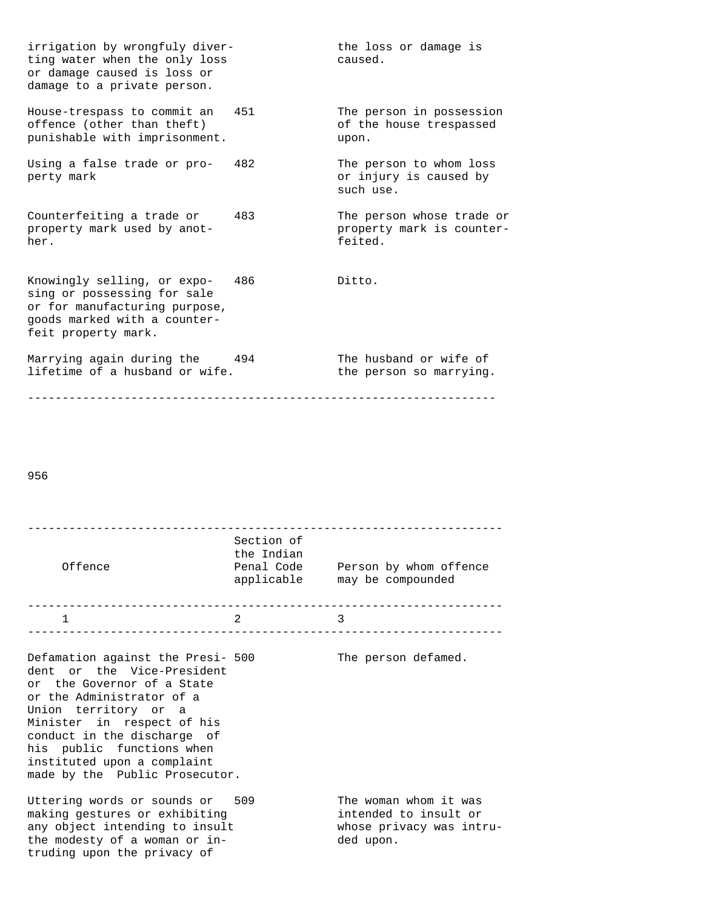irrigation by wrongfuly diver- the loss or damage is ting water when the only loss caused. or damage caused is loss or damage to a private person. House-trespass to commit an 451 The person in possession offence (other than theft) of the house trespassed punishable with imprisonment. The upon. Using a false trade or pro- 482 The person to whom loss perty mark or injury is caused by such use. Counterfeiting a trade or  $\begin{array}{ccc} 483 \\ \text{Property} \end{array}$  The person whose trade or property mark used by anotproperty mark is counterher. **feited.** Knowingly selling, or expo- 486 Ditto. sing or possessing for sale or for manufacturing purpose, goods marked with a counter feit property mark. Marrying again during the 494 The husband or wife of lifetime of a husband or wife. The person so marrying.

--------------------------------------------------------------------

956

| Offence                                                                                                                                                                                                                                                                                                       | Section of<br>the Indian<br>Penal Code<br>applicable | Person by whom offence<br>may be compounded                                             |
|---------------------------------------------------------------------------------------------------------------------------------------------------------------------------------------------------------------------------------------------------------------------------------------------------------------|------------------------------------------------------|-----------------------------------------------------------------------------------------|
| $\mathbf{1}$                                                                                                                                                                                                                                                                                                  | 2                                                    | $\mathcal{E}$                                                                           |
| Defamation against the Presi- 500<br>dent or the Vice-President<br>or the Governor of a State<br>or the Administrator of a<br>Union territory or a<br>Minister in respect of his<br>conduct in the discharge of<br>his public functions when<br>instituted upon a complaint<br>made by the Public Prosecutor. |                                                      | The person defamed.                                                                     |
| Uttering words or sounds or 509<br>making gestures or exhibiting<br>any object intending to insult<br>the modesty of a woman or in-<br>truding upon the privacy of                                                                                                                                            |                                                      | The woman whom it was<br>intended to insult or<br>whose privacy was intru-<br>ded upon. |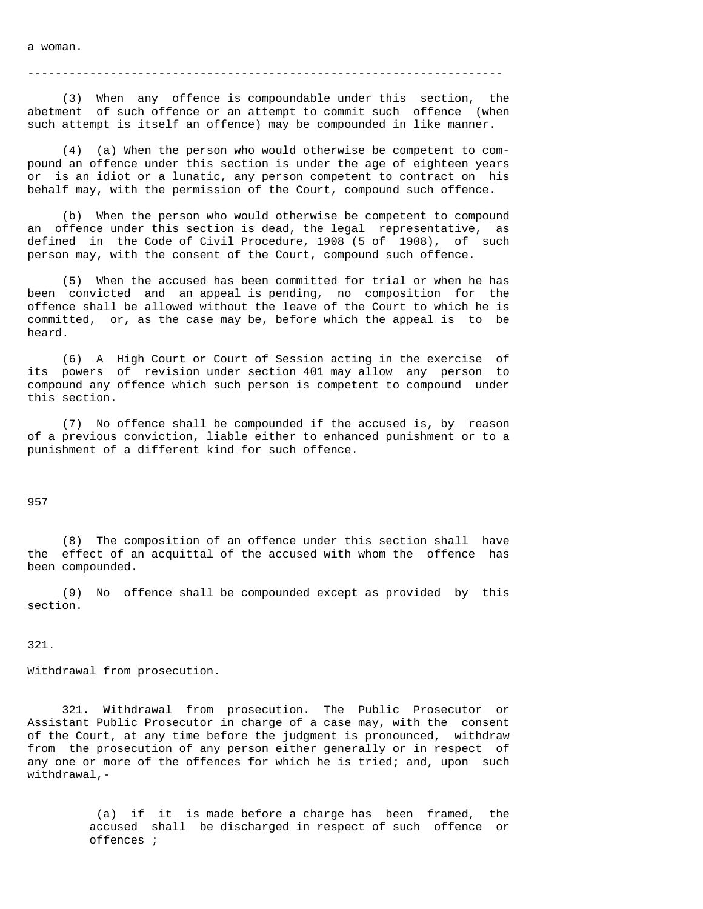---------------------------------------------------------------------

 (3) When any offence is compoundable under this section, the abetment of such offence or an attempt to commit such offence (when such attempt is itself an offence) may be compounded in like manner.

 (4) (a) When the person who would otherwise be competent to com pound an offence under this section is under the age of eighteen years or is an idiot or a lunatic, any person competent to contract on his behalf may, with the permission of the Court, compound such offence.

 (b) When the person who would otherwise be competent to compound an offence under this section is dead, the legal representative, as defined in the Code of Civil Procedure, 1908 (5 of 1908), of such person may, with the consent of the Court, compound such offence.

 (5) When the accused has been committed for trial or when he has been convicted and an appeal is pending, no composition for the offence shall be allowed without the leave of the Court to which he is committed, or, as the case may be, before which the appeal is to be heard.

 (6) A High Court or Court of Session acting in the exercise of its powers of revision under section 401 may allow any person to compound any offence which such person is competent to compound under this section.

 (7) No offence shall be compounded if the accused is, by reason of a previous conviction, liable either to enhanced punishment or to a punishment of a different kind for such offence.

957

 (8) The composition of an offence under this section shall have the effect of an acquittal of the accused with whom the offence has been compounded.

 (9) No offence shall be compounded except as provided by this section.

321.

Withdrawal from prosecution.

 321. Withdrawal from prosecution. The Public Prosecutor or Assistant Public Prosecutor in charge of a case may, with the consent of the Court, at any time before the judgment is pronounced, withdraw from the prosecution of any person either generally or in respect of any one or more of the offences for which he is tried; and, upon such withdrawal,-

> (a) if it is made before a charge has been framed, the accused shall be discharged in respect of such offence or offences ;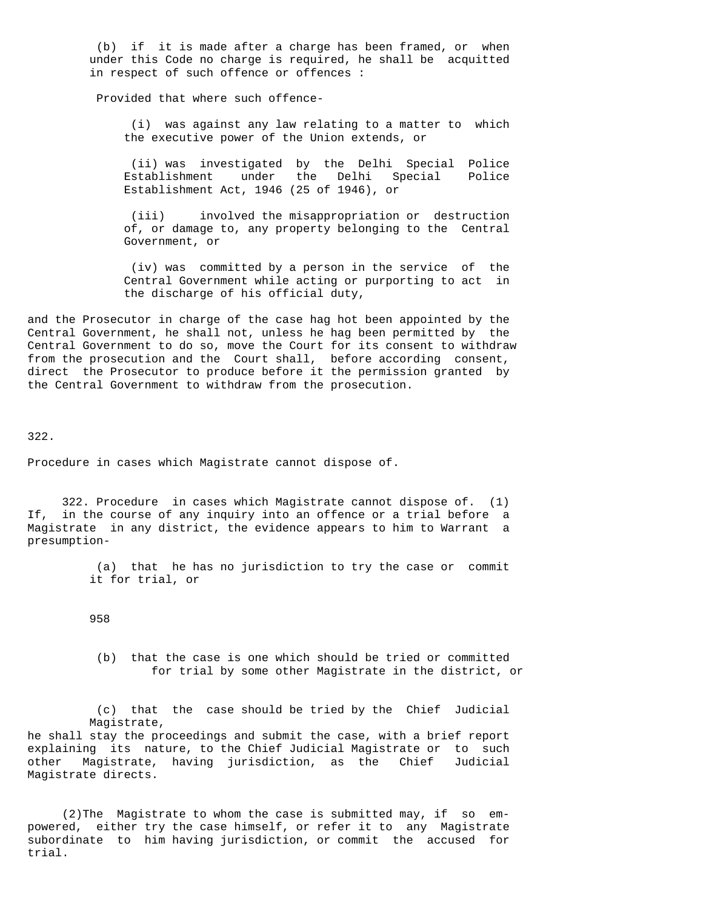(b) if it is made after a charge has been framed, or when under this Code no charge is required, he shall be acquitted in respect of such offence or offences :

Provided that where such offence-

 (i) was against any law relating to a matter to which the executive power of the Union extends, or

 (ii) was investigated by the Delhi Special Police Establishment under the Delhi Special Police Establishment Act, 1946 (25 of 1946), or

 (iii) involved the misappropriation or destruction of, or damage to, any property belonging to the Central Government, or

 (iv) was committed by a person in the service of the Central Government while acting or purporting to act in the discharge of his official duty,

 and the Prosecutor in charge of the case hag hot been appointed by the Central Government, he shall not, unless he hag been permitted by the Central Government to do so, move the Court for its consent to withdraw from the prosecution and the Court shall, before according consent, direct the Prosecutor to produce before it the permission granted by the Central Government to withdraw from the prosecution.

322.

Procedure in cases which Magistrate cannot dispose of.

 322. Procedure in cases which Magistrate cannot dispose of. (1) If, in the course of any inquiry into an offence or a trial before a Magistrate in any district, the evidence appears to him to Warrant a presumption-

> (a) that he has no jurisdiction to try the case or commit it for trial, or

958

 (b) that the case is one which should be tried or committed for trial by some other Magistrate in the district, or

 (c) that the case should be tried by the Chief Judicial Magistrate,

 he shall stay the proceedings and submit the case, with a brief report explaining its nature, to the Chief Judicial Magistrate or to such other Magistrate, having jurisdiction, as the Chief Judicial Magistrate directs.

 (2)The Magistrate to whom the case is submitted may, if so em powered, either try the case himself, or refer it to any Magistrate subordinate to him having jurisdiction, or commit the accused for trial.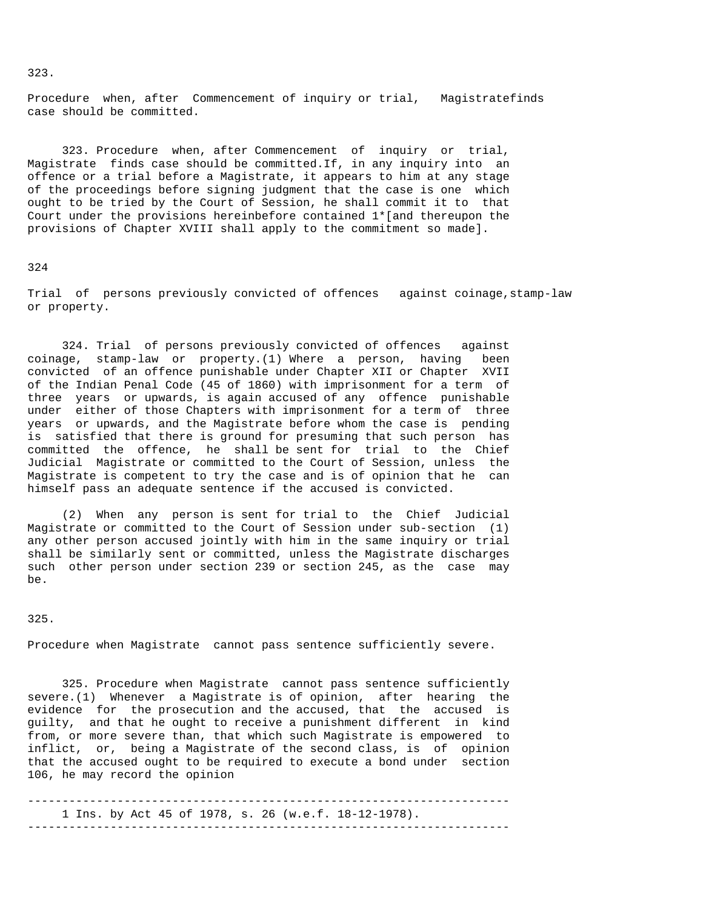Procedure when, after Commencement of inquiry or trial, Magistratefinds case should be committed.

 323. Procedure when, after Commencement of inquiry or trial, Magistrate finds case should be committed.If, in any inquiry into an offence or a trial before a Magistrate, it appears to him at any stage of the proceedings before signing judgment that the case is one which ought to be tried by the Court of Session, he shall commit it to that Court under the provisions hereinbefore contained 1\*[and thereupon the provisions of Chapter XVIII shall apply to the commitment so made].

324

 Trial of persons previously convicted of offences against coinage,stamp-law or property.

 324. Trial of persons previously convicted of offences against coinage, stamp-law or property.(1) Where a person, having been convicted of an offence punishable under Chapter XII or Chapter XVII of the Indian Penal Code (45 of 1860) with imprisonment for a term of three years or upwards, is again accused of any offence punishable under either of those Chapters with imprisonment for a term of three years or upwards, and the Magistrate before whom the case is pending is satisfied that there is ground for presuming that such person has committed the offence, he shall be sent for trial to the Chief Judicial Magistrate or committed to the Court of Session, unless the Magistrate is competent to try the case and is of opinion that he can himself pass an adequate sentence if the accused is convicted.

 (2) When any person is sent for trial to the Chief Judicial Magistrate or committed to the Court of Session under sub-section (1) any other person accused jointly with him in the same inquiry or trial shall be similarly sent or committed, unless the Magistrate discharges such other person under section 239 or section 245, as the case may be.

325.

Procedure when Magistrate cannot pass sentence sufficiently severe.

 325. Procedure when Magistrate cannot pass sentence sufficiently severe.(1) Whenever a Magistrate is of opinion, after hearing the evidence for the prosecution and the accused, that the accused is guilty, and that he ought to receive a punishment different in kind from, or more severe than, that which such Magistrate is empowered to inflict, or, being a Magistrate of the second class, is of opinion that the accused ought to be required to execute a bond under section 106, he may record the opinion

|  |  |  |  |  | 1 Ins. by Act 45 of 1978, s. 26 (w.e.f. 18-12-1978). |
|--|--|--|--|--|------------------------------------------------------|
|  |  |  |  |  |                                                      |

323.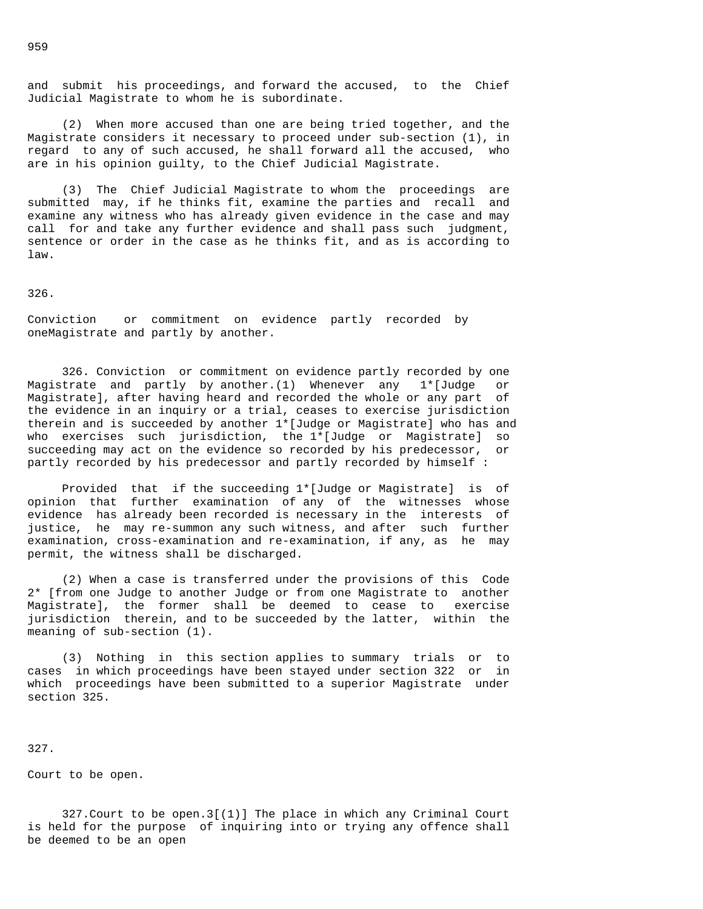and submit his proceedings, and forward the accused, to the Chief Judicial Magistrate to whom he is subordinate.

 (2) When more accused than one are being tried together, and the Magistrate considers it necessary to proceed under sub-section (1), in regard to any of such accused, he shall forward all the accused, who are in his opinion guilty, to the Chief Judicial Magistrate.

 (3) The Chief Judicial Magistrate to whom the proceedings are submitted may, if he thinks fit, examine the parties and recall and examine any witness who has already given evidence in the case and may call for and take any further evidence and shall pass such judgment, sentence or order in the case as he thinks fit, and as is according to law.

326.

 Conviction or commitment on evidence partly recorded by oneMagistrate and partly by another.

 326. Conviction or commitment on evidence partly recorded by one Magistrate and partly by another.(1) Whenever any 1\*[Judge or Magistrate], after having heard and recorded the whole or any part of the evidence in an inquiry or a trial, ceases to exercise jurisdiction therein and is succeeded by another 1\*[Judge or Magistrate] who has and who exercises such jurisdiction, the 1\*[Judge or Magistrate] so succeeding may act on the evidence so recorded by his predecessor, or partly recorded by his predecessor and partly recorded by himself :

 Provided that if the succeeding 1\*[Judge or Magistrate] is of opinion that further examination of any of the witnesses whose evidence has already been recorded is necessary in the interests of justice, he may re-summon any such witness, and after such further examination, cross-examination and re-examination, if any, as he may permit, the witness shall be discharged.

 (2) When a case is transferred under the provisions of this Code 2\* [from one Judge to another Judge or from one Magistrate to another Magistrate], the former shall be deemed to cease to exercise jurisdiction therein, and to be succeeded by the latter, within the meaning of sub-section (1).

 (3) Nothing in this section applies to summary trials or to cases in which proceedings have been stayed under section 322 or in which proceedings have been submitted to a superior Magistrate under section 325.

327.

Court to be open.

 327.Court to be open.3[(1)] The place in which any Criminal Court is held for the purpose of inquiring into or trying any offence shall be deemed to be an open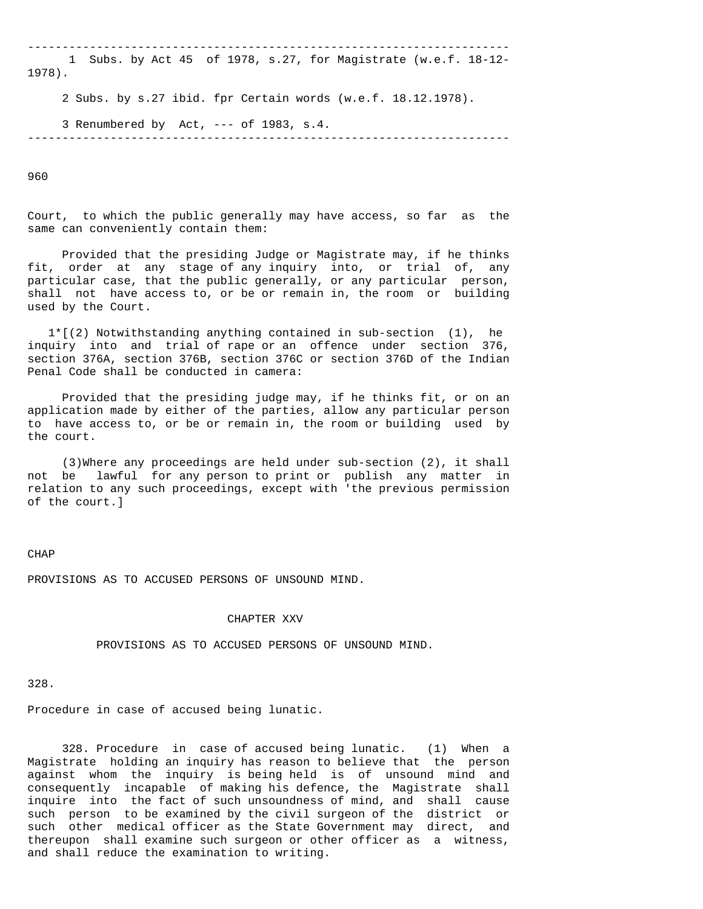1 Subs. by Act 45 of 1978, s.27, for Magistrate (w.e.f. 18-12- 1978).

----------------------------------------------------------------------

2 Subs. by s.27 ibid. fpr Certain words (w.e.f. 18.12.1978).

----------------------------------------------------------------------

3 Renumbered by Act, --- of 1983, s.4.

960

 Court, to which the public generally may have access, so far as the same can conveniently contain them:

 Provided that the presiding Judge or Magistrate may, if he thinks fit, order at any stage of any inquiry into, or trial of, any particular case, that the public generally, or any particular person, shall not have access to, or be or remain in, the room or building used by the Court.

 1\*[(2) Notwithstanding anything contained in sub-section (1), he inquiry into and trial of rape or an offence under section 376, section 376A, section 376B, section 376C or section 376D of the Indian Penal Code shall be conducted in camera:

 Provided that the presiding judge may, if he thinks fit, or on an application made by either of the parties, allow any particular person to have access to, or be or remain in, the room or building used by the court.

 (3)Where any proceedings are held under sub-section (2), it shall not be lawful for any person to print or publish any matter in relation to any such proceedings, except with 'the previous permission of the court.]

CHAP

PROVISIONS AS TO ACCUSED PERSONS OF UNSOUND MIND.

## CHAPTER XXV

PROVISIONS AS TO ACCUSED PERSONS OF UNSOUND MIND.

328.

Procedure in case of accused being lunatic.

 328. Procedure in case of accused being lunatic. (1) When a Magistrate holding an inquiry has reason to believe that the person against whom the inquiry is being held is of unsound mind and consequently incapable of making his defence, the Magistrate shall inquire into the fact of such unsoundness of mind, and shall cause such person to be examined by the civil surgeon of the district or such other medical officer as the State Government may direct, and thereupon shall examine such surgeon or other officer as a witness, and shall reduce the examination to writing.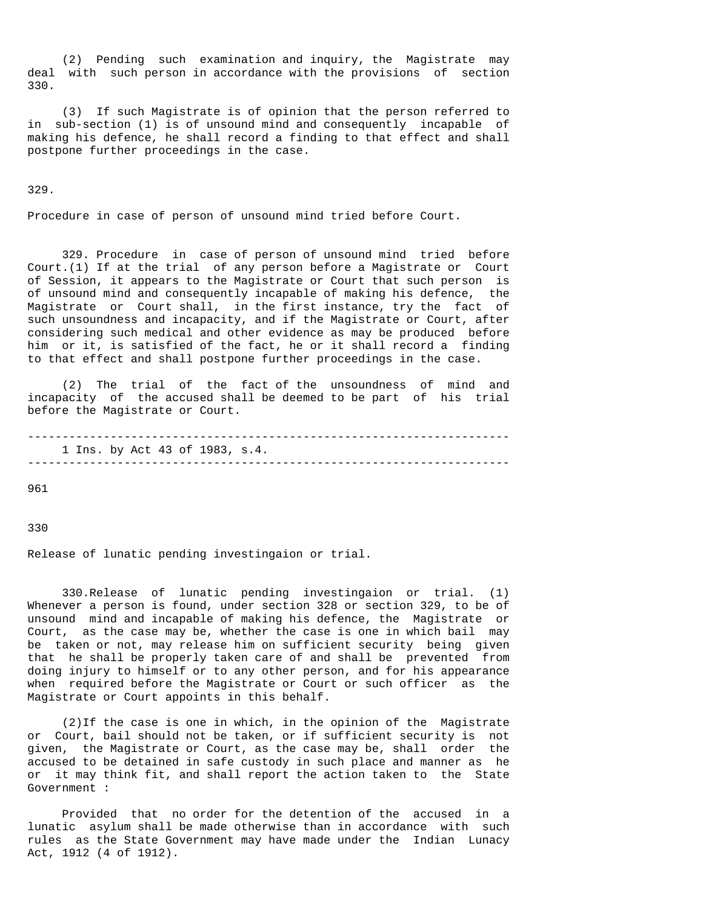(2) Pending such examination and inquiry, the Magistrate may deal with such person in accordance with the provisions of section 330.

 (3) If such Magistrate is of opinion that the person referred to in sub-section (1) is of unsound mind and consequently incapable of making his defence, he shall record a finding to that effect and shall postpone further proceedings in the case.

329.

Procedure in case of person of unsound mind tried before Court.

 329. Procedure in case of person of unsound mind tried before Court.(1) If at the trial of any person before a Magistrate or Court of Session, it appears to the Magistrate or Court that such person is of unsound mind and consequently incapable of making his defence, the Magistrate or Court shall, in the first instance, try the fact of such unsoundness and incapacity, and if the Magistrate or Court, after considering such medical and other evidence as may be produced before him or it, is satisfied of the fact, he or it shall record a finding to that effect and shall postpone further proceedings in the case.

 (2) The trial of the fact of the unsoundness of mind and incapacity of the accused shall be deemed to be part of his trial before the Magistrate or Court.

 ---------------------------------------------------------------------- 1 Ins. by Act 43 of 1983, s.4. ----------------------------------------------------------------------

961

330

Release of lunatic pending investingaion or trial.

 330.Release of lunatic pending investingaion or trial. (1) Whenever a person is found, under section 328 or section 329, to be of unsound mind and incapable of making his defence, the Magistrate or Court, as the case may be, whether the case is one in which bail may be taken or not, may release him on sufficient security being given that he shall be properly taken care of and shall be prevented from doing injury to himself or to any other person, and for his appearance when required before the Magistrate or Court or such officer as the Magistrate or Court appoints in this behalf.

 (2)If the case is one in which, in the opinion of the Magistrate or Court, bail should not be taken, or if sufficient security is not given, the Magistrate or Court, as the case may be, shall order the accused to be detained in safe custody in such place and manner as he or it may think fit, and shall report the action taken to the State Government :

 Provided that no order for the detention of the accused in a lunatic asylum shall be made otherwise than in accordance with such rules as the State Government may have made under the Indian Lunacy Act, 1912 (4 of 1912).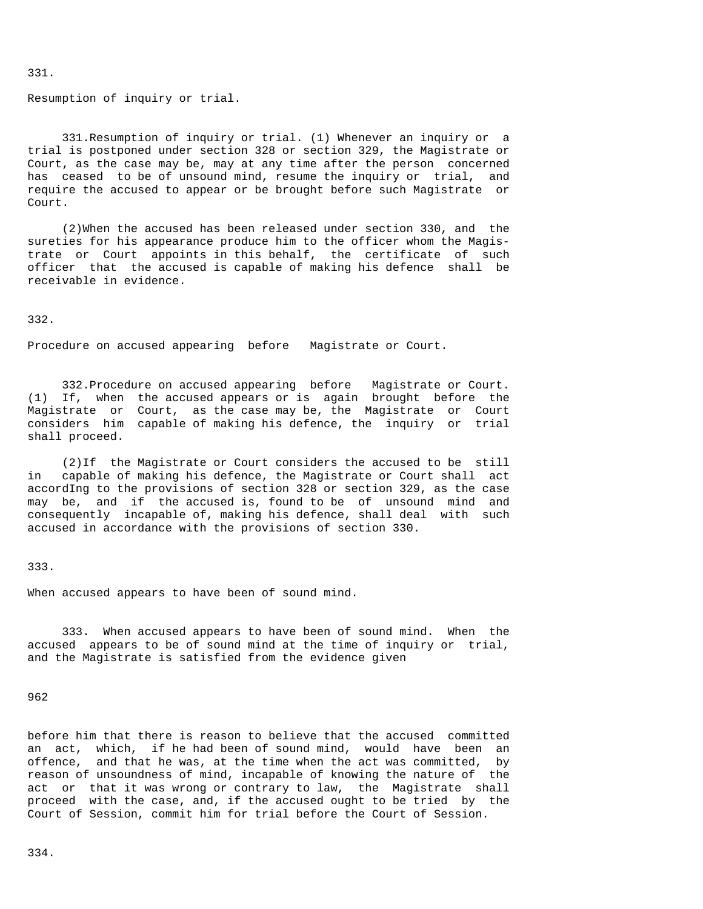Resumption of inquiry or trial.

 331.Resumption of inquiry or trial. (1) Whenever an inquiry or a trial is postponed under section 328 or section 329, the Magistrate or Court, as the case may be, may at any time after the person concerned has ceased to be of unsound mind, resume the inquiry or trial, and require the accused to appear or be brought before such Magistrate or Court.

 (2)When the accused has been released under section 330, and the sureties for his appearance produce him to the officer whom the Magis trate or Court appoints in this behalf, the certificate of such officer that the accused is capable of making his defence shall be receivable in evidence.

332.

331.

Procedure on accused appearing before Magistrate or Court.

 332.Procedure on accused appearing before Magistrate or Court. (1) If, when the accused appears or is again brought before the Magistrate or Court, as the case may be, the Magistrate or Court considers him capable of making his defence, the inquiry or trial shall proceed.

 (2)If the Magistrate or Court considers the accused to be still in capable of making his defence, the Magistrate or Court shall act accordIng to the provisions of section 328 or section 329, as the case may be, and if the accused is, found to be of unsound mind and consequently incapable of, making his defence, shall deal with such accused in accordance with the provisions of section 330.

333.

When accused appears to have been of sound mind.

 333. When accused appears to have been of sound mind. When the accused appears to be of sound mind at the time of inquiry or trial, and the Magistrate is satisfied from the evidence given

962

 before him that there is reason to believe that the accused committed an act, which, if he had been of sound mind, would have been an offence, and that he was, at the time when the act was committed, by reason of unsoundness of mind, incapable of knowing the nature of the act or that it was wrong or contrary to law, the Magistrate shall proceed with the case, and, if the accused ought to be tried by the Court of Session, commit him for trial before the Court of Session.

334.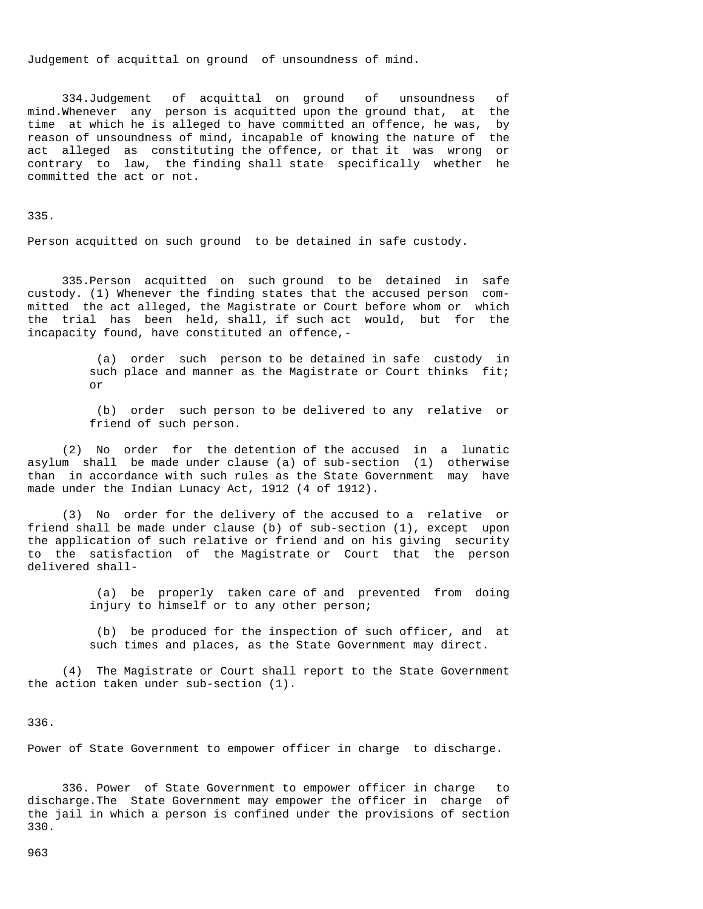Judgement of acquittal on ground of unsoundness of mind.

 334.Judgement of acquittal on ground of unsoundness of mind.Whenever any person is acquitted upon the ground that, at the time at which he is alleged to have committed an offence, he was, by reason of unsoundness of mind, incapable of knowing the nature of the act alleged as constituting the offence, or that it was wrong or contrary to law, the finding shall state specifically whether he committed the act or not.

# 335.

Person acquitted on such ground to be detained in safe custody.

 335.Person acquitted on such ground to be detained in safe custody. (1) Whenever the finding states that the accused person com mitted the act alleged, the Magistrate or Court before whom or which the trial has been held, shall, if such act would, but for the incapacity found, have constituted an offence,-

> (a) order such person to be detained in safe custody in such place and manner as the Magistrate or Court thinks fit; or

> (b) order such person to be delivered to any relative or friend of such person.

 (2) No order for the detention of the accused in a lunatic asylum shall be made under clause (a) of sub-section (1) otherwise than in accordance with such rules as the State Government may have made under the Indian Lunacy Act, 1912 (4 of 1912).

 (3) No order for the delivery of the accused to a relative or friend shall be made under clause (b) of sub-section (1), except upon the application of such relative or friend and on his giving security to the satisfaction of the Magistrate or Court that the person delivered shall-

> (a) be properly taken care of and prevented from doing injury to himself or to any other person;

> (b) be produced for the inspection of such officer, and at such times and places, as the State Government may direct.

 (4) The Magistrate or Court shall report to the State Government the action taken under sub-section (1).

### 336.

Power of State Government to empower officer in charge to discharge.

 336. Power of State Government to empower officer in charge to discharge.The State Government may empower the officer in charge of the jail in which a person is confined under the provisions of section 330.

963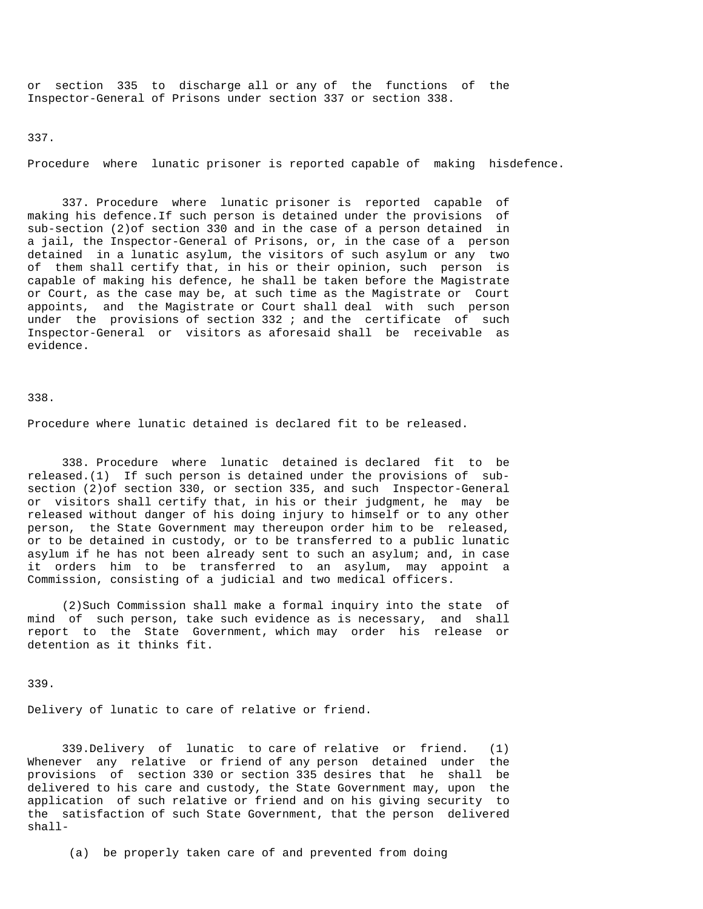or section 335 to discharge all or any of the functions of the Inspector-General of Prisons under section 337 or section 338.

337.

Procedure where lunatic prisoner is reported capable of making hisdefence.

 337. Procedure where lunatic prisoner is reported capable of making his defence.If such person is detained under the provisions of sub-section (2)of section 330 and in the case of a person detained in a jail, the Inspector-General of Prisons, or, in the case of a person detained in a lunatic asylum, the visitors of such asylum or any two of them shall certify that, in his or their opinion, such person is capable of making his defence, he shall be taken before the Magistrate or Court, as the case may be, at such time as the Magistrate or Court appoints, and the Magistrate or Court shall deal with such person under the provisions of section 332 ; and the certificate of such Inspector-General or visitors as aforesaid shall be receivable as evidence.

# 338.

Procedure where lunatic detained is declared fit to be released.

 338. Procedure where lunatic detained is declared fit to be released.(1) If such person is detained under the provisions of sub section (2)of section 330, or section 335, and such Inspector-General or visitors shall certify that, in his or their judgment, he may be released without danger of his doing injury to himself or to any other person, the State Government may thereupon order him to be released, or to be detained in custody, or to be transferred to a public lunatic asylum if he has not been already sent to such an asylum; and, in case it orders him to be transferred to an asylum, may appoint a Commission, consisting of a judicial and two medical officers.

 (2)Such Commission shall make a formal inquiry into the state of mind of such person, take such evidence as is necessary, and shall report to the State Government, which may order his release or detention as it thinks fit.

339.

Delivery of lunatic to care of relative or friend.

 339.Delivery of lunatic to care of relative or friend. (1) Whenever any relative or friend of any person detained under the provisions of section 330 or section 335 desires that he shall be delivered to his care and custody, the State Government may, upon the application of such relative or friend and on his giving security to the satisfaction of such State Government, that the person delivered shall-

(a) be properly taken care of and prevented from doing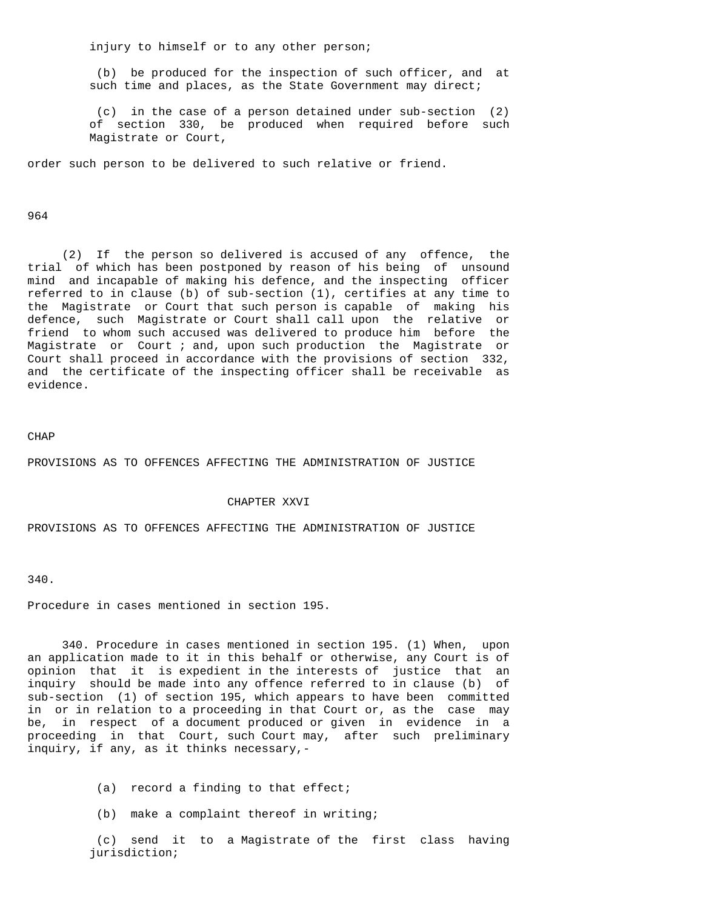injury to himself or to any other person;

 (b) be produced for the inspection of such officer, and at such time and places, as the State Government may direct;

 (c) in the case of a person detained under sub-section (2) of section 330, be produced when required before such Magistrate or Court,

order such person to be delivered to such relative or friend.

# 964

 (2) If the person so delivered is accused of any offence, the trial of which has been postponed by reason of his being of unsound mind and incapable of making his defence, and the inspecting officer referred to in clause (b) of sub-section (1), certifies at any time to the Magistrate or Court that such person is capable of making his defence, such Magistrate or Court shall call upon the relative or friend to whom such accused was delivered to produce him before the Magistrate or Court ; and, upon such production the Magistrate or Court shall proceed in accordance with the provisions of section 332, and the certificate of the inspecting officer shall be receivable as evidence.

#### CHAP

PROVISIONS AS TO OFFENCES AFFECTING THE ADMINISTRATION OF JUSTICE

#### CHAPTER XXVI

PROVISIONS AS TO OFFENCES AFFECTING THE ADMINISTRATION OF JUSTICE

340.

Procedure in cases mentioned in section 195.

 340. Procedure in cases mentioned in section 195. (1) When, upon an application made to it in this behalf or otherwise, any Court is of opinion that it is expedient in the interests of justice that an inquiry should be made into any offence referred to in clause (b) of sub-section (1) of section 195, which appears to have been committed in or in relation to a proceeding in that Court or, as the case may be, in respect of a document produced or given in evidence in a proceeding in that Court, such Court may, after such preliminary inquiry, if any, as it thinks necessary,-

- (a) record a finding to that effect;
- (b) make a complaint thereof in writing;

 (c) send it to a Magistrate of the first class having jurisdiction;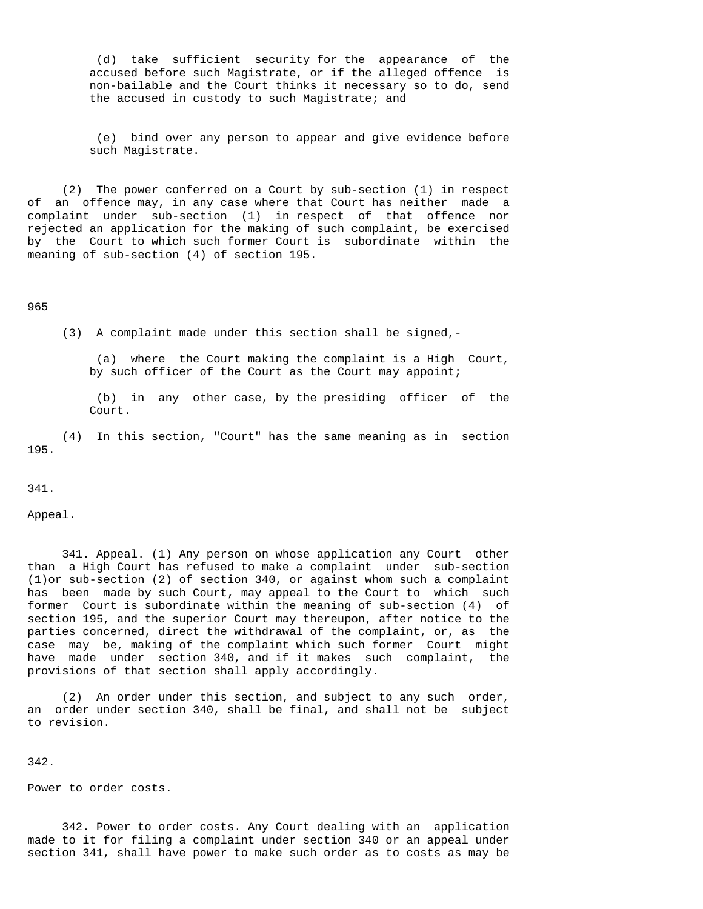(d) take sufficient security for the appearance of the accused before such Magistrate, or if the alleged offence is non-bailable and the Court thinks it necessary so to do, send the accused in custody to such Magistrate; and

 (e) bind over any person to appear and give evidence before such Magistrate.

 (2) The power conferred on a Court by sub-section (1) in respect of an offence may, in any case where that Court has neither made a complaint under sub-section (1) in respect of that offence nor rejected an application for the making of such complaint, be exercised by the Court to which such former Court is subordinate within the meaning of sub-section (4) of section 195.

#### 965

(3) A complaint made under this section shall be signed,-

 (a) where the Court making the complaint is a High Court, by such officer of the Court as the Court may appoint;

 (b) in any other case, by the presiding officer of the Court.

 (4) In this section, "Court" has the same meaning as in section 195.

341.

Appeal.

 341. Appeal. (1) Any person on whose application any Court other than a High Court has refused to make a complaint under sub-section (1)or sub-section (2) of section 340, or against whom such a complaint has been made by such Court, may appeal to the Court to which such former Court is subordinate within the meaning of sub-section (4) of section 195, and the superior Court may thereupon, after notice to the parties concerned, direct the withdrawal of the complaint, or, as the case may be, making of the complaint which such former Court might have made under section 340, and if it makes such complaint, the provisions of that section shall apply accordingly.

 (2) An order under this section, and subject to any such order, an order under section 340, shall be final, and shall not be subject to revision.

342.

Power to order costs.

 342. Power to order costs. Any Court dealing with an application made to it for filing a complaint under section 340 or an appeal under section 341, shall have power to make such order as to costs as may be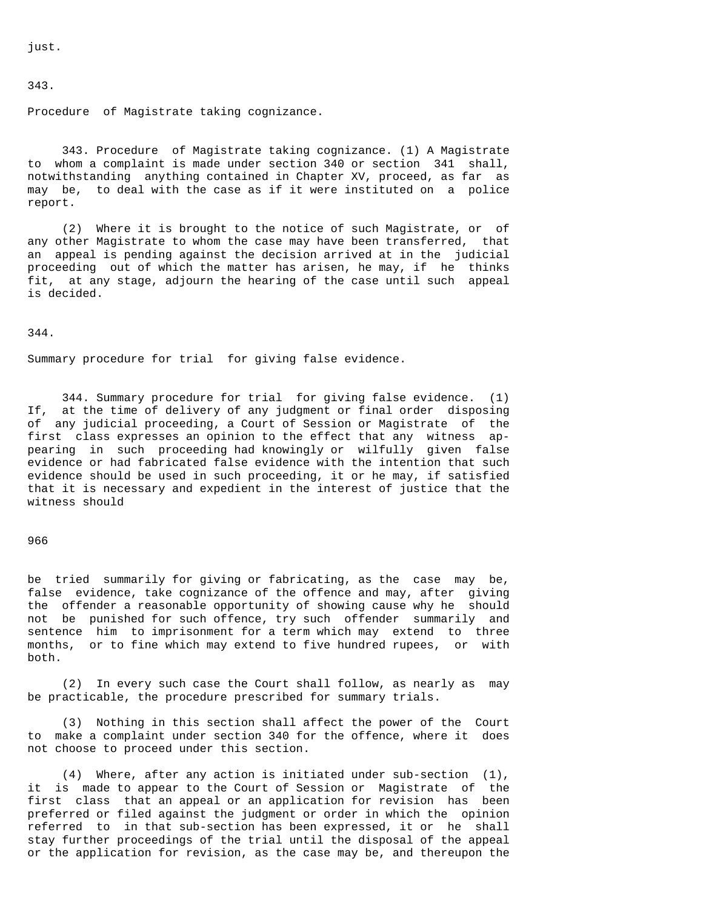just.

# 343.

Procedure of Magistrate taking cognizance.

 343. Procedure of Magistrate taking cognizance. (1) A Magistrate to whom a complaint is made under section 340 or section 341 shall, notwithstanding anything contained in Chapter XV, proceed, as far as may be, to deal with the case as if it were instituted on a police report.

 (2) Where it is brought to the notice of such Magistrate, or of any other Magistrate to whom the case may have been transferred, that an appeal is pending against the decision arrived at in the judicial proceeding out of which the matter has arisen, he may, if he thinks fit, at any stage, adjourn the hearing of the case until such appeal is decided.

### 344.

Summary procedure for trial for giving false evidence.

 344. Summary procedure for trial for giving false evidence. (1) If, at the time of delivery of any judgment or final order disposing of any judicial proceeding, a Court of Session or Magistrate of the first class expresses an opinion to the effect that any witness ap pearing in such proceeding had knowingly or wilfully given false evidence or had fabricated false evidence with the intention that such evidence should be used in such proceeding, it or he may, if satisfied that it is necessary and expedient in the interest of justice that the witness should

#### 966

 be tried summarily for giving or fabricating, as the case may be, false evidence, take cognizance of the offence and may, after giving the offender a reasonable opportunity of showing cause why he should not be punished for such offence, try such offender summarily and sentence him to imprisonment for a term which may extend to three months, or to fine which may extend to five hundred rupees, or with both.

 (2) In every such case the Court shall follow, as nearly as may be practicable, the procedure prescribed for summary trials.

 (3) Nothing in this section shall affect the power of the Court to make a complaint under section 340 for the offence, where it does not choose to proceed under this section.

 (4) Where, after any action is initiated under sub-section (1), it is made to appear to the Court of Session or Magistrate of the first class that an appeal or an application for revision has been preferred or filed against the judgment or order in which the opinion referred to in that sub-section has been expressed, it or he shall stay further proceedings of the trial until the disposal of the appeal or the application for revision, as the case may be, and thereupon the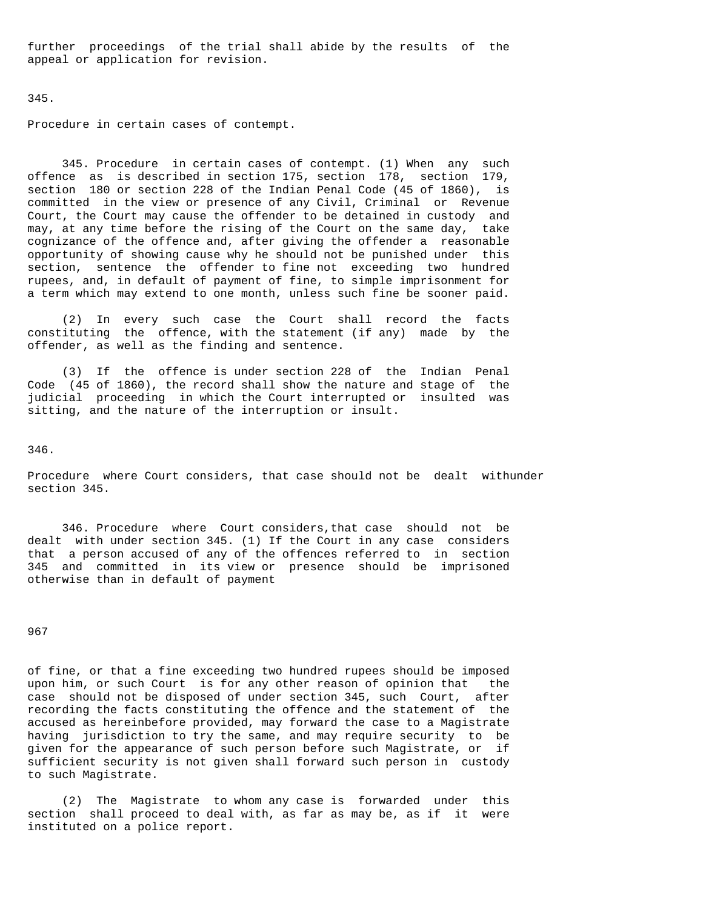further proceedings of the trial shall abide by the results of the appeal or application for revision.

345.

Procedure in certain cases of contempt.

 345. Procedure in certain cases of contempt. (1) When any such offence as is described in section 175, section 178, section 179, section 180 or section 228 of the Indian Penal Code (45 of 1860), is committed in the view or presence of any Civil, Criminal or Revenue Court, the Court may cause the offender to be detained in custody and may, at any time before the rising of the Court on the same day, take cognizance of the offence and, after giving the offender a reasonable opportunity of showing cause why he should not be punished under this section, sentence the offender to fine not exceeding two hundred rupees, and, in default of payment of fine, to simple imprisonment for a term which may extend to one month, unless such fine be sooner paid.

 (2) In every such case the Court shall record the facts constituting the offence, with the statement (if any) made by the offender, as well as the finding and sentence.

 (3) If the offence is under section 228 of the Indian Penal Code (45 of 1860), the record shall show the nature and stage of the judicial proceeding in which the Court interrupted or insulted was sitting, and the nature of the interruption or insult.

346.

 Procedure where Court considers, that case should not be dealt withunder section 345.

 346. Procedure where Court considers,that case should not be dealt with under section 345. (1) If the Court in any case considers that a person accused of any of the offences referred to in section 345 and committed in its view or presence should be imprisoned otherwise than in default of payment

967

 of fine, or that a fine exceeding two hundred rupees should be imposed upon him, or such Court is for any other reason of opinion that the case should not be disposed of under section 345, such Court, after recording the facts constituting the offence and the statement of the accused as hereinbefore provided, may forward the case to a Magistrate having jurisdiction to try the same, and may require security to be given for the appearance of such person before such Magistrate, or if sufficient security is not given shall forward such person in custody to such Magistrate.

 (2) The Magistrate to whom any case is forwarded under this section shall proceed to deal with, as far as may be, as if it were instituted on a police report.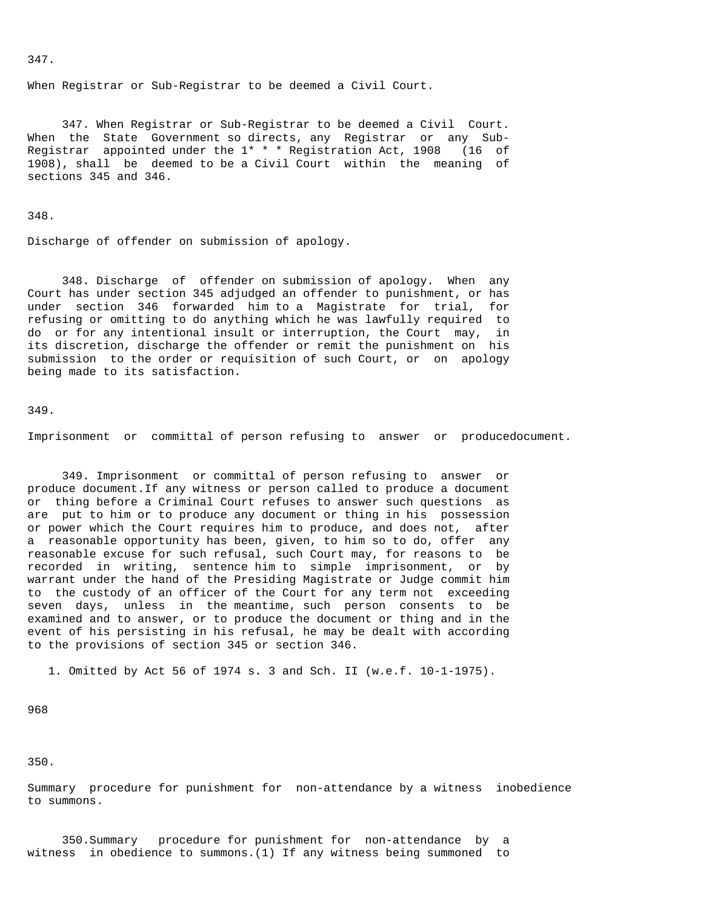When Registrar or Sub-Registrar to be deemed a Civil Court.

 347. When Registrar or Sub-Registrar to be deemed a Civil Court. When the State Government so directs, any Registrar or any Sub- Registrar appointed under the 1\* \* \* Registration Act, 1908 (16 of 1908), shall be deemed to be a Civil Court within the meaning of sections 345 and 346.

# 348.

Discharge of offender on submission of apology.

 348. Discharge of offender on submission of apology. When any Court has under section 345 adjudged an offender to punishment, or has under section 346 forwarded him to a Magistrate for trial, for refusing or omitting to do anything which he was lawfully required to do or for any intentional insult or interruption, the Court may, in its discretion, discharge the offender or remit the punishment on his submission to the order or requisition of such Court, or on apology being made to its satisfaction.

#### 349.

Imprisonment or committal of person refusing to answer or producedocument.

 349. Imprisonment or committal of person refusing to answer or produce document.If any witness or person called to produce a document or thing before a Criminal Court refuses to answer such questions as are put to him or to produce any document or thing in his possession or power which the Court requires him to produce, and does not, after a reasonable opportunity has been, given, to him so to do, offer any reasonable excuse for such refusal, such Court may, for reasons to be recorded in writing, sentence him to simple imprisonment, or by warrant under the hand of the Presiding Magistrate or Judge commit him to the custody of an officer of the Court for any term not exceeding seven days, unless in the meantime, such person consents to be examined and to answer, or to produce the document or thing and in the event of his persisting in his refusal, he may be dealt with according to the provisions of section 345 or section 346.

1. Omitted by Act 56 of 1974 s. 3 and Sch. II (w.e.f. 10-1-1975).

968

350.

 Summary procedure for punishment for non-attendance by a witness inobedience to summons.

 350.Summary procedure for punishment for non-attendance by a witness in obedience to summons.(1) If any witness being summoned to

347.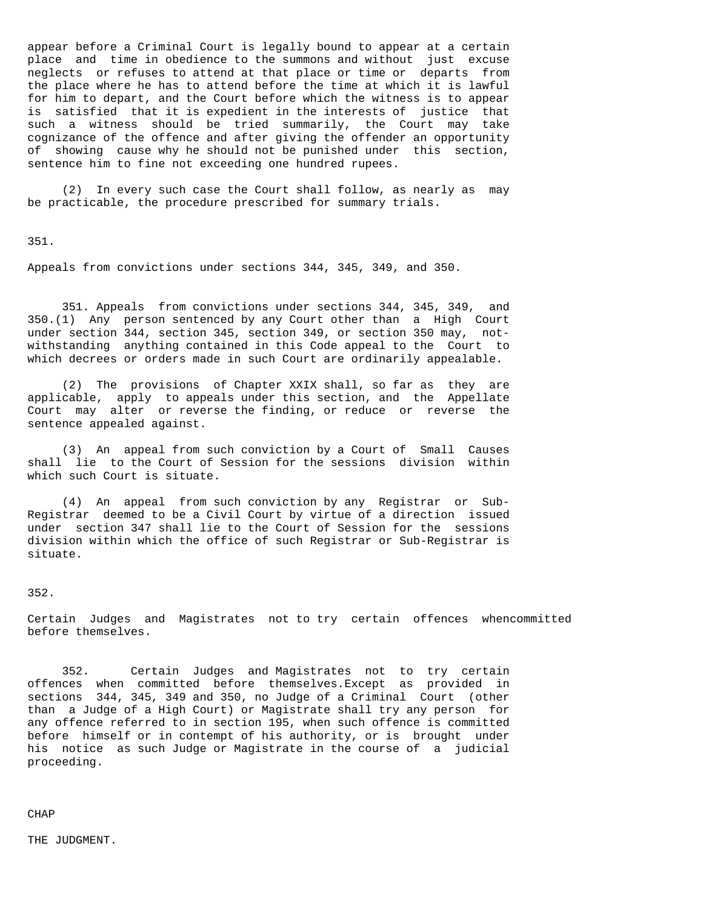appear before a Criminal Court is legally bound to appear at a certain place and time in obedience to the summons and without just excuse neglects or refuses to attend at that place or time or departs from the place where he has to attend before the time at which it is lawful for him to depart, and the Court before which the witness is to appear is satisfied that it is expedient in the interests of justice that such a witness should be tried summarily, the Court may take cognizance of the offence and after giving the offender an opportunity of showing cause why he should not be punished under this section, sentence him to fine not exceeding one hundred rupees.

 (2) In every such case the Court shall follow, as nearly as may be practicable, the procedure prescribed for summary trials.

351.

Appeals from convictions under sections 344, 345, 349, and 350.

 351. Appeals from convictions under sections 344, 345, 349, and 350.(1) Any person sentenced by any Court other than a High Court under section 344, section 345, section 349, or section 350 may, not withstanding anything contained in this Code appeal to the Court to which decrees or orders made in such Court are ordinarily appealable.

 (2) The provisions of Chapter XXIX shall, so far as they are applicable, apply to appeals under this section, and the Appellate Court may alter or reverse the finding, or reduce or reverse the sentence appealed against.

 (3) An appeal from such conviction by a Court of Small Causes shall lie to the Court of Session for the sessions division within which such Court is situate.

 (4) An appeal from such conviction by any Registrar or Sub- Registrar deemed to be a Civil Court by virtue of a direction issued under section 347 shall lie to the Court of Session for the sessions division within which the office of such Registrar or Sub-Registrar is situate.

352.

 Certain Judges and Magistrates not to try certain offences whencommitted before themselves.

 352. Certain Judges and Magistrates not to try certain offences when committed before themselves.Except as provided in sections 344, 345, 349 and 350, no Judge of a Criminal Court (other than a Judge of a High Court) or Magistrate shall try any person for any offence referred to in section 195, when such offence is committed before himself or in contempt of his authority, or is brought under his notice as such Judge or Magistrate in the course of a judicial proceeding.

CHAP

THE JUDGMENT.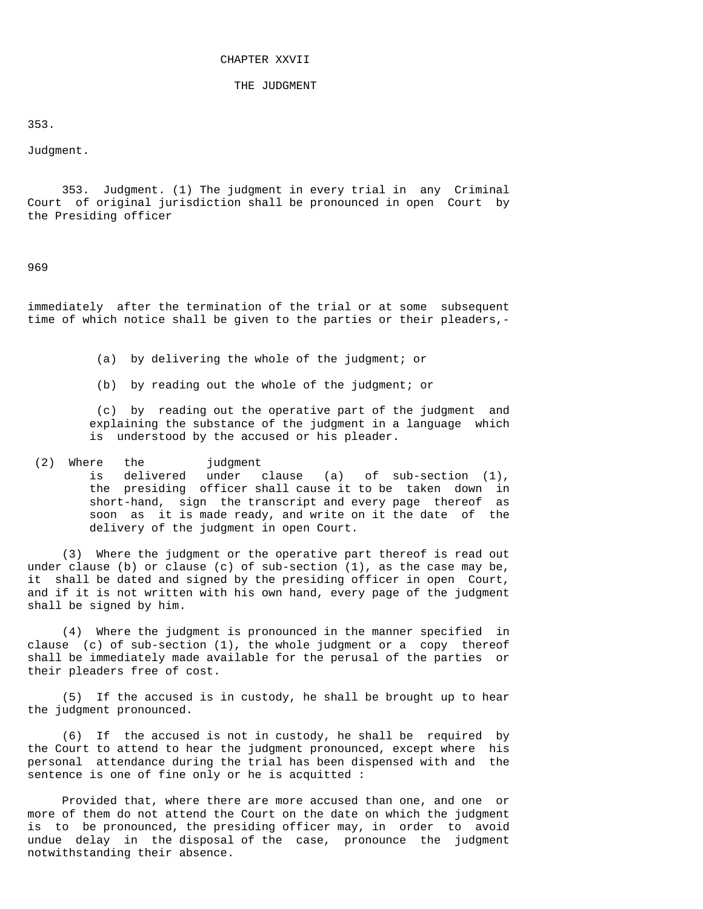#### CHAPTER XXVII

# THE JUDGMENT

353.

Judgment.

 353. Judgment. (1) The judgment in every trial in any Criminal Court of original jurisdiction shall be pronounced in open Court by the Presiding officer

969

 immediately after the termination of the trial or at some subsequent time of which notice shall be given to the parties or their pleaders,-

- (a) by delivering the whole of the judgment; or
- (b) by reading out the whole of the judgment; or

 (c) by reading out the operative part of the judgment and explaining the substance of the judgment in a language which is understood by the accused or his pleader.

(2) Where the judgment<br>is delivered under clause is delivered under clause (a) of sub-section (1), the presiding officer shall cause it to be taken down in short-hand, sign the transcript and every page thereof as soon as it is made ready, and write on it the date of the delivery of the judgment in open Court.

 (3) Where the judgment or the operative part thereof is read out under clause (b) or clause (c) of sub-section (1), as the case may be, it shall be dated and signed by the presiding officer in open Court, and if it is not written with his own hand, every page of the judgment shall be signed by him.

 (4) Where the judgment is pronounced in the manner specified in clause (c) of sub-section (1), the whole judgment or a copy thereof shall be immediately made available for the perusal of the parties or their pleaders free of cost.

 (5) If the accused is in custody, he shall be brought up to hear the judgment pronounced.

 (6) If the accused is not in custody, he shall be required by the Court to attend to hear the judgment pronounced, except where his personal attendance during the trial has been dispensed with and the sentence is one of fine only or he is acquitted :

 Provided that, where there are more accused than one, and one or more of them do not attend the Court on the date on which the judgment is to be pronounced, the presiding officer may, in order to avoid undue delay in the disposal of the case, pronounce the judgment notwithstanding their absence.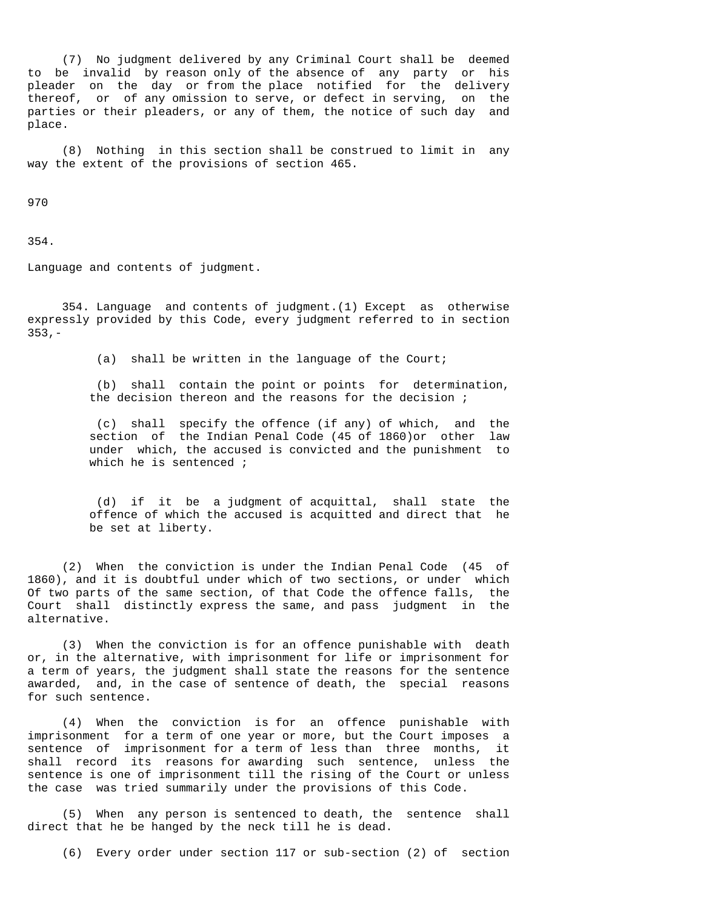(7) No judgment delivered by any Criminal Court shall be deemed to be invalid by reason only of the absence of any party or his pleader on the day or from the place notified for the delivery thereof, or of any omission to serve, or defect in serving, on the parties or their pleaders, or any of them, the notice of such day and place.

 (8) Nothing in this section shall be construed to limit in any way the extent of the provisions of section 465.

970

354.

Language and contents of judgment.

 354. Language and contents of judgment.(1) Except as otherwise expressly provided by this Code, every judgment referred to in section 353,-

(a) shall be written in the language of the Court;

 (b) shall contain the point or points for determination, the decision thereon and the reasons for the decision ;

 (c) shall specify the offence (if any) of which, and the section of the Indian Penal Code (45 of 1860)or other law under which, the accused is convicted and the punishment to which he is sentenced ;

 (d) if it be a judgment of acquittal, shall state the offence of which the accused is acquitted and direct that he be set at liberty.

 (2) When the conviction is under the Indian Penal Code (45 of 1860), and it is doubtful under which of two sections, or under which Of two parts of the same section, of that Code the offence falls, the Court shall distinctly express the same, and pass judgment in the alternative.

 (3) When the conviction is for an offence punishable with death or, in the alternative, with imprisonment for life or imprisonment for a term of years, the judgment shall state the reasons for the sentence awarded, and, in the case of sentence of death, the special reasons for such sentence.

 (4) When the conviction is for an offence punishable with imprisonment for a term of one year or more, but the Court imposes a sentence of imprisonment for a term of less than three months, it shall record its reasons for awarding such sentence, unless the sentence is one of imprisonment till the rising of the Court or unless the case was tried summarily under the provisions of this Code.

 (5) When any person is sentenced to death, the sentence shall direct that he be hanged by the neck till he is dead.

(6) Every order under section 117 or sub-section (2) of section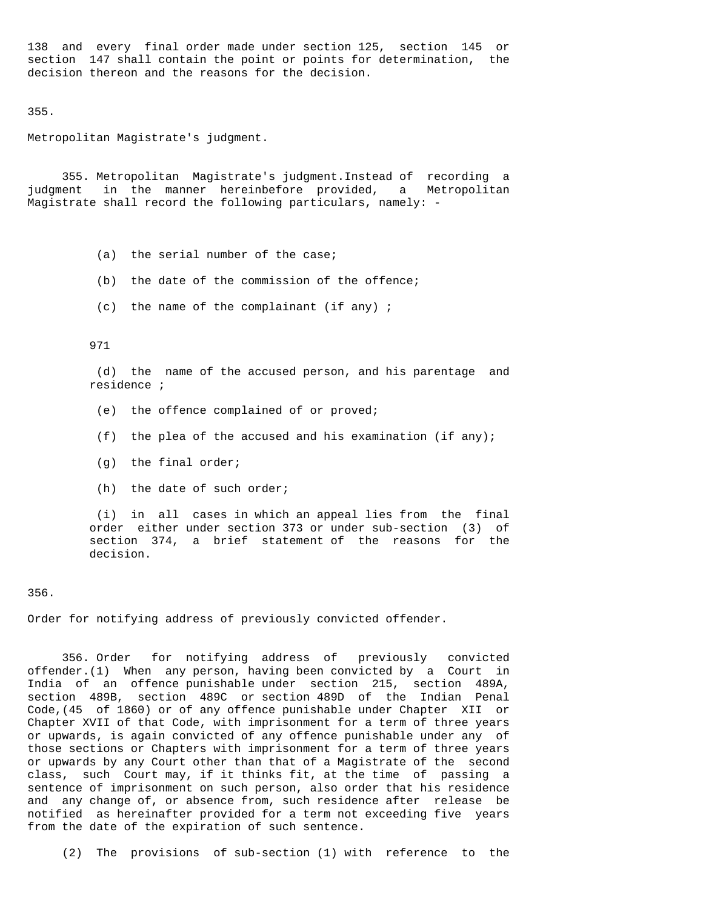138 and every final order made under section 125, section 145 or section 147 shall contain the point or points for determination, the decision thereon and the reasons for the decision.

355.

Metropolitan Magistrate's judgment.

 355. Metropolitan Magistrate's judgment.Instead of recording a judgment in the manner hereinbefore provided, a Metropolitan Magistrate shall record the following particulars, namely: -

- (a) the serial number of the case;
- (b) the date of the commission of the offence;
- (c) the name of the complainant (if any) ;

971

 (d) the name of the accused person, and his parentage and residence ;

- (e) the offence complained of or proved;
- (f) the plea of the accused and his examination (if any);
- (g) the final order;
- (h) the date of such order;

 (i) in all cases in which an appeal lies from the final order either under section 373 or under sub-section (3) of section 374, a brief statement of the reasons for the decision.

# 356.

Order for notifying address of previously convicted offender.

 356. Order for notifying address of previously convicted offender.(1) When any person, having been convicted by a Court in India of an offence punishable under section 215, section 489A, section 489B, section 489C or section 489D of the Indian Penal Code,(45 of 1860) or of any offence punishable under Chapter XII or Chapter XVII of that Code, with imprisonment for a term of three years or upwards, is again convicted of any offence punishable under any of those sections or Chapters with imprisonment for a term of three years or upwards by any Court other than that of a Magistrate of the second class, such Court may, if it thinks fit, at the time of passing a sentence of imprisonment on such person, also order that his residence and any change of, or absence from, such residence after release be notified as hereinafter provided for a term not exceeding five years from the date of the expiration of such sentence.

(2) The provisions of sub-section (1) with reference to the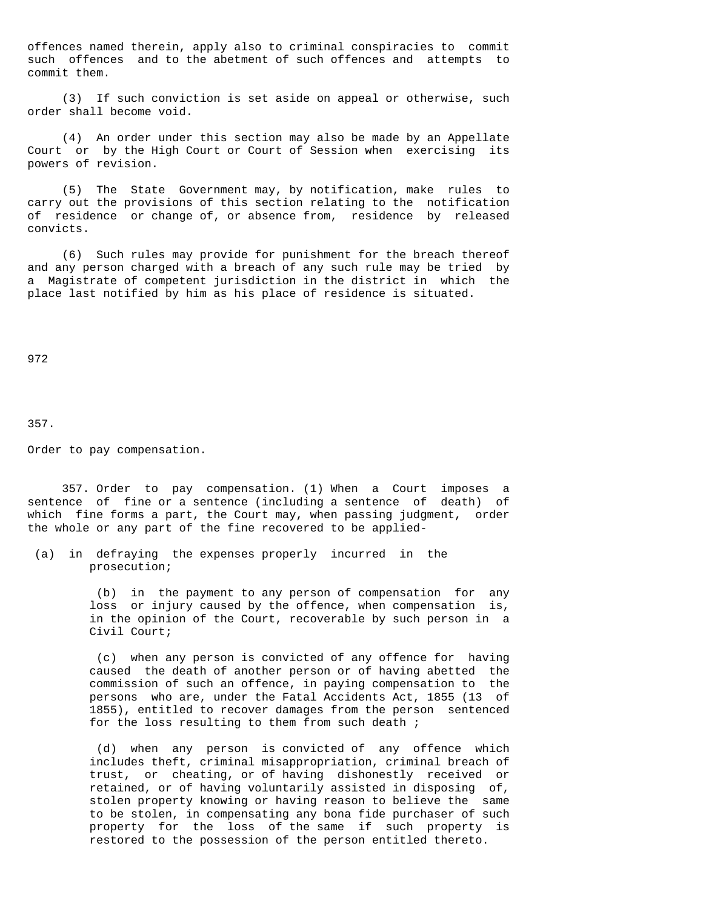offences named therein, apply also to criminal conspiracies to commit such offences and to the abetment of such offences and attempts to commit them.

 (3) If such conviction is set aside on appeal or otherwise, such order shall become void.

 (4) An order under this section may also be made by an Appellate Court or by the High Court or Court of Session when exercising its powers of revision.

 (5) The State Government may, by notification, make rules to carry out the provisions of this section relating to the notification of residence or change of, or absence from, residence by released convicts.

 (6) Such rules may provide for punishment for the breach thereof and any person charged with a breach of any such rule may be tried by a Magistrate of competent jurisdiction in the district in which the place last notified by him as his place of residence is situated.

972

357.

Order to pay compensation.

 357. Order to pay compensation. (1) When a Court imposes a sentence of fine or a sentence (including a sentence of death) of which fine forms a part, the Court may, when passing judgment, order the whole or any part of the fine recovered to be applied-

 (a) in defraying the expenses properly incurred in the prosecution;

> (b) in the payment to any person of compensation for any loss or injury caused by the offence, when compensation is, in the opinion of the Court, recoverable by such person in a Civil Court;

> (c) when any person is convicted of any offence for having caused the death of another person or of having abetted the commission of such an offence, in paying compensation to the persons who are, under the Fatal Accidents Act, 1855 (13 of 1855), entitled to recover damages from the person sentenced for the loss resulting to them from such death ;

> (d) when any person is convicted of any offence which includes theft, criminal misappropriation, criminal breach of trust, or cheating, or of having dishonestly received or retained, or of having voluntarily assisted in disposing of, stolen property knowing or having reason to believe the same to be stolen, in compensating any bona fide purchaser of such property for the loss of the same if such property is restored to the possession of the person entitled thereto.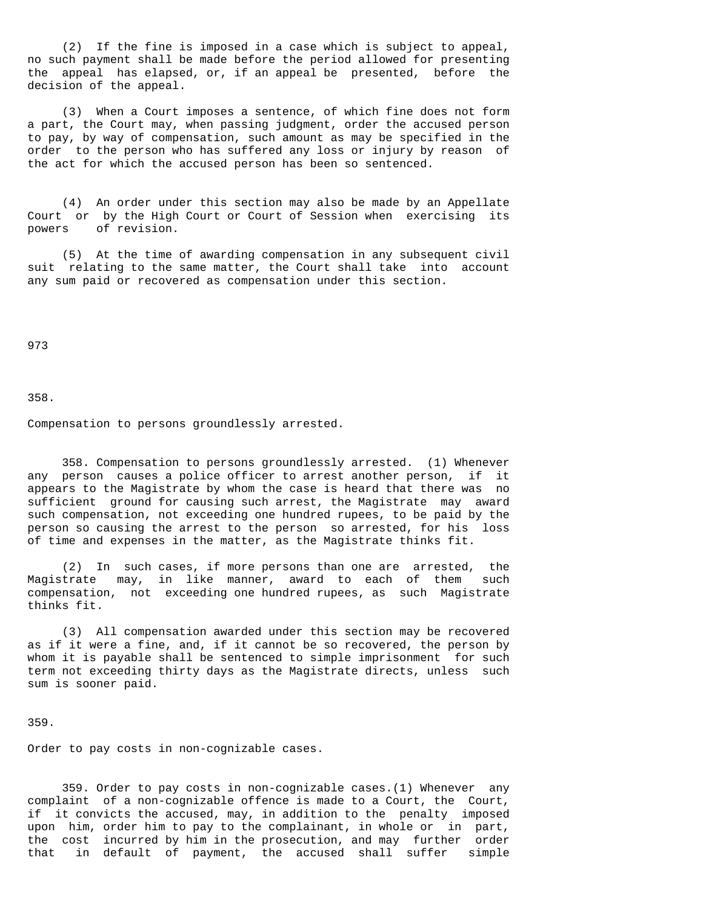(2) If the fine is imposed in a case which is subject to appeal, no such payment shall be made before the period allowed for presenting the appeal has elapsed, or, if an appeal be presented, before the decision of the appeal.

 (3) When a Court imposes a sentence, of which fine does not form a part, the Court may, when passing judgment, order the accused person to pay, by way of compensation, such amount as may be specified in the order to the person who has suffered any loss or injury by reason of the act for which the accused person has been so sentenced.

 (4) An order under this section may also be made by an Appellate Court or by the High Court or Court of Session when exercising its powers of revision.

 (5) At the time of awarding compensation in any subsequent civil suit relating to the same matter, the Court shall take into account any sum paid or recovered as compensation under this section.

973

358.

Compensation to persons groundlessly arrested.

 358. Compensation to persons groundlessly arrested. (1) Whenever any person causes a police officer to arrest another person, if it appears to the Magistrate by whom the case is heard that there was no sufficient ground for causing such arrest, the Magistrate may award such compensation, not exceeding one hundred rupees, to be paid by the person so causing the arrest to the person so arrested, for his loss of time and expenses in the matter, as the Magistrate thinks fit.

 (2) In such cases, if more persons than one are arrested, the Magistrate may, in like manner, award to each of them such compensation, not exceeding one hundred rupees, as such Magistrate thinks fit.

 (3) All compensation awarded under this section may be recovered as if it were a fine, and, if it cannot be so recovered, the person by whom it is payable shall be sentenced to simple imprisonment for such term not exceeding thirty days as the Magistrate directs, unless such sum is sooner paid.

359.

Order to pay costs in non-cognizable cases.

 359. Order to pay costs in non-cognizable cases.(1) Whenever any complaint of a non-cognizable offence is made to a Court, the Court, if it convicts the accused, may, in addition to the penalty imposed upon him, order him to pay to the complainant, in whole or in part, the cost incurred by him in the prosecution, and may further order that in default of payment, the accused shall suffer simple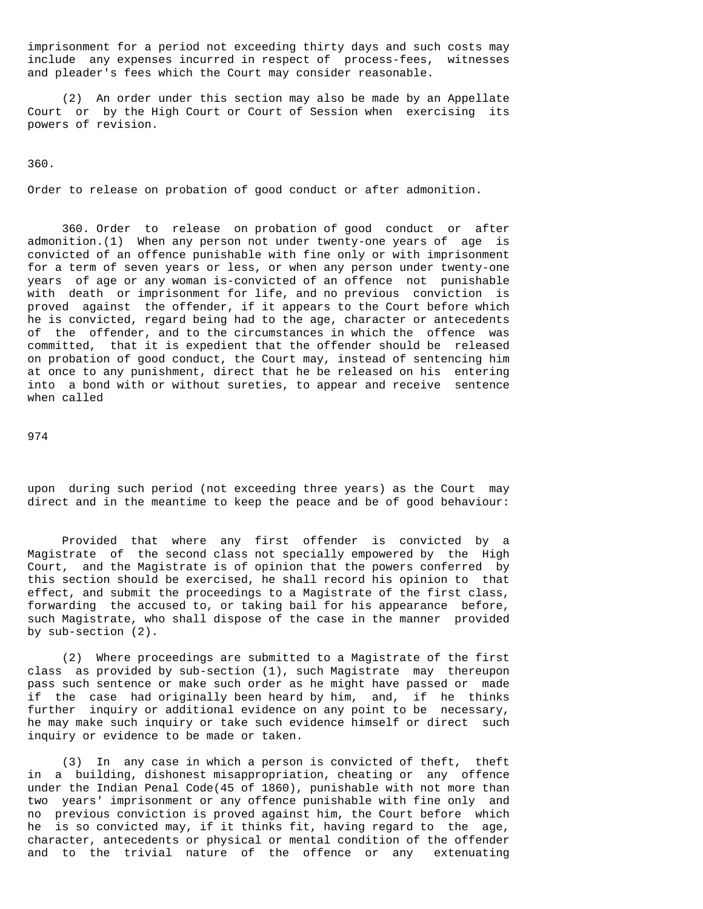imprisonment for a period not exceeding thirty days and such costs may include any expenses incurred in respect of process-fees, witnesses and pleader's fees which the Court may consider reasonable.

 (2) An order under this section may also be made by an Appellate Court or by the High Court or Court of Session when exercising its powers of revision.

360.

Order to release on probation of good conduct or after admonition.

 360. Order to release on probation of good conduct or after admonition.(1) When any person not under twenty-one years of age is convicted of an offence punishable with fine only or with imprisonment for a term of seven years or less, or when any person under twenty-one years of age or any woman is-convicted of an offence not punishable with death or imprisonment for life, and no previous conviction is proved against the offender, if it appears to the Court before which he is convicted, regard being had to the age, character or antecedents of the offender, and to the circumstances in which the offence was committed, that it is expedient that the offender should be released on probation of good conduct, the Court may, instead of sentencing him at once to any punishment, direct that he be released on his entering into a bond with or without sureties, to appear and receive sentence when called

974

 upon during such period (not exceeding three years) as the Court may direct and in the meantime to keep the peace and be of good behaviour:

 Provided that where any first offender is convicted by a Magistrate of the second class not specially empowered by the High Court, and the Magistrate is of opinion that the powers conferred by this section should be exercised, he shall record his opinion to that effect, and submit the proceedings to a Magistrate of the first class, forwarding the accused to, or taking bail for his appearance before, such Magistrate, who shall dispose of the case in the manner provided by sub-section (2).

 (2) Where proceedings are submitted to a Magistrate of the first class as provided by sub-section (1), such Magistrate may thereupon pass such sentence or make such order as he might have passed or made if the case had originally been heard by him, and, if he thinks further inquiry or additional evidence on any point to be necessary, he may make such inquiry or take such evidence himself or direct such inquiry or evidence to be made or taken.

 (3) In any case in which a person is convicted of theft, theft in a building, dishonest misappropriation, cheating or any offence under the Indian Penal Code(45 of 1860), punishable with not more than two years' imprisonment or any offence punishable with fine only and no previous conviction is proved against him, the Court before which he is so convicted may, if it thinks fit, having regard to the age, character, antecedents or physical or mental condition of the offender and to the trivial nature of the offence or any extenuating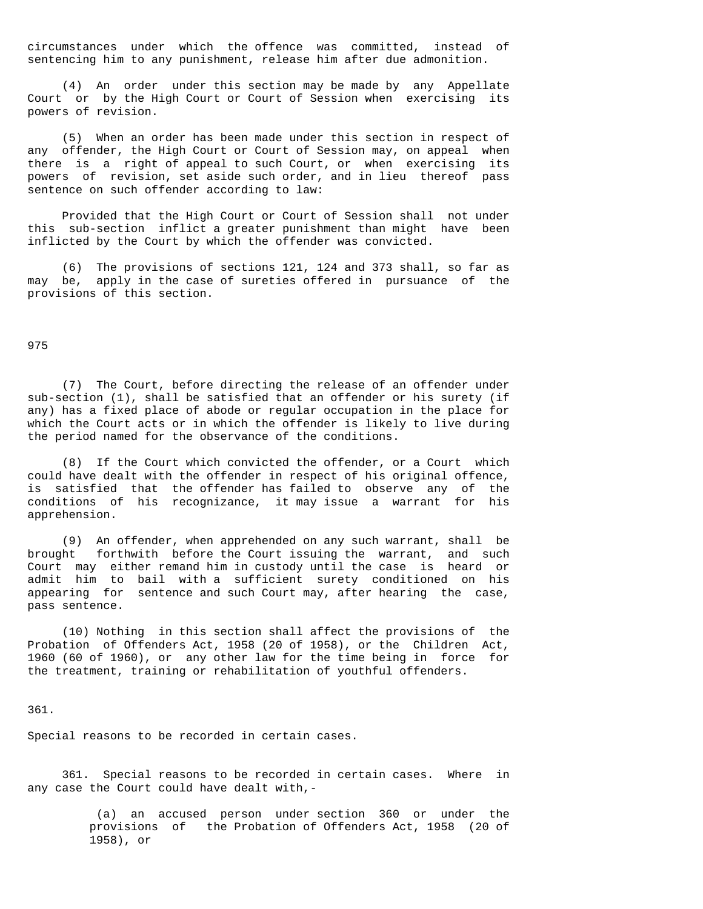circumstances under which the offence was committed, instead of sentencing him to any punishment, release him after due admonition.

 (4) An order under this section may be made by any Appellate Court or by the High Court or Court of Session when exercising its powers of revision.

 (5) When an order has been made under this section in respect of any offender, the High Court or Court of Session may, on appeal when there is a right of appeal to such Court, or when exercising its powers of revision, set aside such order, and in lieu thereof pass sentence on such offender according to law:

 Provided that the High Court or Court of Session shall not under this sub-section inflict a greater punishment than might have been inflicted by the Court by which the offender was convicted.

 (6) The provisions of sections 121, 124 and 373 shall, so far as may be, apply in the case of sureties offered in pursuance of the provisions of this section.

975

 (7) The Court, before directing the release of an offender under sub-section (1), shall be satisfied that an offender or his surety (if any) has a fixed place of abode or regular occupation in the place for which the Court acts or in which the offender is likely to live during the period named for the observance of the conditions.

 (8) If the Court which convicted the offender, or a Court which could have dealt with the offender in respect of his original offence, is satisfied that the offender has failed to observe any of the conditions of his recognizance, it may issue a warrant for his apprehension.

 (9) An offender, when apprehended on any such warrant, shall be brought forthwith before the Court issuing the warrant, and such Court may either remand him in custody until the case is heard or admit him to bail with a sufficient surety conditioned on his appearing for sentence and such Court may, after hearing the case, pass sentence.

 (10) Nothing in this section shall affect the provisions of the Probation of Offenders Act, 1958 (20 of 1958), or the Children Act, 1960 (60 of 1960), or any other law for the time being in force for the treatment, training or rehabilitation of youthful offenders.

361.

Special reasons to be recorded in certain cases.

 361. Special reasons to be recorded in certain cases. Where in any case the Court could have dealt with,-

> (a) an accused person under section 360 or under the provisions of the Probation of Offenders Act, 1958 (20 of 1958), or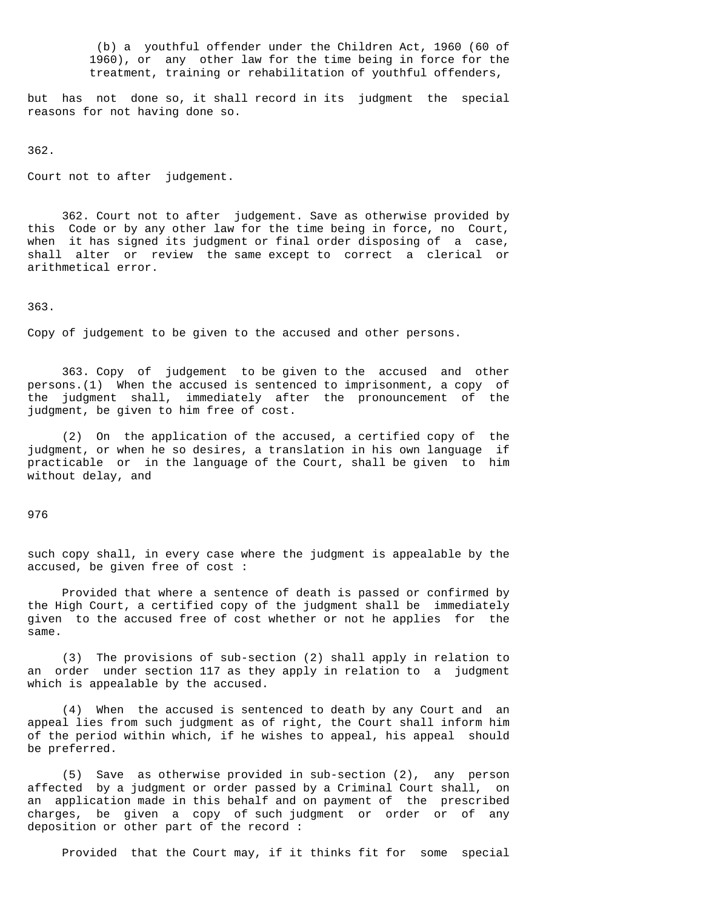(b) a youthful offender under the Children Act, 1960 (60 of 1960), or any other law for the time being in force for the treatment, training or rehabilitation of youthful offenders,

 but has not done so, it shall record in its judgment the special reasons for not having done so.

362.

Court not to after judgement.

 362. Court not to after judgement. Save as otherwise provided by this Code or by any other law for the time being in force, no Court, when it has signed its judgment or final order disposing of a case, shall alter or review the same except to correct a clerical or arithmetical error.

363.

Copy of judgement to be given to the accused and other persons.

 363. Copy of judgement to be given to the accused and other persons.(1) When the accused is sentenced to imprisonment, a copy of the judgment shall, immediately after the pronouncement of the judgment, be given to him free of cost.

 (2) On the application of the accused, a certified copy of the judgment, or when he so desires, a translation in his own language if practicable or in the language of the Court, shall be given to him without delay, and

976

 such copy shall, in every case where the judgment is appealable by the accused, be given free of cost :

 Provided that where a sentence of death is passed or confirmed by the High Court, a certified copy of the judgment shall be immediately given to the accused free of cost whether or not he applies for the same.

 (3) The provisions of sub-section (2) shall apply in relation to an order under section 117 as they apply in relation to a judgment which is appealable by the accused.

 (4) When the accused is sentenced to death by any Court and an appeal lies from such judgment as of right, the Court shall inform him of the period within which, if he wishes to appeal, his appeal should be preferred.

 (5) Save as otherwise provided in sub-section (2), any person affected by a judgment or order passed by a Criminal Court shall, on an application made in this behalf and on payment of the prescribed charges, be given a copy of such judgment or order or of any deposition or other part of the record :

Provided that the Court may, if it thinks fit for some special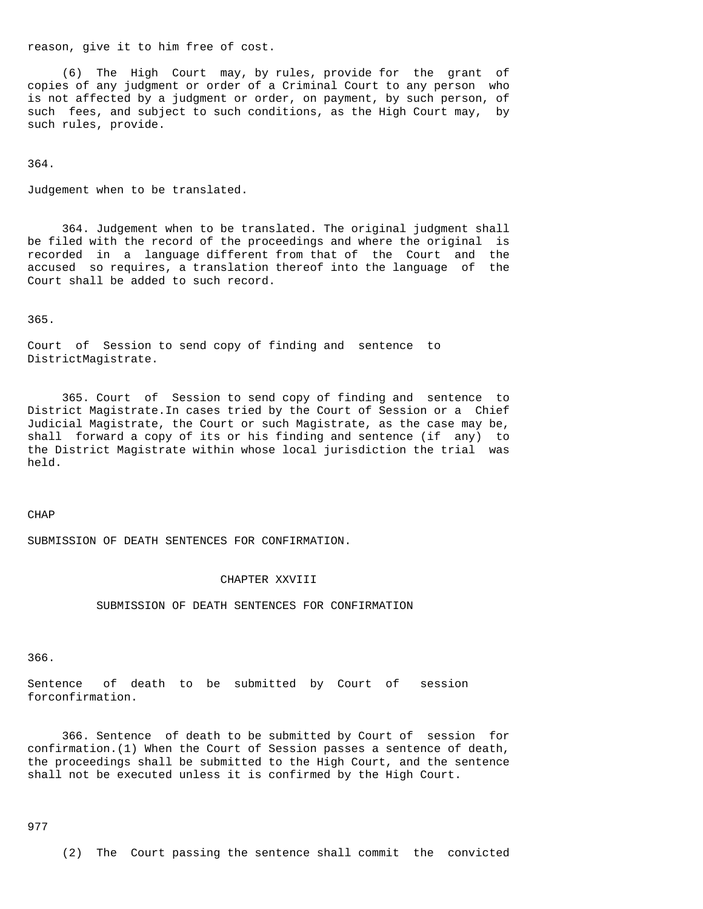reason, give it to him free of cost.

 (6) The High Court may, by rules, provide for the grant of copies of any judgment or order of a Criminal Court to any person who is not affected by a judgment or order, on payment, by such person, of such fees, and subject to such conditions, as the High Court may, by such rules, provide.

364.

Judgement when to be translated.

 364. Judgement when to be translated. The original judgment shall be filed with the record of the proceedings and where the original is recorded in a language different from that of the Court and the accused so requires, a translation thereof into the language of the Court shall be added to such record.

365.

 Court of Session to send copy of finding and sentence to DistrictMagistrate.

 365. Court of Session to send copy of finding and sentence to District Magistrate.In cases tried by the Court of Session or a Chief Judicial Magistrate, the Court or such Magistrate, as the case may be, shall forward a copy of its or his finding and sentence (if any) to the District Magistrate within whose local jurisdiction the trial was held.

CHAP

SUBMISSION OF DEATH SENTENCES FOR CONFIRMATION.

### CHAPTER XXVIII

SUBMISSION OF DEATH SENTENCES FOR CONFIRMATION

366.

 Sentence of death to be submitted by Court of session forconfirmation.

 366. Sentence of death to be submitted by Court of session for confirmation.(1) When the Court of Session passes a sentence of death, the proceedings shall be submitted to the High Court, and the sentence shall not be executed unless it is confirmed by the High Court.

977

(2) The Court passing the sentence shall commit the convicted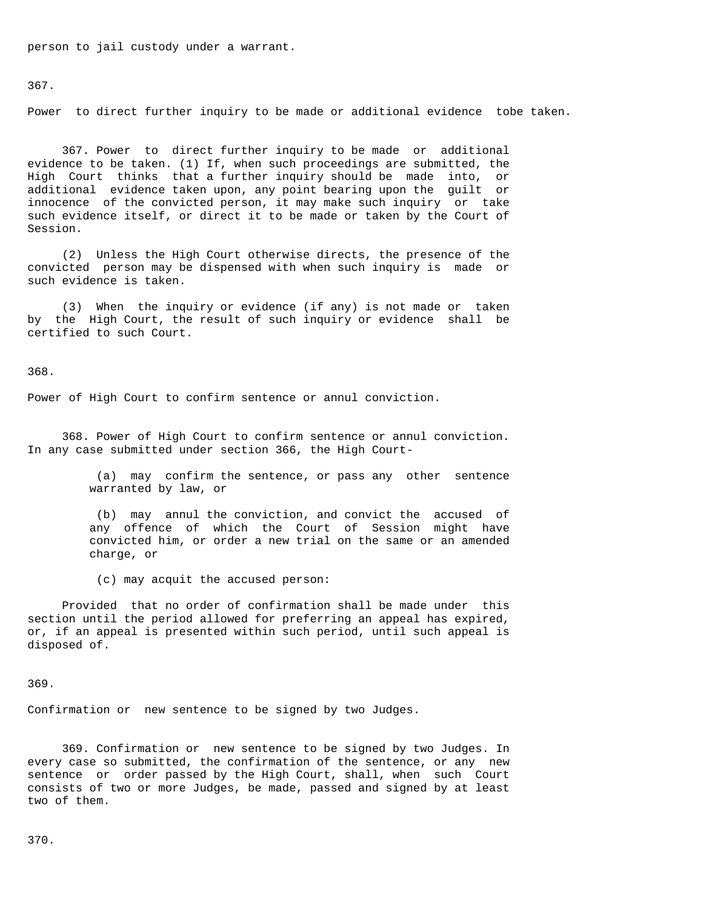person to jail custody under a warrant.

367.

Power to direct further inquiry to be made or additional evidence tobe taken.

 367. Power to direct further inquiry to be made or additional evidence to be taken. (1) If, when such proceedings are submitted, the High Court thinks that a further inquiry should be made into, or additional evidence taken upon, any point bearing upon the guilt or innocence of the convicted person, it may make such inquiry or take such evidence itself, or direct it to be made or taken by the Court of Session.

 (2) Unless the High Court otherwise directs, the presence of the convicted person may be dispensed with when such inquiry is made or such evidence is taken.

 (3) When the inquiry or evidence (if any) is not made or taken by the High Court, the result of such inquiry or evidence shall be certified to such Court.

368.

Power of High Court to confirm sentence or annul conviction.

 368. Power of High Court to confirm sentence or annul conviction. In any case submitted under section 366, the High Court-

> (a) may confirm the sentence, or pass any other sentence warranted by law, or

> (b) may annul the conviction, and convict the accused of any offence of which the Court of Session might have convicted him, or order a new trial on the same or an amended charge, or

(c) may acquit the accused person:

 Provided that no order of confirmation shall be made under this section until the period allowed for preferring an appeal has expired, or, if an appeal is presented within such period, until such appeal is disposed of.

369.

Confirmation or new sentence to be signed by two Judges.

 369. Confirmation or new sentence to be signed by two Judges. In every case so submitted, the confirmation of the sentence, or any new sentence or order passed by the High Court, shall, when such Court consists of two or more Judges, be made, passed and signed by at least two of them.

370.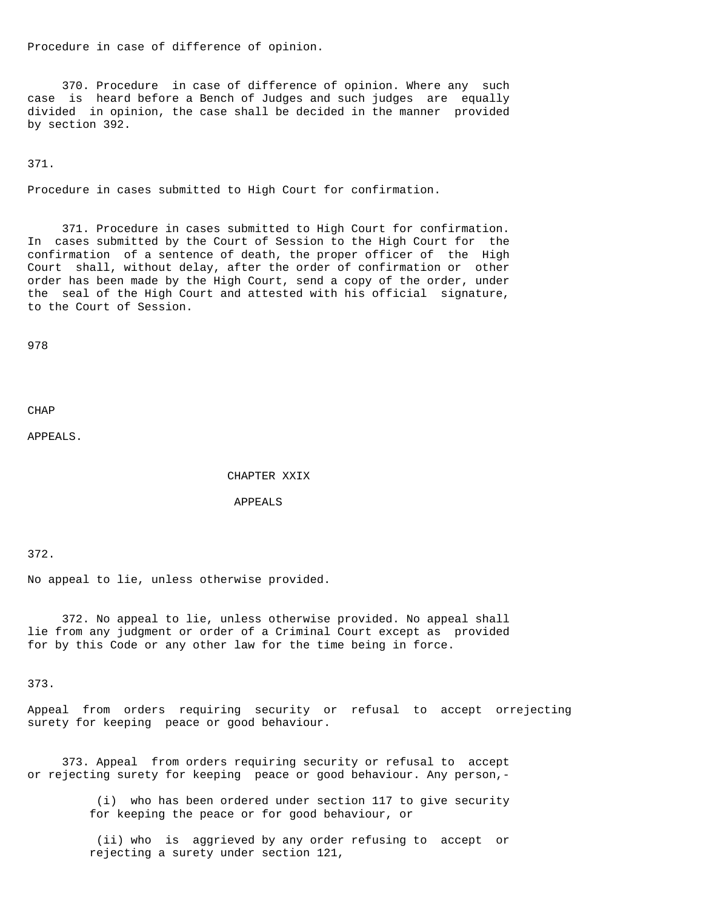Procedure in case of difference of opinion.

 370. Procedure in case of difference of opinion. Where any such case is heard before a Bench of Judges and such judges are equally divided in opinion, the case shall be decided in the manner provided by section 392.

371.

Procedure in cases submitted to High Court for confirmation.

 371. Procedure in cases submitted to High Court for confirmation. In cases submitted by the Court of Session to the High Court for the confirmation of a sentence of death, the proper officer of the High Court shall, without delay, after the order of confirmation or other order has been made by the High Court, send a copy of the order, under the seal of the High Court and attested with his official signature, to the Court of Session.

978

CHAP

APPEALS.

CHAPTER XXIX

APPEALS

372.

No appeal to lie, unless otherwise provided.

 372. No appeal to lie, unless otherwise provided. No appeal shall lie from any judgment or order of a Criminal Court except as provided for by this Code or any other law for the time being in force.

373.

 Appeal from orders requiring security or refusal to accept orrejecting surety for keeping peace or good behaviour.

 373. Appeal from orders requiring security or refusal to accept or rejecting surety for keeping peace or good behaviour. Any person,-

> (i) who has been ordered under section 117 to give security for keeping the peace or for good behaviour, or

> (ii) who is aggrieved by any order refusing to accept or rejecting a surety under section 121,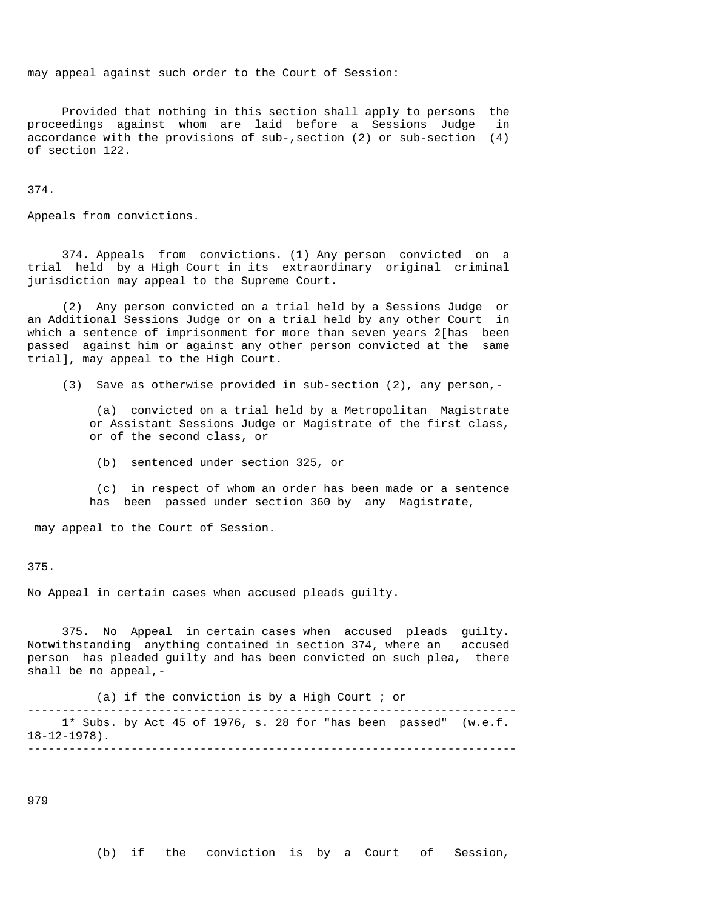may appeal against such order to the Court of Session:

 Provided that nothing in this section shall apply to persons the proceedings against whom are laid before a Sessions Judge in accordance with the provisions of sub-, section  $(2)$  or sub-section  $(4)$ of section 122.

374.

Appeals from convictions.

 374. Appeals from convictions. (1) Any person convicted on a trial held by a High Court in its extraordinary original criminal jurisdiction may appeal to the Supreme Court.

 (2) Any person convicted on a trial held by a Sessions Judge or an Additional Sessions Judge or on a trial held by any other Court in which a sentence of imprisonment for more than seven years 2[has been passed against him or against any other person convicted at the same trial], may appeal to the High Court.

(3) Save as otherwise provided in sub-section (2), any person,-

 (a) convicted on a trial held by a Metropolitan Magistrate or Assistant Sessions Judge or Magistrate of the first class, or of the second class, or

(b) sentenced under section 325, or

 (c) in respect of whom an order has been made or a sentence has been passed under section 360 by any Magistrate,

may appeal to the Court of Session.

### 375.

No Appeal in certain cases when accused pleads guilty.

 375. No Appeal in certain cases when accused pleads guilty. Notwithstanding anything contained in section 374, where an accused person has pleaded guilty and has been convicted on such plea, there shall be no appeal,-

 (a) if the conviction is by a High Court ; or ----------------------------------------------------------------------- 1\* Subs. by Act 45 of 1976, s. 28 for "has been passed" (w.e.f. 18-12-1978). -----------------------------------------------------------------------

979

(b) if the conviction is by a Court of Session,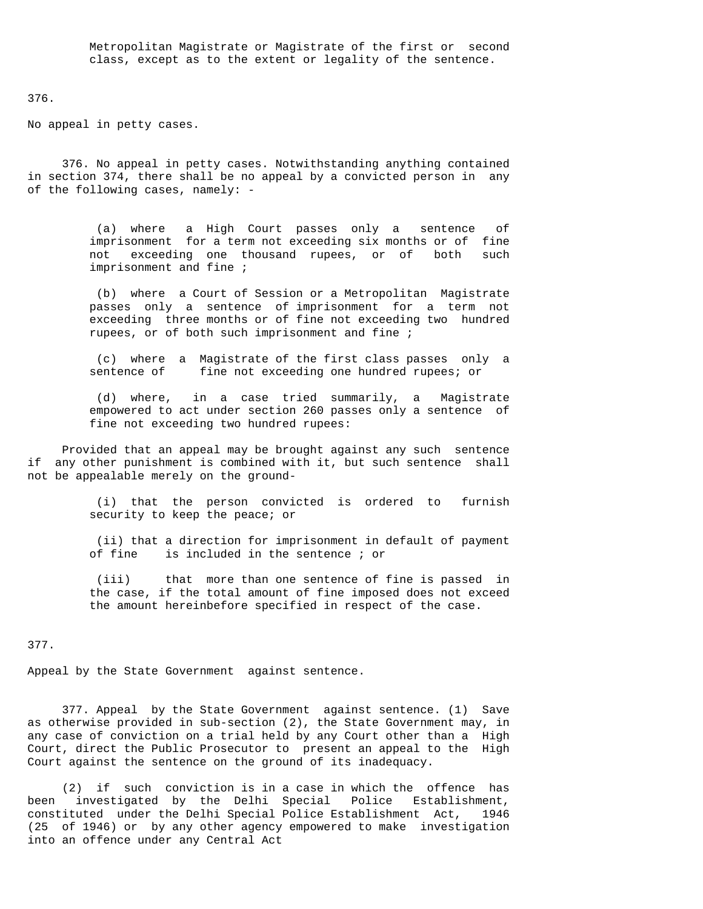Metropolitan Magistrate or Magistrate of the first or second class, except as to the extent or legality of the sentence.

376.

No appeal in petty cases.

 376. No appeal in petty cases. Notwithstanding anything contained in section 374, there shall be no appeal by a convicted person in any of the following cases, namely: -

> (a) where a High Court passes only a sentence of imprisonment for a term not exceeding six months or of fine not exceeding one thousand rupees, or of both such imprisonment and fine ;

> (b) where a Court of Session or a Metropolitan Magistrate passes only a sentence of imprisonment for a term not exceeding three months or of fine not exceeding two hundred rupees, or of both such imprisonment and fine ;

> (c) where a Magistrate of the first class passes only a sentence of fine not exceeding one hundred rupees; or

> (d) where, in a case tried summarily, a Magistrate empowered to act under section 260 passes only a sentence of fine not exceeding two hundred rupees:

 Provided that an appeal may be brought against any such sentence if any other punishment is combined with it, but such sentence shall not be appealable merely on the ground-

> (i) that the person convicted is ordered to furnish security to keep the peace; or

> (ii) that a direction for imprisonment in default of payment of fine is included in the sentence ; or

> (iii) that more than one sentence of fine is passed in the case, if the total amount of fine imposed does not exceed the amount hereinbefore specified in respect of the case.

377.

Appeal by the State Government against sentence.

 377. Appeal by the State Government against sentence. (1) Save as otherwise provided in sub-section (2), the State Government may, in any case of conviction on a trial held by any Court other than a High Court, direct the Public Prosecutor to present an appeal to the High Court against the sentence on the ground of its inadequacy.

 (2) if such conviction is in a case in which the offence has been investigated by the Delhi Special Police Establishment, constituted under the Delhi Special Police Establishment Act, 1946 (25 of 1946) or by any other agency empowered to make investigation into an offence under any Central Act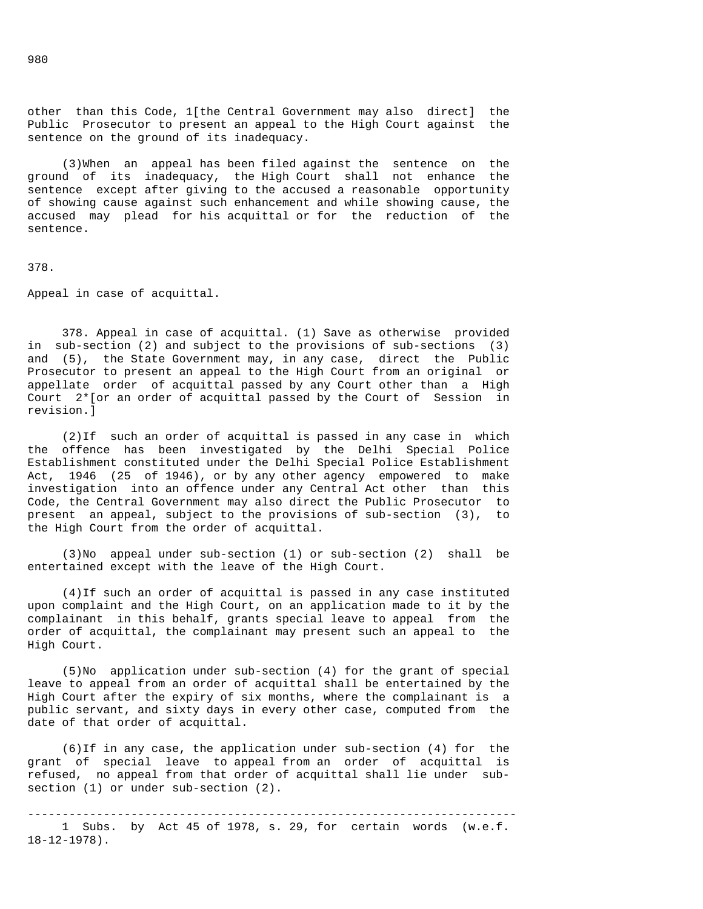other than this Code, 1[the Central Government may also direct] the Public Prosecutor to present an appeal to the High Court against the sentence on the ground of its inadequacy.

 (3)When an appeal has been filed against the sentence on the ground of its inadequacy, the High Court shall not enhance the sentence except after giving to the accused a reasonable opportunity of showing cause against such enhancement and while showing cause, the accused may plead for his acquittal or for the reduction of the sentence.

378.

Appeal in case of acquittal.

 378. Appeal in case of acquittal. (1) Save as otherwise provided in sub-section (2) and subject to the provisions of sub-sections (3) and (5), the State Government may, in any case, direct the Public Prosecutor to present an appeal to the High Court from an original or appellate order of acquittal passed by any Court other than a High Court 2\*[or an order of acquittal passed by the Court of Session in revision.]

 (2)If such an order of acquittal is passed in any case in which the offence has been investigated by the Delhi Special Police Establishment constituted under the Delhi Special Police Establishment Act, 1946 (25 of 1946), or by any other agency empowered to make investigation into an offence under any Central Act other than this Code, the Central Government may also direct the Public Prosecutor to present an appeal, subject to the provisions of sub-section (3), to the High Court from the order of acquittal.

 (3)No appeal under sub-section (1) or sub-section (2) shall be entertained except with the leave of the High Court.

 (4)If such an order of acquittal is passed in any case instituted upon complaint and the High Court, on an application made to it by the complainant in this behalf, grants special leave to appeal from the order of acquittal, the complainant may present such an appeal to the High Court.

 (5)No application under sub-section (4) for the grant of special leave to appeal from an order of acquittal shall be entertained by the High Court after the expiry of six months, where the complainant is a public servant, and sixty days in every other case, computed from the date of that order of acquittal.

 (6)If in any case, the application under sub-section (4) for the grant of special leave to appeal from an order of acquittal is refused, no appeal from that order of acquittal shall lie under sub section (1) or under sub-section (2).

 1 Subs. by Act 45 of 1978, s. 29, for certain words (w.e.f. 18-12-1978).

-----------------------------------------------------------------------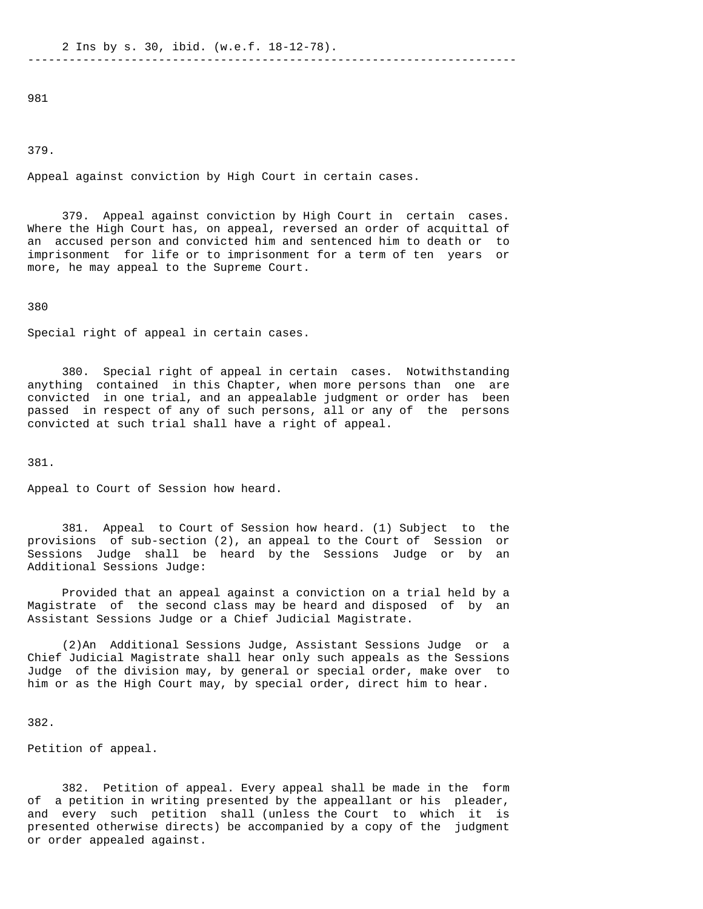981

#### 379.

Appeal against conviction by High Court in certain cases.

 379. Appeal against conviction by High Court in certain cases. Where the High Court has, on appeal, reversed an order of acquittal of an accused person and convicted him and sentenced him to death or to imprisonment for life or to imprisonment for a term of ten years or more, he may appeal to the Supreme Court.

-----------------------------------------------------------------------

380

Special right of appeal in certain cases.

 380. Special right of appeal in certain cases. Notwithstanding anything contained in this Chapter, when more persons than one are convicted in one trial, and an appealable judgment or order has been passed in respect of any of such persons, all or any of the persons convicted at such trial shall have a right of appeal.

381.

Appeal to Court of Session how heard.

 381. Appeal to Court of Session how heard. (1) Subject to the provisions of sub-section (2), an appeal to the Court of Session or Sessions Judge shall be heard by the Sessions Judge or by an Additional Sessions Judge:

 Provided that an appeal against a conviction on a trial held by a Magistrate of the second class may be heard and disposed of by an Assistant Sessions Judge or a Chief Judicial Magistrate.

 (2)An Additional Sessions Judge, Assistant Sessions Judge or a Chief Judicial Magistrate shall hear only such appeals as the Sessions Judge of the division may, by general or special order, make over to him or as the High Court may, by special order, direct him to hear.

382.

Petition of appeal.

 382. Petition of appeal. Every appeal shall be made in the form of a petition in writing presented by the appeallant or his pleader, and every such petition shall (unless the Court to which it is presented otherwise directs) be accompanied by a copy of the judgment or order appealed against.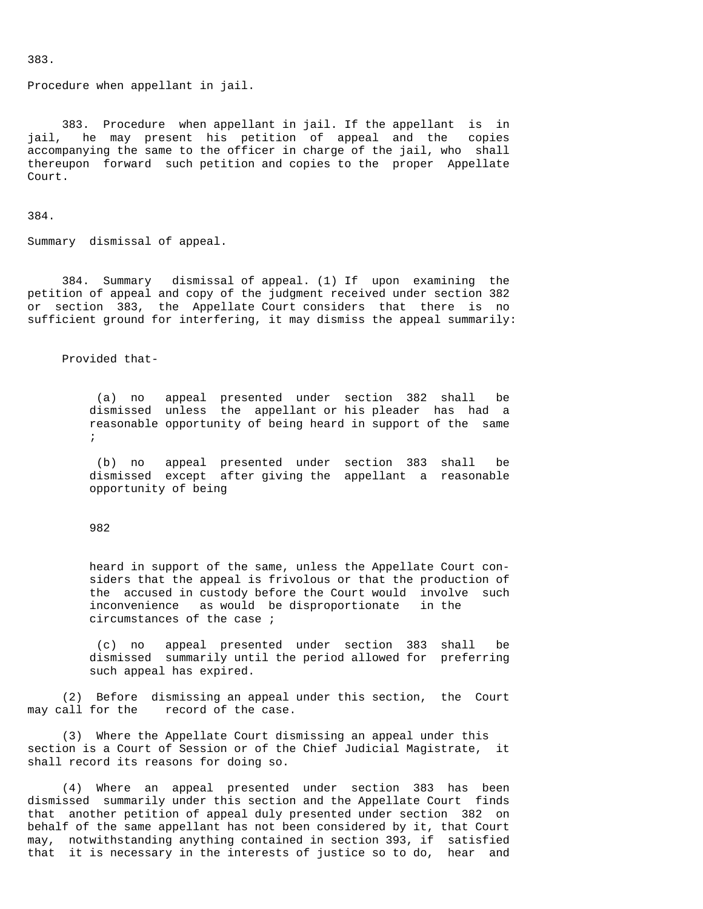383.

Procedure when appellant in jail.

 383. Procedure when appellant in jail. If the appellant is in jail, he may present his petition of appeal and the copies accompanying the same to the officer in charge of the jail, who shall thereupon forward such petition and copies to the proper Appellate Court.

384.

Summary dismissal of appeal.

 384. Summary dismissal of appeal. (1) If upon examining the petition of appeal and copy of the judgment received under section 382 or section 383, the Appellate Court considers that there is no sufficient ground for interfering, it may dismiss the appeal summarily:

# Provided that-

 (a) no appeal presented under section 382 shall be dismissed unless the appellant or his pleader has had a reasonable opportunity of being heard in support of the same  $\mathcal{L}^{\text{max}}$ 

> (b) no appeal presented under section 383 shall be dismissed except after giving the appellant a reasonable opportunity of being

### 982

 heard in support of the same, unless the Appellate Court con siders that the appeal is frivolous or that the production of the accused in custody before the Court would involve such inconvenience as would be disproportionate in the circumstances of the case ;

 (c) no appeal presented under section 383 shall be dismissed summarily until the period allowed for preferring such appeal has expired.

 (2) Before dismissing an appeal under this section, the Court may call for the record of the case.

 (3) Where the Appellate Court dismissing an appeal under this section is a Court of Session or of the Chief Judicial Magistrate, it shall record its reasons for doing so.

 (4) Where an appeal presented under section 383 has been dismissed summarily under this section and the Appellate Court finds that another petition of appeal duly presented under section 382 on behalf of the same appellant has not been considered by it, that Court may, notwithstanding anything contained in section 393, if satisfied that it is necessary in the interests of justice so to do, hear and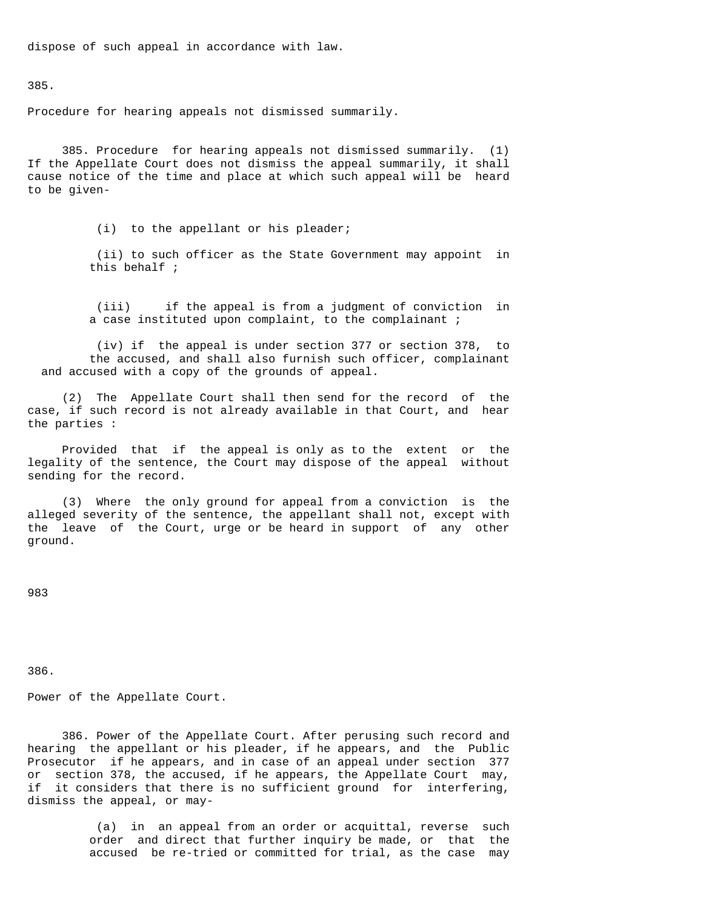dispose of such appeal in accordance with law.

385.

Procedure for hearing appeals not dismissed summarily.

 385. Procedure for hearing appeals not dismissed summarily. (1) If the Appellate Court does not dismiss the appeal summarily, it shall cause notice of the time and place at which such appeal will be heard to be given-

(i) to the appellant or his pleader;

 (ii) to such officer as the State Government may appoint in this behalf ;

 (iii) if the appeal is from a judgment of conviction in a case instituted upon complaint, to the complainant ;

 (iv) if the appeal is under section 377 or section 378, to the accused, and shall also furnish such officer, complainant and accused with a copy of the grounds of appeal.

 (2) The Appellate Court shall then send for the record of the case, if such record is not already available in that Court, and hear the parties :

 Provided that if the appeal is only as to the extent or the legality of the sentence, the Court may dispose of the appeal without sending for the record.

 (3) Where the only ground for appeal from a conviction is the alleged severity of the sentence, the appellant shall not, except with the leave of the Court, urge or be heard in support of any other ground.

983

386.

Power of the Appellate Court.

 386. Power of the Appellate Court. After perusing such record and hearing the appellant or his pleader, if he appears, and the Public Prosecutor if he appears, and in case of an appeal under section 377 or section 378, the accused, if he appears, the Appellate Court may, if it considers that there is no sufficient ground for interfering, dismiss the appeal, or may-

> (a) in an appeal from an order or acquittal, reverse such order and direct that further inquiry be made, or that the accused be re-tried or committed for trial, as the case may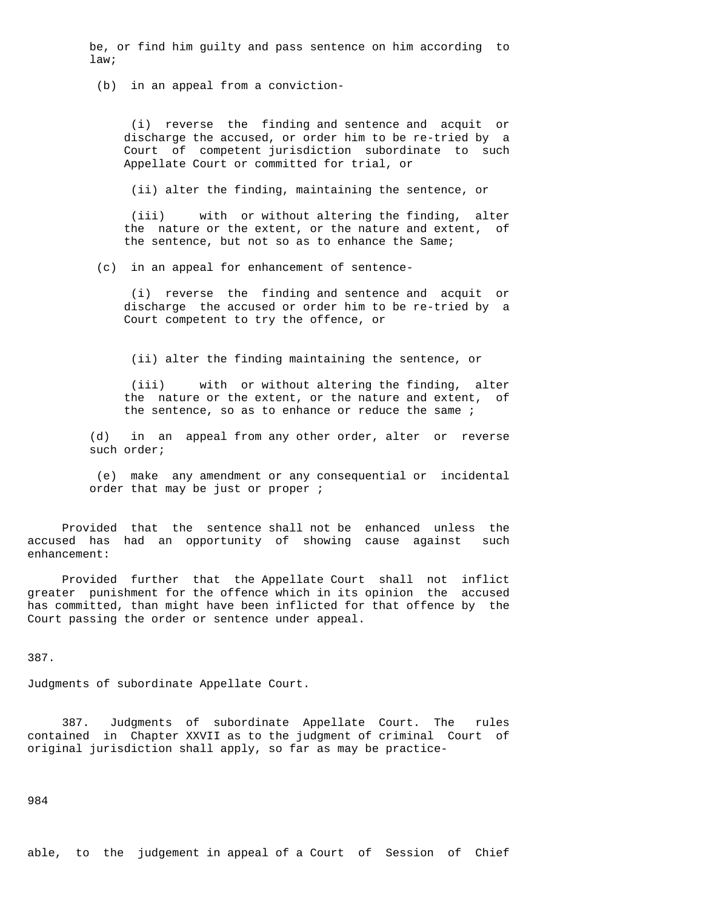be, or find him guilty and pass sentence on him according to law;

(b) in an appeal from a conviction-

 (i) reverse the finding and sentence and acquit or discharge the accused, or order him to be re-tried by a Court of competent jurisdiction subordinate to such Appellate Court or committed for trial, or

(ii) alter the finding, maintaining the sentence, or

 (iii) with or without altering the finding, alter the nature or the extent, or the nature and extent, of the sentence, but not so as to enhance the Same;

(c) in an appeal for enhancement of sentence-

 (i) reverse the finding and sentence and acquit or discharge the accused or order him to be re-tried by a Court competent to try the offence, or

(ii) alter the finding maintaining the sentence, or

 (iii) with or without altering the finding, alter the nature or the extent, or the nature and extent, of the sentence, so as to enhance or reduce the same ;

 (d) in an appeal from any other order, alter or reverse such order;

 (e) make any amendment or any consequential or incidental order that may be just or proper ;

 Provided that the sentence shall not be enhanced unless the accused has had an opportunity of showing cause against such enhancement:

 Provided further that the Appellate Court shall not inflict greater punishment for the offence which in its opinion the accused has committed, than might have been inflicted for that offence by the Court passing the order or sentence under appeal.

387.

Judgments of subordinate Appellate Court.

 387. Judgments of subordinate Appellate Court. The rules contained in Chapter XXVII as to the judgment of criminal Court of original jurisdiction shall apply, so far as may be practice-

984

able, to the judgement in appeal of a Court of Session of Chief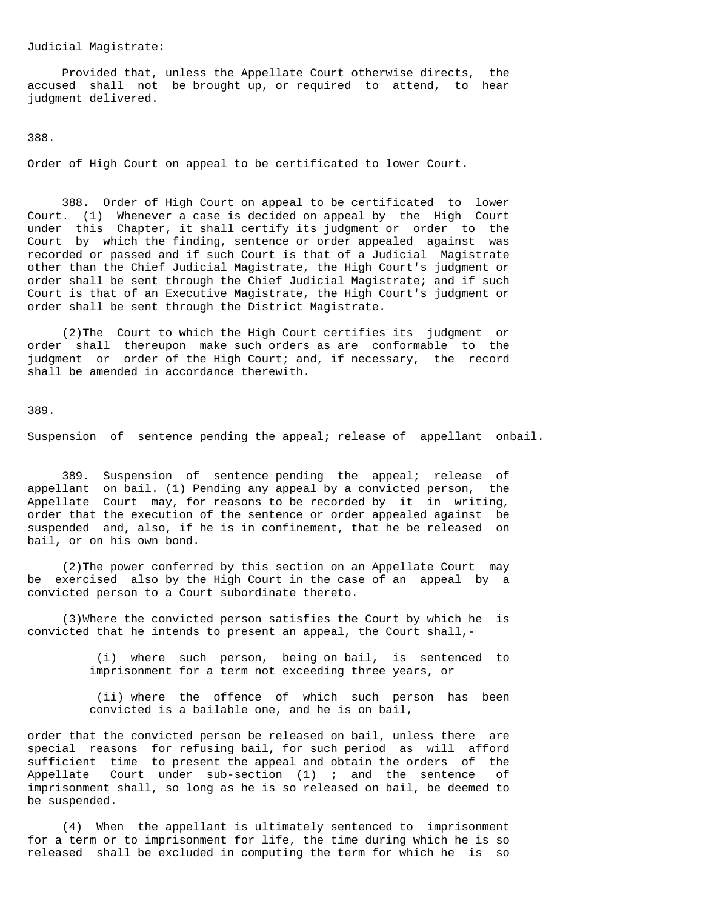Provided that, unless the Appellate Court otherwise directs, the accused shall not be brought up, or required to attend, to hear judgment delivered.

388.

Order of High Court on appeal to be certificated to lower Court.

 388. Order of High Court on appeal to be certificated to lower Court. (1) Whenever a case is decided on appeal by the High Court under this Chapter, it shall certify its judgment or order to the Court by which the finding, sentence or order appealed against was recorded or passed and if such Court is that of a Judicial Magistrate other than the Chief Judicial Magistrate, the High Court's judgment or order shall be sent through the Chief Judicial Magistrate; and if such Court is that of an Executive Magistrate, the High Court's judgment or order shall be sent through the District Magistrate.

 (2)The Court to which the High Court certifies its judgment or order shall thereupon make such orders as are conformable to the judgment or order of the High Court; and, if necessary, the record shall be amended in accordance therewith.

389.

Suspension of sentence pending the appeal; release of appellant onbail.

 389. Suspension of sentence pending the appeal; release of appellant on bail. (1) Pending any appeal by a convicted person, the Appellate Court may, for reasons to be recorded by it in writing, order that the execution of the sentence or order appealed against be suspended and, also, if he is in confinement, that he be released on bail, or on his own bond.

 (2)The power conferred by this section on an Appellate Court may be exercised also by the High Court in the case of an appeal by a convicted person to a Court subordinate thereto.

 (3)Where the convicted person satisfies the Court by which he is convicted that he intends to present an appeal, the Court shall,-

> (i) where such person, being on bail, is sentenced to imprisonment for a term not exceeding three years, or

> (ii) where the offence of which such person has been convicted is a bailable one, and he is on bail,

 order that the convicted person be released on bail, unless there are special reasons for refusing bail, for such period as will afford sufficient time to present the appeal and obtain the orders of the Appellate Court under sub-section (1) ; and the sentence of imprisonment shall, so long as he is so released on bail, be deemed to be suspended.

 (4) When the appellant is ultimately sentenced to imprisonment for a term or to imprisonment for life, the time during which he is so released shall be excluded in computing the term for which he is so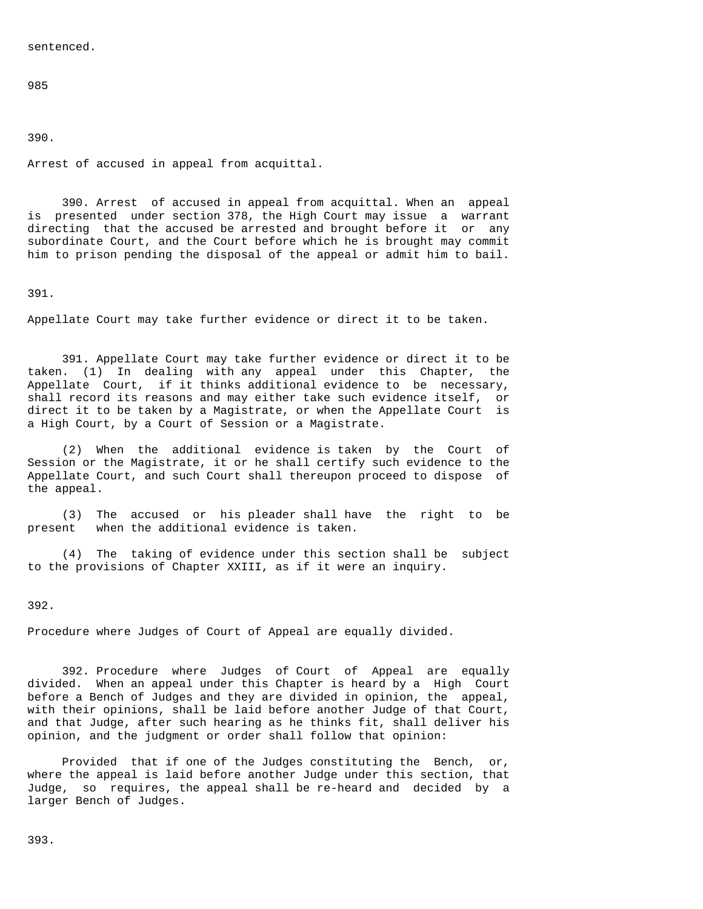sentenced.

985

390.

Arrest of accused in appeal from acquittal.

 390. Arrest of accused in appeal from acquittal. When an appeal is presented under section 378, the High Court may issue a warrant directing that the accused be arrested and brought before it or any subordinate Court, and the Court before which he is brought may commit him to prison pending the disposal of the appeal or admit him to bail.

391.

Appellate Court may take further evidence or direct it to be taken.

 391. Appellate Court may take further evidence or direct it to be taken. (1) In dealing with any appeal under this Chapter, the Appellate Court, if it thinks additional evidence to be necessary, shall record its reasons and may either take such evidence itself, or direct it to be taken by a Magistrate, or when the Appellate Court is a High Court, by a Court of Session or a Magistrate.

 (2) When the additional evidence is taken by the Court of Session or the Magistrate, it or he shall certify such evidence to the Appellate Court, and such Court shall thereupon proceed to dispose of the appeal.

 (3) The accused or his pleader shall have the right to be present when the additional evidence is taken.

 (4) The taking of evidence under this section shall be subject to the provisions of Chapter XXIII, as if it were an inquiry.

392.

Procedure where Judges of Court of Appeal are equally divided.

 392. Procedure where Judges of Court of Appeal are equally divided. When an appeal under this Chapter is heard by a High Court before a Bench of Judges and they are divided in opinion, the appeal, with their opinions, shall be laid before another Judge of that Court, and that Judge, after such hearing as he thinks fit, shall deliver his opinion, and the judgment or order shall follow that opinion:

 Provided that if one of the Judges constituting the Bench, or, where the appeal is laid before another Judge under this section, that Judge, so requires, the appeal shall be re-heard and decided by a larger Bench of Judges.

393.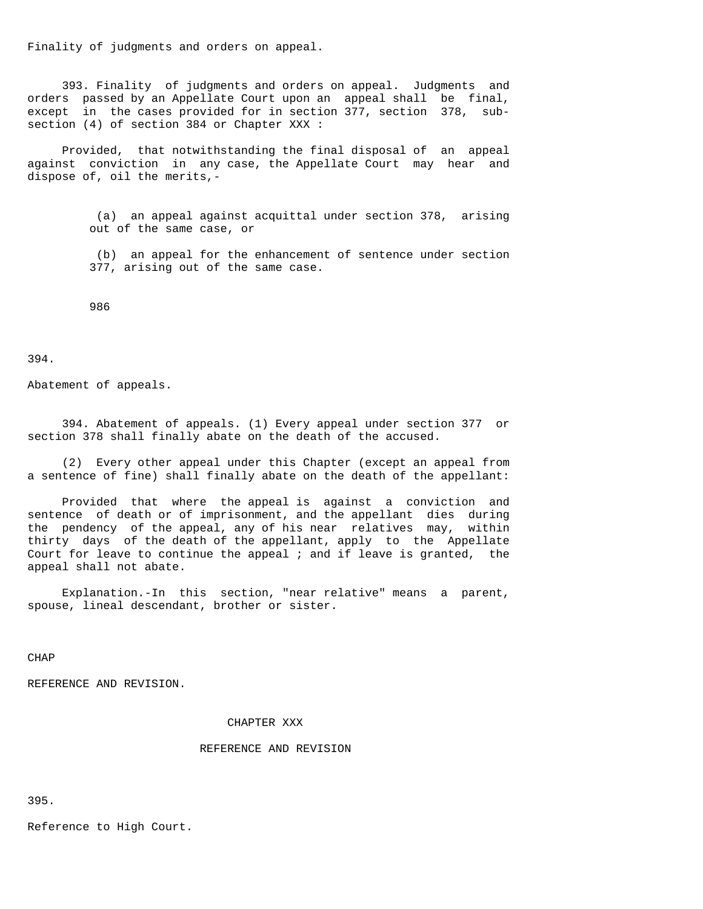Finality of judgments and orders on appeal.

 393. Finality of judgments and orders on appeal. Judgments and orders passed by an Appellate Court upon an appeal shall be final, except in the cases provided for in section 377, section 378, sub section (4) of section 384 or Chapter XXX :

 Provided, that notwithstanding the final disposal of an appeal against conviction in any case, the Appellate Court may hear and dispose of, oil the merits,-

> (a) an appeal against acquittal under section 378, arising out of the same case, or

> (b) an appeal for the enhancement of sentence under section 377, arising out of the same case.

986

394.

Abatement of appeals.

 394. Abatement of appeals. (1) Every appeal under section 377 or section 378 shall finally abate on the death of the accused.

 (2) Every other appeal under this Chapter (except an appeal from a sentence of fine) shall finally abate on the death of the appellant:

 Provided that where the appeal is against a conviction and sentence of death or of imprisonment, and the appellant dies during the pendency of the appeal, any of his near relatives may, within thirty days of the death of the appellant, apply to the Appellate Court for leave to continue the appeal ; and if leave is granted, the appeal shall not abate.

 Explanation.-In this section, "near relative" means a parent, spouse, lineal descendant, brother or sister.

CHAP

REFERENCE AND REVISION.

CHAPTER XXX

### REFERENCE AND REVISION

395.

Reference to High Court.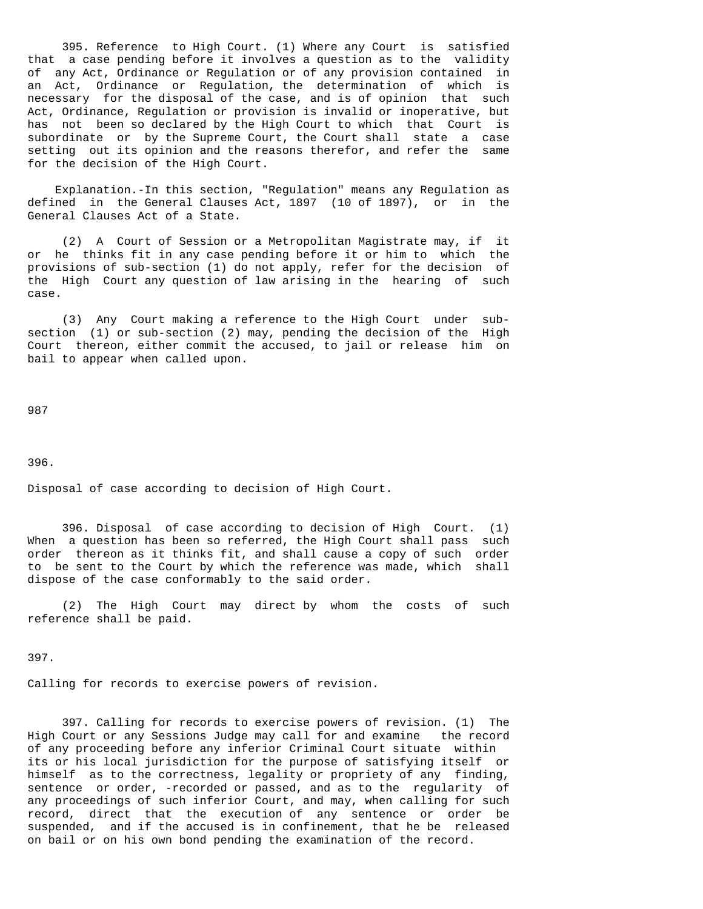395. Reference to High Court. (1) Where any Court is satisfied that a case pending before it involves a question as to the validity of any Act, Ordinance or Regulation or of any provision contained in an Act, Ordinance or Regulation, the determination of which is necessary for the disposal of the case, and is of opinion that such Act, Ordinance, Regulation or provision is invalid or inoperative, but has not been so declared by the High Court to which that Court is subordinate or by the Supreme Court, the Court shall state a case setting out its opinion and the reasons therefor, and refer the same for the decision of the High Court.

 Explanation.-In this section, "Regulation" means any Regulation as defined in the General Clauses Act, 1897 (10 of 1897), or in the General Clauses Act of a State.

 (2) A Court of Session or a Metropolitan Magistrate may, if it or he thinks fit in any case pending before it or him to which the provisions of sub-section (1) do not apply, refer for the decision of the High Court any question of law arising in the hearing of such case.

 (3) Any Court making a reference to the High Court under sub section (1) or sub-section (2) may, pending the decision of the High Court thereon, either commit the accused, to jail or release him on bail to appear when called upon.

987

396.

Disposal of case according to decision of High Court.

 396. Disposal of case according to decision of High Court. (1) When a question has been so referred, the High Court shall pass such order thereon as it thinks fit, and shall cause a copy of such order to be sent to the Court by which the reference was made, which shall dispose of the case conformably to the said order.

 (2) The High Court may direct by whom the costs of such reference shall be paid.

397.

Calling for records to exercise powers of revision.

 397. Calling for records to exercise powers of revision. (1) The High Court or any Sessions Judge may call for and examine the record of any proceeding before any inferior Criminal Court situate within its or his local jurisdiction for the purpose of satisfying itself or himself as to the correctness, legality or propriety of any finding, sentence or order, -recorded or passed, and as to the regularity of any proceedings of such inferior Court, and may, when calling for such record, direct that the execution of any sentence or order be suspended, and if the accused is in confinement, that he be released on bail or on his own bond pending the examination of the record.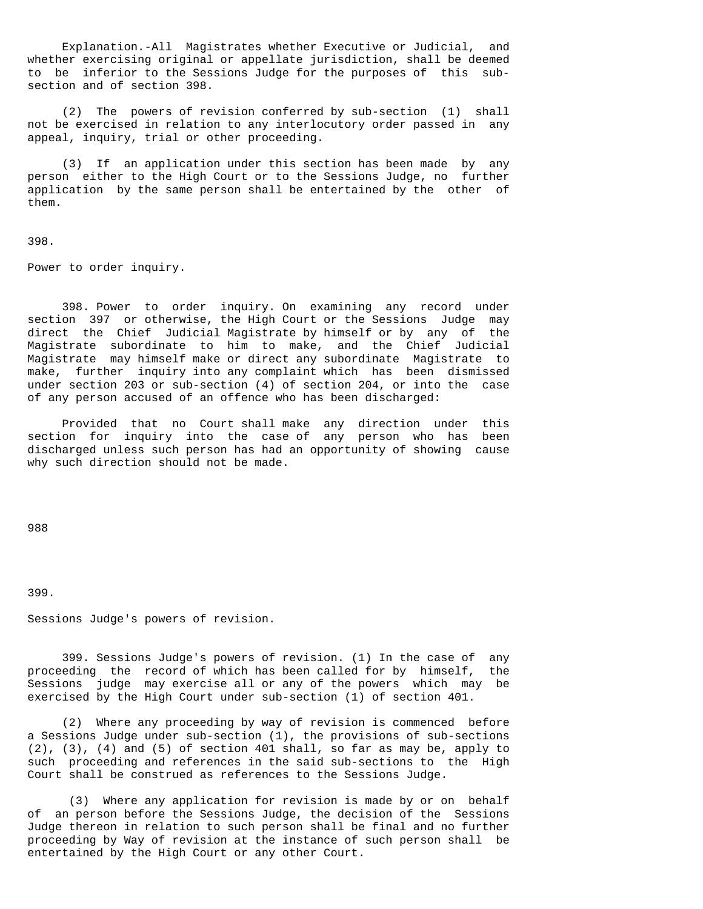Explanation.-All Magistrates whether Executive or Judicial, and whether exercising original or appellate jurisdiction, shall be deemed to be inferior to the Sessions Judge for the purposes of this sub section and of section 398.

 (2) The powers of revision conferred by sub-section (1) shall not be exercised in relation to any interlocutory order passed in any appeal, inquiry, trial or other proceeding.

 (3) If an application under this section has been made by any person either to the High Court or to the Sessions Judge, no further application by the same person shall be entertained by the other of them.

398.

Power to order inquiry.

 398. Power to order inquiry. On examining any record under section 397 or otherwise, the High Court or the Sessions Judge may direct the Chief Judicial Magistrate by himself or by any of the Magistrate subordinate to him to make, and the Chief Judicial Magistrate may himself make or direct any subordinate Magistrate to make, further inquiry into any complaint which has been dismissed under section 203 or sub-section (4) of section 204, or into the case of any person accused of an offence who has been discharged:

 Provided that no Court shall make any direction under this section for inquiry into the case of any person who has been discharged unless such person has had an opportunity of showing cause why such direction should not be made.

988

399.

Sessions Judge's powers of revision.

 399. Sessions Judge's powers of revision. (1) In the case of any proceeding the record of which has been called for by himself, the Sessions judge may exercise all or any of the powers which may be exercised by the High Court under sub-section (1) of section 401.

 (2) Where any proceeding by way of revision is commenced before a Sessions Judge under sub-section (1), the provisions of sub-sections  $(2)$ ,  $(3)$ ,  $(4)$  and  $(5)$  of section 401 shall, so far as may be, apply to such proceeding and references in the said sub-sections to the High Court shall be construed as references to the Sessions Judge.

 (3) Where any application for revision is made by or on behalf of an person before the Sessions Judge, the decision of the Sessions Judge thereon in relation to such person shall be final and no further proceeding by Way of revision at the instance of such person shall be entertained by the High Court or any other Court.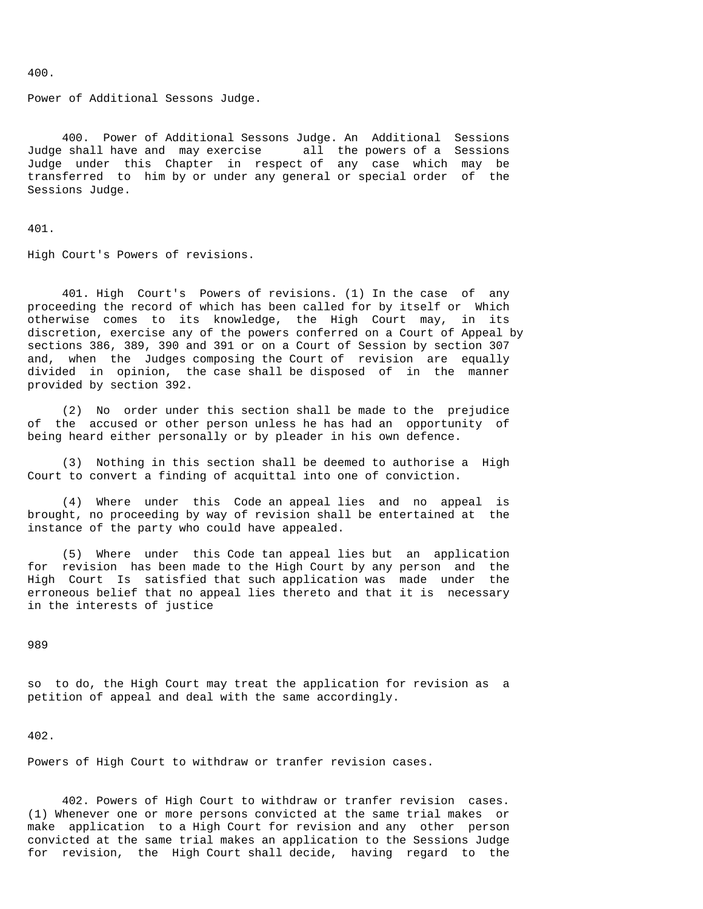400.

Power of Additional Sessons Judge.

 400. Power of Additional Sessons Judge. An Additional Sessions Judge shall have and may exercise all the powers of a Sessions Judge under this Chapter in respect of any case which may be transferred to him by or under any general or special order of the Sessions Judge.

401.

High Court's Powers of revisions.

 401. High Court's Powers of revisions. (1) In the case of any proceeding the record of which has been called for by itself or Which otherwise comes to its knowledge, the High Court may, in its discretion, exercise any of the powers conferred on a Court of Appeal by sections 386, 389, 390 and 391 or on a Court of Session by section 307 and, when the Judges composing the Court of revision are equally divided in opinion, the case shall be disposed of in the manner provided by section 392.

 (2) No order under this section shall be made to the prejudice of the accused or other person unless he has had an opportunity of being heard either personally or by pleader in his own defence.

 (3) Nothing in this section shall be deemed to authorise a High Court to convert a finding of acquittal into one of conviction.

 (4) Where under this Code an appeal lies and no appeal is brought, no proceeding by way of revision shall be entertained at the instance of the party who could have appealed.

 (5) Where under this Code tan appeal lies but an application for revision has been made to the High Court by any person and the High Court Is satisfied that such application was made under the erroneous belief that no appeal lies thereto and that it is necessary in the interests of justice

989

 so to do, the High Court may treat the application for revision as a petition of appeal and deal with the same accordingly.

402.

Powers of High Court to withdraw or tranfer revision cases.

 402. Powers of High Court to withdraw or tranfer revision cases. (1) Whenever one or more persons convicted at the same trial makes or make application to a High Court for revision and any other person convicted at the same trial makes an application to the Sessions Judge for revision, the High Court shall decide, having regard to the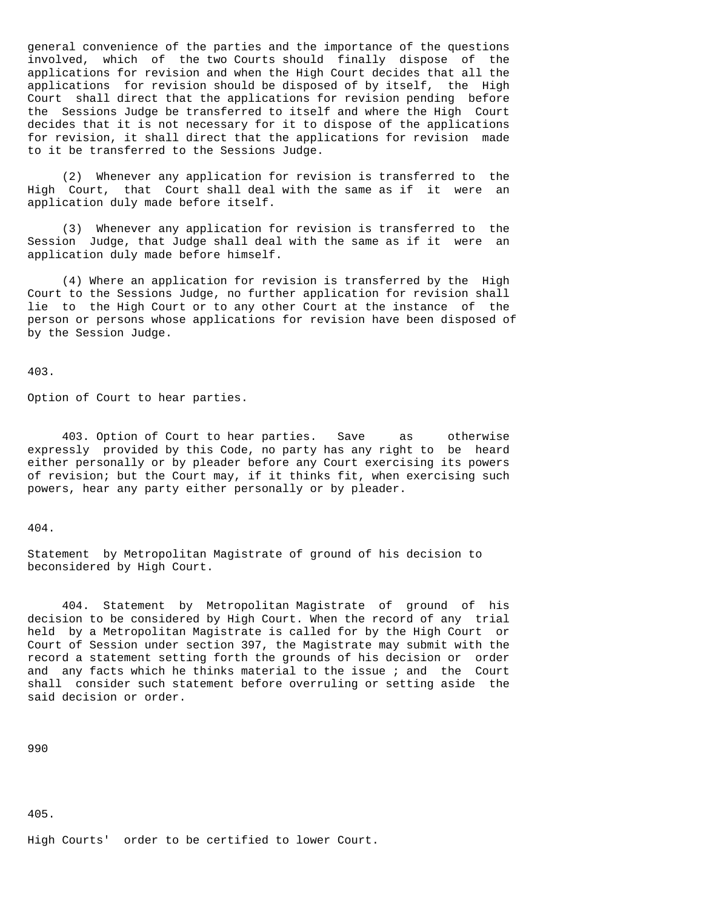general convenience of the parties and the importance of the questions involved, which of the two Courts should finally dispose of the applications for revision and when the High Court decides that all the applications for revision should be disposed of by itself, the High Court shall direct that the applications for revision pending before the Sessions Judge be transferred to itself and where the High Court decides that it is not necessary for it to dispose of the applications for revision, it shall direct that the applications for revision made to it be transferred to the Sessions Judge.

 (2) Whenever any application for revision is transferred to the High Court, that Court shall deal with the same as if it were an application duly made before itself.

 (3) Whenever any application for revision is transferred to the Session Judge, that Judge shall deal with the same as if it were an application duly made before himself.

 (4) Where an application for revision is transferred by the High Court to the Sessions Judge, no further application for revision shall lie to the High Court or to any other Court at the instance of the person or persons whose applications for revision have been disposed of by the Session Judge.

403.

Option of Court to hear parties.

 403. Option of Court to hear parties. Save as otherwise expressly provided by this Code, no party has any right to be heard either personally or by pleader before any Court exercising its powers of revision; but the Court may, if it thinks fit, when exercising such powers, hear any party either personally or by pleader.

404.

 Statement by Metropolitan Magistrate of ground of his decision to beconsidered by High Court.

 404. Statement by Metropolitan Magistrate of ground of his decision to be considered by High Court. When the record of any trial held by a Metropolitan Magistrate is called for by the High Court or Court of Session under section 397, the Magistrate may submit with the record a statement setting forth the grounds of his decision or order and any facts which he thinks material to the issue ; and the Court shall consider such statement before overruling or setting aside the said decision or order.

990

405.

High Courts' order to be certified to lower Court.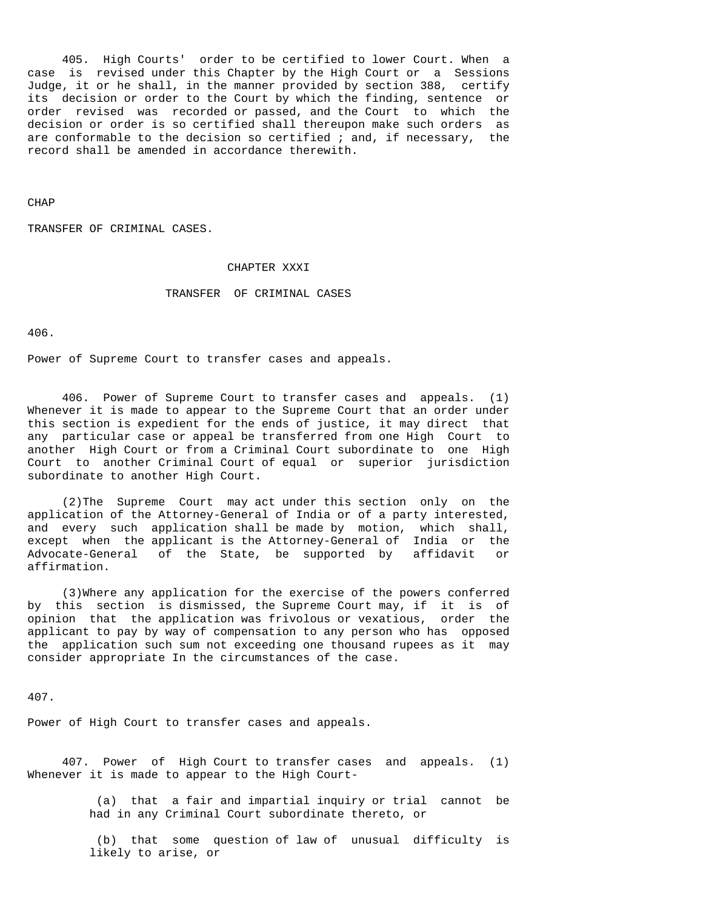405. High Courts' order to be certified to lower Court. When a case is revised under this Chapter by the High Court or a Sessions Judge, it or he shall, in the manner provided by section 388, certify its decision or order to the Court by which the finding, sentence or order revised was recorded or passed, and the Court to which the decision or order is so certified shall thereupon make such orders as are conformable to the decision so certified ; and, if necessary, the record shall be amended in accordance therewith.

CHAP

TRANSFER OF CRIMINAL CASES.

# CHAPTER XXXI

# TRANSFER OF CRIMINAL CASES

406.

Power of Supreme Court to transfer cases and appeals.

 406. Power of Supreme Court to transfer cases and appeals. (1) Whenever it is made to appear to the Supreme Court that an order under this section is expedient for the ends of justice, it may direct that any particular case or appeal be transferred from one High Court to another High Court or from a Criminal Court subordinate to one High Court to another Criminal Court of equal or superior jurisdiction subordinate to another High Court.

 (2)The Supreme Court may act under this section only on the application of the Attorney-General of India or of a party interested, and every such application shall be made by motion, which shall, except when the applicant is the Attorney-General of India or the Advocate-General of the State, be supported by affidavit or affirmation.

 (3)Where any application for the exercise of the powers conferred by this section is dismissed, the Supreme Court may, if it is of opinion that the application was frivolous or vexatious, order the applicant to pay by way of compensation to any person who has opposed the application such sum not exceeding one thousand rupees as it may consider appropriate In the circumstances of the case.

407.

Power of High Court to transfer cases and appeals.

 407. Power of High Court to transfer cases and appeals. (1) Whenever it is made to appear to the High Court-

> (a) that a fair and impartial inquiry or trial cannot be had in any Criminal Court subordinate thereto, or

> (b) that some question of law of unusual difficulty is likely to arise, or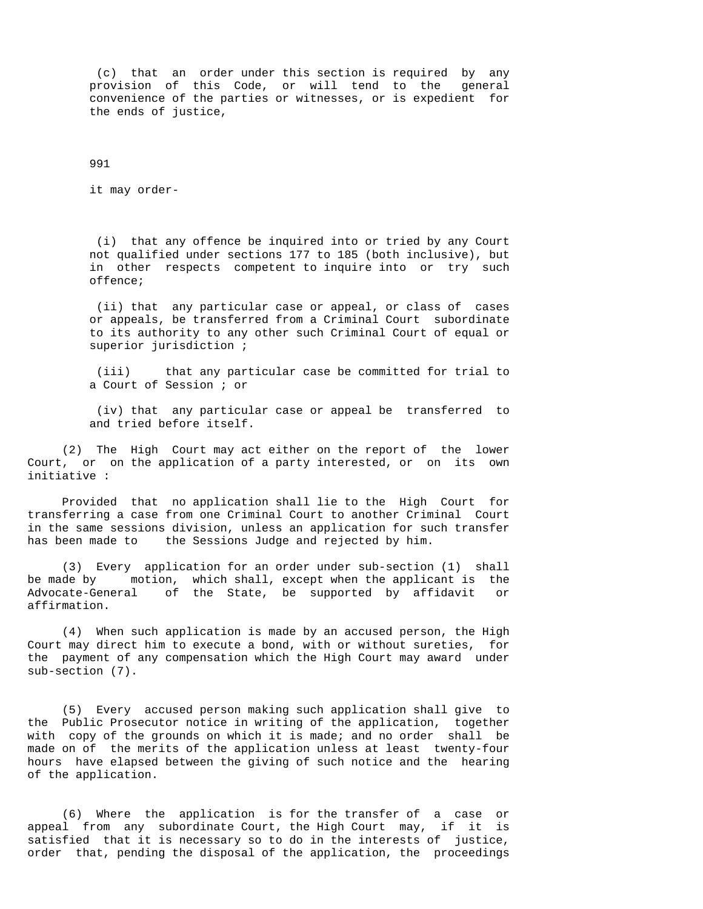(c) that an order under this section is required by any provision of this Code, or will tend to the general convenience of the parties or witnesses, or is expedient for the ends of justice,

991

it may order-

 (i) that any offence be inquired into or tried by any Court not qualified under sections 177 to 185 (both inclusive), but in other respects competent to inquire into or try such offence;

 (ii) that any particular case or appeal, or class of cases or appeals, be transferred from a Criminal Court subordinate to its authority to any other such Criminal Court of equal or superior jurisdiction ;

 (iii) that any particular case be committed for trial to a Court of Session ; or

 (iv) that any particular case or appeal be transferred to and tried before itself.

 (2) The High Court may act either on the report of the lower Court, or on the application of a party interested, or on its own initiative :

 Provided that no application shall lie to the High Court for transferring a case from one Criminal Court to another Criminal Court in the same sessions division, unless an application for such transfer has been made to the Sessions Judge and rejected by him.

 (3) Every application for an order under sub-section (1) shall be made by motion, which shall, except when the applicant is the Advocate-General of the State, be supported by affidavit or affirmation.

 (4) When such application is made by an accused person, the High Court may direct him to execute a bond, with or without sureties, for the payment of any compensation which the High Court may award under sub-section (7).

 (5) Every accused person making such application shall give to the Public Prosecutor notice in writing of the application, together with copy of the grounds on which it is made; and no order shall be made on of the merits of the application unless at least twenty-four hours have elapsed between the giving of such notice and the hearing of the application.

 (6) Where the application is for the transfer of a case or appeal from any subordinate Court, the High Court may, if it is satisfied that it is necessary so to do in the interests of justice, order that, pending the disposal of the application, the proceedings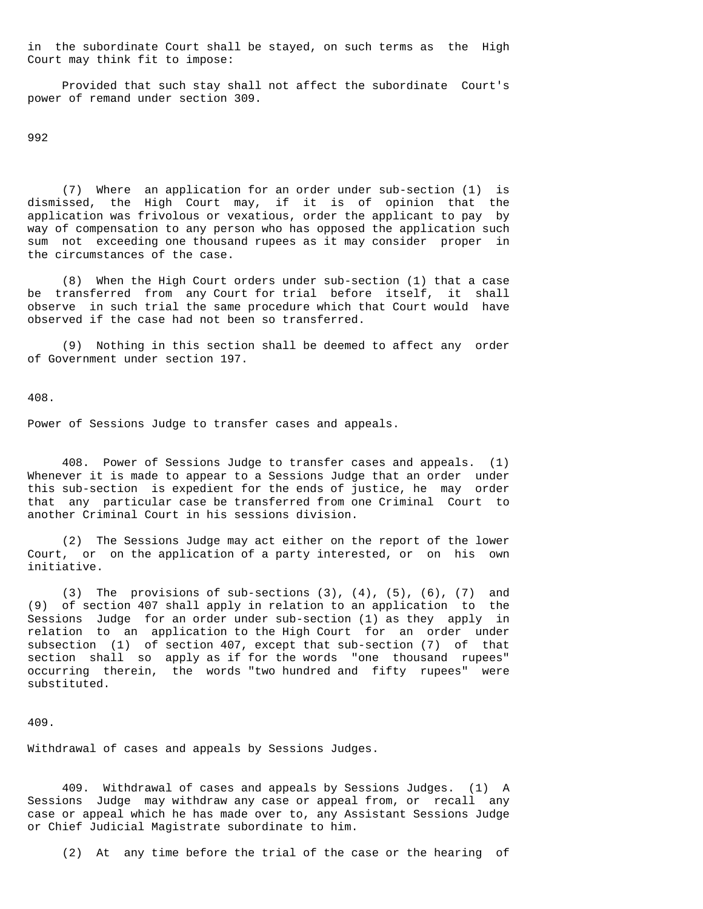in the subordinate Court shall be stayed, on such terms as the High Court may think fit to impose:

 Provided that such stay shall not affect the subordinate Court's power of remand under section 309.

992

 (7) Where an application for an order under sub-section (1) is dismissed, the High Court may, if it is of opinion that the application was frivolous or vexatious, order the applicant to pay by way of compensation to any person who has opposed the application such sum not exceeding one thousand rupees as it may consider proper in the circumstances of the case.

 (8) When the High Court orders under sub-section (1) that a case be transferred from any Court for trial before itself, it shall observe in such trial the same procedure which that Court would have observed if the case had not been so transferred.

 (9) Nothing in this section shall be deemed to affect any order of Government under section 197.

408.

Power of Sessions Judge to transfer cases and appeals.

 408. Power of Sessions Judge to transfer cases and appeals. (1) Whenever it is made to appear to a Sessions Judge that an order under this sub-section is expedient for the ends of justice, he may order that any particular case be transferred from one Criminal Court to another Criminal Court in his sessions division.

 (2) The Sessions Judge may act either on the report of the lower Court, or on the application of a party interested, or on his own initiative.

(3) The provisions of sub-sections  $(3)$ ,  $(4)$ ,  $(5)$ ,  $(6)$ ,  $(7)$  and (9) of section 407 shall apply in relation to an application to the Sessions Judge for an order under sub-section (1) as they apply in relation to an application to the High Court for an order under subsection (1) of section 407, except that sub-section (7) of that section shall so apply as if for the words "one thousand rupees" occurring therein, the words "two hundred and fifty rupees" were substituted.

409.

Withdrawal of cases and appeals by Sessions Judges.

 409. Withdrawal of cases and appeals by Sessions Judges. (1) A Sessions Judge may withdraw any case or appeal from, or recall any case or appeal which he has made over to, any Assistant Sessions Judge or Chief Judicial Magistrate subordinate to him.

(2) At any time before the trial of the case or the hearing of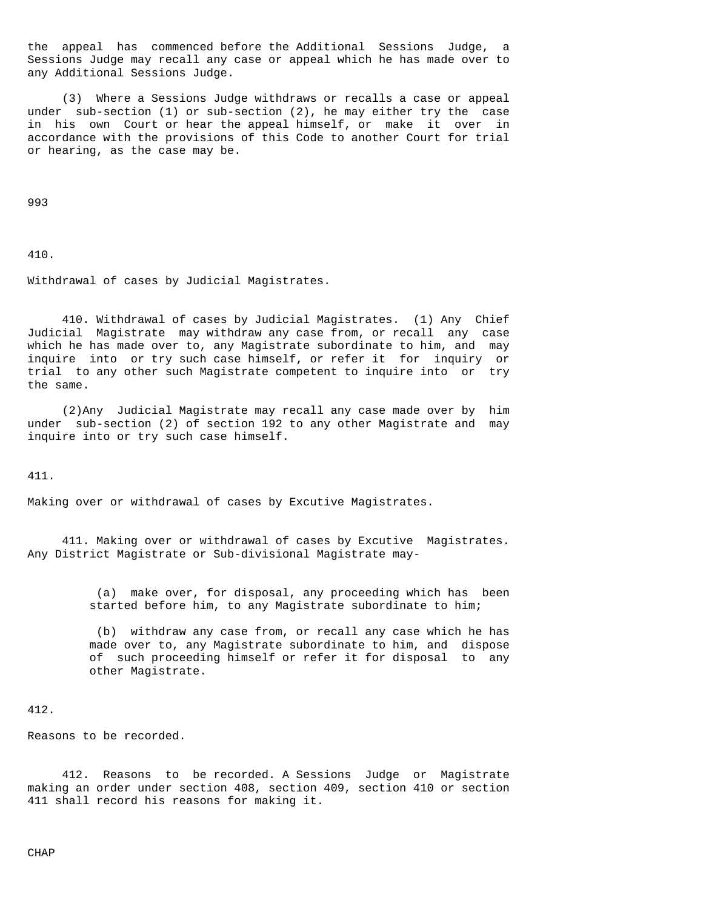the appeal has commenced before the Additional Sessions Judge, a Sessions Judge may recall any case or appeal which he has made over to any Additional Sessions Judge.

 (3) Where a Sessions Judge withdraws or recalls a case or appeal under sub-section (1) or sub-section (2), he may either try the case in his own Court or hear the appeal himself, or make it over in accordance with the provisions of this Code to another Court for trial or hearing, as the case may be.

993

410.

Withdrawal of cases by Judicial Magistrates.

 410. Withdrawal of cases by Judicial Magistrates. (1) Any Chief Judicial Magistrate may withdraw any case from, or recall any case which he has made over to, any Magistrate subordinate to him, and may inquire into or try such case himself, or refer it for inquiry or trial to any other such Magistrate competent to inquire into or try the same.

 (2)Any Judicial Magistrate may recall any case made over by him under sub-section (2) of section 192 to any other Magistrate and may inquire into or try such case himself.

411.

Making over or withdrawal of cases by Excutive Magistrates.

 411. Making over or withdrawal of cases by Excutive Magistrates. Any District Magistrate or Sub-divisional Magistrate may-

> (a) make over, for disposal, any proceeding which has been started before him, to any Magistrate subordinate to him;

> (b) withdraw any case from, or recall any case which he has made over to, any Magistrate subordinate to him, and dispose of such proceeding himself or refer it for disposal to any other Magistrate.

# 412.

Reasons to be recorded.

 412. Reasons to be recorded. A Sessions Judge or Magistrate making an order under section 408, section 409, section 410 or section 411 shall record his reasons for making it.

CHAP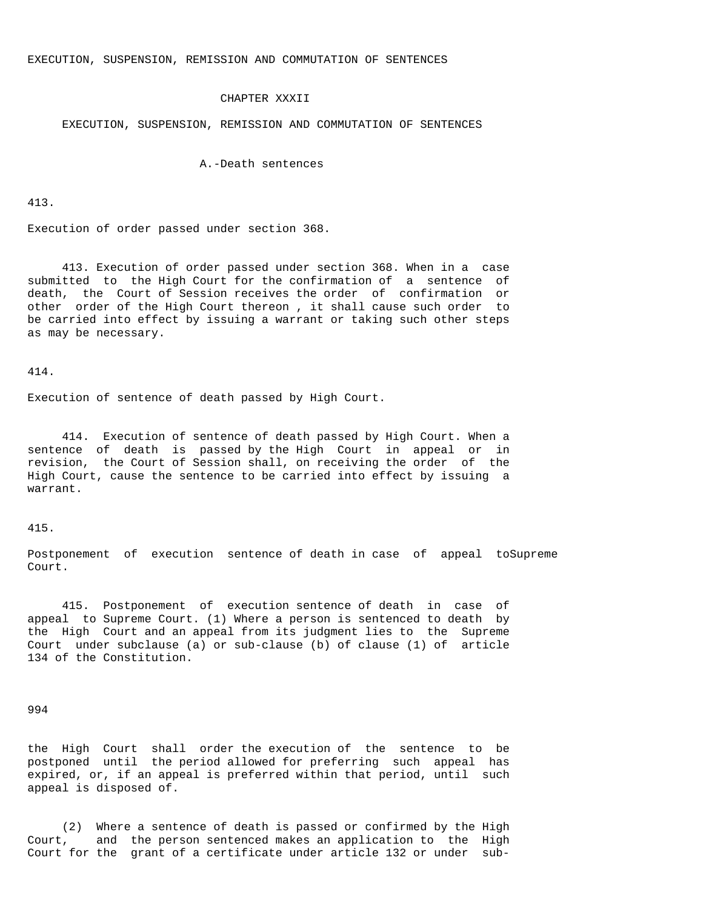EXECUTION, SUSPENSION, REMISSION AND COMMUTATION OF SENTENCES

#### CHAPTER XXXII

EXECUTION, SUSPENSION, REMISSION AND COMMUTATION OF SENTENCES

# A.-Death sentences

413.

Execution of order passed under section 368.

 413. Execution of order passed under section 368. When in a case submitted to the High Court for the confirmation of a sentence of death, the Court of Session receives the order of confirmation or other order of the High Court thereon , it shall cause such order to be carried into effect by issuing a warrant or taking such other steps as may be necessary.

## 414.

Execution of sentence of death passed by High Court.

 414. Execution of sentence of death passed by High Court. When a sentence of death is passed by the High Court in appeal or in revision, the Court of Session shall, on receiving the order of the High Court, cause the sentence to be carried into effect by issuing a warrant.

### 415.

 Postponement of execution sentence of death in case of appeal toSupreme Court.

 415. Postponement of execution sentence of death in case of appeal to Supreme Court. (1) Where a person is sentenced to death by the High Court and an appeal from its judgment lies to the Supreme Court under subclause (a) or sub-clause (b) of clause (1) of article 134 of the Constitution.

#### 994

 the High Court shall order the execution of the sentence to be postponed until the period allowed for preferring such appeal has expired, or, if an appeal is preferred within that period, until such appeal is disposed of.

 (2) Where a sentence of death is passed or confirmed by the High Court, and the person sentenced makes an application to the High Court for the grant of a certificate under article 132 or under sub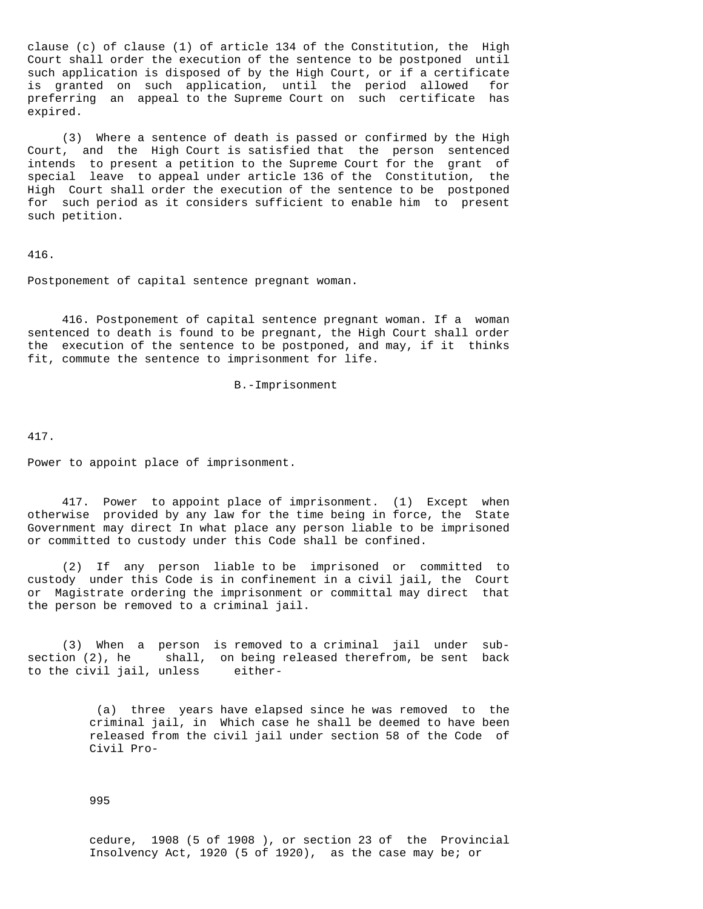clause (c) of clause (1) of article 134 of the Constitution, the High Court shall order the execution of the sentence to be postponed until such application is disposed of by the High Court, or if a certificate is granted on such application, until the period allowed for preferring an appeal to the Supreme Court on such certificate has expired.

 (3) Where a sentence of death is passed or confirmed by the High Court, and the High Court is satisfied that the person sentenced intends to present a petition to the Supreme Court for the grant of special leave to appeal under article 136 of the Constitution, the High Court shall order the execution of the sentence to be postponed for such period as it considers sufficient to enable him to present such petition.

416.

Postponement of capital sentence pregnant woman.

 416. Postponement of capital sentence pregnant woman. If a woman sentenced to death is found to be pregnant, the High Court shall order the execution of the sentence to be postponed, and may, if it thinks fit, commute the sentence to imprisonment for life.

B.-Imprisonment

417.

Power to appoint place of imprisonment.

 417. Power to appoint place of imprisonment. (1) Except when otherwise provided by any law for the time being in force, the State Government may direct In what place any person liable to be imprisoned or committed to custody under this Code shall be confined.

 (2) If any person liable to be imprisoned or committed to custody under this Code is in confinement in a civil jail, the Court or Magistrate ordering the imprisonment or committal may direct that the person be removed to a criminal jail.

 (3) When a person is removed to a criminal jail under sub section (2), he shall, on being released therefrom, be sent back to the civil jail, unless either-

> (a) three years have elapsed since he was removed to the criminal jail, in Which case he shall be deemed to have been released from the civil jail under section 58 of the Code of Civil Pro-

995

 cedure, 1908 (5 of 1908 ), or section 23 of the Provincial Insolvency Act, 1920 (5 of 1920), as the case may be; or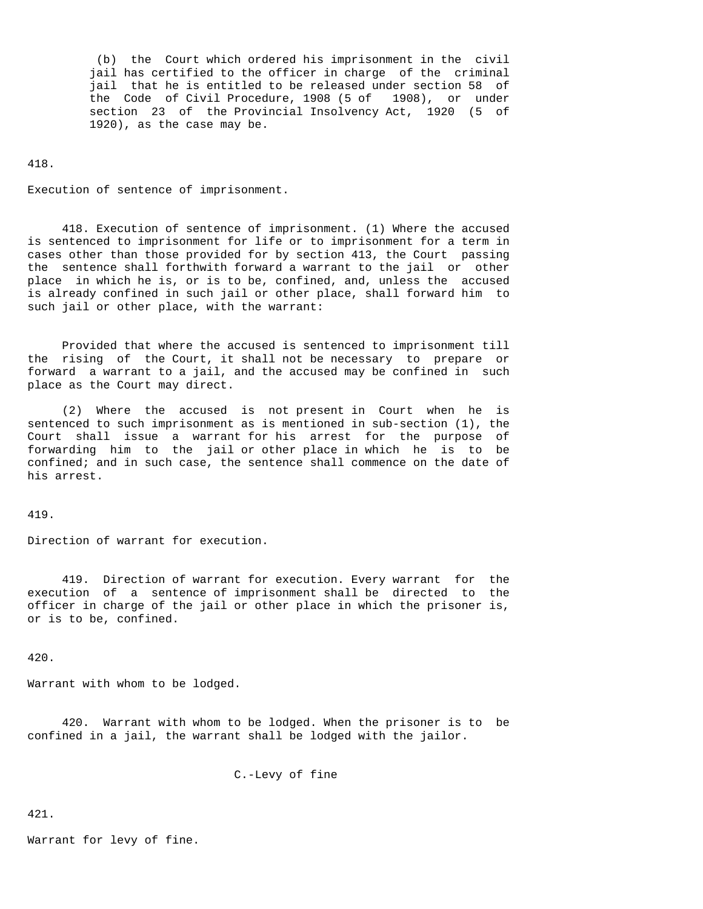(b) the Court which ordered his imprisonment in the civil jail has certified to the officer in charge of the criminal jail that he is entitled to be released under section 58 of the Code of Civil Procedure, 1908 (5 of 1908), or under section 23 of the Provincial Insolvency Act, 1920 (5 of 1920), as the case may be.

418.

Execution of sentence of imprisonment.

 418. Execution of sentence of imprisonment. (1) Where the accused is sentenced to imprisonment for life or to imprisonment for a term in cases other than those provided for by section 413, the Court passing the sentence shall forthwith forward a warrant to the jail or other place in which he is, or is to be, confined, and, unless the accused is already confined in such jail or other place, shall forward him to such jail or other place, with the warrant:

 Provided that where the accused is sentenced to imprisonment till the rising of the Court, it shall not be necessary to prepare or forward a warrant to a jail, and the accused may be confined in such place as the Court may direct.

 (2) Where the accused is not present in Court when he is sentenced to such imprisonment as is mentioned in sub-section (1), the Court shall issue a warrant for his arrest for the purpose of forwarding him to the jail or other place in which he is to be confined; and in such case, the sentence shall commence on the date of his arrest.

419.

Direction of warrant for execution.

 419. Direction of warrant for execution. Every warrant for the execution of a sentence of imprisonment shall be directed to the officer in charge of the jail or other place in which the prisoner is, or is to be, confined.

420.

Warrant with whom to be lodged.

 420. Warrant with whom to be lodged. When the prisoner is to be confined in a jail, the warrant shall be lodged with the jailor.

C.-Levy of fine

421.

Warrant for levy of fine.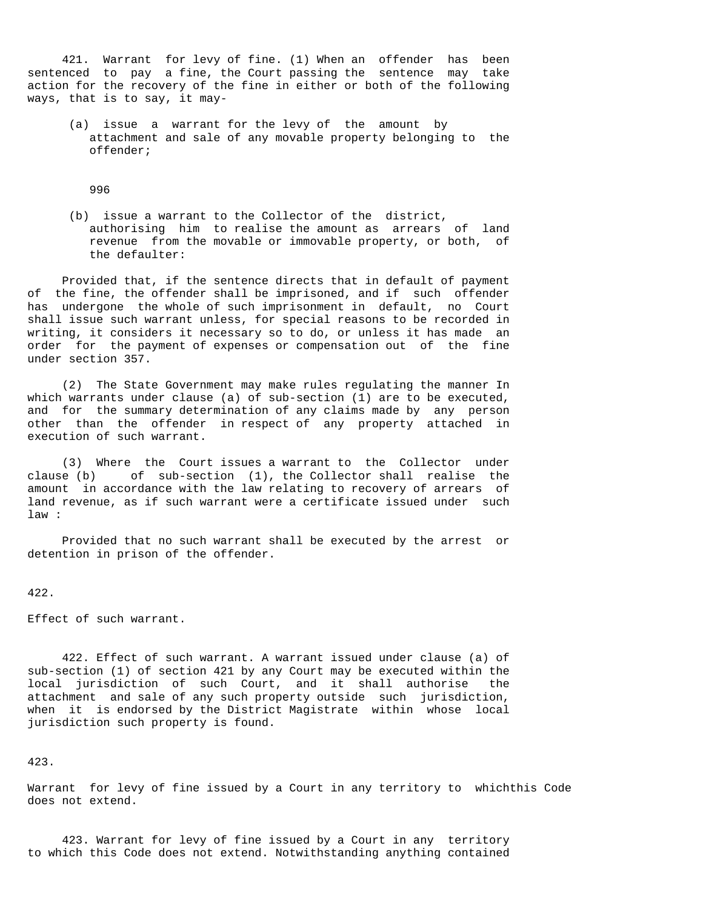421. Warrant for levy of fine. (1) When an offender has been sentenced to pay a fine, the Court passing the sentence may take action for the recovery of the fine in either or both of the following ways, that is to say, it may-

 (a) issue a warrant for the levy of the amount by attachment and sale of any movable property belonging to the offender;

996

 (b) issue a warrant to the Collector of the district, authorising him to realise the amount as arrears of land revenue from the movable or immovable property, or both, of the defaulter:

 Provided that, if the sentence directs that in default of payment of the fine, the offender shall be imprisoned, and if such offender has undergone the whole of such imprisonment in default, no Court shall issue such warrant unless, for special reasons to be recorded in writing, it considers it necessary so to do, or unless it has made an order for the payment of expenses or compensation out of the fine under section 357.

 (2) The State Government may make rules regulating the manner In which warrants under clause (a) of sub-section (1) are to be executed, and for the summary determination of any claims made by any person other than the offender in respect of any property attached in execution of such warrant.

 (3) Where the Court issues a warrant to the Collector under clause (b) of sub-section (1), the Collector shall realise the amount in accordance with the law relating to recovery of arrears of land revenue, as if such warrant were a certificate issued under such law :

 Provided that no such warrant shall be executed by the arrest or detention in prison of the offender.

422.

Effect of such warrant.

 422. Effect of such warrant. A warrant issued under clause (a) of sub-section (1) of section 421 by any Court may be executed within the local jurisdiction of such Court, and it shall authorise the attachment and sale of any such property outside such jurisdiction, when it is endorsed by the District Magistrate within whose local jurisdiction such property is found.

423.

 Warrant for levy of fine issued by a Court in any territory to whichthis Code does not extend.

 423. Warrant for levy of fine issued by a Court in any territory to which this Code does not extend. Notwithstanding anything contained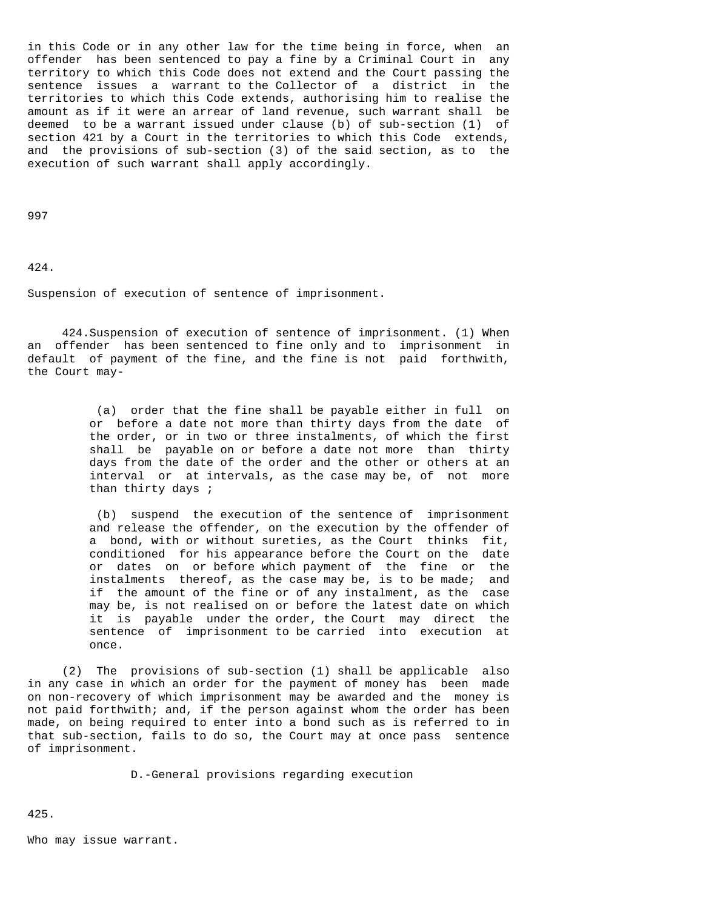in this Code or in any other law for the time being in force, when an offender has been sentenced to pay a fine by a Criminal Court in any territory to which this Code does not extend and the Court passing the sentence issues a warrant to the Collector of a district in the territories to which this Code extends, authorising him to realise the amount as if it were an arrear of land revenue, such warrant shall be deemed to be a warrant issued under clause (b) of sub-section (1) of section 421 by a Court in the territories to which this Code extends, and the provisions of sub-section (3) of the said section, as to the execution of such warrant shall apply accordingly.

997

424.

Suspension of execution of sentence of imprisonment.

 424.Suspension of execution of sentence of imprisonment. (1) When an offender has been sentenced to fine only and to imprisonment in default of payment of the fine, and the fine is not paid forthwith, the Court may-

> (a) order that the fine shall be payable either in full on or before a date not more than thirty days from the date of the order, or in two or three instalments, of which the first shall be payable on or before a date not more than thirty days from the date of the order and the other or others at an interval or at intervals, as the case may be, of not more than thirty days ;

> (b) suspend the execution of the sentence of imprisonment and release the offender, on the execution by the offender of a bond, with or without sureties, as the Court thinks fit, conditioned for his appearance before the Court on the date or dates on or before which payment of the fine or the instalments thereof, as the case may be, is to be made; and if the amount of the fine or of any instalment, as the case may be, is not realised on or before the latest date on which it is payable under the order, the Court may direct the sentence of imprisonment to be carried into execution at once.

 (2) The provisions of sub-section (1) shall be applicable also in any case in which an order for the payment of money has been made on non-recovery of which imprisonment may be awarded and the money is not paid forthwith; and, if the person against whom the order has been made, on being required to enter into a bond such as is referred to in that sub-section, fails to do so, the Court may at once pass sentence of imprisonment.

D.-General provisions regarding execution

425.

Who may issue warrant.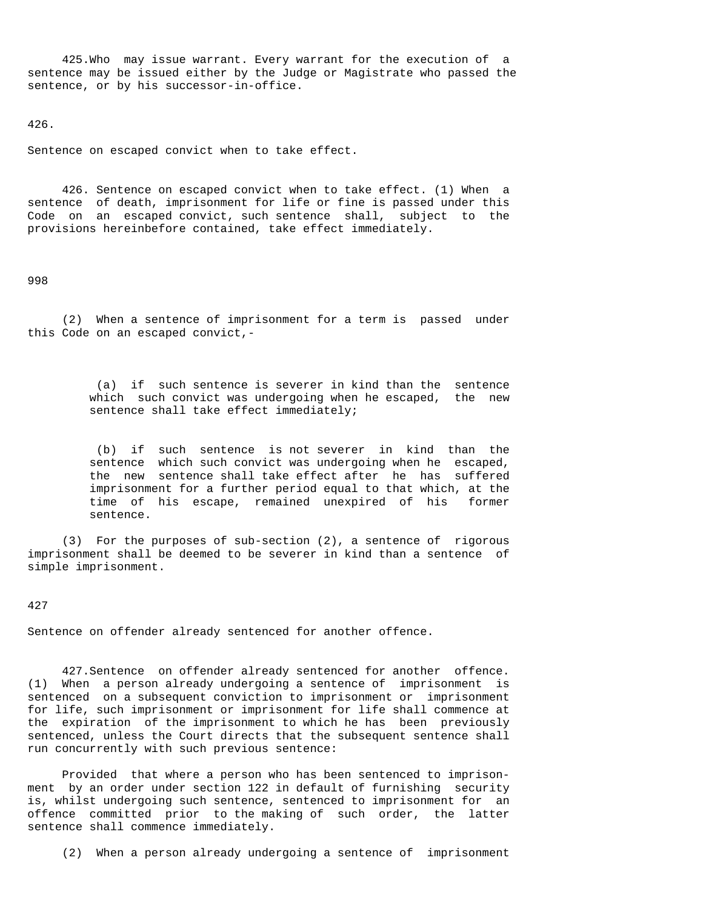425.Who may issue warrant. Every warrant for the execution of a sentence may be issued either by the Judge or Magistrate who passed the sentence, or by his successor-in-office.

426.

Sentence on escaped convict when to take effect.

 426. Sentence on escaped convict when to take effect. (1) When a sentence of death, imprisonment for life or fine is passed under this Code on an escaped convict, such sentence shall, subject to the provisions hereinbefore contained, take effect immediately.

998

 (2) When a sentence of imprisonment for a term is passed under this Code on an escaped convict,-

> (a) if such sentence is severer in kind than the sentence which such convict was undergoing when he escaped, the new sentence shall take effect immediately;

> (b) if such sentence is not severer in kind than the sentence which such convict was undergoing when he escaped, the new sentence shall take effect after he has suffered imprisonment for a further period equal to that which, at the time of his escape, remained unexpired of his former sentence.

 (3) For the purposes of sub-section (2), a sentence of rigorous imprisonment shall be deemed to be severer in kind than a sentence of simple imprisonment.

427

Sentence on offender already sentenced for another offence.

 427.Sentence on offender already sentenced for another offence. (1) When a person already undergoing a sentence of imprisonment is sentenced on a subsequent conviction to imprisonment or imprisonment for life, such imprisonment or imprisonment for life shall commence at the expiration of the imprisonment to which he has been previously sentenced, unless the Court directs that the subsequent sentence shall run concurrently with such previous sentence:

 Provided that where a person who has been sentenced to imprison ment by an order under section 122 in default of furnishing security is, whilst undergoing such sentence, sentenced to imprisonment for an offence committed prior to the making of such order, the latter sentence shall commence immediately.

(2) When a person already undergoing a sentence of imprisonment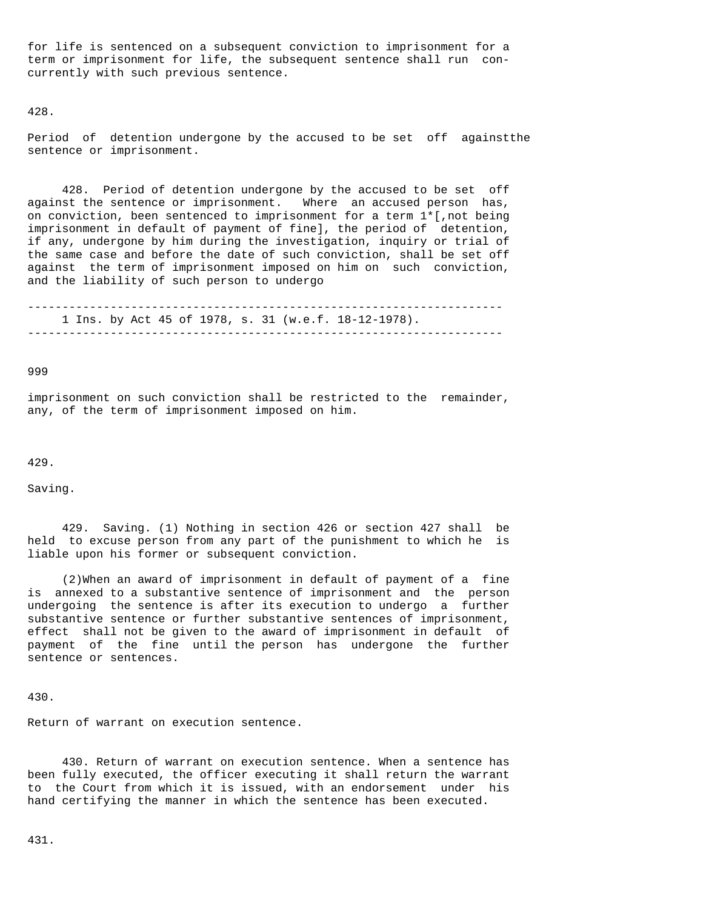for life is sentenced on a subsequent conviction to imprisonment for a term or imprisonment for life, the subsequent sentence shall run con currently with such previous sentence.

428.

 Period of detention undergone by the accused to be set off againstthe sentence or imprisonment.

 428. Period of detention undergone by the accused to be set off against the sentence or imprisonment. Where an accused person has, on conviction, been sentenced to imprisonment for a term 1\*[,not being imprisonment in default of payment of fine], the period of detention, if any, undergone by him during the investigation, inquiry or trial of the same case and before the date of such conviction, shall be set off against the term of imprisonment imposed on him on such conviction, and the liability of such person to undergo

 --------------------------------------------------------------------- 1 Ins. by Act 45 of 1978, s. 31 (w.e.f. 18-12-1978). ---------------------------------------------------------------------

999

 imprisonment on such conviction shall be restricted to the remainder, any, of the term of imprisonment imposed on him.

429.

Saving.

 429. Saving. (1) Nothing in section 426 or section 427 shall be held to excuse person from any part of the punishment to which he is liable upon his former or subsequent conviction.

 (2)When an award of imprisonment in default of payment of a fine is annexed to a substantive sentence of imprisonment and the person undergoing the sentence is after its execution to undergo a further substantive sentence or further substantive sentences of imprisonment, effect shall not be given to the award of imprisonment in default of payment of the fine until the person has undergone the further sentence or sentences.

430.

Return of warrant on execution sentence.

 430. Return of warrant on execution sentence. When a sentence has been fully executed, the officer executing it shall return the warrant to the Court from which it is issued, with an endorsement under his hand certifying the manner in which the sentence has been executed.

431.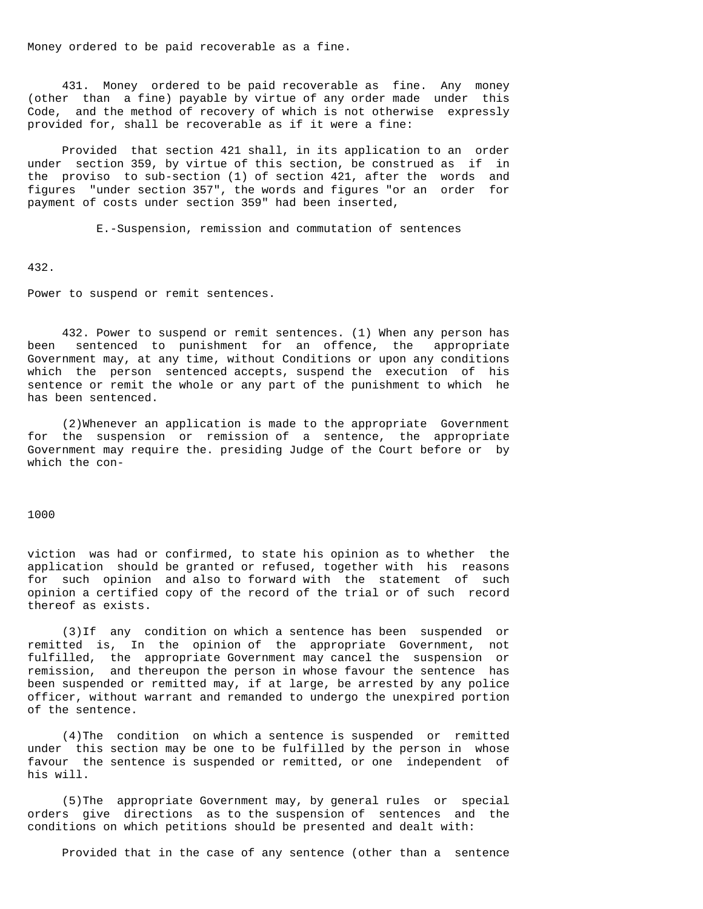Money ordered to be paid recoverable as a fine.

 431. Money ordered to be paid recoverable as fine. Any money (other than a fine) payable by virtue of any order made under this Code, and the method of recovery of which is not otherwise expressly provided for, shall be recoverable as if it were a fine:

 Provided that section 421 shall, in its application to an order under section 359, by virtue of this section, be construed as if in the proviso to sub-section (1) of section 421, after the words and figures "under section 357", the words and figures "or an order for payment of costs under section 359" had been inserted,

E.-Suspension, remission and commutation of sentences

432.

Power to suspend or remit sentences.

 432. Power to suspend or remit sentences. (1) When any person has been sentenced to punishment for an offence, the appropriate Government may, at any time, without Conditions or upon any conditions which the person sentenced accepts, suspend the execution of his sentence or remit the whole or any part of the punishment to which he has been sentenced.

 (2)Whenever an application is made to the appropriate Government for the suspension or remission of a sentence, the appropriate Government may require the. presiding Judge of the Court before or by which the con-

#### 1000

 viction was had or confirmed, to state his opinion as to whether the application should be granted or refused, together with his reasons for such opinion and also to forward with the statement of such opinion a certified copy of the record of the trial or of such record thereof as exists.

 (3)If any condition on which a sentence has been suspended or remitted is, In the opinion of the appropriate Government, not fulfilled, the appropriate Government may cancel the suspension or remission, and thereupon the person in whose favour the sentence has been suspended or remitted may, if at large, be arrested by any police officer, without warrant and remanded to undergo the unexpired portion of the sentence.

 (4)The condition on which a sentence is suspended or remitted under this section may be one to be fulfilled by the person in whose favour the sentence is suspended or remitted, or one independent of his will.

 (5)The appropriate Government may, by general rules or special orders give directions as to the suspension of sentences and the conditions on which petitions should be presented and dealt with:

Provided that in the case of any sentence (other than a sentence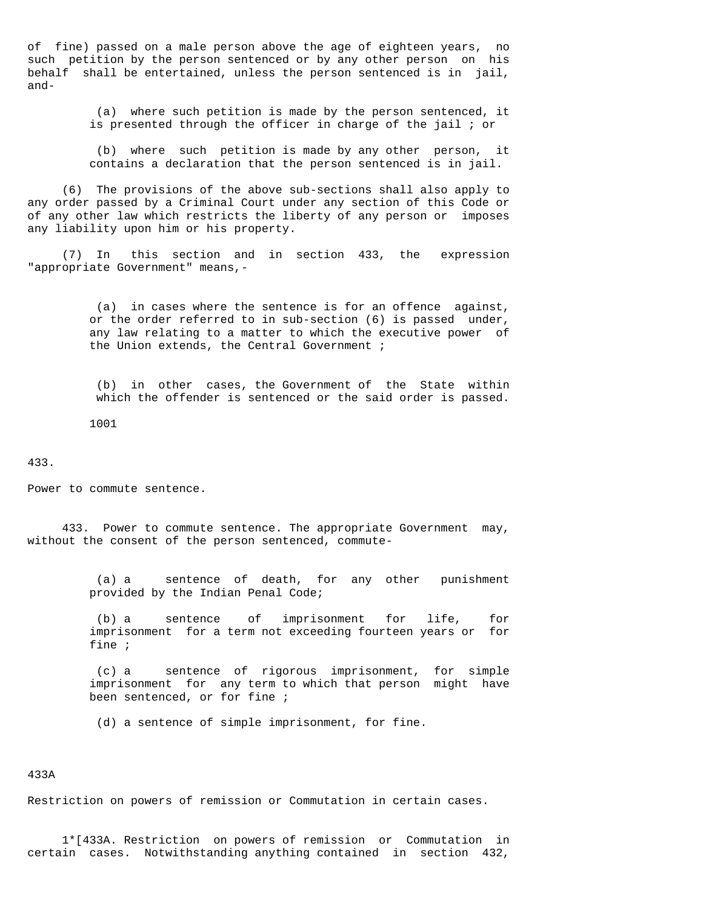of fine) passed on a male person above the age of eighteen years, no such petition by the person sentenced or by any other person on his behalf shall be entertained, unless the person sentenced is in jail, and-

> (a) where such petition is made by the person sentenced, it is presented through the officer in charge of the jail ; or

> (b) where such petition is made by any other person, it contains a declaration that the person sentenced is in jail.

 (6) The provisions of the above sub-sections shall also apply to any order passed by a Criminal Court under any section of this Code or of any other law which restricts the liberty of any person or imposes any liability upon him or his property.

 (7) In this section and in section 433, the expression "appropriate Government" means,-

> (a) in cases where the sentence is for an offence against, or the order referred to in sub-section (6) is passed under, any law relating to a matter to which the executive power of the Union extends, the Central Government ;

 (b) in other cases, the Government of the State within which the offender is sentenced or the said order is passed.

1001

433.

Power to commute sentence.

 433. Power to commute sentence. The appropriate Government may, without the consent of the person sentenced, commute-

> (a) a sentence of death, for any other punishment provided by the Indian Penal Code;

> (b) a sentence of imprisonment for life, for imprisonment for a term not exceeding fourteen years or for fine ;

> (c) a sentence of rigorous imprisonment, for simple imprisonment for any term to which that person might have been sentenced, or for fine ;

(d) a sentence of simple imprisonment, for fine.

# 433A

Restriction on powers of remission or Commutation in certain cases.

 1\*[433A. Restriction on powers of remission or Commutation in certain cases. Notwithstanding anything contained in section 432,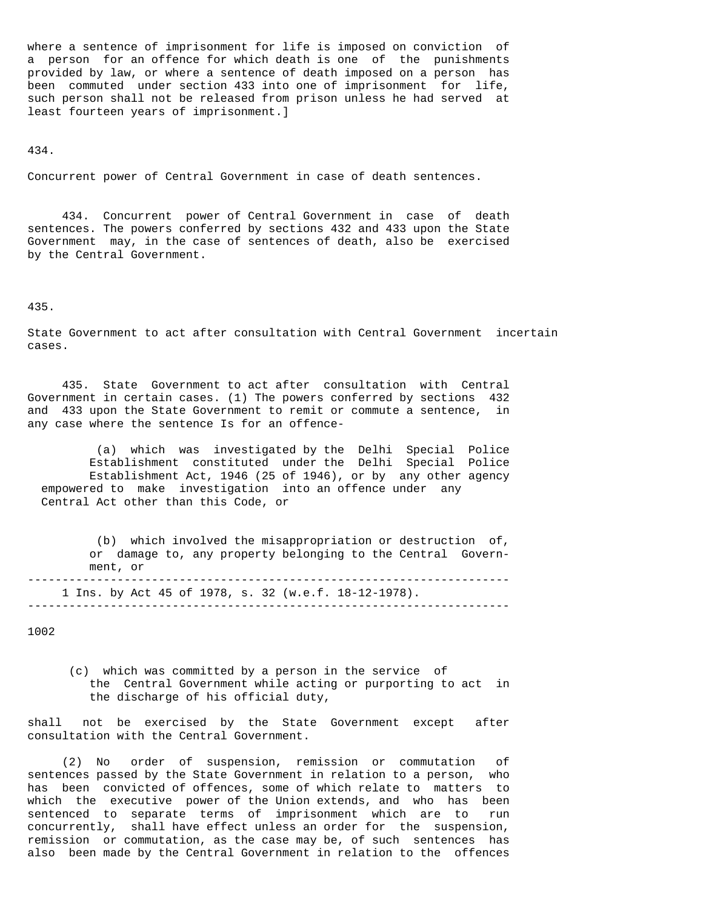where a sentence of imprisonment for life is imposed on conviction of a person for an offence for which death is one of the punishments provided by law, or where a sentence of death imposed on a person has been commuted under section 433 into one of imprisonment for life, such person shall not be released from prison unless he had served at least fourteen years of imprisonment.]

434.

Concurrent power of Central Government in case of death sentences.

 434. Concurrent power of Central Government in case of death sentences. The powers conferred by sections 432 and 433 upon the State Government may, in the case of sentences of death, also be exercised by the Central Government.

435.

 State Government to act after consultation with Central Government incertain cases.

 435. State Government to act after consultation with Central Government in certain cases. (1) The powers conferred by sections 432 and 433 upon the State Government to remit or commute a sentence, in any case where the sentence Is for an offence-

 (a) which was investigated by the Delhi Special Police Establishment constituted under the Delhi Special Police Establishment Act, 1946 (25 of 1946), or by any other agency empowered to make investigation into an offence under any Central Act other than this Code, or

 (b) which involved the misappropriation or destruction of, or damage to, any property belonging to the Central Govern ment, or ---------------------------------------------------------------------- 1 Ins. by Act 45 of 1978, s. 32 (w.e.f. 18-12-1978).

1002

 (c) which was committed by a person in the service of the Central Government while acting or purporting to act in the discharge of his official duty,

----------------------------------------------------------------------

 shall not be exercised by the State Government except after consultation with the Central Government.

 (2) No order of suspension, remission or commutation of sentences passed by the State Government in relation to a person, who has been convicted of offences, some of which relate to matters to which the executive power of the Union extends, and who has been sentenced to separate terms of imprisonment which are to run concurrently, shall have effect unless an order for the suspension, remission or commutation, as the case may be, of such sentences has also been made by the Central Government in relation to the offences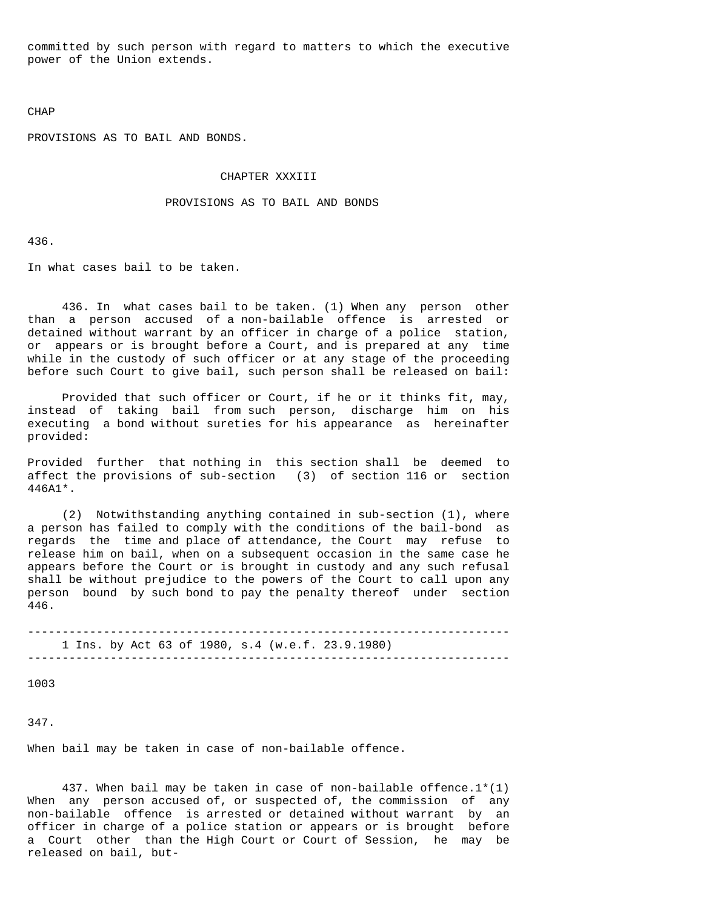committed by such person with regard to matters to which the executive power of the Union extends.

CHAP

PROVISIONS AS TO BAIL AND BONDS.

# CHAPTER XXXIII

## PROVISIONS AS TO BAIL AND BONDS

436.

In what cases bail to be taken.

 436. In what cases bail to be taken. (1) When any person other than a person accused of a non-bailable offence is arrested or detained without warrant by an officer in charge of a police station, or appears or is brought before a Court, and is prepared at any time while in the custody of such officer or at any stage of the proceeding before such Court to give bail, such person shall be released on bail:

 Provided that such officer or Court, if he or it thinks fit, may, instead of taking bail from such person, discharge him on his executing a bond without sureties for his appearance as hereinafter provided:

 Provided further that nothing in this section shall be deemed to affect the provisions of sub-section (3) of section 116 or section 446A1\*.

 (2) Notwithstanding anything contained in sub-section (1), where a person has failed to comply with the conditions of the bail-bond as regards the time and place of attendance, the Court may refuse to release him on bail, when on a subsequent occasion in the same case he appears before the Court or is brought in custody and any such refusal shall be without prejudice to the powers of the Court to call upon any person bound by such bond to pay the penalty thereof under section 446.

 ---------------------------------------------------------------------- 1 Ins. by Act 63 of 1980, s.4 (w.e.f. 23.9.1980) ----------------------------------------------------------------------

1003

347.

When bail may be taken in case of non-bailable offence.

 437. When bail may be taken in case of non-bailable offence.1\*(1) When any person accused of, or suspected of, the commission of any non-bailable offence is arrested or detained without warrant by an officer in charge of a police station or appears or is brought before a Court other than the High Court or Court of Session, he may be released on bail, but-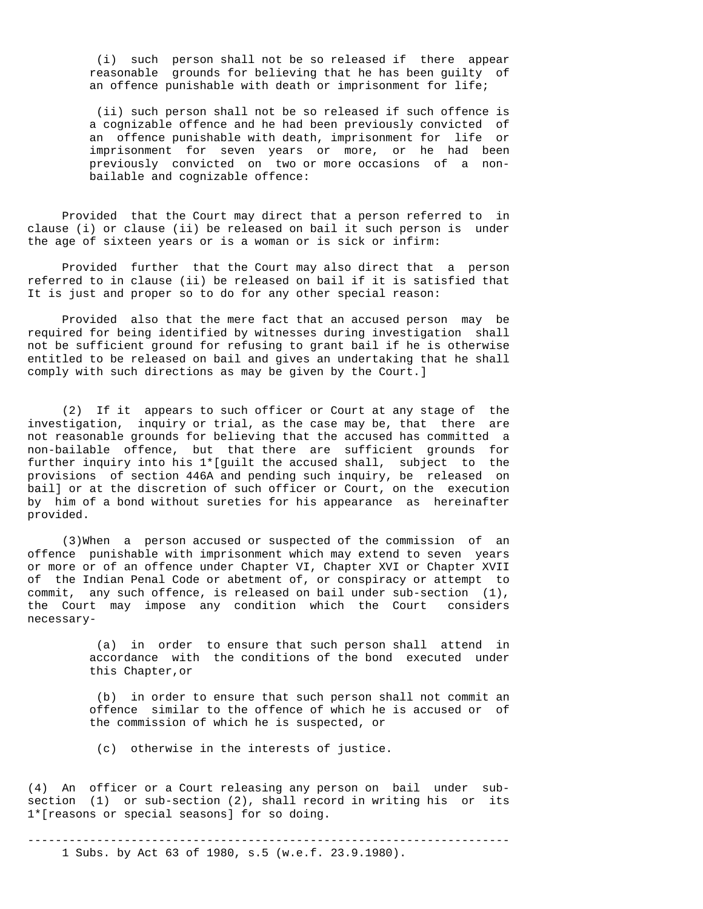(i) such person shall not be so released if there appear reasonable grounds for believing that he has been guilty of an offence punishable with death or imprisonment for life;

 (ii) such person shall not be so released if such offence is a cognizable offence and he had been previously convicted of an offence punishable with death, imprisonment for life or imprisonment for seven years or more, or he had been previously convicted on two or more occasions of a non bailable and cognizable offence:

 Provided that the Court may direct that a person referred to in clause (i) or clause (ii) be released on bail it such person is under the age of sixteen years or is a woman or is sick or infirm:

 Provided further that the Court may also direct that a person referred to in clause (ii) be released on bail if it is satisfied that It is just and proper so to do for any other special reason:

 Provided also that the mere fact that an accused person may be required for being identified by witnesses during investigation shall not be sufficient ground for refusing to grant bail if he is otherwise entitled to be released on bail and gives an undertaking that he shall comply with such directions as may be given by the Court.]

 (2) If it appears to such officer or Court at any stage of the investigation, inquiry or trial, as the case may be, that there are not reasonable grounds for believing that the accused has committed a non-bailable offence, but that there are sufficient grounds for further inquiry into his 1\*[guilt the accused shall, subject to the provisions of section 446A and pending such inquiry, be released on bail] or at the discretion of such officer or Court, on the execution by him of a bond without sureties for his appearance as hereinafter provided.

 (3)When a person accused or suspected of the commission of an offence punishable with imprisonment which may extend to seven years or more or of an offence under Chapter VI, Chapter XVI or Chapter XVII of the Indian Penal Code or abetment of, or conspiracy or attempt to commit, any such offence, is released on bail under sub-section (1), the Court may impose any condition which the Court considers necessary-

> (a) in order to ensure that such person shall attend in accordance with the conditions of the bond executed under this Chapter,or

> (b) in order to ensure that such person shall not commit an offence similar to the offence of which he is accused or of the commission of which he is suspected, or

(c) otherwise in the interests of justice.

 (4) An officer or a Court releasing any person on bail under sub section (1) or sub-section (2), shall record in writing his or its 1\*[reasons or special seasons] for so doing.

----------------------------------------------------------------------

1 Subs. by Act 63 of 1980, s.5 (w.e.f. 23.9.1980).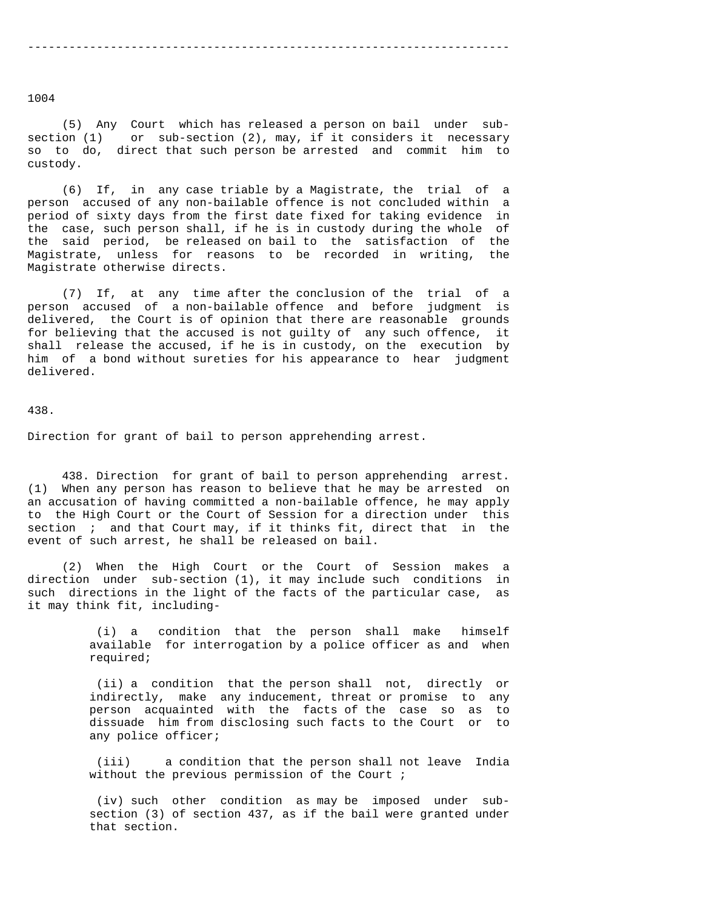----------------------------------------------------------------------

 (5) Any Court which has released a person on bail under sub section (1) or sub-section (2), may, if it considers it necessary so to do, direct that such person be arrested and commit him to custody.

 (6) If, in any case triable by a Magistrate, the trial of a person accused of any non-bailable offence is not concluded within a period of sixty days from the first date fixed for taking evidence in the case, such person shall, if he is in custody during the whole of the said period, be released on bail to the satisfaction of the Magistrate, unless for reasons to be recorded in writing, the Magistrate otherwise directs.

 (7) If, at any time after the conclusion of the trial of a person accused of a non-bailable offence and before judgment is delivered, the Court is of opinion that there are reasonable grounds for believing that the accused is not guilty of any such offence, it shall release the accused, if he is in custody, on the execution by him of a bond without sureties for his appearance to hear judgment delivered.

438.

Direction for grant of bail to person apprehending arrest.

 438. Direction for grant of bail to person apprehending arrest. (1) When any person has reason to believe that he may be arrested on an accusation of having committed a non-bailable offence, he may apply to the High Court or the Court of Session for a direction under this section ; and that Court may, if it thinks fit, direct that in the event of such arrest, he shall be released on bail.

 (2) When the High Court or the Court of Session makes a direction under sub-section (1), it may include such conditions in such directions in the light of the facts of the particular case, as it may think fit, including-

> (i) a condition that the person shall make himself available for interrogation by a police officer as and when required;

> (ii) a condition that the person shall not, directly or indirectly, make any inducement, threat or promise to any person acquainted with the facts of the case so as to dissuade him from disclosing such facts to the Court or to any police officer;

> (iii) a condition that the person shall not leave India without the previous permission of the Court ;

> (iv) such other condition as may be imposed under sub section (3) of section 437, as if the bail were granted under that section.

1004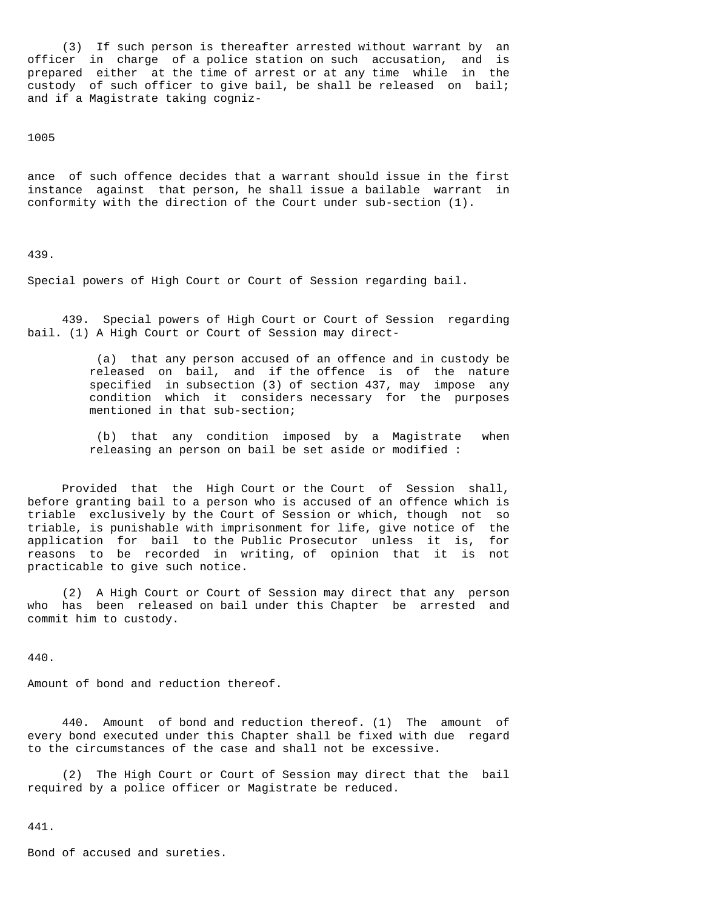(3) If such person is thereafter arrested without warrant by an officer in charge of a police station on such accusation, and is prepared either at the time of arrest or at any time while in the custody of such officer to give bail, be shall be released on bail; and if a Magistrate taking cogniz-

1005

 ance of such offence decides that a warrant should issue in the first instance against that person, he shall issue a bailable warrant in conformity with the direction of the Court under sub-section (1).

439.

Special powers of High Court or Court of Session regarding bail.

 439. Special powers of High Court or Court of Session regarding bail. (1) A High Court or Court of Session may direct-

> (a) that any person accused of an offence and in custody be released on bail, and if the offence is of the nature specified in subsection (3) of section 437, may impose any condition which it considers necessary for the purposes mentioned in that sub-section;

> (b) that any condition imposed by a Magistrate when releasing an person on bail be set aside or modified :

 Provided that the High Court or the Court of Session shall, before granting bail to a person who is accused of an offence which is triable exclusively by the Court of Session or which, though not so triable, is punishable with imprisonment for life, give notice of the application for bail to the Public Prosecutor unless it is, for reasons to be recorded in writing, of opinion that it is not practicable to give such notice.

 (2) A High Court or Court of Session may direct that any person who has been released on bail under this Chapter be arrested and commit him to custody.

440.

Amount of bond and reduction thereof.

 440. Amount of bond and reduction thereof. (1) The amount of every bond executed under this Chapter shall be fixed with due regard to the circumstances of the case and shall not be excessive.

 (2) The High Court or Court of Session may direct that the bail required by a police officer or Magistrate be reduced.

441.

Bond of accused and sureties.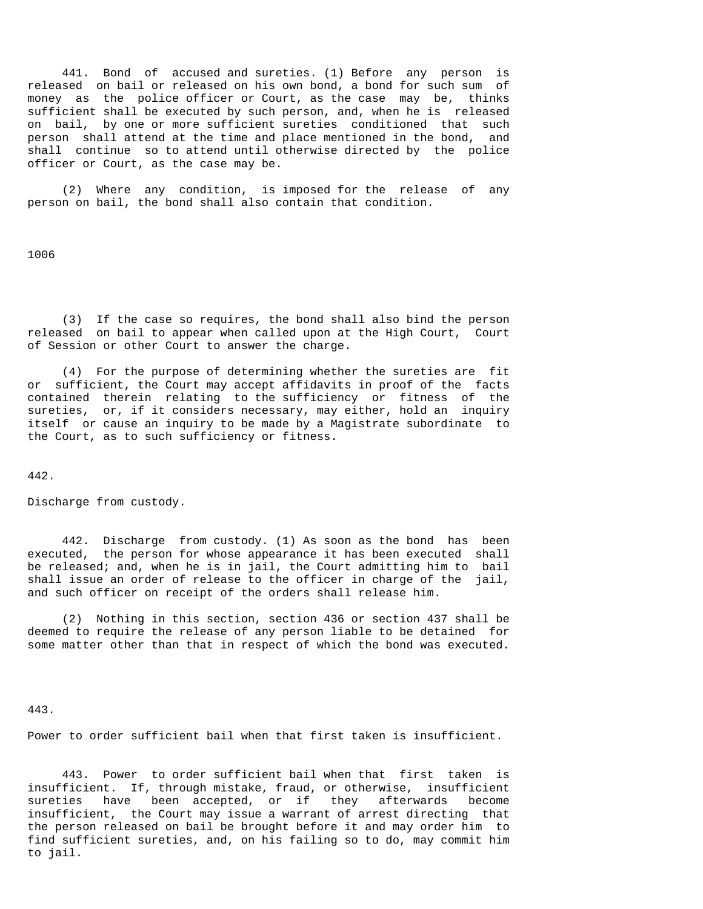441. Bond of accused and sureties. (1) Before any person is released on bail or released on his own bond, a bond for such sum of money as the police officer or Court, as the case may be, thinks sufficient shall be executed by such person, and, when he is released on bail, by one or more sufficient sureties conditioned that such person shall attend at the time and place mentioned in the bond, and shall continue so to attend until otherwise directed by the police officer or Court, as the case may be.

 (2) Where any condition, is imposed for the release of any person on bail, the bond shall also contain that condition.

1006

 (3) If the case so requires, the bond shall also bind the person released on bail to appear when called upon at the High Court, Court of Session or other Court to answer the charge.

 (4) For the purpose of determining whether the sureties are fit or sufficient, the Court may accept affidavits in proof of the facts contained therein relating to the sufficiency or fitness of the sureties, or, if it considers necessary, may either, hold an inquiry itself or cause an inquiry to be made by a Magistrate subordinate to the Court, as to such sufficiency or fitness.

442.

Discharge from custody.

 442. Discharge from custody. (1) As soon as the bond has been executed, the person for whose appearance it has been executed shall be released; and, when he is in jail, the Court admitting him to bail shall issue an order of release to the officer in charge of the jail, and such officer on receipt of the orders shall release him.

 (2) Nothing in this section, section 436 or section 437 shall be deemed to require the release of any person liable to be detained for some matter other than that in respect of which the bond was executed.

443.

Power to order sufficient bail when that first taken is insufficient.

 443. Power to order sufficient bail when that first taken is insufficient. If, through mistake, fraud, or otherwise, insufficient sureties have been accepted, or if they afterwards become insufficient, the Court may issue a warrant of arrest directing that the person released on bail be brought before it and may order him to find sufficient sureties, and, on his failing so to do, may commit him to jail.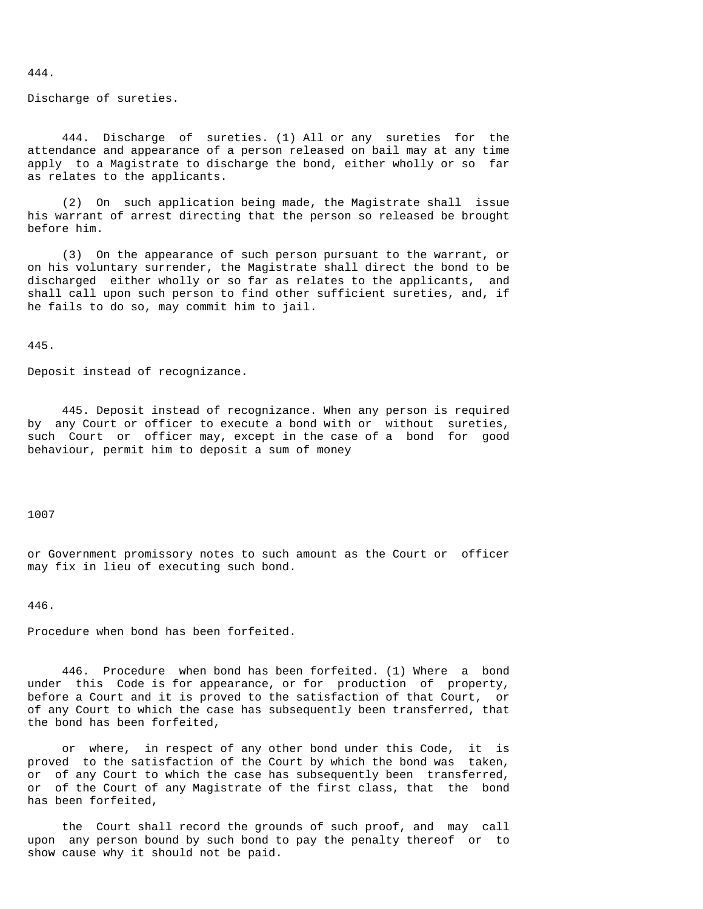Discharge of sureties.

 444. Discharge of sureties. (1) All or any sureties for the attendance and appearance of a person released on bail may at any time apply to a Magistrate to discharge the bond, either wholly or so far as relates to the applicants.

 (2) On such application being made, the Magistrate shall issue his warrant of arrest directing that the person so released be brought before him.

 (3) On the appearance of such person pursuant to the warrant, or on his voluntary surrender, the Magistrate shall direct the bond to be discharged either wholly or so far as relates to the applicants, and shall call upon such person to find other sufficient sureties, and, if he fails to do so, may commit him to jail.

445.

Deposit instead of recognizance.

 445. Deposit instead of recognizance. When any person is required by any Court or officer to execute a bond with or without sureties, such Court or officer may, except in the case of a bond for good behaviour, permit him to deposit a sum of money

#### 1007

 or Government promissory notes to such amount as the Court or officer may fix in lieu of executing such bond.

446.

Procedure when bond has been forfeited.

 446. Procedure when bond has been forfeited. (1) Where a bond under this Code is for appearance, or for production of property, before a Court and it is proved to the satisfaction of that Court, or of any Court to which the case has subsequently been transferred, that the bond has been forfeited,

 or where, in respect of any other bond under this Code, it is proved to the satisfaction of the Court by which the bond was taken, or of any Court to which the case has subsequently been transferred, or of the Court of any Magistrate of the first class, that the bond has been forfeited,

 the Court shall record the grounds of such proof, and may call upon any person bound by such bond to pay the penalty thereof or to show cause why it should not be paid.

444.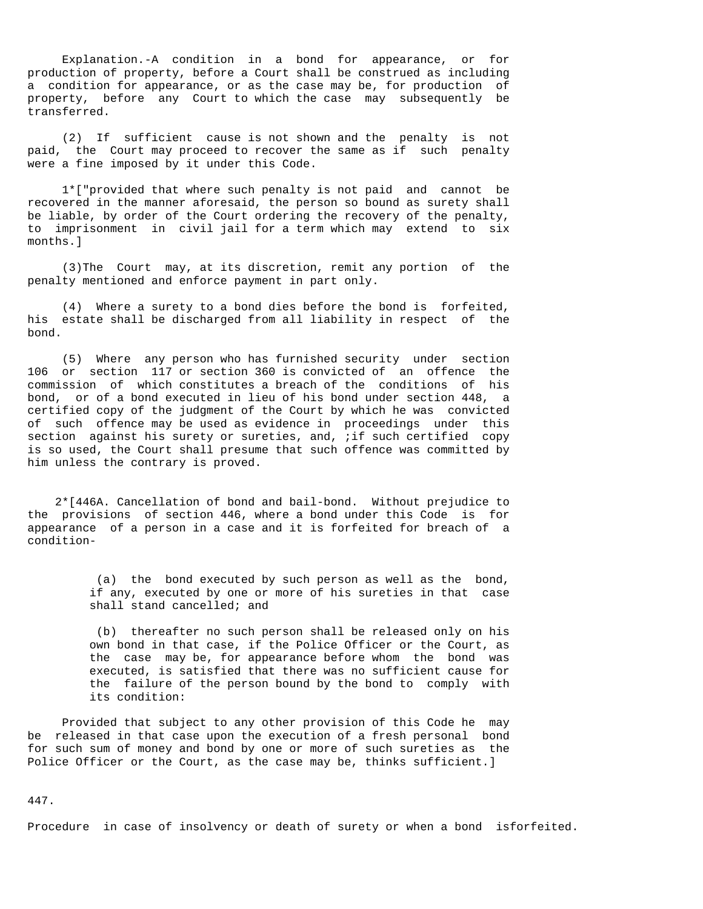Explanation.-A condition in a bond for appearance, or for production of property, before a Court shall be construed as including a condition for appearance, or as the case may be, for production of property, before any Court to which the case may subsequently be transferred.

 (2) If sufficient cause is not shown and the penalty is not paid, the Court may proceed to recover the same as if such penalty were a fine imposed by it under this Code.

 1\*["provided that where such penalty is not paid and cannot be recovered in the manner aforesaid, the person so bound as surety shall be liable, by order of the Court ordering the recovery of the penalty, to imprisonment in civil jail for a term which may extend to six months.]

 (3)The Court may, at its discretion, remit any portion of the penalty mentioned and enforce payment in part only.

 (4) Where a surety to a bond dies before the bond is forfeited, his estate shall be discharged from all liability in respect of the bond.

 (5) Where any person who has furnished security under section 106 or section 117 or section 360 is convicted of an offence the commission of which constitutes a breach of the conditions of his bond, or of a bond executed in lieu of his bond under section 448, a certified copy of the judgment of the Court by which he was convicted of such offence may be used as evidence in proceedings under this section against his surety or sureties, and, ;if such certified copy is so used, the Court shall presume that such offence was committed by him unless the contrary is proved.

 2\*[446A. Cancellation of bond and bail-bond. Without prejudice to the provisions of section 446, where a bond under this Code is for appearance of a person in a case and it is forfeited for breach of a condition-

> (a) the bond executed by such person as well as the bond, if any, executed by one or more of his sureties in that case shall stand cancelled; and

> (b) thereafter no such person shall be released only on his own bond in that case, if the Police Officer or the Court, as the case may be, for appearance before whom the bond was executed, is satisfied that there was no sufficient cause for the failure of the person bound by the bond to comply with its condition:

 Provided that subject to any other provision of this Code he may be released in that case upon the execution of a fresh personal bond for such sum of money and bond by one or more of such sureties as the Police Officer or the Court, as the case may be, thinks sufficient.]

447.

Procedure in case of insolvency or death of surety or when a bond isforfeited.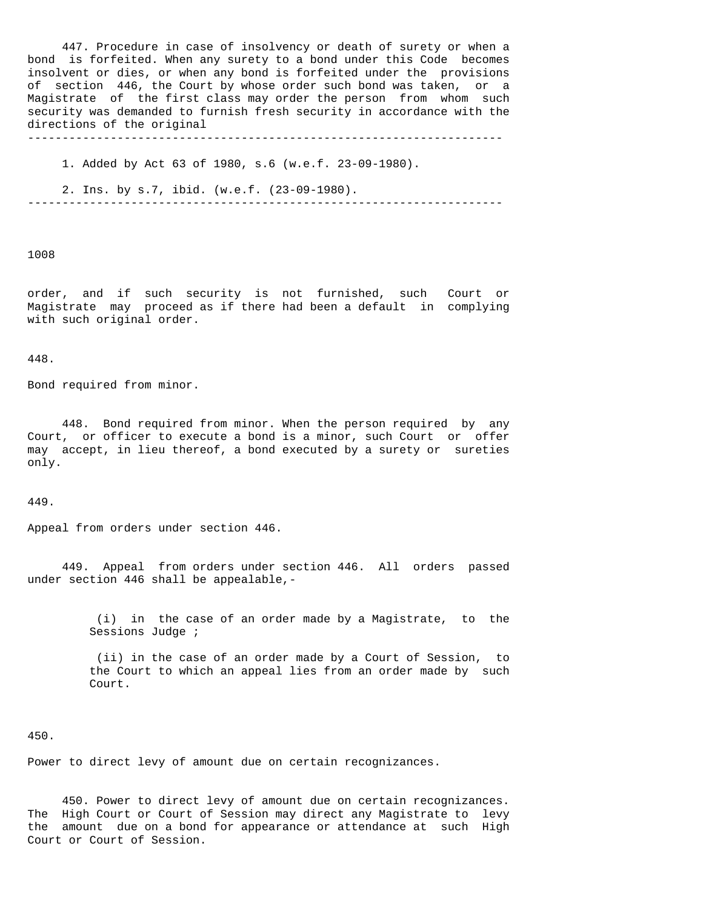447. Procedure in case of insolvency or death of surety or when a bond is forfeited. When any surety to a bond under this Code becomes insolvent or dies, or when any bond is forfeited under the provisions of section 446, the Court by whose order such bond was taken, or a Magistrate of the first class may order the person from whom such security was demanded to furnish fresh security in accordance with the directions of the original

---------------------------------------------------------------------

1. Added by Act 63 of 1980, s.6 (w.e.f. 23-09-1980).

2. Ins. by s.7, ibid. (w.e.f. (23-09-1980).

---------------------------------------------------------------------

1008

 order, and if such security is not furnished, such Court or Magistrate may proceed as if there had been a default in complying with such original order.

448.

Bond required from minor.

 448. Bond required from minor. When the person required by any Court, or officer to execute a bond is a minor, such Court or offer may accept, in lieu thereof, a bond executed by a surety or sureties only.

449.

Appeal from orders under section 446.

 449. Appeal from orders under section 446. All orders passed under section 446 shall be appealable,-

> (i) in the case of an order made by a Magistrate, to the Sessions Judge ;

> (ii) in the case of an order made by a Court of Session, to the Court to which an appeal lies from an order made by such Court.

450.

Power to direct levy of amount due on certain recognizances.

 450. Power to direct levy of amount due on certain recognizances. The High Court or Court of Session may direct any Magistrate to levy the amount due on a bond for appearance or attendance at such High Court or Court of Session.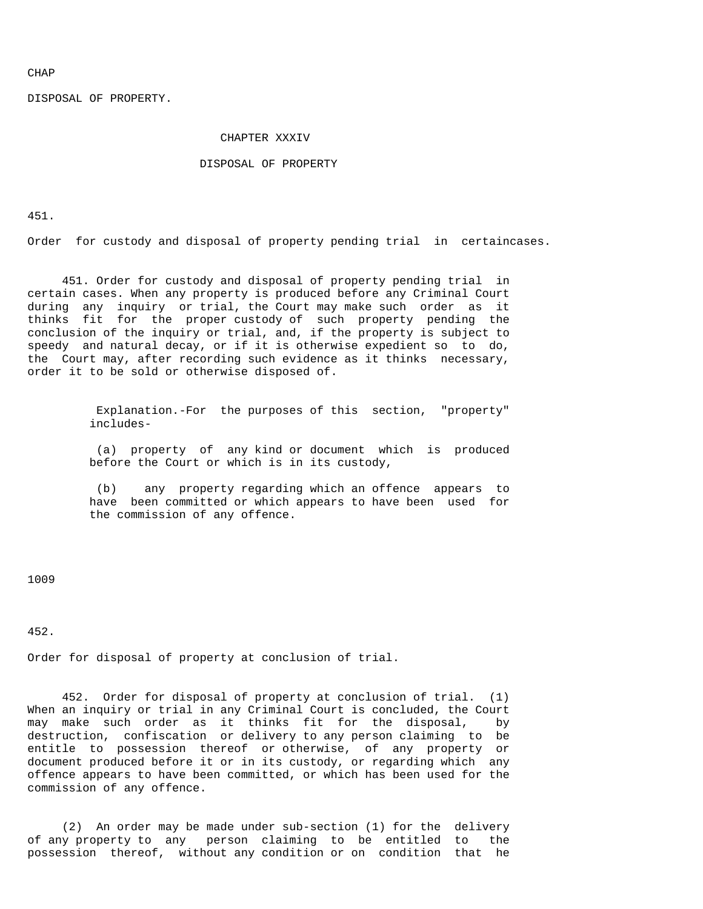CHAP

DISPOSAL OF PROPERTY.

#### CHAPTER XXXIV

#### DISPOSAL OF PROPERTY

451.

Order for custody and disposal of property pending trial in certaincases.

 451. Order for custody and disposal of property pending trial in certain cases. When any property is produced before any Criminal Court during any inquiry or trial, the Court may make such order as it thinks fit for the proper custody of such property pending the conclusion of the inquiry or trial, and, if the property is subject to speedy and natural decay, or if it is otherwise expedient so to do, the Court may, after recording such evidence as it thinks necessary, order it to be sold or otherwise disposed of.

> Explanation.-For the purposes of this section, "property" includes-

> (a) property of any kind or document which is produced before the Court or which is in its custody,

> (b) any property regarding which an offence appears to have been committed or which appears to have been used for the commission of any offence.

1009

452.

Order for disposal of property at conclusion of trial.

 452. Order for disposal of property at conclusion of trial. (1) When an inquiry or trial in any Criminal Court is concluded, the Court may make such order as it thinks fit for the disposal, by destruction, confiscation or delivery to any person claiming to be entitle to possession thereof or otherwise, of any property or document produced before it or in its custody, or regarding which any offence appears to have been committed, or which has been used for the commission of any offence.

 (2) An order may be made under sub-section (1) for the delivery of any property to any person claiming to be entitled to the possession thereof, without any condition or on condition that he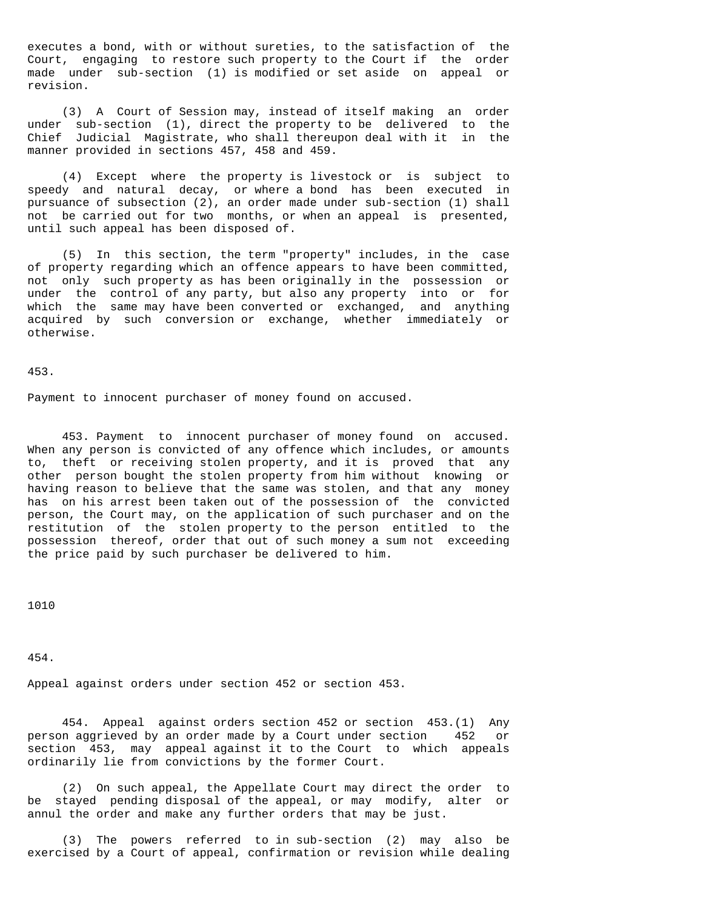executes a bond, with or without sureties, to the satisfaction of the Court, engaging to restore such property to the Court if the order made under sub-section (1) is modified or set aside on appeal or revision.

 (3) A Court of Session may, instead of itself making an order under sub-section (1), direct the property to be delivered to the Chief Judicial Magistrate, who shall thereupon deal with it in the manner provided in sections 457, 458 and 459.

 (4) Except where the property is livestock or is subject to speedy and natural decay, or where a bond has been executed in pursuance of subsection (2), an order made under sub-section (1) shall not be carried out for two months, or when an appeal is presented, until such appeal has been disposed of.

 (5) In this section, the term "property" includes, in the case of property regarding which an offence appears to have been committed, not only such property as has been originally in the possession or under the control of any party, but also any property into or for which the same may have been converted or exchanged, and anything acquired by such conversion or exchange, whether immediately or otherwise.

453.

Payment to innocent purchaser of money found on accused.

 453. Payment to innocent purchaser of money found on accused. When any person is convicted of any offence which includes, or amounts to, theft or receiving stolen property, and it is proved that any other person bought the stolen property from him without knowing or having reason to believe that the same was stolen, and that any money has on his arrest been taken out of the possession of the convicted person, the Court may, on the application of such purchaser and on the restitution of the stolen property to the person entitled to the possession thereof, order that out of such money a sum not exceeding the price paid by such purchaser be delivered to him.

1010

454.

Appeal against orders under section 452 or section 453.

 454. Appeal against orders section 452 or section 453.(1) Any person aggrieved by an order made by a Court under section 452 or section 453, may appeal against it to the Court to which appeals ordinarily lie from convictions by the former Court.

 (2) On such appeal, the Appellate Court may direct the order to be stayed pending disposal of the appeal, or may modify, alter or annul the order and make any further orders that may be just.

 (3) The powers referred to in sub-section (2) may also be exercised by a Court of appeal, confirmation or revision while dealing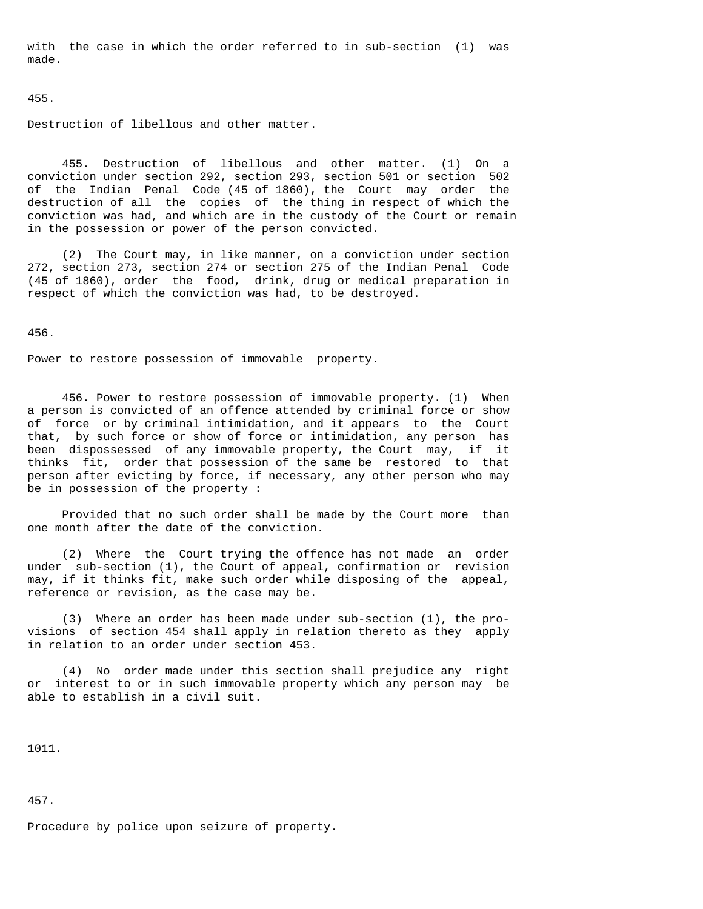with the case in which the order referred to in sub-section (1) was made.

455.

Destruction of libellous and other matter.

 455. Destruction of libellous and other matter. (1) On a conviction under section 292, section 293, section 501 or section 502 of the Indian Penal Code (45 of 1860), the Court may order the destruction of all the copies of the thing in respect of which the conviction was had, and which are in the custody of the Court or remain in the possession or power of the person convicted.

 (2) The Court may, in like manner, on a conviction under section 272, section 273, section 274 or section 275 of the Indian Penal Code (45 of 1860), order the food, drink, drug or medical preparation in respect of which the conviction was had, to be destroyed.

456.

Power to restore possession of immovable property.

 456. Power to restore possession of immovable property. (1) When a person is convicted of an offence attended by criminal force or show of force or by criminal intimidation, and it appears to the Court that, by such force or show of force or intimidation, any person has been dispossessed of any immovable property, the Court may, if it thinks fit, order that possession of the same be restored to that person after evicting by force, if necessary, any other person who may be in possession of the property :

 Provided that no such order shall be made by the Court more than one month after the date of the conviction.

 (2) Where the Court trying the offence has not made an order under sub-section (1), the Court of appeal, confirmation or revision may, if it thinks fit, make such order while disposing of the appeal, reference or revision, as the case may be.

 (3) Where an order has been made under sub-section (1), the pro visions of section 454 shall apply in relation thereto as they apply in relation to an order under section 453.

 (4) No order made under this section shall prejudice any right or interest to or in such immovable property which any person may be able to establish in a civil suit.

1011.

457.

Procedure by police upon seizure of property.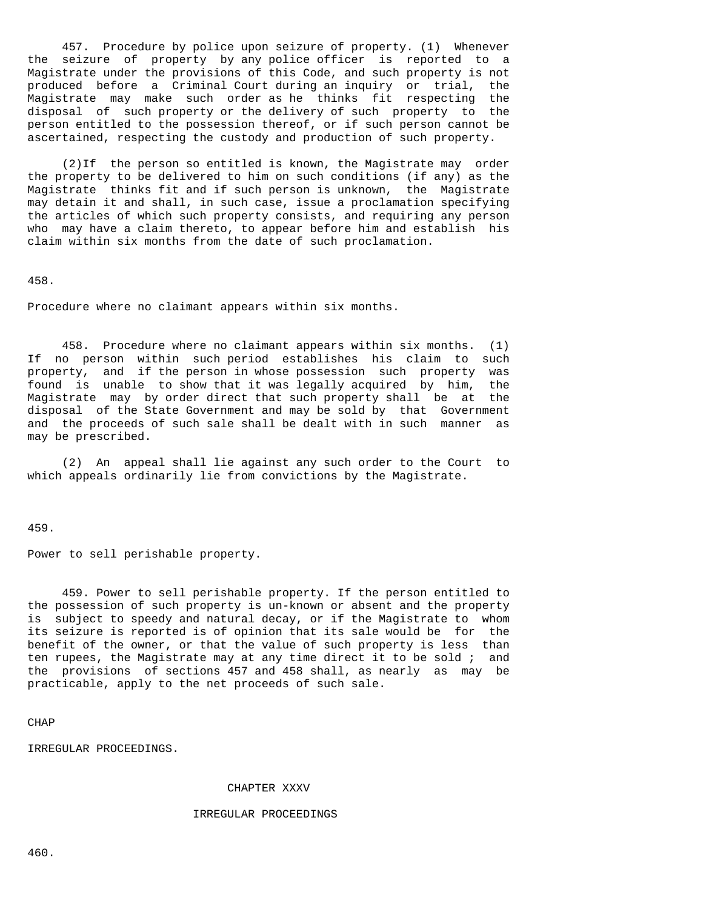457. Procedure by police upon seizure of property. (1) Whenever the seizure of property by any police officer is reported to a Magistrate under the provisions of this Code, and such property is not produced before a Criminal Court during an inquiry or trial, the Magistrate may make such order as he thinks fit respecting the disposal of such property or the delivery of such property to the person entitled to the possession thereof, or if such person cannot be ascertained, respecting the custody and production of such property.

 (2)If the person so entitled is known, the Magistrate may order the property to be delivered to him on such conditions (if any) as the Magistrate thinks fit and if such person is unknown, the Magistrate may detain it and shall, in such case, issue a proclamation specifying the articles of which such property consists, and requiring any person who may have a claim thereto, to appear before him and establish his claim within six months from the date of such proclamation.

458.

Procedure where no claimant appears within six months.

 458. Procedure where no claimant appears within six months. (1) If no person within such period establishes his claim to such property, and if the person in whose possession such property was found is unable to show that it was legally acquired by him, the Magistrate may by order direct that such property shall be at the disposal of the State Government and may be sold by that Government and the proceeds of such sale shall be dealt with in such manner as may be prescribed.

 (2) An appeal shall lie against any such order to the Court to which appeals ordinarily lie from convictions by the Magistrate.

459.

Power to sell perishable property.

 459. Power to sell perishable property. If the person entitled to the possession of such property is un-known or absent and the property is subject to speedy and natural decay, or if the Magistrate to whom its seizure is reported is of opinion that its sale would be for the benefit of the owner, or that the value of such property is less than ten rupees, the Magistrate may at any time direct it to be sold ; and the provisions of sections 457 and 458 shall, as nearly as may be practicable, apply to the net proceeds of such sale.

CHAP

IRREGULAR PROCEEDINGS.

## CHAPTER XXXV

### IRREGULAR PROCEEDINGS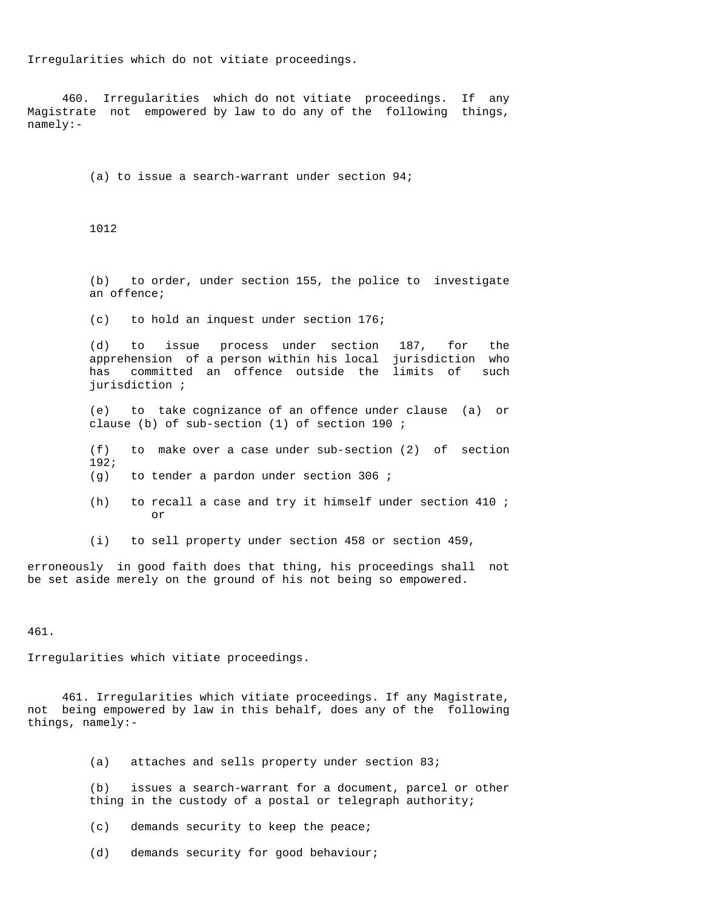Irregularities which do not vitiate proceedings.

 460. Irregularities which do not vitiate proceedings. If any Magistrate not empowered by law to do any of the following things, namely:-

(a) to issue a search-warrant under section 94;

1012

 (b) to order, under section 155, the police to investigate an offence;

(c) to hold an inquest under section 176;

 (d) to issue process under section 187, for the apprehension of a person within his local jurisdiction who has committed an offence outside the limits of such jurisdiction ;

 (e) to take cognizance of an offence under clause (a) or clause (b) of sub-section (1) of section 190 ;

 (f) to make over a case under sub-section (2) of section 192;

(g) to tender a pardon under section 306 ;

 (h) to recall a case and try it himself under section 410 ; or

(i) to sell property under section 458 or section 459,

 erroneously in good faith does that thing, his proceedings shall not be set aside merely on the ground of his not being so empowered.

461.

Irregularities which vitiate proceedings.

 461. Irregularities which vitiate proceedings. If any Magistrate, not being empowered by law in this behalf, does any of the following things, namely:-

(a) attaches and sells property under section 83;

 (b) issues a search-warrant for a document, parcel or other thing in the custody of a postal or telegraph authority;

(c) demands security to keep the peace;

(d) demands security for good behaviour;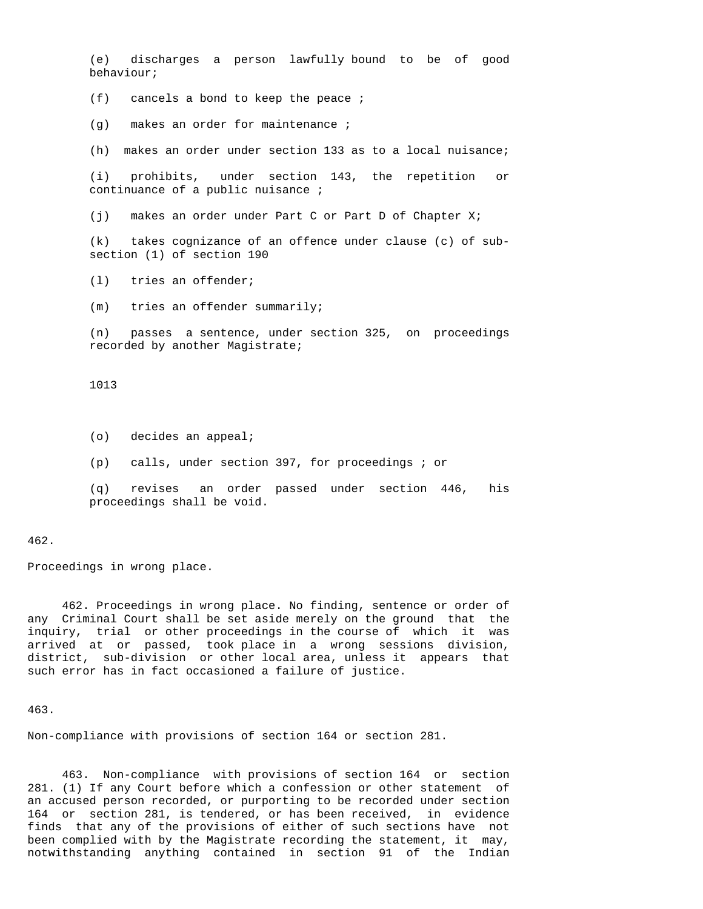(e) discharges a person lawfully bound to be of good behaviour;

(f) cancels a bond to keep the peace ;

(g) makes an order for maintenance ;

(h) makes an order under section 133 as to a local nuisance;

 (i) prohibits, under section 143, the repetition or continuance of a public nuisance ;

(j) makes an order under Part C or Part D of Chapter X;

 (k) takes cognizance of an offence under clause (c) of sub section (1) of section 190

(l) tries an offender;

(m) tries an offender summarily;

 (n) passes a sentence, under section 325, on proceedings recorded by another Magistrate;

## 1013

(o) decides an appeal;

(p) calls, under section 397, for proceedings ; or

 (q) revises an order passed under section 446, his proceedings shall be void.

### 462.

Proceedings in wrong place.

 462. Proceedings in wrong place. No finding, sentence or order of any Criminal Court shall be set aside merely on the ground that the inquiry, trial or other proceedings in the course of which it was arrived at or passed, took place in a wrong sessions division, district, sub-division or other local area, unless it appears that such error has in fact occasioned a failure of justice.

# 463.

Non-compliance with provisions of section 164 or section 281.

 463. Non-compliance with provisions of section 164 or section 281. (1) If any Court before which a confession or other statement of an accused person recorded, or purporting to be recorded under section 164 or section 281, is tendered, or has been received, in evidence finds that any of the provisions of either of such sections have not been complied with by the Magistrate recording the statement, it may, notwithstanding anything contained in section 91 of the Indian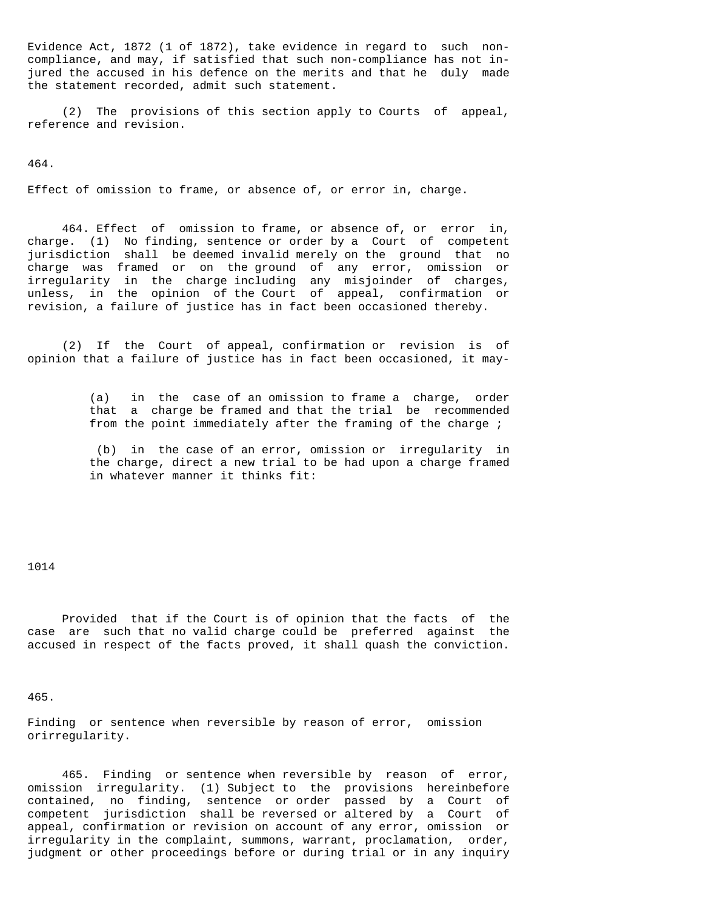Evidence Act, 1872 (1 of 1872), take evidence in regard to such non compliance, and may, if satisfied that such non-compliance has not in jured the accused in his defence on the merits and that he duly made the statement recorded, admit such statement.

 (2) The provisions of this section apply to Courts of appeal, reference and revision.

464.

Effect of omission to frame, or absence of, or error in, charge.

 464. Effect of omission to frame, or absence of, or error in, charge. (1) No finding, sentence or order by a Court of competent jurisdiction shall be deemed invalid merely on the ground that no charge was framed or on the ground of any error, omission or irregularity in the charge including any misjoinder of charges, unless, in the opinion of the Court of appeal, confirmation or revision, a failure of justice has in fact been occasioned thereby.

 (2) If the Court of appeal, confirmation or revision is of opinion that a failure of justice has in fact been occasioned, it may-

> (a) in the case of an omission to frame a charge, order that a charge be framed and that the trial be recommended from the point immediately after the framing of the charge ;

> (b) in the case of an error, omission or irregularity in the charge, direct a new trial to be had upon a charge framed in whatever manner it thinks fit:

# 1014

 Provided that if the Court is of opinion that the facts of the case are such that no valid charge could be preferred against the accused in respect of the facts proved, it shall quash the conviction.

465.

 Finding or sentence when reversible by reason of error, omission orirregularity.

 465. Finding or sentence when reversible by reason of error, omission irregularity. (1) Subject to the provisions hereinbefore contained, no finding, sentence or order passed by a Court of competent jurisdiction shall be reversed or altered by a Court of appeal, confirmation or revision on account of any error, omission or irregularity in the complaint, summons, warrant, proclamation, order, judgment or other proceedings before or during trial or in any inquiry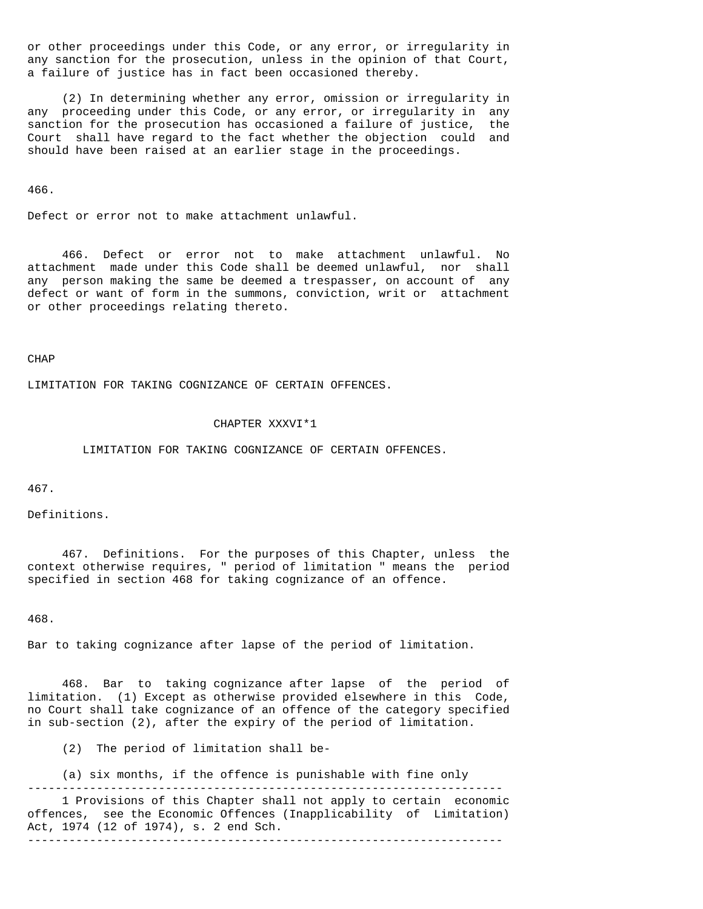or other proceedings under this Code, or any error, or irregularity in any sanction for the prosecution, unless in the opinion of that Court, a failure of justice has in fact been occasioned thereby.

 (2) In determining whether any error, omission or irregularity in any proceeding under this Code, or any error, or irregularity in any sanction for the prosecution has occasioned a failure of justice, the Court shall have regard to the fact whether the objection could and should have been raised at an earlier stage in the proceedings.

466.

Defect or error not to make attachment unlawful.

 466. Defect or error not to make attachment unlawful. No attachment made under this Code shall be deemed unlawful, nor shall any person making the same be deemed a trespasser, on account of any defect or want of form in the summons, conviction, writ or attachment or other proceedings relating thereto.

CHAP

LIMITATION FOR TAKING COGNIZANCE OF CERTAIN OFFENCES.

# CHAPTER XXXVI\*1

LIMITATION FOR TAKING COGNIZANCE OF CERTAIN OFFENCES.

467.

Definitions.

 467. Definitions. For the purposes of this Chapter, unless the context otherwise requires, " period of limitation " means the period specified in section 468 for taking cognizance of an offence.

468.

Bar to taking cognizance after lapse of the period of limitation.

 468. Bar to taking cognizance after lapse of the period of limitation. (1) Except as otherwise provided elsewhere in this Code, no Court shall take cognizance of an offence of the category specified in sub-section (2), after the expiry of the period of limitation.

(2) The period of limitation shall be-

(a) six months, if the offence is punishable with fine only

---------------------------------------------------------------------

 1 Provisions of this Chapter shall not apply to certain economic offences, see the Economic Offences (Inapplicability of Limitation) Act, 1974 (12 of 1974), s. 2 end Sch. ---------------------------------------------------------------------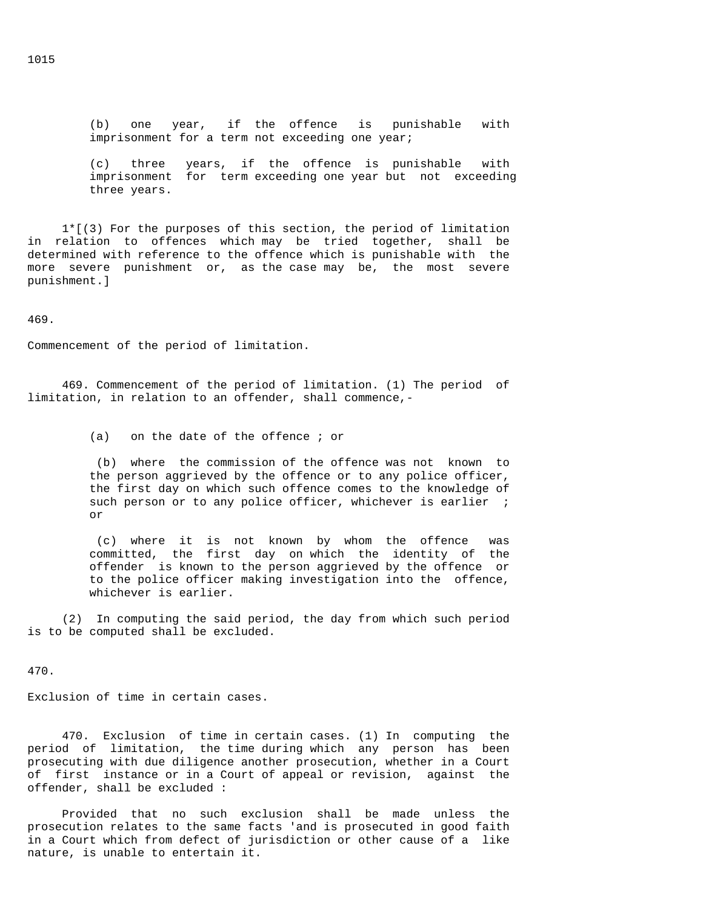(b) one year, if the offence is punishable with imprisonment for a term not exceeding one year;

 (c) three years, if the offence is punishable with imprisonment for term exceeding one year but not exceeding three years.

 1\*[(3) For the purposes of this section, the period of limitation in relation to offences which may be tried together, shall be determined with reference to the offence which is punishable with the more severe punishment or, as the case may be, the most severe punishment.]

469.

Commencement of the period of limitation.

 469. Commencement of the period of limitation. (1) The period of limitation, in relation to an offender, shall commence,-

(a) on the date of the offence ; or

 (b) where the commission of the offence was not known to the person aggrieved by the offence or to any police officer, the first day on which such offence comes to the knowledge of such person or to any police officer, whichever is earlier ; or

 (c) where it is not known by whom the offence was committed, the first day on which the identity of the offender is known to the person aggrieved by the offence or to the police officer making investigation into the offence, whichever is earlier.

 (2) In computing the said period, the day from which such period is to be computed shall be excluded.

470.

Exclusion of time in certain cases.

 470. Exclusion of time in certain cases. (1) In computing the period of limitation, the time during which any person has been prosecuting with due diligence another prosecution, whether in a Court of first instance or in a Court of appeal or revision, against the offender, shall be excluded :

 Provided that no such exclusion shall be made unless the prosecution relates to the same facts 'and is prosecuted in good faith in a Court which from defect of jurisdiction or other cause of a like nature, is unable to entertain it.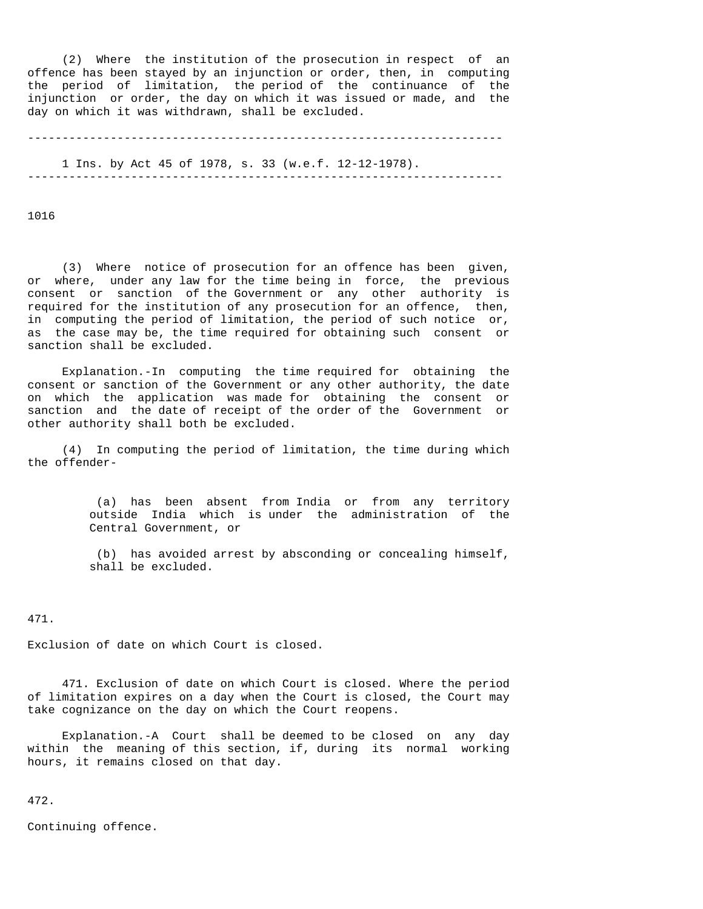(2) Where the institution of the prosecution in respect of an offence has been stayed by an injunction or order, then, in computing the period of limitation, the period of the continuance of the injunction or order, the day on which it was issued or made, and the day on which it was withdrawn, shall be excluded.

---------------------------------------------------------------------

 1 Ins. by Act 45 of 1978, s. 33 (w.e.f. 12-12-1978). ---------------------------------------------------------------------

1016

 (3) Where notice of prosecution for an offence has been given, or where, under any law for the time being in force, the previous consent or sanction of the Government or any other authority is required for the institution of any prosecution for an offence, then, in computing the period of limitation, the period of such notice or, as the case may be, the time required for obtaining such consent or sanction shall be excluded.

 Explanation.-In computing the time required for obtaining the consent or sanction of the Government or any other authority, the date on which the application was made for obtaining the consent or sanction and the date of receipt of the order of the Government or other authority shall both be excluded.

 (4) In computing the period of limitation, the time during which the offender-

> (a) has been absent from India or from any territory outside India which is under the administration of the Central Government, or

> (b) has avoided arrest by absconding or concealing himself, shall be excluded.

471.

Exclusion of date on which Court is closed.

 471. Exclusion of date on which Court is closed. Where the period of limitation expires on a day when the Court is closed, the Court may take cognizance on the day on which the Court reopens.

 Explanation.-A Court shall be deemed to be closed on any day within the meaning of this section, if, during its normal working hours, it remains closed on that day.

472.

Continuing offence.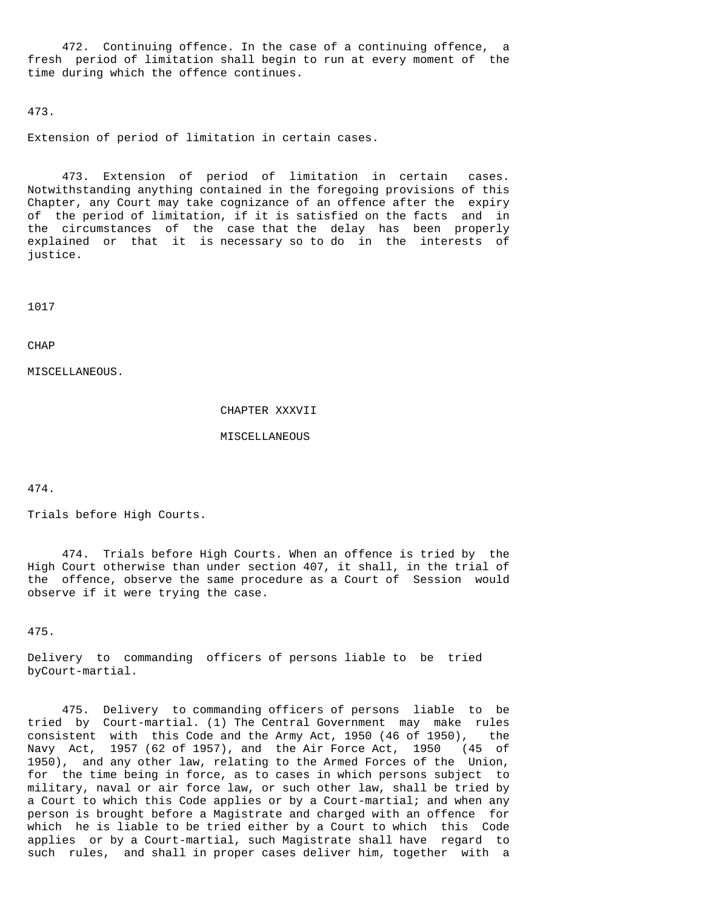472. Continuing offence. In the case of a continuing offence, a fresh period of limitation shall begin to run at every moment of the time during which the offence continues.

473.

Extension of period of limitation in certain cases.

 473. Extension of period of limitation in certain cases. Notwithstanding anything contained in the foregoing provisions of this Chapter, any Court may take cognizance of an offence after the expiry of the period of limitation, if it is satisfied on the facts and in the circumstances of the case that the delay has been properly explained or that it is necessary so to do in the interests of justice.

1017

CHAP

MISCELLANEOUS.

CHAPTER XXXVII

### MISCELLANEOUS

474.

Trials before High Courts.

 474. Trials before High Courts. When an offence is tried by the High Court otherwise than under section 407, it shall, in the trial of the offence, observe the same procedure as a Court of Session would observe if it were trying the case.

475.

 Delivery to commanding officers of persons liable to be tried byCourt-martial.

 475. Delivery to commanding officers of persons liable to be tried by Court-martial. (1) The Central Government may make rules consistent with this Code and the Army Act, 1950 (46 of 1950), the Navy Act, 1957 (62 of 1957), and the Air Force Act, 1950 (45 of 1950), and any other law, relating to the Armed Forces of the Union, for the time being in force, as to cases in which persons subject to military, naval or air force law, or such other law, shall be tried by a Court to which this Code applies or by a Court-martial; and when any person is brought before a Magistrate and charged with an offence for which he is liable to be tried either by a Court to which this Code applies or by a Court-martial, such Magistrate shall have regard to such rules, and shall in proper cases deliver him, together with a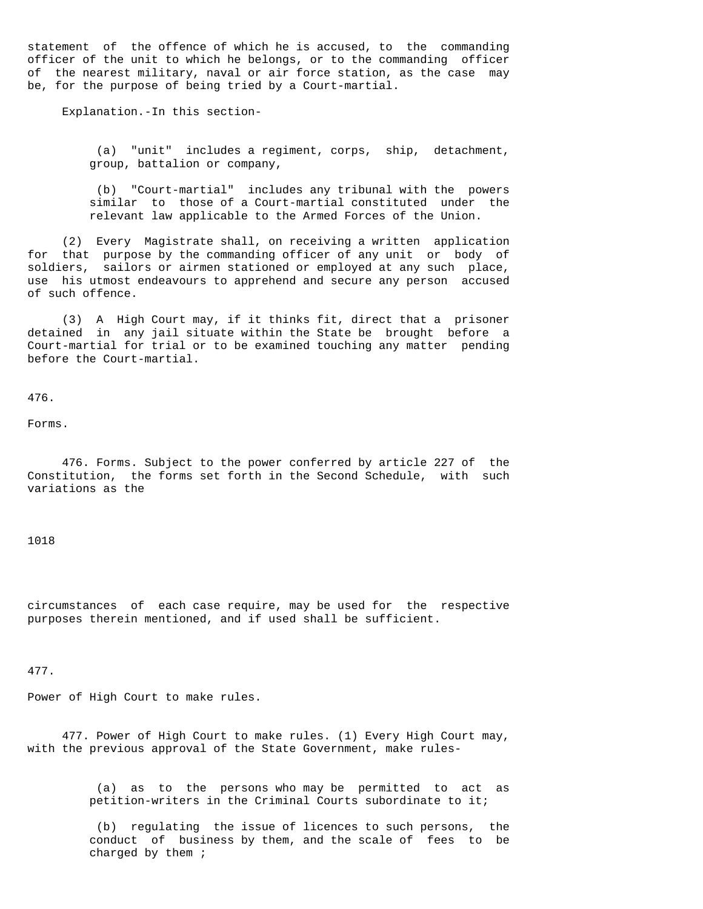statement of the offence of which he is accused, to the commanding officer of the unit to which he belongs, or to the commanding officer of the nearest military, naval or air force station, as the case may be, for the purpose of being tried by a Court-martial.

Explanation.-In this section-

 (a) "unit" includes a regiment, corps, ship, detachment, group, battalion or company,

 (b) "Court-martial" includes any tribunal with the powers similar to those of a Court-martial constituted under the relevant law applicable to the Armed Forces of the Union.

 (2) Every Magistrate shall, on receiving a written application for that purpose by the commanding officer of any unit or body of soldiers, sailors or airmen stationed or employed at any such place, use his utmost endeavours to apprehend and secure any person accused of such offence.

 (3) A High Court may, if it thinks fit, direct that a prisoner detained in any jail situate within the State be brought before a Court-martial for trial or to be examined touching any matter pending before the Court-martial.

476.

Forms.

 476. Forms. Subject to the power conferred by article 227 of the Constitution, the forms set forth in the Second Schedule, with such variations as the

1018

 circumstances of each case require, may be used for the respective purposes therein mentioned, and if used shall be sufficient.

477.

Power of High Court to make rules.

 477. Power of High Court to make rules. (1) Every High Court may, with the previous approval of the State Government, make rules-

> (a) as to the persons who may be permitted to act as petition-writers in the Criminal Courts subordinate to it;

> (b) regulating the issue of licences to such persons, the conduct of business by them, and the scale of fees to be charged by them ;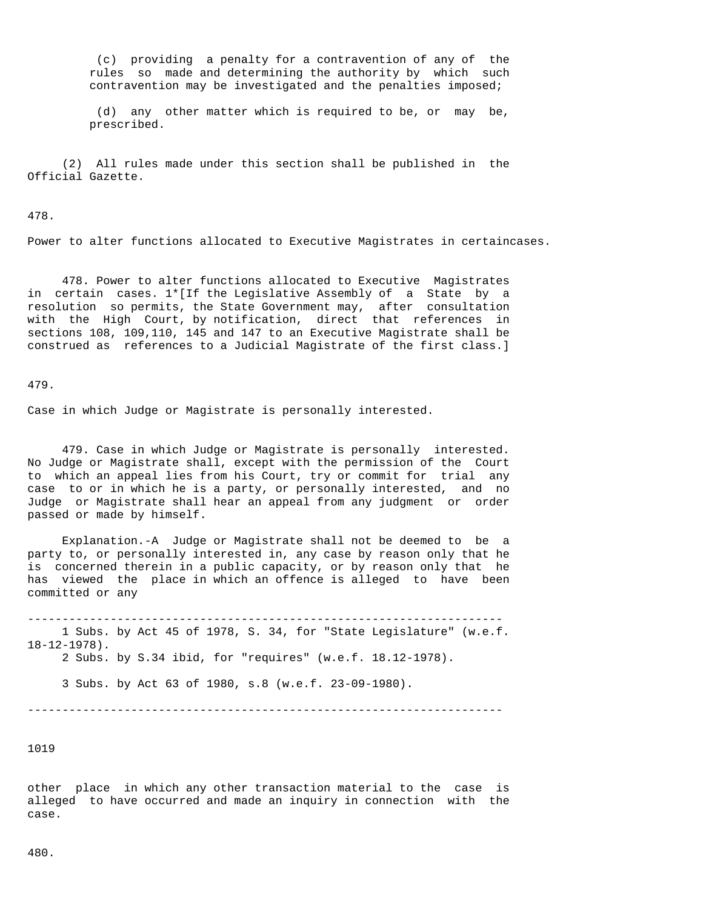(c) providing a penalty for a contravention of any of the rules so made and determining the authority by which such contravention may be investigated and the penalties imposed;

 (d) any other matter which is required to be, or may be, prescribed.

 (2) All rules made under this section shall be published in the Official Gazette.

## 478.

Power to alter functions allocated to Executive Magistrates in certaincases.

 478. Power to alter functions allocated to Executive Magistrates in certain cases. 1\*[If the Legislative Assembly of a State by a resolution so permits, the State Government may, after consultation with the High Court, by notification, direct that references in sections 108, 109,110, 145 and 147 to an Executive Magistrate shall be construed as references to a Judicial Magistrate of the first class.]

479.

Case in which Judge or Magistrate is personally interested.

 479. Case in which Judge or Magistrate is personally interested. No Judge or Magistrate shall, except with the permission of the Court to which an appeal lies from his Court, try or commit for trial any case to or in which he is a party, or personally interested, and no Judge or Magistrate shall hear an appeal from any judgment or order passed or made by himself.

 Explanation.-A Judge or Magistrate shall not be deemed to be a party to, or personally interested in, any case by reason only that he is concerned therein in a public capacity, or by reason only that he has viewed the place in which an offence is alleged to have been committed or any

 --------------------------------------------------------------------- 1 Subs. by Act 45 of 1978, S. 34, for "State Legislature" (w.e.f. 18-12-1978). 2 Subs. by S.34 ibid, for "requires" (w.e.f. 18.12-1978).

3 Subs. by Act 63 of 1980, s.8 (w.e.f. 23-09-1980).

---------------------------------------------------------------------

1019

 other place in which any other transaction material to the case is alleged to have occurred and made an inquiry in connection with the case.

480.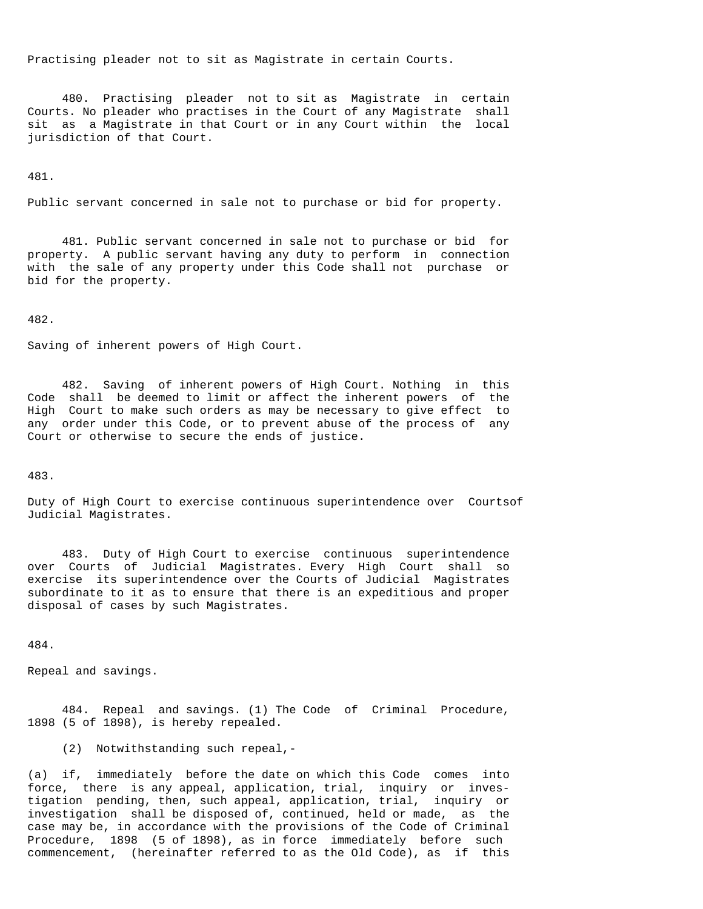Practising pleader not to sit as Magistrate in certain Courts.

 480. Practising pleader not to sit as Magistrate in certain Courts. No pleader who practises in the Court of any Magistrate shall sit as a Magistrate in that Court or in any Court within the local jurisdiction of that Court.

481.

Public servant concerned in sale not to purchase or bid for property.

 481. Public servant concerned in sale not to purchase or bid for property. A public servant having any duty to perform in connection with the sale of any property under this Code shall not purchase or bid for the property.

482.

Saving of inherent powers of High Court.

 482. Saving of inherent powers of High Court. Nothing in this Code shall be deemed to limit or affect the inherent powers of the High Court to make such orders as may be necessary to give effect to any order under this Code, or to prevent abuse of the process of any Court or otherwise to secure the ends of justice.

483.

 Duty of High Court to exercise continuous superintendence over Courtsof Judicial Magistrates.

 483. Duty of High Court to exercise continuous superintendence over Courts of Judicial Magistrates. Every High Court shall so exercise its superintendence over the Courts of Judicial Magistrates subordinate to it as to ensure that there is an expeditious and proper disposal of cases by such Magistrates.

484.

Repeal and savings.

 484. Repeal and savings. (1) The Code of Criminal Procedure, 1898 (5 of 1898), is hereby repealed.

(2) Notwithstanding such repeal,-

 (a) if, immediately before the date on which this Code comes into force, there is any appeal, application, trial, inquiry or inves tigation pending, then, such appeal, application, trial, inquiry or investigation shall be disposed of, continued, held or made, as the case may be, in accordance with the provisions of the Code of Criminal Procedure, 1898 (5 of 1898), as in force immediately before such commencement, (hereinafter referred to as the Old Code), as if this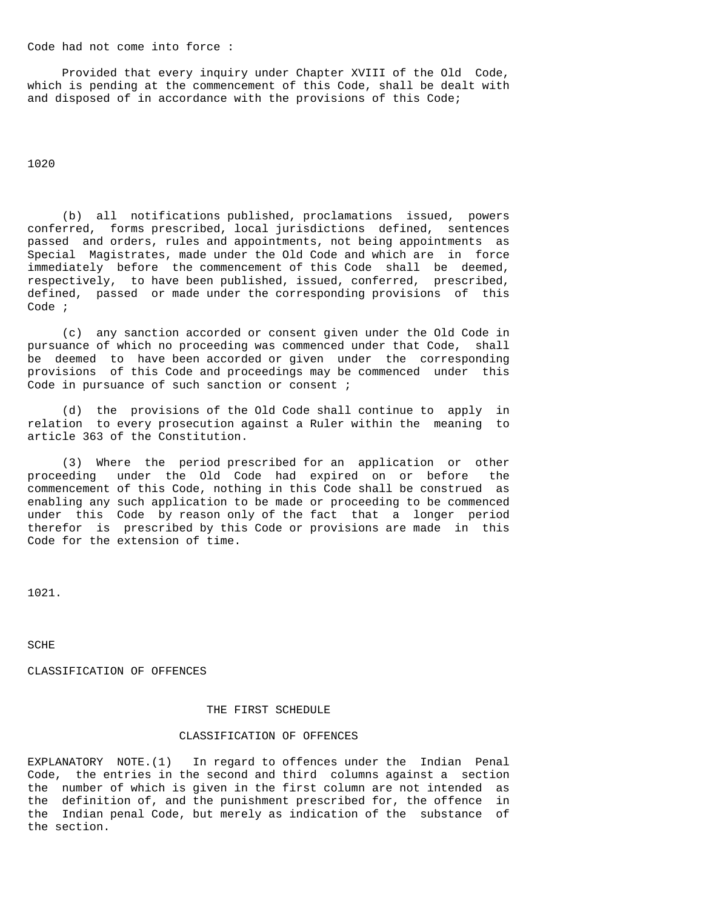Provided that every inquiry under Chapter XVIII of the Old Code, which is pending at the commencement of this Code, shall be dealt with and disposed of in accordance with the provisions of this Code;

1020

 (b) all notifications published, proclamations issued, powers conferred, forms prescribed, local jurisdictions defined, sentences passed and orders, rules and appointments, not being appointments as Special Magistrates, made under the Old Code and which are in force immediately before the commencement of this Code shall be deemed, respectively, to have been published, issued, conferred, prescribed, defined, passed or made under the corresponding provisions of this Code ;

 (c) any sanction accorded or consent given under the Old Code in pursuance of which no proceeding was commenced under that Code, shall be deemed to have been accorded or given under the corresponding provisions of this Code and proceedings may be commenced under this Code in pursuance of such sanction or consent ;

 (d) the provisions of the Old Code shall continue to apply in relation to every prosecution against a Ruler within the meaning to article 363 of the Constitution.

 (3) Where the period prescribed for an application or other proceeding under the Old Code had expired on or before the commencement of this Code, nothing in this Code shall be construed as enabling any such application to be made or proceeding to be commenced under this Code by reason only of the fact that a longer period therefor is prescribed by this Code or provisions are made in this Code for the extension of time.

1021.

SCHE

CLASSIFICATION OF OFFENCES

# THE FIRST SCHEDULE

#### CLASSIFICATION OF OFFENCES

 EXPLANATORY NOTE.(1) In regard to offences under the Indian Penal Code, the entries in the second and third columns against a section the number of which is given in the first column are not intended as the definition of, and the punishment prescribed for, the offence in the Indian penal Code, but merely as indication of the substance of the section.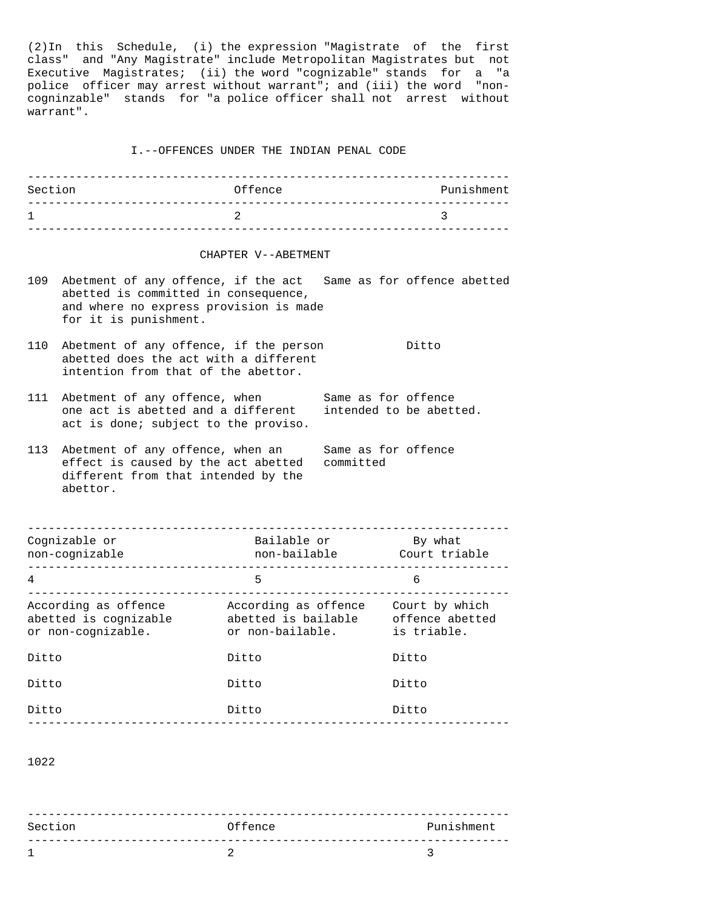(2)In this Schedule, (i) the expression "Magistrate of the first class" and "Any Magistrate" include Metropolitan Magistrates but not Executive Magistrates; (ii) the word "cognizable" stands for a "a police officer may arrest without warrant"; and (iii) the word "non cogninzable" stands for "a police officer shall not arrest without warrant".

### I.--OFFENCES UNDER THE INDIAN PENAL CODE

| Section                                                             |                                                                                                                                                                            | Offence<br>-----------------------------                                                       | Punishment  |  |  |  |
|---------------------------------------------------------------------|----------------------------------------------------------------------------------------------------------------------------------------------------------------------------|------------------------------------------------------------------------------------------------|-------------|--|--|--|
| 1                                                                   |                                                                                                                                                                            | 2                                                                                              | 3           |  |  |  |
| CHAPTER V--ABETMENT                                                 |                                                                                                                                                                            |                                                                                                |             |  |  |  |
| 109                                                                 | Abetment of any offence, if the act Same as for offence abetted<br>abetted is committed in consequence,<br>and where no express provision is made<br>for it is punishment. |                                                                                                |             |  |  |  |
| 110                                                                 | Abetment of any offence, if the person<br>abetted does the act with a different<br>intention from that of the abettor.                                                     |                                                                                                | Ditto       |  |  |  |
| 111                                                                 | Abetment of any offence, when<br>Same as for offence<br>one act is abetted and a different intended to be abetted.<br>act is done; subject to the proviso.                 |                                                                                                |             |  |  |  |
| 113                                                                 | Abetment of any offence, when an<br>Same as for offence<br>effect is caused by the act abetted committed<br>different from that intended by the<br>abettor.                |                                                                                                |             |  |  |  |
| Cognizable or<br>non-cognizable                                     |                                                                                                                                                                            | Bailable or<br>non-bailable Court triable                                                      | By what     |  |  |  |
| 4                                                                   |                                                                                                                                                                            | 5.                                                                                             | б.          |  |  |  |
| According as offence<br>abetted is cognizable<br>or non-cognizable. |                                                                                                                                                                            | According as offence Court by which<br>abetted is bailable offence abetted<br>or non-bailable. | is triable. |  |  |  |
| Ditto                                                               |                                                                                                                                                                            | Ditto                                                                                          | Ditto       |  |  |  |
| Ditto                                                               |                                                                                                                                                                            | Ditto                                                                                          | Ditto       |  |  |  |
| Ditto                                                               |                                                                                                                                                                            | Ditto                                                                                          | Ditto       |  |  |  |

| Section | Offence | Punishment |
|---------|---------|------------|
|         |         |            |
|         |         |            |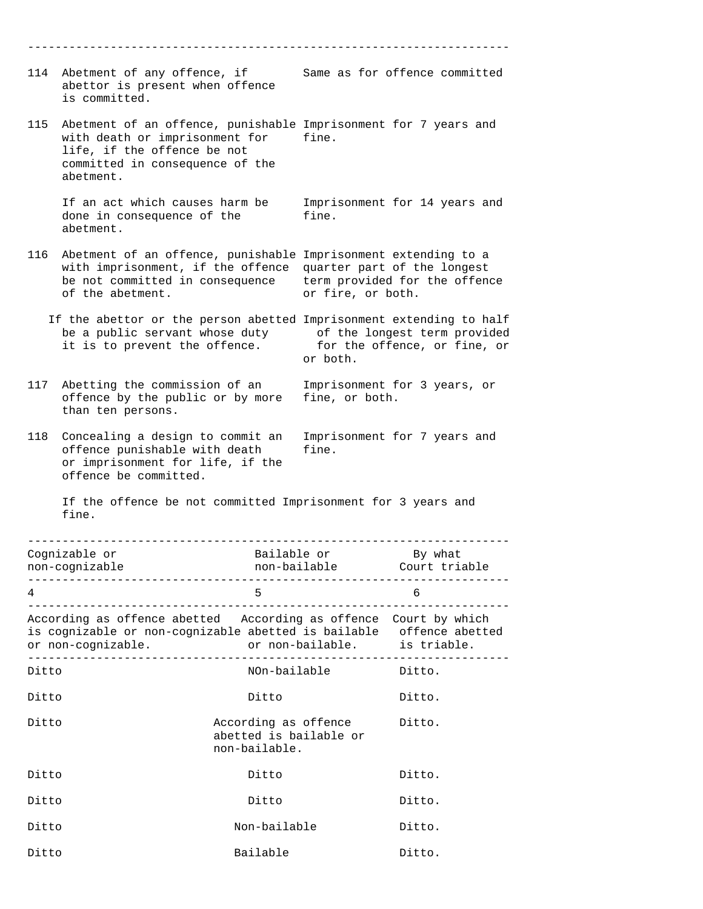---------------------------------------------------------------------- 114 Abetment of any offence, if Same as for offence committed abettor is present when offence is committed. 115 Abetment of an offence, punishable Imprisonment for 7 years and with death or imprisonment for fine. life, if the offence be not committed in consequence of the abetment. If an act which causes harm be Imprisonment for 14 years and done in consequence of the fine. abetment. 116 Abetment of an offence, punishable Imprisonment extending to a with imprisonment, if the offence quarter part of the longest be not committed in consequence term provided for the offence of the abetment. or fire, or both. If the abettor or the person abetted Imprisonment extending to half be a public servant whose duty of the longest term provided it is to prevent the offence. for the offence, or fine, or or both. 117 Abetting the commission of an Imprisonment for 3 years, or offence by the public or by more fine, or both. than ten persons. 118 Concealing a design to commit an Imprisonment for 7 years and offence punishable with death fine. or imprisonment for life, if the offence be committed. If the offence be not committed Imprisonment for 3 years and fine. ---------------------------------------------------------------------- Cognizable or  $B_2$  Bailable or By what non-cognizable non-bailable Court triable ---------------------------------------------------------------------- 4 5 6 ---------------------------------------------------------------------- According as offence abetted According as offence Court by which is cognizable or non-cognizable abetted is bailable offence abetted or non-cognizable. or non-bailable. is triable. ---------------------------------------------------------------------- Ditto NOn-bailable Ditto. Ditto Ditto Ditto. Ditto According as offence Ditto. abetted is bailable or non-bailable. Ditto Ditto Ditto. Ditto Ditto Ditto. Ditto Non-bailable Ditto. Ditto Bailable Ditto.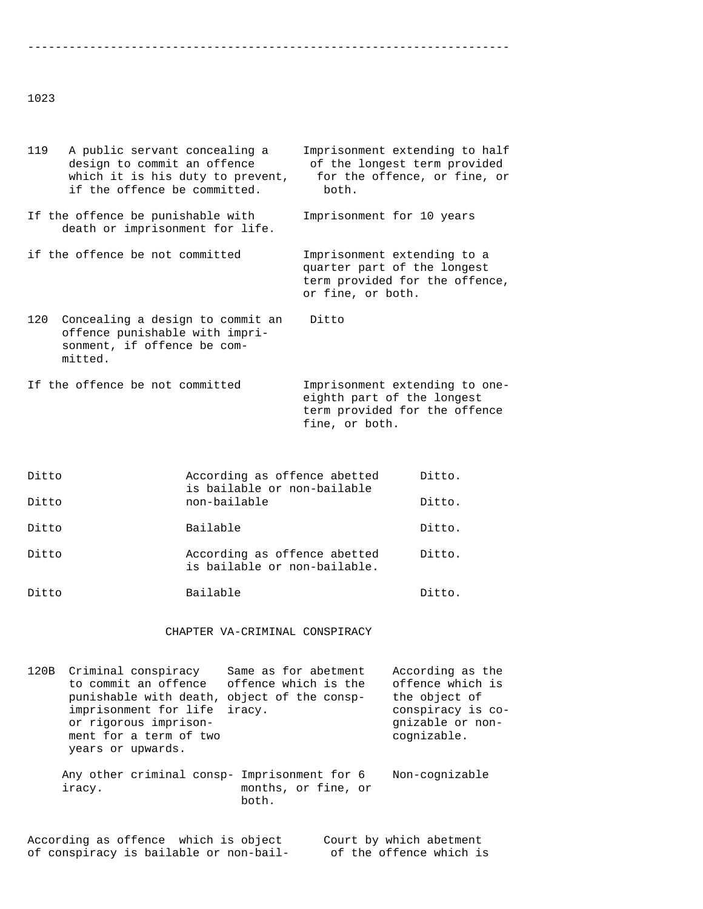mitted.

119 A public servant concealing a Imprisonment extending to half<br>design to commit an offence of the longest term provided of the longest term provided which it is his duty to prevent, for the offence, or fine, or if the offence be committed. both. If the offence be punishable with Imprisonment for 10 years death or imprisonment for life. if the offence be not committed Imprisonment extending to a quarter part of the longest term provided for the offence, or fine, or both. 120 Concealing a design to commit an Ditto offence punishable with impri sonment, if offence be com-

----------------------------------------------------------------------

 If the offence be not committed Imprisonment extending to one eighth part of the longest term provided for the offence fine, or both.

| Ditto | According as offence abetted<br>is bailable or non-bailable  | Ditto. |
|-------|--------------------------------------------------------------|--------|
| Ditto | non-bailable                                                 | Ditto. |
| Ditto | Bailable                                                     | Ditto. |
| Ditto | According as offence abetted<br>is bailable or non-bailable. | Ditto. |

Ditto Bailable Ditto.

# CHAPTER VA-CRIMINAL CONSPIRACY

 120B Criminal conspiracy Same as for abetment According as the to commit an offence offence which is the offence which is punishable with death, object of the consp- the object of imprisonment for life iracy.<br>
or rigorous imprison-<br>
or rigorous imprison-<br>
or rigorous imprisonor rigorous imprisonment for a term of two cognizable. years or upwards. Any other criminal consp- Imprisonment for 6 Non-cognizable iracy. months, or fine, or both.

 According as offence which is object Court by which abetment of conspiracy is bailable or non-bail- of the offence which is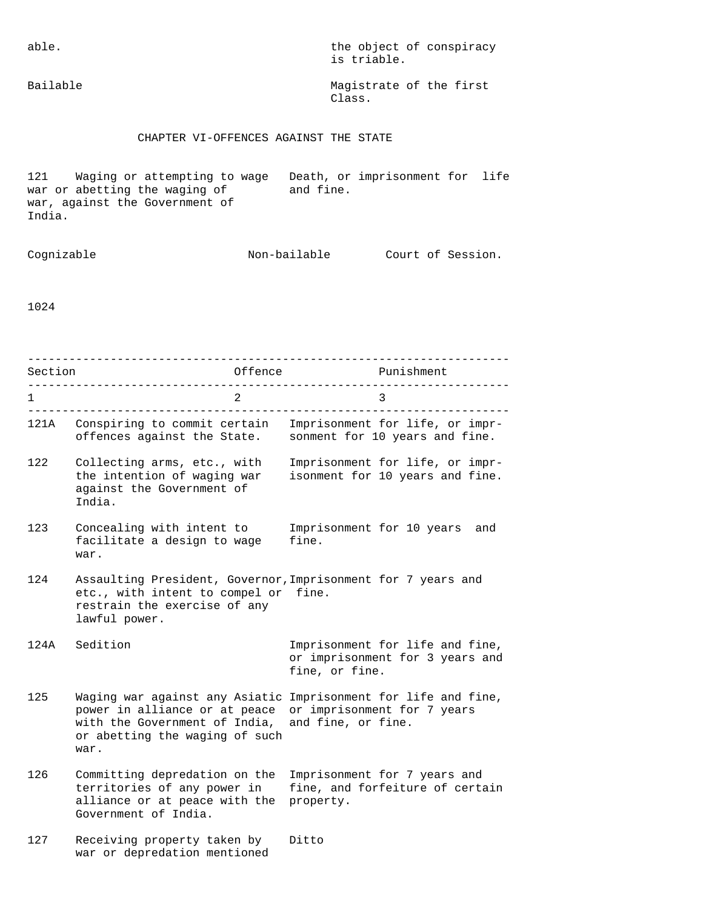| able.           |                                                                                                                                                 |           | the object of conspiracy<br>is triable.                                                                                         |
|-----------------|-------------------------------------------------------------------------------------------------------------------------------------------------|-----------|---------------------------------------------------------------------------------------------------------------------------------|
| Bailable        |                                                                                                                                                 |           | Magistrate of the first<br>Class.                                                                                               |
|                 | CHAPTER VI-OFFENCES AGAINST THE STATE                                                                                                           |           |                                                                                                                                 |
| 121 —<br>India. | Waging or attempting to wage Death, or imprisonment for<br>war or abetting the waging of<br>war, against the Government of                      | and fine. | life                                                                                                                            |
| Cognizable      |                                                                                                                                                 |           | Non-bailable Court of Session.                                                                                                  |
| 1024            |                                                                                                                                                 |           |                                                                                                                                 |
| Section         |                                                                                                                                                 | Offence   | Punishment                                                                                                                      |
| 1               | 2                                                                                                                                               |           | 3                                                                                                                               |
|                 |                                                                                                                                                 |           | 121A Conspiring to commit certain Imprisonment for life, or impr-<br>offences against the State. sonment for 10 years and fine. |
| 122             | Collecting arms, etc., with<br>the intention of waging war<br>against the Government of<br>India.                                               |           | Imprisonment for life, or impr-<br>isonment for 10 years and fine.                                                              |
| 123             | Concealing with intent to<br>facilitate a design to wage<br>war.                                                                                | fine.     | Imprisonment for 10 years<br>and                                                                                                |
| 124             | Assaulting President, Governor, Imprisonment for 7 years and<br>etc., with intent to compel or<br>restrain the exercise of any<br>lawful power. | fine.     |                                                                                                                                 |
| 124A            | Sedition                                                                                                                                        |           | Imprisonment for life and fine,<br>or imprisonment for 3 years and<br>fine, or fine.                                            |
| 125             | power in alliance or at peace<br>with the Government of India,<br>or abetting the waging of such<br>war.                                        |           | Waging war against any Asiatic Imprisonment for life and fine,<br>or imprisonment for 7 years<br>and fine, or fine.             |
| 126             | Committing depredation on the<br>territories of any power in<br>alliance or at peace with the<br>Government of India.                           | property. | Imprisonment for 7 years and<br>fine, and forfeiture of certain                                                                 |
| 127             | Receiving property taken by<br>war or depredation mentioned                                                                                     | Ditto     |                                                                                                                                 |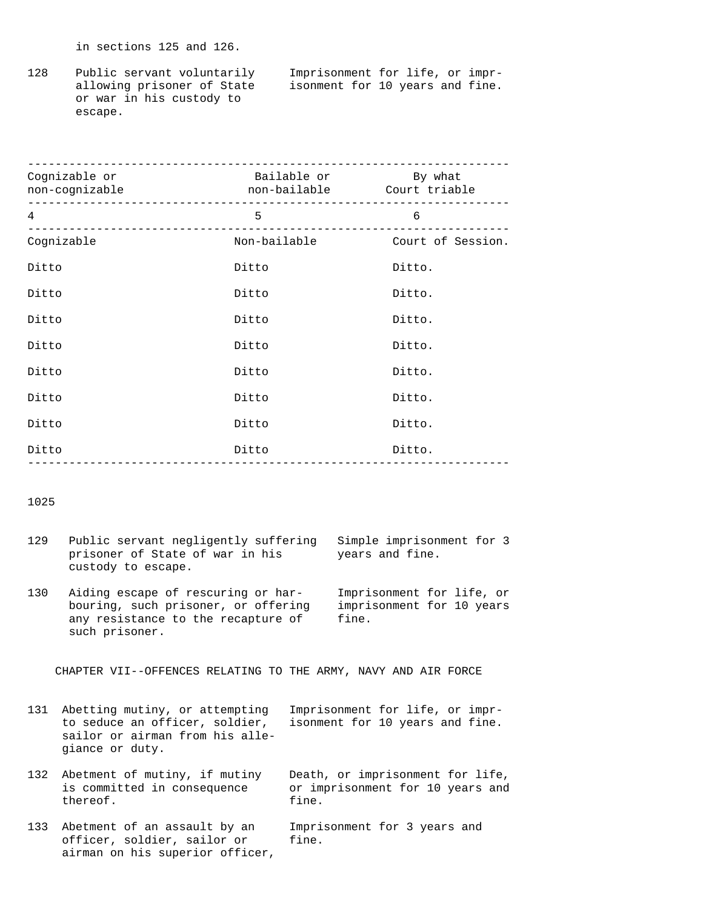in sections 125 and 126.

 128 Public servant voluntarily Imprisonment for life, or impr allowing prisoner of State isonment for 10 years and fine. or war in his custody to escape.

| <u> La de la del de la del de la de la</u> l<br>Cognizable or<br>non-cognizable | _________________________________<br>Bailable or<br>non-bailable Court triable | By what           |
|---------------------------------------------------------------------------------|--------------------------------------------------------------------------------|-------------------|
| $\overline{4}$                                                                  | 5                                                                              | 6                 |
| Cognizable                                                                      | Non-bailable                                                                   | Court of Session. |
| Ditto                                                                           | Ditto                                                                          | Ditto.            |
| Ditto                                                                           | Ditto                                                                          | Ditto.            |
| Ditto                                                                           | Ditto                                                                          | Ditto.            |
| Ditto                                                                           | Ditto                                                                          | Ditto.            |
| Ditto                                                                           | Ditto                                                                          | Ditto.            |
| Ditto                                                                           | Ditto                                                                          | Ditto.            |
| Ditto                                                                           | Ditto                                                                          | Ditto.            |
| Ditto                                                                           | Ditto                                                                          | Ditto.            |

| 129 | Public servant negligently suffering<br>prisoner of State of war in his<br>custody to escape.                                     |       | Simple imprisonment for 3<br>years and fine.                         |
|-----|-----------------------------------------------------------------------------------------------------------------------------------|-------|----------------------------------------------------------------------|
| 130 | Aiding escape of rescuring or har-<br>bouring, such prisoner, or offering<br>any resistance to the recapture of<br>such prisoner. |       | Imprisonment for life, or<br>imprisonment for 10 years<br>fine.      |
|     | CHAPTER VII--OFFENCES RELATING TO THE ARMY, NAVY AND AIR FORCE                                                                    |       |                                                                      |
| 131 | Abetting mutiny, or attempting<br>to seduce an officer, soldier,<br>sailor or airman from his alle-<br>giance or duty.            |       | Imprisonment for life, or impr-<br>isonment for 10 years and fine.   |
| 132 | Abetment of mutiny, if mutiny<br>is committed in consequence<br>thereof.                                                          | fine. | Death, or imprisonment for life,<br>or imprisonment for 10 years and |
| 133 | Abetment of an assault by an<br>officer, soldier, sailor or<br>airman on his superior officer,                                    | fine. | Imprisonment for 3 years and                                         |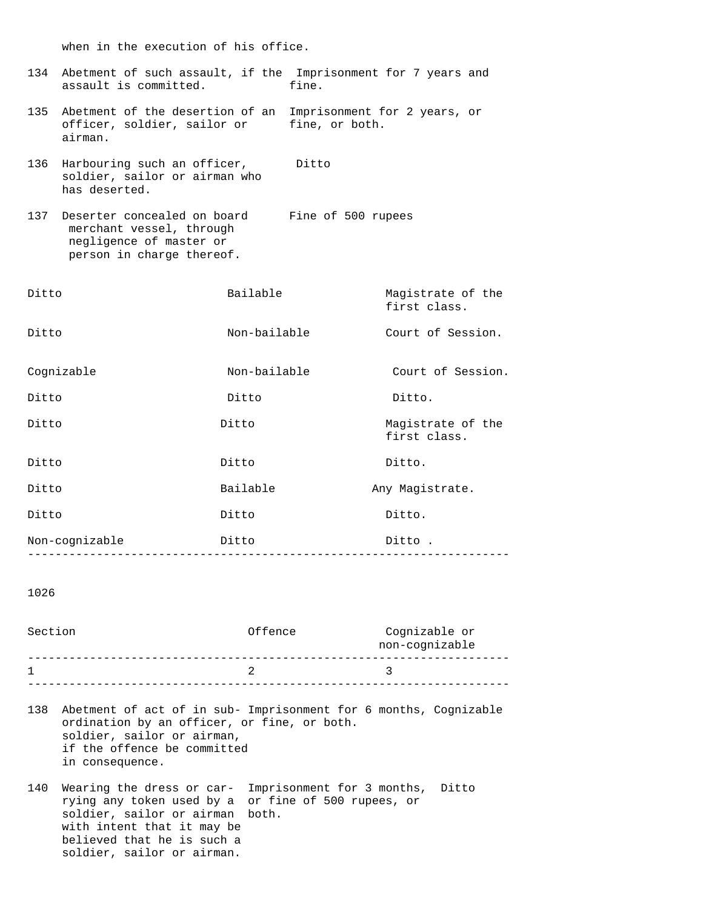when in the execution of his office.

- 134 Abetment of such assault, if the Imprisonment for 7 years and assault is committed. fine. assault is committed.
- 135 Abetment of the desertion of an Imprisonment for 2 years, or officer, soldier, sailor or fine, or both. airman.
- 136 Harbouring such an officer, Ditto soldier, sailor or airman who has deserted.
- 137 Deserter concealed on board Fine of 500 rupees merchant vessel, through negligence of master or person in charge thereof.

| Ditto          | Bailable     | Magistrate of the<br>first class. |
|----------------|--------------|-----------------------------------|
| Ditto          | Non-bailable | Court of Session.                 |
| Cognizable     | Non-bailable | Court of Session.                 |
| Ditto          | Ditto        | Ditto.                            |
| Ditto          | Ditto        | Magistrate of the<br>first class. |
| Ditto          | Ditto        | Ditto.                            |
| Ditto          | Bailable     | Any Magistrate.                   |
| Ditto          | Ditto        | Ditto.                            |
| Non-cognizable | Ditto        | Ditto.                            |

| Section |                                                                                                                                                                                                                                                | Offence       | Cognizable or<br>non-cognizable |  |
|---------|------------------------------------------------------------------------------------------------------------------------------------------------------------------------------------------------------------------------------------------------|---------------|---------------------------------|--|
|         |                                                                                                                                                                                                                                                | $\mathcal{L}$ | 3                               |  |
| 138     | Abetment of act of in sub- Imprisonment for 6 months, Cognizable<br>ordination by an officer, or fine, or both.<br>soldier, sailor or airman,<br>if the offence be committed<br>in consequence.                                                |               |                                 |  |
| 140     | Wearing the dress or car- Imprisonment for 3 months, Ditto<br>rying any token used by a or fine of 500 rupees, or<br>soldier, sailor or airman both.<br>with intent that it may be<br>believed that he is such a<br>soldier, sailor or airman. |               |                                 |  |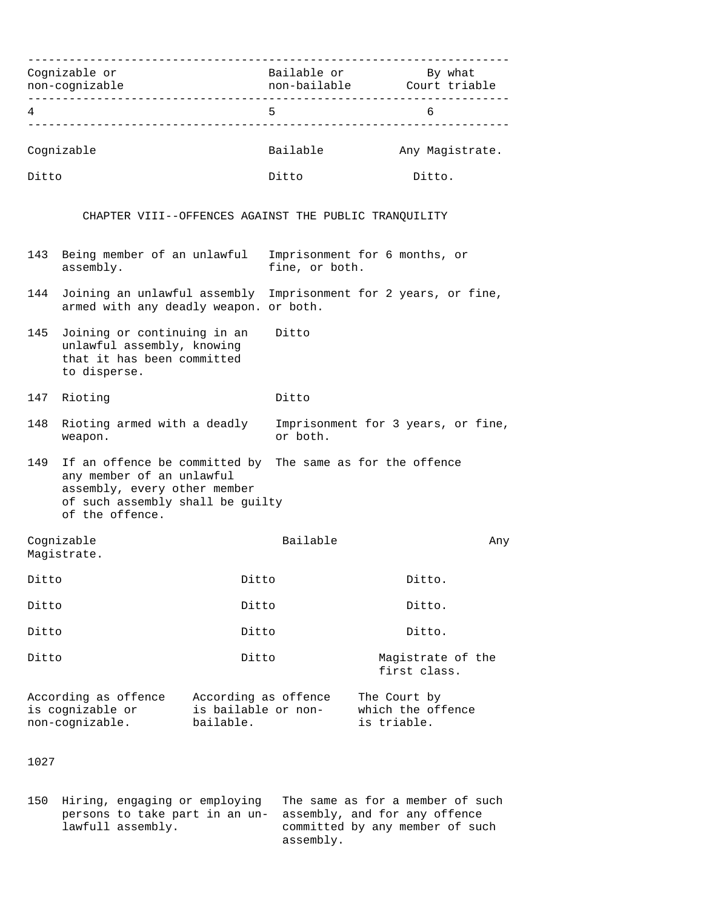| Cognizable or<br>non-cognizable                                                                                         |                                                                                                                                                                               |       |                                                  | Bailable or By what<br>non-bailable Court triable               |  |
|-------------------------------------------------------------------------------------------------------------------------|-------------------------------------------------------------------------------------------------------------------------------------------------------------------------------|-------|--------------------------------------------------|-----------------------------------------------------------------|--|
| 4                                                                                                                       |                                                                                                                                                                               |       | 5                                                | 6<br>-----------------------                                    |  |
|                                                                                                                         | Cognizable                                                                                                                                                                    |       | Bailable                                         | Any Magistrate.                                                 |  |
| Ditto                                                                                                                   |                                                                                                                                                                               |       | Ditto                                            | Ditto.                                                          |  |
| CHAPTER VIII--OFFENCES AGAINST THE PUBLIC TRANOUILITY                                                                   |                                                                                                                                                                               |       |                                                  |                                                                 |  |
| 143                                                                                                                     | Being member of an unlawful Imprisonment for 6 months, or<br>assembly.                                                                                                        |       | fine, or both.                                   |                                                                 |  |
| 144                                                                                                                     | armed with any deadly weapon. or both.                                                                                                                                        |       |                                                  | Joining an unlawful assembly Imprisonment for 2 years, or fine, |  |
| 145                                                                                                                     | Joining or continuing in an Ditto<br>unlawful assembly, knowing<br>that it has been committed<br>to disperse.                                                                 |       |                                                  |                                                                 |  |
|                                                                                                                         | 147 Rioting                                                                                                                                                                   |       | Ditto                                            |                                                                 |  |
| 148                                                                                                                     | Rioting armed with a deadly<br>weapon.                                                                                                                                        |       | or both.                                         | Imprisonment for 3 years, or fine,                              |  |
| 149                                                                                                                     | If an offence be committed by The same as for the offence<br>any member of an unlawful<br>assembly, every other member<br>of such assembly shall be guilty<br>of the offence. |       |                                                  |                                                                 |  |
|                                                                                                                         | Cognizable<br>Magistrate.                                                                                                                                                     |       | Bailable                                         | Any                                                             |  |
| Ditto                                                                                                                   |                                                                                                                                                                               | Ditto |                                                  | Ditto.                                                          |  |
| Ditto                                                                                                                   |                                                                                                                                                                               | Ditto |                                                  | Ditto.                                                          |  |
| Ditto                                                                                                                   |                                                                                                                                                                               | Ditto |                                                  | Ditto.                                                          |  |
| Ditto                                                                                                                   |                                                                                                                                                                               | Ditto |                                                  | Magistrate of the<br>first class.                               |  |
| According as offence<br>According as offence<br>is cognizable or<br>is bailable or non-<br>non-cognizable.<br>bailable. |                                                                                                                                                                               |       | The Court by<br>which the offence<br>is triable. |                                                                 |  |
|                                                                                                                         | 1027                                                                                                                                                                          |       |                                                  |                                                                 |  |

 150 Hiring, engaging or employing The same as for a member of such persons to take part in an un- assembly, and for any offence<br>lawfull assembly. committed by any member of suc committed by any member of such assembly.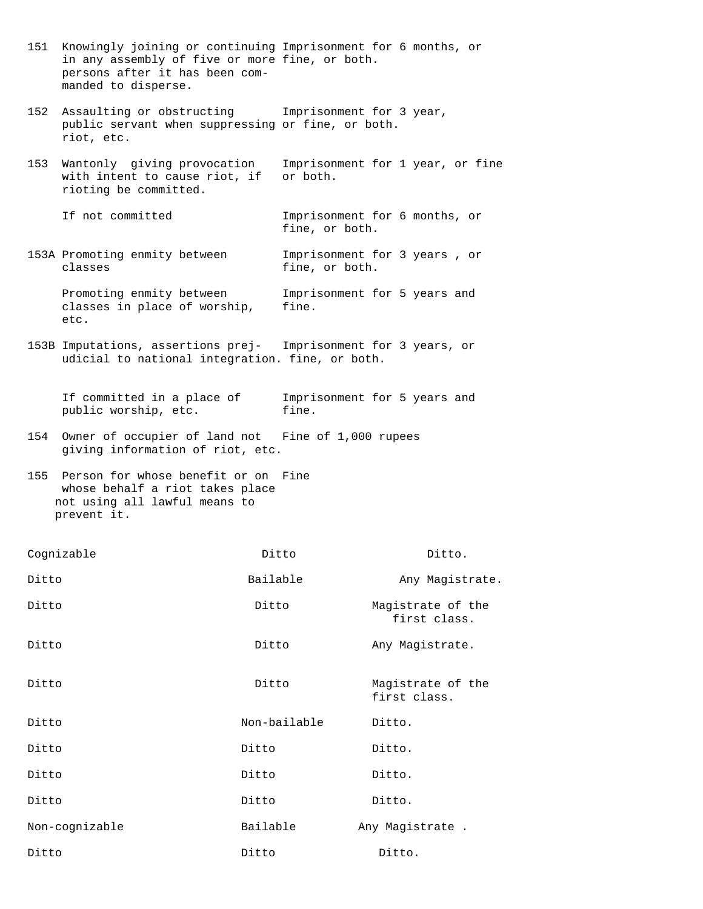- 151 Knowingly joining or continuing Imprisonment for 6 months, or in any assembly of five or more fine, or both. persons after it has been com manded to disperse. 152 Assaulting or obstructing Imprisonment for 3 year, public servant when suppressing or fine, or both. riot, etc. 153 Wantonly giving provocation Imprisonment for 1 year, or fine with intent to cause riot, if or both. rioting be committed. If not committed Imprisonment for 6 months, or fine, or both. 153A Promoting enmity between Imprisonment for 3 years , or classes tine, or both. Promoting enmity between Imprisonment for 5 years and classes in place of worship, fine. etc. 153B Imputations, assertions prej- Imprisonment for 3 years, or udicial to national integration. fine, or both. If committed in a place of Imprisonment for 5 years and public worship, etc. fine. 154 Owner of occupier of land not Fine of 1,000 rupees giving information of riot, etc. 155 Person for whose benefit or on Fine whose behalf a riot takes place not using all lawful means to prevent it. Cognizable Ditto Ditto. Ditto Bailable Any Magistrate. Ditto **Ditto** Ditto Magistrate of the first class. Ditto **Ditto Ditto Any Magistrate.**  Ditto Ditto Magistrate of the first class.
- Ditto Non-bailable Ditto. Ditto Ditto Ditto. Ditto Ditto Ditto. Ditto Ditto Ditto. Non-cognizable Bailable Any Magistrate . Ditto Ditto Ditto.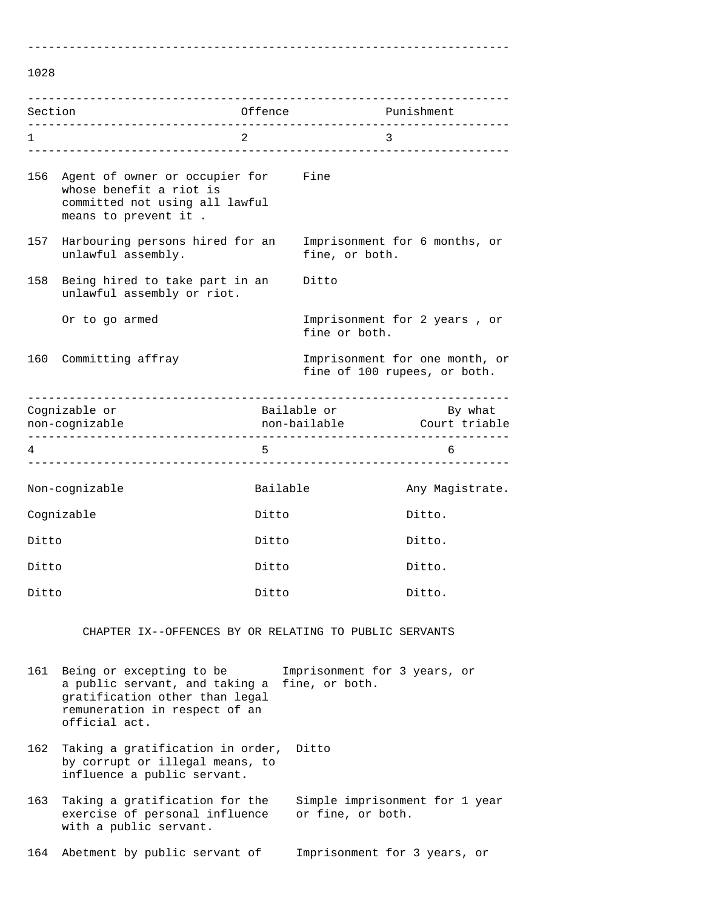|       | Section                                                                                                             | Offence        |                | Punishment                                                         |
|-------|---------------------------------------------------------------------------------------------------------------------|----------------|----------------|--------------------------------------------------------------------|
|       |                                                                                                                     | $\overline{2}$ |                | 3                                                                  |
| 156   | Agent of owner or occupier for<br>whose benefit a riot is<br>committed not using all lawful<br>means to prevent it. |                | Fine           |                                                                    |
| 157   | Harbouring persons hired for an<br>unlawful assembly.                                                               |                | fine, or both. | Imprisonment for 6 months, or                                      |
| 158   | Being hired to take part in an<br>unlawful assembly or riot.                                                        |                | Ditto          |                                                                    |
|       | Or to go armed                                                                                                      |                | fine or both.  | Imprisonment for 2 years, or                                       |
| 160   | Committing affray                                                                                                   |                |                | Imprisonment for one month, or<br>fine of 100 rupees, or both.     |
|       | Cognizable or<br>non-coqnizable<br>_______________________________                                                  |                | Bailable or    | -------------------------<br>By what<br>non-bailable Court triable |
| 4     |                                                                                                                     | 5              |                | 6                                                                  |
|       | Non-cognizable                                                                                                      | Bailable       |                | Any Magistrate.                                                    |
|       | Cognizable                                                                                                          | Ditto          |                | Ditto.                                                             |
| Ditto |                                                                                                                     | Ditto          |                | Ditto.                                                             |
| Ditto |                                                                                                                     | Ditto          |                | Ditto.                                                             |
| Ditto |                                                                                                                     | Ditto          |                | Ditto.                                                             |

----------------------------------------------------------------------

 161 Being or excepting to be Imprisonment for 3 years, or a public servant, and taking a fine, or both. gratification other than legal remuneration in respect of an official act.

- 162 Taking a gratification in order, Ditto by corrupt or illegal means, to influence a public servant.
- 163 Taking a gratification for the Simple imprisonment for 1 year exercise of personal influence or fine, or both. with a public servant.
- 164 Abetment by public servant of Imprisonment for 3 years, or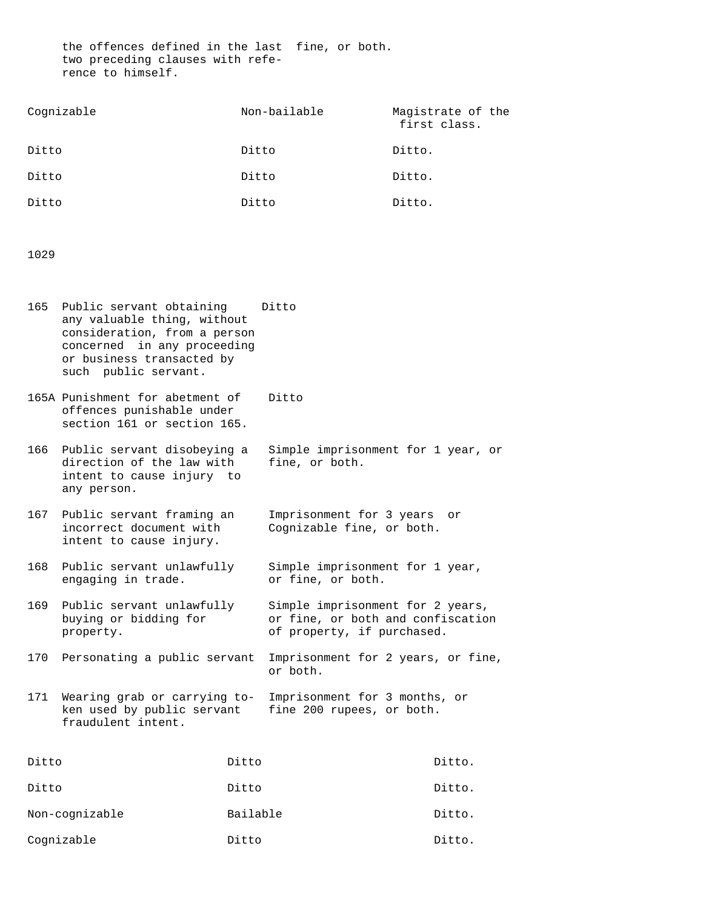the offences defined in the last fine, or both. two preceding clauses with refe rence to himself.

| Cognizable | Non-bailable | Magistrate of the<br>first class. |
|------------|--------------|-----------------------------------|
| Ditto      | Ditto        | Ditto.                            |
| Ditto      | Ditto        | Ditto.                            |
| Ditto      | Ditto        | Ditto.                            |

1029

| 165            | Public servant obtaining<br>any valuable thing, without<br>consideration, from a person<br>concerned in any proceeding<br>or business transacted by<br>such public servant. |          | Ditto                                                                                               |        |
|----------------|-----------------------------------------------------------------------------------------------------------------------------------------------------------------------------|----------|-----------------------------------------------------------------------------------------------------|--------|
|                | 165A Punishment for abetment of<br>offences punishable under<br>section 161 or section 165.                                                                                 |          | Ditto                                                                                               |        |
| 166            | Public servant disobeying a<br>direction of the law with<br>intent to cause injury to<br>any person.                                                                        |          | Simple imprisonment for 1 year, or<br>fine, or both.                                                |        |
| 167            | Public servant framing an<br>incorrect document with<br>intent to cause injury.                                                                                             |          | Imprisonment for 3 years<br>Cognizable fine, or both.                                               | or     |
| 168            | Public servant unlawfully<br>engaging in trade.                                                                                                                             |          | Simple imprisonment for 1 year,<br>or fine, or both.                                                |        |
| 169            | Public servant unlawfully<br>buying or bidding for<br>property.                                                                                                             |          | Simple imprisonment for 2 years,<br>or fine, or both and confiscation<br>of property, if purchased. |        |
| 170            | Personating a public servant                                                                                                                                                |          | Imprisonment for 2 years, or fine,<br>or both.                                                      |        |
| 171            | Wearing grab or carrying to-<br>ken used by public servant<br>fraudulent intent.                                                                                            |          | Imprisonment for 3 months, or<br>fine 200 rupees, or both.                                          |        |
| Ditto          |                                                                                                                                                                             | Ditto    |                                                                                                     | Ditto. |
| Ditto          |                                                                                                                                                                             | Ditto    |                                                                                                     | Ditto. |
| Non-cognizable |                                                                                                                                                                             | Bailable |                                                                                                     | Ditto. |

Cognizable Ditto Ditto Ditto.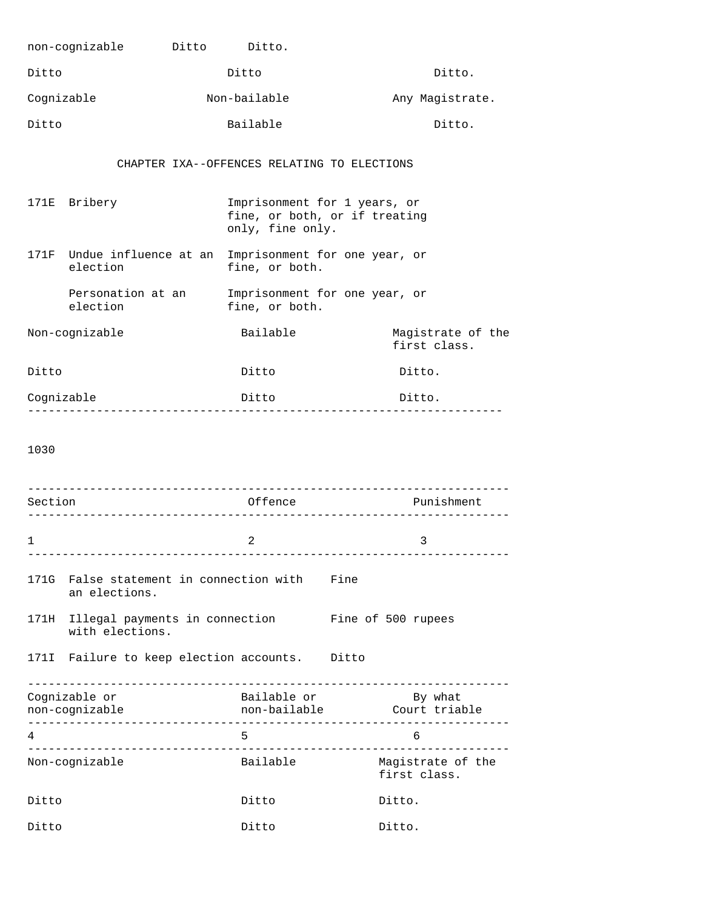|                                 | non-cognizable                                                       | Ditto | Ditto.                                            |                                                        |
|---------------------------------|----------------------------------------------------------------------|-------|---------------------------------------------------|--------------------------------------------------------|
| Ditto                           |                                                                      |       | Ditto                                             | Ditto.                                                 |
| Cognizable                      |                                                                      |       | Non-bailable                                      | Any Magistrate.                                        |
| Ditto                           |                                                                      |       | Bailable                                          | Ditto.                                                 |
|                                 |                                                                      |       | CHAPTER IXA--OFFENCES RELATING TO ELECTIONS       |                                                        |
|                                 | 171E Bribery                                                         |       | Imprisonment for 1 years, or<br>only, fine only.  | fine, or both, or if treating                          |
|                                 | 171F Undue influence at an Imprisonment for one year, or<br>election |       | fine, or both.                                    |                                                        |
|                                 | Personation at an<br>election                                        |       | fine, or both.                                    | Imprisonment for one year, or                          |
|                                 | Non-cognizable                                                       |       | Bailable                                          | Magistrate of the<br>first class.                      |
| Ditto                           |                                                                      |       | Ditto                                             | Ditto.                                                 |
|                                 | Cognizable                                                           |       | Ditto                                             | Ditto.                                                 |
| 1030                            |                                                                      |       |                                                   |                                                        |
| Section                         | ______________________________                                       |       | Offence                                           | Punishment                                             |
| 1                               |                                                                      |       | 2                                                 | 3                                                      |
|                                 | 171G False statement in connection with Fine<br>an elections.        |       |                                                   |                                                        |
|                                 | with elections.                                                      |       |                                                   | 171H Illegal payments in connection Fine of 500 rupees |
|                                 | 171I Failure to keep election accounts. Ditto                        |       |                                                   |                                                        |
| Cognizable or<br>non-cognizable |                                                                      |       | Bailable or By what<br>non-bailable Court triable |                                                        |
| 4                               |                                                                      |       | 5                                                 | 6                                                      |
|                                 | Non-cognizable                                                       |       | Bailable                                          | Magistrate of the                                      |
|                                 |                                                                      |       |                                                   | first class.                                           |
| Ditto                           |                                                                      |       | Ditto                                             | Ditto.                                                 |
| Ditto                           |                                                                      |       | Ditto                                             | Ditto.                                                 |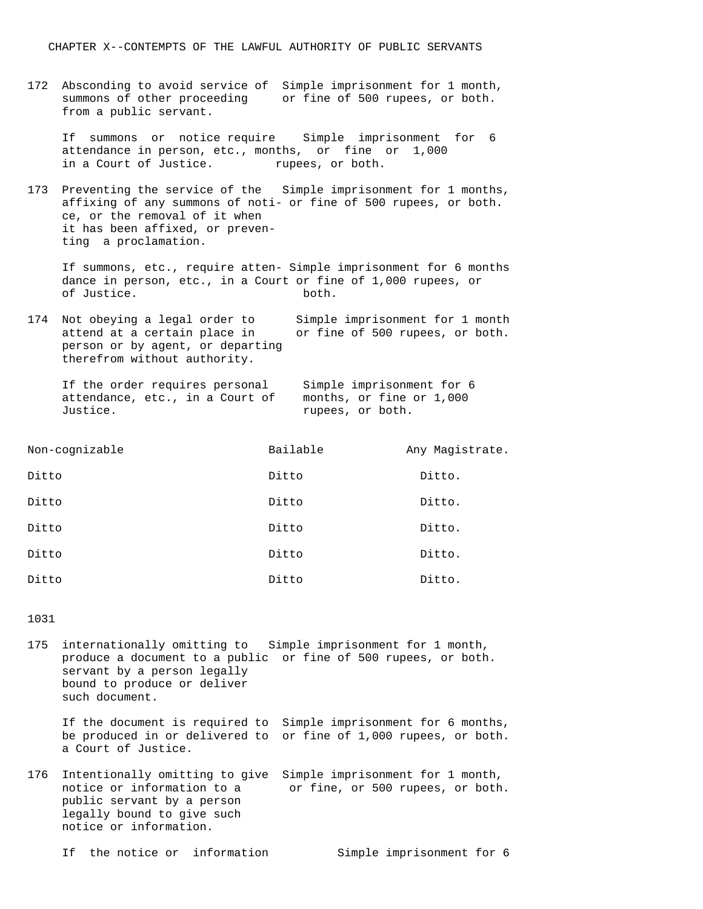172 Absconding to avoid service of Simple imprisonment for 1 month, summons of other proceeding or fine of 500 rupees, or both. from a public servant.

 If summons or notice require Simple imprisonment for 6 attendance in person, etc., months, or fine or 1,000 in a Court of Justice. Tupees, or both.

 173 Preventing the service of the Simple imprisonment for 1 months, affixing of any summons of noti- or fine of 500 rupees, or both. ce, or the removal of it when it has been affixed, or preven ting a proclamation.

 If summons, etc., require atten- Simple imprisonment for 6 months dance in person, etc., in a Court or fine of 1,000 rupees, or of Justice. both.

 174 Not obeying a legal order to Simple imprisonment for 1 month attend at a certain place in or fine of 500 rupees, or both. person or by agent, or departing therefrom without authority.

 If the order requires personal Simple imprisonment for 6 attendance, etc., in a Court of months, or fine or 1,000 Justice. Tustice.

| Non-cognizable | Bailable | Any Magistrate. |
|----------------|----------|-----------------|
| Ditto          | Ditto    | Ditto.          |
| Ditto          | Ditto    | Ditto.          |
| Ditto          | Ditto    | Ditto.          |
| Ditto          | Ditto    | Ditto.          |
| Ditto          | Ditto    | Ditto.          |

1031

 175 internationally omitting to Simple imprisonment for 1 month, produce a document to a public or fine of 500 rupees, or both. servant by a person legally bound to produce or deliver such document.

 If the document is required to Simple imprisonment for 6 months, be produced in or delivered to or fine of 1,000 rupees, or both. a Court of Justice.

 176 Intentionally omitting to give Simple imprisonment for 1 month, notice or information to a or fine, or 500 rupees, or both. public servant by a person legally bound to give such notice or information.

If the notice or information Simple imprisonment for 6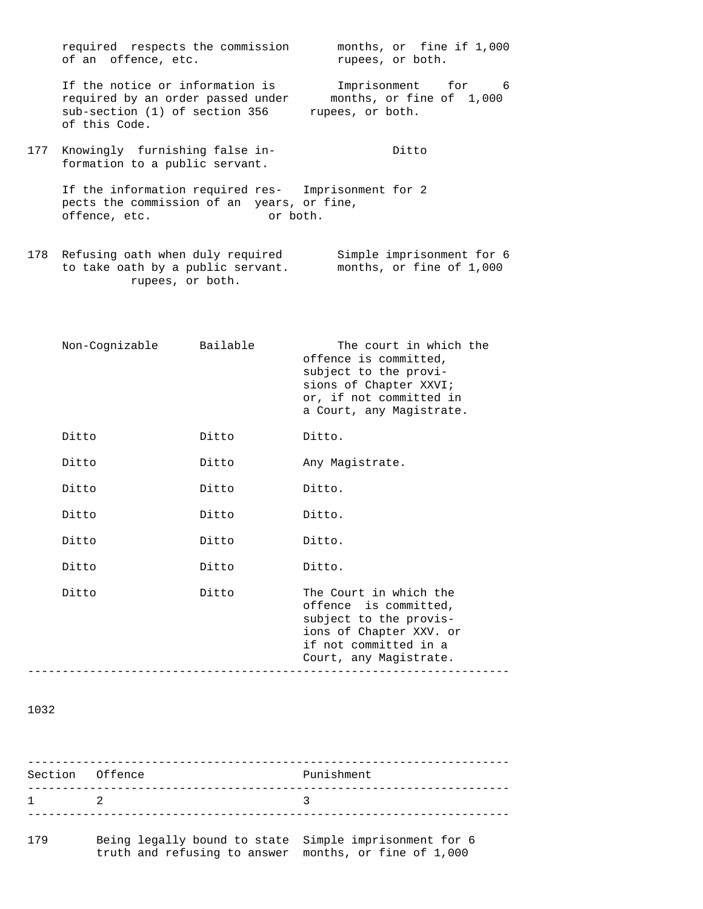|     | required respects the commission<br>of an offence, etc.                                                                 |          | months, or fine if 1,000<br>rupees, or both.                                                                                                              |
|-----|-------------------------------------------------------------------------------------------------------------------------|----------|-----------------------------------------------------------------------------------------------------------------------------------------------------------|
|     | If the notice or information is<br>required by an order passed under<br>sub-section (1) of section 356<br>of this Code. |          | Imprisonment for 6<br>months, or fine of 1,000<br>rupees, or both.                                                                                        |
| 177 | Knowingly furnishing false in-<br>formation to a public servant.                                                        |          | Ditto                                                                                                                                                     |
|     | pects the commission of an years, or fine,<br>offence, etc.                                                             | or both. | If the information required res- Imprisonment for 2                                                                                                       |
| 178 | Refusing oath when duly required<br>to take oath by a public servant.<br>rupees, or both.                               |          | Simple imprisonment for 6<br>months, or fine of 1,000                                                                                                     |
|     | Non-Cognizable                                                                                                          | Bailable | The court in which the<br>offence is committed,<br>subject to the provi-<br>sions of Chapter XXVI;<br>or, if not committed in<br>a Court, any Magistrate. |
|     | Ditto                                                                                                                   | Ditto    | Ditto.                                                                                                                                                    |
|     | Ditto                                                                                                                   | Ditto    | Any Magistrate.                                                                                                                                           |
|     | Ditto                                                                                                                   | Ditto    | Ditto.                                                                                                                                                    |
|     | Ditto                                                                                                                   | Ditto    | Ditto.                                                                                                                                                    |
|     | Ditto                                                                                                                   | Ditto    | Ditto.                                                                                                                                                    |
|     | Ditto                                                                                                                   | Ditto    | Ditto.                                                                                                                                                    |
|     | Ditto                                                                                                                   | Ditto    | The Court in which the<br>offence is committed,<br>subject to the provis-<br>ions of Chapter XXV. or<br>if not committed in a<br>Court, any Magistrate.   |

| Section Offence |                                                        | Punishment |
|-----------------|--------------------------------------------------------|------------|
|                 |                                                        |            |
| 179             | Being legally bound to state Simple imprisonment for 6 |            |

truth and refusing to answer months, or fine of 1,000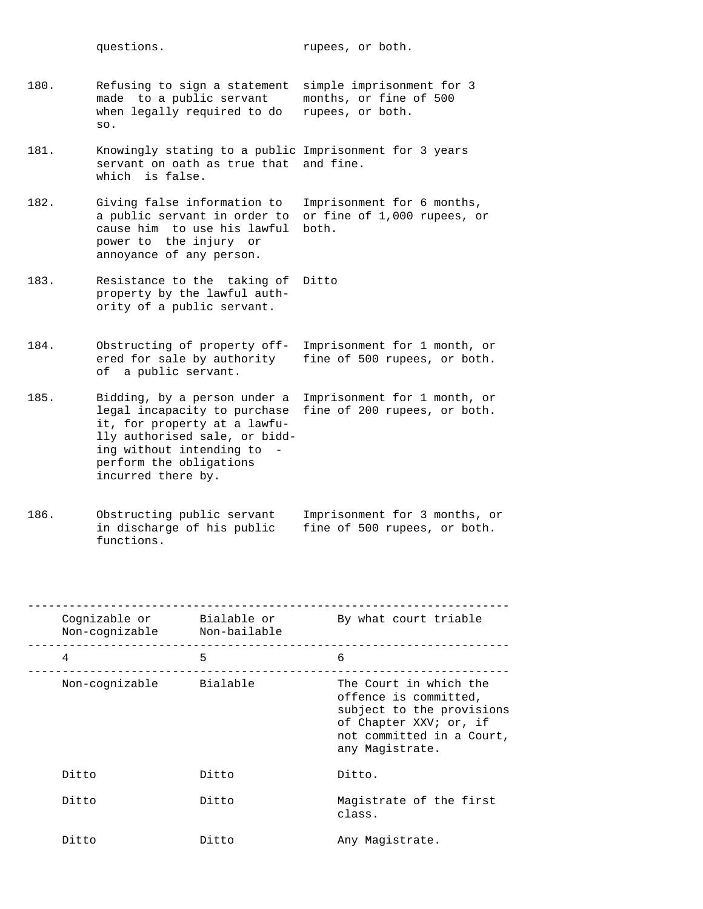- 180. Refusing to sign a statement simple imprisonment for 3 made to a public servant months, or fine of 500 when legally required to do rupees, or both. so.
- 181. Knowingly stating to a public Imprisonment for 3 years servant on oath as true that and fine. which is false.
- 182. Giving false information to Imprisonment for 6 months, a public servant in order to or fine of 1,000 rupees, or cause him to use his lawful both. power to the injury or annoyance of any person.
- 183. Resistance to the taking of Ditto property by the lawful auth ority of a public servant.
- 184. Obstructing of property off- Imprisonment for 1 month, or ered for sale by authority fine of 500 rupees, or both. of a public servant.
- 185. Bidding, by a person under a Imprisonment for 1 month, or legal incapacity to purchase fine of 200 rupees, or both. it, for property at a lawfu lly authorised sale, or bidd ing without intending to perform the obligations incurred there by.
- 186. Obstructing public servant Imprisonment for 3 months, or in discharge of his public fine of 500 rupees, or both. functions.

| Cognizable or<br>Non-cognizable | Bialable or<br>Non-bailable | By what court triable                                                                                                                                  |
|---------------------------------|-----------------------------|--------------------------------------------------------------------------------------------------------------------------------------------------------|
| 4                               | 5                           | 6                                                                                                                                                      |
| Non-cognizable                  | Bialable                    | The Court in which the<br>offence is committed,<br>subject to the provisions<br>of Chapter XXV; or, if<br>not committed in a Court,<br>any Magistrate. |
| Ditto                           | Ditto                       | Ditto.                                                                                                                                                 |
| Ditto                           | Ditto                       | Magistrate of the first<br>class.                                                                                                                      |
| Ditto                           | Ditto                       | Any Magistrate.                                                                                                                                        |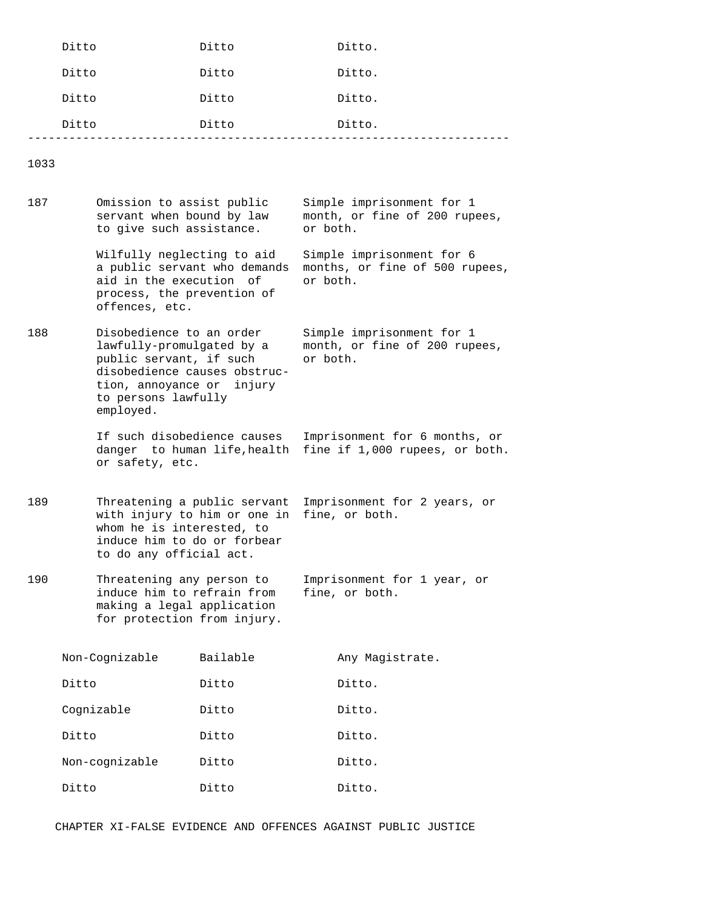| Ditto | Ditto | Ditto. |  |
|-------|-------|--------|--|
| Ditto | Ditto | Ditto. |  |
| Ditto | Ditto | Ditto. |  |
| Ditto | Ditto | Ditto. |  |
|       |       |        |  |

| 187 |                                                                                                                      | Omission to assist public<br>servant when bound by law<br>to give such assistance.                                                                                         |                              | or both.                    | Simple imprisonment for 1<br>month, or fine of 200 rupees,      |
|-----|----------------------------------------------------------------------------------------------------------------------|----------------------------------------------------------------------------------------------------------------------------------------------------------------------------|------------------------------|-----------------------------|-----------------------------------------------------------------|
|     |                                                                                                                      | Wilfully neglecting to aid<br>a public servant who demands<br>aid in the execution of<br>process, the prevention of<br>offences, etc.                                      |                              | or both.                    | Simple imprisonment for 6<br>months, or fine of 500 rupees,     |
| 188 |                                                                                                                      | Disobedience to an order<br>lawfully-promulgated by a<br>public servant, if such<br>disobedience causes obstruc-<br>tion, annoyance or<br>to persons lawfully<br>employed. | injury                       | or both.                    | Simple imprisonment for 1<br>month, or fine of 200 rupees,      |
|     |                                                                                                                      | If such disobedience causes<br>or safety, etc.                                                                                                                             | danger to human life, health |                             | Imprisonment for 6 months, or<br>fine if 1,000 rupees, or both. |
| 189 |                                                                                                                      | Threatening a public servant<br>with injury to him or one in<br>whom he is interested, to<br>induce him to do or forbear<br>to do any official act.                        |                              | fine, or both.              | Imprisonment for 2 years, or                                    |
| 190 | Threatening any person to<br>induce him to refrain from<br>making a legal application<br>for protection from injury. |                                                                                                                                                                            | fine, or both.               | Imprisonment for 1 year, or |                                                                 |
|     |                                                                                                                      | Non-Cognizable                                                                                                                                                             | Bailable                     |                             | Any Magistrate.                                                 |
|     | Ditto                                                                                                                |                                                                                                                                                                            | Ditto                        | Ditto.                      |                                                                 |
|     |                                                                                                                      | Cognizable                                                                                                                                                                 | Ditto                        | Ditto.                      |                                                                 |
|     | Ditto                                                                                                                |                                                                                                                                                                            | Ditto                        | Ditto.                      |                                                                 |
|     |                                                                                                                      | Non-cognizable                                                                                                                                                             | Ditto                        | Ditto.                      |                                                                 |
|     | Ditto                                                                                                                |                                                                                                                                                                            | Ditto                        | Ditto.                      |                                                                 |

CHAPTER XI-FALSE EVIDENCE AND OFFENCES AGAINST PUBLIC JUSTICE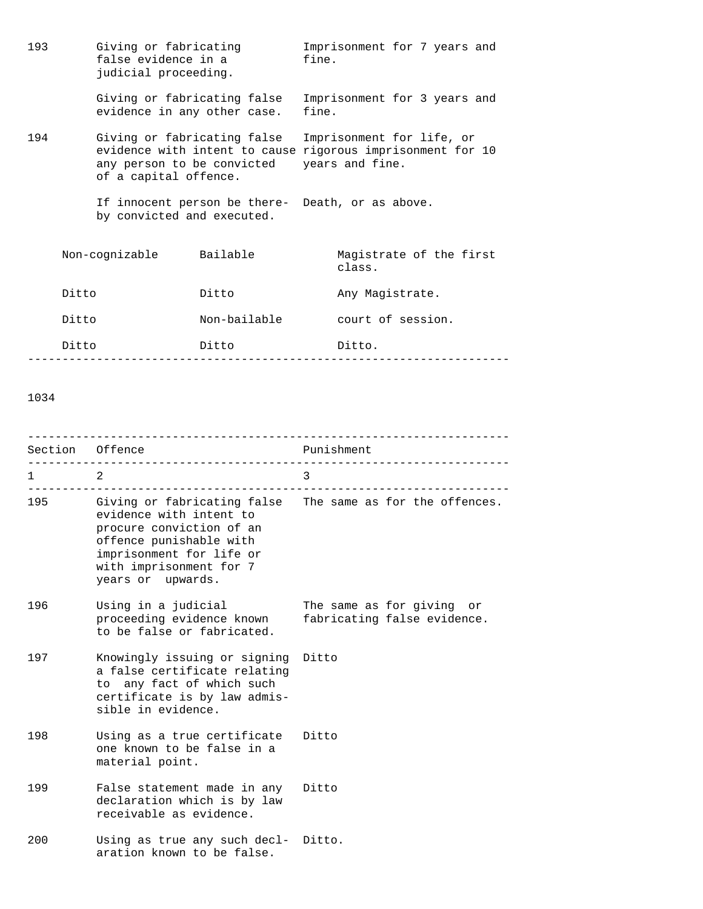| 193 | Giving or fabricating<br>false evidence in a<br>judicial proceeding. |                                                            | fine. | Imprisonment for 7 years and                                                                               |
|-----|----------------------------------------------------------------------|------------------------------------------------------------|-------|------------------------------------------------------------------------------------------------------------|
|     |                                                                      | Giving or fabricating false<br>evidence in any other case. | fine. | Imprisonment for 3 years and                                                                               |
| 194 | of a capital offence.                                                | Giving or fabricating false<br>any person to be convicted  |       | Imprisonment for life, or<br>evidence with intent to cause rigorous imprisonment for 10<br>years and fine. |
|     | by convicted and executed.                                           | If innocent person be there- Death, or as above.           |       |                                                                                                            |
|     | Non-cognizable                                                       | Bailable                                                   |       | Magistrate of the first<br>class.                                                                          |
|     | Ditto                                                                | Ditto                                                      |       | Any Magistrate.                                                                                            |
|     | Ditto                                                                | Non-bailable                                               |       | court of session.                                                                                          |
|     | Ditto                                                                | Ditto                                                      |       | Ditto.                                                                                                     |

| Section Offence | ______________________________________                                                                                                                     | Punishment<br>___________________________                 |
|-----------------|------------------------------------------------------------------------------------------------------------------------------------------------------------|-----------------------------------------------------------|
| 1.              | 2                                                                                                                                                          | $\mathcal{E}$                                             |
| 195             | evidence with intent to<br>procure conviction of an<br>offence punishable with<br>imprisonment for life or<br>with imprisonment for 7<br>years or upwards. | Giving or fabricating false The same as for the offences. |
| 196             | Using in a judicial<br>proceeding evidence known<br>to be false or fabricated.                                                                             | The same as for giving or<br>fabricating false evidence.  |
| 197             | Knowingly issuing or signing Ditto<br>a false certificate relating<br>to any fact of which such<br>certificate is by law admis-<br>sible in evidence.      |                                                           |
| 198             | Using as a true certificate<br>one known to be false in a<br>material point.                                                                               | Ditto                                                     |
| 199             | False statement made in any<br>declaration which is by law<br>receivable as evidence.                                                                      | Ditto                                                     |
| 200             | Using as true any such decl- Ditto.<br>aration known to be false.                                                                                          |                                                           |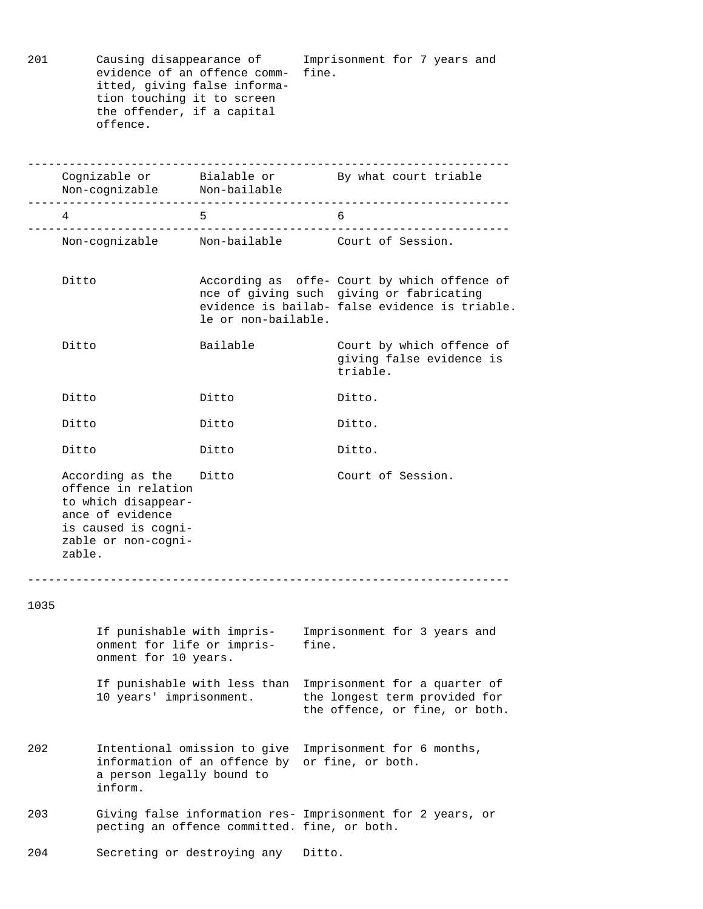201 Causing disappearance of Imprisonment for 7 years and evidence of an offence comm- fine. itted, giving false informa tion touching it to screen the offender, if a capital offence. ---------------------------------------------------------------------- Cognizable or Bialable or By what court triable Non-cognizable Non-bailable ---------------------------------------------------------------------- 4 5 6 ---------------------------------------------------------------------- Non-cognizable Non-bailable Court of Session. Ditto According as offe- Court by which offence of nce of giving such giving or fabricating evidence is bailab- false evidence is triable. le or non-bailable. Ditto Bailable Court by which offence of giving false evidence is triable. Ditto Ditto Ditto. Ditto Ditto Ditto. Ditto Ditto Ditto. According as the Ditto Court of Session. offence in relation to which disappear ance of evidence is caused is cogni zable or non-cogni zable. ---------------------------------------------------------------------- 1035 If punishable with impris- Imprisonment for 3 years and onment for life or impris- fine. onment for 10 years. If punishable with less than Imprisonment for a quarter of 10 years' imprisonment. the longest term provided for the offence, or fine, or both. 202 Intentional omission to give Imprisonment for 6 months, information of an offence by or fine, or both. a person legally bound to inform. 203 Giving false information res- Imprisonment for 2 years, or pecting an offence committed. fine, or both. 204 Secreting or destroying any Ditto.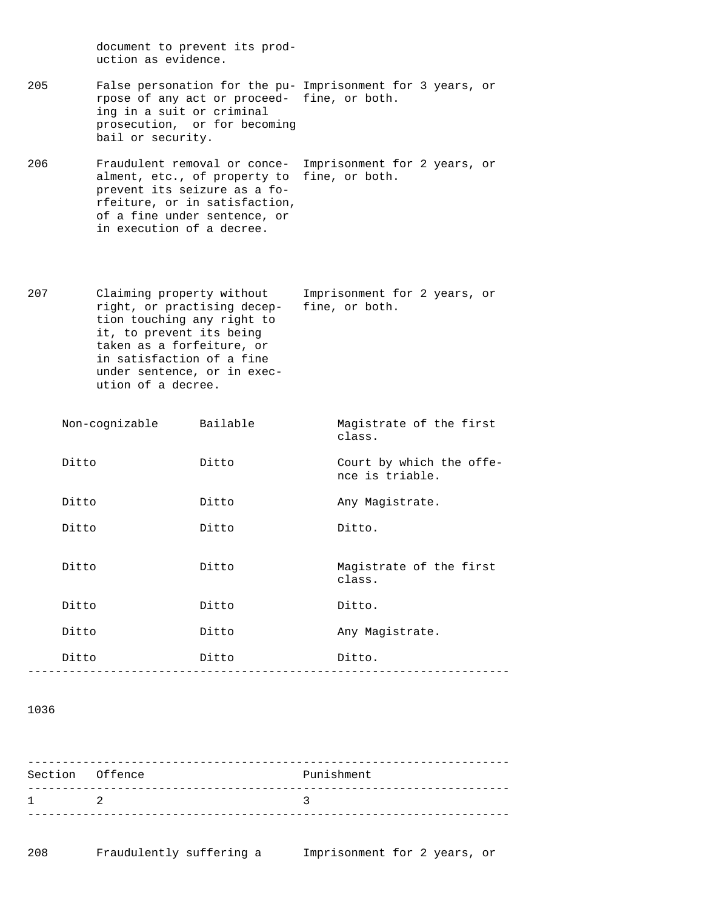document to prevent its prod uction as evidence.

- 205 False personation for the pu- Imprisonment for 3 years, or rpose of any act or proceed- fine, or both. ing in a suit or criminal prosecution, or for becoming bail or security.
- 206 Fraudulent removal or conce- Imprisonment for 2 years, or alment, etc., of property to fine, or both. prevent its seizure as a fo rfeiture, or in satisfaction, of a fine under sentence, or in execution of a decree.
- 207 Claiming property without Imprisonment for 2 years, or right, or practising decep- fine, or both. tion touching any right to it, to prevent its being taken as a forfeiture, or in satisfaction of a fine under sentence, or in exec ution of a decree.

| Non-cognizable | Bailable | Magistrate of the first<br>class.           |
|----------------|----------|---------------------------------------------|
| Ditto          | Ditto    | Court by which the offe-<br>nce is triable. |
| Ditto          | Ditto    | Any Magistrate.                             |
| Ditto          | Ditto    | Ditto.                                      |
| Ditto          | Ditto    | Magistrate of the first<br>class.           |
| Ditto          | Ditto    | Ditto.                                      |
| Ditto          | Ditto    | Any Magistrate.                             |
| Ditto          | Ditto    | Ditto.                                      |
|                |          |                                             |

| Section Offence |                | Punishment |
|-----------------|----------------|------------|
| $\sim$ 1        | $\overline{2}$ | - 2        |
|                 |                |            |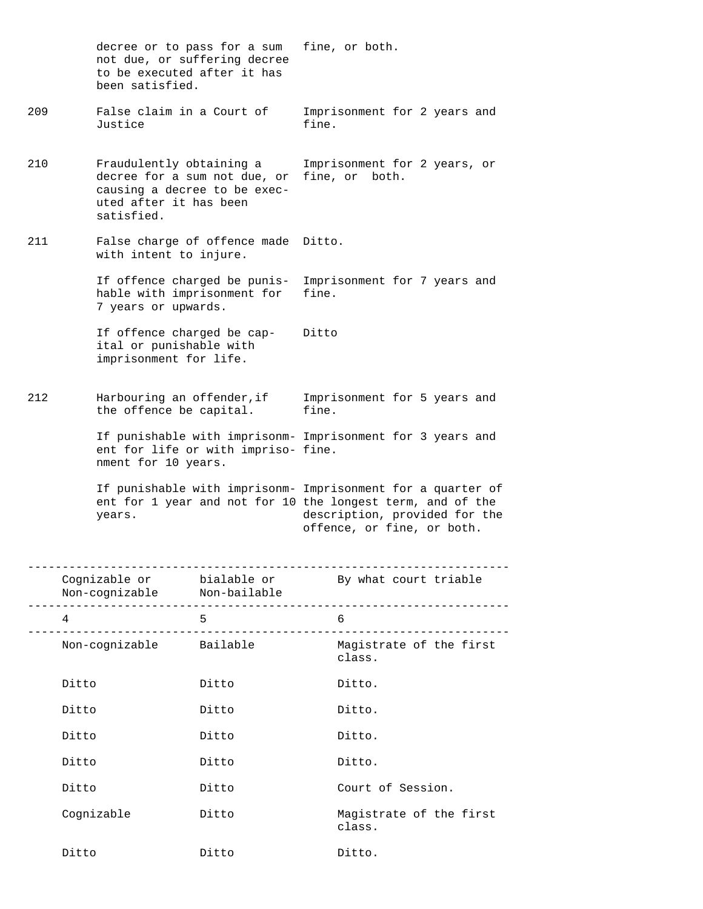|     | to be executed after it has<br>been satisfied.                                  | decree or to pass for a sum fine, or both.<br>not due, or suffering decree |                                                                                                                                                                                          |
|-----|---------------------------------------------------------------------------------|----------------------------------------------------------------------------|------------------------------------------------------------------------------------------------------------------------------------------------------------------------------------------|
| 209 | False claim in a Court of<br>Justice                                            |                                                                            | Imprisonment for 2 years and<br>fine.                                                                                                                                                    |
| 210 | Fraudulently obtaining a<br>uted after it has been<br>satisfied.                | decree for a sum not due, or<br>causing a decree to be exec-               | Imprisonment for 2 years, or<br>fine, or both.                                                                                                                                           |
| 211 | with intent to injure.                                                          | False charge of offence made                                               | Ditto.                                                                                                                                                                                   |
|     | hable with imprisonment for<br>7 years or upwards.                              | If offence charged be punis-                                               | Imprisonment for 7 years and<br>fine.                                                                                                                                                    |
|     | If offence charged be cap-<br>ital or punishable with<br>imprisonment for life. |                                                                            | Ditto                                                                                                                                                                                    |
| 212 | Harbouring an offender, if<br>the offence be capital.                           |                                                                            | Imprisonment for 5 years and<br>fine.                                                                                                                                                    |
|     | nment for 10 years.                                                             | ent for life or with impriso- fine.                                        | If punishable with imprisonm- Imprisonment for 3 years and                                                                                                                               |
|     | years.                                                                          |                                                                            | If punishable with imprisonm- Imprisonment for a quarter of<br>ent for 1 year and not for 10 the longest term, and of the<br>description, provided for the<br>offence, or fine, or both. |
|     | Non-cognizable Non-bailable                                                     |                                                                            | Cognizable or bialable or By what court triable                                                                                                                                          |
|     | 4                                                                               | 5                                                                          | 6                                                                                                                                                                                        |
|     | Non-cognizable Bailable                                                         |                                                                            | Magistrate of the first<br>class.                                                                                                                                                        |
|     | Ditto                                                                           | Ditto                                                                      | Ditto.                                                                                                                                                                                   |
|     | Ditto                                                                           | Ditto                                                                      | Ditto.                                                                                                                                                                                   |
|     | Ditto                                                                           | Ditto                                                                      | Ditto.                                                                                                                                                                                   |
|     | Ditto                                                                           | Ditto                                                                      | Ditto.                                                                                                                                                                                   |
|     | Ditto                                                                           | Ditto                                                                      | Court of Session.                                                                                                                                                                        |
|     | Cognizable                                                                      | Ditto                                                                      | Magistrate of the first<br>class.                                                                                                                                                        |
|     | Ditto                                                                           | Ditto                                                                      | Ditto.                                                                                                                                                                                   |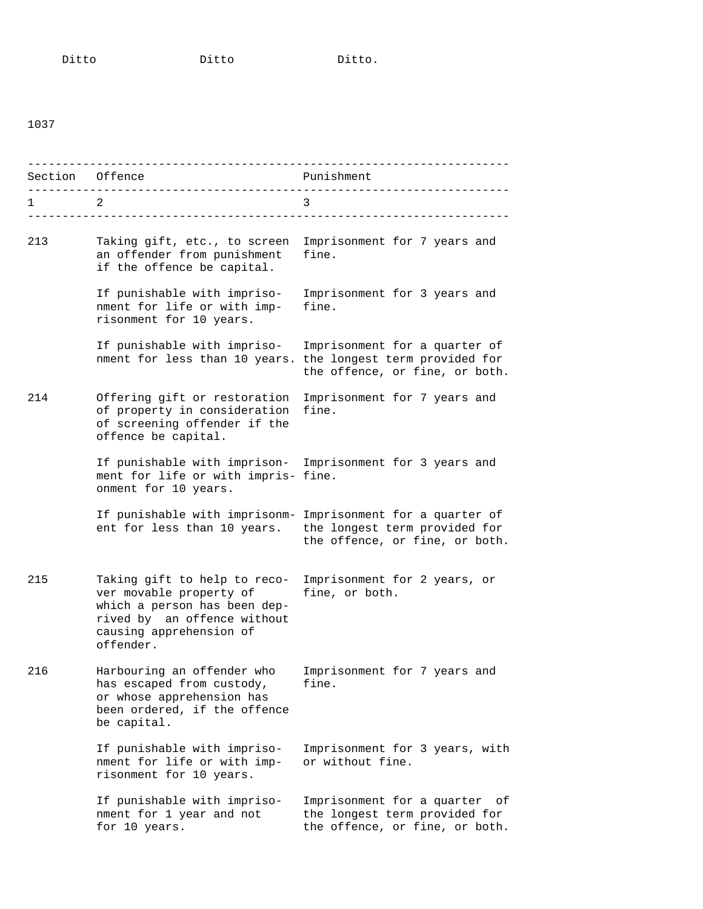|              | Section Offence                                                                                                                                                | Punishment<br>________________                                                                                                 |
|--------------|----------------------------------------------------------------------------------------------------------------------------------------------------------------|--------------------------------------------------------------------------------------------------------------------------------|
| $\mathbf{1}$ | $\overline{2}$                                                                                                                                                 | 3                                                                                                                              |
| 213          | Taking gift, etc., to screen<br>an offender from punishment<br>if the offence be capital.                                                                      | Imprisonment for 7 years and<br>fine.                                                                                          |
|              | If punishable with impriso-<br>nment for life or with imp-<br>risonment for 10 years.                                                                          | Imprisonment for 3 years and<br>fine.                                                                                          |
|              | If punishable with impriso-<br>nment for less than 10 years.                                                                                                   | Imprisonment for a quarter of<br>the longest term provided for<br>the offence, or fine, or both.                               |
| 214          | Offering gift or restoration<br>of property in consideration<br>of screening offender if the<br>offence be capital.                                            | Imprisonment for 7 years and<br>fine.                                                                                          |
|              | If punishable with imprison- Imprisonment for 3 years and<br>ment for life or with impris- fine.<br>onment for 10 years.                                       |                                                                                                                                |
|              | ent for less than 10 years.                                                                                                                                    | If punishable with imprisonm- Imprisonment for a quarter of<br>the longest term provided for<br>the offence, or fine, or both. |
| 215          | Taking gift to help to reco-<br>ver movable property of<br>which a person has been dep-<br>rived by an offence without<br>causing apprehension of<br>offender. | Imprisonment for 2 years, or<br>fine, or both.                                                                                 |
| 216          | Harbouring an offender who<br>has escaped from custody,<br>or whose apprehension has<br>been ordered, if the offence<br>be capital.                            | Imprisonment for 7 years and<br>fine.                                                                                          |
|              | If punishable with impriso-<br>nment for life or with imp-<br>risonment for 10 years.                                                                          | Imprisonment for 3 years, with<br>or without fine.                                                                             |
|              | If punishable with impriso-<br>nment for 1 year and not<br>for 10 years.                                                                                       | Imprisonment for a quarter of<br>the longest term provided for<br>the offence, or fine, or both.                               |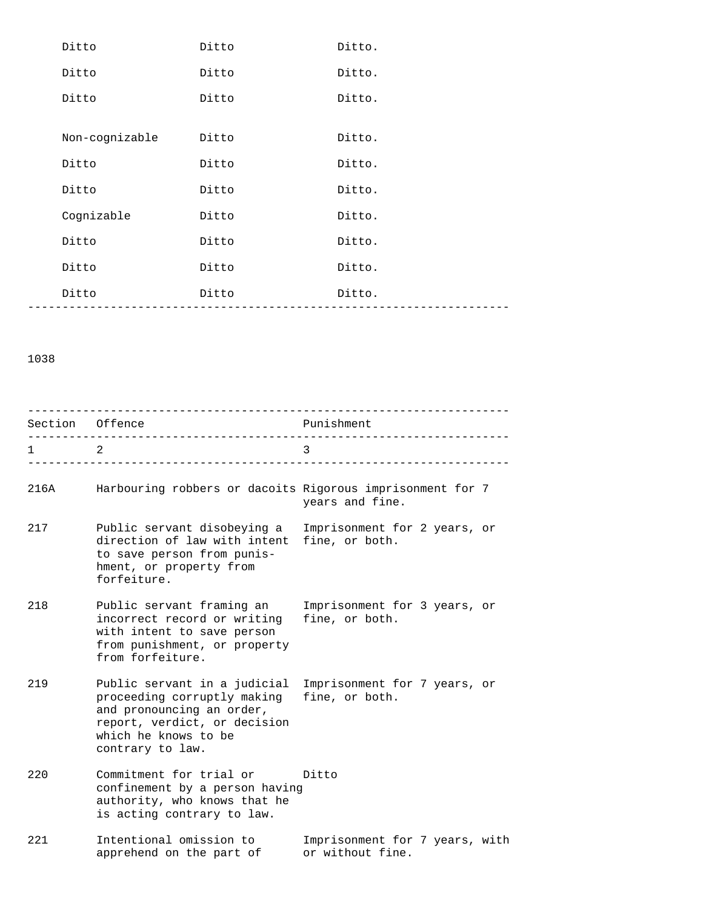| Ditto          | Ditto | Ditto. |
|----------------|-------|--------|
| Ditto          | Ditto | Ditto. |
| Ditto          | Ditto | Ditto. |
|                |       |        |
| Non-cognizable | Ditto | Ditto. |
| Ditto          | Ditto | Ditto. |
| Ditto          | Ditto | Ditto. |
| Cognizable     | Ditto | Ditto. |
| Ditto          | Ditto | Ditto. |
| Ditto          | Ditto | Ditto. |
| Ditto          | Ditto | Ditto. |
|                |       |        |

| Section Offence |                                                                                                                                                                                                   | Punishment                                     |
|-----------------|---------------------------------------------------------------------------------------------------------------------------------------------------------------------------------------------------|------------------------------------------------|
| 1.              | 2                                                                                                                                                                                                 | 3                                              |
| 216A            | Harbouring robbers or dacoits Rigorous imprisonment for 7                                                                                                                                         | years and fine.                                |
| 217             | Public servant disobeying a<br>direction of law with intent<br>to save person from punis-<br>hment, or property from<br>forfeiture.                                                               | Imprisonment for 2 years, or<br>fine, or both. |
| 218             | Public servant framing an<br>incorrect record or writing<br>with intent to save person<br>from punishment, or property<br>from forfeiture.                                                        | Imprisonment for 3 years, or<br>fine, or both. |
| 219             | Public servant in a judicial Imprisonment for 7 years, or<br>proceeding corruptly making<br>and pronouncing an order,<br>report, verdict, or decision<br>which he knows to be<br>contrary to law. | fine, or both.                                 |
| 220             | Commitment for trial or<br>confinement by a person having<br>authority, who knows that he<br>is acting contrary to law.                                                                           | Ditto                                          |
| 221             | Intentional omission to<br>apprehend on the part of or without fine.                                                                                                                              | Imprisonment for 7 years, with                 |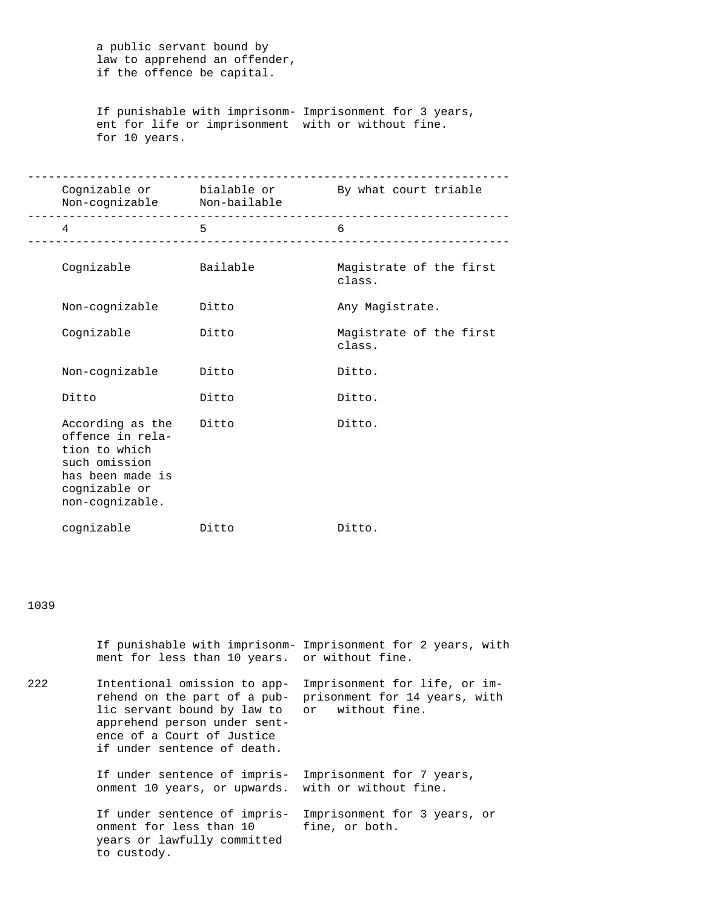a public servant bound by law to apprehend an offender, if the offence be capital. If punishable with imprisonm- Imprisonment for 3 years, ent for life or imprisonment with or without fine. for 10 years. ---------------------------------------------------------------------- Cognizable or bialable or By what court triable Non-cognizable Non-bailable ---------------------------------------------------------------------- 4 5 6 ---------------------------------------------------------------------- Cognizable Bailable Magistrate of the first class. Non-cognizable Ditto Any Magistrate. Cognizable Ditto Magistrate of the first class. Non-cognizable Ditto Ditto. Ditto Ditto Ditto. According as the Ditto Ditto. offence in rela tion to which such omission has been made is cognizable or non-cognizable.

## 1039

|     | ment for less than 10 years. or without fine.                                                                                                                                                             | If punishable with imprisonm- Imprisonment for 2 years, with   |
|-----|-----------------------------------------------------------------------------------------------------------------------------------------------------------------------------------------------------------|----------------------------------------------------------------|
| 222 | Intentional omission to app-<br>rehend on the part of a pub-<br>lic servant bound by law to or without fine.<br>apprehend person under sent-<br>ence of a Court of Justice<br>if under sentence of death. | Imprisonment for life, or im-<br>prisonment for 14 years, with |
|     | If under sentence of impris-<br>onment 10 years, or upwards.                                                                                                                                              | Imprisonment for 7 years,<br>with or without fine.             |
|     | If under sentence of impris-<br>onment for less than 10<br>years or lawfully committed<br>to custody.                                                                                                     | Imprisonment for 3 years, or<br>fine, or both.                 |

cognizable Ditto Ditto.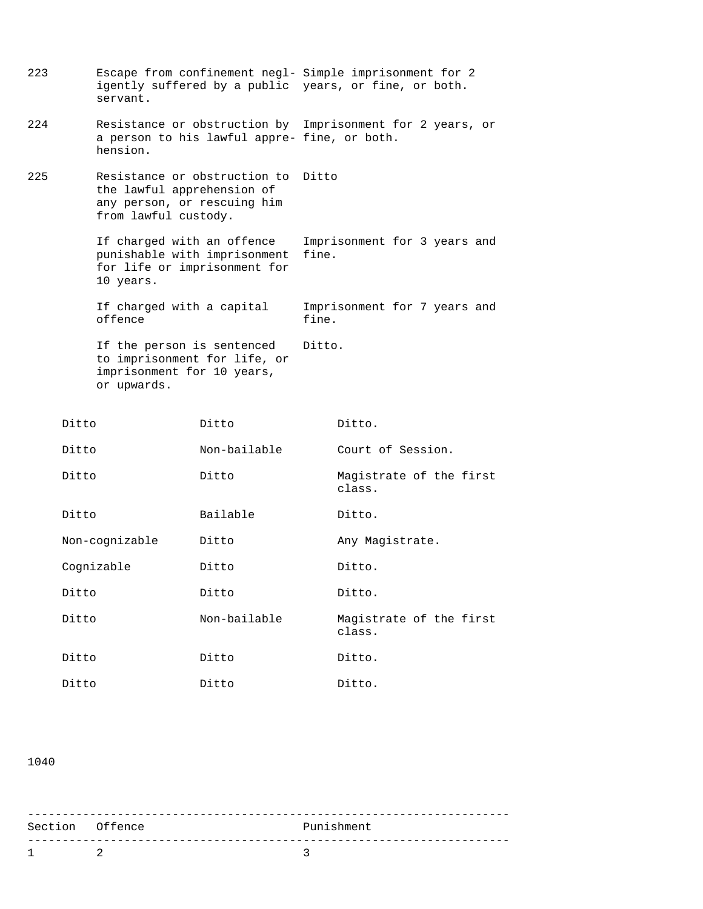- 223 Escape from confinement negl- Simple imprisonment for 2 igently suffered by a public years, or fine, or both. servant.
- 224 Resistance or obstruction by Imprisonment for 2 years, or a person to his lawful appre- fine, or both. hension.
- 225 Resistance or obstruction to Ditto the lawful apprehension of any person, or rescuing him from lawful custody.

 If charged with an offence Imprisonment for 3 years and punishable with imprisonment fine. for life or imprisonment for 10 years.

 If charged with a capital Imprisonment for 7 years and offence fine.

 If the person is sentenced Ditto. to imprisonment for life, or imprisonment for 10 years, or upwards.

| Ditto          | Ditto        | Ditto.                            |
|----------------|--------------|-----------------------------------|
| Ditto          | Non-bailable | Court of Session.                 |
| Ditto          | Ditto        | Magistrate of the first<br>class. |
| Ditto          | Bailable     | Ditto.                            |
| Non-cognizable | Ditto        | Any Magistrate.                   |
| Cognizable     | Ditto        | Ditto.                            |
| Ditto          | Ditto        | Ditto.                            |
| Ditto          | Non-bailable | Magistrate of the first<br>class. |
| Ditto          | Ditto        | Ditto.                            |
| Ditto          | Ditto        | Ditto.                            |

| Section Offence  | Punishment |
|------------------|------------|
|                  |            |
| $\overline{1}$ 2 |            |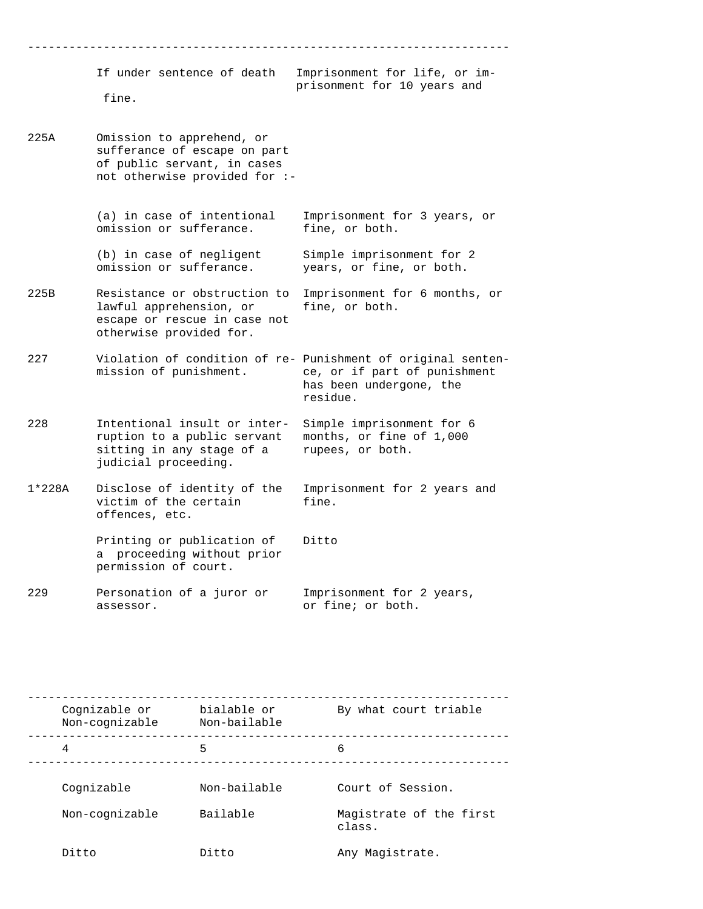|          | If under sentence of death<br>fine.                                                                                       | Imprisonment for life, or im-<br>prisonment for 10 years and                                                                        |  |
|----------|---------------------------------------------------------------------------------------------------------------------------|-------------------------------------------------------------------------------------------------------------------------------------|--|
| 225A     | Omission to apprehend, or<br>sufferance of escape on part<br>of public servant, in cases<br>not otherwise provided for :- |                                                                                                                                     |  |
|          | (a) in case of intentional<br>omission or sufferance.                                                                     | Imprisonment for 3 years, or<br>fine, or both.                                                                                      |  |
|          | (b) in case of negligent<br>omission or sufferance.                                                                       | Simple imprisonment for 2<br>years, or fine, or both.                                                                               |  |
| 225B     | Resistance or obstruction to<br>lawful apprehension, or<br>escape or rescue in case not<br>otherwise provided for.        | Imprisonment for 6 months, or<br>fine, or both.                                                                                     |  |
| 227      | mission of punishment.                                                                                                    | Violation of condition of re- Punishment of original senten-<br>ce, or if part of punishment<br>has been undergone, the<br>residue. |  |
| 228      | Intentional insult or inter-<br>ruption to a public servant<br>sitting in any stage of a<br>judicial proceeding.          | Simple imprisonment for 6<br>months, or fine of 1,000<br>rupees, or both.                                                           |  |
| $1*228A$ | Disclose of identity of the<br>victim of the certain<br>offences, etc.                                                    | Imprisonment for 2 years and<br>fine.                                                                                               |  |
|          | Printing or publication of<br>a proceeding without prior<br>permission of court.                                          | Ditto                                                                                                                               |  |
| 229      | Personation of a juror or<br>assessor.                                                                                    | Imprisonment for 2 years,<br>or fine; or both.                                                                                      |  |

| Cognizable or<br>Non-cognizable | bialable or<br>Non-bailable | By what court triable             |
|---------------------------------|-----------------------------|-----------------------------------|
| 4                               | 5                           | 6                                 |
| Cognizable                      | Non-bailable                | Court of Session.                 |
| Non-cognizable                  | Bailable                    | Magistrate of the first<br>class. |
| Ditto                           | Ditto                       | Any Magistrate.                   |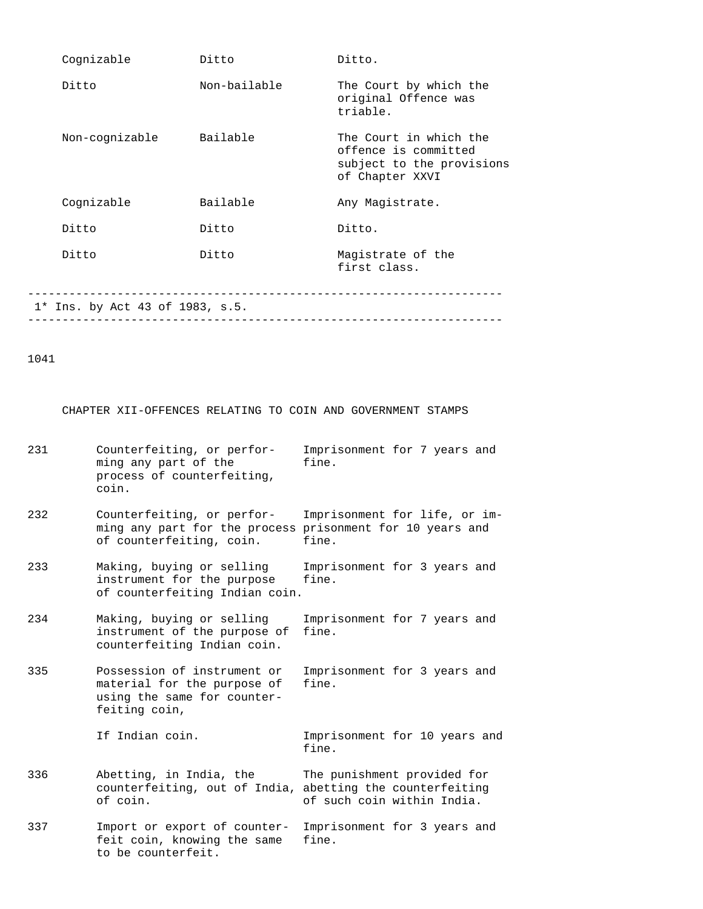| Cognizable                      | Ditto        | Ditto.                                                                                         |
|---------------------------------|--------------|------------------------------------------------------------------------------------------------|
| Ditto                           | Non-bailable | The Court by which the<br>original Offence was<br>triable.                                     |
| Non-cognizable                  | Bailable     | The Court in which the<br>offence is committed<br>subject to the provisions<br>of Chapter XXVI |
| Cognizable                      | Bailable     | Any Magistrate.                                                                                |
| Ditto                           | Ditto        | Ditto.                                                                                         |
| Ditto                           | Ditto        | Magistrate of the<br>first class.                                                              |
| 1* Ins. by Act 43 of 1983, s.5. |              |                                                                                                |

---------------------------------------------------------------------

1041

CHAPTER XII-OFFENCES RELATING TO COIN AND GOVERNMENT STAMPS

| 231 | Counterfeiting, or perfor-<br>ming any part of the<br>process of counterfeiting,<br>coin.                           | Imprisonment for 7 years and<br>fine.                     |
|-----|---------------------------------------------------------------------------------------------------------------------|-----------------------------------------------------------|
| 232 | Counterfeiting, or perfor-<br>ming any part for the process prisonment for 10 years and<br>of counterfeiting, coin. | Imprisonment for life, or im-<br>fine.                    |
| 233 | Making, buying or selling<br>instrument for the purpose<br>of counterfeiting Indian coin.                           | Imprisonment for 3 years and<br>fine.                     |
| 234 | Making, buying or selling<br>instrument of the purpose of<br>counterfeiting Indian coin.                            | Imprisonment for 7 years and<br>fine.                     |
| 335 | Possession of instrument or<br>material for the purpose of<br>using the same for counter-<br>feiting coin,          | Imprisonment for 3 years and<br>fine.                     |
|     | If Indian coin.                                                                                                     | Imprisonment for 10 years and<br>fine.                    |
| 336 | Abetting, in India, the<br>counterfeiting, out of India, abetting the counterfeiting<br>of coin.                    | The punishment provided for<br>of such coin within India. |
| 337 | Import or export of counter-<br>feit coin, knowing the same<br>to be counterfeit.                                   | Imprisonment for 3 years and<br>fine.                     |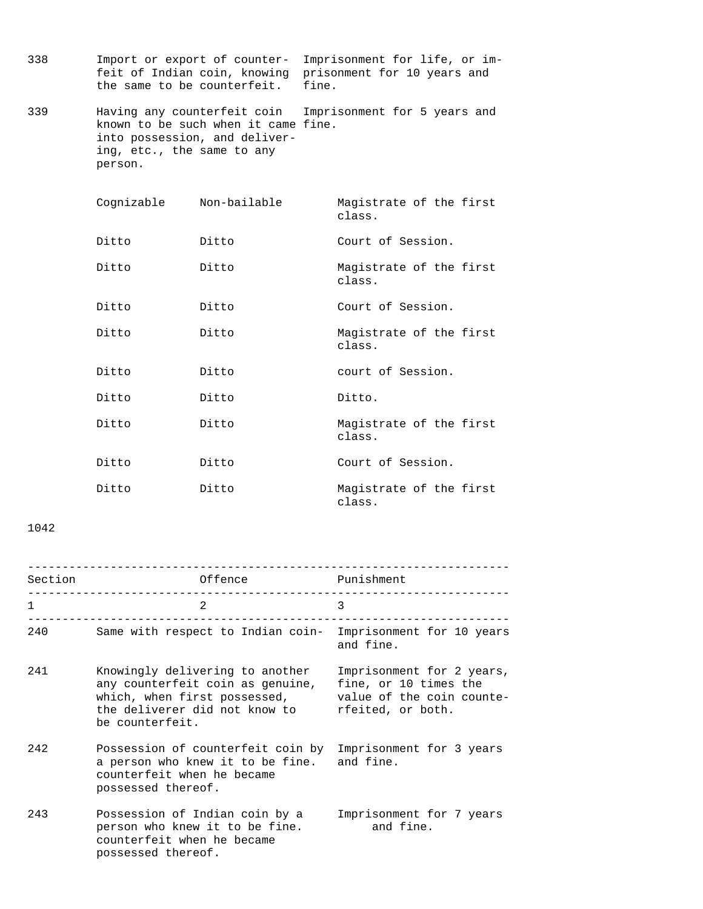| 338 |                                                                                                                                                                           | Import or export of counter-<br>the same to be counterfeit. fine. | Imprisonment for life, or im-<br>feit of Indian coin, knowing prisonment for 10 years and |
|-----|---------------------------------------------------------------------------------------------------------------------------------------------------------------------------|-------------------------------------------------------------------|-------------------------------------------------------------------------------------------|
| 339 | Having any counterfeit coin Imprisonment for 5 years and<br>known to be such when it came fine.<br>into possession, and deliver-<br>ing, etc., the same to any<br>person. |                                                                   |                                                                                           |
|     | Cognizable                                                                                                                                                                | Non-bailable                                                      | Magistrate of the first<br>class.                                                         |

| Ditto | Ditto | Court of Session.                 |
|-------|-------|-----------------------------------|
| Ditto | Ditto | Magistrate of the first<br>class. |
| Ditto | Ditto | Court of Session.                 |
| Ditto | Ditto | Magistrate of the first<br>class. |
| Ditto | Ditto | court of Session.                 |
| Ditto | Ditto | Ditto.                            |
| Ditto | Ditto | Magistrate of the first<br>class. |
| Ditto | Ditto | Court of Session.                 |
| Ditto | Ditto | Magistrate of the first<br>class. |

| Section | Offence                                                                                                                                                 | Punishment                                                                                           |
|---------|---------------------------------------------------------------------------------------------------------------------------------------------------------|------------------------------------------------------------------------------------------------------|
| 1       | $\mathcal{L}$                                                                                                                                           | 3                                                                                                    |
| 240     | Same with respect to Indian coin- Imprisonment for 10 years                                                                                             | and fine.                                                                                            |
| 241     | Knowingly delivering to another<br>any counterfeit coin as genuine,<br>which, when first possessed,<br>the deliverer did not know to<br>be counterfeit. | Imprisonment for 2 years,<br>fine, or 10 times the<br>value of the coin counte-<br>rfeited, or both. |
| 2.42    | Possession of counterfeit coin by<br>a person who knew it to be fine.<br>counterfeit when he became<br>possessed thereof.                               | Imprisonment for 3 years<br>and fine.                                                                |
| 243     | Possession of Indian coin by a<br>person who knew it to be fine.<br>counterfeit when he became<br>possessed thereof.                                    | Imprisonment for 7 years<br>and fine.                                                                |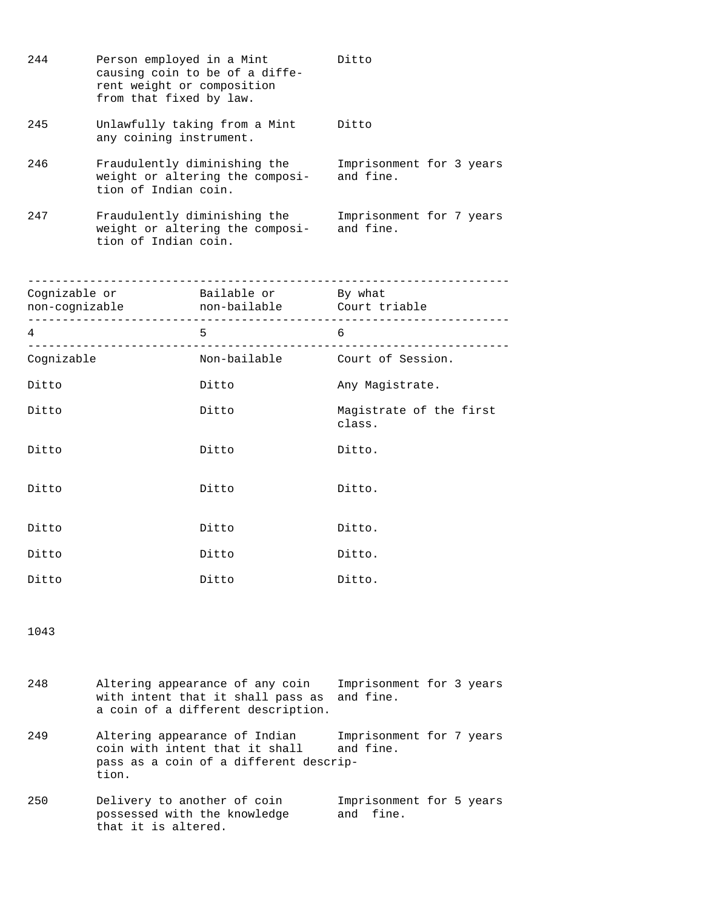| 244        | Person employed in a Mint<br>rent weight or composition<br>from that fixed by law.      | causing coin to be of a diffe-                                                 | Ditto                                 |
|------------|-----------------------------------------------------------------------------------------|--------------------------------------------------------------------------------|---------------------------------------|
| 245        | any coining instrument.                                                                 | Unlawfully taking from a Mint                                                  | Ditto                                 |
| 246        | tion of Indian coin.                                                                    | Fraudulently diminishing the<br>weight or altering the composi-                | Imprisonment for 3 years<br>and fine. |
| 247        | Fraudulently diminishing the<br>weight or altering the composi-<br>tion of Indian coin. |                                                                                | Imprisonment for 7 years<br>and fine. |
|            |                                                                                         | Cognizable or Bailable or By what<br>non-cognizable hon-bailable Court triable |                                       |
| 4          | -------------------------                                                               | 5                                                                              | 6                                     |
| Cognizable |                                                                                         | Non-bailable Court of Session.                                                 |                                       |
| Ditto      |                                                                                         | Ditto                                                                          | Any Magistrate.                       |
| Ditto      |                                                                                         | Ditto                                                                          | Magistrate of the first<br>class.     |
| Ditto      |                                                                                         | Ditto                                                                          | Ditto.                                |
| Ditto      |                                                                                         | Ditto                                                                          | Ditto.                                |
| Ditto      |                                                                                         | Ditto                                                                          | Ditto.                                |
| Ditto      |                                                                                         | Ditto                                                                          | Ditto.                                |
| Ditto      |                                                                                         | Ditto                                                                          | Ditto.                                |
| 1043       |                                                                                         |                                                                                |                                       |
|            |                                                                                         |                                                                                |                                       |

| 248 | Altering appearance of any coin<br>with intent that it shall pass as and fine.<br>a coin of a different description. | Imprisonment for 3 years              |
|-----|----------------------------------------------------------------------------------------------------------------------|---------------------------------------|
| 249 | Altering appearance of Indian<br>coin with intent that it shall<br>pass as a coin of a different descrip-<br>tion.   | Imprisonment for 7 years<br>and fine. |
| 250 | Delivery to another of coin<br>possessed with the knowledge<br>that it is altered.                                   | Imprisonment for 5 years<br>and fine. |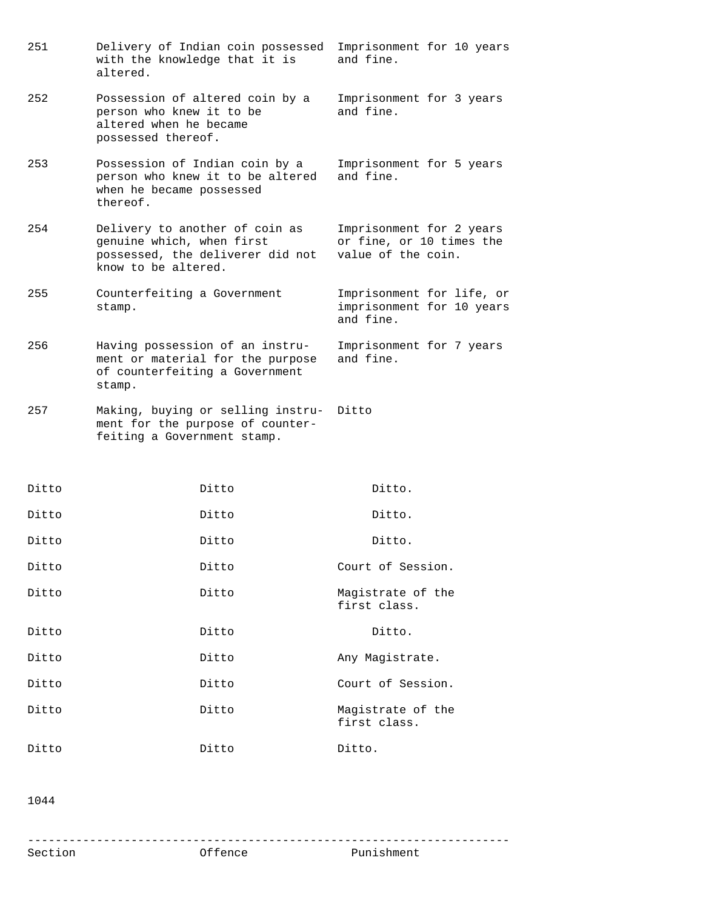- 251 Delivery of Indian coin possessed Imprisonment for 10 years with the knowledge that it is and fine. altered.
- 252 Possession of altered coin by a Imprisonment for 3 years person who knew it to be and fine. altered when he became possessed thereof.
- 253 Possession of Indian coin by a Imprisonment for 5 years person who knew it to be altered and fine. when he became possessed thereof.
- 254 Delivery to another of coin as Imprisonment for 2 years genuine which, when first or fine, or 10 times the possessed, the deliverer did not value of the coin. know to be altered.
- 255 Counterfeiting a Government Imprisonment for life, or stamp.  $\blacksquare$ and fine.
- 256 Having possession of an instru- Imprisonment for 7 years ment or material for the purpose and fine. of counterfeiting a Government stamp.
- 257 Making, buying or selling instru- Ditto ment for the purpose of counter feiting a Government stamp.

| Ditto | Ditto | Ditto.                            |
|-------|-------|-----------------------------------|
| Ditto | Ditto | Ditto.                            |
| Ditto | Ditto | Ditto.                            |
| Ditto | Ditto | Court of Session.                 |
| Ditto | Ditto | Magistrate of the<br>first class. |
| Ditto | Ditto | Ditto.                            |
|       |       |                                   |
| Ditto | Ditto | Any Magistrate.                   |
| Ditto | Ditto | Court of Session.                 |
| Ditto | Ditto | Magistrate of the<br>first class. |

 ---------------------------------------------------------------------- Section **Offence** Punishment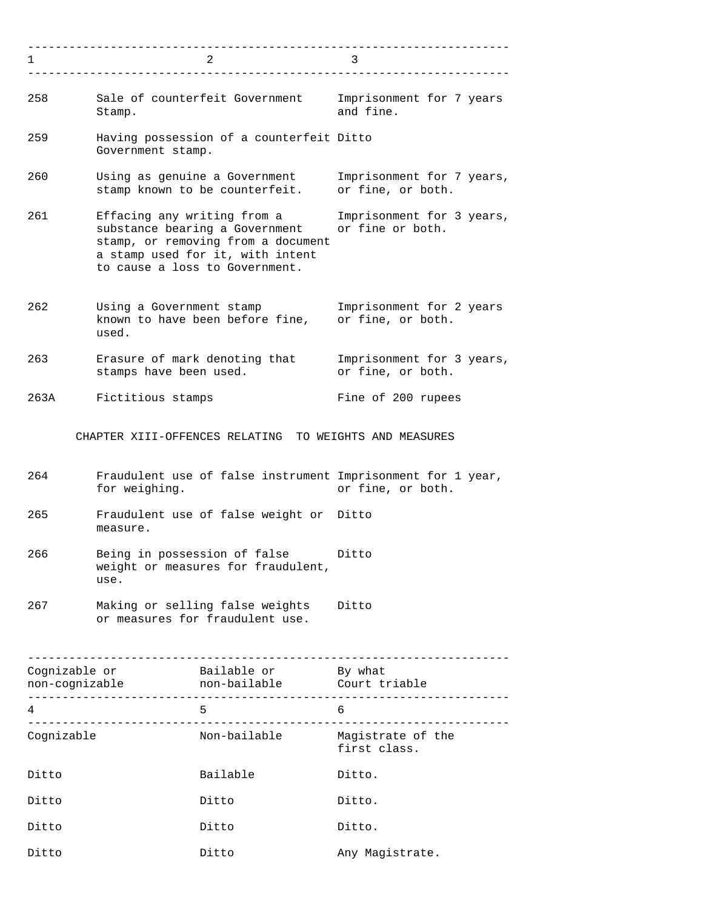| 1.                              |                   | 2                                                                                                                                                                         | 3                                                                                |
|---------------------------------|-------------------|---------------------------------------------------------------------------------------------------------------------------------------------------------------------------|----------------------------------------------------------------------------------|
| 258                             | Stamp.            | Sale of counterfeit Government                                                                                                                                            | Imprisonment for 7 years<br>and fine.                                            |
| 259                             | Government stamp. | Having possession of a counterfeit Ditto                                                                                                                                  |                                                                                  |
| 260                             |                   | Using as genuine a Government<br>stamp known to be counterfeit.                                                                                                           | Imprisonment for 7 years,<br>or fine, or both.                                   |
| 261                             |                   | Effacing any writing from a<br>substance bearing a Government<br>stamp, or removing from a document<br>a stamp used for it, with intent<br>to cause a loss to Government. | Imprisonment for 3 years,<br>or fine or both.                                    |
| 262                             | used.             | Using a Government stamp<br>known to have been before fine,                                                                                                               | Imprisonment for 2 years<br>or fine, or both.                                    |
| 263                             |                   | Erasure of mark denoting that<br>stamps have been used.                                                                                                                   | Imprisonment for 3 years,<br>or fine, or both.                                   |
| 263A                            | Fictitious stamps |                                                                                                                                                                           | Fine of 200 rupees                                                               |
|                                 |                   | CHAPTER XIII-OFFENCES RELATING                                                                                                                                            | TO WEIGHTS AND MEASURES                                                          |
| 264                             | for weighing.     |                                                                                                                                                                           | Fraudulent use of false instrument Imprisonment for 1 year,<br>or fine, or both. |
| 265                             | measure.          | Fraudulent use of false weight or                                                                                                                                         | Ditto                                                                            |
| 266                             | use.              | Being in possession of false<br>weight or measures for fraudulent,                                                                                                        | Ditto                                                                            |
| 267                             |                   | Making or selling false weights<br>or measures for fraudulent use.                                                                                                        | Ditto                                                                            |
| Cognizable or<br>non-cognizable |                   | Bailable or<br>non-bailable                                                                                                                                               | By what<br>Court triable                                                         |
|                                 |                   | 5                                                                                                                                                                         | 6                                                                                |

| Cognizable | Non-bailable | Magistrate of the<br>first class. |
|------------|--------------|-----------------------------------|
| Ditto      | Bailable     | Ditto.                            |
| Ditto      | Ditto        | Ditto.                            |
| Ditto      | Ditto        | Ditto.                            |
| Ditto      | Ditto        | Any Magistrate.                   |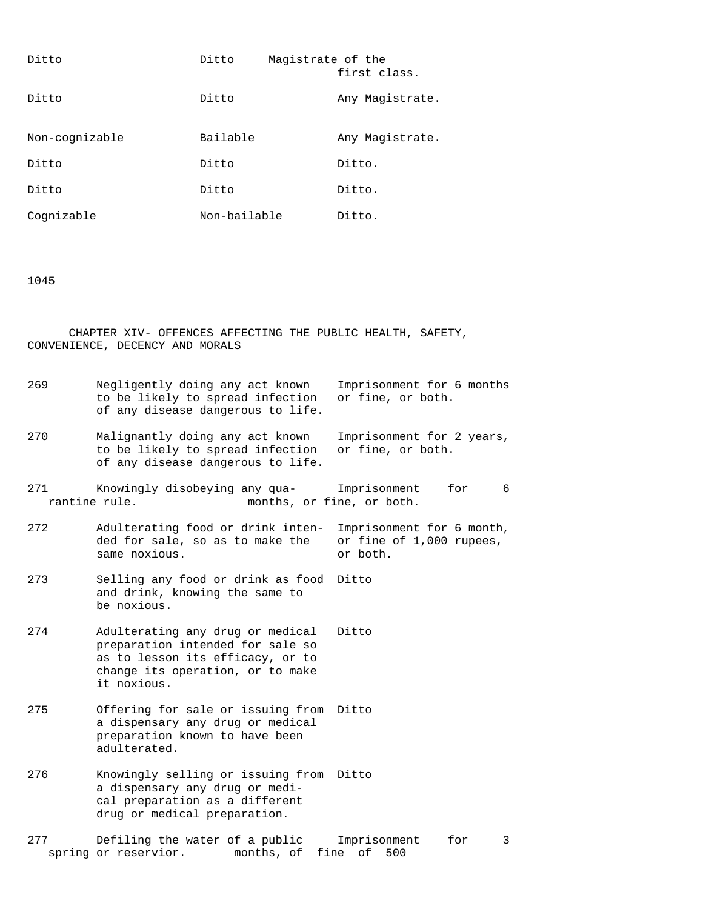| Ditto          | Ditto        | Magistrate of the<br>first class. |
|----------------|--------------|-----------------------------------|
| Ditto          | Ditto        | Any Magistrate.                   |
| Non-cognizable | Bailable     | Any Magistrate.                   |
| Ditto          | Ditto        | Ditto.                            |
| Ditto          | Ditto        | Ditto.                            |
| Cognizable     | Non-bailable | Ditto.                            |

 CHAPTER XIV- OFFENCES AFFECTING THE PUBLIC HEALTH, SAFETY, CONVENIENCE, DECENCY AND MORALS

| 269 | Negligently doing any act known                    | Imprisonment for 6 months |  |
|-----|----------------------------------------------------|---------------------------|--|
|     | to be likely to spread infection or fine, or both. |                           |  |
|     | of any disease dangerous to life.                  |                           |  |

- 270 Malignantly doing any act known Imprisonment for 2 years, to be likely to spread infection or fine, or both. of any disease dangerous to life.
- 271 Knowingly disobeying any qua- Imprisonment for 6 rantine rule. **months**, or fine, or both.

 272 Adulterating food or drink inten- Imprisonment for 6 month, ded for sale, so as to make the or fine of 1,000 rupees, same noxious.  $\qquad \qquad \text{or both.}$ 

- 273 Selling any food or drink as food Ditto and drink, knowing the same to be noxious.
- 274 Adulterating any drug or medical Ditto preparation intended for sale so as to lesson its efficacy, or to change its operation, or to make it noxious.
- 275 Offering for sale or issuing from Ditto a dispensary any drug or medical preparation known to have been adulterated.
- 276 Knowingly selling or issuing from Ditto a dispensary any drug or medi cal preparation as a different drug or medical preparation.
- 277 Defiling the water of a public Imprisonment for 3 spring or reservior. months, of fine of 500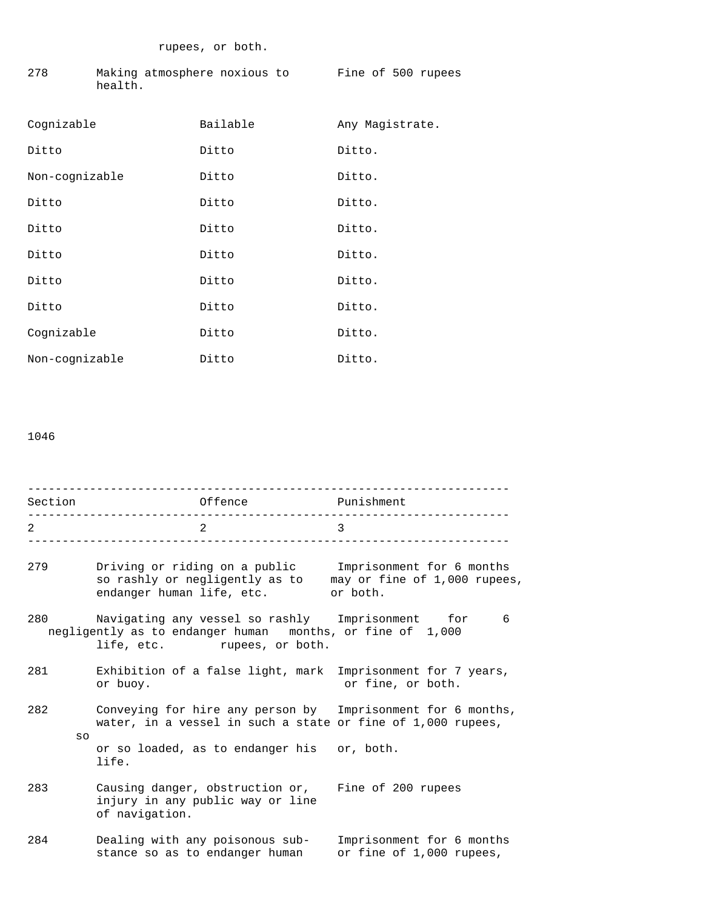| 278 | Making atmosphere noxious to | Fine of 500 rupees |
|-----|------------------------------|--------------------|
|     | health.                      |                    |

| Cognizable     | Bailable | Any Magistrate. |
|----------------|----------|-----------------|
| Ditto          | Ditto    | Ditto.          |
| Non-cognizable | Ditto    | Ditto.          |
| Ditto          | Ditto    | Ditto.          |
| Ditto          | Ditto    | Ditto.          |
| Ditto          | Ditto    | Ditto.          |
| Ditto          | Ditto    | Ditto.          |
| Ditto          | Ditto    | Ditto.          |
| Cognizable     | Ditto    | Ditto.          |
| Non-cognizable | Ditto    | Ditto.          |

| Section     | Offence Punishment                                                                                                                                  |                          |
|-------------|-----------------------------------------------------------------------------------------------------------------------------------------------------|--------------------------|
| $2^{\circ}$ | $2^{\circ}$                                                                                                                                         | $\mathcal{E}$            |
| 279         | Driving or riding on a public Imprisonment for 6 months<br>so rashly or negligently as to may or fine of 1,000 rupees,<br>endanger human life, etc. | or both.                 |
| 280         | Navigating any vessel so rashly Imprisonment for<br>negligently as to endanger human months, or fine of 1,000<br>life, etc. Tupees, or both.        | 6                        |
| 281         | Exhibition of a false light, mark Imprisonment for 7 years,<br>or buoy.                                                                             | or fine, or both.        |
| 282         | Conveying for hire any person by Imprisonment for 6 months,<br>water, in a vessel in such a state or fine of 1,000 rupees,                          |                          |
| SO          | or so loaded, as to endanger his or, both.<br>life.                                                                                                 |                          |
| 283         | Causing danger, obstruction or, Fine of 200 rupees<br>injury in any public way or line<br>of navigation.                                            |                          |
| 284         | Dealing with any poisonous sub- Imprisonment for 6 months<br>stance so as to endanger human                                                         | or fine of 1,000 rupees, |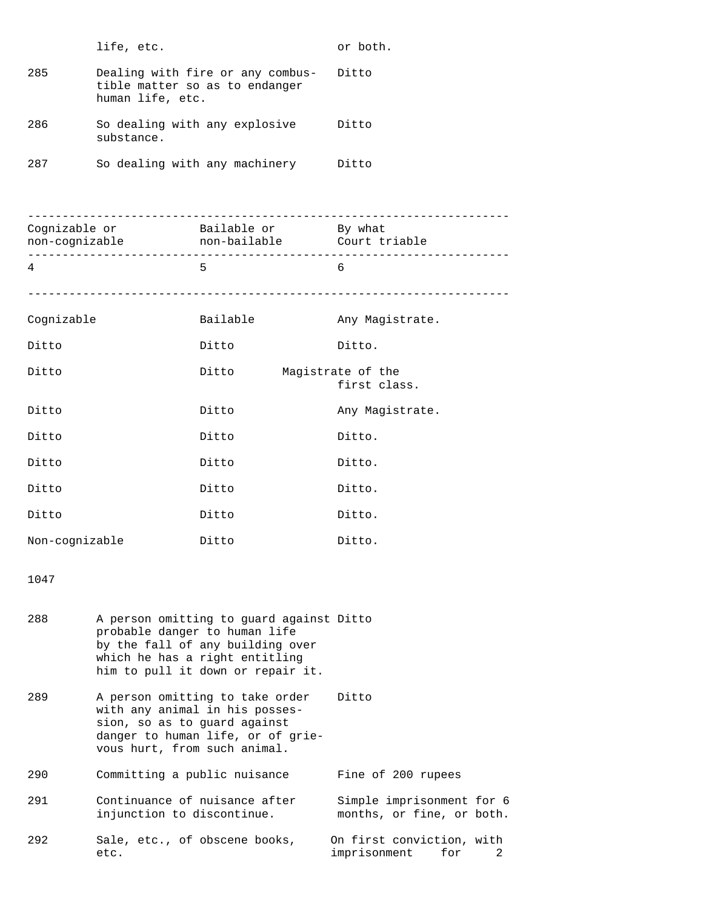|                                 | life, etc.                                                                                                    |                     | or both. |                                   |
|---------------------------------|---------------------------------------------------------------------------------------------------------------|---------------------|----------|-----------------------------------|
| 285                             | Dealing with fire or any combus- Ditto<br>tible matter so as to endanger<br>human life, etc.                  |                     |          |                                   |
| 286                             | So dealing with any explosive bitto<br>substance.                                                             |                     |          |                                   |
| 287                             | So dealing with any machinery Ditto                                                                           |                     |          |                                   |
|                                 |                                                                                                               |                     |          |                                   |
| Cognizable or<br>non-cognizable |                                                                                                               | Bailable or By what |          | non-bailable Court triable        |
| 4                               |                                                                                                               | $5^{\circ}$         |          | 6                                 |
|                                 |                                                                                                               |                     |          |                                   |
| Cognizable                      |                                                                                                               | Bailable            |          | Any Magistrate.                   |
| Ditto                           |                                                                                                               | Ditto               |          | Ditto.                            |
| Ditto                           |                                                                                                               | Ditto               |          | Magistrate of the<br>first class. |
| Ditto                           |                                                                                                               | Ditto               |          | Any Magistrate.                   |
| Ditto                           |                                                                                                               | Ditto               |          | Ditto.                            |
| Ditto                           |                                                                                                               | Ditto               |          | Ditto.                            |
| Ditto                           |                                                                                                               | Ditto               |          | Ditto.                            |
| Ditto                           |                                                                                                               | Ditto               |          | Ditto.                            |
| Non-cognizable                  |                                                                                                               | Ditto               |          | Ditto.                            |
| 1047                            |                                                                                                               |                     |          |                                   |
| 288                             | A person omitting to guard against Ditto<br>probable danger to human life<br>by the fall of any building over |                     |          |                                   |

 which he has a right entitling him to pull it down or repair it. 289 A person omitting to take order Ditto with any animal in his posses sion, so as to guard against danger to human life, or of grie vous hurt, from such animal. 290 Committing a public nuisance Fine of 200 rupees 291 Continuance of nuisance after Simple imprisonment for 6 injunction to discontinue. The months, or fine, or both. months, or fine, or both. 292 Sale, etc., of obscene books, On first conviction, with<br>etc.  $\frac{1}{2}$  imprisonment for 2 imprisonment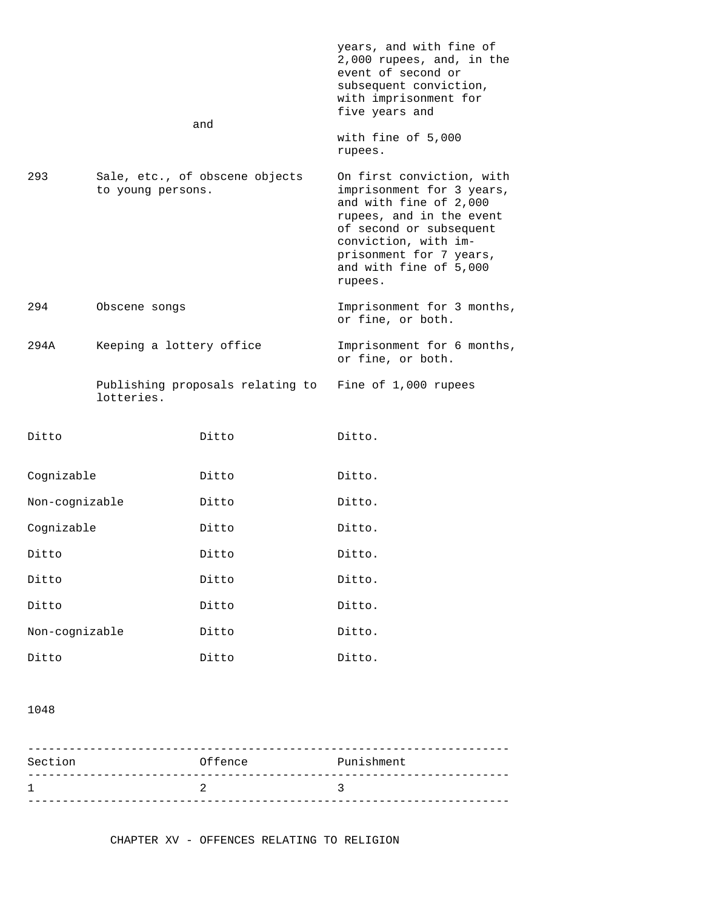|                |       | years, and with fine of<br>2,000 rupees, and, in the<br>event of second or<br>subsequent conviction,<br>with imprisonment for<br>five years and<br>with fine of 5,000<br>rupees.                                                |
|----------------|-------|---------------------------------------------------------------------------------------------------------------------------------------------------------------------------------------------------------------------------------|
|                |       | On first conviction, with<br>imprisonment for 3 years,<br>and with fine of 2,000<br>rupees, and in the event<br>of second or subsequent<br>conviction, with im-<br>prisonment for 7 years,<br>and with fine of 5,000<br>rupees. |
| Obscene songs  |       | Imprisonment for 3 months,<br>or fine, or both.                                                                                                                                                                                 |
|                |       | Imprisonment for 6 months,<br>or fine, or both.                                                                                                                                                                                 |
| lotteries.     |       |                                                                                                                                                                                                                                 |
|                | Ditto | Ditto.                                                                                                                                                                                                                          |
| Cognizable     | Ditto | Ditto.                                                                                                                                                                                                                          |
| Non-cognizable | Ditto | Ditto.                                                                                                                                                                                                                          |
| Cognizable     | Ditto | Ditto.                                                                                                                                                                                                                          |
|                | Ditto | Ditto.                                                                                                                                                                                                                          |
|                | Ditto | Ditto.                                                                                                                                                                                                                          |
|                | Ditto | Ditto.                                                                                                                                                                                                                          |
| Non-cognizable | Ditto | Ditto.                                                                                                                                                                                                                          |
|                | Ditto | Ditto.                                                                                                                                                                                                                          |
|                |       | and<br>Sale, etc., of obscene objects<br>to young persons.<br>Keeping a lottery office<br>Publishing proposals relating to Fine of 1,000 rupees                                                                                 |

| Section | Offence | Punishment |
|---------|---------|------------|
|         |         |            |
|         |         |            |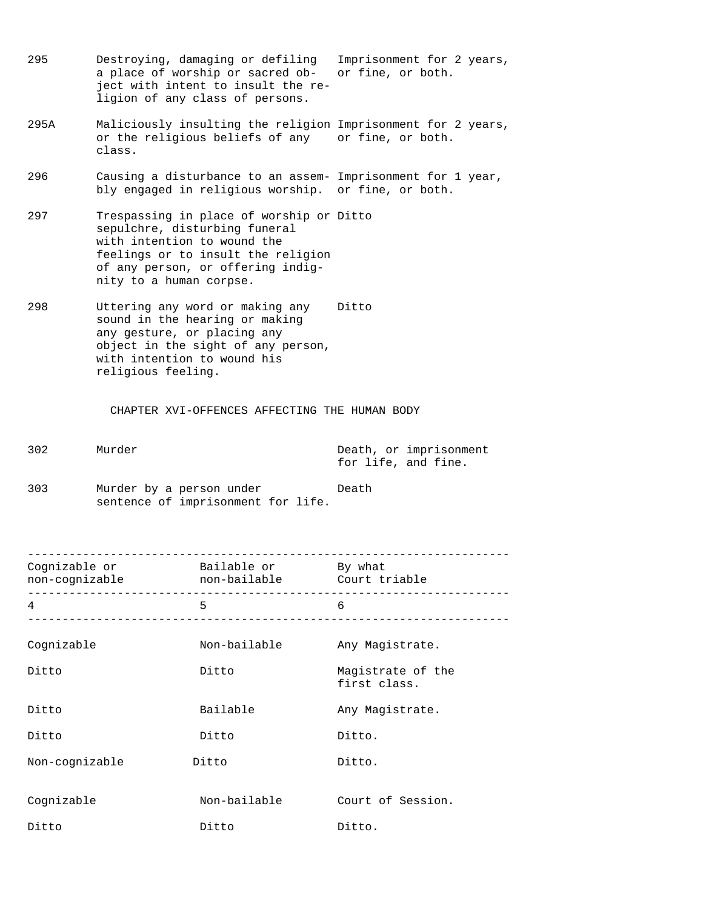- 295 Destroying, damaging or defiling Imprisonment for 2 years, a place of worship or sacred ob- or fine, or both. ject with intent to insult the re ligion of any class of persons.
- 295A Maliciously insulting the religion Imprisonment for 2 years, or the religious beliefs of any or fine, or both. class.
- 296 Causing a disturbance to an assem- Imprisonment for 1 year, bly engaged in religious worship. or fine, or both.
- 297 Trespassing in place of worship or Ditto sepulchre, disturbing funeral with intention to wound the feelings or to insult the religion of any person, or offering indig nity to a human corpse.
- 298 Uttering any word or making any Ditto sound in the hearing or making any gesture, or placing any object in the sight of any person, with intention to wound his religious feeling.

CHAPTER XVI-OFFENCES AFFECTING THE HUMAN BODY

- 302 Murder Death, or imprisonment for life, and fine.
- 303 Murder by a person under Death sentence of imprisonment for life.

| Cognizable or<br>non-cognizable | Bailable or<br>non-bailable         Court triable | By what                           |
|---------------------------------|---------------------------------------------------|-----------------------------------|
| 4                               | 5                                                 | 6                                 |
|                                 |                                                   |                                   |
| Cognizable                      | Non-bailable                                      | Any Magistrate.                   |
| Ditto                           | Ditto                                             | Magistrate of the<br>first class. |
| Ditto                           | Bailable                                          | Any Magistrate.                   |
| Ditto                           | Ditto                                             | Ditto.                            |
| Non-cognizable                  | Ditto                                             | Ditto.                            |
| Cognizable                      | Non-bailable                                      | Court of Session.                 |
|                                 |                                                   |                                   |
| Ditto                           | Ditto                                             | Ditto.                            |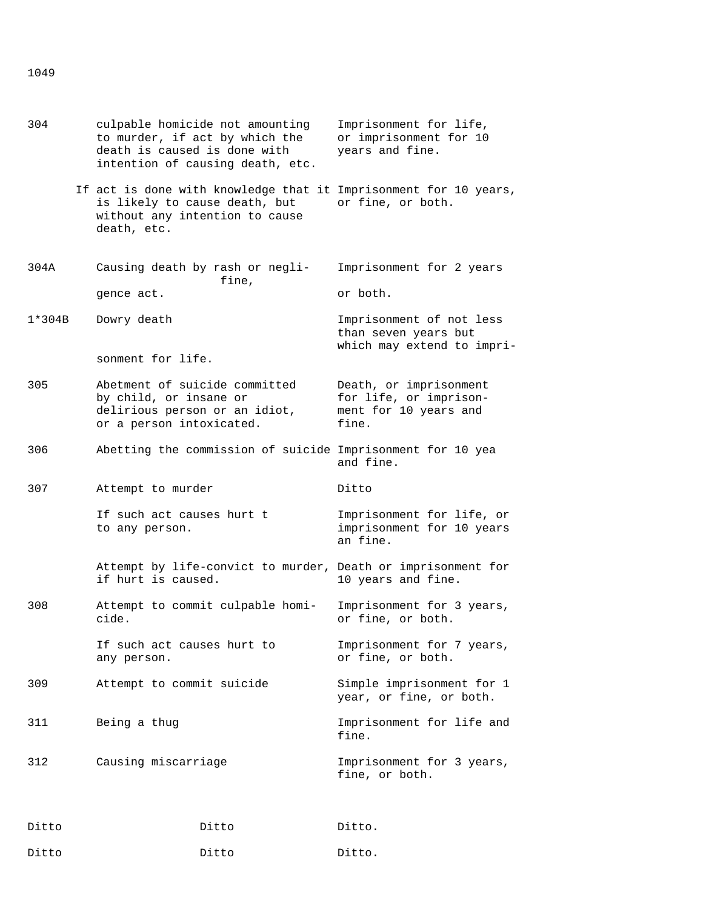304 culpable homicide not amounting Imprisonment for life, to murder, if act by which the or imprisonment for 10 death is caused is done with years and fine. intention of causing death, etc.

than seven years but

year, or fine, or both.

fine, or both.

an fine.

which may extend to impri-

- If act is done with knowledge that it Imprisonment for 10 years, is likely to cause death, but or fine, or both. without any intention to cause death, etc.
- 304A Causing death by rash or negli- Imprisonment for 2 years fine, gence act. or both.
- 1\*304B Dowry death Imprisonment of not less

sonment for life.

- 305 Abetment of suicide committed Death, or imprisonment by child, or insane or for life, or imprison delirious person or an idiot, ment for 10 years and or a person intoxicated. Fine.
- 306 Abetting the commission of suicide Imprisonment for 10 yea and fine.

307 Attempt to murder Ditto

 If such act causes hurt t Imprisonment for life, or to any person. imprisonment for 10 years

Attempt by life-convict to murder, Death or imprisonment for<br>if hurt is caused. 10 years and fine. 10 years and fine.

 308 Attempt to commit culpable homi- Imprisonment for 3 years, cide. or fine, or both.

> If such act causes hurt to Imprisonment for 7 years, any person.  $\qquad \qquad \text{or fine, or both.}$

fine.

309 Attempt to commit suicide Simple imprisonment for 1

311 Being a thug Imprisonment for life and

312 Causing miscarriage Imprisonment for 3 years,

| Ditto | Ditto | Ditto. |
|-------|-------|--------|
| Ditto | Ditto | Ditto. |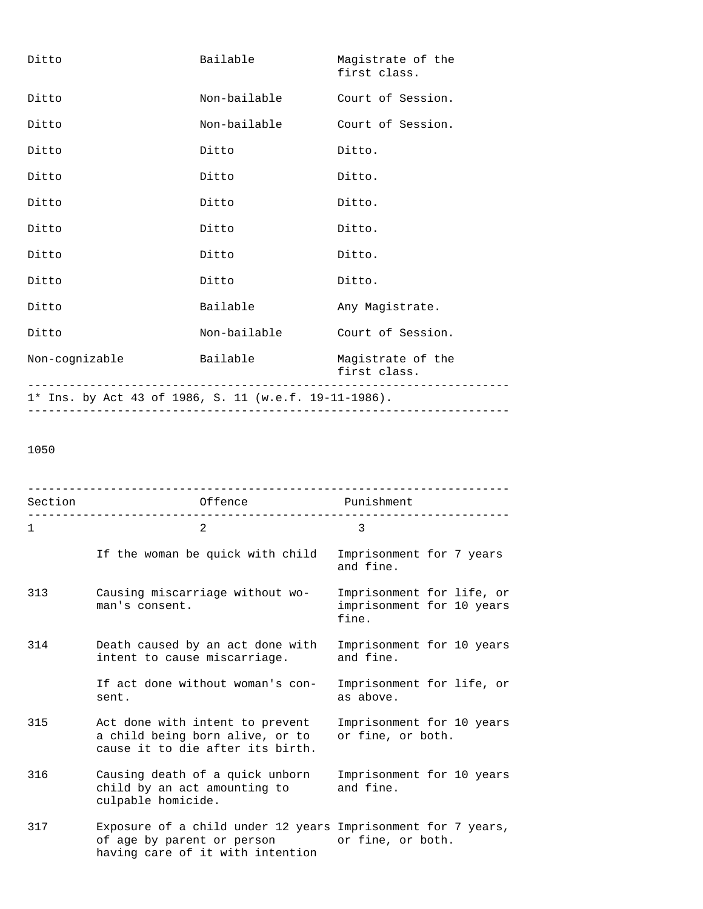| Ditto                                                 | Bailable     | Magistrate of the<br>first class. |
|-------------------------------------------------------|--------------|-----------------------------------|
| Ditto                                                 | Non-bailable | Court of Session.                 |
| Ditto                                                 | Non-bailable | Court of Session.                 |
| Ditto                                                 | Ditto        | Ditto.                            |
| Ditto                                                 | Ditto        | Ditto.                            |
| Ditto                                                 | Ditto        | Ditto.                            |
| Ditto                                                 | Ditto        | Ditto.                            |
| Ditto                                                 | Ditto        | Ditto.                            |
| Ditto                                                 | Ditto        | Ditto.                            |
| Ditto                                                 | Bailable     | Any Magistrate.                   |
| Ditto                                                 | Non-bailable | Court of Session.                 |
| Non-cognizable                                        | Bailable     | Magistrate of the<br>first class. |
| 1* Ins. by Act 43 of 1986, S. 11 (w.e.f. 19-11-1986). |              |                                   |

| Section      | Offence                                                                                                                                          | Punishment                                                      |
|--------------|--------------------------------------------------------------------------------------------------------------------------------------------------|-----------------------------------------------------------------|
| $\mathbf{1}$ | $\mathcal{L}$                                                                                                                                    | $\mathcal{E}$                                                   |
|              | If the woman be quick with child                                                                                                                 | Imprisonment for 7 years<br>and fine.                           |
| 313          | Causing miscarriage without wo-<br>man's consent.                                                                                                | Imprisonment for life, or<br>imprisonment for 10 years<br>fine. |
| 314          | Death caused by an act done with<br>intent to cause miscarriage.                                                                                 | Imprisonment for 10 years<br>and fine.                          |
|              | If act done without woman's con-<br>sent.                                                                                                        | Imprisonment for life, or<br>as above.                          |
| 315          | Act done with intent to prevent<br>a child being born alive, or to<br>cause it to die after its birth.                                           | Imprisonment for 10 years<br>or fine, or both.                  |
| 316          | Causing death of a quick unborn<br>child by an act amounting to<br>culpable homicide.                                                            | Imprisonment for 10 years<br>and fine.                          |
| 317          | Exposure of a child under 12 years Imprisonment for 7 years,<br>of age by parent or person or fine, or both.<br>having care of it with intention |                                                                 |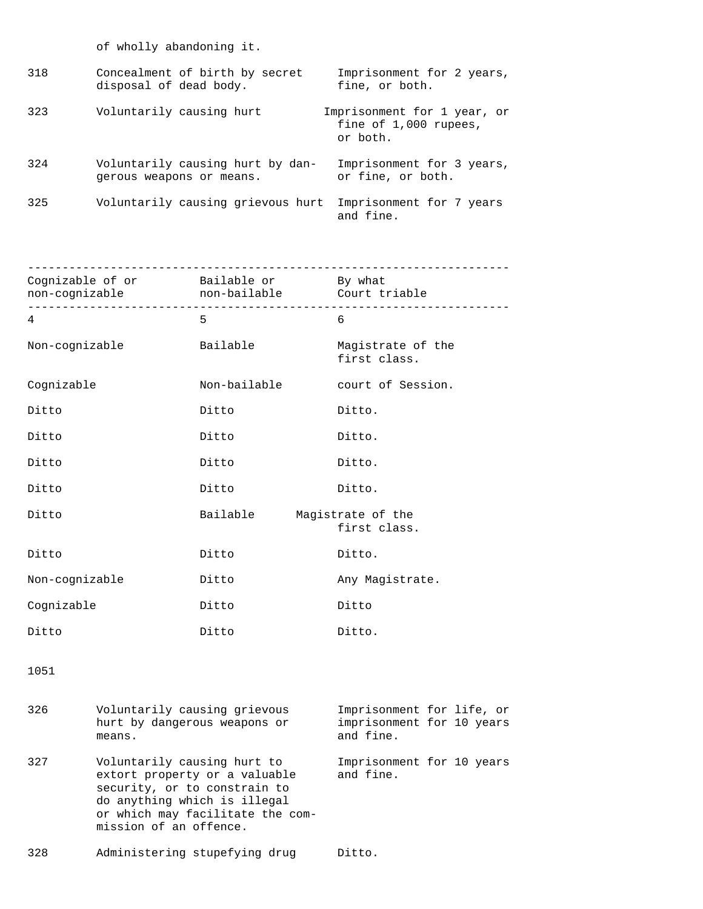of wholly abandoning it.

| 318 | Concealment of birth by secret<br>disposal of dead body.     | Imprisonment for 2 years,<br>fine, or both.                        |
|-----|--------------------------------------------------------------|--------------------------------------------------------------------|
| 323 | Voluntarily causing hurt                                     | Imprisonment for 1 year, or<br>fine of $1,000$ rupees,<br>or both. |
| 324 | Voluntarily causing hurt by dan-<br>gerous weapons or means. | Imprisonment for 3 years,<br>or fine, or both.                     |
| 325 | Voluntarily causing grievous hurt                            | Imprisonment for 7 years<br>and fine.                              |

| Cognizable of or Bailable or By what<br>non-cognizable |                | non-bailable Court triable        |
|--------------------------------------------------------|----------------|-----------------------------------|
| $\overline{4}$                                         | 5 <sup>1</sup> | 6                                 |
| Non-cognizable                                         | Bailable       | Magistrate of the<br>first class. |
| Cognizable                                             | Non-bailable   | court of Session.                 |
| Ditto                                                  | Ditto          | Ditto.                            |
| Ditto                                                  | Ditto          | Ditto.                            |
| Ditto                                                  | Ditto          | Ditto.                            |
| Ditto                                                  | Ditto          | Ditto.                            |
| Ditto                                                  | Bailable       | Magistrate of the<br>first class. |
| Ditto                                                  | Ditto          | Ditto.                            |
| Non-cognizable                                         | Ditto          | Any Magistrate.                   |
| Cognizable                                             | Ditto          | Ditto                             |
| Ditto                                                  | Ditto          | Ditto.                            |
| 1051                                                   |                |                                   |
|                                                        |                |                                   |

| 326 | Voluntarily causing grievous<br>hurt by dangerous weapons or<br>means.                                                                                                                     | Imprisonment for life, or<br>imprisonment for 10 years<br>and fine. |
|-----|--------------------------------------------------------------------------------------------------------------------------------------------------------------------------------------------|---------------------------------------------------------------------|
| 327 | Voluntarily causing hurt to<br>extort property or a valuable<br>security, or to constrain to<br>do anything which is illegal<br>or which may facilitate the com-<br>mission of an offence. | Imprisonment for 10 years<br>and fine.                              |
| 328 | Administering stupefying drug                                                                                                                                                              | Ditto.                                                              |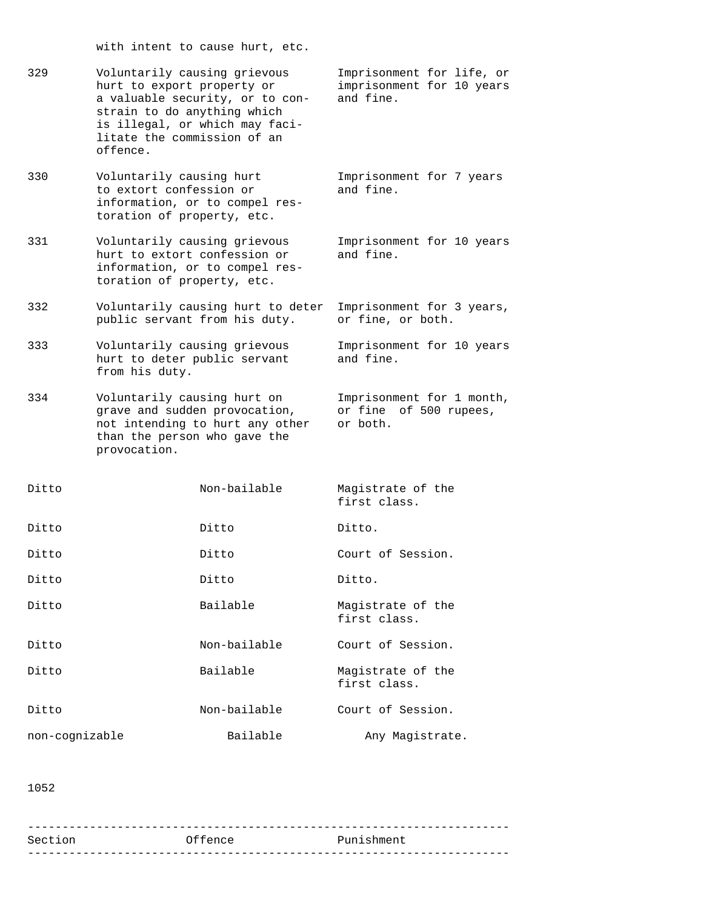with intent to cause hurt, etc.

- 329 Voluntarily causing grievous Imprisonment for life, or<br>hurt to export property or imprisonment for 10 years hurt to export property or a valuable security, or to con- and fine. strain to do anything which is illegal, or which may faci litate the commission of an offence.
- 330 Voluntarily causing hurt Imprisonment for 7 years to extort confession or and fine. information, or to compel res toration of property, etc.
- 331 Voluntarily causing grievous Imprisonment for 10 years hurt to extort confession or and fine. information, or to compel res toration of property, etc.
- 332 Voluntarily causing hurt to deter Imprisonment for 3 years, public servant from his duty. or fine, or both.
- 333 Voluntarily causing grievous Imprisonment for 10 years<br>hurt to deter public servant and fine. hurt to deter public servant from his duty.
- 334 Voluntarily causing hurt on Imprisonment for 1 month,<br>grave and sudden provocation, or fine of 500 rupees, grave and sudden provocation, not intending to hurt any other or both. than the person who gave the provocation.

| Ditto          | Non-bailable | Magistrate of the<br>first class. |
|----------------|--------------|-----------------------------------|
| Ditto          | Ditto        | Ditto.                            |
| Ditto          | Ditto        | Court of Session.                 |
| Ditto          | Ditto        | Ditto.                            |
| Ditto          | Bailable     | Magistrate of the<br>first class. |
| Ditto          | Non-bailable | Court of Session.                 |
| Ditto          | Bailable     | Magistrate of the<br>first class. |
| Ditto          | Non-bailable | Court of Session.                 |
| non-cognizable | Bailable     | Any Magistrate.                   |

1052

 ---------------------------------------------------------------------- Section **Offence** Punishment ----------------------------------------------------------------------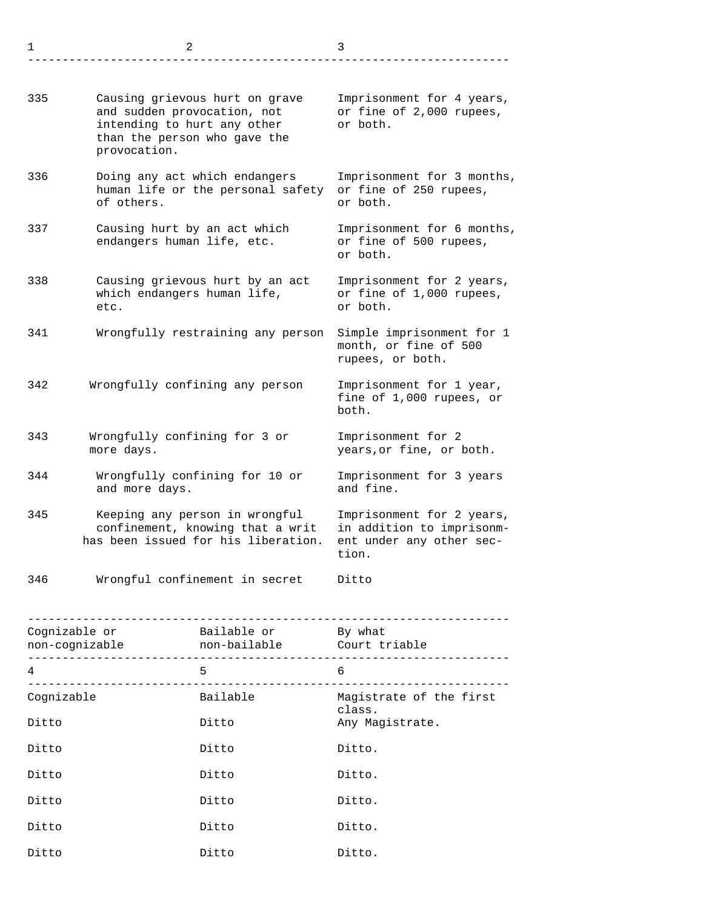| 335 | Causing grievous hurt on grave<br>and sudden provocation, not<br>intending to hurt any other<br>than the person who gave the<br>provocation. | Imprisonment for 4 years,<br>or fine of 2,000 rupees,<br>or both.                           |
|-----|----------------------------------------------------------------------------------------------------------------------------------------------|---------------------------------------------------------------------------------------------|
| 336 | Doing any act which endangers<br>human life or the personal safety<br>of others.                                                             | Imprisonment for 3 months,<br>or fine of 250 rupees,<br>or both.                            |
| 337 | Causing hurt by an act which<br>endangers human life, etc.                                                                                   | Imprisonment for 6 months,<br>or fine of 500 rupees,<br>or both.                            |
| 338 | Causing grievous hurt by an act<br>which endangers human life,<br>etc.                                                                       | Imprisonment for 2 years,<br>or fine of 1,000 rupees,<br>or both.                           |
| 341 | Wrongfully restraining any person                                                                                                            | Simple imprisonment for 1<br>month, or fine of 500<br>rupees, or both.                      |
| 342 | Wrongfully confining any person                                                                                                              | Imprisonment for 1 year,<br>fine of 1,000 rupees, or<br>both.                               |
| 343 | Wrongfully confining for 3 or<br>more days.                                                                                                  | Imprisonment for 2<br>years, or fine, or both.                                              |
| 344 | Wrongfully confining for 10 or<br>and more days.                                                                                             | Imprisonment for 3 years<br>and fine.                                                       |
| 345 | Keeping any person in wrongful<br>confinement, knowing that a writ<br>has been issued for his liberation.                                    | Imprisonment for 2 years,<br>in addition to imprisonm-<br>ent under any other sec-<br>tion. |
| 346 | Wrongful confinement in secret                                                                                                               | Ditto                                                                                       |

 $1$   $2$   $3$ 

| Cognizable or<br>non-cognizable<br>_______________________ | Bailable or<br>non-bailable Court triable | By what                           |
|------------------------------------------------------------|-------------------------------------------|-----------------------------------|
| 4                                                          | 5                                         | 6                                 |
| Cognizable                                                 | Bailable                                  | Magistrate of the first<br>class. |
| Ditto                                                      | Ditto                                     | Any Magistrate.                   |
| Ditto                                                      | Ditto                                     | Ditto.                            |
| Ditto                                                      | Ditto                                     | Ditto.                            |
| Ditto                                                      | Ditto                                     | Ditto.                            |
| Ditto                                                      | Ditto                                     | Ditto.                            |
| Ditto                                                      | Ditto                                     | Ditto.                            |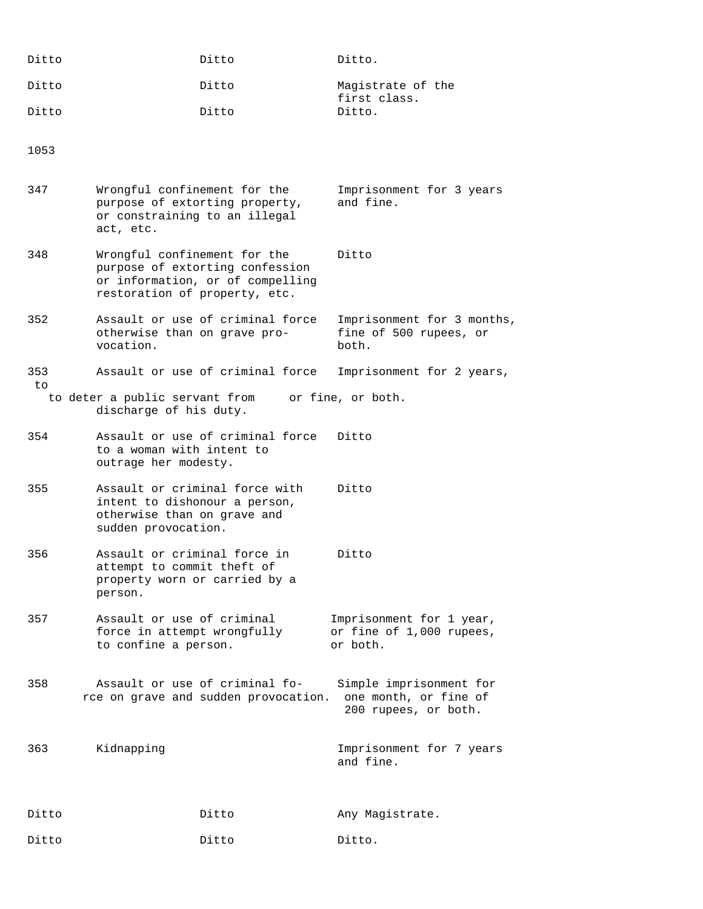| Ditto | Ditto | Ditto.                            |
|-------|-------|-----------------------------------|
| Ditto | Ditto | Magistrate of the<br>first class. |
| Ditto | Ditto | Ditto.                            |

1053

 347 Wrongful confinement for the Imprisonment for 3 years purpose of extorting property, and fine. or constraining to an illegal act, etc. 348 Wrongful confinement for the Ditto purpose of extorting confession or information, or of compelling restoration of property, etc. 352 Assault or use of criminal force Imprisonment for 3 months, otherwise than on grave pro- fine of 500 rupees, or vocation. both. 353 Assault or use of criminal force Imprisonment for 2 years, to to deter a public servant from or fine, or both. discharge of his duty. 354 Assault or use of criminal force Ditto to a woman with intent to outrage her modesty. 355 Assault or criminal force with Ditto intent to dishonour a person, otherwise than on grave and sudden provocation. 356 Assault or criminal force in Ditto attempt to commit theft of property worn or carried by a person. 357 Assault or use of criminal Imprisonment for 1 year,<br>force in attempt wrongfully or fine of 1,000 rupees, force in attempt wrongfully to confine a person. or both. 358 Assault or use of criminal fo- Simple imprisonment for rce on grave and sudden provocation. one month, or fine of 200 rupees, or both. 363 Kidnapping Imprisonment for 7 years and fine. Ditto **Ditto** Ditto **Any Magistrate.** 

Ditto Ditto Ditto.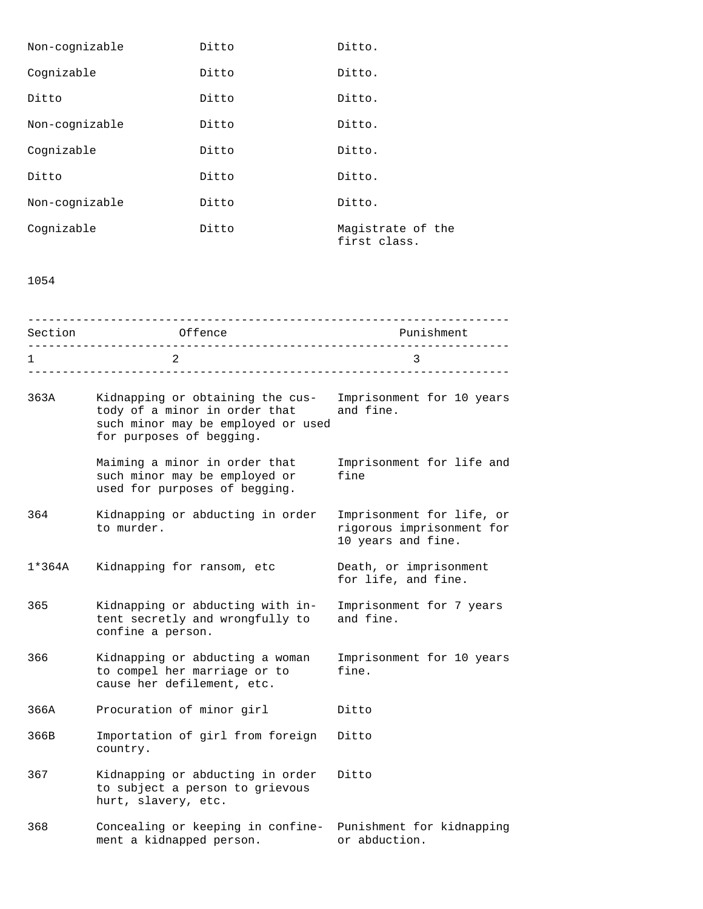| Non-cognizable | Ditto | Ditto.                            |
|----------------|-------|-----------------------------------|
| Cognizable     | Ditto | Ditto.                            |
| Ditto          | Ditto | Ditto.                            |
| Non-cognizable | Ditto | Ditto.                            |
| Cognizable     | Ditto | Ditto.                            |
| Ditto          | Ditto | Ditto.                            |
| Non-cognizable | Ditto | Ditto.                            |
| Cognizable     | Ditto | Magistrate of the<br>first class. |

1054

| Section      | Offence<br>______________________                                                                                                   | Punishment                                                                   |
|--------------|-------------------------------------------------------------------------------------------------------------------------------------|------------------------------------------------------------------------------|
| $\mathbf{1}$ | 2.                                                                                                                                  | 3                                                                            |
| 363A         | Kidnapping or obtaining the cus-<br>tody of a minor in order that<br>such minor may be employed or used<br>for purposes of begging. | Imprisonment for 10 years<br>and fine.                                       |
|              | Maiming a minor in order that<br>such minor may be employed or<br>used for purposes of begging.                                     | Imprisonment for life and<br>fine                                            |
| 364          | Kidnapping or abducting in order<br>to murder.                                                                                      | Imprisonment for life, or<br>rigorous imprisonment for<br>10 years and fine. |
| $1*364A$     | Kidnapping for ransom, etc                                                                                                          | Death, or imprisonment<br>for life, and fine.                                |
| 365          | Kidnapping or abducting with in-<br>tent secretly and wrongfully to<br>confine a person.                                            | Imprisonment for 7 years<br>and fine.                                        |
| 366          | Kidnapping or abducting a woman<br>to compel her marriage or to<br>cause her defilement, etc.                                       | Imprisonment for 10 years<br>fine.                                           |
| 366A         | Procuration of minor girl                                                                                                           | Ditto                                                                        |
| 366B         | Importation of girl from foreign<br>country.                                                                                        | Ditto                                                                        |
| 367          | Kidnapping or abducting in order<br>to subject a person to grievous<br>hurt, slavery, etc.                                          | Ditto                                                                        |
| 368          | Concealing or keeping in confine-<br>ment a kidnapped person.                                                                       | Punishment for kidnapping<br>or abduction.                                   |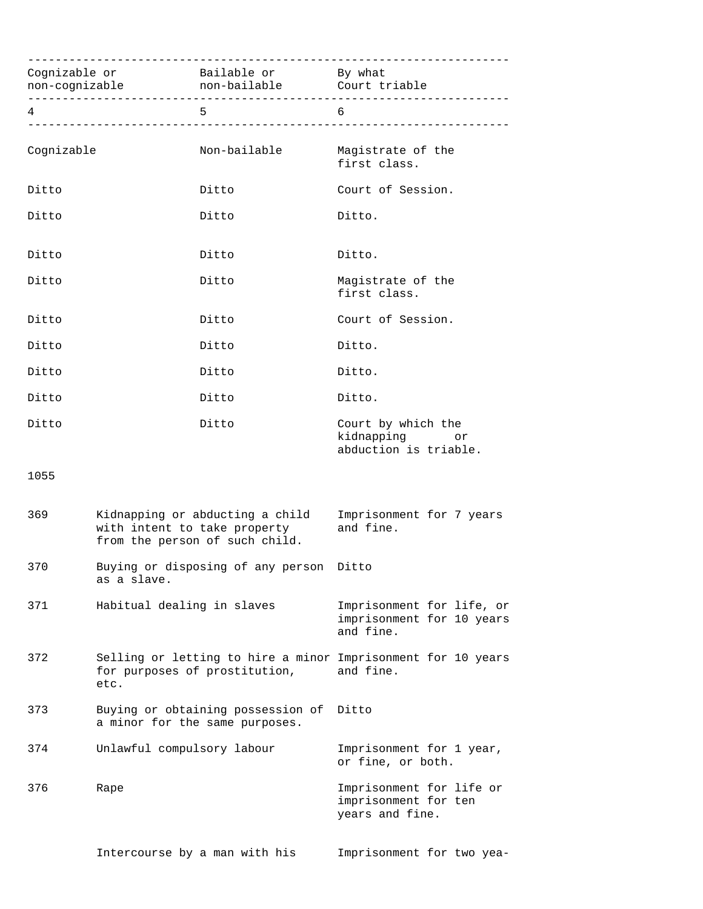|            | _______________________    | Cognizable or Bailable or By what<br>non-cognizable hon-bailable Court triable                    |                                                                           |
|------------|----------------------------|---------------------------------------------------------------------------------------------------|---------------------------------------------------------------------------|
| 4          |                            | $5 -$<br>$\overline{6}$                                                                           |                                                                           |
| Cognizable |                            | Non-bailable                                                                                      | Magistrate of the<br>first class.                                         |
| Ditto      |                            | Ditto                                                                                             | Court of Session.                                                         |
| Ditto      |                            | Ditto                                                                                             | Ditto.                                                                    |
| Ditto      |                            | Ditto                                                                                             | Ditto.                                                                    |
| Ditto      |                            | Ditto                                                                                             | Magistrate of the<br>first class.                                         |
| Ditto      |                            | Ditto                                                                                             | Court of Session.                                                         |
| Ditto      |                            | Ditto                                                                                             | Ditto.                                                                    |
| Ditto      |                            | Ditto                                                                                             | Ditto.                                                                    |
| Ditto      |                            | Ditto                                                                                             | Ditto.                                                                    |
| Ditto      |                            | Ditto                                                                                             | Court by which the<br>kidnapping or<br>abduction is triable.              |
| 1055       |                            |                                                                                                   |                                                                           |
| 369        |                            | Kidnapping or abducting a child<br>with intent to take property<br>from the person of such child. | Imprisonment for 7 years<br>and fine.                                     |
| 370        | as a slave.                | Buying or disposing of any person                                                                 | Ditto                                                                     |
| 371        | Habitual dealing in slaves |                                                                                                   | Imprisonment for life, or<br>imprisonment for 10 years<br>and fine.       |
| 372        | etc.                       | for purposes of prostitution,                                                                     | Selling or letting to hire a minor Imprisonment for 10 years<br>and fine. |
| 373        |                            | Buying or obtaining possession of<br>a minor for the same purposes.                               | Ditto                                                                     |
| 374        | Unlawful compulsory labour |                                                                                                   | Imprisonment for 1 year,<br>or fine, or both.                             |
| 376        | Rape                       |                                                                                                   | Imprisonment for life or<br>imprisonment for ten<br>years and fine.       |

Intercourse by a man with his Imprisonment for two yea-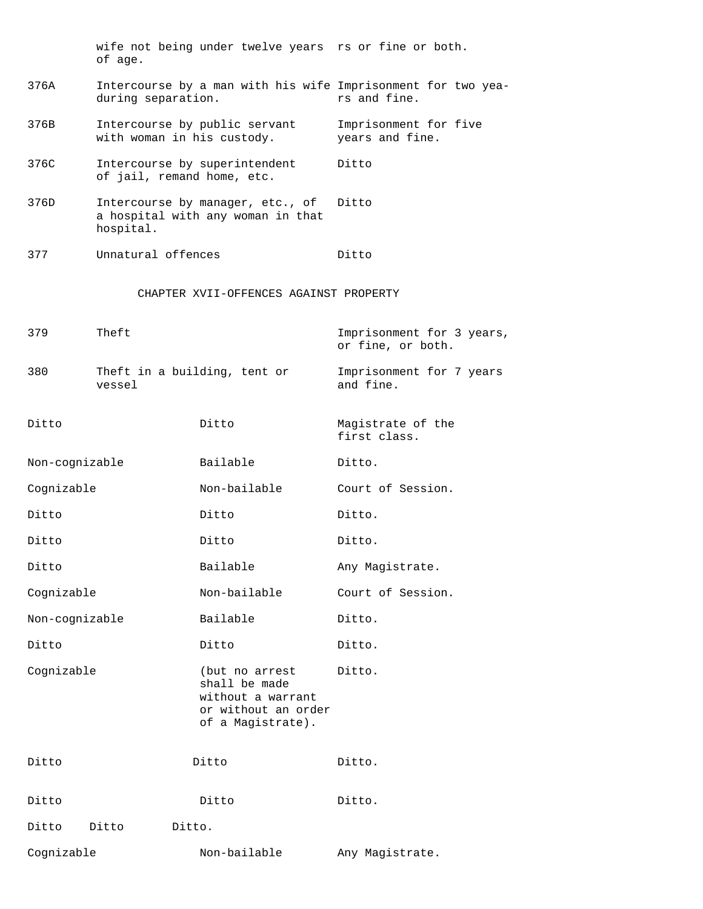|                | of age.                                                                            | wife not being under twelve years rs or fine or both.                                            |                                                                              |
|----------------|------------------------------------------------------------------------------------|--------------------------------------------------------------------------------------------------|------------------------------------------------------------------------------|
| 376A           | during separation.                                                                 |                                                                                                  | Intercourse by a man with his wife Imprisonment for two yea-<br>rs and fine. |
| 376B           | Intercourse by public servant<br>with woman in his custody.                        |                                                                                                  | Imprisonment for five<br>years and fine.                                     |
| 376C           | of jail, remand home, etc.                                                         | Intercourse by superintendent                                                                    | Ditto                                                                        |
| 376D           | Intercourse by manager, etc., of<br>a hospital with any woman in that<br>hospital. |                                                                                                  | Ditto                                                                        |
| 377            | Unnatural offences                                                                 |                                                                                                  | Ditto                                                                        |
|                |                                                                                    | CHAPTER XVII-OFFENCES AGAINST PROPERTY                                                           |                                                                              |
| 379            | Theft                                                                              |                                                                                                  | Imprisonment for 3 years,<br>or fine, or both.                               |
| 380            | vessel                                                                             | Theft in a building, tent or                                                                     | Imprisonment for 7 years<br>and fine.                                        |
| Ditto          |                                                                                    | Ditto                                                                                            | Magistrate of the<br>first class.                                            |
| Non-cognizable |                                                                                    | Bailable                                                                                         | Ditto.                                                                       |
| Cognizable     |                                                                                    | Non-bailable                                                                                     | Court of Session.                                                            |
| Ditto          |                                                                                    | Ditto                                                                                            | Ditto.                                                                       |
| Ditto          |                                                                                    | Ditto                                                                                            | Ditto.                                                                       |
| Ditto          |                                                                                    | Bailable                                                                                         | Any Magistrate.                                                              |
| Cognizable     |                                                                                    | Non-bailable                                                                                     | Court of Session.                                                            |
| Non-cognizable |                                                                                    | Bailable                                                                                         | Ditto.                                                                       |
| Ditto          |                                                                                    | Ditto                                                                                            | Ditto.                                                                       |
| Cognizable     |                                                                                    | (but no arrest<br>shall be made<br>without a warrant<br>or without an order<br>of a Magistrate). | Ditto.                                                                       |
| Ditto          |                                                                                    | Ditto                                                                                            | Ditto.                                                                       |
| Ditto          |                                                                                    | Ditto                                                                                            | Ditto.                                                                       |
| Ditto          | Ditto<br>Ditto.                                                                    |                                                                                                  |                                                                              |
| Cognizable     |                                                                                    | Non-bailable                                                                                     | Any Magistrate.                                                              |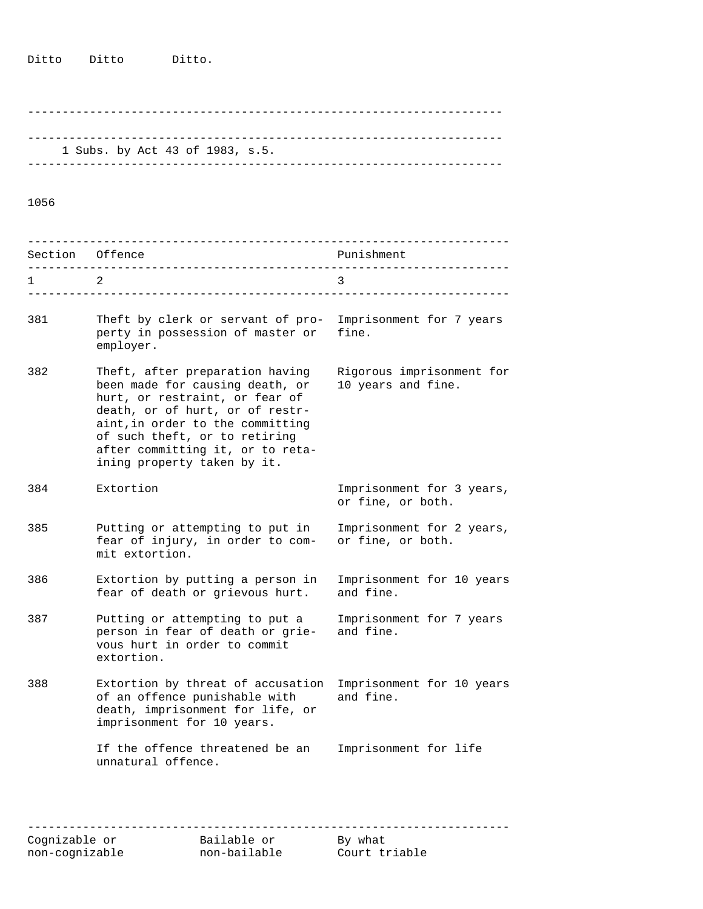Ditto Ditto Ditto.

 --------------------------------------------------------------------- --------------------------------------------------------------------- 1 Subs. by Act 43 of 1983, s.5. ---------------------------------------------------------------------

1056

| Section | Offence                                                                                                                                                                                                                                                                         | Punishment                                      |
|---------|---------------------------------------------------------------------------------------------------------------------------------------------------------------------------------------------------------------------------------------------------------------------------------|-------------------------------------------------|
| 1       | 2                                                                                                                                                                                                                                                                               | 3                                               |
| 381     | Theft by clerk or servant of pro-<br>perty in possession of master or<br>employer.                                                                                                                                                                                              | Imprisonment for 7 years<br>fine.               |
| 382     | Theft, after preparation having<br>been made for causing death, or<br>hurt, or restraint, or fear of<br>death, or of hurt, or of restr-<br>aint, in order to the committing<br>of such theft, or to retiring<br>after committing it, or to reta-<br>ining property taken by it. | Rigorous imprisonment for<br>10 years and fine. |
| 384     | Extortion                                                                                                                                                                                                                                                                       | Imprisonment for 3 years,<br>or fine, or both.  |
| 385     | Putting or attempting to put in<br>fear of injury, in order to com-<br>mit extortion.                                                                                                                                                                                           | Imprisonment for 2 years,<br>or fine, or both.  |
| 386     | Extortion by putting a person in<br>fear of death or grievous hurt.                                                                                                                                                                                                             | Imprisonment for 10 years<br>and fine.          |
| 387     | Putting or attempting to put a<br>person in fear of death or grie-<br>vous hurt in order to commit<br>extortion.                                                                                                                                                                | Imprisonment for 7 years<br>and fine.           |
| 388     | Extortion by threat of accusation<br>of an offence punishable with<br>death, imprisonment for life, or<br>imprisonment for 10 years.                                                                                                                                            | Imprisonment for 10 years<br>and fine.          |
|         | If the offence threatened be an<br>unnatural offence.                                                                                                                                                                                                                           | Imprisonment for life                           |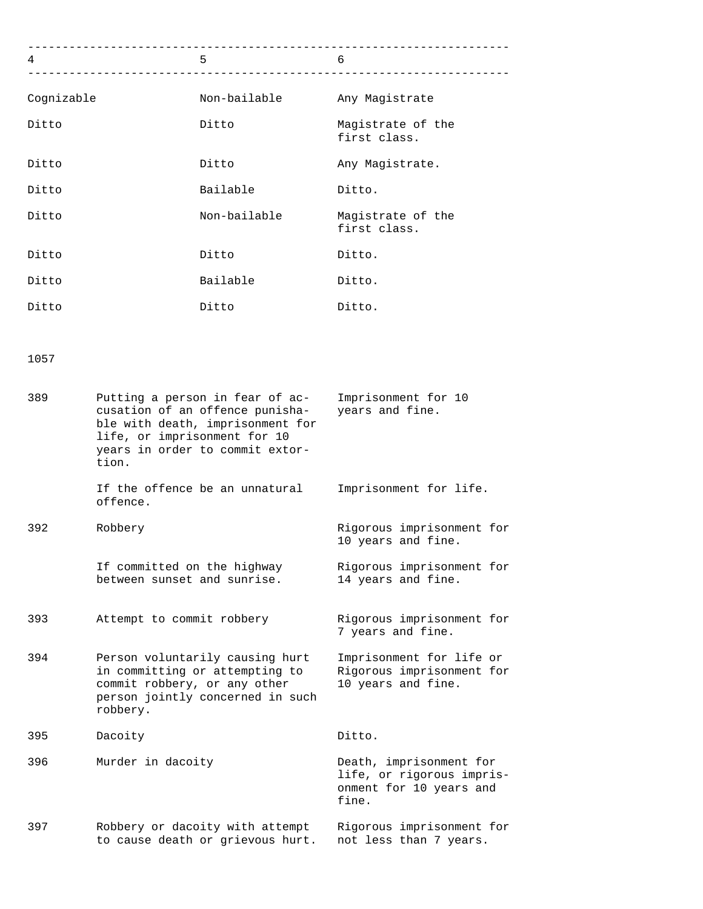----------------------------------------------------------------------  $5$  6 ----------------------------------------------------------------------

| Cognizable | Non-bailable | Any Magistrate                    |
|------------|--------------|-----------------------------------|
| Ditto      | Ditto        | Magistrate of the<br>first class. |
| Ditto      | Ditto        | Any Magistrate.                   |
| Ditto      | Bailable     | Ditto.                            |
| Ditto      | Non-bailable | Magistrate of the<br>first class. |
| Ditto      | Ditto        | Ditto.                            |
| Ditto      | Bailable     | Ditto.                            |
| Ditto      | Ditto        | Ditto.                            |

1057

| 389 | Putting a person in fear of ac-<br>cusation of an offence punisha-<br>ble with death, imprisonment for<br>life, or imprisonment for 10<br>years in order to commit extor-<br>tion. | Imprisonment for 10<br>years and fine.                                                   |
|-----|------------------------------------------------------------------------------------------------------------------------------------------------------------------------------------|------------------------------------------------------------------------------------------|
|     | If the offence be an unnatural<br>offence.                                                                                                                                         | Imprisonment for life.                                                                   |
| 392 | Robbery                                                                                                                                                                            | Rigorous imprisonment for<br>10 years and fine.                                          |
|     | If committed on the highway<br>between sunset and sunrise.                                                                                                                         | Rigorous imprisonment for<br>14 years and fine.                                          |
| 393 | Attempt to commit robbery                                                                                                                                                          | Rigorous imprisonment for<br>7 years and fine.                                           |
| 394 | Person voluntarily causing hurt<br>in committing or attempting to<br>commit robbery, or any other<br>person jointly concerned in such<br>robbery.                                  | Imprisonment for life or<br>Rigorous imprisonment for<br>10 years and fine.              |
| 395 | Dacoity                                                                                                                                                                            | Ditto.                                                                                   |
| 396 | Murder in dacoity                                                                                                                                                                  | Death, imprisonment for<br>life, or rigorous impris-<br>onment for 10 years and<br>fine. |

 397 Robbery or dacoity with attempt Rigorous imprisonment for to cause death or grievous hurt. not less than 7 years.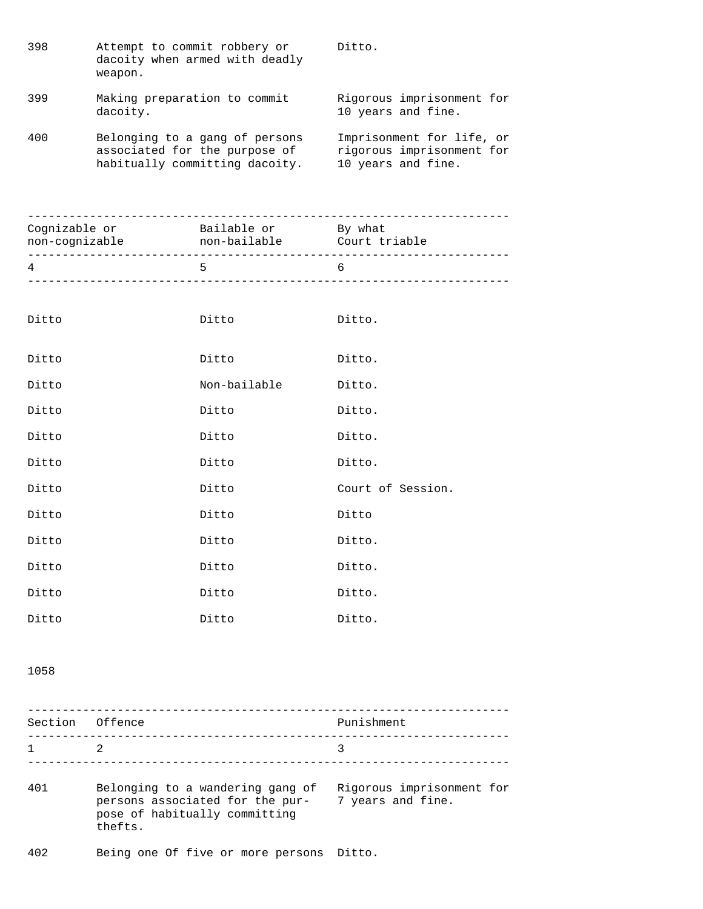| 398                             | Attempt to commit robbery or<br>dacoity when armed with deadly<br>weapon.                         |                                                                   | Ditto.                                                                       |
|---------------------------------|---------------------------------------------------------------------------------------------------|-------------------------------------------------------------------|------------------------------------------------------------------------------|
| 399                             | dacoity.                                                                                          | Making preparation to commit                                      | Rigorous imprisonment for<br>10 years and fine.                              |
| 400                             | Belonging to a gang of persons<br>associated for the purpose of<br>habitually committing dacoity. |                                                                   | Imprisonment for life, or<br>rigorous imprisonment for<br>10 years and fine. |
| Cognizable or<br>non-cognizable |                                                                                                   | Bailable or          By what<br>non-bailable        Court triable |                                                                              |
| $\overline{4}$                  |                                                                                                   | 5                                                                 | 6                                                                            |
| Ditto                           |                                                                                                   | Ditto                                                             | Ditto.                                                                       |
| Ditto                           |                                                                                                   | Ditto                                                             | Ditto.                                                                       |
| Ditto                           |                                                                                                   | Non-bailable                                                      | Ditto.                                                                       |
| Ditto                           |                                                                                                   | Ditto                                                             | Ditto.                                                                       |
| Ditto                           |                                                                                                   | Ditto                                                             | Ditto.                                                                       |
| Ditto                           |                                                                                                   | Ditto                                                             | Ditto.                                                                       |
| Ditto                           |                                                                                                   | Ditto                                                             | Court of Session.                                                            |
| Ditto                           |                                                                                                   | Ditto                                                             | Ditto                                                                        |
| Ditto                           |                                                                                                   | Ditto                                                             | Ditto.                                                                       |
| Ditto                           |                                                                                                   | Ditto                                                             | Ditto.                                                                       |
| Ditto                           |                                                                                                   | Ditto                                                             | Ditto.                                                                       |
| Ditto                           |                                                                                                   | Ditto                                                             | Ditto.                                                                       |

1058

| Section | Offence                                                                                                         | Punishment                                     |
|---------|-----------------------------------------------------------------------------------------------------------------|------------------------------------------------|
|         |                                                                                                                 | 3                                              |
| 401     | Belonging to a wandering gang of<br>persons associated for the pur-<br>pose of habitually committing<br>thefts. | Rigorous imprisonment for<br>7 years and fine. |
| 402     | Being one Of five or more persons Ditto.                                                                        |                                                |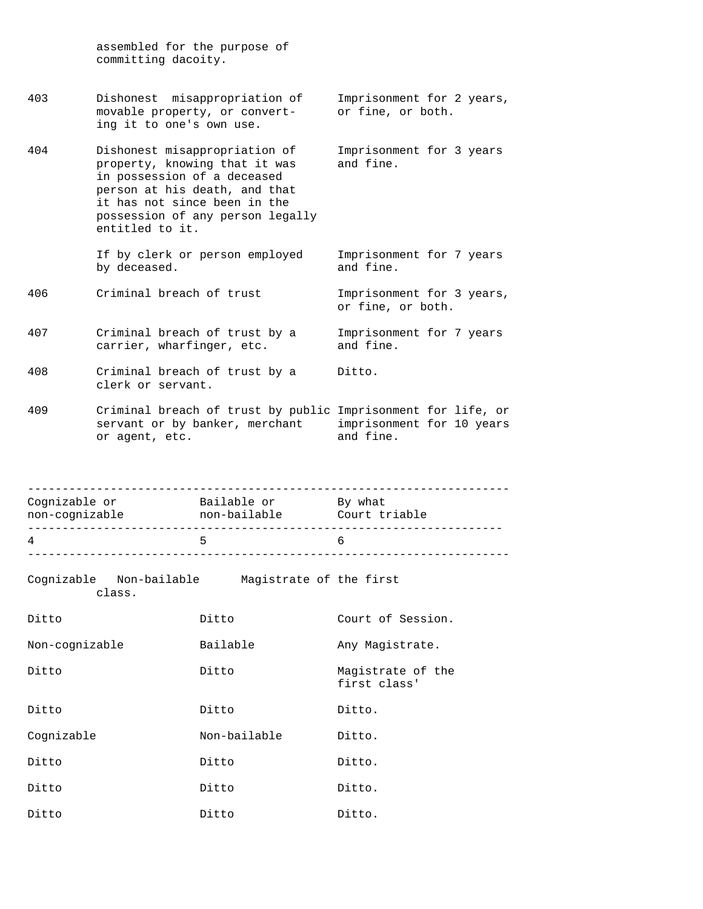assembled for the purpose of committing dacoity.

- 403 Dishonest misappropriation of Imprisonment for 2 years, movable property, or convert- or fine, or both. ing it to one's own use.
- 404 Dishonest misappropriation of Imprisonment for 3 years property, knowing that it was and fine. in possession of a deceased person at his death, and that it has not since been in the possession of any person legally entitled to it.

If by clerk or person employed Imprisonment for 7 years<br>by deceased.  $and$  fine. by deceased.

- 406 Criminal breach of trust Imprisonment for 3 years, or fine, or both.
- 407 Criminal breach of trust by a Imprisonment for 7 years carrier, wharfinger, etc. and fine.

408 Criminal breach of trust by a Ditto. clerk or servant.

 409 Criminal breach of trust by public Imprisonment for life, or servant or by banker, merchant imprisonment for 10 years<br>or agent, etc. and fine. or agent, etc.

| Cognizable or  | Bailable or  | By what       |
|----------------|--------------|---------------|
| non-cognizable | non-bailable | Court triable |
|                |              |               |

 Cognizable Non-bailable Magistrate of the first class.

| Ditto          | Ditto        | Court of Session.                 |
|----------------|--------------|-----------------------------------|
| Non-cognizable | Bailable     | Any Magistrate.                   |
| Ditto          | Ditto        | Magistrate of the<br>first class' |
| Ditto          | Ditto        | Ditto.                            |
| Cognizable     | Non-bailable | Ditto.                            |
| Ditto          | Ditto        | Ditto.                            |
| Ditto          | Ditto        | Ditto.                            |
| Ditto          | Ditto        | Ditto.                            |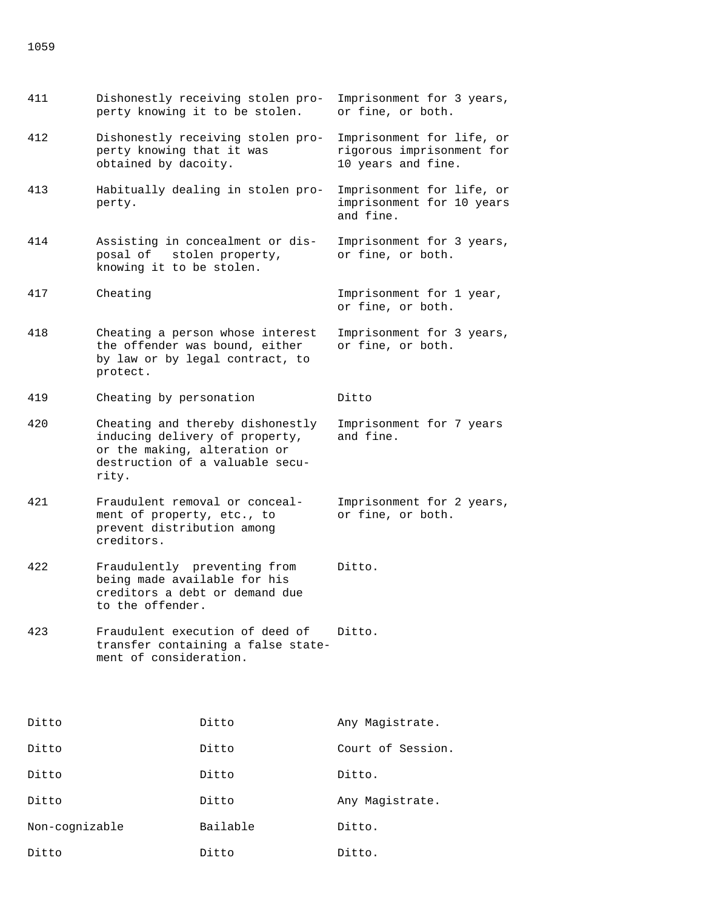- 412 Dishonestly receiving stolen pro- Imprisonment for life, or perty knowing that it was obtained by dacoity. 10 years and fine.
- 413 Habitually dealing in stolen pro- Imprisonment for life, or perty. imprisonment for 10 years and fine.
- 414 Assisting in concealment or dis- Imprisonment for 3 years, posal of stolen property, or fine, or both. knowing it to be stolen.
- 417 Cheating Cheating Imprisonment for 1 year, or fine, or both.
- 418 Cheating a person whose interest Imprisonment for 3 years, the offender was bound, either or fine, or both. by law or by legal contract, to protect.
- 419 Cheating by personation Ditto
- 420 Cheating and thereby dishonestly Imprisonment for 7 years inducing delivery of property, and fine. or the making, alteration or destruction of a valuable secu rity.
- 421 Fraudulent removal or conceal- Imprisonment for 2 years, ment of property, etc., to or fine, or both. prevent distribution among creditors.
- 422 Fraudulently preventing from Ditto. being made available for his creditors a debt or demand due to the offender.
- 423 Fraudulent execution of deed of Ditto. transfer containing a false state ment of consideration.

| Ditto          | Ditto    | Any Magistrate.   |
|----------------|----------|-------------------|
| Ditto          | Ditto    | Court of Session. |
| Ditto          | Ditto    | Ditto.            |
| Ditto          | Ditto    | Any Magistrate.   |
| Non-cognizable | Bailable | Ditto.            |
| Ditto          | Ditto    | Ditto.            |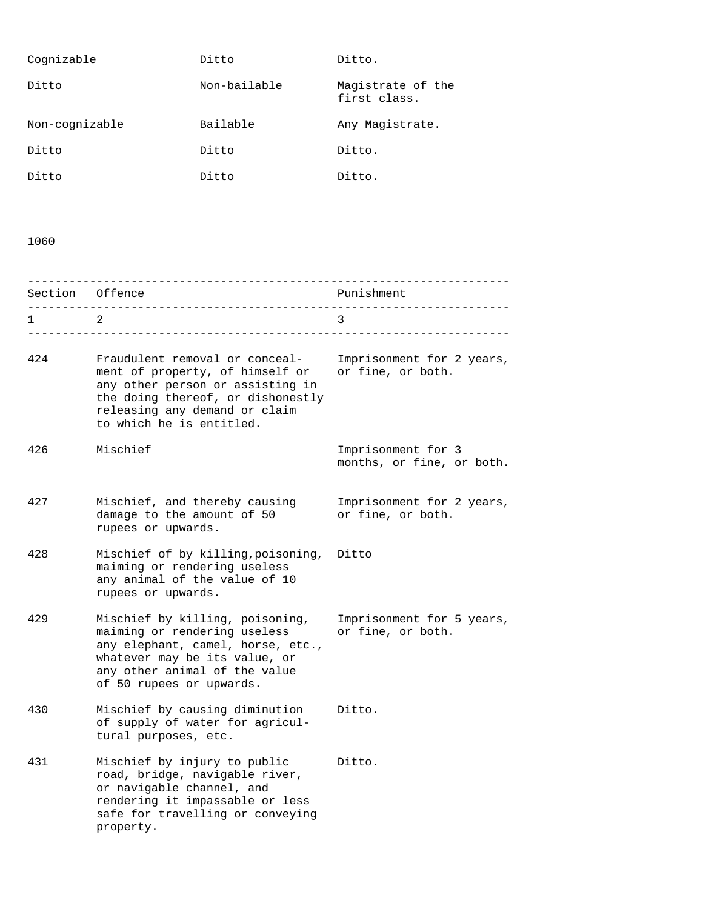| Cognizable     | Ditto        | Ditto.                            |
|----------------|--------------|-----------------------------------|
| Ditto          | Non-bailable | Magistrate of the<br>first class. |
| Non-cognizable | Bailable     | Any Magistrate.                   |
| Ditto          | Ditto        | Ditto.                            |
| Ditto          | Ditto        | Ditto.                            |

1060

|     | Section Offence                                                                                                                                                                                         | Punishment                                      |
|-----|---------------------------------------------------------------------------------------------------------------------------------------------------------------------------------------------------------|-------------------------------------------------|
| 1   | 2                                                                                                                                                                                                       | 3                                               |
| 424 | Fraudulent removal or conceal-<br>ment of property, of himself or<br>any other person or assisting in<br>the doing thereof, or dishonestly<br>releasing any demand or claim<br>to which he is entitled. | Imprisonment for 2 years,<br>or fine, or both.  |
| 426 | Mischief                                                                                                                                                                                                | Imprisonment for 3<br>months, or fine, or both. |
| 427 | Mischief, and thereby causing<br>damage to the amount of 50<br>rupees or upwards.                                                                                                                       | Imprisonment for 2 years,<br>or fine, or both.  |
| 428 | Mischief of by killing, poisoning,<br>maiming or rendering useless<br>any animal of the value of 10<br>rupees or upwards.                                                                               | Ditto                                           |
| 429 | Mischief by killing, poisoning,<br>maiming or rendering useless<br>any elephant, camel, horse, etc.,<br>whatever may be its value, or<br>any other animal of the value<br>of 50 rupees or upwards.      | Imprisonment for 5 years,<br>or fine, or both.  |
| 430 | Mischief by causing diminution<br>of supply of water for agricul-<br>tural purposes, etc.                                                                                                               | Ditto.                                          |
| 431 | Mischief by injury to public<br>road, bridge, navigable river,<br>or navigable channel, and<br>rendering it impassable or less<br>safe for travelling or conveying<br>property.                         | Ditto.                                          |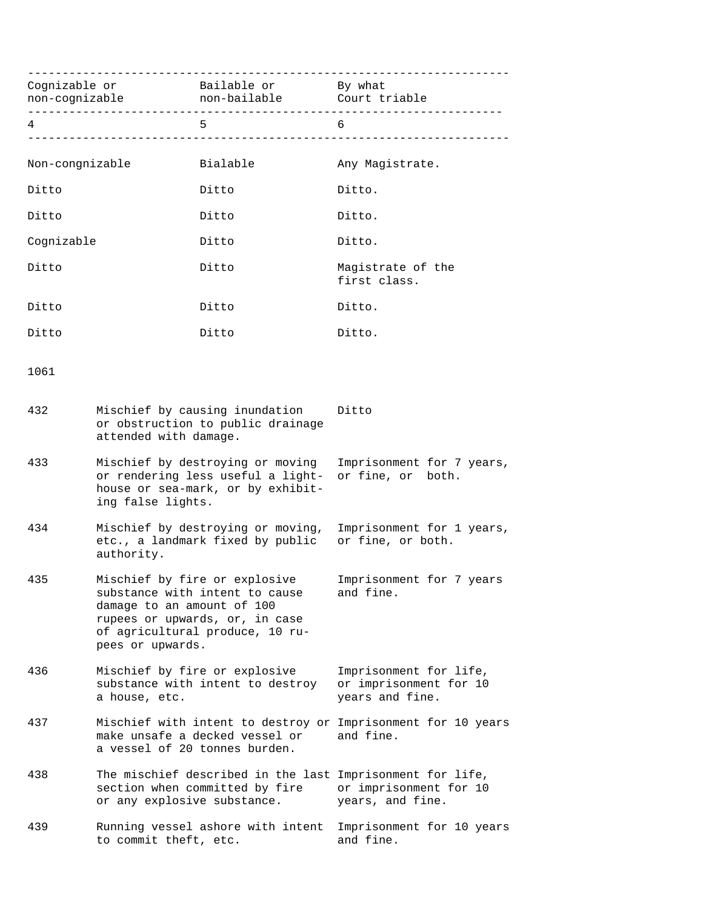|                             |                                                                                                                                                                                        | Cognizable or Bailable or By what<br>non-cognizable hon-bailable Court triable |                                                                                                         |
|-----------------------------|----------------------------------------------------------------------------------------------------------------------------------------------------------------------------------------|--------------------------------------------------------------------------------|---------------------------------------------------------------------------------------------------------|
| 5<br>4                      |                                                                                                                                                                                        | 6                                                                              |                                                                                                         |
| Bialable<br>Non-congnizable |                                                                                                                                                                                        | Any Magistrate.                                                                |                                                                                                         |
| Ditto                       | Ditto                                                                                                                                                                                  |                                                                                | Ditto.                                                                                                  |
| Ditto                       |                                                                                                                                                                                        | Ditto                                                                          | Ditto.                                                                                                  |
| Cognizable                  |                                                                                                                                                                                        | Ditto                                                                          | Ditto.                                                                                                  |
| Ditto                       |                                                                                                                                                                                        | Ditto                                                                          | Magistrate of the<br>first class.                                                                       |
| Ditto                       |                                                                                                                                                                                        | Ditto                                                                          | Ditto.                                                                                                  |
| Ditto                       |                                                                                                                                                                                        | Ditto                                                                          | Ditto.                                                                                                  |
| 1061                        |                                                                                                                                                                                        |                                                                                |                                                                                                         |
| 432                         | Mischief by causing inundation Ditto<br>or obstruction to public drainage<br>attended with damage.                                                                                     |                                                                                |                                                                                                         |
| 433                         | Mischief by destroying or moving<br>or rendering less useful a light-<br>house or sea-mark, or by exhibit-<br>ing false lights.                                                        |                                                                                | Imprisonment for 7 years,<br>or fine, or both.                                                          |
| 434                         | Mischief by destroying or moving,<br>etc., a landmark fixed by public<br>authority.                                                                                                    |                                                                                | Imprisonment for 1 years,<br>or fine, or both.                                                          |
| 435                         | Mischief by fire or explosive<br>substance with intent to cause<br>damage to an amount of 100<br>rupees or upwards, or, in case<br>of agricultural produce, 10 ru-<br>pees or upwards. |                                                                                | Imprisonment for 7 years<br>and fine.                                                                   |
| 436                         | Mischief by fire or explosive<br>substance with intent to destroy<br>a house, etc.                                                                                                     |                                                                                | Imprisonment for life,<br>or imprisonment for 10<br>years and fine.                                     |
| 437                         |                                                                                                                                                                                        | make unsafe a decked vessel or<br>a vessel of 20 tonnes burden.                | Mischief with intent to destroy or Imprisonment for 10 years<br>and fine.                               |
| 438                         | or any explosive substance.                                                                                                                                                            | section when committed by fire                                                 | The mischief described in the last Imprisonment for life,<br>or imprisonment for 10<br>years, and fine. |
| 439                         | to commit theft, etc.                                                                                                                                                                  | Running vessel ashore with intent                                              | Imprisonment for 10 years<br>and fine.                                                                  |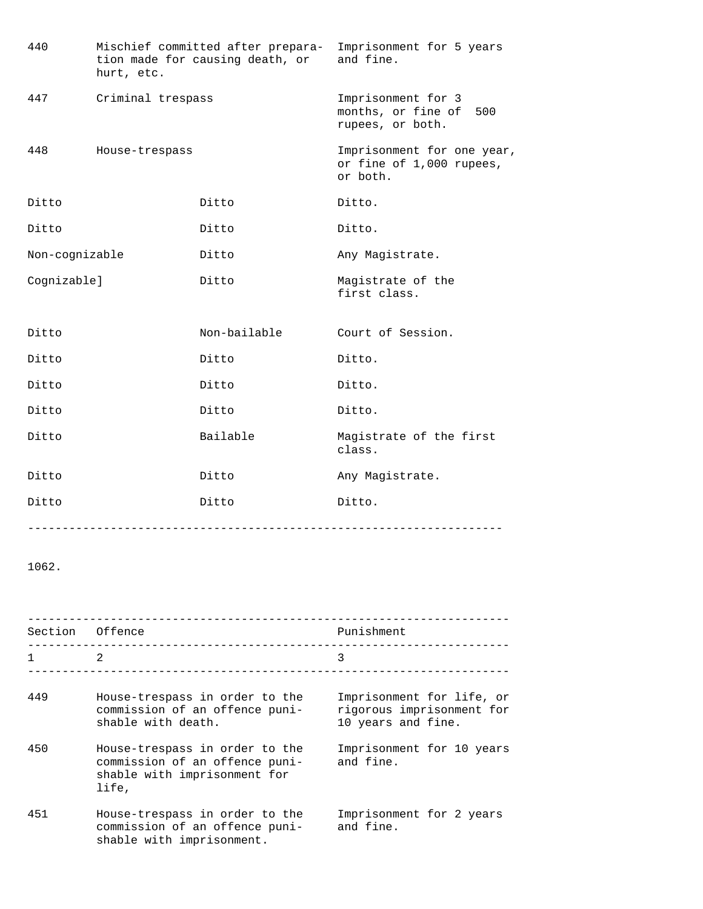| 440            | Mischief committed after prepara- Imprisonment for 5 years<br>tion made for causing death, or<br>hurt, etc. |              | and fine.                                                           |
|----------------|-------------------------------------------------------------------------------------------------------------|--------------|---------------------------------------------------------------------|
| 447            | Criminal trespass                                                                                           |              | Imprisonment for 3<br>months, or fine of<br>500<br>rupees, or both. |
| 448            | House-trespass                                                                                              |              | Imprisonment for one year,<br>or fine of 1,000 rupees,<br>or both.  |
| Ditto          |                                                                                                             | Ditto        | Ditto.                                                              |
| Ditto          |                                                                                                             | Ditto        | Ditto.                                                              |
| Non-cognizable |                                                                                                             | Ditto        | Any Magistrate.                                                     |
| Cognizable]    |                                                                                                             | Ditto        | Magistrate of the<br>first class.                                   |
| Ditto          |                                                                                                             | Non-bailable | Court of Session.                                                   |
| Ditto          |                                                                                                             | Ditto        | Ditto.                                                              |
| Ditto          |                                                                                                             | Ditto        | Ditto.                                                              |
| Ditto          |                                                                                                             | Ditto        | Ditto.                                                              |
| Ditto          |                                                                                                             | Bailable     | Magistrate of the first<br>class.                                   |
| Ditto          |                                                                                                             | Ditto        | Any Magistrate.                                                     |
| Ditto          |                                                                                                             | Ditto        | Ditto.                                                              |

1062.

| Section Offence |                                                                                                           | Punishment                                                                   |
|-----------------|-----------------------------------------------------------------------------------------------------------|------------------------------------------------------------------------------|
|                 | $\mathcal{L}$                                                                                             | 3                                                                            |
|                 |                                                                                                           |                                                                              |
| 449             | House-trespass in order to the<br>commission of an offence puni-<br>shable with death.                    | Imprisonment for life, or<br>rigorous imprisonment for<br>10 years and fine. |
| 450             | House-trespass in order to the<br>commission of an offence puni-<br>shable with imprisonment for<br>life, | Imprisonment for 10 years<br>and fine.                                       |
| 451             | House-trespass in order to the<br>commission of an offence puni-<br>shable with imprisonment.             | Imprisonment for 2 years<br>and fine.                                        |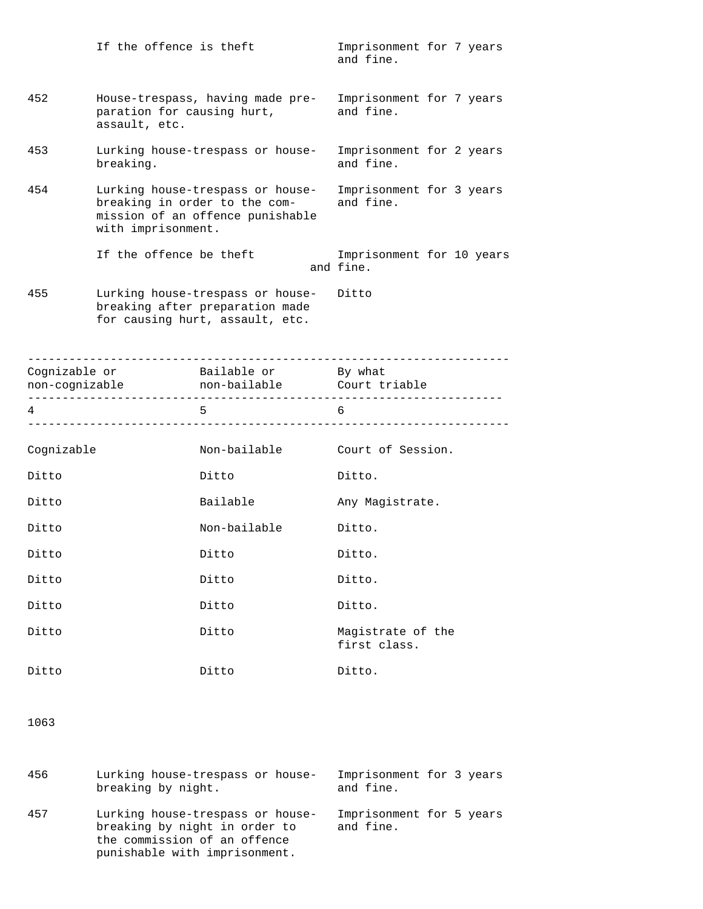|                | If the offence is theft                                                                                                     |                                                                                                        | Imprisonment for 7 years<br>and fine.  |
|----------------|-----------------------------------------------------------------------------------------------------------------------------|--------------------------------------------------------------------------------------------------------|----------------------------------------|
| 452            | paration for causing hurt,<br>assault, etc.                                                                                 | House-trespass, having made pre-                                                                       | Imprisonment for 7 years<br>and fine.  |
| 453            | breaking.                                                                                                                   | Lurking house-trespass or house-                                                                       | Imprisonment for 2 years<br>and fine.  |
| 454            | Lurking house-trespass or house-<br>breaking in order to the com-<br>mission of an offence punishable<br>with imprisonment. |                                                                                                        | Imprisonment for 3 years<br>and fine.  |
|                | If the offence be theft                                                                                                     |                                                                                                        | Imprisonment for 10 years<br>and fine. |
| 455            |                                                                                                                             | Lurking house-trespass or house-<br>breaking after preparation made<br>for causing hurt, assault, etc. | Ditto                                  |
| Cognizable or  |                                                                                                                             | Bailable or By what                                                                                    | -------------------------------------  |
| non-cognizable |                                                                                                                             | non-bailable Court triable                                                                             |                                        |
| 4              |                                                                                                                             | 5                                                                                                      | 6                                      |
| Cognizable     |                                                                                                                             | Non-bailable                                                                                           | Court of Session.                      |
| Ditto          |                                                                                                                             |                                                                                                        |                                        |
|                |                                                                                                                             | Ditto                                                                                                  | Ditto.                                 |
| Ditto          |                                                                                                                             | Bailable                                                                                               | Any Magistrate.                        |
| Ditto          |                                                                                                                             | Non-bailable                                                                                           | Ditto.                                 |
| Ditto          |                                                                                                                             | Ditto                                                                                                  | Ditto.                                 |
| Ditto          |                                                                                                                             | Ditto                                                                                                  | Ditto.                                 |
| Ditto          |                                                                                                                             | Ditto                                                                                                  | Ditto.                                 |
| Ditto          |                                                                                                                             | Ditto                                                                                                  | Magistrate of the<br>first class.      |
| Ditto          |                                                                                                                             | Ditto                                                                                                  | Ditto.                                 |

1063

| 456 | Lurking house-trespass or house-<br>breaking by night.                                                                             | Imprisonment for 3 years<br>and fine. |
|-----|------------------------------------------------------------------------------------------------------------------------------------|---------------------------------------|
| 457 | Lurking house-trespass or house-<br>breaking by night in order to<br>the commission of an offence<br>punishable with imprisonment. | Imprisonment for 5 years<br>and fine. |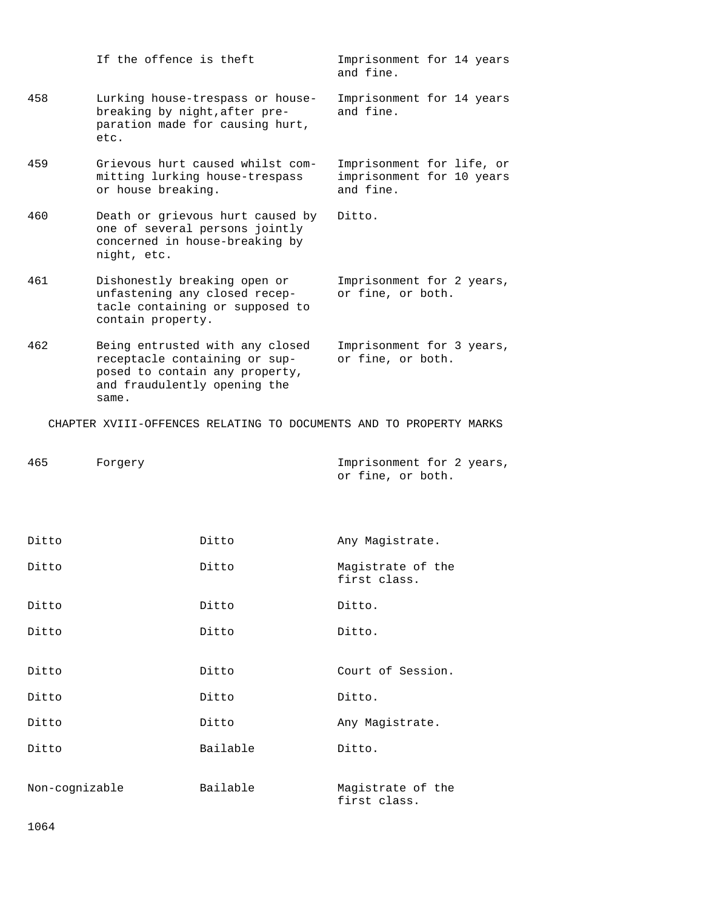|     | If the offence is theft                                                                                                            | Imprisonment for 14 years<br>and fine.                              |
|-----|------------------------------------------------------------------------------------------------------------------------------------|---------------------------------------------------------------------|
| 458 | Lurking house-trespass or house-<br>breaking by night, after pre-<br>paration made for causing hurt,<br>etc.                       | Imprisonment for 14 years<br>and fine.                              |
| 459 | Grievous hurt caused whilst com-<br>mitting lurking house-trespass<br>or house breaking.                                           | Imprisonment for life, or<br>imprisonment for 10 years<br>and fine. |
| 460 | Death or grievous hurt caused by<br>one of several persons jointly<br>concerned in house-breaking by<br>night, etc.                | Ditto.                                                              |
| 461 | Dishonestly breaking open or<br>unfastening any closed recep-<br>tacle containing or supposed to<br>contain property.              | Imprisonment for 2 years,<br>or fine, or both.                      |
| 462 | Being entrusted with any closed<br>receptacle containing or sup-<br>posed to contain any property,<br>and fraudulently opening the | Imprisonment for 3 years,<br>or fine, or both.                      |

CHAPTER XVIII-OFFENCES RELATING TO DOCUMENTS AND TO PROPERTY MARKS

| 465 | Forgery | Imprisonment for 2 years, |
|-----|---------|---------------------------|
|     |         | or fine, or both.         |

| Ditto          | Ditto    | Any Magistrate.                   |
|----------------|----------|-----------------------------------|
| Ditto          | Ditto    | Magistrate of the<br>first class. |
| Ditto          | Ditto    | Ditto.                            |
| Ditto          | Ditto    | Ditto.                            |
|                |          |                                   |
| Ditto          | Ditto    | Court of Session.                 |
| Ditto          | Ditto    | Ditto.                            |
| Ditto          | Ditto    | Any Magistrate.                   |
| Ditto          | Bailable | Ditto.                            |
|                |          |                                   |
| Non-cognizable | Bailable | Magistrate of the<br>first class. |

1064

same.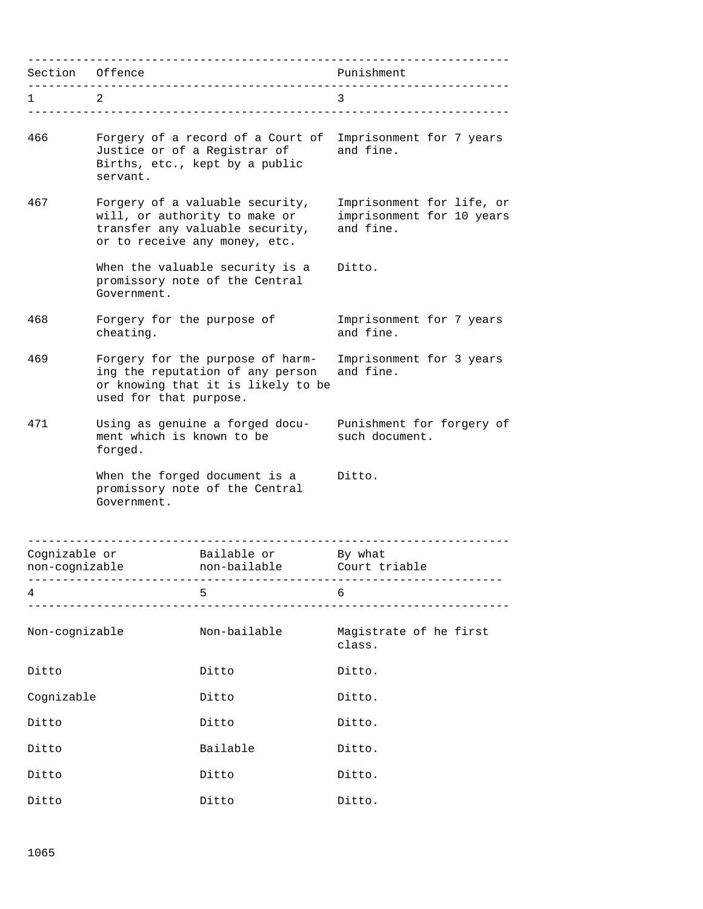| Section Offence |                                                                                | <u>Liste Liste Liste</u>                                                                                                             | Punishment                                                          |
|-----------------|--------------------------------------------------------------------------------|--------------------------------------------------------------------------------------------------------------------------------------|---------------------------------------------------------------------|
| 1               | 2                                                                              |                                                                                                                                      | 3                                                                   |
| 466             | servant.                                                                       | Forgery of a record of a Court of<br>Justice or of a Registrar of<br>Births, etc., kept by a public                                  | Imprisonment for 7 years<br>and fine.                               |
| 467             |                                                                                | Forgery of a valuable security,<br>will, or authority to make or<br>transfer any valuable security,<br>or to receive any money, etc. | Imprisonment for life, or<br>imprisonment for 10 years<br>and fine. |
|                 | Government.                                                                    | When the valuable security is a<br>promissory note of the Central                                                                    | Ditto.                                                              |
| 468             | Forgery for the purpose of<br>cheating.                                        |                                                                                                                                      | Imprisonment for 7 years<br>and fine.                               |
| 469             | used for that purpose.                                                         | Forgery for the purpose of harm-<br>ing the reputation of any person<br>or knowing that it is likely to be                           | Imprisonment for 3 years<br>and fine.                               |
| 471             | Using as genuine a forged docu-<br>ment which is known to be<br>forged.        |                                                                                                                                      | Punishment for forgery of<br>such document.                         |
|                 | When the forged document is a<br>promissory note of the Central<br>Government. |                                                                                                                                      | Ditto.                                                              |
| Cognizable or   |                                                                                | Bailable or                                                                                                                          | By what                                                             |
| non-cognizable  |                                                                                | non-bailable                                                                                                                         | Court triable                                                       |
| 4               |                                                                                | 5                                                                                                                                    | 6                                                                   |
| Non-cognizable  |                                                                                | Non-bailable                                                                                                                         | Magistrate of he first<br>class.                                    |
| Ditto           |                                                                                | Ditto                                                                                                                                | Ditto.                                                              |
| Cognizable      |                                                                                | Ditto                                                                                                                                | Ditto.                                                              |
| Ditto           |                                                                                | Ditto                                                                                                                                | Ditto.                                                              |
| Ditto           |                                                                                | Bailable                                                                                                                             | Ditto.                                                              |
| Ditto           |                                                                                | Ditto                                                                                                                                | Ditto.                                                              |
| Ditto           |                                                                                | Ditto                                                                                                                                | Ditto.                                                              |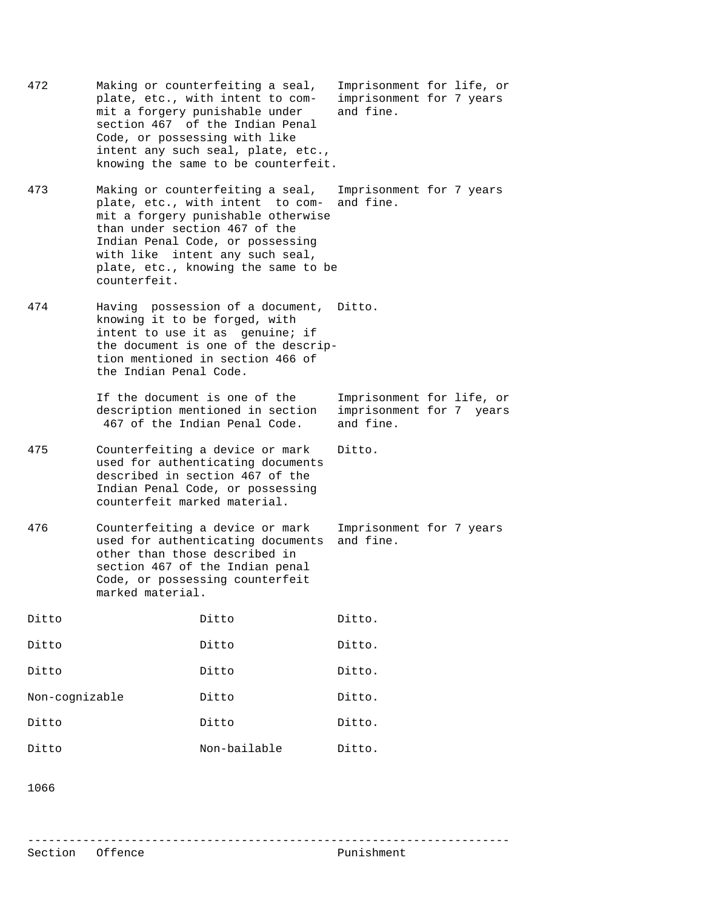- 472 Making or counterfeiting a seal, Imprisonment for life, or plate, etc., with intent to com- imprisonment for 7 years mit a forgery punishable under and fine. section 467 of the Indian Penal Code, or possessing with like intent any such seal, plate, etc., knowing the same to be counterfeit.
- 473 Making or counterfeiting a seal, Imprisonment for 7 years plate, etc., with intent to com- and fine. mit a forgery punishable otherwise than under section 467 of the Indian Penal Code, or possessing with like intent any such seal, plate, etc., knowing the same to be counterfeit.
- 474 Having possession of a document, Ditto. knowing it to be forged, with intent to use it as genuine; if the document is one of the descrip tion mentioned in section 466 of the Indian Penal Code.

 If the document is one of the Imprisonment for life, or description mentioned in section imprisonment for 7 years 467 of the Indian Penal Code. and fine.

 475 Counterfeiting a device or mark Ditto. used for authenticating documents described in section 467 of the Indian Penal Code, or possessing counterfeit marked material.

 476 Counterfeiting a device or mark Imprisonment for 7 years used for authenticating documents and fine. other than those described in section 467 of the Indian penal Code, or possessing counterfeit marked material.

| Ditto          | Ditto        | Ditto. |
|----------------|--------------|--------|
| Ditto          | Ditto        | Ditto. |
| Ditto          | Ditto        | Ditto. |
| Non-cognizable | Ditto        | Ditto. |
| Ditto          | Ditto        | Ditto. |
| Ditto          | Non-bailable | Ditto. |

1066

----------------------------------------------------------------------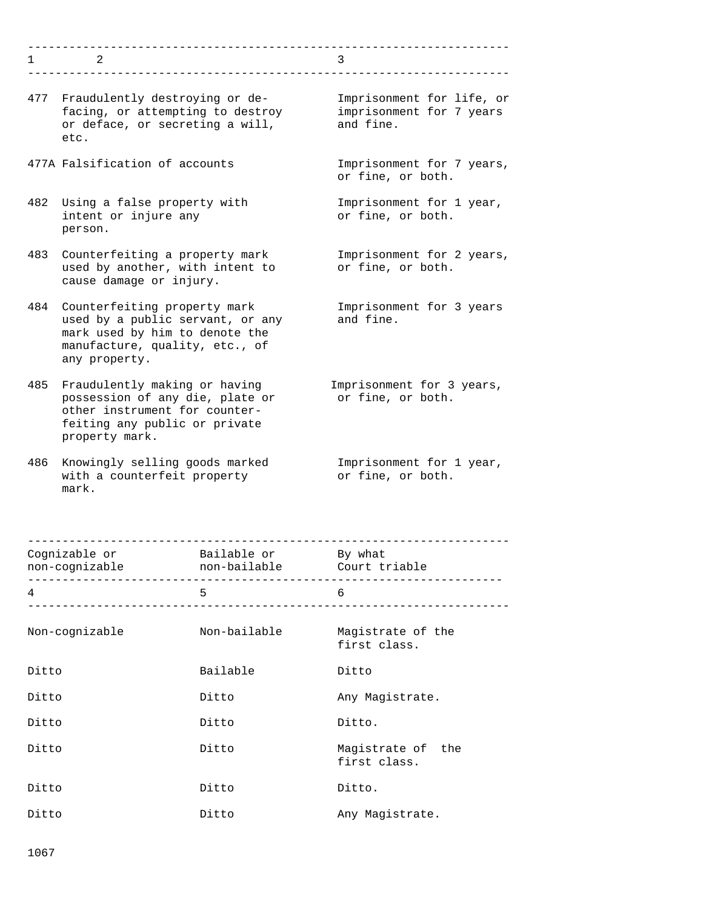----------------------------------------------------------------------  $1$  2 3 ----------------------------------------------------------------------

- 477 Fraudulently destroying or de- Imprisonment for life, or facing, or attempting to destroy imprisonment for 7 years or deface, or secreting a will, and fine. etc.
- 477A Falsification of accounts Imprisonment for 7 years,
- 482 Using a false property with Imprisonment for 1 year, intent or injure any source or fine, or both. person.
- 483 Counterfeiting a property mark Imprisonment for 2 years, used by another, with intent to or fine, or both. cause damage or injury.

 484 Counterfeiting property mark Imprisonment for 3 years used by a public servant, or any and fine. mark used by him to denote the manufacture, quality, etc., of any property.

 485 Fraudulently making or having Imprisonment for 3 years, possession of any die, plate or or fine, or both. other instrument for counter feiting any public or private property mark.

 486 Knowingly selling goods marked Imprisonment for 1 year, with a counterfeit property **on** tine, or both. mark.

or fine, or both.

| Cognizable or<br>non-cognizable | Bailable or By what<br>non-bailable          Court triable |                                   |
|---------------------------------|------------------------------------------------------------|-----------------------------------|
| 4                               | 5                                                          | 6                                 |
| Non-cognizable                  | Non-bailable                                               | Magistrate of the<br>first class. |
| Ditto                           | Bailable                                                   | Ditto                             |
| Ditto                           | Ditto                                                      | Any Magistrate.                   |
| Ditto                           | Ditto                                                      | Ditto.                            |
| Ditto                           | Ditto                                                      | Magistrate of the<br>first class. |
| Ditto                           | Ditto                                                      | Ditto.                            |
| Ditto                           | Ditto                                                      | Any Magistrate.                   |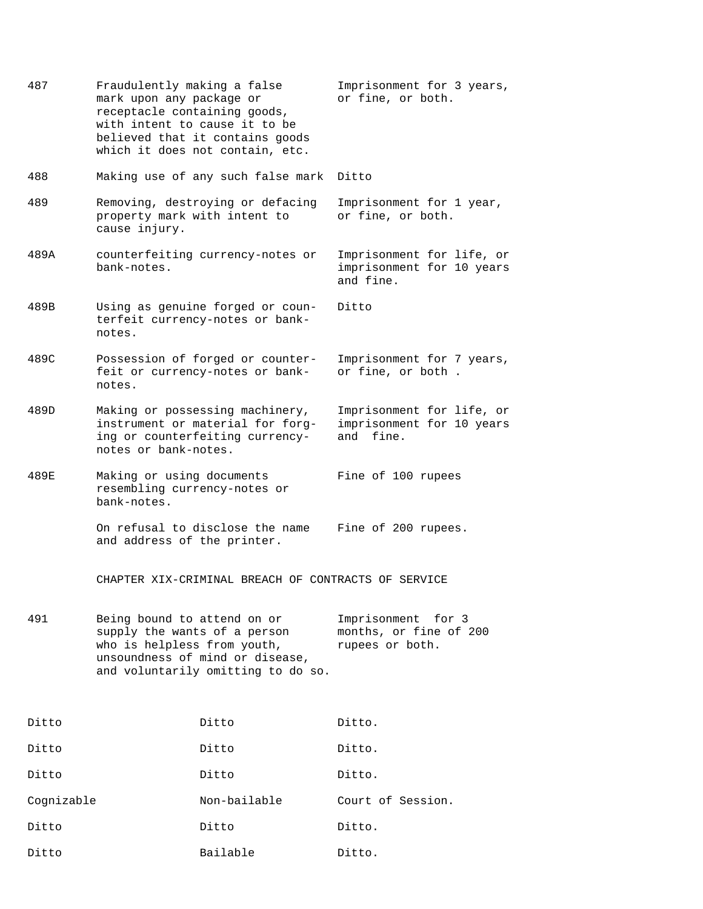- 487 Fraudulently making a false Imprisonment for 3 years, mark upon any package or or fine, or both. receptacle containing goods, with intent to cause it to be believed that it contains goods which it does not contain, etc. 488 Making use of any such false mark Ditto 489 Removing, destroying or defacing Imprisonment for 1 year, property mark with intent to or fine, or both. cause injury. 489A counterfeiting currency-notes or Imprisonment for life, or bank-notes.  $\qquad \qquad \text{imprisoment for 10 years}$  and fine. 489B Using as genuine forged or coun- Ditto terfeit currency-notes or bank notes. 489C Possession of forged or counter- Imprisonment for 7 years,<br>feit or currency-notes or bank- or fine, or both. feit or currency-notes or bank notes. 489D Making or possessing machinery, Imprisonment for life, or instrument or material for forg- imprisonment for 10 years<br>ing or counterfeiting currency- and fine. ing or counterfeiting currency notes or bank-notes. 489E Making or using documents Fine of 100 rupees resembling currency-notes or bank-notes. On refusal to disclose the name Fine of 200 rupees. and address of the printer. CHAPTER XIX-CRIMINAL BREACH OF CONTRACTS OF SERVICE 491 Being bound to attend on or Imprisonment for 3<br>supply the wants of a person months, or fine of 200 supply the wants of a person who is helpless from youth, mupees or both. unsoundness of mind or disease, and voluntarily omitting to do so. Ditto Ditto Ditto. Ditto Ditto Ditto.
- Ditto Ditto Ditto. Cognizable Non-bailable Court of Session. Ditto Ditto Ditto. Ditto Bailable Ditto.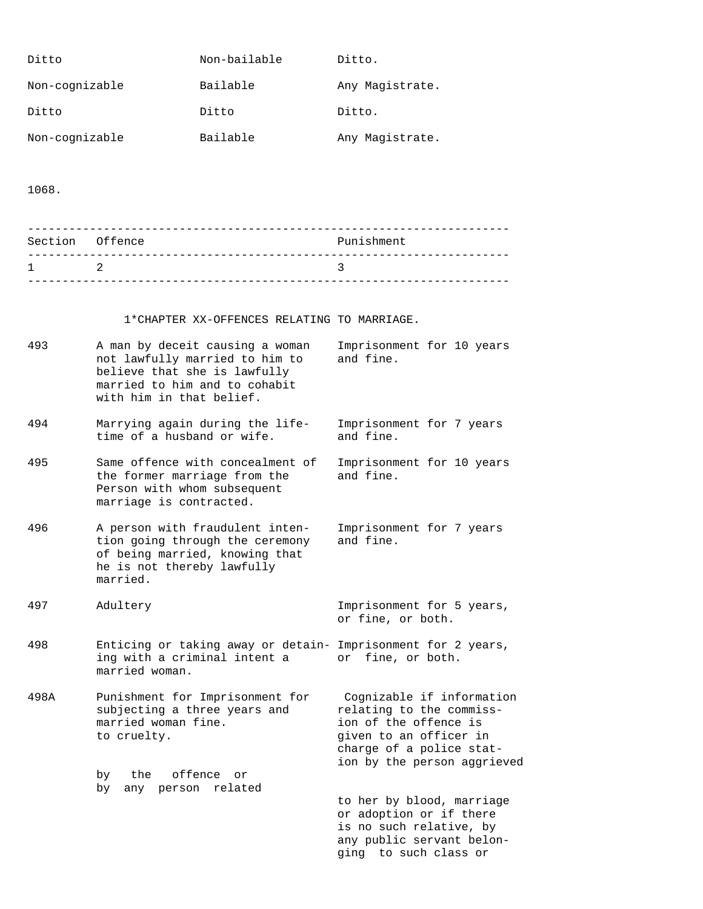| Ditto          | Non-bailable | Ditto.          |
|----------------|--------------|-----------------|
| Non-cognizable | Bailable     | Any Magistrate. |
| Ditto          | Ditto        | Ditto.          |
| Non-cognizable | Bailable     | Any Magistrate. |

1068.

| Section Offence  |                | Punishment |
|------------------|----------------|------------|
| $1 \quad \cdots$ | $\overline{2}$ |            |
|                  |                |            |

# 1\*CHAPTER XX-OFFENCES RELATING TO MARRIAGE.

| 493  | A man by deceit causing a woman<br>not lawfully married to him to<br>believe that she is lawfully<br>married to him and to cohabit<br>with him in that belief. | Imprisonment for 10 years<br>and fine.                                                                                                                              |
|------|----------------------------------------------------------------------------------------------------------------------------------------------------------------|---------------------------------------------------------------------------------------------------------------------------------------------------------------------|
| 494  | Marrying again during the life-<br>time of a husband or wife.                                                                                                  | Imprisonment for 7 years<br>and fine.                                                                                                                               |
| 495  | Same offence with concealment of<br>the former marriage from the<br>Person with whom subsequent<br>marriage is contracted.                                     | Imprisonment for 10 years<br>and fine.                                                                                                                              |
| 496  | A person with fraudulent inten-<br>tion going through the ceremony<br>of being married, knowing that<br>he is not thereby lawfully<br>married.                 | Imprisonment for 7 years<br>and fine.                                                                                                                               |
| 497  | Adultery                                                                                                                                                       | Imprisonment for 5 years,<br>or fine, or both.                                                                                                                      |
| 498  | Enticing or taking away or detain- Imprisonment for 2 years,<br>ing with a criminal intent a<br>married woman.                                                 | fine, or both.<br>or                                                                                                                                                |
| 498A | Punishment for Imprisonment for<br>subjecting a three years and<br>married woman fine.<br>to cruelty.<br>the<br>offence or<br>by                               | Cognizable if information<br>relating to the commiss-<br>ion of the offence is<br>given to an officer in<br>charge of a police stat-<br>ion by the person aggrieved |
|      | by<br>any person related                                                                                                                                       | to her by blood, marriage<br>or adoption or if there<br>is no such relative, by<br>any public servant belon-<br>ging to such class or                               |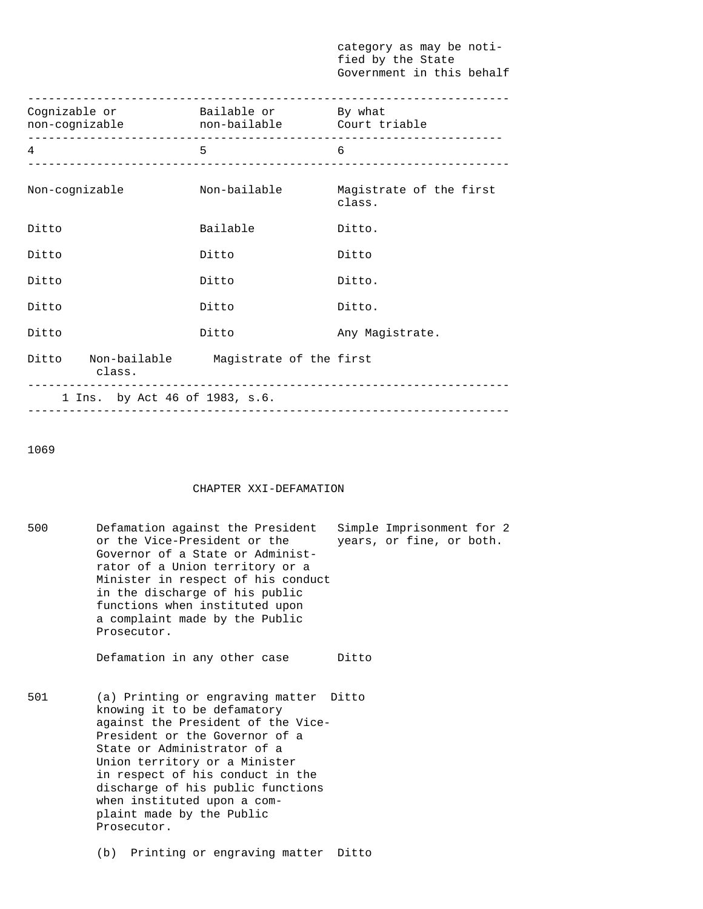category as may be noti fied by the State Government in this behalf

| Cognizable or<br>non-cognizable                      | Bailable or By what<br>non-bailable Court triable |                                   |  |
|------------------------------------------------------|---------------------------------------------------|-----------------------------------|--|
| $\overline{4}$                                       | .5                                                | 6                                 |  |
| Non-cognizable                                       | Non-bailable                                      | Magistrate of the first<br>class. |  |
| Ditto                                                | Bailable                                          | Ditto.                            |  |
| Ditto                                                | Ditto                                             | Ditto                             |  |
| Ditto                                                | Ditto                                             | Ditto.                            |  |
| Ditto                                                | Ditto                                             | Ditto.                            |  |
| Ditto                                                | Ditto                                             | Any Magistrate.                   |  |
| Ditto Non-bailable Magistrate of the first<br>class. |                                                   |                                   |  |
| 1 Ins. by Act 46 of 1983, s.6.                       |                                                   |                                   |  |

1069

## CHAPTER XXI-DEFAMATION

| 500 | Defamation against the President   | Simple Imprisonment for 2 |
|-----|------------------------------------|---------------------------|
|     | or the Vice-President or the       | years, or fine, or both.  |
|     | Governor of a State or Administ-   |                           |
|     | rator of a Union territory or a    |                           |
|     | Minister in respect of his conduct |                           |
|     | in the discharge of his public     |                           |
|     | functions when instituted upon     |                           |
|     | a complaint made by the Public     |                           |
|     | Prosecutor.                        |                           |
|     |                                    |                           |
|     | Defamation in any other case       | Ditto                     |

 501 (a) Printing or engraving matter Ditto knowing it to be defamatory against the President of the Vice- President or the Governor of a State or Administrator of a Union territory or a Minister in respect of his conduct in the discharge of his public functions when instituted upon a com plaint made by the Public Prosecutor.

(b) Printing or engraving matter Ditto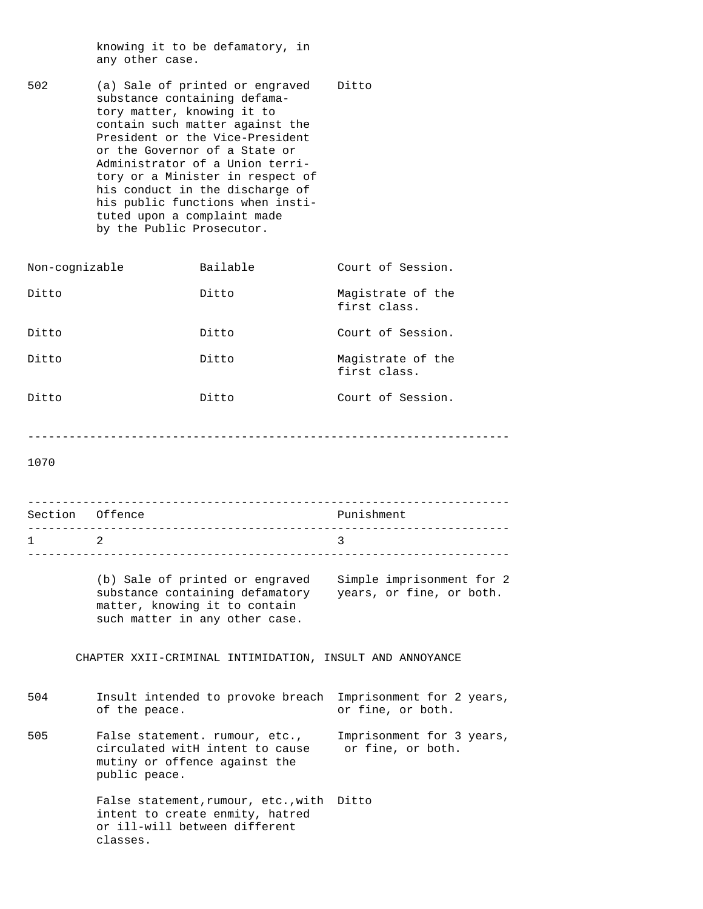knowing it to be defamatory, in any other case.

 502 (a) Sale of printed or engraved Ditto substance containing defama tory matter, knowing it to contain such matter against the President or the Vice-President or the Governor of a State or Administrator of a Union terri tory or a Minister in respect of his conduct in the discharge of his public functions when insti tuted upon a complaint made by the Public Prosecutor.

| Bailable | Court of Session.                 |
|----------|-----------------------------------|
| Ditto    | Magistrate of the<br>first class. |
| Ditto    | Court of Session.                 |
| Ditto    | Magistrate of the<br>first class. |
| Ditto    | Court of Session.                 |
|          |                                   |

----------------------------------------------------------------------

1070

| Section Offence |                                                                                                                                       | Punishment                                            |
|-----------------|---------------------------------------------------------------------------------------------------------------------------------------|-------------------------------------------------------|
| $\mathbf{1}$    | $\mathfrak{D}$                                                                                                                        | 3                                                     |
|                 | (b) Sale of printed or engraved<br>substance containing defamatory<br>matter, knowing it to contain<br>such matter in any other case. | Simple imprisonment for 2<br>years, or fine, or both. |
|                 | CHAPTER XXII-CRIMINAL INTIMIDATION, INSULT AND ANNOYANCE                                                                              |                                                       |
| 504             | Insult intended to provoke breach<br>of the peace.                                                                                    | Imprisonment for 2 years,<br>or fine, or both.        |
| 505             | False statement. rumour, etc.,<br>circulated witH intent to cause<br>mutiny or offence against the<br>public peace.                   | Imprisonment for 3 years,<br>or fine, or both.        |

False statement, rumour, etc., with Ditto intent to create enmity, hatred or ill-will between different classes.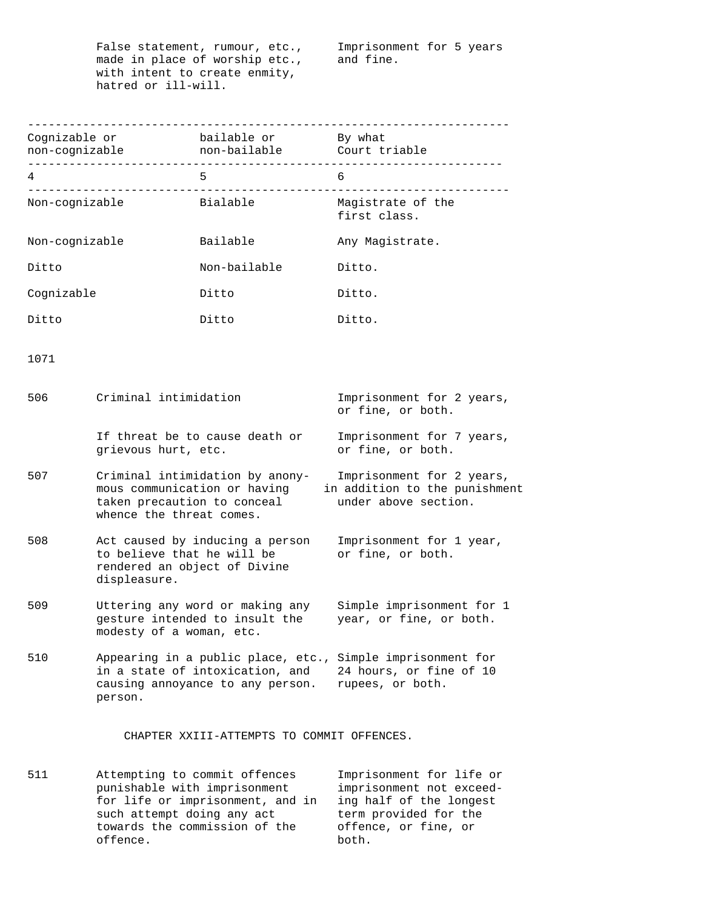False statement, rumour, etc., Imprisonment for 5 years made in place of worship etc., and fine. with intent to create enmity, hatred or ill-will.

| Cognizable or                   | non-cognizable                                             | bailable or<br>non-bailable Court triable                           | By what                                                                                                   |
|---------------------------------|------------------------------------------------------------|---------------------------------------------------------------------|-----------------------------------------------------------------------------------------------------------|
| _____________<br>$\overline{4}$ |                                                            | 5 <sup>5</sup>                                                      | 6                                                                                                         |
|                                 | Non-cognizable Bialable                                    |                                                                     | Magistrate of the<br>first class.                                                                         |
| Non-cognizable                  |                                                            | Bailable                                                            | Any Magistrate.                                                                                           |
| Ditto                           |                                                            | Non-bailable                                                        | Ditto.                                                                                                    |
| Cognizable                      |                                                            | Ditto                                                               | Ditto.                                                                                                    |
| Ditto                           |                                                            | Ditto                                                               | Ditto.                                                                                                    |
| 1071                            |                                                            |                                                                     |                                                                                                           |
| 506                             | Criminal intimidation                                      |                                                                     | Imprisonment for 2 years,<br>or fine, or both.                                                            |
|                                 | grievous hurt, etc.                                        | If threat be to cause death or                                      | Imprisonment for 7 years,<br>or fine, or both.                                                            |
| 507                             | taken precaution to conceal<br>whence the threat comes.    | Criminal intimidation by anony-<br>mous communication or having     | Imprisonment for 2 years,<br>in addition to the punishment<br>under above section.                        |
| 508                             | to believe that he will be<br>displeasure.                 | Act caused by inducing a person<br>rendered an object of Divine     | Imprisonment for 1 year,<br>or fine, or both.                                                             |
| 509                             | modesty of a woman, etc.                                   | Uttering any word or making any<br>gesture intended to insult the   | Simple imprisonment for 1<br>year, or fine, or both.                                                      |
| 510                             | person.                                                    | in a state of intoxication, and<br>causing annoyance to any person. | Appearing in a public place, etc., Simple imprisonment for<br>24 hours, or fine of 10<br>rupees, or both. |
|                                 |                                                            | CHAPTER XXIII-ATTEMPTS TO COMMIT OFFENCES.                          |                                                                                                           |
| 511                             | punishable with imprisonment<br>such attempt doing any act | Attempting to commit offences<br>for life or imprisonment, and in   | Imprisonment for life or<br>imprisonment not exceed-<br>ing half of the longest<br>term provided for the  |

 towards the commission of the offence, or fine, or offence. both.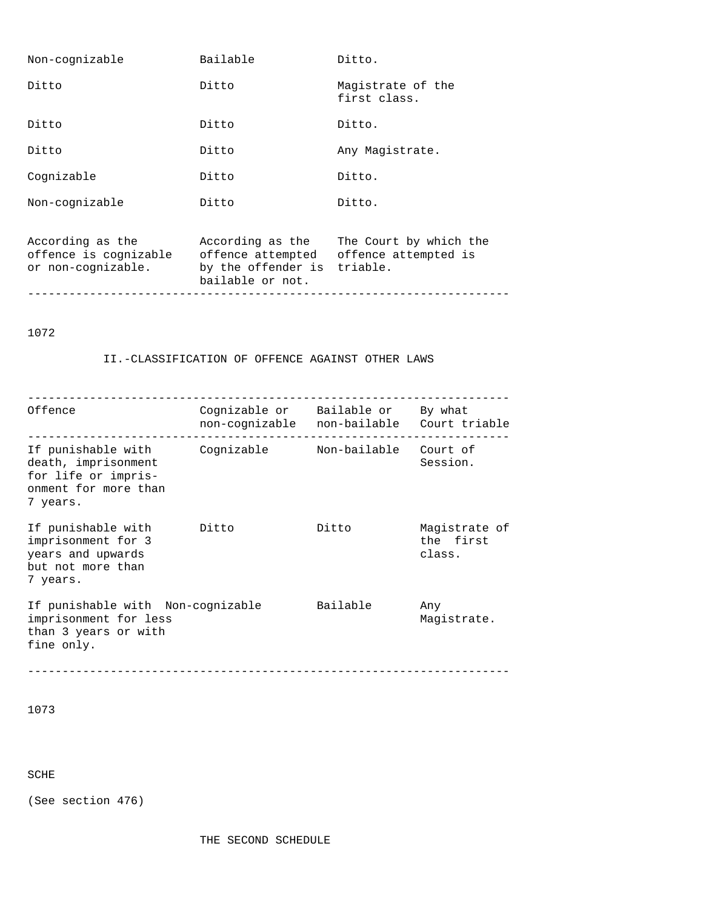| Non-cognizable                                                  | Bailable                                                                        | Ditto.                                                     |
|-----------------------------------------------------------------|---------------------------------------------------------------------------------|------------------------------------------------------------|
| Ditto                                                           | Ditto                                                                           | Magistrate of the<br>first class.                          |
| Ditto                                                           | Ditto                                                                           | Ditto.                                                     |
| Ditto                                                           | Ditto                                                                           | Any Magistrate.                                            |
| Cognizable                                                      | Ditto                                                                           | Ditto.                                                     |
| Non-cognizable                                                  | Ditto                                                                           | Ditto.                                                     |
| According as the<br>offence is cognizable<br>or non-cognizable. | According as the<br>offence attempted<br>by the offender is<br>bailable or not. | The Court by which the<br>offence attempted is<br>triable. |

----------------------------------------------------------------------

1072

II.-CLASSIFICATION OF OFFENCE AGAINST OTHER LAWS

| Offence                                                                                                         | Cognizable or Bailable or<br>non-cognizable non-bailable Court triable |              | By what                              |
|-----------------------------------------------------------------------------------------------------------------|------------------------------------------------------------------------|--------------|--------------------------------------|
| If punishable with Cognizable<br>death, imprisonment<br>for life or impris-<br>onment for more than<br>7 years. |                                                                        | Non-bailable | Court of<br>Session.                 |
| If punishable with<br>imprisonment for 3<br>years and upwards<br>but not more than<br>7 years.                  | Ditto                                                                  | Ditto        | Magistrate of<br>the first<br>class. |
| If punishable with Non-cognizable<br>imprisonment for less<br>than 3 years or with<br>fine only.                |                                                                        | Bailable     | Any<br>Magistrate.                   |

----------------------------------------------------------------------

1073

SCHE

(See section 476)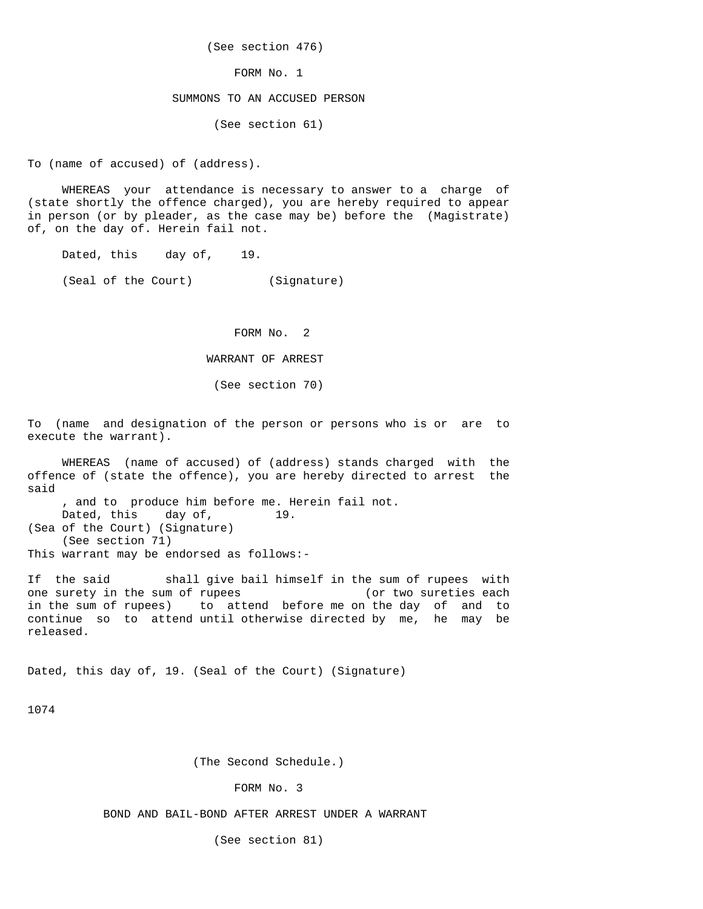(See section 476)

FORM No. 1

SUMMONS TO AN ACCUSED PERSON

(See section 61)

To (name of accused) of (address).

 WHEREAS your attendance is necessary to answer to a charge of (state shortly the offence charged), you are hereby required to appear in person (or by pleader, as the case may be) before the (Magistrate) of, on the day of. Herein fail not.

Dated, this day of, 19.

(Seal of the Court) (Signature)

FORM No. 2

WARRANT OF ARREST

(See section 70)

 To (name and designation of the person or persons who is or are to execute the warrant).

 WHEREAS (name of accused) of (address) stands charged with the offence of (state the offence), you are hereby directed to arrest the said

 , and to produce him before me. Herein fail not. Dated, this day of, 19. (Sea of the Court) (Signature) (See section 71) This warrant may be endorsed as follows:-

 If the said shall give bail himself in the sum of rupees with one surety in the sum of rupees (or two sureties each in the sum of rupees) to attend before me on the day of and to continue so to attend until otherwise directed by me, he may be released.

Dated, this day of, 19. (Seal of the Court) (Signature)

1074

(The Second Schedule.)

FORM No. 3

BOND AND BAIL-BOND AFTER ARREST UNDER A WARRANT

(See section 81)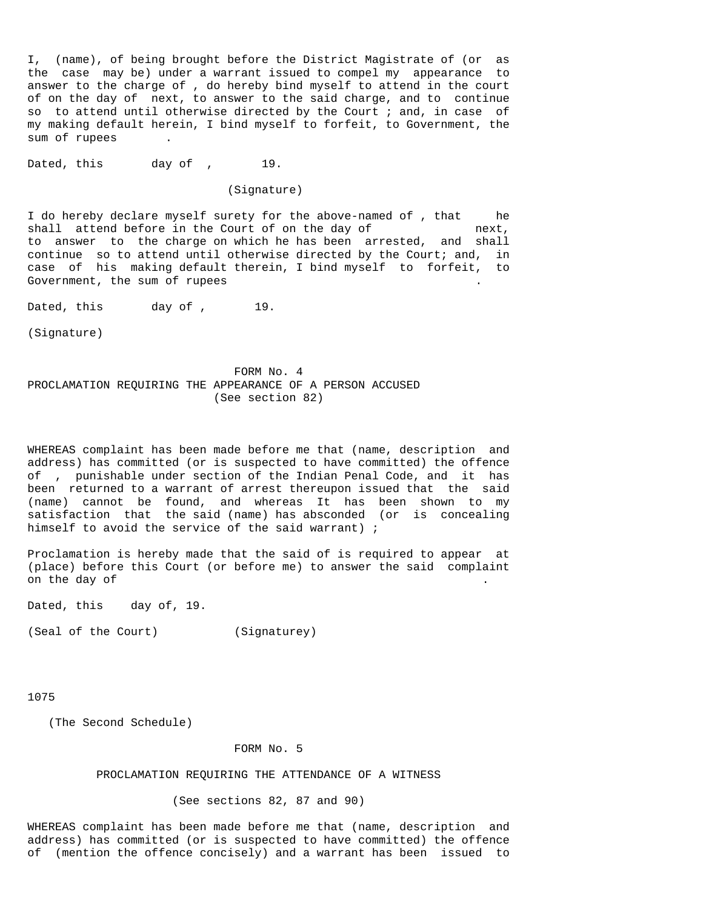I, (name), of being brought before the District Magistrate of (or as the case may be) under a warrant issued to compel my appearance to answer to the charge of , do hereby bind myself to attend in the court of on the day of next, to answer to the said charge, and to continue so to attend until otherwise directed by the Court ; and, in case of my making default herein, I bind myself to forfeit, to Government, the sum of rupees

Dated, this day of , 19.

#### (Signature)

 I do hereby declare myself surety for the above-named of , that he shall attend before in the Court of on the day of next, to answer to the charge on which he has been arrested, and shall continue so to attend until otherwise directed by the Court; and, in case of his making default therein, I bind myself to forfeit, to Government, the sum of rupees .

Dated, this day of, 19.

(Signature)

 FORM No. 4 PROCLAMATION REQUIRING THE APPEARANCE OF A PERSON ACCUSED (See section 82)

 WHEREAS complaint has been made before me that (name, description and address) has committed (or is suspected to have committed) the offence of , punishable under section of the Indian Penal Code, and it has been returned to a warrant of arrest thereupon issued that the said (name) cannot be found, and whereas It has been shown to my satisfaction that the said (name) has absconded (or is concealing himself to avoid the service of the said warrant) ;

 Proclamation is hereby made that the said of is required to appear at (place) before this Court (or before me) to answer the said complaint on the day of

Dated, this day of, 19.

(Seal of the Court) (Signaturey)

1075

(The Second Schedule)

#### FORM No. 5

## PROCLAMATION REQUIRING THE ATTENDANCE OF A WITNESS

## (See sections 82, 87 and 90)

 WHEREAS complaint has been made before me that (name, description and address) has committed (or is suspected to have committed) the offence of (mention the offence concisely) and a warrant has been issued to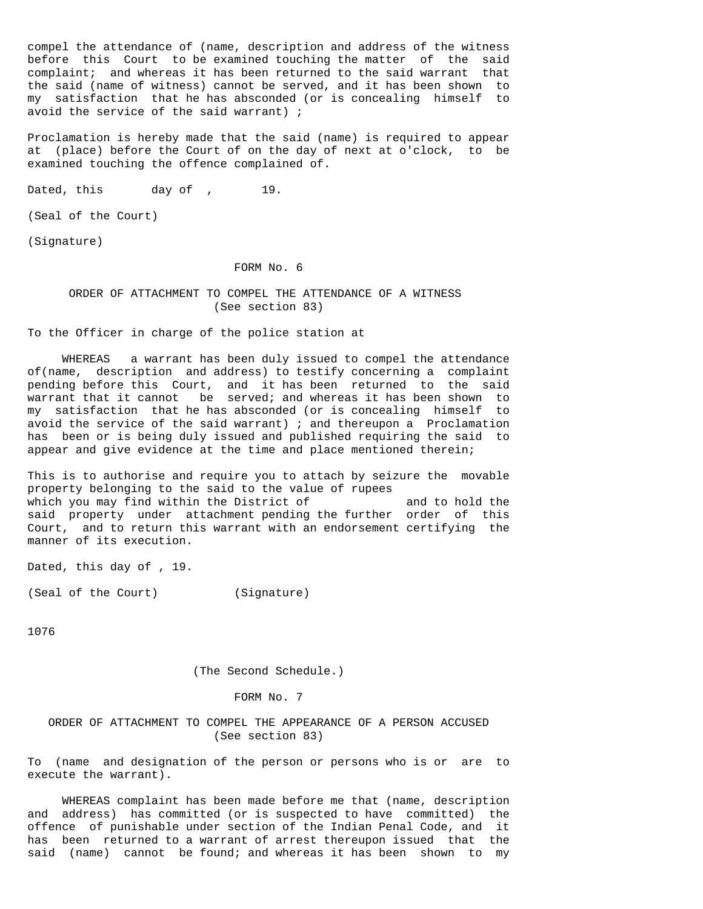compel the attendance of (name, description and address of the witness before this Court to be examined touching the matter of the said complaint; and whereas it has been returned to the said warrant that the said (name of witness) cannot be served, and it has been shown to my satisfaction that he has absconded (or is concealing himself to avoid the service of the said warrant) ;

 Proclamation is hereby made that the said (name) is required to appear at (place) before the Court of on the day of next at o'clock, to be examined touching the offence complained of.

Dated, this day of , 19.

(Seal of the Court)

(Signature)

## FORM No. 6

## ORDER OF ATTACHMENT TO COMPEL THE ATTENDANCE OF A WITNESS (See section 83)

To the Officer in charge of the police station at

 WHEREAS a warrant has been duly issued to compel the attendance of(name, description and address) to testify concerning a complaint pending before this Court, and it has been returned to the said warrant that it cannot be served; and whereas it has been shown to my satisfaction that he has absconded (or is concealing himself to avoid the service of the said warrant) ; and thereupon a Proclamation has been or is being duly issued and published requiring the said to appear and give evidence at the time and place mentioned therein;

 This is to authorise and require you to attach by seizure the movable property belonging to the said to the value of rupees which you may find within the District of and to hold the said property under attachment pending the further order of this Court, and to return this warrant with an endorsement certifying the manner of its execution.

Dated, this day of , 19.

(Seal of the Court) (Signature)

1076

(The Second Schedule.)

FORM No. 7

## ORDER OF ATTACHMENT TO COMPEL THE APPEARANCE OF A PERSON ACCUSED (See section 83)

 To (name and designation of the person or persons who is or are to execute the warrant).

 WHEREAS complaint has been made before me that (name, description and address) has committed (or is suspected to have committed) the offence of punishable under section of the Indian Penal Code, and it has been returned to a warrant of arrest thereupon issued that the said (name) cannot be found; and whereas it has been shown to my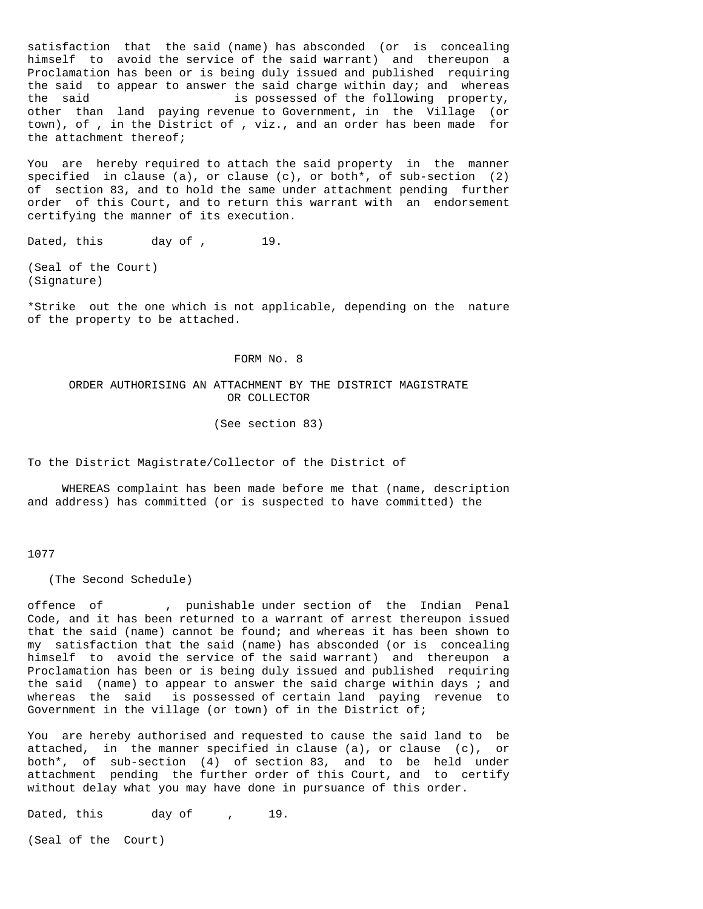satisfaction that the said (name) has absconded (or is concealing himself to avoid the service of the said warrant) and thereupon a Proclamation has been or is being duly issued and published requiring the said to appear to answer the said charge within day; and whereas the said is possessed of the following property, other than land paying revenue to Government, in the Village (or town), of , in the District of , viz., and an order has been made for the attachment thereof;

 You are hereby required to attach the said property in the manner specified in clause (a), or clause (c), or both\*, of sub-section (2) of section 83, and to hold the same under attachment pending further order of this Court, and to return this warrant with an endorsement certifying the manner of its execution.

Dated, this day of , 19.

 (Seal of the Court) (Signature)

 \*Strike out the one which is not applicable, depending on the nature of the property to be attached.

FORM No. 8

 ORDER AUTHORISING AN ATTACHMENT BY THE DISTRICT MAGISTRATE OR COLLECTOR

(See section 83)

To the District Magistrate/Collector of the District of

 WHEREAS complaint has been made before me that (name, description and address) has committed (or is suspected to have committed) the

1077

(The Second Schedule)

 offence of , punishable under section of the Indian Penal Code, and it has been returned to a warrant of arrest thereupon issued that the said (name) cannot be found; and whereas it has been shown to my satisfaction that the said (name) has absconded (or is concealing himself to avoid the service of the said warrant) and thereupon a Proclamation has been or is being duly issued and published requiring the said (name) to appear to answer the said charge within days  $i$  and whereas the said is possessed of certain land paying revenue to Government in the village (or town) of in the District of;

 You are hereby authorised and requested to cause the said land to be attached, in the manner specified in clause (a), or clause (c), or both\*, of sub-section (4) of section 83, and to be held under attachment pending the further order of this Court, and to certify without delay what you may have done in pursuance of this order.

Dated, this day of , 19.

(Seal of the Court)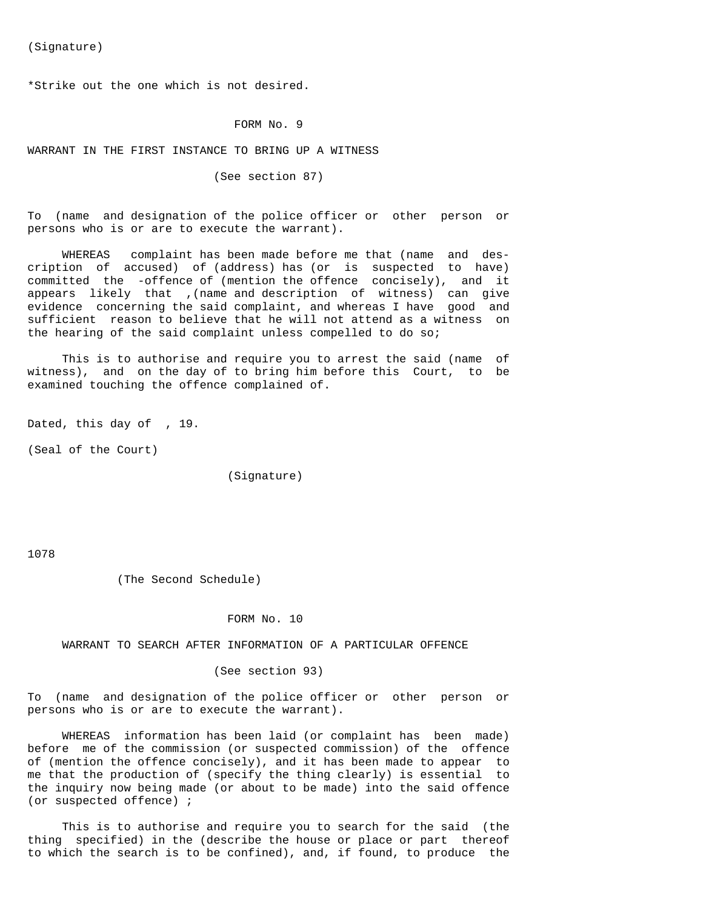(Signature)

\*Strike out the one which is not desired.

#### FORM No. 9

WARRANT IN THE FIRST INSTANCE TO BRING UP A WITNESS

(See section 87)

 To (name and designation of the police officer or other person or persons who is or are to execute the warrant).

 WHEREAS complaint has been made before me that (name and des cription of accused) of (address) has (or is suspected to have) committed the -offence of (mention the offence concisely), and it appears likely that ,(name and description of witness) can give evidence concerning the said complaint, and whereas I have good and sufficient reason to believe that he will not attend as a witness on the hearing of the said complaint unless compelled to do so;

 This is to authorise and require you to arrest the said (name of witness), and on the day of to bring him before this Court, to be examined touching the offence complained of.

Dated, this day of , 19.

(Seal of the Court)

(Signature)

1078

(The Second Schedule)

#### FORM No. 10

WARRANT TO SEARCH AFTER INFORMATION OF A PARTICULAR OFFENCE

(See section 93)

 To (name and designation of the police officer or other person or persons who is or are to execute the warrant).

 WHEREAS information has been laid (or complaint has been made) before me of the commission (or suspected commission) of the offence of (mention the offence concisely), and it has been made to appear to me that the production of (specify the thing clearly) is essential to the inquiry now being made (or about to be made) into the said offence (or suspected offence) ;

 This is to authorise and require you to search for the said (the thing specified) in the (describe the house or place or part thereof to which the search is to be confined), and, if found, to produce the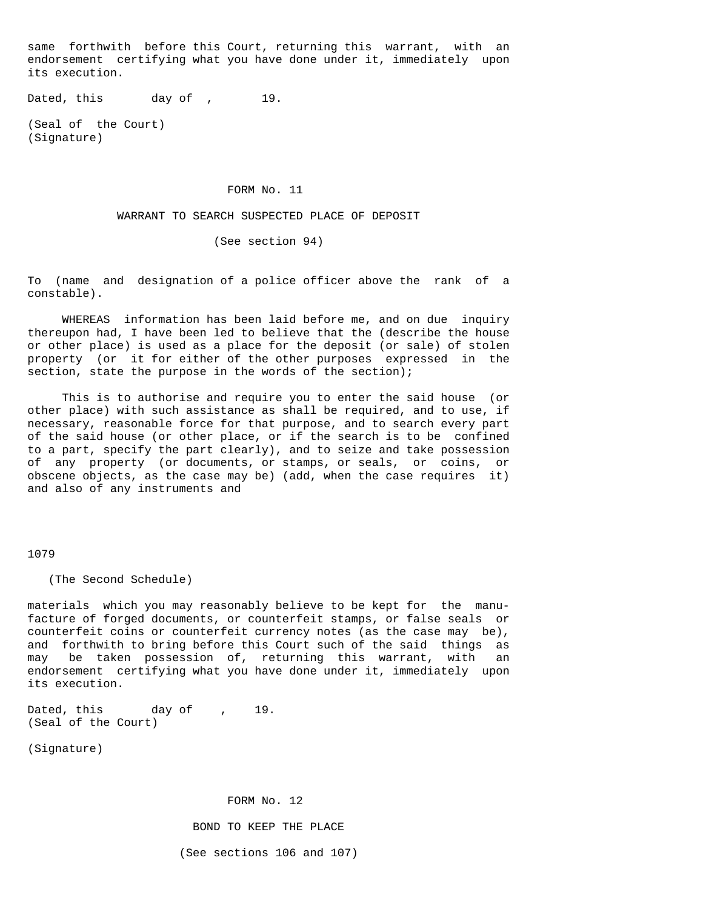same forthwith before this Court, returning this warrant, with an endorsement certifying what you have done under it, immediately upon its execution.

Dated, this day of , 19.

 (Seal of the Court) (Signature)

### FORM No. 11

WARRANT TO SEARCH SUSPECTED PLACE OF DEPOSIT

(See section 94)

 To (name and designation of a police officer above the rank of a constable).

 WHEREAS information has been laid before me, and on due inquiry thereupon had, I have been led to believe that the (describe the house or other place) is used as a place for the deposit (or sale) of stolen property (or it for either of the other purposes expressed in the section, state the purpose in the words of the section);

 This is to authorise and require you to enter the said house (or other place) with such assistance as shall be required, and to use, if necessary, reasonable force for that purpose, and to search every part of the said house (or other place, or if the search is to be confined to a part, specify the part clearly), and to seize and take possession of any property (or documents, or stamps, or seals, or coins, or obscene objects, as the case may be) (add, when the case requires it) and also of any instruments and

### 1079

(The Second Schedule)

 materials which you may reasonably believe to be kept for the manu facture of forged documents, or counterfeit stamps, or false seals or counterfeit coins or counterfeit currency notes (as the case may be), and forthwith to bring before this Court such of the said things as may be taken possession of, returning this warrant, with an endorsement certifying what you have done under it, immediately upon its execution.

Dated, this day of , 19. (Seal of the Court)

(Signature)

FORM No. 12

### BOND TO KEEP THE PLACE

(See sections 106 and 107)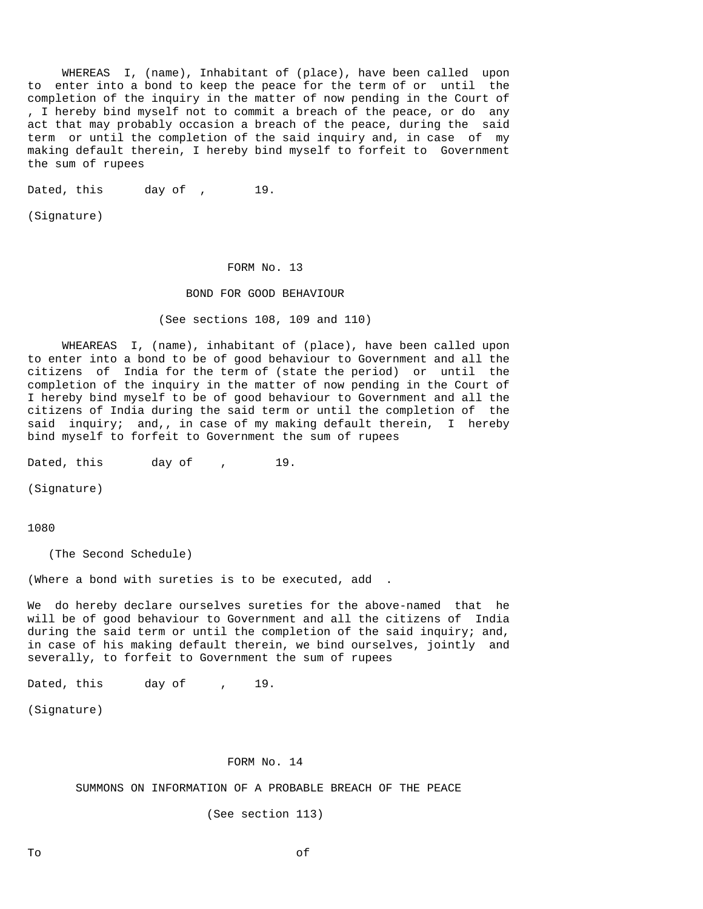WHEREAS I, (name), Inhabitant of (place), have been called upon to enter into a bond to keep the peace for the term of or until the completion of the inquiry in the matter of now pending in the Court of , I hereby bind myself not to commit a breach of the peace, or do any act that may probably occasion a breach of the peace, during the said term or until the completion of the said inquiry and, in case of my making default therein, I hereby bind myself to forfeit to Government the sum of rupees

Dated, this day of , 19.

(Signature)

### FORM No. 13

#### BOND FOR GOOD BEHAVIOUR

### (See sections 108, 109 and 110)

 WHEAREAS I, (name), inhabitant of (place), have been called upon to enter into a bond to be of good behaviour to Government and all the citizens of India for the term of (state the period) or until the completion of the inquiry in the matter of now pending in the Court of I hereby bind myself to be of good behaviour to Government and all the citizens of India during the said term or until the completion of the said inquiry; and,, in case of my making default therein, I hereby bind myself to forfeit to Government the sum of rupees

Dated, this day of , 19.

(Signature)

1080

(The Second Schedule)

(Where a bond with sureties is to be executed, add .

 We do hereby declare ourselves sureties for the above-named that he will be of good behaviour to Government and all the citizens of India during the said term or until the completion of the said inquiry; and, in case of his making default therein, we bind ourselves, jointly and severally, to forfeit to Government the sum of rupees

Dated, this day of , 19.

(Signature)

#### FORM No. 14

SUMMONS ON INFORMATION OF A PROBABLE BREACH OF THE PEACE

(See section 113)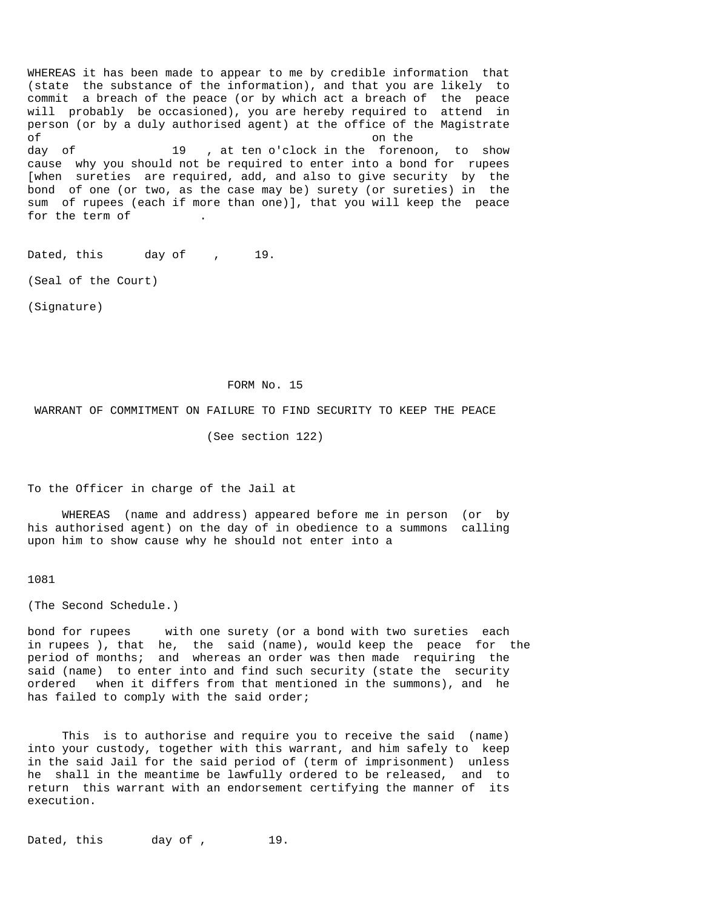WHEREAS it has been made to appear to me by credible information that (state the substance of the information), and that you are likely to commit a breach of the peace (or by which act a breach of the peace will probably be occasioned), you are hereby required to attend in person (or by a duly authorised agent) at the office of the Magistrate of on the day of 19 , at ten o'clock in the forenoon, to show cause why you should not be required to enter into a bond for rupees [when sureties are required, add, and also to give security by the bond of one (or two, as the case may be) surety (or sureties) in the sum of rupees (each if more than one)], that you will keep the peace for the term of

Dated, this day of , 19.

(Seal of the Court)

(Signature)

#### FORM No. 15

WARRANT OF COMMITMENT ON FAILURE TO FIND SECURITY TO KEEP THE PEACE

(See section 122)

To the Officer in charge of the Jail at

 WHEREAS (name and address) appeared before me in person (or by his authorised agent) on the day of in obedience to a summons calling upon him to show cause why he should not enter into a

1081

(The Second Schedule.)

 bond for rupees with one surety (or a bond with two sureties each in rupees ), that he, the said (name), would keep the peace for the period of months; and whereas an order was then made requiring the said (name) to enter into and find such security (state the security ordered when it differs from that mentioned in the summons), and he has failed to comply with the said order;

 This is to authorise and require you to receive the said (name) into your custody, together with this warrant, and him safely to keep in the said Jail for the said period of (term of imprisonment) unless he shall in the meantime be lawfully ordered to be released, and to return this warrant with an endorsement certifying the manner of its execution.

Dated, this day of, 19.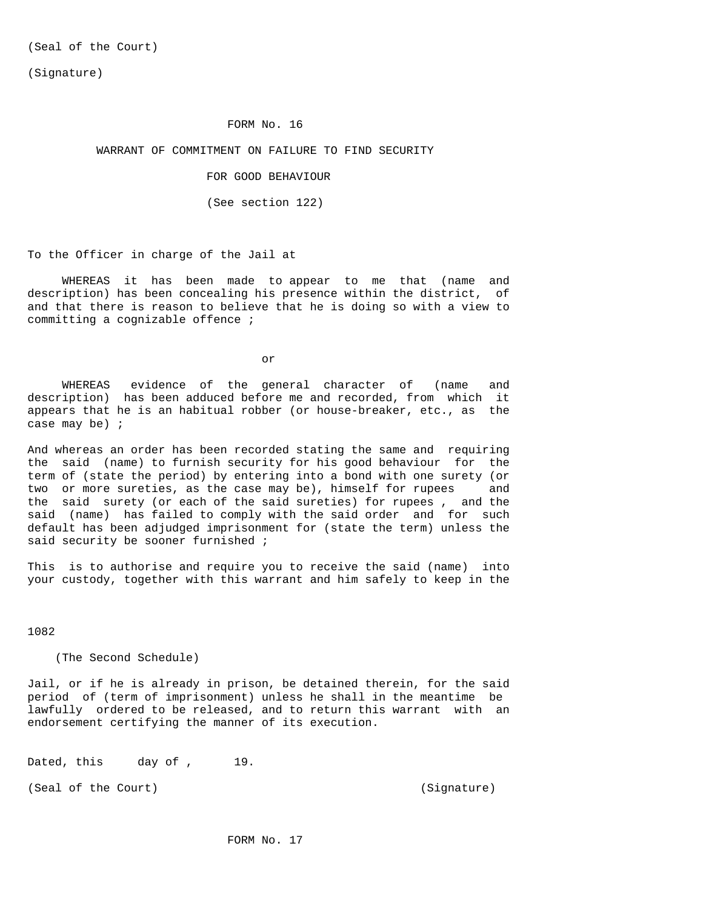(Seal of the Court)

(Signature)

#### FORM No. 16

#### WARRANT OF COMMITMENT ON FAILURE TO FIND SECURITY

## FOR GOOD BEHAVIOUR

(See section 122)

To the Officer in charge of the Jail at

 WHEREAS it has been made to appear to me that (name and description) has been concealing his presence within the district, of and that there is reason to believe that he is doing so with a view to committing a cognizable offence ;

or

 WHEREAS evidence of the general character of (name and description) has been adduced before me and recorded, from which it appears that he is an habitual robber (or house-breaker, etc., as the case may be) ;

 And whereas an order has been recorded stating the same and requiring the said (name) to furnish security for his good behaviour for the term of (state the period) by entering into a bond with one surety (or two or more sureties, as the case may be), himself for rupees and the said surety (or each of the said sureties) for rupees , and the said (name) has failed to comply with the said order and for such default has been adjudged imprisonment for (state the term) unless the said security be sooner furnished ;

 This is to authorise and require you to receive the said (name) into your custody, together with this warrant and him safely to keep in the

1082

(The Second Schedule)

 Jail, or if he is already in prison, be detained therein, for the said period of (term of imprisonment) unless he shall in the meantime be lawfully ordered to be released, and to return this warrant with an endorsement certifying the manner of its execution.

Dated, this day of, 19.

(Seal of the Court) (Signature)

FORM No. 17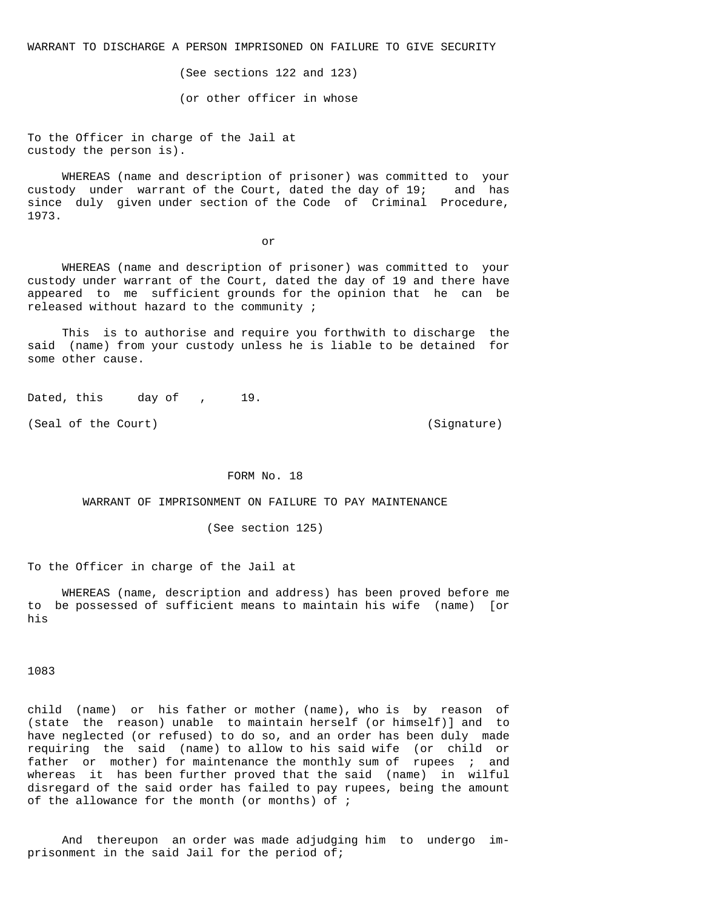(See sections 122 and 123)

(or other officer in whose

 To the Officer in charge of the Jail at custody the person is).

 WHEREAS (name and description of prisoner) was committed to your custody under warrant of the Court, dated the day of 19; and has since duly given under section of the Code of Criminal Procedure, 1973.

or

 WHEREAS (name and description of prisoner) was committed to your custody under warrant of the Court, dated the day of 19 and there have appeared to me sufficient grounds for the opinion that he can be released without hazard to the community ;

 This is to authorise and require you forthwith to discharge the said (name) from your custody unless he is liable to be detained for some other cause.

Dated, this day of , 19.

(Seal of the Court) (Signature)

FORM No. 18

WARRANT OF IMPRISONMENT ON FAILURE TO PAY MAINTENANCE

(See section 125)

To the Officer in charge of the Jail at

 WHEREAS (name, description and address) has been proved before me to be possessed of sufficient means to maintain his wife (name) [or his

1083

 child (name) or his father or mother (name), who is by reason of (state the reason) unable to maintain herself (or himself)] and to have neglected (or refused) to do so, and an order has been duly made requiring the said (name) to allow to his said wife (or child or father or mother) for maintenance the monthly sum of rupees ; and whereas it has been further proved that the said (name) in wilful disregard of the said order has failed to pay rupees, being the amount of the allowance for the month (or months) of ;

 And thereupon an order was made adjudging him to undergo im prisonment in the said Jail for the period of;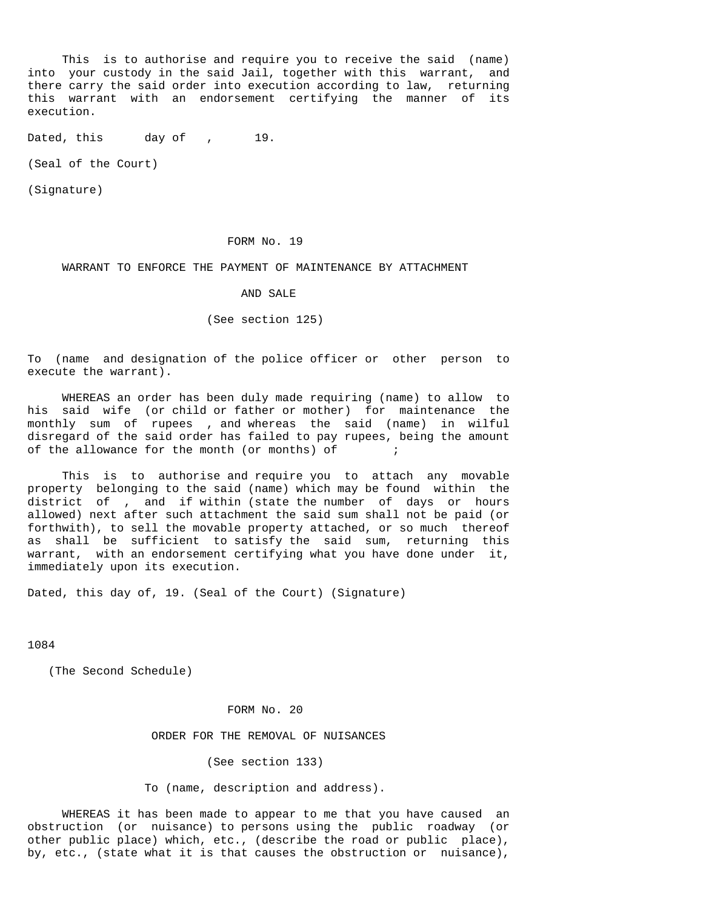This is to authorise and require you to receive the said (name) into your custody in the said Jail, together with this warrant, and there carry the said order into execution according to law, returning this warrant with an endorsement certifying the manner of its execution.

Dated, this day of , 19.

(Seal of the Court)

(Signature)

### FORM No. 19

WARRANT TO ENFORCE THE PAYMENT OF MAINTENANCE BY ATTACHMENT

#### AND SALE

### (See section 125)

 To (name and designation of the police officer or other person to execute the warrant).

 WHEREAS an order has been duly made requiring (name) to allow to his said wife (or child or father or mother) for maintenance the monthly sum of rupees , and whereas the said (name) in wilful disregard of the said order has failed to pay rupees, being the amount of the allowance for the month (or months) of

 This is to authorise and require you to attach any movable property belonging to the said (name) which may be found within the district of , and if within (state the number of days or hours allowed) next after such attachment the said sum shall not be paid (or forthwith), to sell the movable property attached, or so much thereof as shall be sufficient to satisfy the said sum, returning this warrant, with an endorsement certifying what you have done under it, immediately upon its execution.

Dated, this day of, 19. (Seal of the Court) (Signature)

1084

(The Second Schedule)

FORM No. 20

ORDER FOR THE REMOVAL OF NUISANCES

(See section 133)

To (name, description and address).

 WHEREAS it has been made to appear to me that you have caused an obstruction (or nuisance) to persons using the public roadway (or other public place) which, etc., (describe the road or public place), by, etc., (state what it is that causes the obstruction or nuisance),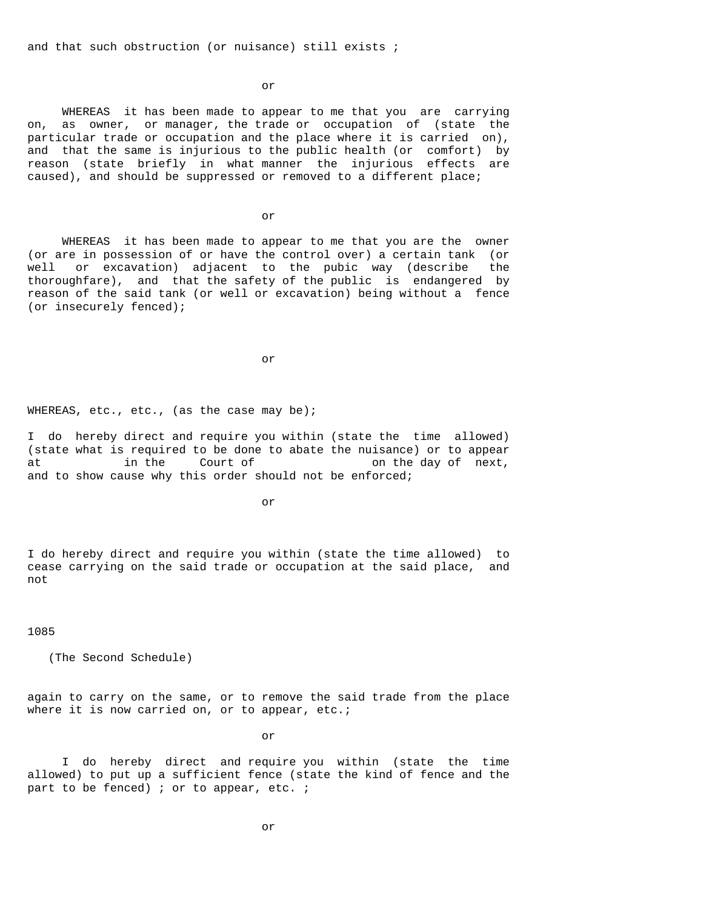or

 WHEREAS it has been made to appear to me that you are carrying on, as owner, or manager, the trade or occupation of (state the particular trade or occupation and the place where it is carried on), and that the same is injurious to the public health (or comfort) by reason (state briefly in what manner the injurious effects are caused), and should be suppressed or removed to a different place;

or

 WHEREAS it has been made to appear to me that you are the owner (or are in possession of or have the control over) a certain tank (or well or excavation) adjacent to the pubic way (describe the thoroughfare), and that the safety of the public is endangered by reason of the said tank (or well or excavation) being without a fence (or insecurely fenced);

or

WHEREAS, etc., etc., (as the case may be);

 I do hereby direct and require you within (state the time allowed) (state what is required to be done to abate the nuisance) or to appear at in the Court of the on the day of next, and to show cause why this order should not be enforced;

or

 I do hereby direct and require you within (state the time allowed) to cease carrying on the said trade or occupation at the said place, and not

1085

(The Second Schedule)

 again to carry on the same, or to remove the said trade from the place where it is now carried on, or to appear, etc.;

or

 I do hereby direct and require you within (state the time allowed) to put up a sufficient fence (state the kind of fence and the part to be fenced) ; or to appear, etc. ;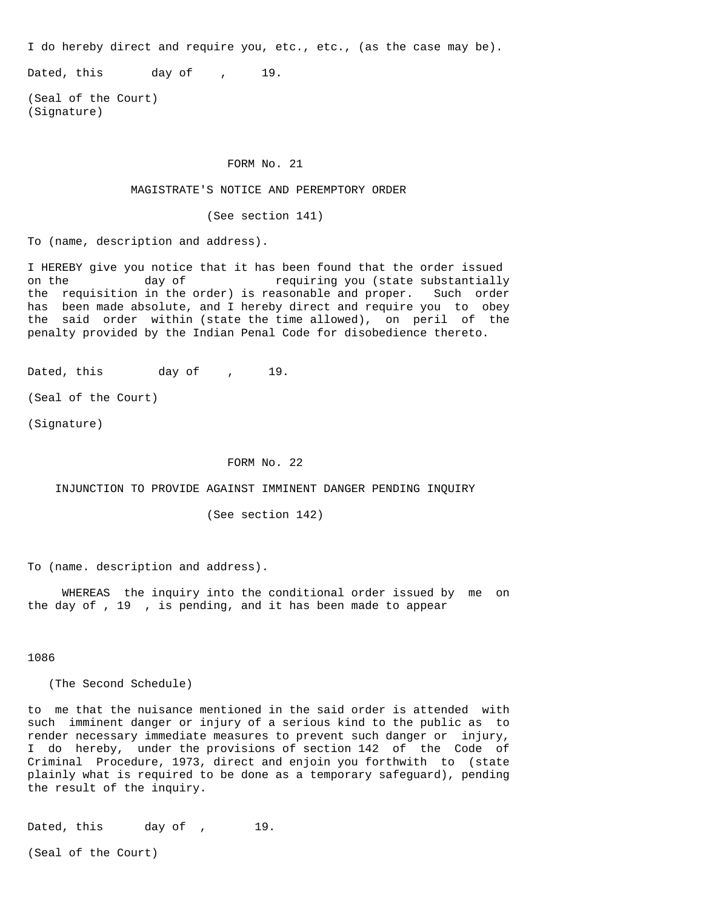I do hereby direct and require you, etc., etc., (as the case may be).

Dated, this day of , 19.

 (Seal of the Court) (Signature)

FORM No. 21

MAGISTRATE'S NOTICE AND PEREMPTORY ORDER

(See section 141)

To (name, description and address).

 I HEREBY give you notice that it has been found that the order issued on the day of requiring you (state substantially the requisition in the order) is reasonable and proper. Such order has been made absolute, and I hereby direct and require you to obey the said order within (state the time allowed), on peril of the penalty provided by the Indian Penal Code for disobedience thereto.

Dated, this day of , 19.

(Seal of the Court)

(Signature)

FORM No. 22

INJUNCTION TO PROVIDE AGAINST IMMINENT DANGER PENDING INQUIRY

(See section 142)

To (name. description and address).

 WHEREAS the inquiry into the conditional order issued by me on the day of , 19 , is pending, and it has been made to appear

1086

(The Second Schedule)

 to me that the nuisance mentioned in the said order is attended with such imminent danger or injury of a serious kind to the public as to render necessary immediate measures to prevent such danger or injury, I do hereby, under the provisions of section 142 of the Code of Criminal Procedure, 1973, direct and enjoin you forthwith to (state plainly what is required to be done as a temporary safeguard), pending the result of the inquiry.

Dated, this day of , 19.

(Seal of the Court)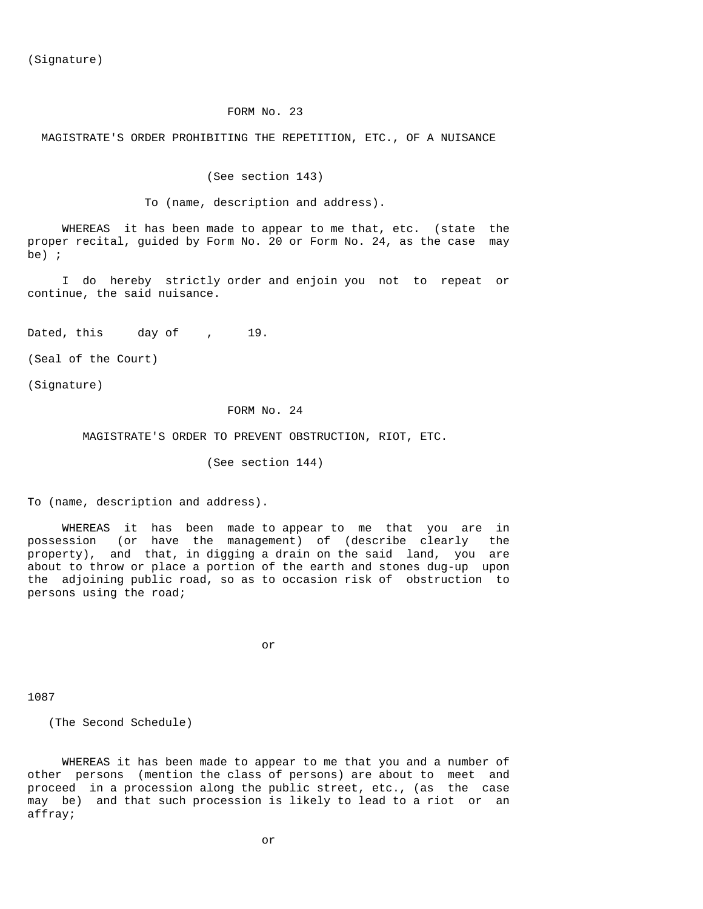(Signature)

## FORM No. 23

MAGISTRATE'S ORDER PROHIBITING THE REPETITION, ETC., OF A NUISANCE

# (See section 143)

To (name, description and address).

 WHEREAS it has been made to appear to me that, etc. (state the proper recital, guided by Form No. 20 or Form No. 24, as the case may be) ;

 I do hereby strictly order and enjoin you not to repeat or continue, the said nuisance.

Dated, this day of , 19.

(Seal of the Court)

(Signature)

# FORM No. 24

MAGISTRATE'S ORDER TO PREVENT OBSTRUCTION, RIOT, ETC.

(See section 144)

To (name, description and address).

 WHEREAS it has been made to appear to me that you are in possession (or have the management) of (describe clearly the property), and that, in digging a drain on the said land, you are about to throw or place a portion of the earth and stones dug-up upon the adjoining public road, so as to occasion risk of obstruction to persons using the road;

or

1087

(The Second Schedule)

 WHEREAS it has been made to appear to me that you and a number of other persons (mention the class of persons) are about to meet and proceed in a procession along the public street, etc., (as the case may be) and that such procession is likely to lead to a riot or an affray;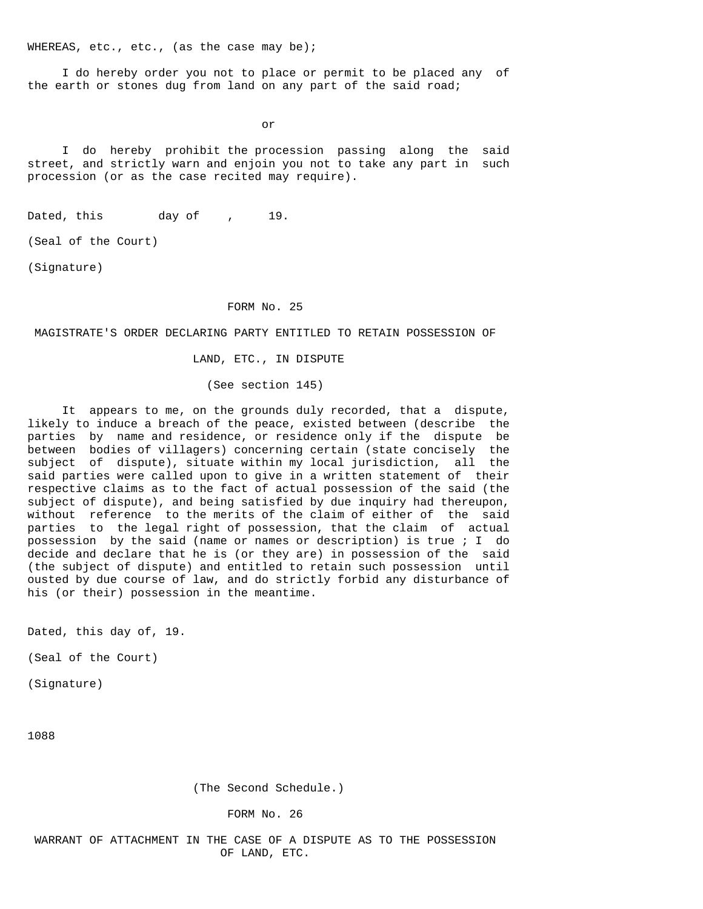WHEREAS, etc., etc., (as the case may be);

 I do hereby order you not to place or permit to be placed any of the earth or stones dug from land on any part of the said road;

or

 I do hereby prohibit the procession passing along the said street, and strictly warn and enjoin you not to take any part in such procession (or as the case recited may require).

Dated, this day of , 19.

(Seal of the Court)

(Signature)

FORM No. 25

MAGISTRATE'S ORDER DECLARING PARTY ENTITLED TO RETAIN POSSESSION OF

LAND, ETC., IN DISPUTE

(See section 145)

 It appears to me, on the grounds duly recorded, that a dispute, likely to induce a breach of the peace, existed between (describe the parties by name and residence, or residence only if the dispute be between bodies of villagers) concerning certain (state concisely the subject of dispute), situate within my local jurisdiction, all the said parties were called upon to give in a written statement of their respective claims as to the fact of actual possession of the said (the subject of dispute), and being satisfied by due inquiry had thereupon, without reference to the merits of the claim of either of the said parties to the legal right of possession, that the claim of actual possession by the said (name or names or description) is true  $i$  I do decide and declare that he is (or they are) in possession of the said (the subject of dispute) and entitled to retain such possession until ousted by due course of law, and do strictly forbid any disturbance of his (or their) possession in the meantime.

Dated, this day of, 19.

(Seal of the Court)

(Signature)

1088

(The Second Schedule.)

FORM No. 26

 WARRANT OF ATTACHMENT IN THE CASE OF A DISPUTE AS TO THE POSSESSION OF LAND, ETC.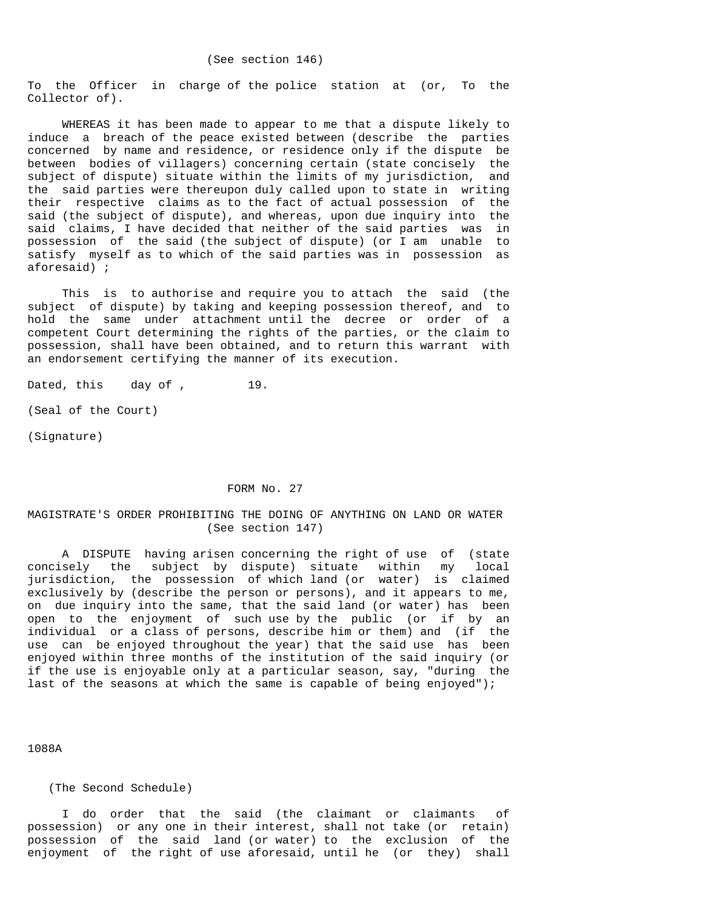To the Officer in charge of the police station at (or, To the Collector of).

 WHEREAS it has been made to appear to me that a dispute likely to induce a breach of the peace existed between (describe the parties concerned by name and residence, or residence only if the dispute be between bodies of villagers) concerning certain (state concisely the subject of dispute) situate within the limits of my jurisdiction, and the said parties were thereupon duly called upon to state in writing their respective claims as to the fact of actual possession of the said (the subject of dispute), and whereas, upon due inquiry into the said claims, I have decided that neither of the said parties was in possession of the said (the subject of dispute) (or I am unable to satisfy myself as to which of the said parties was in possession as aforesaid) ;

 This is to authorise and require you to attach the said (the subject of dispute) by taking and keeping possession thereof, and to hold the same under attachment until the decree or order of a competent Court determining the rights of the parties, or the claim to possession, shall have been obtained, and to return this warrant with an endorsement certifying the manner of its execution.

Dated, this day of, 19.

(Seal of the Court)

(Signature)

#### FORM No. 27

# MAGISTRATE'S ORDER PROHIBITING THE DOING OF ANYTHING ON LAND OR WATER (See section 147)

 A DISPUTE having arisen concerning the right of use of (state concisely the subject by dispute) situate within my local jurisdiction, the possession of which land (or water) is claimed exclusively by (describe the person or persons), and it appears to me, on due inquiry into the same, that the said land (or water) has been open to the enjoyment of such use by the public (or if by an individual or a class of persons, describe him or them) and (if the use can be enjoyed throughout the year) that the said use has been enjoyed within three months of the institution of the said inquiry (or if the use is enjoyable only at a particular season, say, "during the last of the seasons at which the same is capable of being enjoyed");

## 1088A

(The Second Schedule)

 I do order that the said (the claimant or claimants of possession) or any one in their interest, shall not take (or retain) possession of the said land (or water) to the exclusion of the enjoyment of the right of use aforesaid, until he (or they) shall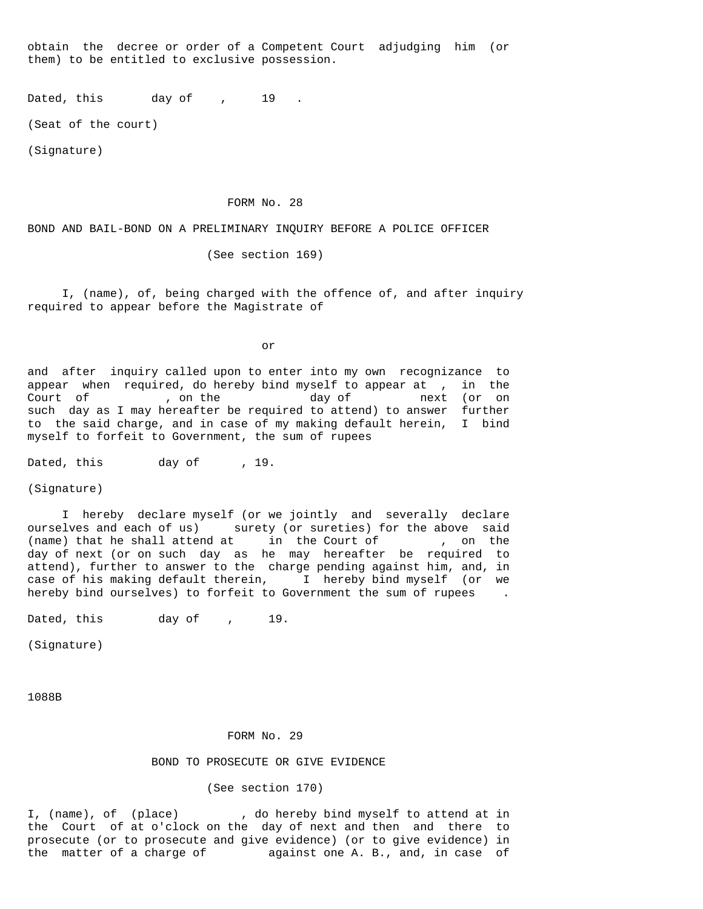obtain the decree or order of a Competent Court adjudging him (or them) to be entitled to exclusive possession.

Dated, this day of , 19 .

(Seat of the court)

(Signature)

FORM No. 28

BOND AND BAIL-BOND ON A PRELIMINARY INQUIRY BEFORE A POLICE OFFICER

(See section 169)

 I, (name), of, being charged with the offence of, and after inquiry required to appear before the Magistrate of

or

 and after inquiry called upon to enter into my own recognizance to appear when required, do hereby bind myself to appear at , in the Court of , on the day of next (or on such day as I may hereafter be required to attend) to answer further to the said charge, and in case of my making default herein, I bind myself to forfeit to Government, the sum of rupees

Dated, this day of , 19.

(Signature)

 I hereby declare myself (or we jointly and severally declare ourselves and each of us) surety (or sureties) for the above said (name) that he shall attend at in the Court of , on the day of next (or on such day as he may hereafter be required to attend), further to answer to the charge pending against him, and, in case of his making default therein, I hereby bind myself (or we hereby bind ourselves) to forfeit to Government the sum of rupees .

Dated, this day of , 19.

(Signature)

1088B

### FORM No. 29

# BOND TO PROSECUTE OR GIVE EVIDENCE

### (See section 170)

I, (name), of (place) , do hereby bind myself to attend at in the Court of at o'clock on the day of next and then and there to prosecute (or to prosecute and give evidence) (or to give evidence) in the matter of a charge of against one A. B., and, in case of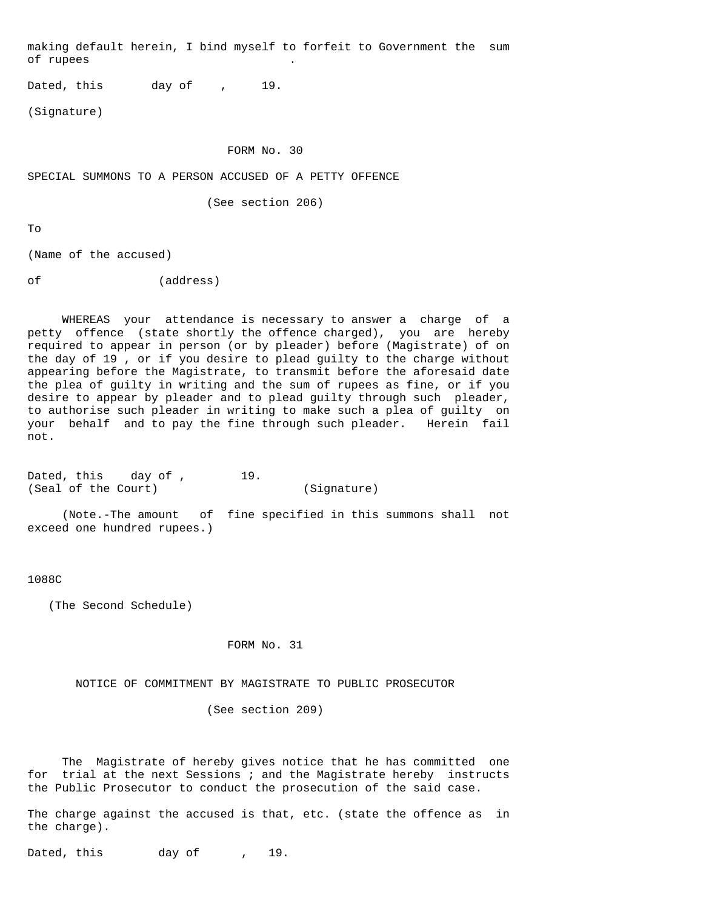making default herein, I bind myself to forfeit to Government the sum of rupees

Dated, this day of , 19.

(Signature)

FORM No. 30

SPECIAL SUMMONS TO A PERSON ACCUSED OF A PETTY OFFENCE

(See section 206)

To

(Name of the accused)

of (address)

 WHEREAS your attendance is necessary to answer a charge of a petty offence (state shortly the offence charged), you are hereby required to appear in person (or by pleader) before (Magistrate) of on the day of 19 , or if you desire to plead guilty to the charge without appearing before the Magistrate, to transmit before the aforesaid date the plea of guilty in writing and the sum of rupees as fine, or if you desire to appear by pleader and to plead guilty through such pleader, to authorise such pleader in writing to make such a plea of guilty on your behalf and to pay the fine through such pleader. Herein fail not.

Dated, this day of, 19. (Seal of the Court) (Signature)

 (Note.-The amount of fine specified in this summons shall not exceed one hundred rupees.)

1088C

(The Second Schedule)

FORM No. 31

NOTICE OF COMMITMENT BY MAGISTRATE TO PUBLIC PROSECUTOR

(See section 209)

 The Magistrate of hereby gives notice that he has committed one for trial at the next Sessions ; and the Magistrate hereby instructs the Public Prosecutor to conduct the prosecution of the said case.

 The charge against the accused is that, etc. (state the offence as in the charge).

Dated, this day of , 19.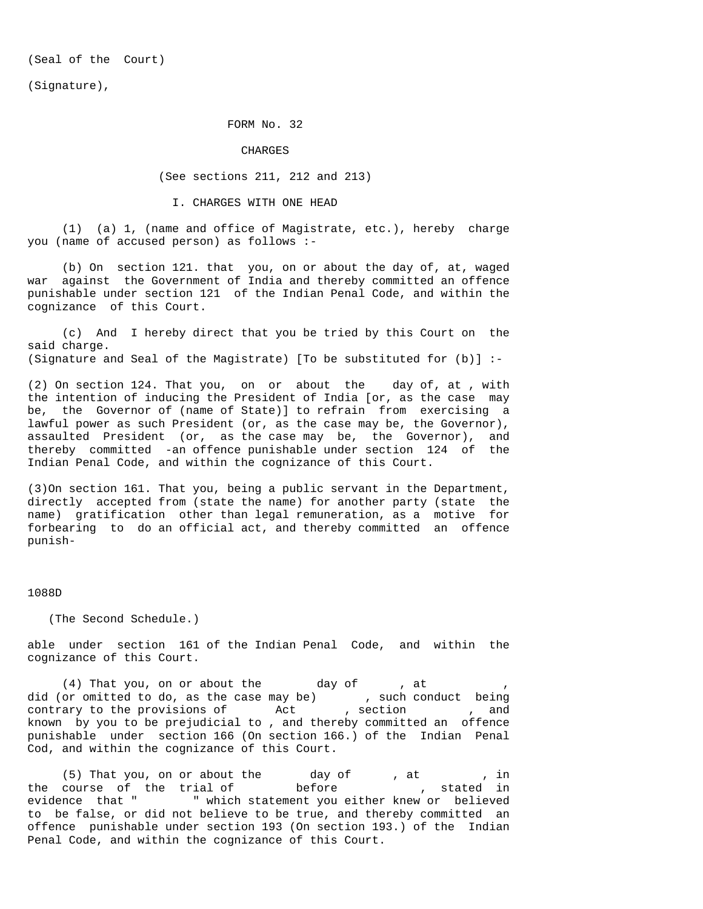(Seal of the Court)

(Signature),

FORM No. 32

### CHARGES

(See sections 211, 212 and 213)

I. CHARGES WITH ONE HEAD

 (1) (a) 1, (name and office of Magistrate, etc.), hereby charge you (name of accused person) as follows :-

 (b) On section 121. that you, on or about the day of, at, waged war against the Government of India and thereby committed an offence punishable under section 121 of the Indian Penal Code, and within the cognizance of this Court.

 (c) And I hereby direct that you be tried by this Court on the said charge. (Signature and Seal of the Magistrate) [To be substituted for (b)] :-

 (2) On section 124. That you, on or about the day of, at , with the intention of inducing the President of India [or, as the case may be, the Governor of (name of State)] to refrain from exercising a lawful power as such President (or, as the case may be, the Governor), assaulted President (or, as the case may be, the Governor), and thereby committed -an offence punishable under section 124 of the Indian Penal Code, and within the cognizance of this Court.

 (3)On section 161. That you, being a public servant in the Department, directly accepted from (state the name) for another party (state the name) gratification other than legal remuneration, as a motive for forbearing to do an official act, and thereby committed an offence punish-

1088D

(The Second Schedule.)

 able under section 161 of the Indian Penal Code, and within the cognizance of this Court.

(4) That you, on or about the day of , at did (or omitted to do, as the case may be) , such conduct being contrary to the provisions of act the section that is and known by you to be prejudicial to , and thereby committed an offence punishable under section 166 (On section 166.) of the Indian Penal Cod, and within the cognizance of this Court.

(5) That you, on or about the day of , at , in course of the trial of before , stated in the course of the trial of before the stated in evidence that " " which statement you either knew or believed to be false, or did not believe to be true, and thereby committed an offence punishable under section 193 (On section 193.) of the Indian Penal Code, and within the cognizance of this Court.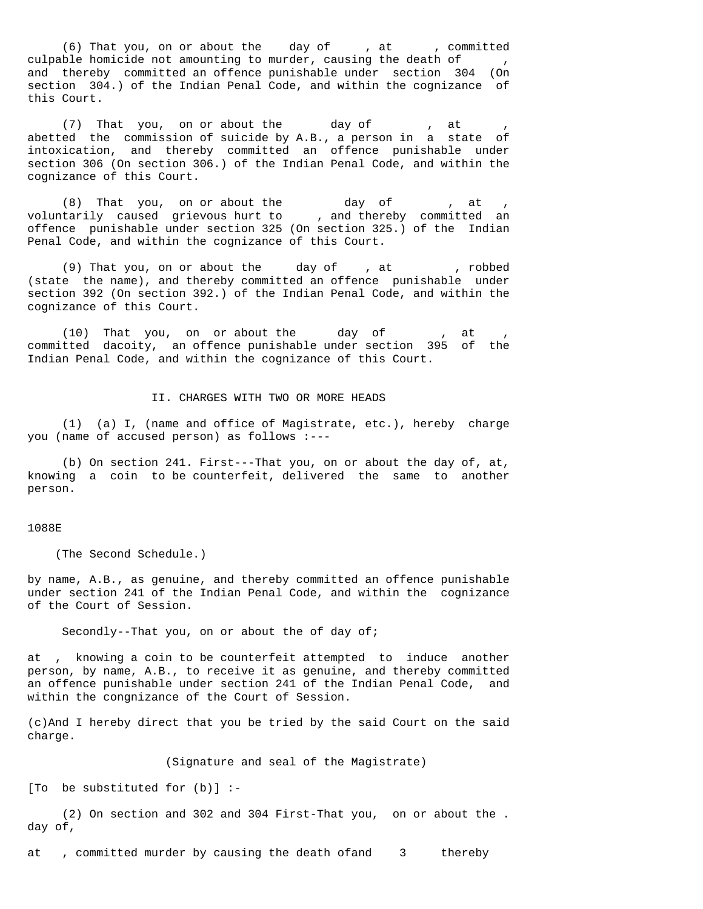(6) That you, on or about the day of , at , committed culpable homicide not amounting to murder, causing the death of , and thereby committed an offence punishable under section 304 (On section 304.) of the Indian Penal Code, and within the cognizance of this Court.

(7) That you, on or about the day of , at abetted the commission of suicide by A.B., a person in a state of intoxication, and thereby committed an offence punishable under section 306 (On section 306.) of the Indian Penal Code, and within the cognizance of this Court.

 (8) That you, on or about the day of , at , voluntarily caused grievous hurt to , and thereby committed an offence punishable under section 325 (On section 325.) of the Indian Penal Code, and within the cognizance of this Court.

(9) That you, on or about the day of , at , robbed (state the name), and thereby committed an offence punishable under section 392 (On section 392.) of the Indian Penal Code, and within the cognizance of this Court.

(10) That you, on or about the day of , at committed dacoity, an offence punishable under section 395 of the Indian Penal Code, and within the cognizance of this Court.

### II. CHARGES WITH TWO OR MORE HEADS

 (1) (a) I, (name and office of Magistrate, etc.), hereby charge you (name of accused person) as follows :---

 (b) On section 241. First---That you, on or about the day of, at, knowing a coin to be counterfeit, delivered the same to another person.

## 1088E

(The Second Schedule.)

 by name, A.B., as genuine, and thereby committed an offence punishable under section 241 of the Indian Penal Code, and within the cognizance of the Court of Session.

Secondly--That you, on or about the of day of;

 at , knowing a coin to be counterfeit attempted to induce another person, by name, A.B., to receive it as genuine, and thereby committed an offence punishable under section 241 of the Indian Penal Code, and within the congnizance of the Court of Session.

 (c)And I hereby direct that you be tried by the said Court on the said charge.

(Signature and seal of the Magistrate)

[To be substituted for  $(b)$ ] :-

 (2) On section and 302 and 304 First-That you, on or about the . day of,

at , committed murder by causing the death ofand 3 thereby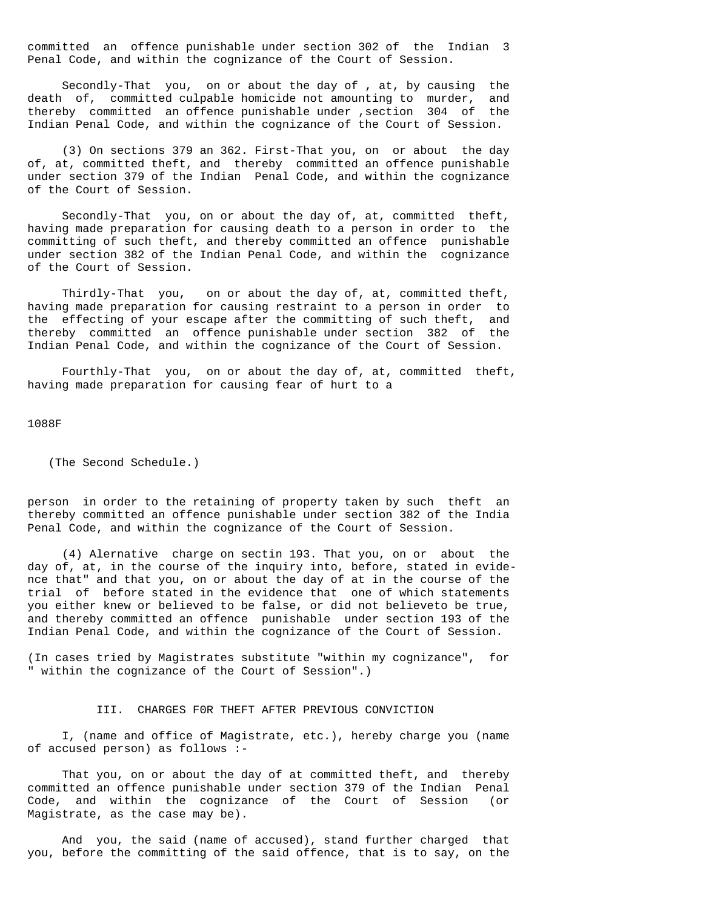committed an offence punishable under section 302 of the Indian 3 Penal Code, and within the cognizance of the Court of Session.

 Secondly-That you, on or about the day of , at, by causing the death of, committed culpable homicide not amounting to murder, and thereby committed an offence punishable under ,section 304 of the Indian Penal Code, and within the cognizance of the Court of Session.

 (3) On sections 379 an 362. First-That you, on or about the day of, at, committed theft, and thereby committed an offence punishable under section 379 of the Indian Penal Code, and within the cognizance of the Court of Session.

 Secondly-That you, on or about the day of, at, committed theft, having made preparation for causing death to a person in order to the committing of such theft, and thereby committed an offence punishable under section 382 of the Indian Penal Code, and within the cognizance of the Court of Session.

 Thirdly-That you, on or about the day of, at, committed theft, having made preparation for causing restraint to a person in order to the effecting of your escape after the committing of such theft, and thereby committed an offence punishable under section 382 of the Indian Penal Code, and within the cognizance of the Court of Session.

 Fourthly-That you, on or about the day of, at, committed theft, having made preparation for causing fear of hurt to a

1088F

(The Second Schedule.)

 person in order to the retaining of property taken by such theft an thereby committed an offence punishable under section 382 of the India Penal Code, and within the cognizance of the Court of Session.

 (4) Alernative charge on sectin 193. That you, on or about the day of, at, in the course of the inquiry into, before, stated in evide nce that" and that you, on or about the day of at in the course of the trial of before stated in the evidence that one of which statements you either knew or believed to be false, or did not believeto be true, and thereby committed an offence punishable under section 193 of the Indian Penal Code, and within the cognizance of the Court of Session.

 (In cases tried by Magistrates substitute "within my cognizance", for " within the cognizance of the Court of Session".)

## III. CHARGES F0R THEFT AFTER PREVIOUS CONVICTION

 I, (name and office of Magistrate, etc.), hereby charge you (name of accused person) as follows :-

 That you, on or about the day of at committed theft, and thereby committed an offence punishable under section 379 of the Indian Penal Code, and within the cognizance of the Court of Session (or Magistrate, as the case may be).

 And you, the said (name of accused), stand further charged that you, before the committing of the said offence, that is to say, on the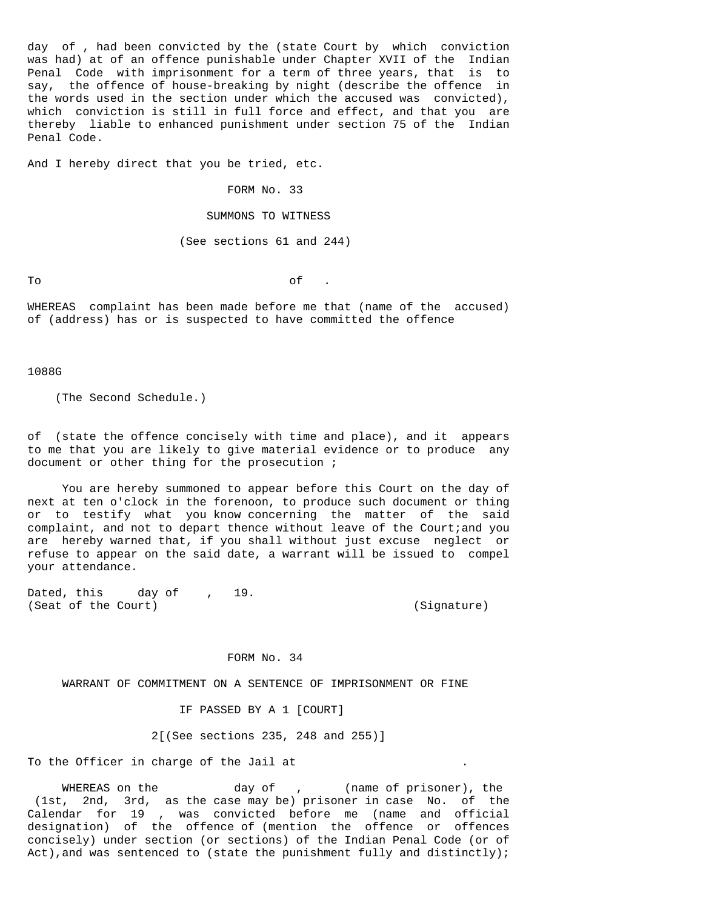day of , had been convicted by the (state Court by which conviction was had) at of an offence punishable under Chapter XVII of the Indian Penal Code with imprisonment for a term of three years, that is to say, the offence of house-breaking by night (describe the offence in the words used in the section under which the accused was convicted), which conviction is still in full force and effect, and that you are thereby liable to enhanced punishment under section 75 of the Indian Penal Code.

And I hereby direct that you be tried, etc.

FORM No. 33

# SUMMONS TO WITNESS

(See sections 61 and 244)

To of .

 WHEREAS complaint has been made before me that (name of the accused) of (address) has or is suspected to have committed the offence

1088G

(The Second Schedule.)

 of (state the offence concisely with time and place), and it appears to me that you are likely to give material evidence or to produce any document or other thing for the prosecution ;

 You are hereby summoned to appear before this Court on the day of next at ten o'clock in the forenoon, to produce such document or thing or to testify what you know concerning the matter of the said complaint, and not to depart thence without leave of the Court; and you are hereby warned that, if you shall without just excuse neglect or refuse to appear on the said date, a warrant will be issued to compel your attendance.

Dated, this day of , 19. (Seat of the Court) (Signature)

## FORM No. 34

WARRANT OF COMMITMENT ON A SENTENCE OF IMPRISONMENT OR FINE

IF PASSED BY A 1 [COURT]

2[(See sections 235, 248 and 255)]

To the Officer in charge of the Jail at

WHEREAS on the day of , (name of prisoner), the (1st, 2nd, 3rd, as the case may be) prisoner in case No. of the Calendar for 19 , was convicted before me (name and official designation) of the offence of (mention the offence or offences concisely) under section (or sections) of the Indian Penal Code (or of Act),and was sentenced to (state the punishment fully and distinctly);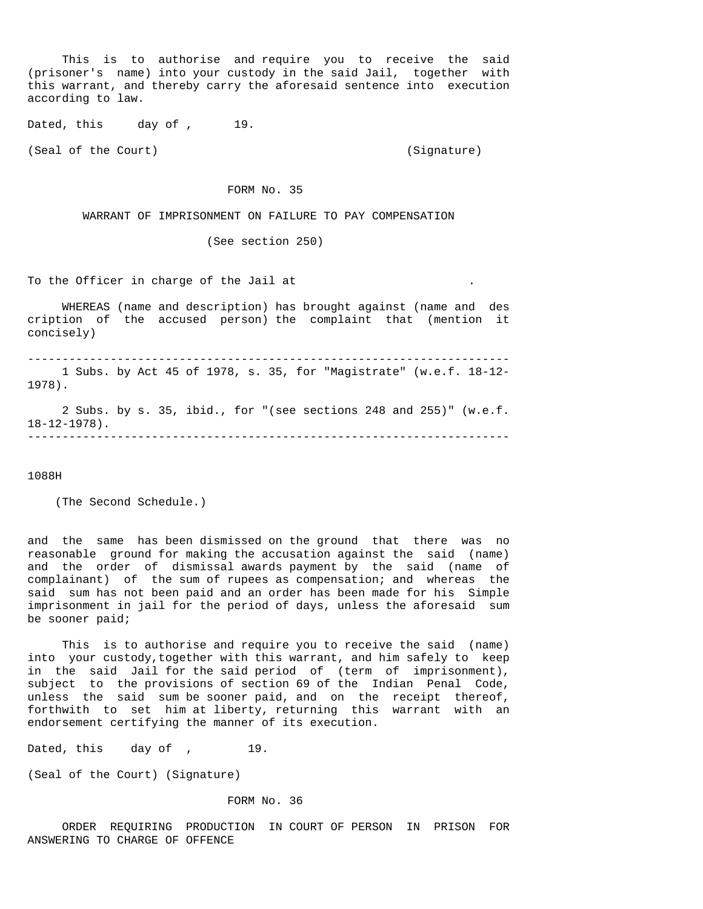This is to authorise and require you to receive the said (prisoner's name) into your custody in the said Jail, together with this warrant, and thereby carry the aforesaid sentence into execution according to law.

Dated, this day of, 19.

(Seal of the Court) (Signature)

### FORM No. 35

WARRANT OF IMPRISONMENT ON FAILURE TO PAY COMPENSATION

(See section 250)

To the Officer in charge of the Jail at

 WHEREAS (name and description) has brought against (name and des cription of the accused person) the complaint that (mention it concisely)

 ---------------------------------------------------------------------- 1 Subs. by Act 45 of 1978, s. 35, for "Magistrate" (w.e.f. 18-12-

1978).

 2 Subs. by s. 35, ibid., for "(see sections 248 and 255)" (w.e.f. 18-12-1978). ----------------------------------------------------------------------

### 1088H

(The Second Schedule.)

 and the same has been dismissed on the ground that there was no reasonable ground for making the accusation against the said (name) and the order of dismissal awards payment by the said (name of complainant) of the sum of rupees as compensation; and whereas the said sum has not been paid and an order has been made for his Simple imprisonment in jail for the period of days, unless the aforesaid sum be sooner paid;

 This is to authorise and require you to receive the said (name) into your custody,together with this warrant, and him safely to keep in the said Jail for the said period of (term of imprisonment), subject to the provisions of section 69 of the Indian Penal Code, unless the said sum be sooner paid, and on the receipt thereof, forthwith to set him at liberty, returning this warrant with an endorsement certifying the manner of its execution.

Dated, this day of , 19.

(Seal of the Court) (Signature)

FORM No. 36

 ORDER REQUIRING PRODUCTION IN COURT OF PERSON IN PRISON FOR ANSWERING TO CHARGE OF OFFENCE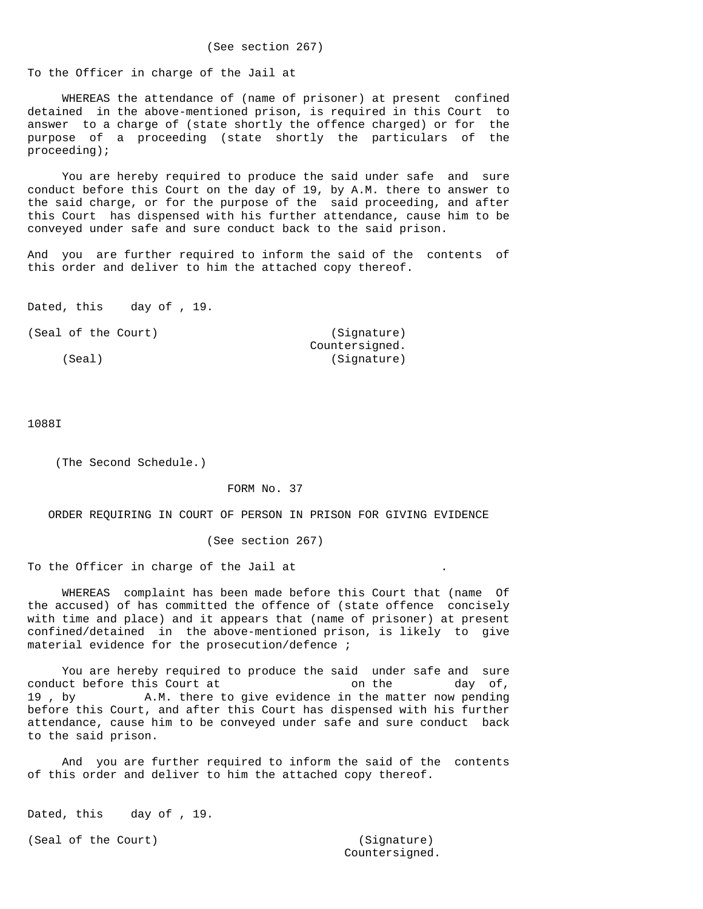To the Officer in charge of the Jail at

 WHEREAS the attendance of (name of prisoner) at present confined detained in the above-mentioned prison, is required in this Court to answer to a charge of (state shortly the offence charged) or for the purpose of a proceeding (state shortly the particulars of the proceeding);

 You are hereby required to produce the said under safe and sure conduct before this Court on the day of 19, by A.M. there to answer to the said charge, or for the purpose of the said proceeding, and after this Court has dispensed with his further attendance, cause him to be conveyed under safe and sure conduct back to the said prison.

 And you are further required to inform the said of the contents of this order and deliver to him the attached copy thereof.

Dated, this day of , 19.

| (Seal of the Court) | (Signature)    |
|---------------------|----------------|
|                     | Countersigned. |
| (Seal)              | (Signature)    |

1088I

(The Second Schedule.)

FORM No. 37

ORDER REQUIRING IN COURT OF PERSON IN PRISON FOR GIVING EVIDENCE

(See section 267)

To the Officer in charge of the Jail at

 WHEREAS complaint has been made before this Court that (name Of the accused) of has committed the offence of (state offence concisely with time and place) and it appears that (name of prisoner) at present confined/detained in the above-mentioned prison, is likely to give material evidence for the prosecution/defence ;

 You are hereby required to produce the said under safe and sure conduct before this Court at  $\qquad \qquad$  on the day of, 19 , by A.M. there to give evidence in the matter now pending before this Court, and after this Court has dispensed with his further attendance, cause him to be conveyed under safe and sure conduct back to the said prison.

 And you are further required to inform the said of the contents of this order and deliver to him the attached copy thereof.

Dated, this day of , 19.

(Seal of the Court) (Signature)

Countersigned.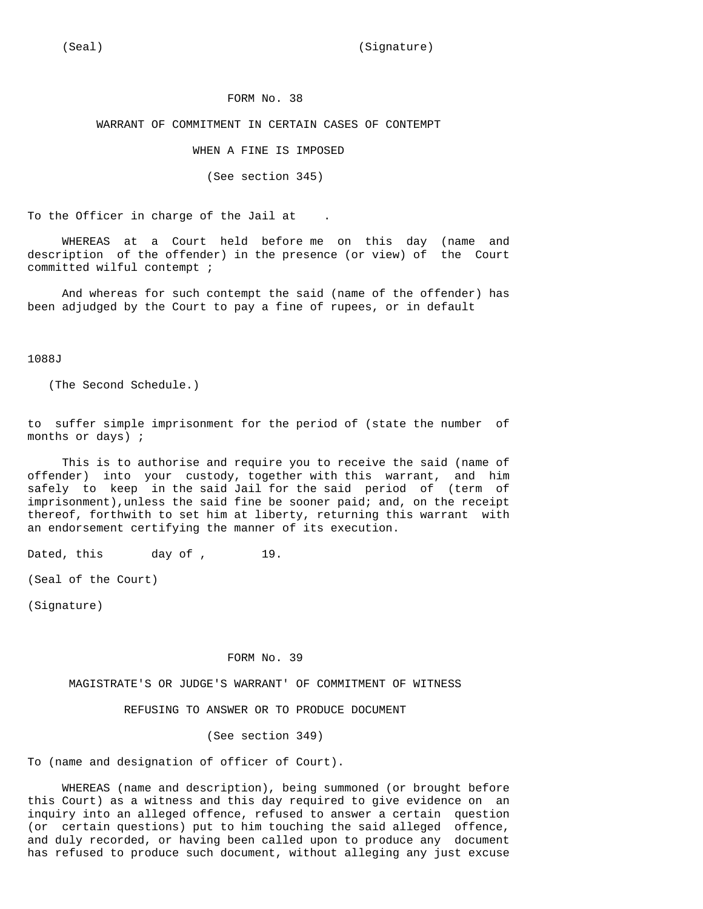(Seal) (Signature)

# FORM No. 38

WARRANT OF COMMITMENT IN CERTAIN CASES OF CONTEMPT

WHEN A FINE IS IMPOSED

(See section 345)

To the Officer in charge of the Jail at

 WHEREAS at a Court held before me on this day (name and description of the offender) in the presence (or view) of the Court committed wilful contempt ;

 And whereas for such contempt the said (name of the offender) has been adjudged by the Court to pay a fine of rupees, or in default

# 1088J

(The Second Schedule.)

 to suffer simple imprisonment for the period of (state the number of months or days) ;

 This is to authorise and require you to receive the said (name of offender) into your custody, together with this warrant, and him safely to keep in the said Jail for the said period of (term of imprisonment),unless the said fine be sooner paid; and, on the receipt thereof, forthwith to set him at liberty, returning this warrant with an endorsement certifying the manner of its execution.

Dated, this day of, 19.

(Seal of the Court)

(Signature)

FORM No. 39

MAGISTRATE'S OR JUDGE'S WARRANT' OF COMMITMENT OF WITNESS

REFUSING TO ANSWER OR TO PRODUCE DOCUMENT

(See section 349)

To (name and designation of officer of Court).

 WHEREAS (name and description), being summoned (or brought before this Court) as a witness and this day required to give evidence on an inquiry into an alleged offence, refused to answer a certain question (or certain questions) put to him touching the said alleged offence, and duly recorded, or having been called upon to produce any document has refused to produce such document, without alleging any just excuse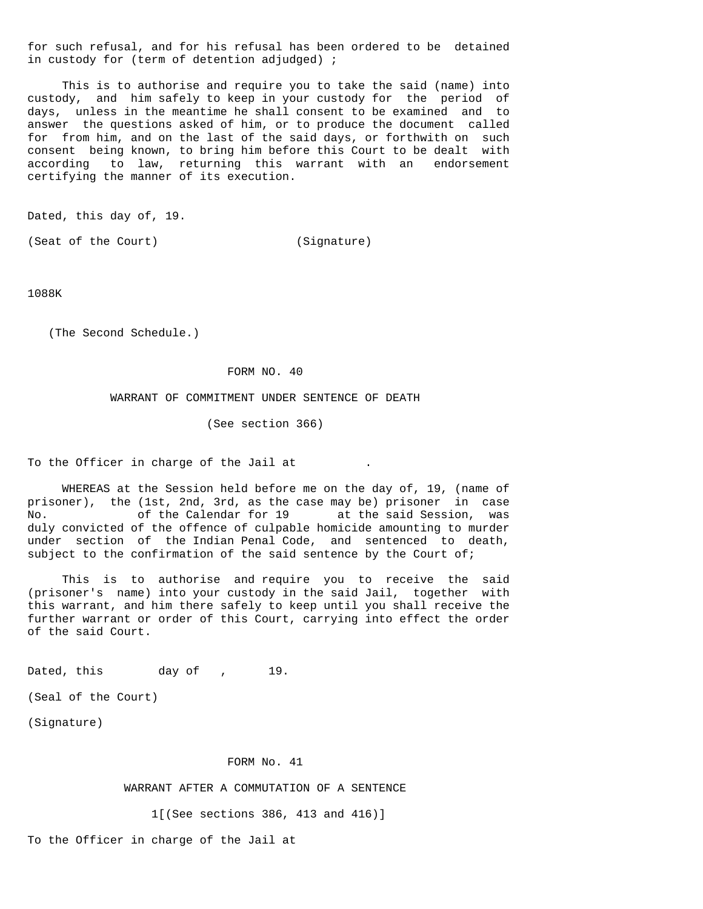for such refusal, and for his refusal has been ordered to be detained in custody for (term of detention adjudged) ;

 This is to authorise and require you to take the said (name) into custody, and him safely to keep in your custody for the period of days, unless in the meantime he shall consent to be examined and to answer the questions asked of him, or to produce the document called for from him, and on the last of the said days, or forthwith on such consent being known, to bring him before this Court to be dealt with according to law, returning this warrant with an endorsement certifying the manner of its execution.

Dated, this day of, 19.

(Seat of the Court) (Signature)

1088K

(The Second Schedule.)

## FORM NO. 40

WARRANT OF COMMITMENT UNDER SENTENCE OF DEATH

(See section 366)

To the Officer in charge of the Jail at .

 WHEREAS at the Session held before me on the day of, 19, (name of prisoner), the (1st, 2nd, 3rd, as the case may be) prisoner in case No. of the Calendar for 19 at the said Session, was duly convicted of the offence of culpable homicide amounting to murder under section of the Indian Penal Code, and sentenced to death, subject to the confirmation of the said sentence by the Court of;

 This is to authorise and require you to receive the said (prisoner's name) into your custody in the said Jail, together with this warrant, and him there safely to keep until you shall receive the further warrant or order of this Court, carrying into effect the order of the said Court.

Dated, this day of , 19.

(Seal of the Court)

(Signature)

### FORM No. 41

### WARRANT AFTER A COMMUTATION OF A SENTENCE

1[(See sections 386, 413 and 416)]

To the Officer in charge of the Jail at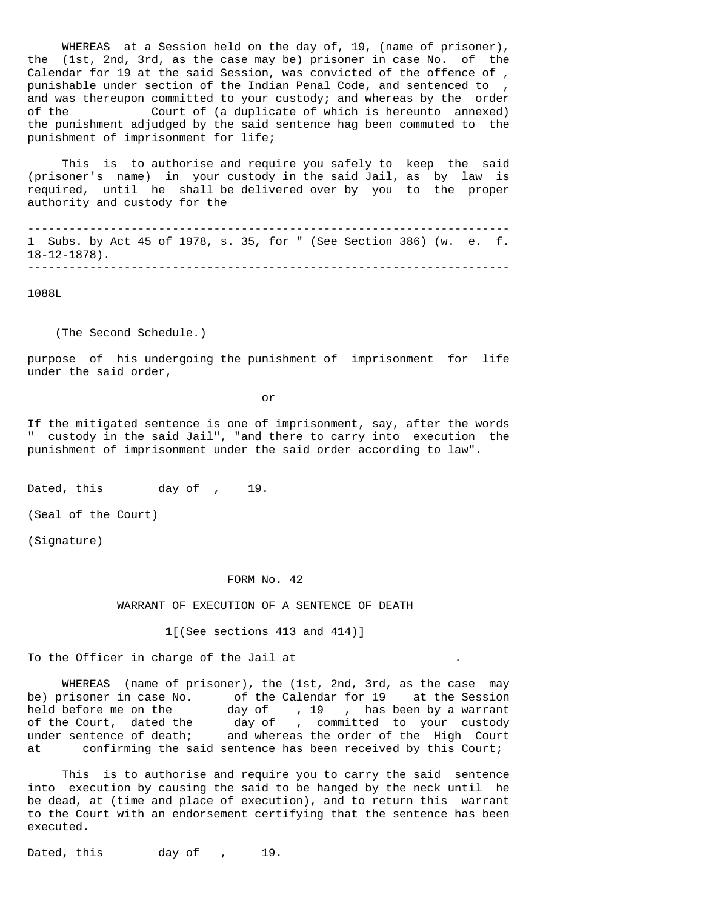WHEREAS at a Session held on the day of, 19, (name of prisoner), the (1st, 2nd, 3rd, as the case may be) prisoner in case No. of the Calendar for 19 at the said Session, was convicted of the offence of , punishable under section of the Indian Penal Code, and sentenced to , and was thereupon committed to your custody; and whereas by the order of the Court of (a duplicate of which is hereunto annexed) the punishment adjudged by the said sentence hag been commuted to the punishment of imprisonment for life;

 This is to authorise and require you safely to keep the said (prisoner's name) in your custody in the said Jail, as by law is required, until he shall be delivered over by you to the proper authority and custody for the

 ---------------------------------------------------------------------- 1 Subs. by Act 45 of 1978, s. 35, for " (See Section 386) (w. e. f. 18-12-1878). ----------------------------------------------------------------------

1088L

(The Second Schedule.)

 purpose of his undergoing the punishment of imprisonment for life under the said order,

or

 If the mitigated sentence is one of imprisonment, say, after the words " custody in the said Jail", "and there to carry into execution the punishment of imprisonment under the said order according to law".

Dated, this day of , 19.

(Seal of the Court)

(Signature)

## FORM No. 42

### WARRANT OF EXECUTION OF A SENTENCE OF DEATH

1[(See sections 413 and 414)]

To the Officer in charge of the Jail at

 WHEREAS (name of prisoner), the (1st, 2nd, 3rd, as the case may be) prisoner in case No. of the Calendar for 19 at the Session held before me on the day of , 19 , has been by a warrant of the Court, dated the day of , committed to your custody under sentence of death; and whereas the order of the High Court at confirming the said sentence has been received by this Court;

 This is to authorise and require you to carry the said sentence into execution by causing the said to be hanged by the neck until he be dead, at (time and place of execution), and to return this warrant to the Court with an endorsement certifying that the sentence has been executed.

Dated, this day of , 19.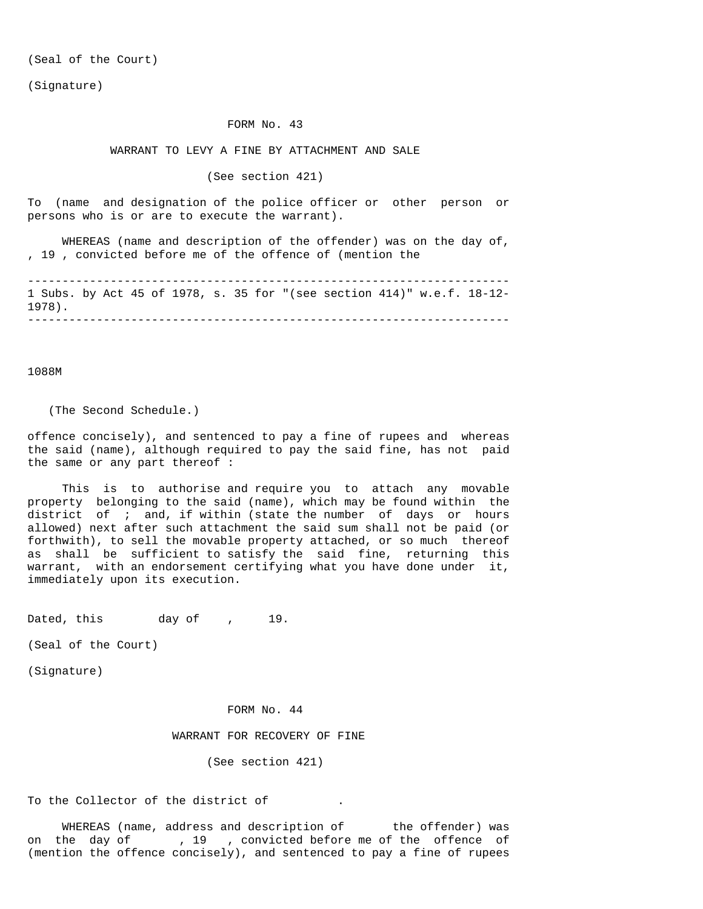(Seal of the Court)

(Signature)

# FORM No. 43

WARRANT TO LEVY A FINE BY ATTACHMENT AND SALE

(See section 421)

 To (name and designation of the police officer or other person or persons who is or are to execute the warrant).

 WHEREAS (name and description of the offender) was on the day of, , 19 , convicted before me of the offence of (mention the

 ---------------------------------------------------------------------- 1 Subs. by Act 45 of 1978, s. 35 for "(see section 414)" w.e.f. 18-12- 1978). ----------------------------------------------------------------------

1088M

(The Second Schedule.)

 offence concisely), and sentenced to pay a fine of rupees and whereas the said (name), although required to pay the said fine, has not paid the same or any part thereof :

 This is to authorise and require you to attach any movable property belonging to the said (name), which may be found within the district of ; and, if within (state the number of days or hours allowed) next after such attachment the said sum shall not be paid (or forthwith), to sell the movable property attached, or so much thereof as shall be sufficient to satisfy the said fine, returning this warrant, with an endorsement certifying what you have done under it, immediately upon its execution.

Dated, this day of , 19.

(Seal of the Court)

(Signature)

 FORM No. 44 WARRANT FOR RECOVERY OF FINE

(See section 421)

To the Collector of the district of

WHEREAS (name, address and description of the offender) was on the day of , 19 , convicted before me of the offence of (mention the offence concisely), and sentenced to pay a fine of rupees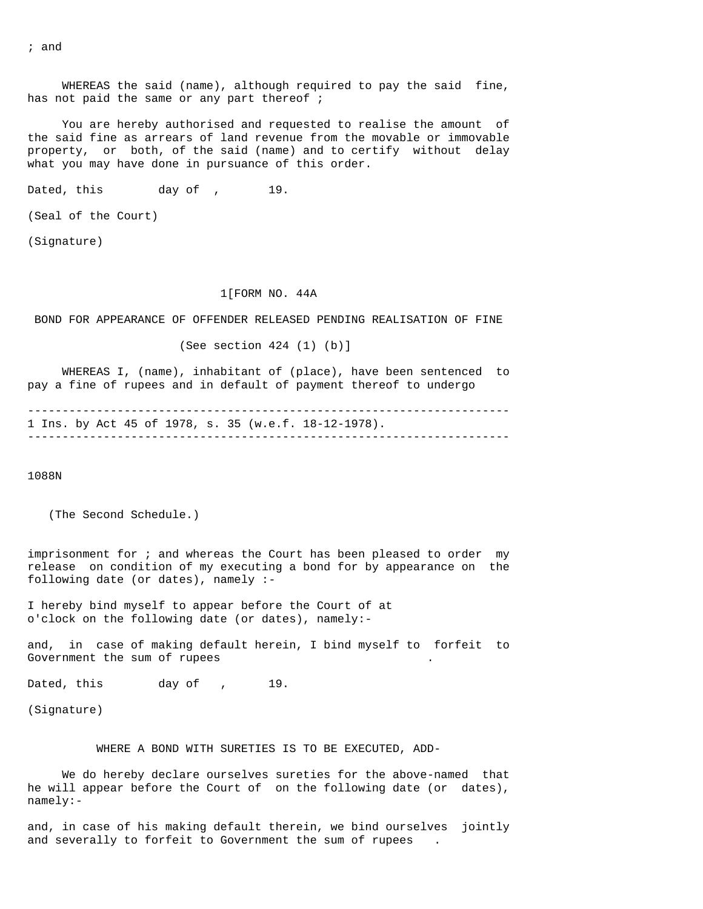WHEREAS the said (name), although required to pay the said fine, has not paid the same or any part thereof ;

 You are hereby authorised and requested to realise the amount of the said fine as arrears of land revenue from the movable or immovable property, or both, of the said (name) and to certify without delay what you may have done in pursuance of this order.

Dated, this day of , 19.

(Seal of the Court)

(Signature)

### 1[FORM NO. 44A

BOND FOR APPEARANCE OF OFFENDER RELEASED PENDING REALISATION OF FINE

(See section 424 (1) (b)]

 WHEREAS I, (name), inhabitant of (place), have been sentenced to pay a fine of rupees and in default of payment thereof to undergo

 ---------------------------------------------------------------------- 1 Ins. by Act 45 of 1978, s. 35 (w.e.f. 18-12-1978). ----------------------------------------------------------------------

1088N

(The Second Schedule.)

 imprisonment for ; and whereas the Court has been pleased to order my release on condition of my executing a bond for by appearance on the following date (or dates), namely :-

 I hereby bind myself to appear before the Court of at o'clock on the following date (or dates), namely:-

 and, in case of making default herein, I bind myself to forfeit to Government the sum of rupees

Dated, this day of , 19.

(Signature)

WHERE A BOND WITH SURETIES IS TO BE EXECUTED, ADD-

 We do hereby declare ourselves sureties for the above-named that he will appear before the Court of on the following date (or dates), namely:-

 and, in case of his making default therein, we bind ourselves jointly and severally to forfeit to Government the sum of rupees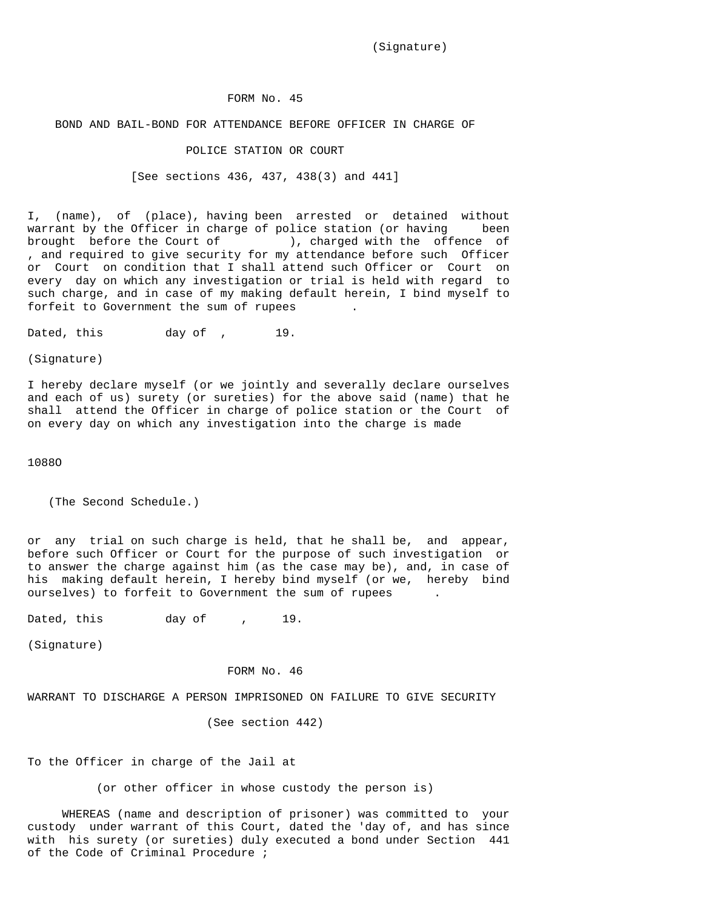(Signature)

## FORM No. 45

BOND AND BAIL-BOND FOR ATTENDANCE BEFORE OFFICER IN CHARGE OF

## POLICE STATION OR COURT

[See sections 436, 437, 438(3) and 441]

 I, (name), of (place), having been arrested or detained without warrant by the Officer in charge of police station (or having been brought before the Court of ), charged with the offence of , and required to give security for my attendance before such Officer or Court on condition that I shall attend such Officer or Court on every day on which any investigation or trial is held with regard to such charge, and in case of my making default herein, I bind myself to forfeit to Government the sum of rupees

Dated, this day of , 19.

(Signature)

 I hereby declare myself (or we jointly and severally declare ourselves and each of us) surety (or sureties) for the above said (name) that he shall attend the Officer in charge of police station or the Court of on every day on which any investigation into the charge is made

1088O

(The Second Schedule.)

 or any trial on such charge is held, that he shall be, and appear, before such Officer or Court for the purpose of such investigation or to answer the charge against him (as the case may be), and, in case of his making default herein, I hereby bind myself (or we, hereby bind ourselves) to forfeit to Government the sum of rupees

Dated, this day of , 19.

(Signature)

FORM No. 46

WARRANT TO DISCHARGE A PERSON IMPRISONED ON FAILURE TO GIVE SECURITY

(See section 442)

To the Officer in charge of the Jail at

(or other officer in whose custody the person is)

 WHEREAS (name and description of prisoner) was committed to your custody under warrant of this Court, dated the 'day of, and has since with his surety (or sureties) duly executed a bond under Section 441 of the Code of Criminal Procedure ;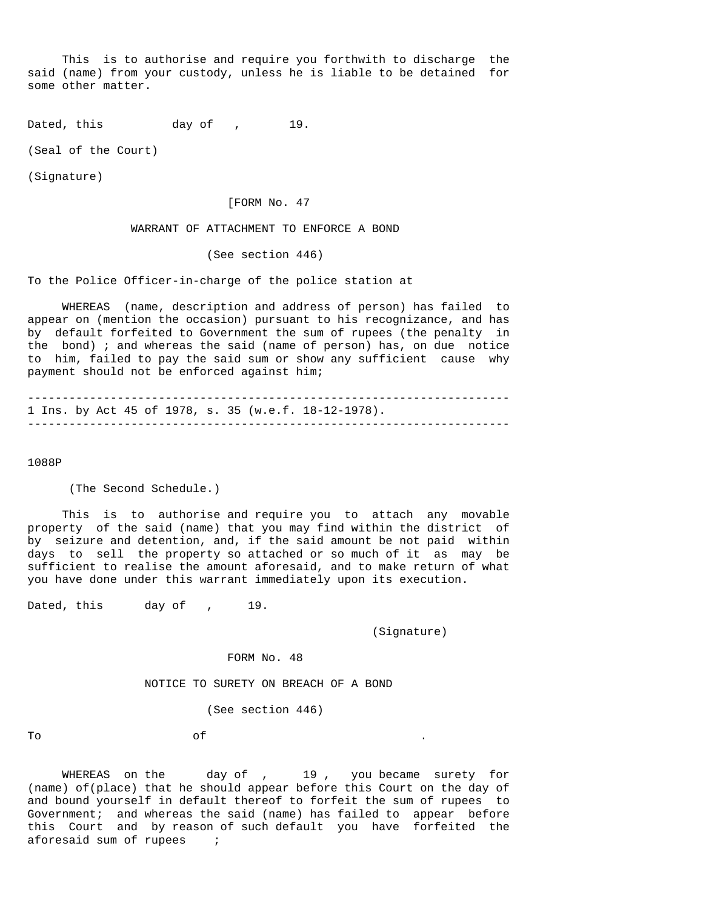This is to authorise and require you forthwith to discharge the said (name) from your custody, unless he is liable to be detained for some other matter.

Dated, this day of , 19.

(Seal of the Court)

(Signature)

[FORM No. 47

WARRANT OF ATTACHMENT TO ENFORCE A BOND

(See section 446)

To the Police Officer-in-charge of the police station at

 WHEREAS (name, description and address of person) has failed to appear on (mention the occasion) pursuant to his recognizance, and has by default forfeited to Government the sum of rupees (the penalty in the bond) ; and whereas the said (name of person) has, on due notice to him, failed to pay the said sum or show any sufficient cause why payment should not be enforced against him;

 ---------------------------------------------------------------------- 1 Ins. by Act 45 of 1978, s. 35 (w.e.f. 18-12-1978). ----------------------------------------------------------------------

1088P

(The Second Schedule.)

 This is to authorise and require you to attach any movable property of the said (name) that you may find within the district of by seizure and detention, and, if the said amount be not paid within days to sell the property so attached or so much of it as may be sufficient to realise the amount aforesaid, and to make return of what you have done under this warrant immediately upon its execution.

Dated, this day of , 19.

(Signature)

FORM No. 48

NOTICE TO SURETY ON BREACH OF A BOND

(See section 446)

To of .

WHEREAS on the day of , 19, you became surety for (name) of(place) that he should appear before this Court on the day of and bound yourself in default thereof to forfeit the sum of rupees to Government; and whereas the said (name) has failed to appear before this Court and by reason of such default you have forfeited the aforesaid sum of rupees ;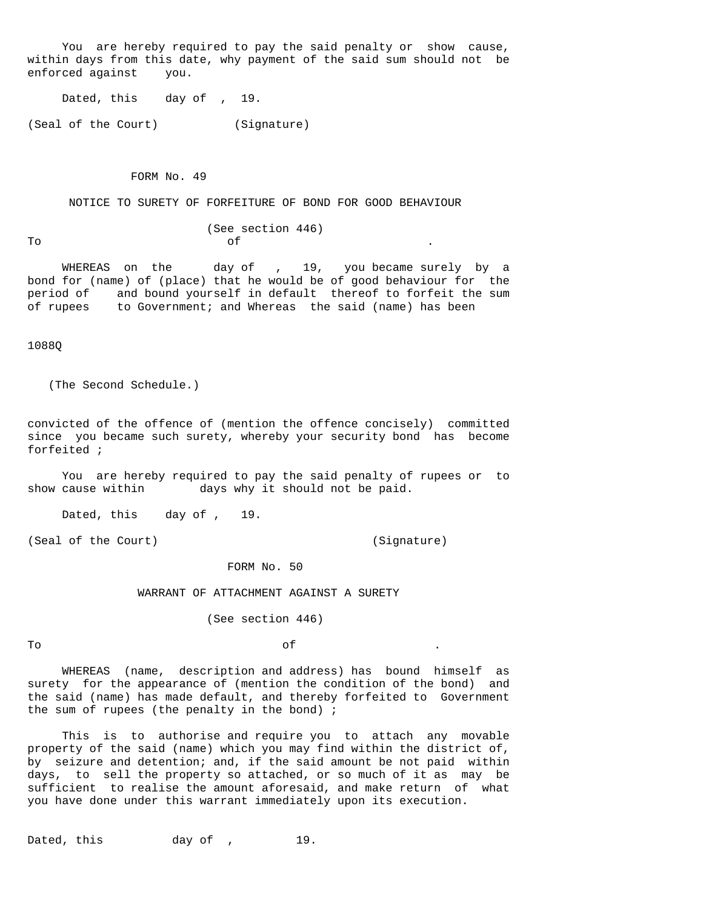You are hereby required to pay the said penalty or show cause, within days from this date, why payment of the said sum should not be enforced against you.

Dated, this day of , 19.

(Seal of the Court) (Signature)

FORM No. 49

NOTICE TO SURETY OF FORFEITURE OF BOND FOR GOOD BEHAVIOUR

 (See section 446) To of .

WHEREAS on the day of , 19, you became surely by a bond for (name) of (place) that he would be of good behaviour for the period of and bound yourself in default thereof to forfeit the sum of rupees to Government; and Whereas the said (name) has been

1088Q

(The Second Schedule.)

 convicted of the offence of (mention the offence concisely) committed since you became such surety, whereby your security bond has become forfeited ;

 You are hereby required to pay the said penalty of rupees or to show cause within days why it should not be paid.

Dated, this day of , 19.

(Seal of the Court) (Signature)

FORM No. 50

WARRANT OF ATTACHMENT AGAINST A SURETY

(See section 446)

To of .

 WHEREAS (name, description and address) has bound himself as surety for the appearance of (mention the condition of the bond) and the said (name) has made default, and thereby forfeited to Government the sum of rupees (the penalty in the bond) ;

 This is to authorise and require you to attach any movable property of the said (name) which you may find within the district of, by seizure and detention; and, if the said amount be not paid within days, to sell the property so attached, or so much of it as may be sufficient to realise the amount aforesaid, and make return of what you have done under this warrant immediately upon its execution.

Dated, this day of , 19.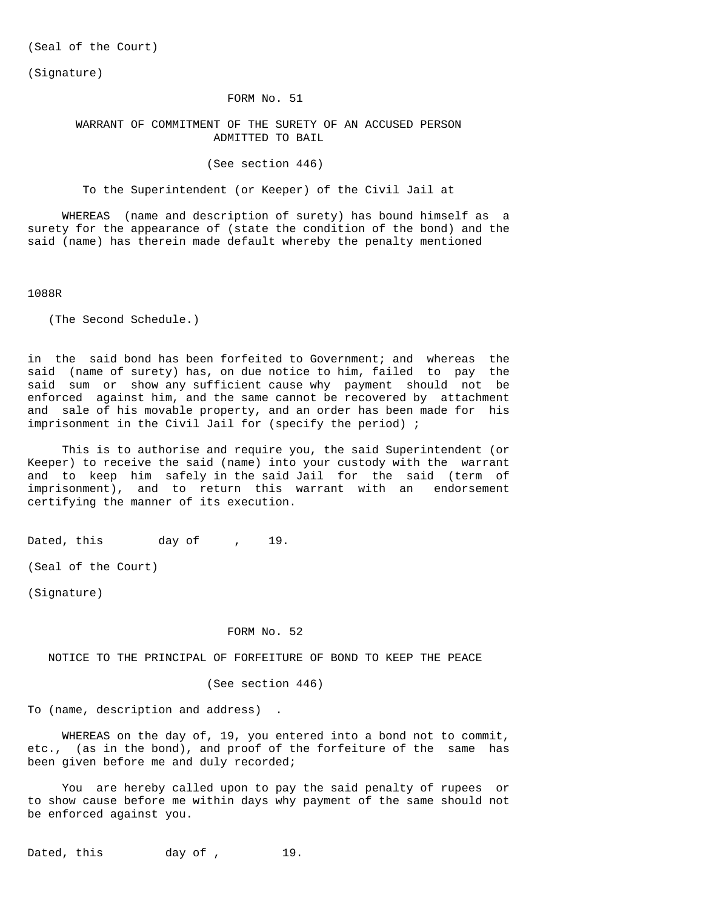(Seal of the Court)

(Signature)

FORM No. 51

 WARRANT OF COMMITMENT OF THE SURETY OF AN ACCUSED PERSON ADMITTED TO BAIL

# (See section 446)

To the Superintendent (or Keeper) of the Civil Jail at

 WHEREAS (name and description of surety) has bound himself as a surety for the appearance of (state the condition of the bond) and the said (name) has therein made default whereby the penalty mentioned

### 1088R

(The Second Schedule.)

 in the said bond has been forfeited to Government; and whereas the said (name of surety) has, on due notice to him, failed to pay the said sum or show any sufficient cause why payment should not be enforced against him, and the same cannot be recovered by attachment and sale of his movable property, and an order has been made for his imprisonment in the Civil Jail for (specify the period) ;

 This is to authorise and require you, the said Superintendent (or Keeper) to receive the said (name) into your custody with the warrant and to keep him safely in the said Jail for the said (term of imprisonment), and to return this warrant with an endorsement certifying the manner of its execution.

Dated, this day of , 19.

(Seal of the Court)

(Signature)

### FORM No. 52

NOTICE TO THE PRINCIPAL OF FORFEITURE OF BOND TO KEEP THE PEACE

(See section 446)

To (name, description and address) .

 WHEREAS on the day of, 19, you entered into a bond not to commit, etc., (as in the bond), and proof of the forfeiture of the same has been given before me and duly recorded;

 You are hereby called upon to pay the said penalty of rupees or to show cause before me within days why payment of the same should not be enforced against you.

Dated, this day of, 19.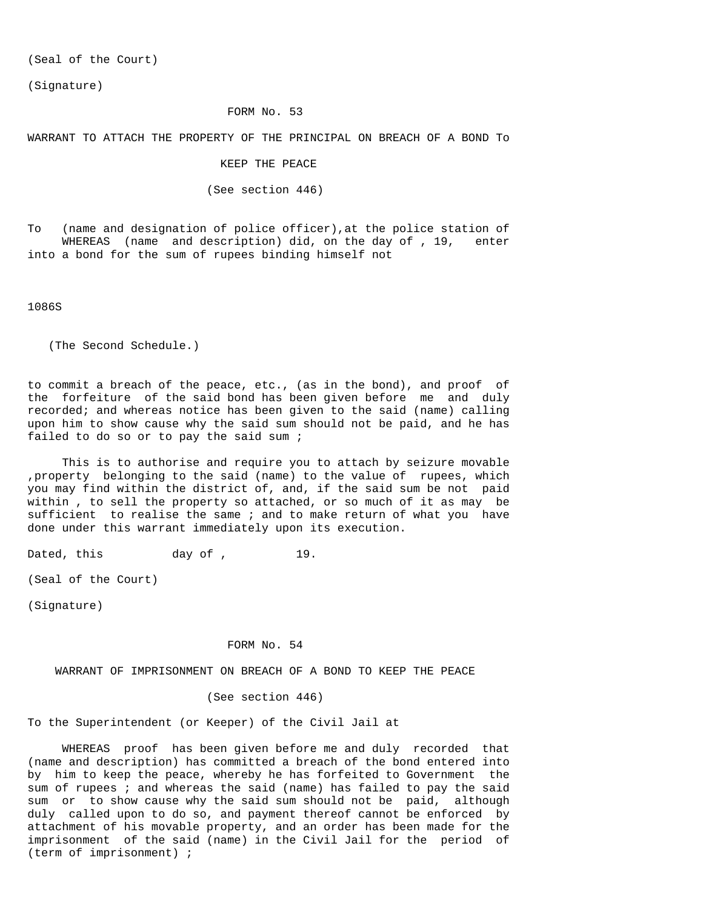(Seal of the Court)

(Signature)

# FORM No. 53

WARRANT TO ATTACH THE PROPERTY OF THE PRINCIPAL ON BREACH OF A BOND To

### KEEP THE PEACE

(See section 446)

 To (name and designation of police officer),at the police station of WHEREAS (name and description) did, on the day of , 19, enter into a bond for the sum of rupees binding himself not

1086S

(The Second Schedule.)

 to commit a breach of the peace, etc., (as in the bond), and proof of the forfeiture of the said bond has been given before me and duly recorded; and whereas notice has been given to the said (name) calling upon him to show cause why the said sum should not be paid, and he has failed to do so or to pay the said sum ;

 This is to authorise and require you to attach by seizure movable ,property belonging to the said (name) to the value of rupees, which you may find within the district of, and, if the said sum be not paid within , to sell the property so attached, or so much of it as may be sufficient to realise the same ; and to make return of what you have done under this warrant immediately upon its execution.

Dated, this day of, 19.

(Seal of the Court)

(Signature)

### FORM No. 54

WARRANT OF IMPRISONMENT ON BREACH OF A BOND TO KEEP THE PEACE

(See section 446)

To the Superintendent (or Keeper) of the Civil Jail at

 WHEREAS proof has been given before me and duly recorded that (name and description) has committed a breach of the bond entered into by him to keep the peace, whereby he has forfeited to Government the sum of rupees ; and whereas the said (name) has failed to pay the said sum or to show cause why the said sum should not be paid, although duly called upon to do so, and payment thereof cannot be enforced by attachment of his movable property, and an order has been made for the imprisonment of the said (name) in the Civil Jail for the period of (term of imprisonment) ;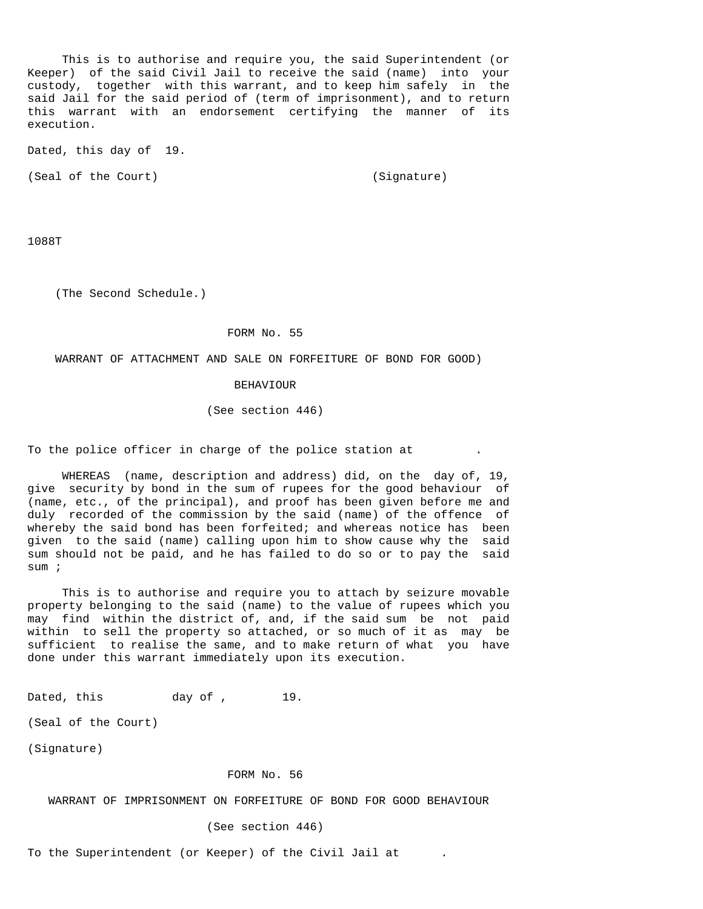This is to authorise and require you, the said Superintendent (or Keeper) of the said Civil Jail to receive the said (name) into your custody, together with this warrant, and to keep him safely in the said Jail for the said period of (term of imprisonment), and to return this warrant with an endorsement certifying the manner of its execution.

Dated, this day of 19.

(Seal of the Court) (Signature)

1088T

(The Second Schedule.)

## FORM No. 55

WARRANT OF ATTACHMENT AND SALE ON FORFEITURE OF BOND FOR GOOD)

### BEHAVIOUR

(See section 446)

To the police officer in charge of the police station at

 WHEREAS (name, description and address) did, on the day of, 19, give security by bond in the sum of rupees for the good behaviour of (name, etc., of the principal), and proof has been given before me and duly recorded of the commission by the said (name) of the offence of whereby the said bond has been forfeited; and whereas notice has been given to the said (name) calling upon him to show cause why the said sum should not be paid, and he has failed to do so or to pay the said sum ;

 This is to authorise and require you to attach by seizure movable property belonging to the said (name) to the value of rupees which you may find within the district of, and, if the said sum be not paid within to sell the property so attached, or so much of it as may be sufficient to realise the same, and to make return of what you have done under this warrant immediately upon its execution.

Dated, this day of, 19.

(Seal of the Court)

(Signature)

## FORM No. 56

WARRANT OF IMPRISONMENT ON FORFEITURE OF BOND FOR GOOD BEHAVIOUR

(See section 446)

To the Superintendent (or Keeper) of the Civil Jail at .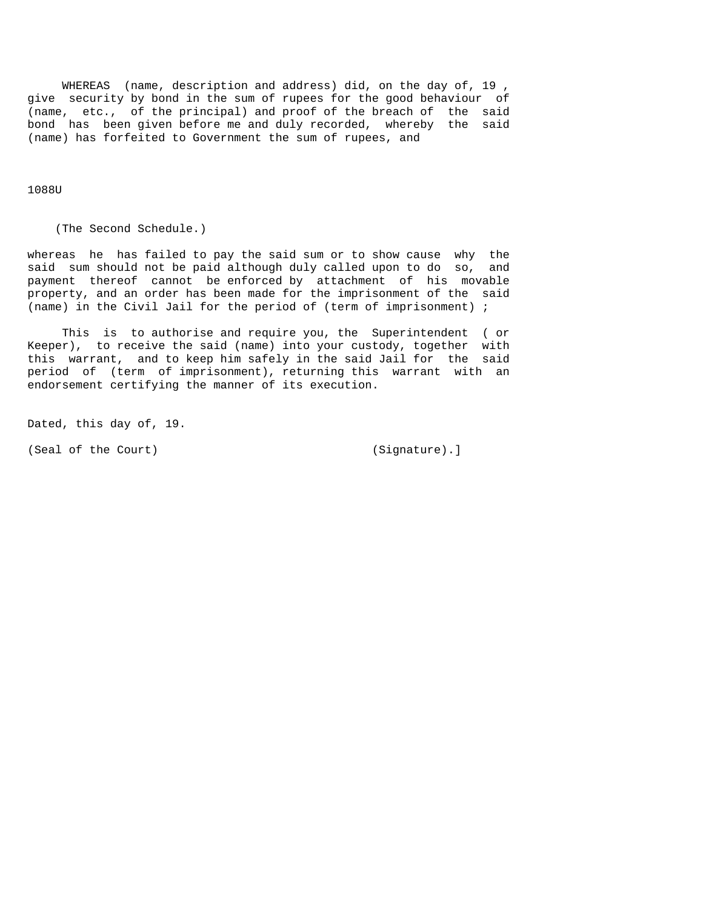WHEREAS (name, description and address) did, on the day of, 19 , give security by bond in the sum of rupees for the good behaviour of (name, etc., of the principal) and proof of the breach of the said bond has been given before me and duly recorded, whereby the said (name) has forfeited to Government the sum of rupees, and

1088U

(The Second Schedule.)

 whereas he has failed to pay the said sum or to show cause why the said sum should not be paid although duly called upon to do so, and payment thereof cannot be enforced by attachment of his movable property, and an order has been made for the imprisonment of the said (name) in the Civil Jail for the period of (term of imprisonment) ;

 This is to authorise and require you, the Superintendent ( or Keeper), to receive the said (name) into your custody, together with this warrant, and to keep him safely in the said Jail for the said period of (term of imprisonment), returning this warrant with an endorsement certifying the manner of its execution.

Dated, this day of, 19.

(Seal of the Court) (Signature).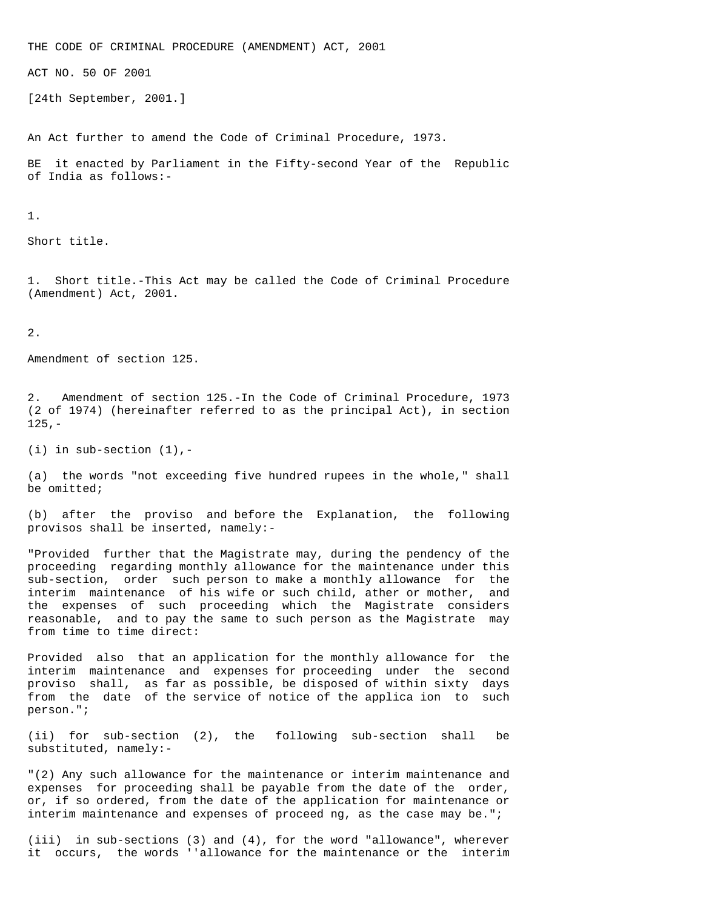THE CODE OF CRIMINAL PROCEDURE (AMENDMENT) ACT, 2001

ACT NO. 50 OF 2001

[24th September, 2001.]

An Act further to amend the Code of Criminal Procedure, 1973.

 BE it enacted by Parliament in the Fifty-second Year of the Republic of India as follows:-

1.

Short title.

 1. Short title.-This Act may be called the Code of Criminal Procedure (Amendment) Act, 2001.

2.

Amendment of section 125.

 2. Amendment of section 125.-In the Code of Criminal Procedure, 1973 (2 of 1974) (hereinafter referred to as the principal Act), in section 125,-

 $(i)$  in sub-section  $(1)$ ,-

 (a) the words "not exceeding five hundred rupees in the whole," shall be omitted;

 (b) after the proviso and before the Explanation, the following provisos shall be inserted, namely:-

 "Provided further that the Magistrate may, during the pendency of the proceeding regarding monthly allowance for the maintenance under this sub-section, order such person to make a monthly allowance for the interim maintenance of his wife or such child, ather or mother, and the expenses of such proceeding which the Magistrate considers reasonable, and to pay the same to such person as the Magistrate may from time to time direct:

 Provided also that an application for the monthly allowance for the interim maintenance and expenses for proceeding under the second proviso shall, as far as possible, be disposed of within sixty days from the date of the service of notice of the applica ion to such person.";

 (ii) for sub-section (2), the following sub-section shall be substituted, namely:-

 "(2) Any such allowance for the maintenance or interim maintenance and expenses for proceeding shall be payable from the date of the order, or, if so ordered, from the date of the application for maintenance or interim maintenance and expenses of proceed ng, as the case may be.";

 (iii) in sub-sections (3) and (4), for the word "allowance", wherever it occurs, the words ''allowance for the maintenance or the interim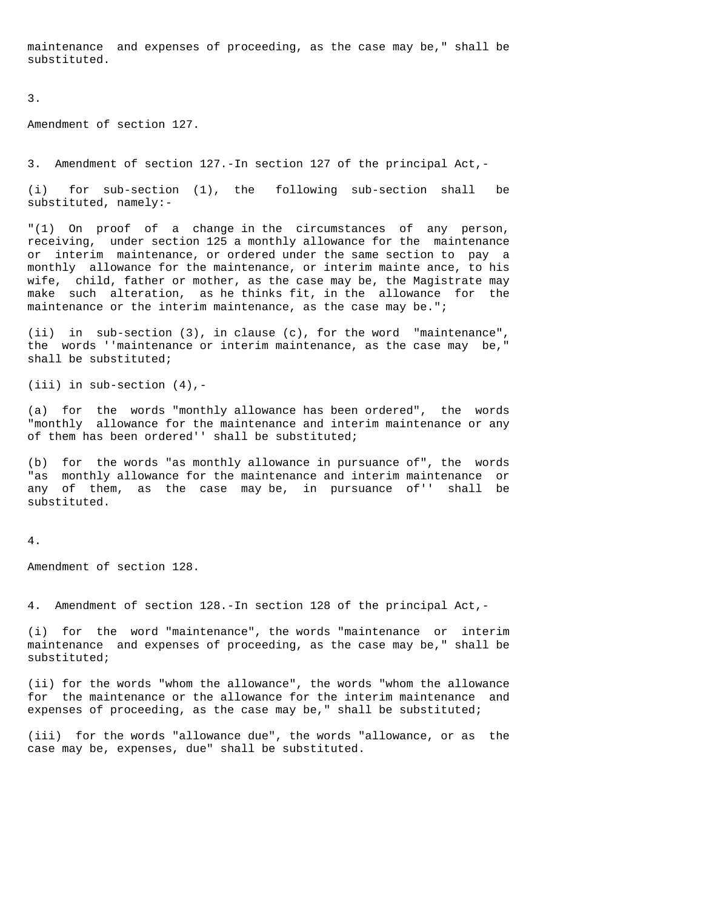maintenance and expenses of proceeding, as the case may be," shall be substituted.

3.

Amendment of section 127.

3. Amendment of section 127.-In section 127 of the principal Act,-

 (i) for sub-section (1), the following sub-section shall be substituted, namely:-

 "(1) On proof of a change in the circumstances of any person, receiving, under section 125 a monthly allowance for the maintenance or interim maintenance, or ordered under the same section to pay a monthly allowance for the maintenance, or interim mainte ance, to his wife, child, father or mother, as the case may be, the Magistrate may make such alteration, as he thinks fit, in the allowance for the maintenance or the interim maintenance, as the case may be.";

 (ii) in sub-section (3), in clause (c), for the word "maintenance", the words ''maintenance or interim maintenance, as the case may be," shall be substituted;

(iii) in sub-section  $(4)$ ,-

 (a) for the words "monthly allowance has been ordered", the words "monthly allowance for the maintenance and interim maintenance or any of them has been ordered'' shall be substituted;

 (b) for the words "as monthly allowance in pursuance of", the words "as monthly allowance for the maintenance and interim maintenance or any of them, as the case may be, in pursuance of'' shall be substituted.

4.

Amendment of section 128.

4. Amendment of section 128.-In section 128 of the principal Act,-

 (i) for the word "maintenance", the words "maintenance or interim maintenance and expenses of proceeding, as the case may be," shall be substituted;

 (ii) for the words "whom the allowance", the words "whom the allowance for the maintenance or the allowance for the interim maintenance and expenses of proceeding, as the case may be," shall be substituted;

 (iii) for the words "allowance due", the words "allowance, or as the case may be, expenses, due" shall be substituted.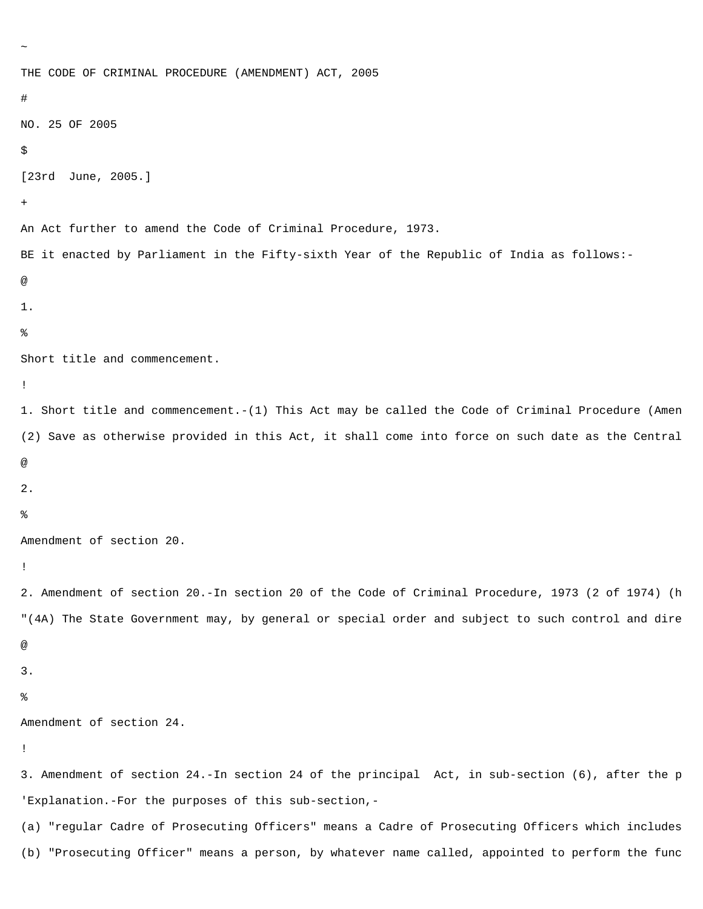```
THE CODE OF CRIMINAL PROCEDURE (AMENDMENT) ACT, 2005 
# 
NO. 25 OF 2005 
$ 
[23rd June, 2005.] 
+ 
An Act further to amend the Code of Criminal Procedure, 1973. 
BE it enacted by Parliament in the Fifty-sixth Year of the Republic of India as follows:- 
@ 
1. 
% 
Short title and commencement. 
! 
1. Short title and commencement.-(1) This Act may be called the Code of Criminal Procedure (Amen
(2) Save as otherwise provided in this Act, it shall come into force on such date as the Central
@ 
2. 
\,Amendment of section 20. 
! 
2. Amendment of section 20.-In section 20 of the Code of Criminal Procedure, 1973 (2 of 1974) (h
"(4A) The State Government may, by general or special order and subject to such control and dire
@ 
3. 
% 
Amendment of section 24. 
! 
3. Amendment of section 24.-In section 24 of the principal Act, in sub-section (6), after the p
'Explanation.-For the purposes of this sub-section,- 
(a) "regular Cadre of Prosecuting Officers" means a Cadre of Prosecuting Officers which includes
(b) "Prosecuting Officer" means a person, by whatever name called, appointed to perform the func
```
 $\sim$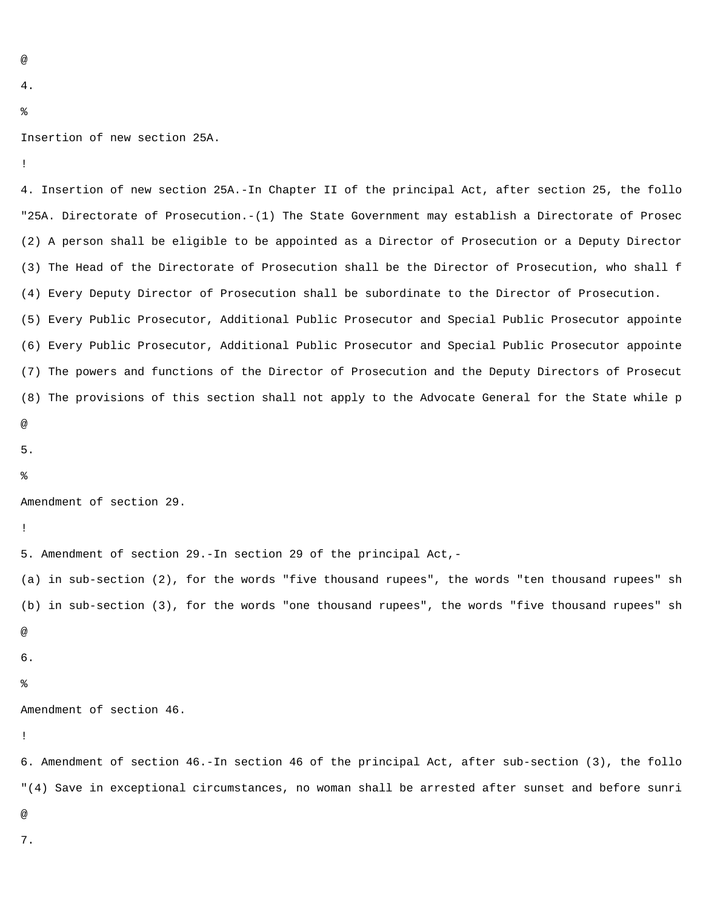```
@
```

```
4.
```
%

```
Insertion of new section 25A.
```
!

4. Insertion of new section 25A.-In Chapter II of the principal Act, after section 25, the follo "25A. Directorate of Prosecution.-(1) The State Government may establish a Directorate of Prosec (2) A person shall be eligible to be appointed as a Director of Prosecution or a Deputy Director (3) The Head of the Directorate of Prosecution shall be the Director of Prosecution, who shall f (4) Every Deputy Director of Prosecution shall be subordinate to the Director of Prosecution. (5) Every Public Prosecutor, Additional Public Prosecutor and Special Public Prosecutor appointe (6) Every Public Prosecutor, Additional Public Prosecutor and Special Public Prosecutor appointe (7) The powers and functions of the Director of Prosecution and the Deputy Directors of Prosecut (8) The provisions of this section shall not apply to the Advocate General for the State while p @

5.

```
%
```

```
Amendment of section 29.
```
!

5. Amendment of section 29.-In section 29 of the principal Act,-

(a) in sub-section (2), for the words "five thousand rupees", the words "ten thousand rupees" sh (b) in sub-section (3), for the words "one thousand rupees", the words "five thousand rupees" sh @

```
6.
```

```
\epsilon
```

```
Amendment of section 46.
```

```
!
```
6. Amendment of section 46.-In section 46 of the principal Act, after sub-section (3), the follo "(4) Save in exceptional circumstances, no woman shall be arrested after sunset and before sunri @

7.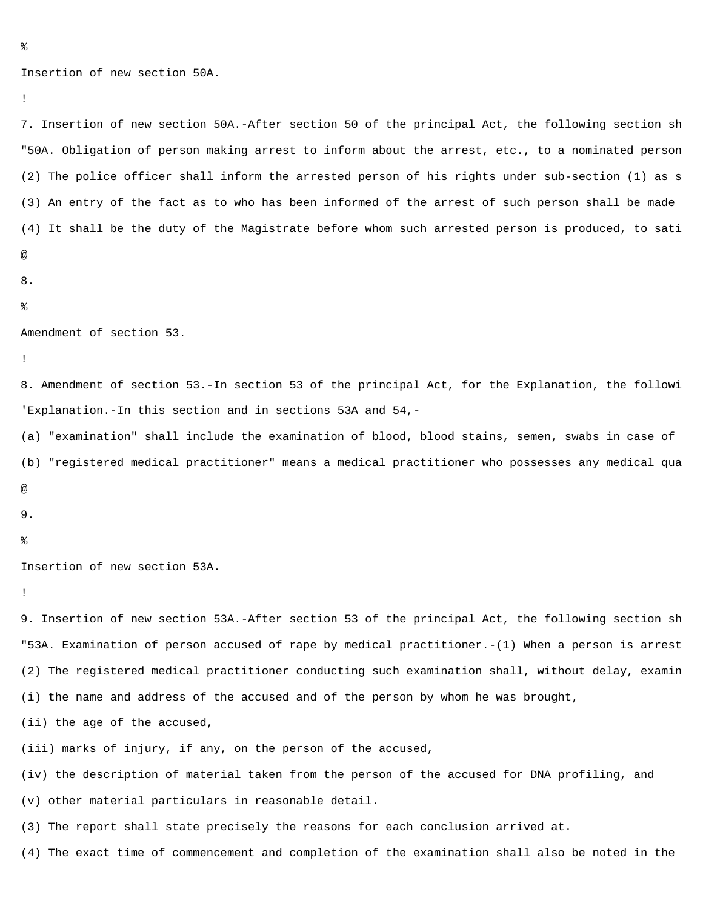%

Insertion of new section 50A.

!

7. Insertion of new section 50A.-After section 50 of the principal Act, the following section sh "50A. Obligation of person making arrest to inform about the arrest, etc., to a nominated person (2) The police officer shall inform the arrested person of his rights under sub-section (1) as s (3) An entry of the fact as to who has been informed of the arrest of such person shall be made (4) It shall be the duty of the Magistrate before whom such arrested person is produced, to sati

- @
- 8.
- %

Amendment of section 53.

!

8. Amendment of section 53.-In section 53 of the principal Act, for the Explanation, the followi 'Explanation.-In this section and in sections 53A and 54,-

(a) "examination" shall include the examination of blood, blood stains, semen, swabs in case of (b) "registered medical practitioner" means a medical practitioner who possesses any medical qua @

- 
- 9.
- $\epsilon$

Insertion of new section 53A.

!

9. Insertion of new section 53A.-After section 53 of the principal Act, the following section sh "53A. Examination of person accused of rape by medical practitioner.-(1) When a person is arrest (2) The registered medical practitioner conducting such examination shall, without delay, examin (i) the name and address of the accused and of the person by whom he was brought,

(ii) the age of the accused,

(iii) marks of injury, if any, on the person of the accused,

(iv) the description of material taken from the person of the accused for DNA profiling, and

(v) other material particulars in reasonable detail.

(3) The report shall state precisely the reasons for each conclusion arrived at.

(4) The exact time of commencement and completion of the examination shall also be noted in the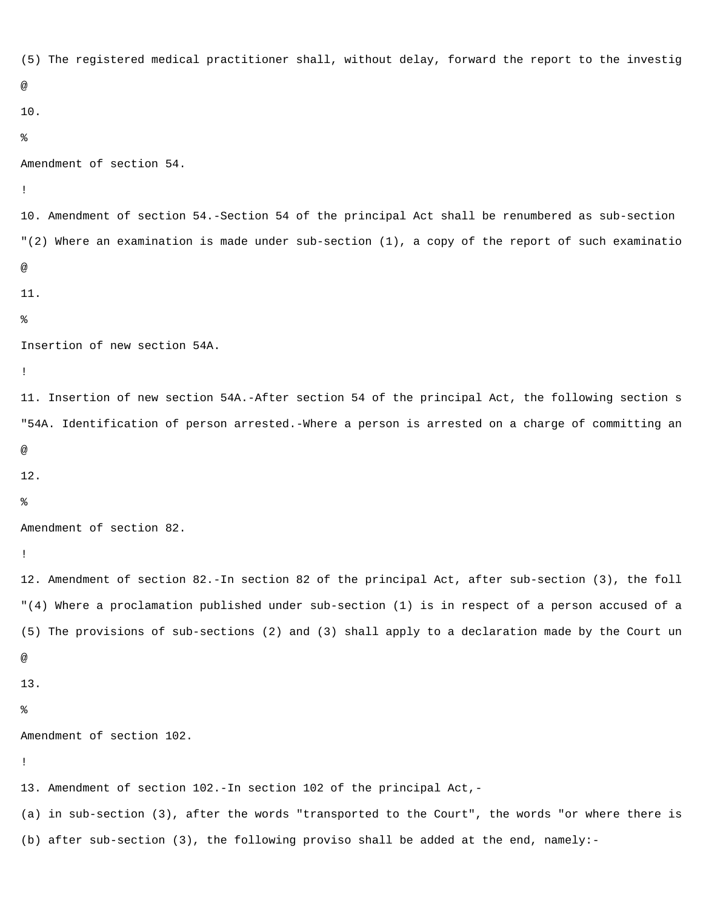```
(5) The registered medical practitioner shall, without delay, forward the report to the investig
@ 
10. 
% 
Amendment of section 54. 
! 
10. Amendment of section 54.-Section 54 of the principal Act shall be renumbered as sub-section 
"(2) Where an examination is made under sub-section (1), a copy of the report of such examinatio
@ 
11. 
% 
Insertion of new section 54A. 
! 
11. Insertion of new section 54A.-After section 54 of the principal Act, the following section s
"54A. Identification of person arrested.-Where a person is arrested on a charge of committing an
@ 
12. 
% 
Amendment of section 82. 
! 
12. Amendment of section 82.-In section 82 of the principal Act, after sub-section (3), the foll
"(4) Where a proclamation published under sub-section (1) is in respect of a person accused of a
(5) The provisions of sub-sections (2) and (3) shall apply to a declaration made by the Court un
@ 
13. 
% 
Amendment of section 102. 
! 
13. Amendment of section 102.-In section 102 of the principal Act,- 
(a) in sub-section (3), after the words "transported to the Court", the words "or where there is
(b) after sub-section (3), the following proviso shall be added at the end, namely:-
```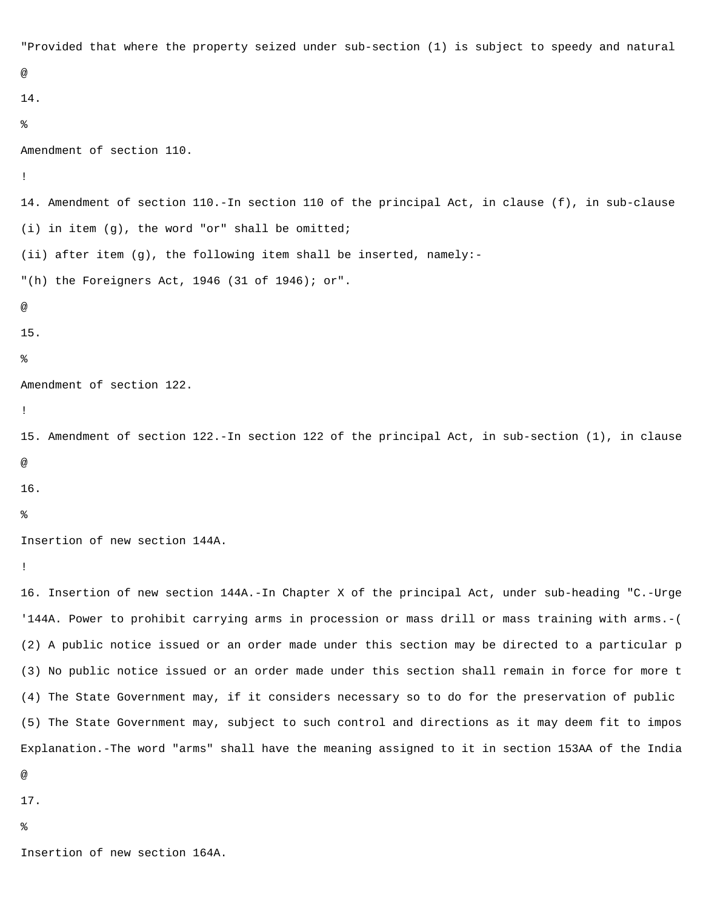```
"Provided that where the property seized under sub-section (1) is subject to speedy and natural 
@ 
14. 
% 
Amendment of section 110. 
! 
14. Amendment of section 110.-In section 110 of the principal Act, in clause (f), in sub-clause 
(i) in item (g), the word "or" shall be omitted; 
(ii) after item (g), the following item shall be inserted, namely:- 
"(h) the Foreigners Act, 1946 (31 of 1946); or". 
@ 
15. 
% 
Amendment of section 122. 
! 
15. Amendment of section 122.-In section 122 of the principal Act, in sub-section (1), in clause
@ 
16. 
\approxInsertion of new section 144A. 
! 
16. Insertion of new section 144A.-In Chapter X of the principal Act, under sub-heading "C.-Urge
'144A. Power to prohibit carrying arms in procession or mass drill or mass training with arms.-(
(2) A public notice issued or an order made under this section may be directed to a particular p
(3) No public notice issued or an order made under this section shall remain in force for more t
(4) The State Government may, if it considers necessary so to do for the preservation of public 
(5) The State Government may, subject to such control and directions as it may deem fit to impos
Explanation.-The word "arms" shall have the meaning assigned to it in section 153AA of the India
@ 
17. 
\,Insertion of new section 164A.
```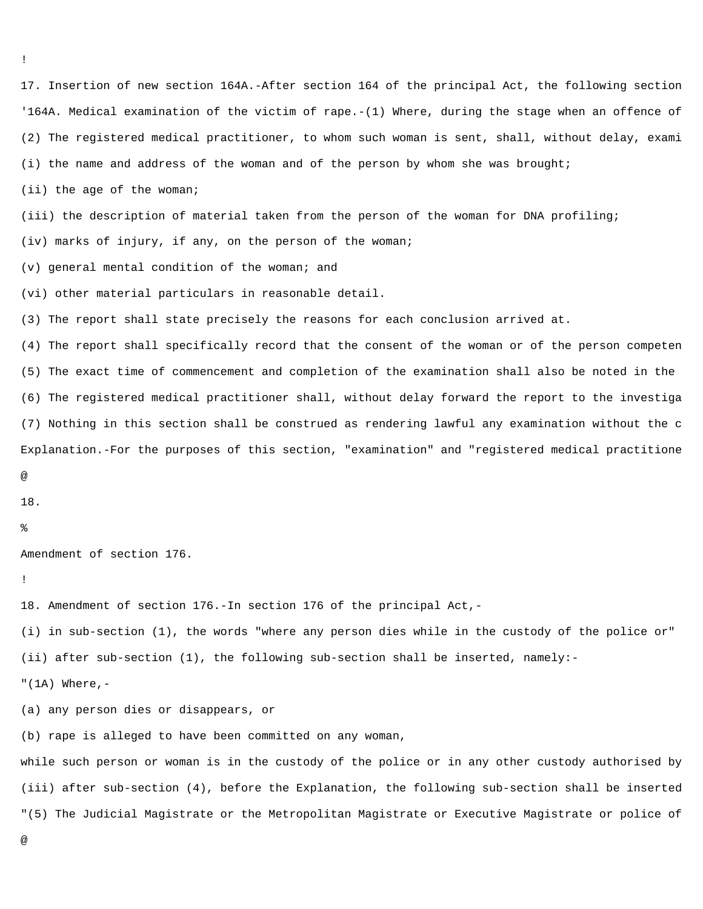```
17. Insertion of new section 164A.-After section 164 of the principal Act, the following section
'164A. Medical examination of the victim of rape.-(1) Where, during the stage when an offence of
(2) The registered medical practitioner, to whom such woman is sent, shall, without delay, exami
(i) the name and address of the woman and of the person by whom she was brought; 
(ii) the age of the woman; 
(iii) the description of material taken from the person of the woman for DNA profiling; 
(iv) marks of injury, if any, on the person of the woman; 
(v) general mental condition of the woman; and 
(vi) other material particulars in reasonable detail. 
(3) The report shall state precisely the reasons for each conclusion arrived at. 
(4) The report shall specifically record that the consent of the woman or of the person competen
(5) The exact time of commencement and completion of the examination shall also be noted in the 
(6) The registered medical practitioner shall, without delay forward the report to the investiga
(7) Nothing in this section shall be construed as rendering lawful any examination without the c
Explanation.-For the purposes of this section, "examination" and "registered medical practitione
@ 
18. 
% 
Amendment of section 176. 
! 
18. Amendment of section 176.-In section 176 of the principal Act,- 
(i) in sub-section (1), the words "where any person dies while in the custody of the police or" 
(ii) after sub-section (1), the following sub-section shall be inserted, namely:- 
" (1A) Where, -
(a) any person dies or disappears, or 
(b) rape is alleged to have been committed on any woman, 
while such person or woman is in the custody of the police or in any other custody authorised by
(iii) after sub-section (4), before the Explanation, the following sub-section shall be inserted
"(5) The Judicial Magistrate or the Metropolitan Magistrate or Executive Magistrate or police of
```
@

!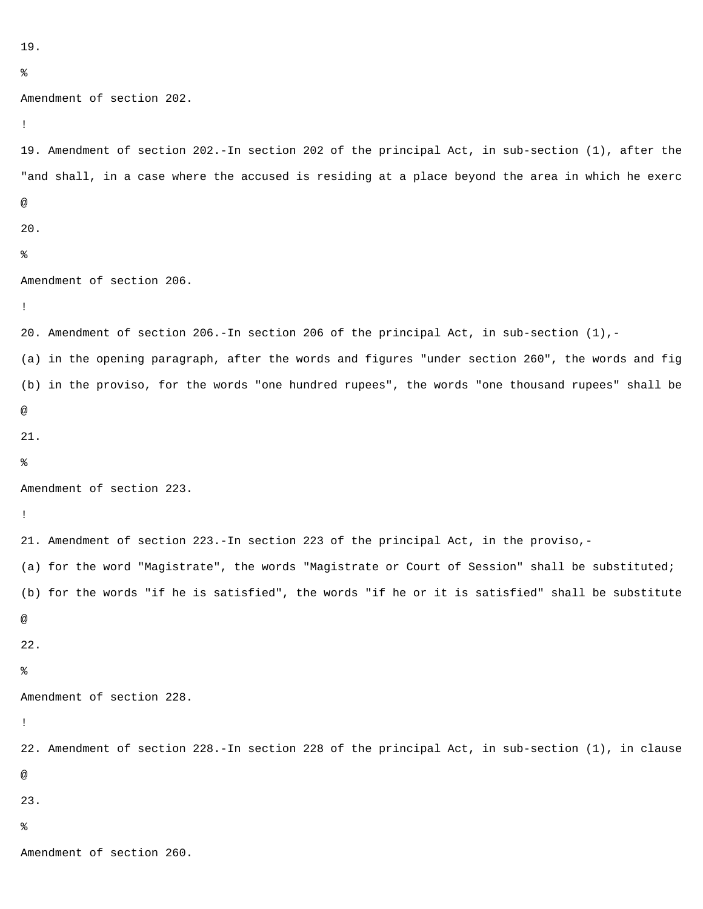```
19. 
\epsilonAmendment of section 202. 
! 
19. Amendment of section 202.-In section 202 of the principal Act, in sub-section (1), after the
"and shall, in a case where the accused is residing at a place beyond the area in which he exerc
@ 
20. 
% 
Amendment of section 206. 
! 
20. Amendment of section 206.-In section 206 of the principal Act, in sub-section (1),- 
(a) in the opening paragraph, after the words and figures "under section 260", the words and fig
(b) in the proviso, for the words "one hundred rupees", the words "one thousand rupees" shall be
@ 
21. 
% 
Amendment of section 223. 
! 
21. Amendment of section 223.-In section 223 of the principal Act, in the proviso,- 
(a) for the word "Magistrate", the words "Magistrate or Court of Session" shall be substituted;
(b) for the words "if he is satisfied", the words "if he or it is satisfied" shall be substitute
@ 
22. 
\epsilonAmendment of section 228. 
! 
22. Amendment of section 228.-In section 228 of the principal Act, in sub-section (1), in clause
@ 
23. 
% 
Amendment of section 260.
```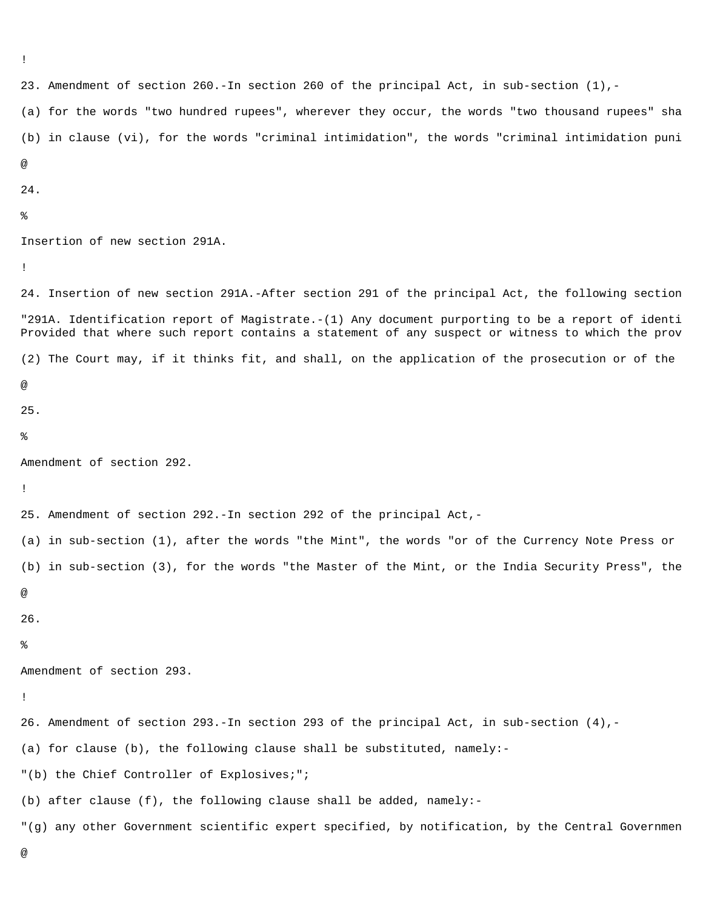```
23. Amendment of section 260.-In section 260 of the principal Act, in sub-section (1),- 
(a) for the words "two hundred rupees", wherever they occur, the words "two thousand rupees" sha
(b) in clause (vi), for the words "criminal intimidation", the words "criminal intimidation puni
@ 
24. 
% 
Insertion of new section 291A. 
! 
24. Insertion of new section 291A.-After section 291 of the principal Act, the following section
"291A. Identification report of Magistrate.-(1) Any document purporting to be a report of identi
Provided that where such report contains a statement of any suspect or witness to which the prov
(2) The Court may, if it thinks fit, and shall, on the application of the prosecution or of the 
@ 
25. 
\,Amendment of section 292. 
! 
25. Amendment of section 292.-In section 292 of the principal Act,- 
(a) in sub-section (1), after the words "the Mint", the words "or of the Currency Note Press or 
(b) in sub-section (3), for the words "the Master of the Mint, or the India Security Press", the
@ 
26. 
\mathbf{S}Amendment of section 293. 
! 
26. Amendment of section 293.-In section 293 of the principal Act, in sub-section (4),- 
(a) for clause (b), the following clause shall be substituted, namely:- 
"(b) the Chief Controller of Explosives;"; 
(b) after clause (f), the following clause shall be added, namely:- 
"(g) any other Government scientific expert specified, by notification, by the Central Governmen
@
```
!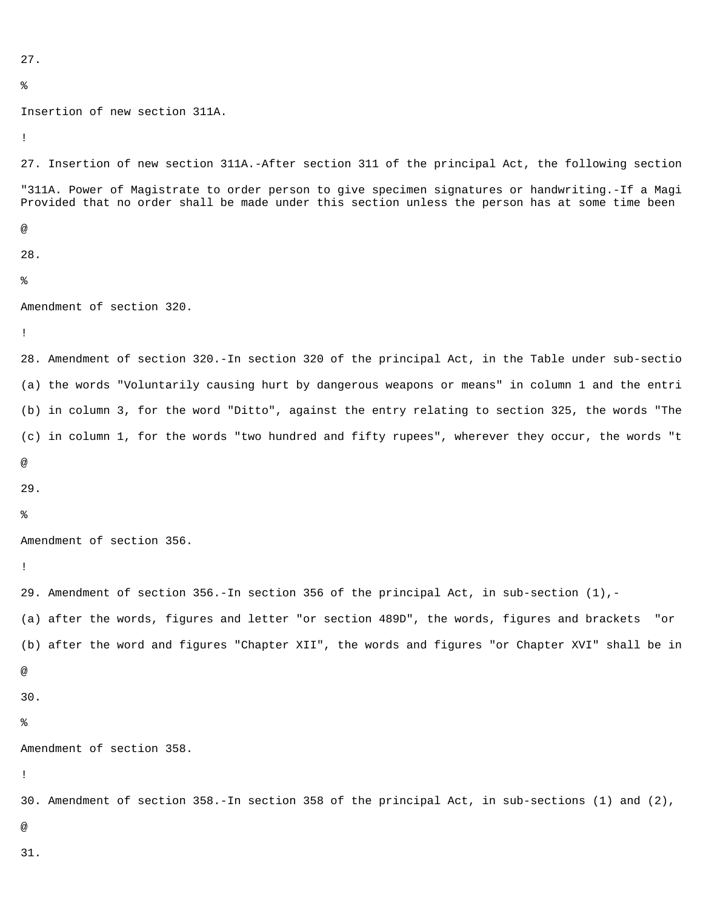27.

## %

Insertion of new section 311A.

!

Provided that no order shall be made under this section unless the person has at some time been @ 28. % Amendment of section 320. ! 28. Amendment of section 320.-In section 320 of the principal Act, in the Table under sub-sectio (a) the words "Voluntarily causing hurt by dangerous weapons or means" in column 1 and the entri (b) in column 3, for the word "Ditto", against the entry relating to section 325, the words "The (c) in column 1, for the words "two hundred and fifty rupees", wherever they occur, the words "t @ 29.  $\approx$ Amendment of section 356. ! 29. Amendment of section 356.-In section 356 of the principal Act, in sub-section (1),- (a) after the words, figures and letter "or section 489D", the words, figures and brackets "or (b) after the word and figures "Chapter XII", the words and figures "or Chapter XVI" shall be in @ 30.  $\epsilon$ Amendment of section 358. ! 30. Amendment of section 358.-In section 358 of the principal Act, in sub-sections (1) and (2),

27. Insertion of new section 311A.-After section 311 of the principal Act, the following section

"311A. Power of Magistrate to order person to give specimen signatures or handwriting.-If a Magi

@

31.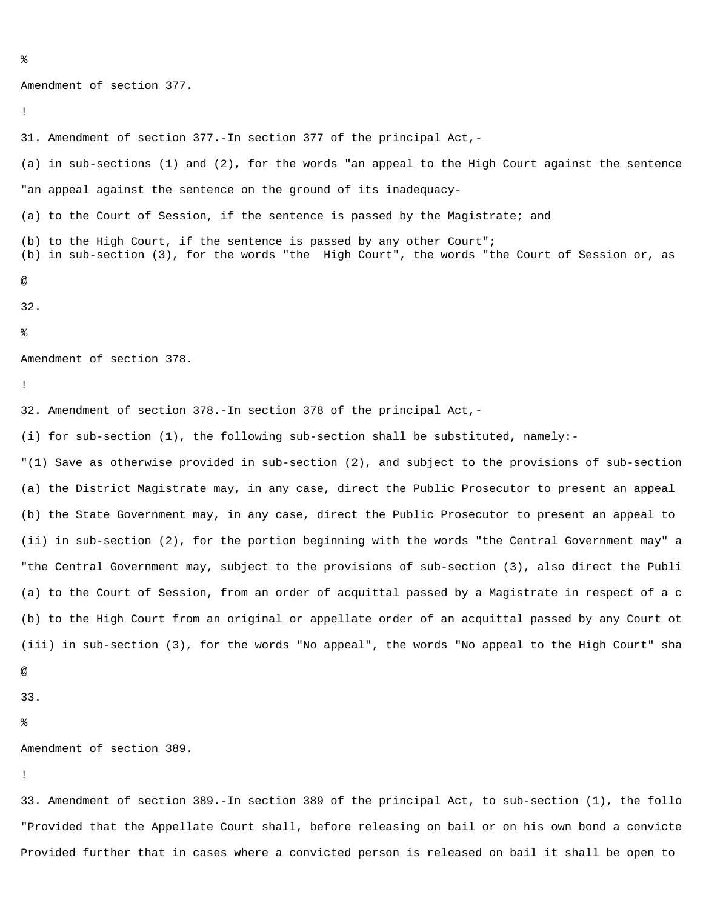```
Amendment of section 377. 
! 
31. Amendment of section 377.-In section 377 of the principal Act,- 
(a) in sub-sections (1) and (2), for the words "an appeal to the High Court against the sentence
"an appeal against the sentence on the ground of its inadequacy- 
(a) to the Court of Session, if the sentence is passed by the Magistrate; and 
(b) to the High Court, if the sentence is passed by any other Court"; 
(b) in sub-section (3), for the words "the High Court", the words "the Court of Session or, as 
@ 
32. 
% 
Amendment of section 378. 
! 
32. Amendment of section 378.-In section 378 of the principal Act,- 
(i) for sub-section (1), the following sub-section shall be substituted, namely:- 
"(1) Save as otherwise provided in sub-section (2), and subject to the provisions of sub-section
(a) the District Magistrate may, in any case, direct the Public Prosecutor to present an appeal 
(b) the State Government may, in any case, direct the Public Prosecutor to present an appeal to 
(ii) in sub-section (2), for the portion beginning with the words "the Central Government may" a
"the Central Government may, subject to the provisions of sub-section (3), also direct the Publi
(a) to the Court of Session, from an order of acquittal passed by a Magistrate in respect of a c
(b) to the High Court from an original or appellate order of an acquittal passed by any Court ot
(iii) in sub-section (3), for the words "No appeal", the words "No appeal to the High Court" sha
@ 
33. 
\epsilonAmendment of section 389. 
! 
33. Amendment of section 389.-In section 389 of the principal Act, to sub-section (1), the follo
"Provided that the Appellate Court shall, before releasing on bail or on his own bond a convicte
```
Provided further that in cases where a convicted person is released on bail it shall be open to

 $\,$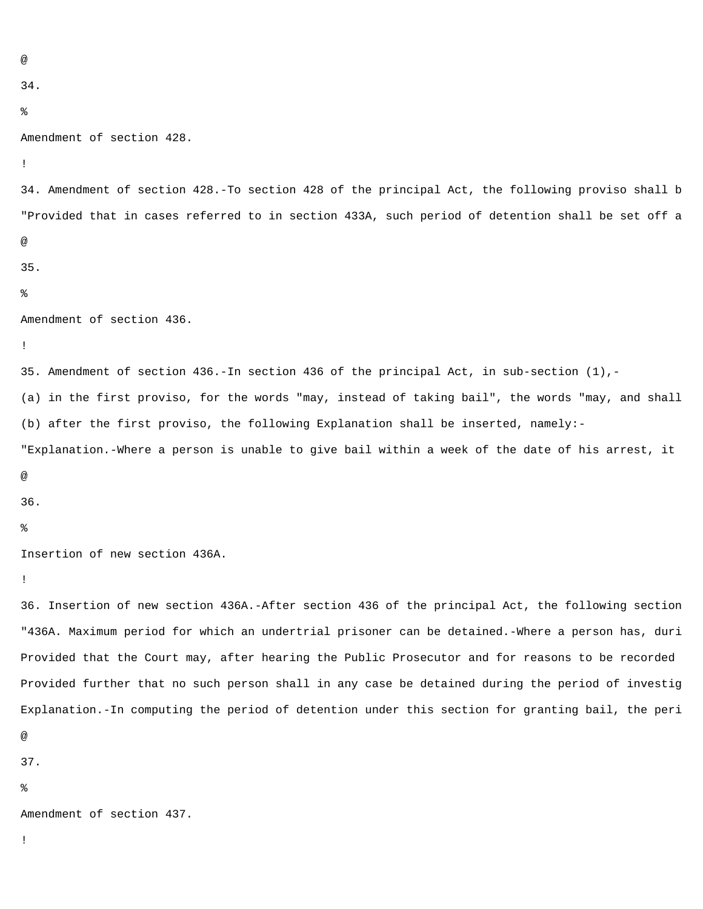```
34. 
% 
Amendment of section 428. 
! 
34. Amendment of section 428.-To section 428 of the principal Act, the following proviso shall b
"Provided that in cases referred to in section 433A, such period of detention shall be set off a
@ 
35. 
% 
Amendment of section 436. 
! 
35. Amendment of section 436.-In section 436 of the principal Act, in sub-section (1),- 
(a) in the first proviso, for the words "may, instead of taking bail", the words "may, and shall
(b) after the first proviso, the following Explanation shall be inserted, namely:- 
"Explanation.-Where a person is unable to give bail within a week of the date of his arrest, it 
@ 
36. 
\approxInsertion of new section 436A. 
! 
36. Insertion of new section 436A.-After section 436 of the principal Act, the following section
"436A. Maximum period for which an undertrial prisoner can be detained.-Where a person has, duri
Provided that the Court may, after hearing the Public Prosecutor and for reasons to be recorded 
Provided further that no such person shall in any case be detained during the period of investig
Explanation.-In computing the period of detention under this section for granting bail, the peri
@ 
37. 
% 
Amendment of section 437. 
!
```
@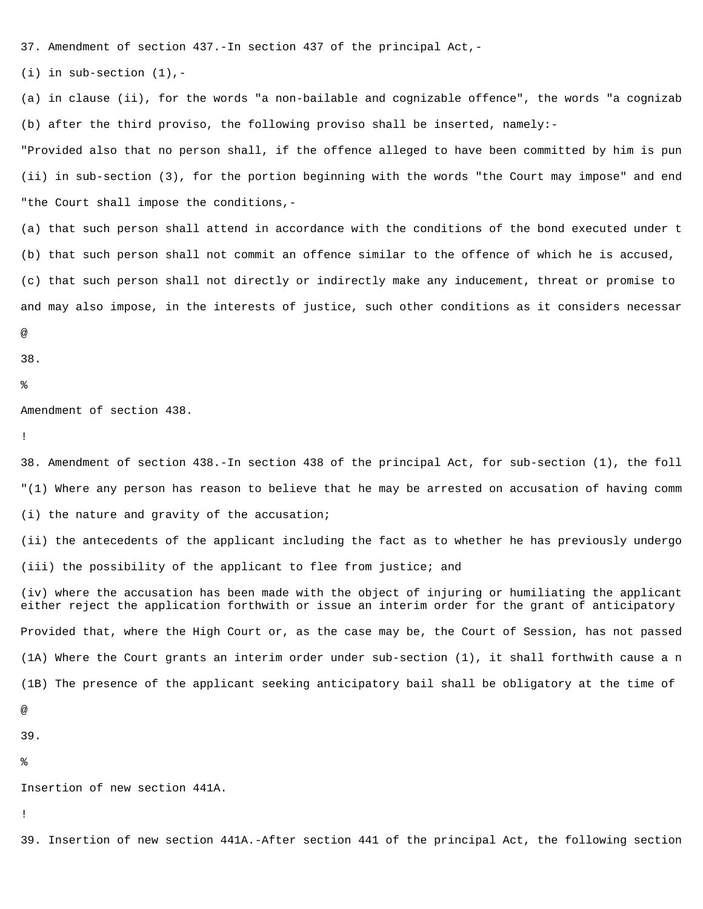37. Amendment of section 437.-In section 437 of the principal Act,-

 $(i)$  in sub-section  $(1)$ ,-

(a) in clause (ii), for the words "a non-bailable and cognizable offence", the words "a cognizab (b) after the third proviso, the following proviso shall be inserted, namely:-

"Provided also that no person shall, if the offence alleged to have been committed by him is pun (ii) in sub-section (3), for the portion beginning with the words "the Court may impose" and end "the Court shall impose the conditions,-

(a) that such person shall attend in accordance with the conditions of the bond executed under t (b) that such person shall not commit an offence similar to the offence of which he is accused, (c) that such person shall not directly or indirectly make any inducement, threat or promise to and may also impose, in the interests of justice, such other conditions as it considers necessar

@

```
38.
```

```
\approx
```
Amendment of section 438.

!

38. Amendment of section 438.-In section 438 of the principal Act, for sub-section (1), the foll "(1) Where any person has reason to believe that he may be arrested on accusation of having comm (i) the nature and gravity of the accusation;

(ii) the antecedents of the applicant including the fact as to whether he has previously undergo (iii) the possibility of the applicant to flee from justice; and

(iv) where the accusation has been made with the object of injuring or humiliating the applicant either reject the application forthwith or issue an interim order for the grant of anticipatory Provided that, where the High Court or, as the case may be, the Court of Session, has not passed (1A) Where the Court grants an interim order under sub-section (1), it shall forthwith cause a n (1B) The presence of the applicant seeking anticipatory bail shall be obligatory at the time of

- @
- 39.

%

Insertion of new section 441A.

!

39. Insertion of new section 441A.-After section 441 of the principal Act, the following section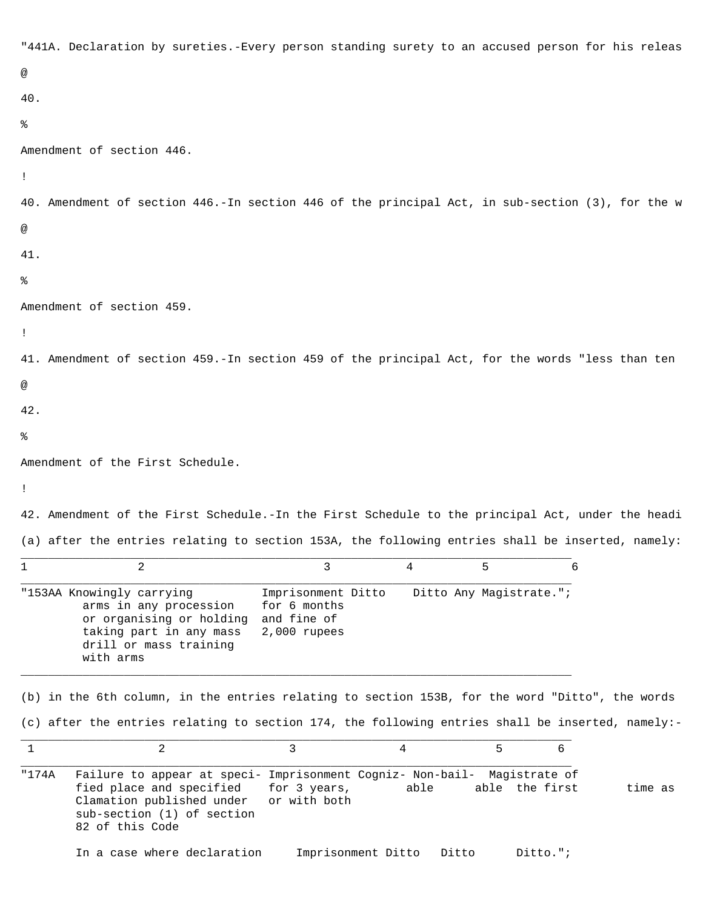```
"441A. Declaration by sureties.-Every person standing surety to an accused person for his releas
@ 
40. 
% 
Amendment of section 446. 
! 
40. Amendment of section 446.-In section 446 of the principal Act, in sub-section (3), for the w
@ 
41. 
% 
Amendment of section 459. 
! 
41. Amendment of section 459.-In section 459 of the principal Act, for the words "less than ten 
@ 
42. 
% 
Amendment of the First Schedule. 
! 
42. Amendment of the First Schedule.-In the First Schedule to the principal Act, under the headi
(a) after the entries relating to section 153A, the following entries shall be inserted, namely:
________________________________________________________________________________ 
1 and 2 3 and 4 5 6
________________________________________________________________________________ 
"153AA Knowingly carrying Imprisonment Ditto Ditto Any Magistrate."; 
        arms in any procession for 6 months
         or organising or holding and fine of 
         taking part in any mass 2,000 rupees 
         drill or mass training 
         with arms 
________________________________________________________________________________ 
(b) in the 6th column, in the entries relating to section 153B, for the word "Ditto", the words 
(c) after the entries relating to section 174, the following entries shall be inserted, namely:-
________________________________________________________________________________ 
1 2 3 4 5 6
________________________________________________________________________________ 
"174A Failure to appear at speci- Imprisonment Cogniz- Non-bail- Magistrate of 
        fied place and specified for 3 years, able able the first time as 
        Clamation published under or with both 
        sub-section (1) of section 
        82 of this Code 
        In a case where declaration Imprisonment Ditto Ditto Ditto.";
```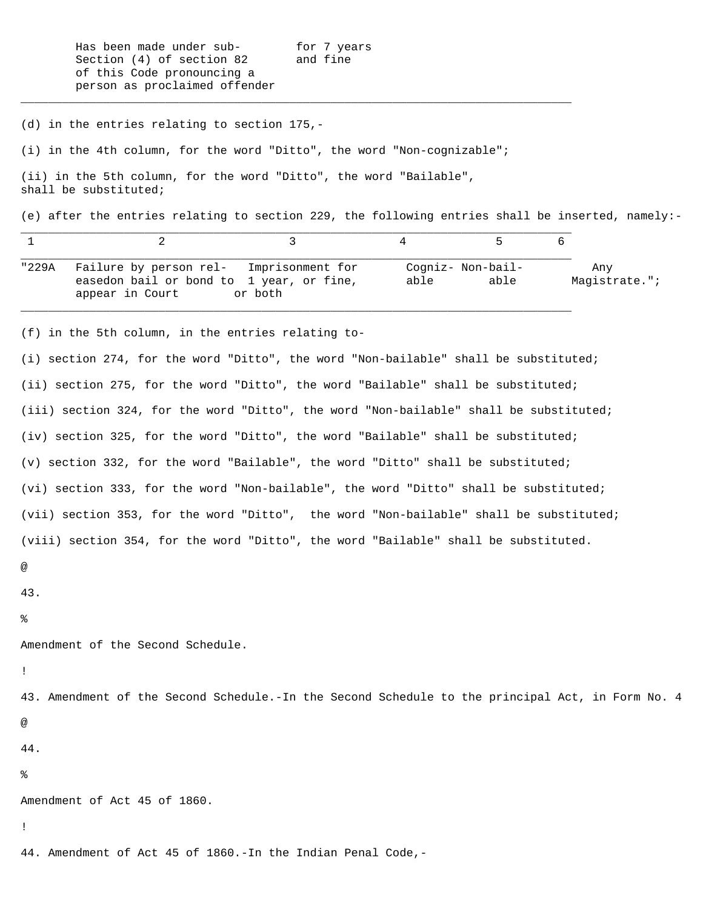| Has been made under sub-      | for 7 years |
|-------------------------------|-------------|
| Section (4) of section 82     | and fine    |
| of this Code pronouncing a    |             |
| person as proclaimed offender |             |

(d) in the entries relating to section 175,-

(i) in the 4th column, for the word "Ditto", the word "Non-cognizable";

\_\_\_\_\_\_\_\_\_\_\_\_\_\_\_\_\_\_\_\_\_\_\_\_\_\_\_\_\_\_\_\_\_\_\_\_\_\_\_\_\_\_\_\_\_\_\_\_\_\_\_\_\_\_\_\_\_\_\_\_\_\_\_\_\_\_\_\_\_\_\_\_\_\_\_\_\_\_\_\_

```
(ii) in the 5th column, for the word "Ditto", the word "Bailable", 
shall be substituted;
```
(e) after the entries relating to section 229, the following entries shall be inserted, namely:-

| "229A | Failure by person rel- Imprisonment for<br>easedon bail or bond to 1 year, or fine,<br>appear in Court | or both | able | Cogniz- Non-bail-<br>able | Any<br>Magistrate."; |
|-------|--------------------------------------------------------------------------------------------------------|---------|------|---------------------------|----------------------|

(f) in the 5th column, in the entries relating to-

(i) section 274, for the word "Ditto", the word "Non-bailable" shall be substituted; (ii) section 275, for the word "Ditto", the word "Bailable" shall be substituted; (iii) section 324, for the word "Ditto", the word "Non-bailable" shall be substituted; (iv) section 325, for the word "Ditto", the word "Bailable" shall be substituted; (v) section 332, for the word "Bailable", the word "Ditto" shall be substituted; (vi) section 333, for the word "Non-bailable", the word "Ditto" shall be substituted; (vii) section 353, for the word "Ditto", the word "Non-bailable" shall be substituted; (viii) section 354, for the word "Ditto", the word "Bailable" shall be substituted.

@

43.

%

Amendment of the Second Schedule.

!

43. Amendment of the Second Schedule.-In the Second Schedule to the principal Act, in Form No. 4 @

44.

 $\,$ 

Amendment of Act 45 of 1860.

!

44. Amendment of Act 45 of 1860.-In the Indian Penal Code,-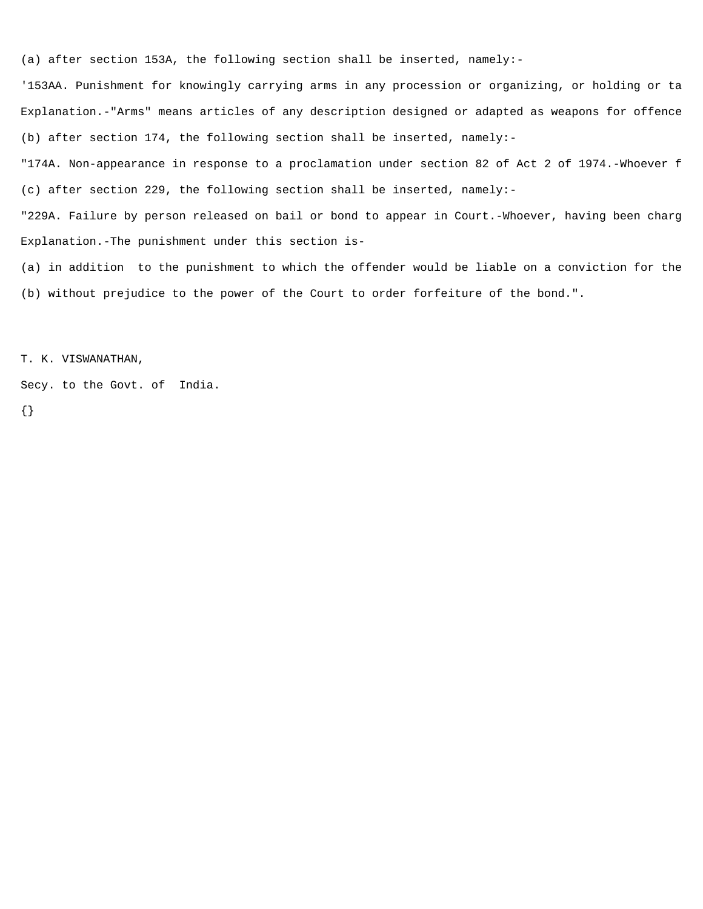(a) after section 153A, the following section shall be inserted, namely:-

'153AA. Punishment for knowingly carrying arms in any procession or organizing, or holding or ta Explanation.-"Arms" means articles of any description designed or adapted as weapons for offence (b) after section 174, the following section shall be inserted, namely:-

"174A. Non-appearance in response to a proclamation under section 82 of Act 2 of 1974.-Whoever f (c) after section 229, the following section shall be inserted, namely:-

"229A. Failure by person released on bail or bond to appear in Court.-Whoever, having been charg Explanation.-The punishment under this section is-

(a) in addition to the punishment to which the offender would be liable on a conviction for the (b) without prejudice to the power of the Court to order forfeiture of the bond.".

T. K. VISWANATHAN,

Secy. to the Govt. of India.

{}